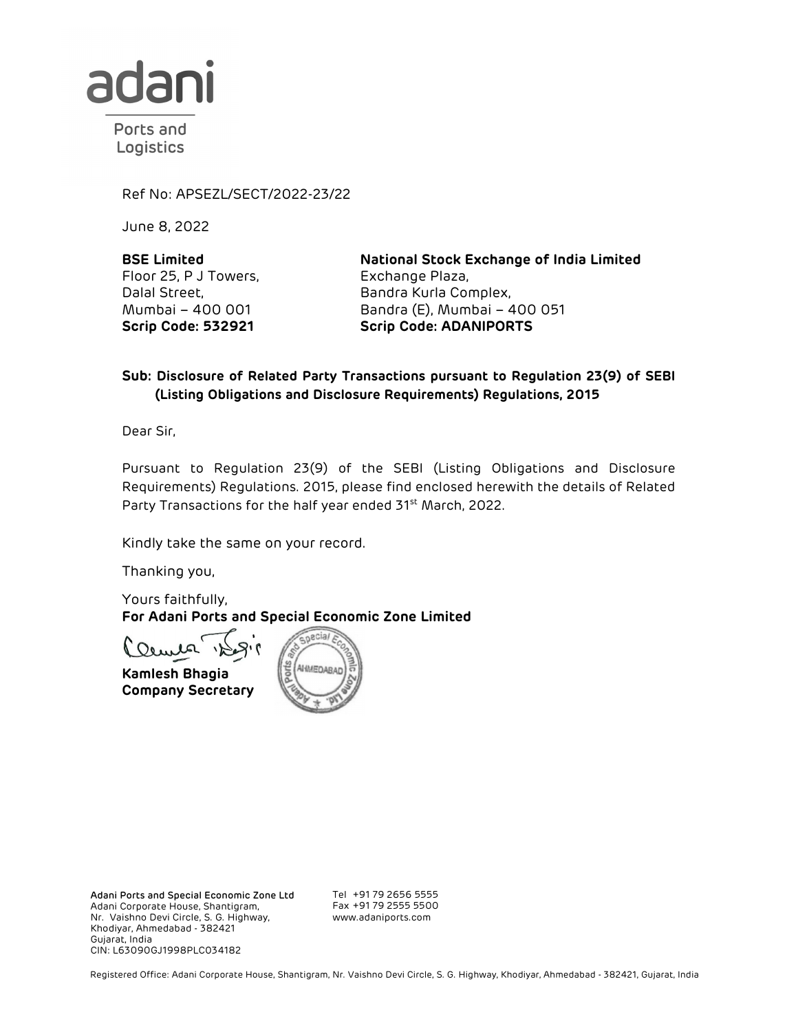

Ports and Logistics

Ref No: APSEZL/SECT/2022-23/22

June 8, 2022

**BSE Limited**  Floor 25, P J Towers, Dalal Street, Mumbai – 400 001 **Scrip Code: 532921** 

**National Stock Exchange of India Limited**  Exchange Plaza, Bandra Kurla Complex, Bandra (E), Mumbai – 400 051 **Scrip Code: ADANIPORTS** 

## **Sub: Disclosure of Related Party Transactions pursuant to Regulation 23(9) of SEBI (Listing Obligations and Disclosure Requirements) Regulations, 2015**

Dear Sir,

Pursuant to Regulation 23(9) of the SEBI (Listing Obligations and Disclosure Requirements) Regulations. 2015, please find enclosed herewith the details of Related Party Transactions for the half year ended 31<sup>st</sup> March, 2022.

Kindly take the same on your record.

Thanking you,

Yours faithfully, **For Adani Ports and Special Economic Zone Limited** 

Ounce

**Kamlesh Bhagia Company Secretary**



Adani Ports and Special Economic Zone Ltd Adani Corporate House, Shantigram, Nr. Vaishno Devi Circle, S. G. Highway, Khodiyar, Ahmedabad - 382421 Gujarat, India CIN: L63090GJ1998PLC034182

Tel +91 79 2656 5555 Fax +91 79 2555 5500 www.adaniports.com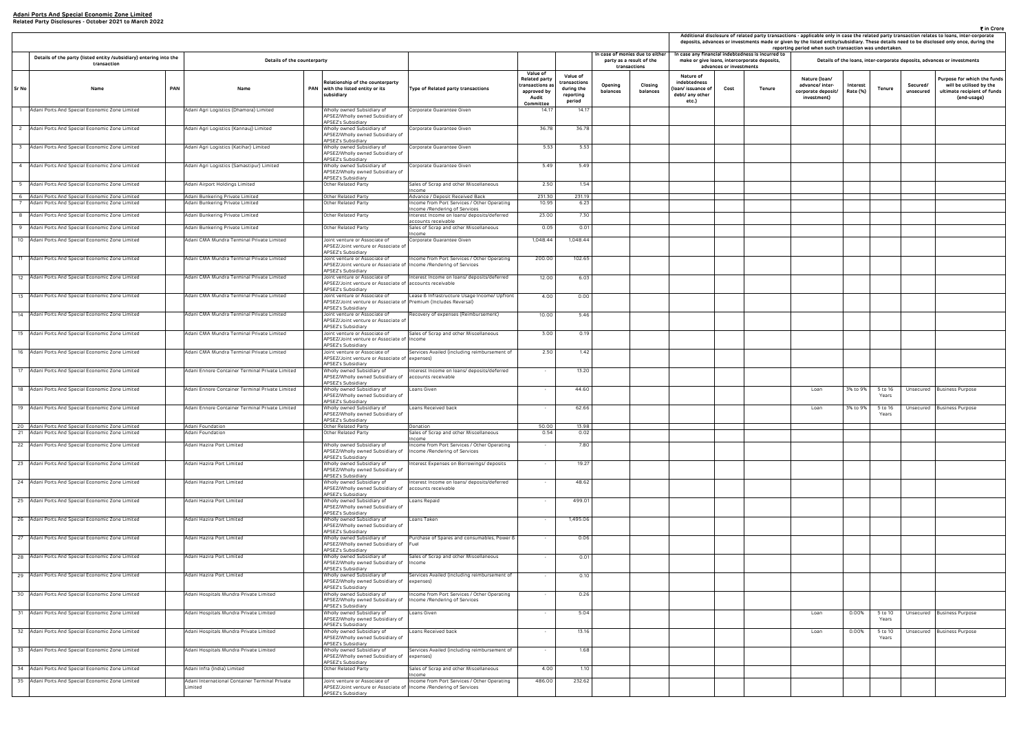| ₹ in Crore<br>Additional disclosure of related party transactions - applicable only in case the related party transaction relates to loans, inter-corporate<br>deposits, advances or investments made or given by the listed entity/subsidiary. These details need to be disclosed only once, during the<br>reporting period when such transaction was undertaken. |                         |                                                                                                |                                                                       |                      |                    |                       |                                                                                                      |  |  |  |  |  |
|--------------------------------------------------------------------------------------------------------------------------------------------------------------------------------------------------------------------------------------------------------------------------------------------------------------------------------------------------------------------|-------------------------|------------------------------------------------------------------------------------------------|-----------------------------------------------------------------------|----------------------|--------------------|-----------------------|------------------------------------------------------------------------------------------------------|--|--|--|--|--|
|                                                                                                                                                                                                                                                                                                                                                                    | advances or investments | case any financial indebtedness is incurred to<br>make or give loans, intercorporate deposits, |                                                                       |                      |                    |                       | Details of the loans, inter-corporate deposits, advances or investments                              |  |  |  |  |  |
| Nature of<br>debtedness<br>n/ issuance of<br>bt/ any other<br>etc.)                                                                                                                                                                                                                                                                                                | Cost                    | Tenure                                                                                         | Nature (Ioan/<br>advance/ inter-<br>corporate deposit/<br>investment) | Interest<br>Rate (%) | <b>Tenure</b>      | Secured/<br>unsecured | Purpose for which the funds<br>will be utilised by the<br>ultimate recipient of funds<br>(end-usage) |  |  |  |  |  |
|                                                                                                                                                                                                                                                                                                                                                                    |                         |                                                                                                |                                                                       |                      |                    |                       |                                                                                                      |  |  |  |  |  |
|                                                                                                                                                                                                                                                                                                                                                                    |                         |                                                                                                |                                                                       |                      |                    |                       |                                                                                                      |  |  |  |  |  |
|                                                                                                                                                                                                                                                                                                                                                                    |                         |                                                                                                |                                                                       |                      |                    |                       |                                                                                                      |  |  |  |  |  |
|                                                                                                                                                                                                                                                                                                                                                                    |                         |                                                                                                |                                                                       |                      |                    |                       |                                                                                                      |  |  |  |  |  |
|                                                                                                                                                                                                                                                                                                                                                                    |                         |                                                                                                |                                                                       |                      |                    |                       |                                                                                                      |  |  |  |  |  |
|                                                                                                                                                                                                                                                                                                                                                                    |                         |                                                                                                |                                                                       |                      |                    |                       |                                                                                                      |  |  |  |  |  |
|                                                                                                                                                                                                                                                                                                                                                                    |                         |                                                                                                |                                                                       |                      |                    |                       |                                                                                                      |  |  |  |  |  |
|                                                                                                                                                                                                                                                                                                                                                                    |                         |                                                                                                |                                                                       |                      |                    |                       |                                                                                                      |  |  |  |  |  |
|                                                                                                                                                                                                                                                                                                                                                                    |                         |                                                                                                |                                                                       |                      |                    |                       |                                                                                                      |  |  |  |  |  |
|                                                                                                                                                                                                                                                                                                                                                                    |                         |                                                                                                |                                                                       |                      |                    |                       |                                                                                                      |  |  |  |  |  |
|                                                                                                                                                                                                                                                                                                                                                                    |                         |                                                                                                |                                                                       |                      |                    |                       |                                                                                                      |  |  |  |  |  |
|                                                                                                                                                                                                                                                                                                                                                                    |                         |                                                                                                |                                                                       |                      |                    |                       |                                                                                                      |  |  |  |  |  |
|                                                                                                                                                                                                                                                                                                                                                                    |                         |                                                                                                |                                                                       |                      |                    |                       |                                                                                                      |  |  |  |  |  |
|                                                                                                                                                                                                                                                                                                                                                                    |                         |                                                                                                |                                                                       |                      |                    |                       |                                                                                                      |  |  |  |  |  |
|                                                                                                                                                                                                                                                                                                                                                                    |                         |                                                                                                |                                                                       |                      |                    |                       |                                                                                                      |  |  |  |  |  |
|                                                                                                                                                                                                                                                                                                                                                                    |                         |                                                                                                | Loan                                                                  | 3% to 9%             | 5 to 16<br>Years   | Unsecured             | <b>Business Purpose</b>                                                                              |  |  |  |  |  |
|                                                                                                                                                                                                                                                                                                                                                                    |                         |                                                                                                | Loan                                                                  | 3% to 9%             | 5 to 16<br>Years   | Unsecured             | <b>Business Purpose</b>                                                                              |  |  |  |  |  |
|                                                                                                                                                                                                                                                                                                                                                                    |                         |                                                                                                |                                                                       |                      |                    |                       |                                                                                                      |  |  |  |  |  |
|                                                                                                                                                                                                                                                                                                                                                                    |                         |                                                                                                |                                                                       |                      |                    |                       |                                                                                                      |  |  |  |  |  |
|                                                                                                                                                                                                                                                                                                                                                                    |                         |                                                                                                |                                                                       |                      |                    |                       |                                                                                                      |  |  |  |  |  |
|                                                                                                                                                                                                                                                                                                                                                                    |                         |                                                                                                |                                                                       |                      |                    |                       |                                                                                                      |  |  |  |  |  |
|                                                                                                                                                                                                                                                                                                                                                                    |                         |                                                                                                |                                                                       |                      |                    |                       |                                                                                                      |  |  |  |  |  |
|                                                                                                                                                                                                                                                                                                                                                                    |                         |                                                                                                |                                                                       |                      |                    |                       |                                                                                                      |  |  |  |  |  |
|                                                                                                                                                                                                                                                                                                                                                                    |                         |                                                                                                |                                                                       |                      |                    |                       |                                                                                                      |  |  |  |  |  |
|                                                                                                                                                                                                                                                                                                                                                                    |                         |                                                                                                |                                                                       |                      |                    |                       |                                                                                                      |  |  |  |  |  |
|                                                                                                                                                                                                                                                                                                                                                                    |                         |                                                                                                |                                                                       |                      |                    |                       |                                                                                                      |  |  |  |  |  |
|                                                                                                                                                                                                                                                                                                                                                                    |                         |                                                                                                |                                                                       |                      |                    |                       |                                                                                                      |  |  |  |  |  |
|                                                                                                                                                                                                                                                                                                                                                                    |                         |                                                                                                | Loan                                                                  | 0.00%                | $5$ to 10<br>Years | Unsecured             | <b>Business Purpose</b>                                                                              |  |  |  |  |  |
|                                                                                                                                                                                                                                                                                                                                                                    |                         |                                                                                                | Loan                                                                  | 0.00%                | 5 to 10            | Unsecured             | <b>Business Purpose</b>                                                                              |  |  |  |  |  |
|                                                                                                                                                                                                                                                                                                                                                                    |                         |                                                                                                |                                                                       |                      | Years              |                       |                                                                                                      |  |  |  |  |  |
|                                                                                                                                                                                                                                                                                                                                                                    |                         |                                                                                                |                                                                       |                      |                    |                       |                                                                                                      |  |  |  |  |  |
|                                                                                                                                                                                                                                                                                                                                                                    |                         |                                                                                                |                                                                       |                      |                    |                       |                                                                                                      |  |  |  |  |  |

|                |                                                                                                |     |                                                                              |                                                                                                                          |                                                                               |                                                                                   |                                                               |                     | Additional disclosure of related party transactions - applicable only in case the related party<br>deposits, advances or investments made or given by the listed entity/subsidiary. These detail<br>reporting period when such transaction was undertal |                                                                            |                         |                                                                                                   |                                                                       |                      |                                     |
|----------------|------------------------------------------------------------------------------------------------|-----|------------------------------------------------------------------------------|--------------------------------------------------------------------------------------------------------------------------|-------------------------------------------------------------------------------|-----------------------------------------------------------------------------------|---------------------------------------------------------------|---------------------|---------------------------------------------------------------------------------------------------------------------------------------------------------------------------------------------------------------------------------------------------------|----------------------------------------------------------------------------|-------------------------|---------------------------------------------------------------------------------------------------|-----------------------------------------------------------------------|----------------------|-------------------------------------|
|                | Details of the party (listed entity /subsidiary) entering into the<br>transaction              |     | Details of the counterparty                                                  |                                                                                                                          |                                                                               |                                                                                   |                                                               |                     | n case of monies due to either<br>party as a result of the<br>transactions                                                                                                                                                                              |                                                                            | advances or investments | In case any financial indebtedness is incurred to<br>make or give loans, intercorporate deposits, |                                                                       |                      | Details of the loans, inter-corpora |
| Sr No          | Name                                                                                           | PAN | Name                                                                         | Relationship of the counterparty<br>PAN with the listed entity or its<br>subsidiary                                      | Type of Related party transactions                                            | Value of<br>Related party<br>ransactions as:<br>approved by<br>Audit<br>Committee | Value of<br>transactions<br>during the<br>reporting<br>period | Opening<br>balances | Closing<br>balances                                                                                                                                                                                                                                     | Nature of<br>indebtedness<br>loan/ issuance of<br>debt/ any other<br>etc.) | Cost                    | <b>Tenure</b>                                                                                     | Nature (Ioan/<br>advance/ inter-<br>corporate deposit/<br>investment) | Interest<br>Rate (%) | <b>Tenure</b>                       |
|                | Adani Ports And Special Economic Zone Limited                                                  |     | Adani Agri Logistics (Dhamora) Limited                                       | Wholly owned Subsidiary of<br>APSEZ/Wholly owned Subsidiary of<br><b>APSEZ's Subsidiary</b>                              | Corporate Guarantee Given                                                     | 14.17                                                                             | 14.17                                                         |                     |                                                                                                                                                                                                                                                         |                                                                            |                         |                                                                                                   |                                                                       |                      |                                     |
| $\overline{c}$ | Adani Ports And Special Economic Zone Limited                                                  |     | Adani Agri Logistics (Kannauj) Limited                                       | Wholly owned Subsidiary of<br>APSEZ/Wholly owned Subsidiary of                                                           | Corporate Guarantee Given                                                     | 36.78                                                                             | 36.78                                                         |                     |                                                                                                                                                                                                                                                         |                                                                            |                         |                                                                                                   |                                                                       |                      |                                     |
|                | Adani Ports And Special Economic Zone Limited                                                  |     | Adani Agri Logistics (Katihar) Limited                                       | <b>APSEZ's Subsidiary</b><br>Wholly owned Subsidiary of<br>APSEZ/Wholly owned Subsidiary of                              | Corporate Guarantee Given                                                     | 5.53                                                                              | 5.53                                                          |                     |                                                                                                                                                                                                                                                         |                                                                            |                         |                                                                                                   |                                                                       |                      |                                     |
| $\overline{4}$ | Adani Ports And Special Economic Zone Limited                                                  |     | Adani Agri Logistics (Samastipur) Limited                                    | APSEZ's Subsidiary<br>Wholly owned Subsidiary of<br>APSEZ/Wholly owned Subsidiary of                                     | Corporate Guarantee Given                                                     | 5.49                                                                              | 5.49                                                          |                     |                                                                                                                                                                                                                                                         |                                                                            |                         |                                                                                                   |                                                                       |                      |                                     |
| - 5            | Adani Ports And Special Economic Zone Limited                                                  |     | Adani Airport Holdings Limited                                               | APSEZ's Subsidiary<br>Other Related Party                                                                                | Sales of Scrap and other Miscellaneous<br>Income                              | 2.50                                                                              | 1.54                                                          |                     |                                                                                                                                                                                                                                                         |                                                                            |                         |                                                                                                   |                                                                       |                      |                                     |
| 6              | Adani Ports And Special Economic Zone Limited                                                  |     | Adani Bunkering Private Limited                                              | Other Related Party                                                                                                      | Advance / Deposit Received Back                                               | 231.30                                                                            | 231.19                                                        |                     |                                                                                                                                                                                                                                                         |                                                                            |                         |                                                                                                   |                                                                       |                      |                                     |
|                | Adani Ports And Special Economic Zone Limited                                                  |     | Adani Bunkering Private Limited                                              | Other Related Party                                                                                                      | Income from Port Services / Other Operating<br>Income /Rendering of Services  | 10.95                                                                             | 6.23                                                          |                     |                                                                                                                                                                                                                                                         |                                                                            |                         |                                                                                                   |                                                                       |                      |                                     |
| 8              | Adani Ports And Special Economic Zone Limited                                                  |     | Adani Bunkering Private Limited                                              | Other Related Party                                                                                                      | Interest Income on loans/ deposits/deferred<br>accounts receivable            | 23.00                                                                             | 7.30                                                          |                     |                                                                                                                                                                                                                                                         |                                                                            |                         |                                                                                                   |                                                                       |                      |                                     |
| 9<br>10        | Adani Ports And Special Economic Zone Limited<br>Adani Ports And Special Economic Zone Limited |     | Adani Bunkering Private Limited<br>Adani CMA Mundra Terminal Private Limited | Other Related Party<br>Joint venture or Associate of                                                                     | Sales of Scrap and other Miscellaneous<br>Income<br>Corporate Guarantee Given | 0.05<br>1,048.44                                                                  | 0.01<br>1,048.44                                              |                     |                                                                                                                                                                                                                                                         |                                                                            |                         |                                                                                                   |                                                                       |                      |                                     |
|                |                                                                                                |     |                                                                              | APSEZ/Joint venture or Associate of<br>APSEZ's Subsidiary                                                                |                                                                               |                                                                                   |                                                               |                     |                                                                                                                                                                                                                                                         |                                                                            |                         |                                                                                                   |                                                                       |                      |                                     |
|                | 11 Adani Ports And Special Economic Zone Limited                                               |     | Adani CMA Mundra Terminal Private Limited                                    | Joint venture or Associate of<br>APSEZ/Joint venture or Associate of Income /Rendering of Services<br>APSEZ's Subsidiary | Income from Port Services / Other Operating                                   | 200.00                                                                            | 102.65                                                        |                     |                                                                                                                                                                                                                                                         |                                                                            |                         |                                                                                                   |                                                                       |                      |                                     |
|                | 12 Adani Ports And Special Economic Zone Limited                                               |     | Adani CMA Mundra Terminal Private Limited                                    | Joint venture or Associate of<br>APSEZ/Joint venture or Associate of accounts receivable<br>APSEZ's Subsidiary           | Interest Income on loans/ deposits/deferred                                   | 12.00                                                                             | 6.03                                                          |                     |                                                                                                                                                                                                                                                         |                                                                            |                         |                                                                                                   |                                                                       |                      |                                     |
|                | 13 Adani Ports And Special Economic Zone Limited                                               |     | Adani CMA Mundra Terminal Private Limited                                    | Joint venture or Associate of<br>APSEZ/Joint venture or Associate of Premium (Includes Reversal)<br>APSEZ's Subsidiary   | Lease & Infrastructure Usage Income/ Upfront                                  | 4.00                                                                              | 0.00                                                          |                     |                                                                                                                                                                                                                                                         |                                                                            |                         |                                                                                                   |                                                                       |                      |                                     |
|                | 14 Adani Ports And Special Economic Zone Limited                                               |     | Adani CMA Mundra Terminal Private Limited                                    | Joint venture or Associate of<br>APSEZ/Joint venture or Associate of<br>APSEZ's Subsidiary                               | Recovery of expenses (Reimbursement)                                          | 10.00                                                                             | 5.46                                                          |                     |                                                                                                                                                                                                                                                         |                                                                            |                         |                                                                                                   |                                                                       |                      |                                     |
|                | 15 Adani Ports And Special Economic Zone Limited                                               |     | Adani CMA Mundra Terminal Private Limited                                    | Joint venture or Associate of<br>APSEZ/Joint venture or Associate of Income<br><b>APSEZ's Subsidiary</b>                 | Sales of Scrap and other Miscellaneous                                        | 3.00                                                                              | 0.19                                                          |                     |                                                                                                                                                                                                                                                         |                                                                            |                         |                                                                                                   |                                                                       |                      |                                     |
|                | 16 Adani Ports And Special Economic Zone Limited                                               |     | Adani CMA Mundra Terminal Private Limited                                    | Joint venture or Associate of<br>APSEZ/Joint venture or Associate of<br><b>APSEZ's Subsidiary</b>                        | Services Availed (including reimbursement of<br>expenses)                     | 2.50                                                                              | 1.42                                                          |                     |                                                                                                                                                                                                                                                         |                                                                            |                         |                                                                                                   |                                                                       |                      |                                     |
| 17             | Adani Ports And Special Economic Zone Limited                                                  |     | Adani Ennore Container Terminal Private Limited                              | Wholly owned Subsidiary of<br>APSEZ/Wholly owned Subsidiary of<br>APSEZ's Subsidiary                                     | Interest Income on loans/ deposits/deferred<br>accounts receivable            |                                                                                   | 13.20                                                         |                     |                                                                                                                                                                                                                                                         |                                                                            |                         |                                                                                                   |                                                                       |                      |                                     |
|                | 18 Adani Ports And Special Economic Zone Limited                                               |     | Adani Ennore Container Terminal Private Limited                              | Wholly owned Subsidiary of<br>APSEZ/Wholly owned Subsidiary of<br>APSEZ's Subsidiary                                     | Loans Given                                                                   |                                                                                   | 44.60                                                         |                     |                                                                                                                                                                                                                                                         |                                                                            |                         |                                                                                                   | Loan                                                                  |                      | 3% to 9% 5 to 16<br>Years           |
|                | 19 Adani Ports And Special Economic Zone Limited                                               |     | Adani Ennore Container Terminal Private Limited                              | Wholly owned Subsidiary of<br>APSEZ/Wholly owned Subsidiary of<br>APSEZ's Subsidiary                                     | Loans Received back                                                           |                                                                                   | 62.66                                                         |                     |                                                                                                                                                                                                                                                         |                                                                            |                         |                                                                                                   | Loan                                                                  | 3% to 9%             | 5 to 16<br>Years                    |
| 20<br>21       | Adani Ports And Special Economic Zone Limited<br>Adani Ports And Special Economic Zone Limited |     | Adani Foundation<br>Adani Foundation                                         | Other Related Party<br>Other Related Party                                                                               | Donation<br>Sales of Scrap and other Miscellaneous<br>Income                  | 50.00<br>0.54                                                                     | 13.98<br>0.02                                                 |                     |                                                                                                                                                                                                                                                         |                                                                            |                         |                                                                                                   |                                                                       |                      |                                     |
|                | 22 Adani Ports And Special Economic Zone Limited                                               |     | Adani Hazira Port Limited                                                    | Wholly owned Subsidiary of<br>APSEZ/Wholly owned Subsidiary of<br>APSEZ's Subsidiary                                     | Income from Port Services / Other Operating<br>Income /Rendering of Services  | $\sim$                                                                            | 7.80                                                          |                     |                                                                                                                                                                                                                                                         |                                                                            |                         |                                                                                                   |                                                                       |                      |                                     |
|                | 23 Adani Ports And Special Economic Zone Limited                                               |     | Adani Hazira Port Limited                                                    | Wholly owned Subsidiary of<br>APSEZ/Wholly owned Subsidiary of<br>APSEZ's Subsidiary                                     | Interest Expenses on Borrowings/ deposits                                     |                                                                                   | 19.27                                                         |                     |                                                                                                                                                                                                                                                         |                                                                            |                         |                                                                                                   |                                                                       |                      |                                     |
|                | 24 Adani Ports And Special Economic Zone Limited                                               |     | Adani Hazira Port Limited                                                    | Wholly owned Subsidiary of<br>APSEZ/Wholly owned Subsidiary of<br>APSEZ's Subsidiary                                     | Interest Income on loans/ deposits/deferred<br>accounts receivable            | $\sim$                                                                            | 48.62                                                         |                     |                                                                                                                                                                                                                                                         |                                                                            |                         |                                                                                                   |                                                                       |                      |                                     |
|                | 25 Adani Ports And Special Economic Zone Limited                                               |     | Adani Hazira Port Limited                                                    | Wholly owned Subsidiary of<br>APSEZ/Wholly owned Subsidiary of<br>APSEZ's Subsidiary                                     | Loans Repaid                                                                  |                                                                                   | 499.01                                                        |                     |                                                                                                                                                                                                                                                         |                                                                            |                         |                                                                                                   |                                                                       |                      |                                     |
|                | 26 Adani Ports And Special Economic Zone Limited                                               |     | Adani Hazira Port Limited                                                    | Wholly owned Subsidiary of<br>APSEZ/Wholly owned Subsidiary of<br>APSEZ's Subsidiary                                     | Loans Taken                                                                   |                                                                                   | 1,495.06                                                      |                     |                                                                                                                                                                                                                                                         |                                                                            |                         |                                                                                                   |                                                                       |                      |                                     |
|                | 27 Adani Ports And Special Economic Zone Limited                                               |     | Adani Hazira Port Limited                                                    | Wholly owned Subsidiary of<br>APSEZ/Wholly owned Subsidiary of<br>APSEZ's Subsidiary                                     | Purchase of Spares and consumables, Power &<br>Fuel                           |                                                                                   | 0.06                                                          |                     |                                                                                                                                                                                                                                                         |                                                                            |                         |                                                                                                   |                                                                       |                      |                                     |
|                | 28 Adani Ports And Special Economic Zone Limited                                               |     | Adani Hazira Port Limited                                                    | Wholly owned Subsidiary of<br>APSEZ/Wholly owned Subsidiary of<br>APSEZ's Subsidiary                                     | Sales of Scrap and other Miscellaneous<br>Income                              |                                                                                   | 0.01                                                          |                     |                                                                                                                                                                                                                                                         |                                                                            |                         |                                                                                                   |                                                                       |                      |                                     |
|                | 29 Adani Ports And Special Economic Zone Limited                                               |     | Adani Hazira Port Limited                                                    | Wholly owned Subsidiary of<br>APSEZ/Wholly owned Subsidiary of<br>APSEZ's Subsidiary                                     | Services Availed (including reimbursement of<br>expenses)                     | $\sim$                                                                            | 0.10                                                          |                     |                                                                                                                                                                                                                                                         |                                                                            |                         |                                                                                                   |                                                                       |                      |                                     |
|                | 30 Adani Ports And Special Economic Zone Limited                                               |     | Adani Hospitals Mundra Private Limited                                       | Wholly owned Subsidiary of<br>APSEZ/Wholly owned Subsidiary of<br>APSEZ's Subsidiary                                     | Income from Port Services / Other Operating<br>Income /Rendering of Services  |                                                                                   | 0.26                                                          |                     |                                                                                                                                                                                                                                                         |                                                                            |                         |                                                                                                   |                                                                       |                      |                                     |
|                | 31 Adani Ports And Special Economic Zone Limited                                               |     | Adani Hospitals Mundra Private Limited                                       | Wholly owned Subsidiary of<br>APSEZ/Wholly owned Subsidiary of<br>APSEZ's Subsidiary                                     | Loans Given                                                                   | $\sim$                                                                            | 5.04                                                          |                     |                                                                                                                                                                                                                                                         |                                                                            |                         |                                                                                                   | Loan                                                                  | 0.00%                | 5 to 10<br>Years                    |
|                | 32 Adani Ports And Special Economic Zone Limited                                               |     | Adani Hospitals Mundra Private Limited                                       | Wholly owned Subsidiary of<br>APSEZ/Wholly owned Subsidiary of<br>APSEZ's Subsidiary                                     | Loans Received back                                                           |                                                                                   | 13.16                                                         |                     |                                                                                                                                                                                                                                                         |                                                                            |                         |                                                                                                   | Loan                                                                  | 0.00%                | 5 to 10<br>Years                    |
|                | 33 Adani Ports And Special Economic Zone Limited                                               |     | Adani Hospitals Mundra Private Limited                                       | Wholly owned Subsidiary of<br>APSEZ/Wholly owned Subsidiary of<br>APSEZ's Subsidiary                                     | Services Availed (including reimbursement of<br>expenses)                     |                                                                                   | 1.68                                                          |                     |                                                                                                                                                                                                                                                         |                                                                            |                         |                                                                                                   |                                                                       |                      |                                     |
|                | 34 Adani Ports And Special Economic Zone Limited                                               |     | Adani Infra (India) Limited                                                  | Other Related Party                                                                                                      | Sales of Scrap and other Miscellaneous<br>Income                              | 4.00                                                                              | 1.10                                                          |                     |                                                                                                                                                                                                                                                         |                                                                            |                         |                                                                                                   |                                                                       |                      |                                     |
| 35             | Adani Ports And Special Economic Zone Limited                                                  |     | Adani International Container Terminal Private<br>Limited                    | Joint venture or Associate of<br>APSEZ/Joint venture or Associate of Income /Rendering of Services<br>APSEZ's Subsidiary | Income from Port Services / Other Operating                                   | 486.00                                                                            | 232.62                                                        |                     |                                                                                                                                                                                                                                                         |                                                                            |                         |                                                                                                   |                                                                       |                      |                                     |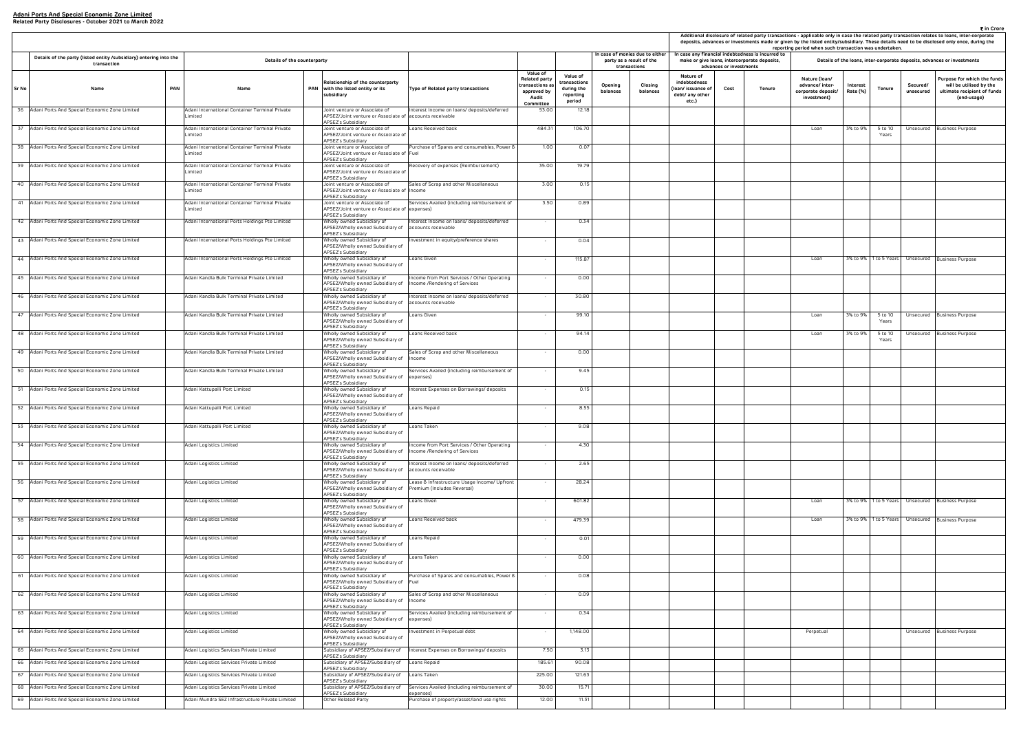|                                                                     |                         |                                                                                                |                                                                       |                      |                              |                        | ₹ in Crore<br>Additional disclosure of related party transactions - applicable only in case the related party transaction relates to loans, inter-corporate |
|---------------------------------------------------------------------|-------------------------|------------------------------------------------------------------------------------------------|-----------------------------------------------------------------------|----------------------|------------------------------|------------------------|-------------------------------------------------------------------------------------------------------------------------------------------------------------|
|                                                                     |                         |                                                                                                |                                                                       |                      |                              |                        | deposits, advances or investments made or given by the listed entity/subsidiary. These details need to be disclosed only once, during the                   |
|                                                                     | advances or investments | case any financial indebtedness is incurred to<br>make or give Ioans, intercorporate deposits, | reporting period when such transaction was undertaken.                |                      |                              |                        | Details of the loans, inter-corporate deposits, advances or investments                                                                                     |
| Nature of<br>debtedness<br>n/ issuance of<br>bt/ any other<br>etc.) | Cost                    | Tenure                                                                                         | Nature (Ioan/<br>advance/ inter-<br>corporate deposit/<br>investment) | Interest<br>Rate (%) | Tenure                       | Secured/<br>unsecured  | Purpose for which the funds<br>will be utilised by the<br>ultimate recipient of funds<br>(end-usage)                                                        |
|                                                                     |                         |                                                                                                | Loan                                                                  | 3% to 9%             | $5$ to 10<br>Years           | Unsecured              | <b>Business Purpose</b>                                                                                                                                     |
|                                                                     |                         |                                                                                                |                                                                       |                      |                              |                        |                                                                                                                                                             |
|                                                                     |                         |                                                                                                |                                                                       |                      |                              |                        |                                                                                                                                                             |
|                                                                     |                         |                                                                                                |                                                                       |                      |                              |                        |                                                                                                                                                             |
|                                                                     |                         |                                                                                                |                                                                       |                      |                              |                        |                                                                                                                                                             |
|                                                                     |                         |                                                                                                | Loan                                                                  | 3% to 9%             | 1 to 5 Years                 | Unsecured              | <b>Business Purpose</b>                                                                                                                                     |
|                                                                     |                         |                                                                                                |                                                                       |                      |                              |                        |                                                                                                                                                             |
|                                                                     |                         |                                                                                                |                                                                       |                      |                              |                        |                                                                                                                                                             |
|                                                                     |                         |                                                                                                | Loan<br>Loan                                                          | 3% to 9%<br>3% to 9% | 5 to 10<br>Years<br>5 to 10  | Unsecured<br>Unsecured | <b>Business Purpose</b><br><b>Business Purpose</b>                                                                                                          |
|                                                                     |                         |                                                                                                |                                                                       |                      | Years                        |                        |                                                                                                                                                             |
|                                                                     |                         |                                                                                                |                                                                       |                      |                              |                        |                                                                                                                                                             |
|                                                                     |                         |                                                                                                |                                                                       |                      |                              |                        |                                                                                                                                                             |
|                                                                     |                         |                                                                                                |                                                                       |                      |                              |                        |                                                                                                                                                             |
|                                                                     |                         |                                                                                                |                                                                       |                      |                              |                        |                                                                                                                                                             |
|                                                                     |                         |                                                                                                |                                                                       |                      |                              |                        |                                                                                                                                                             |
|                                                                     |                         |                                                                                                |                                                                       |                      |                              |                        |                                                                                                                                                             |
|                                                                     |                         |                                                                                                | Loan<br>Loan                                                          | 3% to 9%<br>3% to 9% | 1 to 5 Years<br>1 to 5 Years | Unsecured<br>Unsecured | <b>Business Purpose</b><br><b>Business Purpose</b>                                                                                                          |
|                                                                     |                         |                                                                                                |                                                                       |                      |                              |                        |                                                                                                                                                             |
|                                                                     |                         |                                                                                                |                                                                       |                      |                              |                        |                                                                                                                                                             |
|                                                                     |                         |                                                                                                |                                                                       |                      |                              |                        |                                                                                                                                                             |
|                                                                     |                         |                                                                                                |                                                                       |                      |                              |                        |                                                                                                                                                             |
|                                                                     |                         |                                                                                                | Perpetual                                                             |                      |                              | Unsecured              | <b>Business Purpose</b>                                                                                                                                     |
|                                                                     |                         |                                                                                                |                                                                       |                      |                              |                        |                                                                                                                                                             |
|                                                                     |                         |                                                                                                |                                                                       |                      |                              |                        |                                                                                                                                                             |
|                                                                     |                         |                                                                                                |                                                                       |                      |                              |                        |                                                                                                                                                             |
|                                                                     |                         |                                                                                                |                                                                       |                      |                              |                        |                                                                                                                                                             |

|       |                                                                                   |                                                           |                                                                                                                                   |                                                                              |                                                                                                |                                                              |                     |                                                                            |                                                                            |                         |                                                                                                   | Additional disclosure of related party transactions - applicable only in case the related party transaction relates to loans, inter-co<br>deposits, advances or investments made or given by the listed entity/subsidiary. These details need to be disclosed only once, du<br>reporting period when such transaction was undertaken. |                      |                       |                       |                                                                       |
|-------|-----------------------------------------------------------------------------------|-----------------------------------------------------------|-----------------------------------------------------------------------------------------------------------------------------------|------------------------------------------------------------------------------|------------------------------------------------------------------------------------------------|--------------------------------------------------------------|---------------------|----------------------------------------------------------------------------|----------------------------------------------------------------------------|-------------------------|---------------------------------------------------------------------------------------------------|---------------------------------------------------------------------------------------------------------------------------------------------------------------------------------------------------------------------------------------------------------------------------------------------------------------------------------------|----------------------|-----------------------|-----------------------|-----------------------------------------------------------------------|
|       | Details of the party (listed entity /subsidiary) entering into the<br>transaction | Details of the counterparty                               |                                                                                                                                   |                                                                              |                                                                                                |                                                              |                     | n case of monies due to either<br>party as a result of the<br>transactions |                                                                            | advances or investments | In case any financial indebtedness is incurred to<br>make or give loans, intercorporate deposits, |                                                                                                                                                                                                                                                                                                                                       |                      |                       |                       | Details of the loans, inter-corporate deposits, advances or investmen |
| Sr No | Name                                                                              | <b>PAN</b><br>Name                                        | Relationship of the counterparty<br>PAN with the listed entity or its<br>subsidiary                                               | Type of Related party transactions                                           | <b>Value of</b><br><b>Related party</b><br>transactions a<br>approved by<br>Audit<br>Committee | Value of<br>ransactions<br>during the<br>reporting<br>period | Opening<br>balances | Closing<br>balances                                                        | Nature of<br>indebtedness<br>loan/ issuance of<br>debt/ any other<br>etc.) | Cost                    | Tenure                                                                                            | Nature (Ioan/<br>advance/ inter-<br>corporate deposit/<br>investment)                                                                                                                                                                                                                                                                 | Interest<br>Rate (%) | Tenure                | Secured/<br>unsecured | Purpose for whic<br>will be utilise<br>ultimate recipie<br>(end-usa   |
|       | 36 Adani Ports And Special Economic Zone Limited                                  | Adani International Container Terminal Private<br>.imited | Joint venture or Associate of<br>APSEZ/Joint venture or Associate of accounts receivable<br><b>APSEZ's Subsidiary</b>             | nterest Income on loans/ deposits/deferred                                   | 53.00                                                                                          | 12.18                                                        |                     |                                                                            |                                                                            |                         |                                                                                                   |                                                                                                                                                                                                                                                                                                                                       |                      |                       |                       |                                                                       |
|       | 37 Adani Ports And Special Economic Zone Limited                                  | Adani International Container Terminal Private<br>.imited | Joint venture or Associate of<br>APSEZ/Joint venture or Associate of<br>APSEZ's Subsidiary                                        | Loans Received back                                                          | 484.31                                                                                         | 106.70                                                       |                     |                                                                            |                                                                            |                         |                                                                                                   | Loan                                                                                                                                                                                                                                                                                                                                  | 3% to 9%             | 5 to 10<br>Years      | Unsecured             | <b>Business Purpose</b>                                               |
|       | 38 Adani Ports And Special Economic Zone Limited                                  | Adani International Container Terminal Private<br>.imited | Joint venture or Associate of<br>APSEZ/Joint venture or Associate of Fuel<br>APSEZ's Subsidiary                                   | Purchase of Spares and consumables, Power 8                                  | 1.00                                                                                           | 0.07                                                         |                     |                                                                            |                                                                            |                         |                                                                                                   |                                                                                                                                                                                                                                                                                                                                       |                      |                       |                       |                                                                       |
|       | 39 Adani Ports And Special Economic Zone Limited                                  | Adani International Container Terminal Private<br>.imited | Joint venture or Associate of<br>APSEZ/Joint venture or Associate of                                                              | Recovery of expenses (Reimbursement)                                         | 35.00                                                                                          | 19.79                                                        |                     |                                                                            |                                                                            |                         |                                                                                                   |                                                                                                                                                                                                                                                                                                                                       |                      |                       |                       |                                                                       |
|       | 40 Adani Ports And Special Economic Zone Limited                                  | Adani International Container Terminal Private<br>.imited | <b>APSEZ's Subsidiary</b><br>Joint venture or Associate of<br>APSEZ/Joint venture or Associate of Income                          | Sales of Scrap and other Miscellaneous                                       | 3.00                                                                                           | 0.15                                                         |                     |                                                                            |                                                                            |                         |                                                                                                   |                                                                                                                                                                                                                                                                                                                                       |                      |                       |                       |                                                                       |
|       | 41 Adani Ports And Special Economic Zone Limited                                  | Adani International Container Terminal Private<br>.imited | <b>APSEZ's Subsidiary</b><br>Joint venture or Associate of<br>APSEZ/Joint venture or Associate of expenses)<br>APSEZ's Subsidiary | Services Availed (including reimbursement of                                 | 3.50                                                                                           | 0.89                                                         |                     |                                                                            |                                                                            |                         |                                                                                                   |                                                                                                                                                                                                                                                                                                                                       |                      |                       |                       |                                                                       |
|       | 42 Adani Ports And Special Economic Zone Limited                                  | Adani International Ports Holdings Pte Limited            | Wholly owned Subsidiary of<br>APSEZ/Wholly owned Subsidiary of<br>APSEZ's Subsidiary                                              | nterest Income on loans/ deposits/deferred<br>accounts receivable            | $\sim$                                                                                         | 0.34                                                         |                     |                                                                            |                                                                            |                         |                                                                                                   |                                                                                                                                                                                                                                                                                                                                       |                      |                       |                       |                                                                       |
|       | 43 Adani Ports And Special Economic Zone Limited                                  | Adani International Ports Holdings Pte Limited            | Wholly owned Subsidiary of<br>APSEZ/Wholly owned Subsidiary of<br>APSEZ's Subsidiary                                              | nvestment in equity/preference shares                                        | $\sim$                                                                                         | 0.04                                                         |                     |                                                                            |                                                                            |                         |                                                                                                   |                                                                                                                                                                                                                                                                                                                                       |                      |                       |                       |                                                                       |
|       | 44 Adani Ports And Special Economic Zone Limited                                  | Adani International Ports Holdings Pte Limited            | Wholly owned Subsidiary of<br>APSEZ/Wholly owned Subsidiary of<br>APSEZ's Subsidiary                                              | Loans Given                                                                  | $\sim$                                                                                         | 115.87                                                       |                     |                                                                            |                                                                            |                         |                                                                                                   | Loan                                                                                                                                                                                                                                                                                                                                  |                      |                       |                       | 3% to 9% 1 to 5 Years Unsecured Business Purpose                      |
|       | 45 Adani Ports And Special Economic Zone Limited                                  | Adani Kandla Bulk Terminal Private Limited                | Wholly owned Subsidiary of<br>APSEZ/Wholly owned Subsidiary of<br>APSEZ's Subsidiary                                              | Income from Port Services / Other Operating<br>Income /Rendering of Services | $\sim$                                                                                         | 0.00                                                         |                     |                                                                            |                                                                            |                         |                                                                                                   |                                                                                                                                                                                                                                                                                                                                       |                      |                       |                       |                                                                       |
|       | 46 Adani Ports And Special Economic Zone Limited                                  | Adani Kandla Bulk Terminal Private Limited                | Vholly owned Subsidiary of<br>APSEZ/Wholly owned Subsidiary of<br>APSEZ's Subsidiary                                              | nterest Income on loans/ deposits/deferred<br>accounts receivable            |                                                                                                | 30.80                                                        |                     |                                                                            |                                                                            |                         |                                                                                                   |                                                                                                                                                                                                                                                                                                                                       |                      |                       |                       |                                                                       |
|       | 47 Adani Ports And Special Economic Zone Limited                                  | Adani Kandla Bulk Terminal Private Limited                | Wholly owned Subsidiary of<br>APSEZ/Wholly owned Subsidiary of<br>APSEZ's Subsidiary                                              | Loans Given                                                                  | $\sim$                                                                                         | 99.10                                                        |                     |                                                                            |                                                                            |                         |                                                                                                   | Loan                                                                                                                                                                                                                                                                                                                                  | 3% to 9%             | 5 to 10<br>Years      |                       | Unsecured Business Purpose                                            |
|       | 48 Adani Ports And Special Economic Zone Limited                                  | Adani Kandla Bulk Terminal Private Limited                | Wholly owned Subsidiary of<br>APSEZ/Wholly owned Subsidiary of<br>APSEZ's Subsidiary                                              | Loans Received back                                                          | $\sim$                                                                                         | 94.14                                                        |                     |                                                                            |                                                                            |                         |                                                                                                   | Loan                                                                                                                                                                                                                                                                                                                                  | 3% to 9%             | 5 to 10<br>Years      |                       | Unsecured Business Purpose                                            |
|       | 49 Adani Ports And Special Economic Zone Limited                                  | Adani Kandla Bulk Terminal Private Limited                | Wholly owned Subsidiary of<br>APSEZ/Wholly owned Subsidiary of Income<br>APSEZ's Subsidiary                                       | Sales of Scrap and other Miscellaneous                                       |                                                                                                | 0.00                                                         |                     |                                                                            |                                                                            |                         |                                                                                                   |                                                                                                                                                                                                                                                                                                                                       |                      |                       |                       |                                                                       |
|       | 50 Adani Ports And Special Economic Zone Limited                                  | Adani Kandla Bulk Terminal Private Limited                | Wholly owned Subsidiary of<br>APSEZ/Wholly owned Subsidiary of expenses)<br>APSEZ's Subsidiary                                    | Services Availed (including reimbursement of                                 | $\sim$                                                                                         | 9.45                                                         |                     |                                                                            |                                                                            |                         |                                                                                                   |                                                                                                                                                                                                                                                                                                                                       |                      |                       |                       |                                                                       |
|       | 51 Adani Ports And Special Economic Zone Limited                                  | Adani Kattupalli Port Limited                             | Wholly owned Subsidiary of<br>APSEZ/Wholly owned Subsidiary of<br>APSEZ's Subsidiary                                              | Interest Expenses on Borrowings/ deposits                                    | $\sim$                                                                                         | 0.15                                                         |                     |                                                                            |                                                                            |                         |                                                                                                   |                                                                                                                                                                                                                                                                                                                                       |                      |                       |                       |                                                                       |
|       | 52 Adani Ports And Special Economic Zone Limited                                  | Adani Kattupalli Port Limited                             | Wholly owned Subsidiary of<br>APSEZ/Wholly owned Subsidiary of<br>APSEZ's Subsidiary                                              | Loans Repaid                                                                 | $\sim$                                                                                         | 8.55                                                         |                     |                                                                            |                                                                            |                         |                                                                                                   |                                                                                                                                                                                                                                                                                                                                       |                      |                       |                       |                                                                       |
|       | 53 Adani Ports And Special Economic Zone Limited                                  | Adani Kattupalli Port Limited                             | Wholly owned Subsidiary of<br>APSEZ/Wholly owned Subsidiary of<br>APSEZ's Subsidiary                                              | Loans Taken                                                                  |                                                                                                | 9.08                                                         |                     |                                                                            |                                                                            |                         |                                                                                                   |                                                                                                                                                                                                                                                                                                                                       |                      |                       |                       |                                                                       |
|       | 54 Adani Ports And Special Economic Zone Limited                                  | Adani Logistics Limited                                   | Wholly owned Subsidiary of<br>APSEZ/Wholly owned Subsidiary of<br><b>APSEZ's Subsidiary</b>                                       | Income from Port Services / Other Operating<br>Income /Rendering of Services | $\sim$                                                                                         | 4.30                                                         |                     |                                                                            |                                                                            |                         |                                                                                                   |                                                                                                                                                                                                                                                                                                                                       |                      |                       |                       |                                                                       |
|       | 55 Adani Ports And Special Economic Zone Limited                                  | Adani Logistics Limited                                   | Wholly owned Subsidiary of<br>APSEZ/Wholly owned Subsidiary of<br>APSEZ's Subsidiary                                              | nterest Income on loans/deposits/deferred<br>accounts receivable             | $\sim$                                                                                         | 2.65                                                         |                     |                                                                            |                                                                            |                         |                                                                                                   |                                                                                                                                                                                                                                                                                                                                       |                      |                       |                       |                                                                       |
|       | 56 Adani Ports And Special Economic Zone Limited                                  | Adani Logistics Limited                                   | Wholly owned Subsidiary of<br>APSEZ/Wholly owned Subsidiary of<br>APSEZ's Subsidiary                                              | Lease & Infrastructure Usage Income/ Upfront<br>Premium (Includes Reversal)  | $\sim$                                                                                         | 28.24                                                        |                     |                                                                            |                                                                            |                         |                                                                                                   |                                                                                                                                                                                                                                                                                                                                       |                      |                       |                       |                                                                       |
|       | 57 Adani Ports And Special Economic Zone Limited                                  | Adani Logistics Limited                                   | Wholly owned Subsidiary of<br>APSEZ/Wholly owned Subsidiary of<br>APSEZ's Subsidiary                                              | Loans Given                                                                  | $\sim$                                                                                         | 601.82                                                       |                     |                                                                            |                                                                            |                         |                                                                                                   | Loan                                                                                                                                                                                                                                                                                                                                  |                      |                       |                       | 3% to 9%   1 to 5 Years   Unsecured   Business Purpose                |
|       | 58 Adani Ports And Special Economic Zone Limited                                  | Adani Logistics Limited                                   | Vholly owned Subsidiary of<br>APSEZ/Wholly owned Subsidiary of<br>APSEZ's Subsidiary                                              | Loans Received back                                                          | $\sim$                                                                                         | 479.39                                                       |                     |                                                                            |                                                                            |                         |                                                                                                   | Loan                                                                                                                                                                                                                                                                                                                                  |                      | 3% to 9% 1 to 5 Years |                       | Unsecured Business Purpose                                            |
|       | 59 Adani Ports And Special Economic Zone Limited                                  | Adani Logistics Limited                                   | Wholly owned Subsidiary of<br>APSEZ/Wholly owned Subsidiary of<br>APSEZ's Subsidiary                                              | Loans Repaid                                                                 | $\sim$                                                                                         | 0.01                                                         |                     |                                                                            |                                                                            |                         |                                                                                                   |                                                                                                                                                                                                                                                                                                                                       |                      |                       |                       |                                                                       |
|       | 60 Adani Ports And Special Economic Zone Limited                                  | Adani Logistics Limited                                   | Wholly owned Subsidiary of<br>APSEZ/Wholly owned Subsidiary of<br>APSEZ's Subsidiary                                              | Loans Taken                                                                  | $\sim$                                                                                         | 0.00                                                         |                     |                                                                            |                                                                            |                         |                                                                                                   |                                                                                                                                                                                                                                                                                                                                       |                      |                       |                       |                                                                       |
|       | 61 Adani Ports And Special Economic Zone Limited                                  | Adani Logistics Limited                                   | Wholly owned Subsidiary of<br>APSEZ/Wholly owned Subsidiary of Fuel<br>APSEZ's Subsidiary                                         | Purchase of Spares and consumables, Power &                                  | $\sim$                                                                                         | 0.08                                                         |                     |                                                                            |                                                                            |                         |                                                                                                   |                                                                                                                                                                                                                                                                                                                                       |                      |                       |                       |                                                                       |
|       | 62 Adani Ports And Special Economic Zone Limited                                  | Adani Logistics Limited                                   | Wholly owned Subsidiary of<br>APSEZ/Wholly owned Subsidiary of Income<br>APSEZ's Subsidiary                                       | Sales of Scrap and other Miscellaneous                                       | $\sim$                                                                                         | 0.09                                                         |                     |                                                                            |                                                                            |                         |                                                                                                   |                                                                                                                                                                                                                                                                                                                                       |                      |                       |                       |                                                                       |
|       | 63 Adani Ports And Special Economic Zone Limited                                  | Adani Logistics Limited                                   | Wholly owned Subsidiary of<br>APSEZ/Wholly owned Subsidiary of expenses)<br>APSEZ's Subsidiary                                    | Services Availed (including reimbursement of                                 | $\sim$                                                                                         | 0.34                                                         |                     |                                                                            |                                                                            |                         |                                                                                                   |                                                                                                                                                                                                                                                                                                                                       |                      |                       |                       |                                                                       |
|       | 64 Adani Ports And Special Economic Zone Limited                                  | Adani Logistics Limited                                   | Wholly owned Subsidiary of<br>APSEZ/Wholly owned Subsidiary of<br>APSEZ's Subsidiary                                              | nvestment in Perpetual debt                                                  | $\sim$                                                                                         | 1,148.00                                                     |                     |                                                                            |                                                                            |                         |                                                                                                   | Perpetual                                                                                                                                                                                                                                                                                                                             |                      |                       |                       | Unsecured Business Purpose                                            |
|       | 65 Adani Ports And Special Economic Zone Limited                                  | Adani Logistics Services Private Limited                  | Subsidiary of APSEZ/Subsidiary of<br>APSEZ's Subsidiary                                                                           | Interest Expenses on Borrowings/ deposits                                    | 7.50                                                                                           | 3.13                                                         |                     |                                                                            |                                                                            |                         |                                                                                                   |                                                                                                                                                                                                                                                                                                                                       |                      |                       |                       |                                                                       |
|       | 66 Adani Ports And Special Economic Zone Limited                                  | Adani Logistics Services Private Limited                  | Subsidiary of APSEZ/Subsidiary of Loans Repaid<br><b>APSEZ's Subsidiary</b>                                                       |                                                                              | 185.61                                                                                         | 90.08                                                        |                     |                                                                            |                                                                            |                         |                                                                                                   |                                                                                                                                                                                                                                                                                                                                       |                      |                       |                       |                                                                       |
|       | 67 Adani Ports And Special Economic Zone Limited                                  | Adani Logistics Services Private Limited                  | Subsidiary of APSEZ/Subsidiary of<br>PSEZ's Subsidiary                                                                            | Loans Taken                                                                  | 225.00                                                                                         | 121.63                                                       |                     |                                                                            |                                                                            |                         |                                                                                                   |                                                                                                                                                                                                                                                                                                                                       |                      |                       |                       |                                                                       |
|       | 68 Adani Ports And Special Economic Zone Limited                                  | Adani Logistics Services Private Limited                  | Subsidiary of APSEZ/Subsidiary of<br>APSEZ's Subsidiary                                                                           | Services Availed (including reimbursement of<br>expenses)                    | 30.00                                                                                          | 15.71                                                        |                     |                                                                            |                                                                            |                         |                                                                                                   |                                                                                                                                                                                                                                                                                                                                       |                      |                       |                       |                                                                       |
|       | 69 Adani Ports And Special Economic Zone Limited                                  | Adani Mundra SEZ Infrastructure Private Limited           | Other Related Party                                                                                                               | Purchase of property/asset/land use rights                                   | 12.00                                                                                          | 11.31                                                        |                     |                                                                            |                                                                            |                         |                                                                                                   |                                                                                                                                                                                                                                                                                                                                       |                      |                       |                       |                                                                       |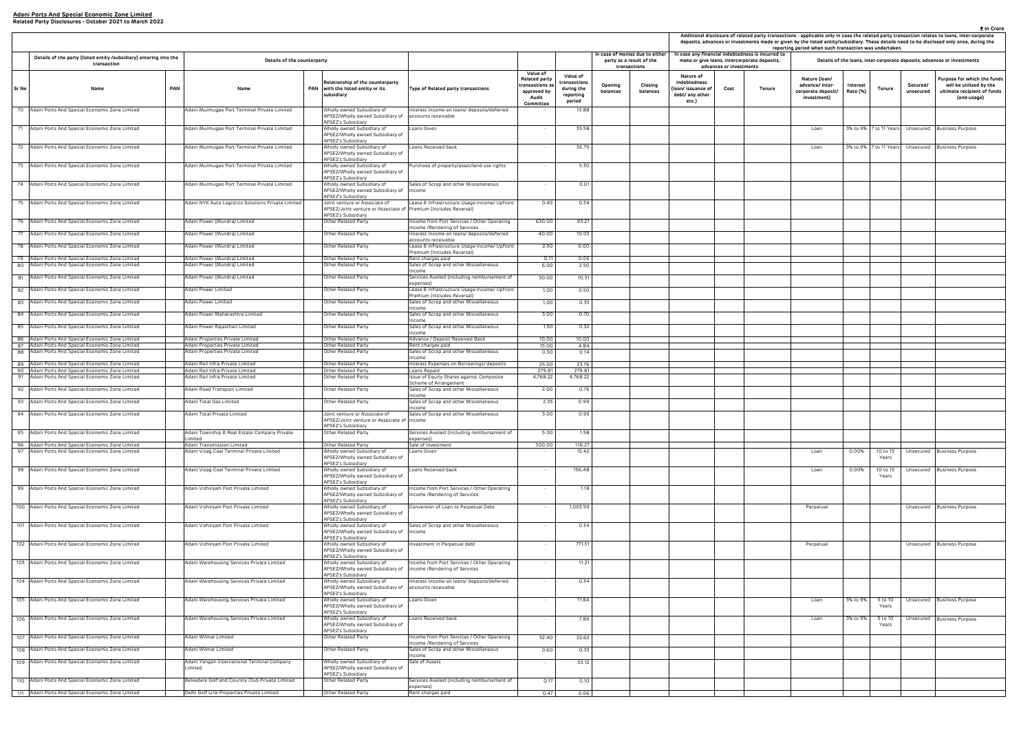| advances or investments<br>Nature of<br>Nature (Ioan/<br>debtedness<br>advance/ inter-<br>Interest<br>Secured/<br>n/ issuance of<br>Cost<br>Tenure<br>Tenure<br>Rate (%)<br>corporate deposit/<br>unsecured<br>bt/ any other<br>investment)<br>etc.)<br>3% to 9% 7 to 11 Years<br>Unsecured<br>Loan<br>3% to 9% 7 to 11 Years<br>Unsecured<br>Loan | Purpose for which the funds<br>will be utilised by the<br>ultimate recipient of funds<br>(end-usage)<br><b>Business Purpose</b><br>Business Purpose |
|----------------------------------------------------------------------------------------------------------------------------------------------------------------------------------------------------------------------------------------------------------------------------------------------------------------------------------------------------|-----------------------------------------------------------------------------------------------------------------------------------------------------|
|                                                                                                                                                                                                                                                                                                                                                    |                                                                                                                                                     |
|                                                                                                                                                                                                                                                                                                                                                    |                                                                                                                                                     |
|                                                                                                                                                                                                                                                                                                                                                    |                                                                                                                                                     |
|                                                                                                                                                                                                                                                                                                                                                    |                                                                                                                                                     |
|                                                                                                                                                                                                                                                                                                                                                    |                                                                                                                                                     |
|                                                                                                                                                                                                                                                                                                                                                    |                                                                                                                                                     |
|                                                                                                                                                                                                                                                                                                                                                    |                                                                                                                                                     |
|                                                                                                                                                                                                                                                                                                                                                    |                                                                                                                                                     |
|                                                                                                                                                                                                                                                                                                                                                    |                                                                                                                                                     |
|                                                                                                                                                                                                                                                                                                                                                    |                                                                                                                                                     |
|                                                                                                                                                                                                                                                                                                                                                    |                                                                                                                                                     |
|                                                                                                                                                                                                                                                                                                                                                    |                                                                                                                                                     |
|                                                                                                                                                                                                                                                                                                                                                    |                                                                                                                                                     |
|                                                                                                                                                                                                                                                                                                                                                    |                                                                                                                                                     |
|                                                                                                                                                                                                                                                                                                                                                    |                                                                                                                                                     |
|                                                                                                                                                                                                                                                                                                                                                    |                                                                                                                                                     |
|                                                                                                                                                                                                                                                                                                                                                    |                                                                                                                                                     |
|                                                                                                                                                                                                                                                                                                                                                    |                                                                                                                                                     |
|                                                                                                                                                                                                                                                                                                                                                    |                                                                                                                                                     |
|                                                                                                                                                                                                                                                                                                                                                    |                                                                                                                                                     |
| 0.00%<br>10 to 15<br>Unsecured<br>Loan<br>Years                                                                                                                                                                                                                                                                                                    | <b>Business Purpose</b>                                                                                                                             |
| 0.00%<br>10 to 15<br>Loan<br>Unsecured<br>Years                                                                                                                                                                                                                                                                                                    | <b>Business Purpose</b>                                                                                                                             |
|                                                                                                                                                                                                                                                                                                                                                    |                                                                                                                                                     |
| Perpetual<br>Unsecured                                                                                                                                                                                                                                                                                                                             | <b>Business Purpose</b>                                                                                                                             |
|                                                                                                                                                                                                                                                                                                                                                    |                                                                                                                                                     |
| Perpetual<br>Unsecured                                                                                                                                                                                                                                                                                                                             | Business Purpose                                                                                                                                    |
|                                                                                                                                                                                                                                                                                                                                                    |                                                                                                                                                     |
|                                                                                                                                                                                                                                                                                                                                                    |                                                                                                                                                     |
| 3% to 9%<br>5 to 10<br>Unsecured<br>Loan<br>Years                                                                                                                                                                                                                                                                                                  | <b>Business Purpose</b>                                                                                                                             |
| 3% to 9%<br>$5$ to 10<br>Unsecured<br>Loan<br>Years                                                                                                                                                                                                                                                                                                | <b>Business Purpose</b>                                                                                                                             |
|                                                                                                                                                                                                                                                                                                                                                    |                                                                                                                                                     |
|                                                                                                                                                                                                                                                                                                                                                    |                                                                                                                                                     |
|                                                                                                                                                                                                                                                                                                                                                    |                                                                                                                                                     |
|                                                                                                                                                                                                                                                                                                                                                    |                                                                                                                                                     |

|       |                                                                                                      |                                                                         |                                                                                                                           |                                                                                                    |                                                                                                |                                                              |                     |                                                                            | Additional disclosure of related party transactions - applicable only in case the related party transaction relates to loans, inter-co<br>deposits, advances or investments made or given by the listed entity/subsidiary. These details need to be disclosed only once, du<br>reporting period when such transaction was undertaken. |                         |                                                                                                   |                                                                       |                      |                   |                       |                                                                       |
|-------|------------------------------------------------------------------------------------------------------|-------------------------------------------------------------------------|---------------------------------------------------------------------------------------------------------------------------|----------------------------------------------------------------------------------------------------|------------------------------------------------------------------------------------------------|--------------------------------------------------------------|---------------------|----------------------------------------------------------------------------|---------------------------------------------------------------------------------------------------------------------------------------------------------------------------------------------------------------------------------------------------------------------------------------------------------------------------------------|-------------------------|---------------------------------------------------------------------------------------------------|-----------------------------------------------------------------------|----------------------|-------------------|-----------------------|-----------------------------------------------------------------------|
|       | Details of the party (listed entity /subsidiary) entering into the<br>transaction                    | Details of the counterparty                                             |                                                                                                                           |                                                                                                    |                                                                                                |                                                              |                     | n case of monies due to either<br>party as a result of the<br>transactions |                                                                                                                                                                                                                                                                                                                                       | advances or investments | In case any financial indebtedness is incurred to<br>make or give loans, intercorporate deposits, |                                                                       |                      |                   |                       | Details of the loans, inter-corporate deposits, advances or investmen |
| Sr No | Name                                                                                                 | <b>PAN</b><br>Name                                                      | Relationship of the counterparty<br>PAN with the listed entity or its<br>subsidiary                                       | Type of Related party transactions                                                                 | <b>Value of</b><br><b>Related party</b><br>transactions a<br>approved by<br>Audit<br>Committee | Value of<br>ransactions<br>during the<br>reporting<br>period | Opening<br>balances | Closing<br>balances                                                        | Nature of<br>indebtedness<br>loan/ issuance of<br>debt/ any other<br>etc.)                                                                                                                                                                                                                                                            | Cost                    | Tenure                                                                                            | Nature (Ioan/<br>advance/ inter-<br>corporate deposit/<br>investment) | Interest<br>Rate (%) | Tenure            | Secured/<br>unsecured | Purpose for whit<br>will be utilise<br>ultimate recipie<br>(end-usa   |
|       | 70 Adani Ports And Special Economic Zone Limited                                                     | Adani Murmugao Port Terminal Private Limited                            | Wholly owned Subsidiary of<br>APSEZ/Wholly owned Subsidiary of accounts receivable<br>APSEZ's Subsidiary                  | nterest Income on loans/ deposits/deferred                                                         |                                                                                                | 15.88                                                        |                     |                                                                            |                                                                                                                                                                                                                                                                                                                                       |                         |                                                                                                   |                                                                       |                      |                   |                       |                                                                       |
|       | 71 Adani Ports And Special Economic Zone Limited                                                     | Adani Murmugao Port Terminal Private Limited                            | Wholly owned Subsidiary of<br>APSEZ/Wholly owned Subsidiary of<br>APSEZ's Subsidiary                                      | Loans Given                                                                                        |                                                                                                | 35.58                                                        |                     |                                                                            |                                                                                                                                                                                                                                                                                                                                       |                         |                                                                                                   | Loan                                                                  |                      |                   |                       | 3% to 9% 7 to 11 Years Unsecured Business Purpose                     |
|       | 72 Adani Ports And Special Economic Zone Limited                                                     | Adani Murmugao Port Terminal Private Limited                            | Wholly owned Subsidiary of<br>APSEZ/Wholly owned Subsidiary of<br><b>APSEZ's Subsidiary</b>                               | Loans Received back                                                                                | $\sim$                                                                                         | 36.79                                                        |                     |                                                                            |                                                                                                                                                                                                                                                                                                                                       |                         |                                                                                                   | Loan                                                                  |                      |                   |                       | 3% to 9% 7 to 11 Years Unsecured Business Purpose                     |
|       | 73 Adani Ports And Special Economic Zone Limited                                                     | Adani Murmugao Port Terminal Private Limited                            | Wholly owned Subsidiary of<br>APSEZ/Wholly owned Subsidiary of<br><b>APSEZ's Subsidiary</b>                               | Purchase of property/asset/land use rights                                                         | $\sim$                                                                                         | 5.30                                                         |                     |                                                                            |                                                                                                                                                                                                                                                                                                                                       |                         |                                                                                                   |                                                                       |                      |                   |                       |                                                                       |
|       | 74 Adani Ports And Special Economic Zone Limited                                                     | Adani Murmugao Port Terminal Private Limited                            | Wholly owned Subsidiary of<br>APSEZ/Wholly owned Subsidiary of<br>APSEZ's Subsidiary                                      | Sales of Scrap and other Miscellaneous<br>Income                                                   | $\sim$                                                                                         | 0.01                                                         |                     |                                                                            |                                                                                                                                                                                                                                                                                                                                       |                         |                                                                                                   |                                                                       |                      |                   |                       |                                                                       |
|       | 75 Adani Ports And Special Economic Zone Limited                                                     | Adani NYK Auto Logistics Solutions Private Limited                      | Joint venture or Associate of<br>APSEZ/Joint venture or Associate of Premium (Includes Reversal)<br>APSEZ's Subsidiary    | Lease & Infrastructure Usage Income/ Upfront                                                       | 0.40                                                                                           | 0.34                                                         |                     |                                                                            |                                                                                                                                                                                                                                                                                                                                       |                         |                                                                                                   |                                                                       |                      |                   |                       |                                                                       |
|       | 76 Adani Ports And Special Economic Zone Limited                                                     | Adani Power (Mundra) Limited                                            | Other Related Party                                                                                                       | ncome from Port Services / Other Operating                                                         | 630.00                                                                                         | 93.21                                                        |                     |                                                                            |                                                                                                                                                                                                                                                                                                                                       |                         |                                                                                                   |                                                                       |                      |                   |                       |                                                                       |
|       | 77 Adani Ports And Special Economic Zone Limited                                                     | Adani Power (Mundra) Limited                                            | Other Related Party                                                                                                       | ncome /Rendering of Services<br>nterest Income on loans/ deposits/deferred                         | 40.00                                                                                          | 10.03                                                        |                     |                                                                            |                                                                                                                                                                                                                                                                                                                                       |                         |                                                                                                   |                                                                       |                      |                   |                       |                                                                       |
|       | 78 Adani Ports And Special Economic Zone Limited                                                     | Adani Power (Mundra) Limited                                            | Other Related Party                                                                                                       | accounts receivable<br>Lease & Infrastructure Usage Income/ Upfront<br>Premium (Includes Reversal) | 2.50                                                                                           | 0.00                                                         |                     |                                                                            |                                                                                                                                                                                                                                                                                                                                       |                         |                                                                                                   |                                                                       |                      |                   |                       |                                                                       |
|       | 79 Adani Ports And Special Economic Zone Limited<br>80 Adani Ports And Special Economic Zone Limited | Adani Power (Mundra) Limited<br>Adani Power (Mundra) Limited            | Other Related Party<br>Other Related Party                                                                                | Rent charges paid<br>Sales of Scrap and other Miscellaneous                                        | 0.11<br>6.00                                                                                   | 0.06<br>2.50                                                 |                     |                                                                            |                                                                                                                                                                                                                                                                                                                                       |                         |                                                                                                   |                                                                       |                      |                   |                       |                                                                       |
|       | 81 Adani Ports And Special Economic Zone Limited                                                     | Adani Power (Mundra) Limited                                            | Other Related Party                                                                                                       | ncome<br>Services Availed (including reimbursement of                                              | 30.00                                                                                          | 10.31                                                        |                     |                                                                            |                                                                                                                                                                                                                                                                                                                                       |                         |                                                                                                   |                                                                       |                      |                   |                       |                                                                       |
|       | 82 Adani Ports And Special Economic Zone Limited                                                     | Adani Power Limited                                                     | Other Related Party                                                                                                       | expenses)<br>Lease & Infrastructure Usage Income/ Upfront                                          | 1.00                                                                                           | 0.50                                                         |                     |                                                                            |                                                                                                                                                                                                                                                                                                                                       |                         |                                                                                                   |                                                                       |                      |                   |                       |                                                                       |
|       | 83 Adani Ports And Special Economic Zone Limited                                                     | Adani Power Limited                                                     | Other Related Party                                                                                                       | Premium (Includes Reversal)<br>Sales of Scrap and other Miscellaneous                              | 1.00                                                                                           | 0.33                                                         |                     |                                                                            |                                                                                                                                                                                                                                                                                                                                       |                         |                                                                                                   |                                                                       |                      |                   |                       |                                                                       |
|       | 84 Adani Ports And Special Economic Zone Limited                                                     | Adani Power Maharashtra Limited                                         | Other Related Party                                                                                                       | ncome<br>Sales of Scrap and other Miscellaneous                                                    | 3.00                                                                                           | 0.70                                                         |                     |                                                                            |                                                                                                                                                                                                                                                                                                                                       |                         |                                                                                                   |                                                                       |                      |                   |                       |                                                                       |
|       | 85 Adani Ports And Special Economic Zone Limited                                                     | Adani Power Rajasthan Limited                                           | Other Related Party                                                                                                       | ncome<br>Sales of Scrap and other Miscellaneous<br>ncome                                           | 1.50                                                                                           | 0.32                                                         |                     |                                                                            |                                                                                                                                                                                                                                                                                                                                       |                         |                                                                                                   |                                                                       |                      |                   |                       |                                                                       |
|       | 86 Adani Ports And Special Economic Zone Limited                                                     | Adani Properties Private Limited                                        | Other Related Party                                                                                                       | Advance / Deposit Received Back                                                                    | 10.00                                                                                          | 10.00                                                        |                     |                                                                            |                                                                                                                                                                                                                                                                                                                                       |                         |                                                                                                   |                                                                       |                      |                   |                       |                                                                       |
| 88    | 87 Adani Ports And Special Economic Zone Limited<br>Adani Ports And Special Economic Zone Limited    | Adani Properties Private Limited<br>Adani Properties Private Limited    | Other Related Party<br>Other Related Party                                                                                | Rent charges paid<br>Sales of Scrap and other Miscellaneous                                        | 15.00<br>0.50                                                                                  | 4.84<br>0.14                                                 |                     |                                                                            |                                                                                                                                                                                                                                                                                                                                       |                         |                                                                                                   |                                                                       |                      |                   |                       |                                                                       |
|       | 89 Adani Ports And Special Economic Zone Limited                                                     | Adani Rail Infra Private Limited                                        | Other Related Party                                                                                                       | ncome<br>Interest Expenses on Borrowings/ deposits                                                 | 25.00                                                                                          | 23.76                                                        |                     |                                                                            |                                                                                                                                                                                                                                                                                                                                       |                         |                                                                                                   |                                                                       |                      |                   |                       |                                                                       |
|       | 90 Adani Ports And Special Economic Zone Limited<br>91 Adani Ports And Special Economic Zone Limited | Adani Rail Infra Private Limited<br>Adani Rail Infra Private Limited    | Other Related Party<br>Other Related Party                                                                                | Loans Repaid<br>Issue of Equity Shares against Composite                                           | 279.81<br>4,768.22                                                                             | 279.81<br>4,768.22                                           |                     |                                                                            |                                                                                                                                                                                                                                                                                                                                       |                         |                                                                                                   |                                                                       |                      |                   |                       |                                                                       |
|       | 92 Adani Ports And Special Economic Zone Limited                                                     | Adani Road Transport Limited                                            | Other Related Party                                                                                                       | Scheme of Arrangement<br>Sales of Scrap and other Miscellaneous                                    | 2.00                                                                                           | 0.76                                                         |                     |                                                                            |                                                                                                                                                                                                                                                                                                                                       |                         |                                                                                                   |                                                                       |                      |                   |                       |                                                                       |
|       | 93 Adani Ports And Special Economic Zone Limited                                                     | Adani Total Gas Limited                                                 | Other Related Party                                                                                                       | ncome<br>Sales of Scrap and other Miscellaneous                                                    | 2.35                                                                                           | 0.99                                                         |                     |                                                                            |                                                                                                                                                                                                                                                                                                                                       |                         |                                                                                                   |                                                                       |                      |                   |                       |                                                                       |
|       | 94 Adani Ports And Special Economic Zone Limited                                                     | Adani Total Private Limited                                             | Joint venture or Associate of<br>PSEZ/Joint venture or Associate of Income                                                | ncome<br>Sales of Scrap and other Miscellaneous                                                    | 3.00                                                                                           | 0.95                                                         |                     |                                                                            |                                                                                                                                                                                                                                                                                                                                       |                         |                                                                                                   |                                                                       |                      |                   |                       |                                                                       |
|       | 95 Adani Ports And Special Economic Zone Limited                                                     | Adani Township & Real Estate Company Private                            | APSEZ's Subsidiary<br>Other Related Party                                                                                 | Services Availed (including reimbursement of                                                       | 5.00                                                                                           | 1.58                                                         |                     |                                                                            |                                                                                                                                                                                                                                                                                                                                       |                         |                                                                                                   |                                                                       |                      |                   |                       |                                                                       |
|       |                                                                                                      | .imited                                                                 | Other Related Party                                                                                                       | expenses)                                                                                          |                                                                                                |                                                              |                     |                                                                            |                                                                                                                                                                                                                                                                                                                                       |                         |                                                                                                   |                                                                       |                      |                   |                       |                                                                       |
|       | 96 Adani Ports And Special Economic Zone Limited<br>97 Adani Ports And Special Economic Zone Limited | Adani Transmission Limited<br>Adani Vizag Coal Terminal Private Limited | Wholly owned Subsidiary of<br>APSEZ/Wholly owned Subsidiary of                                                            | Sale of Investment<br>Loans Given                                                                  | 300.00                                                                                         | 116.27<br>15.42                                              |                     |                                                                            |                                                                                                                                                                                                                                                                                                                                       |                         |                                                                                                   | Loan                                                                  | 0.00%                | 10 to 15<br>Years |                       | Unsecured Business Purpose                                            |
|       | 98 Adani Ports And Special Economic Zone Limited                                                     | Adani Vizag Coal Terminal Private Limited                               | APSEZ's Subsidiary<br>Wholly owned Subsidiary of<br>APSEZ/Wholly owned Subsidiary of<br>APSEZ's Subsidiary                | Loans Received back                                                                                | $\sim$                                                                                         | 156.48                                                       |                     |                                                                            |                                                                                                                                                                                                                                                                                                                                       |                         |                                                                                                   | Loan                                                                  | 0.00%                | 10 to 15<br>Years |                       | Unsecured Business Purpose                                            |
|       | 99 Adani Ports And Special Economic Zone Limited                                                     | Adani Vizhinjam Port Private Limited                                    | Vholly owned Subsidiary of<br>APSEZ/Wholly owned Subsidiary of Income /Rendering of Services<br><b>APSEZ's Subsidiary</b> | ncome from Port Services / Other Operating                                                         |                                                                                                | 1.18                                                         |                     |                                                                            |                                                                                                                                                                                                                                                                                                                                       |                         |                                                                                                   |                                                                       |                      |                   |                       |                                                                       |
|       | 100 Adani Ports And Special Economic Zone Limited                                                    | Adani Vizhinjam Port Private Limited                                    | Wholly owned Subsidiary of<br>APSEZ/Wholly owned Subsidiary of<br><b>APSEZ's Subsidiary</b>                               | Conversion of Loan to Perpetual Debt                                                               | $\sim$                                                                                         | 1,003.59                                                     |                     |                                                                            |                                                                                                                                                                                                                                                                                                                                       |                         |                                                                                                   | Perpetual                                                             |                      |                   |                       | Unsecured Business Purpose                                            |
|       | 101 Adani Ports And Special Economic Zone Limited                                                    | Adani Vizhinjam Port Private Limited                                    | Wholly owned Subsidiary of<br>APSEZ/Wholly owned Subsidiary of Income<br>APSEZ's Subsidiary                               | Sales of Scrap and other Miscellaneous                                                             | $\overline{\phantom{a}}$                                                                       | 0.34                                                         |                     |                                                                            |                                                                                                                                                                                                                                                                                                                                       |                         |                                                                                                   |                                                                       |                      |                   |                       |                                                                       |
|       | 102 Adani Ports And Special Economic Zone Limited                                                    | Adani Vizhinjam Port Private Limited                                    | Wholly owned Subsidiary of<br>APSEZ/Wholly owned Subsidiary of<br>APSEZ's Subsidiary                                      | nvestment in Perpetual debt                                                                        |                                                                                                | 771.31                                                       |                     |                                                                            |                                                                                                                                                                                                                                                                                                                                       |                         |                                                                                                   | Perpetual                                                             |                      |                   |                       | Unsecured Business Purpose                                            |
|       | 103 Adani Ports And Special Economic Zone Limited                                                    | Adani Warehousing Services Private Limited                              | Wholly owned Subsidiary of<br>APSEZ/Wholly owned Subsidiary of   Income / Rendering of Services<br>APSEZ's Subsidiary     | Income from Port Services / Other Operating                                                        | $\sim$                                                                                         | 11.21                                                        |                     |                                                                            |                                                                                                                                                                                                                                                                                                                                       |                         |                                                                                                   |                                                                       |                      |                   |                       |                                                                       |
|       | 104 Adani Ports And Special Economic Zone Limited                                                    | Adani Warehousing Services Private Limited                              | Wholly owned Subsidiary of<br>APSEZ/Wholly owned Subsidiary of<br>APSEZ's Subsidiary                                      | Interest Income on Ioans/ deposits/deferred<br>accounts receivable                                 | $\sim$                                                                                         | 0.34                                                         |                     |                                                                            |                                                                                                                                                                                                                                                                                                                                       |                         |                                                                                                   |                                                                       |                      |                   |                       |                                                                       |
|       | 105 Adani Ports And Special Economic Zone Limited                                                    | Adani Warehousing Services Private Limited                              | Wholly owned Subsidiary of<br>APSEZ/Wholly owned Subsidiary of<br><b>APSEZ's Subsidiary</b>                               | Loans Given                                                                                        | $\overline{\phantom{a}}$                                                                       | 11.64                                                        |                     |                                                                            |                                                                                                                                                                                                                                                                                                                                       |                         |                                                                                                   | Loan                                                                  | 3% to 9%             | 5 to 10<br>Years  |                       | Unsecured Business Purpose                                            |
|       | 106 Adani Ports And Special Economic Zone Limited                                                    | Adani Warehousing Services Private Limited                              | Wholly owned Subsidiary of<br>APSEZ/Wholly owned Subsidiary of<br>APSEZ's Subsidiary                                      | Loans Received back                                                                                | $\sim$                                                                                         | 7.89                                                         |                     |                                                                            |                                                                                                                                                                                                                                                                                                                                       |                         |                                                                                                   | Loan                                                                  | 3% to 9%             | 5 to 10<br>Years  |                       | Unsecured Business Purpose                                            |
|       | 107 Adani Ports And Special Economic Zone Limited                                                    | Adani Wilmar Limited                                                    | Other Related Party                                                                                                       | Income from Port Services / Other Operating<br>ncome /Rendering of Services                        | 52.40                                                                                          | 22.62                                                        |                     |                                                                            |                                                                                                                                                                                                                                                                                                                                       |                         |                                                                                                   |                                                                       |                      |                   |                       |                                                                       |
|       | 108 Adani Ports And Special Economic Zone Limited                                                    | Adani Wilmar Limited                                                    | Other Related Party                                                                                                       | Sales of Scrap and other Miscellaneous<br>ncome                                                    | 0.60                                                                                           | 0.33                                                         |                     |                                                                            |                                                                                                                                                                                                                                                                                                                                       |                         |                                                                                                   |                                                                       |                      |                   |                       |                                                                       |
|       | 109 Adani Ports And Special Economic Zone Limited                                                    | Adani Yangon International Terminal Company<br>.imited                  | Vholly owned Subsidiary of<br>APSEZ/Wholly owned Subsidiary of                                                            | Sale of Assets                                                                                     | $\sim$                                                                                         | 53.12                                                        |                     |                                                                            |                                                                                                                                                                                                                                                                                                                                       |                         |                                                                                                   |                                                                       |                      |                   |                       |                                                                       |
|       | 110 Adani Ports And Special Economic Zone Limited                                                    | Belvedere Golf and Country Club Private Limited                         | APSEZ's Subsidiary<br>Other Related Party                                                                                 | Services Availed (including reimbursement of                                                       | 0.17                                                                                           | 0.10                                                         |                     |                                                                            |                                                                                                                                                                                                                                                                                                                                       |                         |                                                                                                   |                                                                       |                      |                   |                       |                                                                       |
|       | 111 Adani Ports And Special Economic Zone Limited                                                    | Delhi Golf Link Properties Private Limited                              | Other Related Party                                                                                                       | expenses)<br>Rent charges paid                                                                     | 0.47                                                                                           | 0.06                                                         |                     |                                                                            |                                                                                                                                                                                                                                                                                                                                       |                         |                                                                                                   |                                                                       |                      |                   |                       |                                                                       |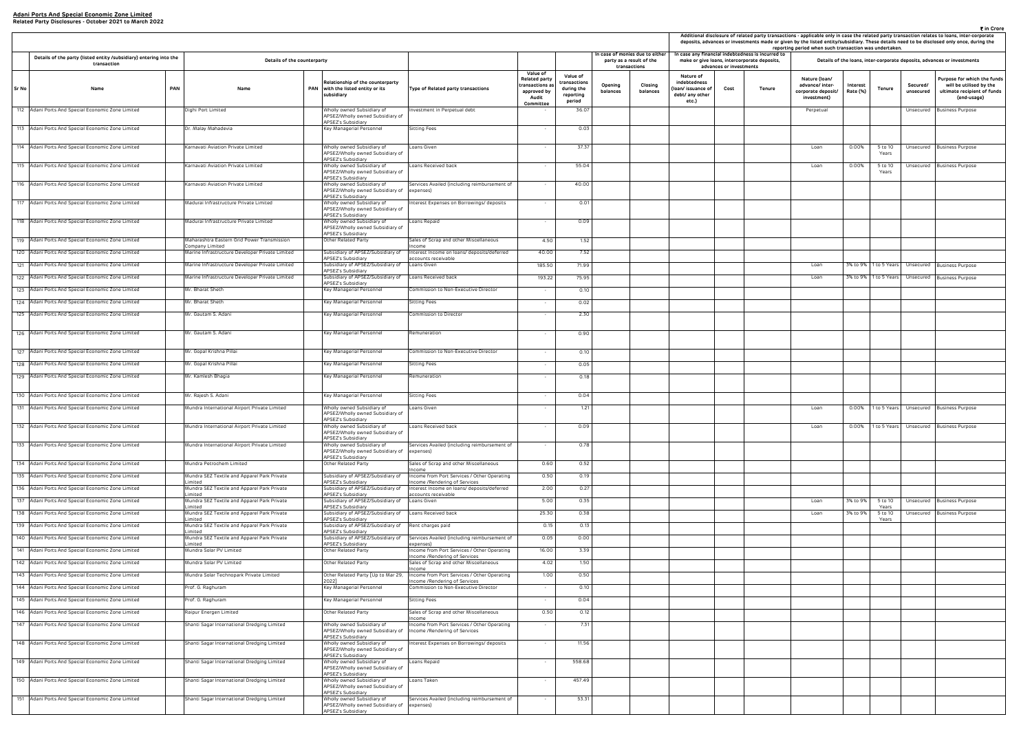|       |                                                                                   |     |                                                                    |                                                                                      |                                                                                       |                                                                                                 |                                                              |                     | Additional disclosure of related party transactions - applicable only in case the related party transaction relates to loans, inter-corporate<br>deposits, advances or investments made or given by the listed entity/subsidiary. These details need to be disclosed only once, during the<br>reporting period when such transaction was undertaken. |                                                                                                                              |        |                                                                       |                      |                       | ₹ in Crore            |                                                                                                      |
|-------|-----------------------------------------------------------------------------------|-----|--------------------------------------------------------------------|--------------------------------------------------------------------------------------|---------------------------------------------------------------------------------------|-------------------------------------------------------------------------------------------------|--------------------------------------------------------------|---------------------|------------------------------------------------------------------------------------------------------------------------------------------------------------------------------------------------------------------------------------------------------------------------------------------------------------------------------------------------------|------------------------------------------------------------------------------------------------------------------------------|--------|-----------------------------------------------------------------------|----------------------|-----------------------|-----------------------|------------------------------------------------------------------------------------------------------|
|       | Details of the party (listed entity /subsidiary) entering into the<br>transaction |     | Details of the counterparty                                        |                                                                                      |                                                                                       |                                                                                                 |                                                              |                     | n case of monies due to either<br>party as a result of the<br>transactions                                                                                                                                                                                                                                                                           | In case any financial indebtedness is incurred to<br>make or give loans, intercorporate deposits,<br>advances or investments |        |                                                                       |                      |                       |                       | Details of the loans, inter-corporate deposits, advances or investments                              |
| Sr No | Name                                                                              | PAN | Name                                                               | Relationship of the counterparty<br>PAN with the listed entity or its<br>subsidiary  | Type of Related party transactions                                                    | <b>Value of</b><br><b>Related party</b><br>ransactions as:<br>approved by<br>Audit<br>Committee | Value of<br>ransactions<br>during the<br>reporting<br>period | Opening<br>balances | Closing<br>balances                                                                                                                                                                                                                                                                                                                                  | Nature of<br>indebtedness<br>(loan/ issuance of<br>Cost<br>debt/ any other<br>etc.)                                          | Tenure | Nature (Ioan/<br>advance/ inter-<br>corporate deposit/<br>investment) | Interest<br>Rate (%) | <b>Tenure</b>         | Secured/<br>unsecured | Purpose for which the funds<br>will be utilised by the<br>ultimate recipient of funds<br>(end-usage) |
|       | 112 Adani Ports And Special Economic Zone Limited                                 |     | Dighi Port Limited                                                 | Wholly owned Subsidiary of<br>APSEZ/Wholly owned Subsidiary of<br>APSEZ's Subsidiary | westment in Perpetual debt                                                            |                                                                                                 | 36.07                                                        |                     |                                                                                                                                                                                                                                                                                                                                                      |                                                                                                                              |        | Perpetual                                                             |                      |                       |                       | Unsecured Business Purpose                                                                           |
|       | 113 Adani Ports And Special Economic Zone Limited                                 |     | Dr. Malay Mahadevia                                                | Key Managerial Personnel                                                             | Sitting Fees                                                                          |                                                                                                 | 0.03                                                         |                     |                                                                                                                                                                                                                                                                                                                                                      |                                                                                                                              |        |                                                                       |                      |                       |                       |                                                                                                      |
|       | 114 Adani Ports And Special Economic Zone Limited                                 |     | Karnavati Aviation Private Limited                                 | Wholly owned Subsidiary of<br>APSEZ/Wholly owned Subsidiary of                       | oans Given                                                                            |                                                                                                 | 37.37                                                        |                     |                                                                                                                                                                                                                                                                                                                                                      |                                                                                                                              |        | Loan                                                                  | 0.00%                | 5 to 10<br>Years      |                       | Unsecured Business Purpose                                                                           |
|       | 115 Adani Ports And Special Economic Zone Limited                                 |     | Karnavati Aviation Private Limited                                 | APSEZ's Subsidiary<br>Wholly owned Subsidiary of<br>APSEZ/Wholly owned Subsidiary of | Loans Received back                                                                   |                                                                                                 | 55.04                                                        |                     |                                                                                                                                                                                                                                                                                                                                                      |                                                                                                                              |        | Loan                                                                  | 0.00%                | 5 to 10<br>Years      | Unsecured             | <b>Business Purpose</b>                                                                              |
|       | 116 Adani Ports And Special Economic Zone Limited                                 |     | Karnavati Aviation Private Limited                                 | APSEZ's Subsidiary<br>Wholly owned Subsidiary of<br>APSEZ/Wholly owned Subsidiary of | Services Availed (including reimbursement of<br>expenses)                             |                                                                                                 | 40.00                                                        |                     |                                                                                                                                                                                                                                                                                                                                                      |                                                                                                                              |        |                                                                       |                      |                       |                       |                                                                                                      |
|       | 117 Adani Ports And Special Economic Zone Limited                                 |     | Madurai Infrastructure Private Limited                             | APSEZ's Subsidiary<br>Wholly owned Subsidiary of<br>APSEZ/Wholly owned Subsidiary of | nterest Expenses on Borrowings/ deposits                                              |                                                                                                 | 0.01                                                         |                     |                                                                                                                                                                                                                                                                                                                                                      |                                                                                                                              |        |                                                                       |                      |                       |                       |                                                                                                      |
|       | 118 Adani Ports And Special Economic Zone Limited                                 |     | Madurai Infrastructure Private Limited                             | APSEZ's Subsidiary<br>Wholly owned Subsidiary of<br>APSEZ/Wholly owned Subsidiary of | Loans Repaid                                                                          | $\sim$                                                                                          | 0.09                                                         |                     |                                                                                                                                                                                                                                                                                                                                                      |                                                                                                                              |        |                                                                       |                      |                       |                       |                                                                                                      |
|       | 119 Adani Ports And Special Economic Zone Limited                                 |     | Maharashtra Eastern Grid Power Transmission                        | APSEZ's Subsidiary<br>Other Related Party                                            | Sales of Scrap and other Miscellaneous                                                | 4.50                                                                                            | 1.52                                                         |                     |                                                                                                                                                                                                                                                                                                                                                      |                                                                                                                              |        |                                                                       |                      |                       |                       |                                                                                                      |
|       | 120 Adani Ports And Special Economic Zone Limited                                 |     | Company Limited<br>Marine Infrastructure Developer Private Limited | Subsidiary of APSEZ/Subsidiary of                                                    | ncome<br>Interest Income on loans/ deposits/deferred                                  | 40.00                                                                                           | 7.52                                                         |                     |                                                                                                                                                                                                                                                                                                                                                      |                                                                                                                              |        |                                                                       |                      |                       |                       |                                                                                                      |
|       |                                                                                   |     |                                                                    | APSEZ's Subsidiary                                                                   | accounts receivable                                                                   |                                                                                                 |                                                              |                     |                                                                                                                                                                                                                                                                                                                                                      |                                                                                                                              |        |                                                                       |                      |                       |                       |                                                                                                      |
|       | 121 Adani Ports And Special Economic Zone Limited                                 |     | Marine Infrastructure Developer Private Limited                    | Subsidiary of APSEZ/Subsidiary of<br>APSEZ's Subsidiary                              | Loans Given                                                                           | 185.50                                                                                          | 71.99                                                        |                     |                                                                                                                                                                                                                                                                                                                                                      |                                                                                                                              |        | Loan                                                                  |                      | 3% to 9% 1 to 5 Years |                       | Unsecured Business Purpose                                                                           |
|       | 122 Adani Ports And Special Economic Zone Limited                                 |     | Marine Infrastructure Developer Private Limited                    | Subsidiary of APSEZ/Subsidiary of<br>APSEZ's Subsidiary                              | Loans Received back                                                                   | 193.22                                                                                          | 75.95                                                        |                     |                                                                                                                                                                                                                                                                                                                                                      |                                                                                                                              |        | Loan                                                                  |                      | 3% to 9% 1 to 5 Years | Unsecured             | <b>Business Purpose</b>                                                                              |
|       | 123 Adani Ports And Special Economic Zone Limited                                 |     | Mr. Bharat Sheth                                                   | Key Managerial Personnel                                                             | Commission to Non-Executive Director                                                  |                                                                                                 | 0.10                                                         |                     |                                                                                                                                                                                                                                                                                                                                                      |                                                                                                                              |        |                                                                       |                      |                       |                       |                                                                                                      |
|       | 124 Adani Ports And Special Economic Zone Limited                                 |     | Mr. Bharat Sheth                                                   | Key Managerial Personnel                                                             | Sitting Fees                                                                          |                                                                                                 | 0.02                                                         |                     |                                                                                                                                                                                                                                                                                                                                                      |                                                                                                                              |        |                                                                       |                      |                       |                       |                                                                                                      |
|       | 125 Adani Ports And Special Economic Zone Limited                                 |     | Mr. Gautam S. Adani                                                | Key Managerial Personnel                                                             | Commission to Director                                                                | $\sim$                                                                                          | 2.30                                                         |                     |                                                                                                                                                                                                                                                                                                                                                      |                                                                                                                              |        |                                                                       |                      |                       |                       |                                                                                                      |
|       | 126 Adani Ports And Special Economic Zone Limited                                 |     | Mr. Gautam S. Adani                                                | Key Managerial Personnel                                                             | Remuneration                                                                          |                                                                                                 | 0.90                                                         |                     |                                                                                                                                                                                                                                                                                                                                                      |                                                                                                                              |        |                                                                       |                      |                       |                       |                                                                                                      |
|       | 127 Adani Ports And Special Economic Zone Limited                                 |     | Mr. Gopal Krishna Pillai                                           | Key Managerial Personnel                                                             | Commission to Non-Executive Director                                                  | $\sim$                                                                                          | 0.10                                                         |                     |                                                                                                                                                                                                                                                                                                                                                      |                                                                                                                              |        |                                                                       |                      |                       |                       |                                                                                                      |
|       | 128 Adani Ports And Special Economic Zone Limited                                 |     | Mr. Gopal Krishna Pillai                                           | Key Managerial Personnel                                                             | Sitting Fees                                                                          |                                                                                                 | 0.05                                                         |                     |                                                                                                                                                                                                                                                                                                                                                      |                                                                                                                              |        |                                                                       |                      |                       |                       |                                                                                                      |
|       | 129 Adani Ports And Special Economic Zone Limited                                 |     | Mr. Kamlesh Bhagia                                                 | Key Managerial Personnel                                                             | Remuneration                                                                          |                                                                                                 | 0.18                                                         |                     |                                                                                                                                                                                                                                                                                                                                                      |                                                                                                                              |        |                                                                       |                      |                       |                       |                                                                                                      |
|       | 130 Adani Ports And Special Economic Zone Limited                                 |     | Mr. Rajesh S. Adani                                                | Key Managerial Personnel                                                             | Sitting Fees                                                                          |                                                                                                 | 0.04                                                         |                     |                                                                                                                                                                                                                                                                                                                                                      |                                                                                                                              |        |                                                                       |                      |                       |                       |                                                                                                      |
|       | 131 Adani Ports And Special Economic Zone Limited                                 |     | Mundra International Airport Private Limited                       | Wholly owned Subsidiary of<br>APSEZ/Wholly owned Subsidiary of                       | Loans Given                                                                           | $\sim$                                                                                          | 1.21                                                         |                     |                                                                                                                                                                                                                                                                                                                                                      |                                                                                                                              |        | Loan                                                                  | $0.00\%$             | 1 to 5 Years          |                       | Unsecured Business Purpose                                                                           |
|       | 132 Adani Ports And Special Economic Zone Limited                                 |     | Mundra International Airport Private Limited                       | APSEZ's Subsidiary<br>Wholly owned Subsidiary of<br>APSEZ/Wholly owned Subsidiary of | oans Received back.                                                                   |                                                                                                 | 0.09                                                         |                     |                                                                                                                                                                                                                                                                                                                                                      |                                                                                                                              |        | Loan                                                                  | 0.00%                | 1 to 5 Years          |                       | Unsecured Business Purpose                                                                           |
|       | 133 Adani Ports And Special Economic Zone Limited                                 |     | Mundra International Airport Private Limited                       | APSEZ's Subsidiary<br>Wholly owned Subsidiary of<br>APSEZ/Wholly owned Subsidiary of | Services Availed (including reimbursement of<br>expenses)                             | $\sim$                                                                                          | 0.78                                                         |                     |                                                                                                                                                                                                                                                                                                                                                      |                                                                                                                              |        |                                                                       |                      |                       |                       |                                                                                                      |
|       | 134 Adani Ports And Special Economic Zone Limited                                 |     | Mundra Petrochem Limited                                           | APSEZ's Subsidiary<br>Other Related Party                                            | Sales of Scrap and other Miscellaneous                                                | 0.60                                                                                            | 0.52                                                         |                     |                                                                                                                                                                                                                                                                                                                                                      |                                                                                                                              |        |                                                                       |                      |                       |                       |                                                                                                      |
|       | 135 Adani Ports And Special Economic Zone Limited                                 |     | Mundra SEZ Textile and Apparel Park Private                        | Subsidiary of APSEZ/Subsidiary of                                                    | ncome<br>Income from Port Services / Other Operating                                  | 0.50                                                                                            | 0.19                                                         |                     |                                                                                                                                                                                                                                                                                                                                                      |                                                                                                                              |        |                                                                       |                      |                       |                       |                                                                                                      |
|       | 136 Adani Ports And Special Economic Zone Limited                                 |     | .imited<br>Mundra SEZ Textile and Apparel Park Private             | APSEZ's Subsidiary<br>Subsidiary of APSEZ/Subsidiary of                              | ncome /Rendering of Services<br>Interest Income on Ioans/ deposits/deferred           | 2.00                                                                                            | 0.27                                                         |                     |                                                                                                                                                                                                                                                                                                                                                      |                                                                                                                              |        |                                                                       |                      |                       |                       |                                                                                                      |
|       | 137 Adani Ports And Special Economic Zone Limited                                 |     | .imited                                                            | APSEZ's Subsidiary                                                                   | ccounts receivable                                                                    |                                                                                                 |                                                              |                     |                                                                                                                                                                                                                                                                                                                                                      |                                                                                                                              |        |                                                                       |                      |                       |                       |                                                                                                      |
|       |                                                                                   |     | Mundra SEZ Textile and Apparel Park Private<br>.imited             | Subsidiary of APSEZ/Subsidiary of<br>APSEZ's Subsidiary                              | Loans Given                                                                           | 5.00                                                                                            | 0.35                                                         |                     |                                                                                                                                                                                                                                                                                                                                                      |                                                                                                                              |        | Loan                                                                  | 3% to 9%             | 5 to 10<br>Years      |                       | Unsecured Business Purpose                                                                           |
|       | 138 Adani Ports And Special Economic Zone Limited                                 |     | Mundra SEZ Textile and Apparel Park Private<br>.imited             | Subsidiary of APSEZ/Subsidiary of<br>APSEZ's Subsidiary                              | Loans Received back                                                                   | 25.30                                                                                           | 0.38                                                         |                     |                                                                                                                                                                                                                                                                                                                                                      |                                                                                                                              |        | Loan                                                                  | 3% to 9%             | 5 to 10<br>Years      |                       | Unsecured Business Purpose                                                                           |
|       | 139 Adani Ports And Special Economic Zone Limited                                 |     | Mundra SEZ Textile and Apparel Park Private<br>.imited             | Subsidiary of APSEZ/Subsidiary of Rent charges paid<br>APSEZ's Subsidiary            |                                                                                       | 0.15                                                                                            | 0.13                                                         |                     |                                                                                                                                                                                                                                                                                                                                                      |                                                                                                                              |        |                                                                       |                      |                       |                       |                                                                                                      |
|       | 140 Adani Ports And Special Economic Zone Limited                                 |     | Mundra SEZ Textile and Apparel Park Private<br>.imited             | Subsidiary of APSEZ/Subsidiary of<br>APSEZ's Subsidiary                              | Services Availed (including reimbursement of<br>expenses)                             | 0.05                                                                                            | 0.00                                                         |                     |                                                                                                                                                                                                                                                                                                                                                      |                                                                                                                              |        |                                                                       |                      |                       |                       |                                                                                                      |
|       | 141 Adani Ports And Special Economic Zone Limited                                 |     | Mundra Solar PV Limited                                            | Other Related Party                                                                  | Income from Port Services / Other Operating<br>ncome /Rendering of Services           | 16.00                                                                                           | 3.39                                                         |                     |                                                                                                                                                                                                                                                                                                                                                      |                                                                                                                              |        |                                                                       |                      |                       |                       |                                                                                                      |
|       | 142 Adani Ports And Special Economic Zone Limited                                 |     | Mundra Solar PV Limited                                            | Other Related Party                                                                  | Sales of Scrap and other Miscellaneous<br>Income                                      | 4.02                                                                                            | 1.50                                                         |                     |                                                                                                                                                                                                                                                                                                                                                      |                                                                                                                              |        |                                                                       |                      |                       |                       |                                                                                                      |
|       | 143 Adani Ports And Special Economic Zone Limited                                 |     | Mundra Solar Technopark Private Limited                            | Other Related Party [Up to Mar 29,                                                   | Income from Port Services / Other Operating                                           | 1.00                                                                                            | 0.50                                                         |                     |                                                                                                                                                                                                                                                                                                                                                      |                                                                                                                              |        |                                                                       |                      |                       |                       |                                                                                                      |
|       | 144 Adani Ports And Special Economic Zone Limited                                 |     | Prof. G. Raghuram                                                  | 20221<br>Key Managerial Personnel                                                    | ncome /Rendering of Services<br>Commission to Non-Executive Director                  |                                                                                                 | 0.10                                                         |                     |                                                                                                                                                                                                                                                                                                                                                      |                                                                                                                              |        |                                                                       |                      |                       |                       |                                                                                                      |
|       | 145 Adani Ports And Special Economic Zone Limited                                 |     | Prof. G. Raghuram                                                  | Key Managerial Personnel                                                             | Sitting Fees                                                                          | $\sim$                                                                                          | 0.04                                                         |                     |                                                                                                                                                                                                                                                                                                                                                      |                                                                                                                              |        |                                                                       |                      |                       |                       |                                                                                                      |
|       | 146 Adani Ports And Special Economic Zone Limited                                 |     | Raipur Energen Limited                                             | Other Related Party                                                                  | Sales of Scrap and other Miscellaneous                                                | 0.50                                                                                            | 0.12                                                         |                     |                                                                                                                                                                                                                                                                                                                                                      |                                                                                                                              |        |                                                                       |                      |                       |                       |                                                                                                      |
|       | 147 Adani Ports And Special Economic Zone Limited                                 |     | Shanti Sagar International Dredging Limited                        | Wholly owned Subsidiary of<br>APSEZ/Wholly owned Subsidiary of                       | ncome<br>Income from Port Services / Other Operating<br>Income /Rendering of Services | $\sim$                                                                                          | 7.31                                                         |                     |                                                                                                                                                                                                                                                                                                                                                      |                                                                                                                              |        |                                                                       |                      |                       |                       |                                                                                                      |
|       | 148 Adani Ports And Special Economic Zone Limited                                 |     | Shanti Sagar International Dredging Limited                        | APSEZ's Subsidiary<br>Wholly owned Subsidiary of<br>APSEZ/Wholly owned Subsidiary of | nterest Expenses on Borrowings/ deposits                                              | $\sim$                                                                                          | 11.56                                                        |                     |                                                                                                                                                                                                                                                                                                                                                      |                                                                                                                              |        |                                                                       |                      |                       |                       |                                                                                                      |
|       | 149 Adani Ports And Special Economic Zone Limited                                 |     | Shanti Sagar International Dredging Limited                        | APSEZ's Subsidiary<br>Wholly owned Subsidiary of<br>APSEZ/Wholly owned Subsidiary of | Loans Repaid                                                                          |                                                                                                 | 558.68                                                       |                     |                                                                                                                                                                                                                                                                                                                                                      |                                                                                                                              |        |                                                                       |                      |                       |                       |                                                                                                      |
|       | 150 Adani Ports And Special Economic Zone Limited                                 |     | Shanti Sagar International Dredging Limited                        | APSEZ's Subsidiary<br>Wholly owned Subsidiary of                                     | Loans Taken                                                                           |                                                                                                 | 457.49                                                       |                     |                                                                                                                                                                                                                                                                                                                                                      |                                                                                                                              |        |                                                                       |                      |                       |                       |                                                                                                      |
|       |                                                                                   |     |                                                                    | APSEZ/Wholly owned Subsidiary of<br>APSEZ's Subsidiary                               |                                                                                       |                                                                                                 |                                                              |                     |                                                                                                                                                                                                                                                                                                                                                      |                                                                                                                              |        |                                                                       |                      |                       |                       |                                                                                                      |
|       | 151 Adani Ports And Special Economic Zone Limited                                 |     | Shanti Sagar International Dredging Limited                        | Wholly owned Subsidiary of<br>APSEZ/Wholly owned Subsidiary of<br>APSEZ's Subsidiary | Services Availed (including reimbursement of<br>expenses)                             |                                                                                                 | 53.31                                                        |                     |                                                                                                                                                                                                                                                                                                                                                      |                                                                                                                              |        |                                                                       |                      |                       |                       |                                                                                                      |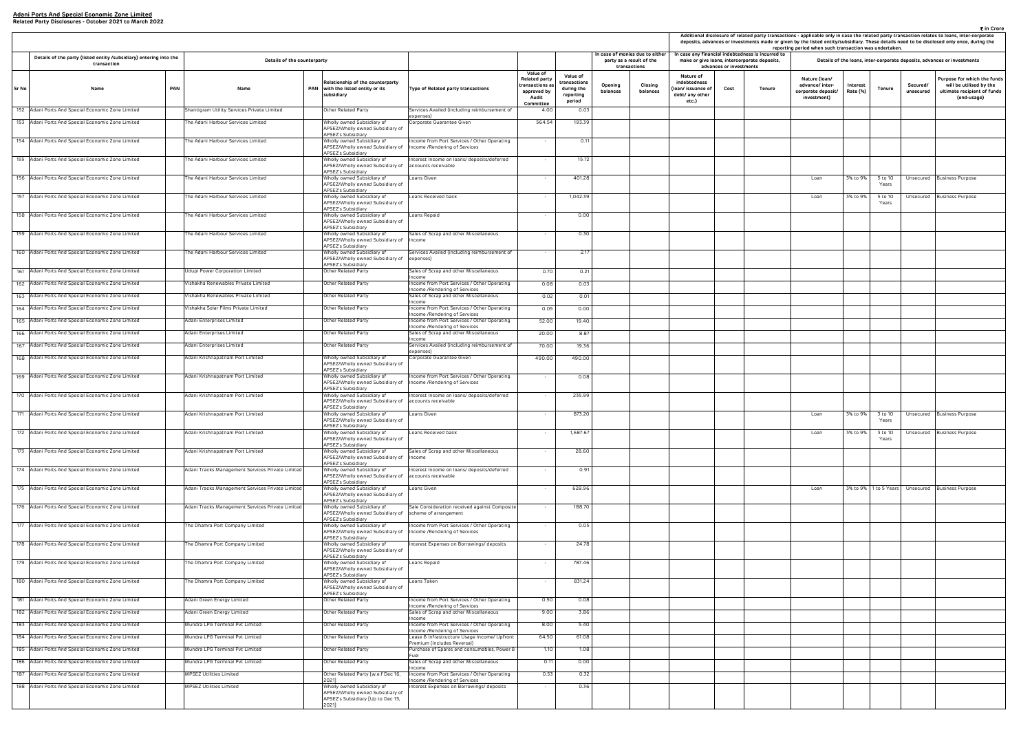|                                                                     |                                 | case any financial indebtedness is incurred to<br>make or give Ioans, intercorporate deposits, | reporting period when such transaction was undertaken.                |                      |                  |                       | deposits, advances or investments made or given by the listed entity/subsidiary. These details need to be disclosed only once, during the<br>Details of the loans, inter-corporate deposits, advances or investments |
|---------------------------------------------------------------------|---------------------------------|------------------------------------------------------------------------------------------------|-----------------------------------------------------------------------|----------------------|------------------|-----------------------|----------------------------------------------------------------------------------------------------------------------------------------------------------------------------------------------------------------------|
| Nature of<br>debtedness<br>n/ issuance of<br>bt/ any other<br>etc.) | advances or investments<br>Cost | Tenure                                                                                         | Nature (Ioan/<br>advance/ inter-<br>corporate deposit/<br>investment) | Interest<br>Rate (%) | <b>Tenure</b>    | Secured/<br>unsecured | Purpose for which the funds<br>will be utilised by the<br>ultimate recipient of funds<br>(end-usage)                                                                                                                 |
|                                                                     |                                 |                                                                                                |                                                                       |                      |                  |                       |                                                                                                                                                                                                                      |
|                                                                     |                                 |                                                                                                |                                                                       |                      |                  |                       |                                                                                                                                                                                                                      |
|                                                                     |                                 |                                                                                                |                                                                       |                      |                  |                       |                                                                                                                                                                                                                      |
|                                                                     |                                 |                                                                                                |                                                                       |                      |                  |                       |                                                                                                                                                                                                                      |
|                                                                     |                                 |                                                                                                | Loan                                                                  | 3% to 9%             | 5 to 10<br>Years | Unsecured             | <b>Business Purpose</b>                                                                                                                                                                                              |
|                                                                     |                                 |                                                                                                | Loan                                                                  | 3% to 9%             | 5 to 10<br>Years | Unsecured             | Business Purpose                                                                                                                                                                                                     |
|                                                                     |                                 |                                                                                                |                                                                       |                      |                  |                       |                                                                                                                                                                                                                      |
|                                                                     |                                 |                                                                                                |                                                                       |                      |                  |                       |                                                                                                                                                                                                                      |
|                                                                     |                                 |                                                                                                |                                                                       |                      |                  |                       |                                                                                                                                                                                                                      |
|                                                                     |                                 |                                                                                                |                                                                       |                      |                  |                       |                                                                                                                                                                                                                      |
|                                                                     |                                 |                                                                                                |                                                                       |                      |                  |                       |                                                                                                                                                                                                                      |
|                                                                     |                                 |                                                                                                |                                                                       |                      |                  |                       |                                                                                                                                                                                                                      |
|                                                                     |                                 |                                                                                                |                                                                       |                      |                  |                       |                                                                                                                                                                                                                      |
|                                                                     |                                 |                                                                                                |                                                                       |                      |                  |                       |                                                                                                                                                                                                                      |
|                                                                     |                                 |                                                                                                |                                                                       |                      |                  |                       |                                                                                                                                                                                                                      |
|                                                                     |                                 |                                                                                                |                                                                       |                      |                  |                       |                                                                                                                                                                                                                      |
|                                                                     |                                 |                                                                                                |                                                                       |                      |                  |                       |                                                                                                                                                                                                                      |
|                                                                     |                                 |                                                                                                |                                                                       |                      |                  |                       |                                                                                                                                                                                                                      |
|                                                                     |                                 |                                                                                                | Loan                                                                  | 3% to 9%             | 3 to 10          |                       | Unsecured Business Purpose                                                                                                                                                                                           |
|                                                                     |                                 |                                                                                                | Loan                                                                  | 3% to 9%             | Years<br>3 to 10 | Unsecured             | <b>Business Purpose</b>                                                                                                                                                                                              |
|                                                                     |                                 |                                                                                                |                                                                       |                      | Years            |                       |                                                                                                                                                                                                                      |
|                                                                     |                                 |                                                                                                |                                                                       |                      |                  |                       |                                                                                                                                                                                                                      |
|                                                                     |                                 |                                                                                                |                                                                       |                      |                  |                       |                                                                                                                                                                                                                      |
|                                                                     |                                 |                                                                                                | Loan                                                                  | 3% to 9%             | 1 to 5 Years     | Unsecured             | <b>Business Purpose</b>                                                                                                                                                                                              |
|                                                                     |                                 |                                                                                                |                                                                       |                      |                  |                       |                                                                                                                                                                                                                      |
|                                                                     |                                 |                                                                                                |                                                                       |                      |                  |                       |                                                                                                                                                                                                                      |
|                                                                     |                                 |                                                                                                |                                                                       |                      |                  |                       |                                                                                                                                                                                                                      |
|                                                                     |                                 |                                                                                                |                                                                       |                      |                  |                       |                                                                                                                                                                                                                      |
|                                                                     |                                 |                                                                                                |                                                                       |                      |                  |                       |                                                                                                                                                                                                                      |
|                                                                     |                                 |                                                                                                |                                                                       |                      |                  |                       |                                                                                                                                                                                                                      |
|                                                                     |                                 |                                                                                                |                                                                       |                      |                  |                       |                                                                                                                                                                                                                      |
|                                                                     |                                 |                                                                                                |                                                                       |                      |                  |                       |                                                                                                                                                                                                                      |
|                                                                     |                                 |                                                                                                |                                                                       |                      |                  |                       |                                                                                                                                                                                                                      |
|                                                                     |                                 |                                                                                                |                                                                       |                      |                  |                       |                                                                                                                                                                                                                      |
|                                                                     |                                 |                                                                                                |                                                                       |                      |                  |                       |                                                                                                                                                                                                                      |
|                                                                     |                                 |                                                                                                |                                                                       |                      |                  |                       |                                                                                                                                                                                                                      |
|                                                                     |                                 |                                                                                                |                                                                       |                      |                  |                       |                                                                                                                                                                                                                      |

|       |                                                                                   |            |                                                               |     |                                                                                                            |                                                                                        |                                                                                         |                                                               |                                                                             | Additional disclosure of related party transactions - applicable only in case the related party transaction relates to loans, inter-co<br>deposits, advances or investments made or given by the listed entity/subsidiary. These details need to be disclosed only once, du |                         |                                                                                                   | reporting period when such transaction was undertaken.                |                      |                       |                       |                                                                       |
|-------|-----------------------------------------------------------------------------------|------------|---------------------------------------------------------------|-----|------------------------------------------------------------------------------------------------------------|----------------------------------------------------------------------------------------|-----------------------------------------------------------------------------------------|---------------------------------------------------------------|-----------------------------------------------------------------------------|-----------------------------------------------------------------------------------------------------------------------------------------------------------------------------------------------------------------------------------------------------------------------------|-------------------------|---------------------------------------------------------------------------------------------------|-----------------------------------------------------------------------|----------------------|-----------------------|-----------------------|-----------------------------------------------------------------------|
|       | Details of the party (listed entity /subsidiary) entering into the<br>transaction |            | Details of the counterparty                                   |     |                                                                                                            |                                                                                        |                                                                                         |                                                               | In case of monies due to either<br>party as a result of the<br>transactions |                                                                                                                                                                                                                                                                             | advances or investments | In case any financial indebtedness is incurred to<br>make or give loans, intercorporate deposits, |                                                                       |                      |                       |                       | Details of the loans, inter-corporate deposits, advances or investmen |
| Sr No | Name                                                                              | <b>PAN</b> | Name                                                          | PAN | Relationship of the counterparty<br>with the listed entity or its<br>subsidiary                            | Type of Related party transactions                                                     | Value of<br><b>Related party</b><br>ransactions a:<br>approved by<br>Audit<br>Committee | Value of<br>:ransactions<br>during the<br>reporting<br>period | Opening<br>Closing<br>balances<br>balances                                  | Nature of<br>indebtedness<br>loan/ issuance of<br>debt/ any other<br>etc.)                                                                                                                                                                                                  | Cost                    | Tenure                                                                                            | Nature (Ioan/<br>advance/ inter-<br>corporate deposit/<br>investment) | Interest<br>Rate (%) | Tenure                | Secured/<br>unsecured | Purpose for whic<br>will be utilise<br>ultimate recipie<br>(end-usa   |
|       | 152 Adani Ports And Special Economic Zone Limited                                 |            | Shantigram Utility Services Private Limited                   |     | Other Related Party                                                                                        | Services Availed (including reimbursement of<br>expenses)                              | 4.00                                                                                    | 0.03                                                          |                                                                             |                                                                                                                                                                                                                                                                             |                         |                                                                                                   |                                                                       |                      |                       |                       |                                                                       |
|       | 153 Adani Ports And Special Economic Zone Limited                                 |            | The Adani Harbour Services Limited                            |     | Wholly owned Subsidiary of<br>APSEZ/Wholly owned Subsidiary of<br>APSEZ's Subsidiary                       | Corporate Guarantee Given                                                              | 564.54                                                                                  | 193.39                                                        |                                                                             |                                                                                                                                                                                                                                                                             |                         |                                                                                                   |                                                                       |                      |                       |                       |                                                                       |
|       | 154 Adani Ports And Special Economic Zone Limited                                 |            | he Adani Harbour Services Limited                             |     | Wholly owned Subsidiary of<br>APSEZ/Wholly owned Subsidiary of<br>APSEZ's Subsidiary                       | ncome from Port Services / Other Operating<br>Income /Rendering of Services            | $\sim$                                                                                  | 0.11                                                          |                                                                             |                                                                                                                                                                                                                                                                             |                         |                                                                                                   |                                                                       |                      |                       |                       |                                                                       |
|       | 155 Adani Ports And Special Economic Zone Limited                                 |            | he Adani Harbour Services Limited                             |     | Wholly owned Subsidiary of<br>APSEZ/Wholly owned Subsidiary of<br><b>APSEZ's Subsidiary</b>                | Interest Income on loans/ deposits/deferred<br>accounts receivable                     | $\sim$                                                                                  | 15.72                                                         |                                                                             |                                                                                                                                                                                                                                                                             |                         |                                                                                                   |                                                                       |                      |                       |                       |                                                                       |
|       | 156 Adani Ports And Special Economic Zone Limited                                 |            | he Adani Harbour Services Limited                             |     | Wholly owned Subsidiary of<br>APSEZ/Wholly owned Subsidiary of<br>APSEZ's Subsidiary                       | Loans Given                                                                            | $\sim$                                                                                  | 401.28                                                        |                                                                             |                                                                                                                                                                                                                                                                             |                         |                                                                                                   | Loan                                                                  | 3% to 9%             | 5 to 10<br>Years      |                       | Unsecured Business Purpose                                            |
|       | 157 Adani Ports And Special Economic Zone Limited                                 |            | The Adani Harbour Services Limited                            |     | Wholly owned Subsidiary of<br>APSEZ/Wholly owned Subsidiary of<br>APSEZ's Subsidiary                       | Loans Received back                                                                    | $\sim$                                                                                  | 1,042.39                                                      |                                                                             |                                                                                                                                                                                                                                                                             |                         |                                                                                                   | Loan                                                                  | 3% to 9%             | 5 to 10<br>Years      |                       | Unsecured Business Purpose                                            |
|       | 158 Adani Ports And Special Economic Zone Limited                                 |            | he Adani Harbour Services Limited                             |     | Wholly owned Subsidiary of<br>APSEZ/Wholly owned Subsidiary of<br>APSEZ's Subsidiary                       | Loans Repaid                                                                           | $\sim$                                                                                  | 0.00                                                          |                                                                             |                                                                                                                                                                                                                                                                             |                         |                                                                                                   |                                                                       |                      |                       |                       |                                                                       |
|       | 159 Adani Ports And Special Economic Zone Limited                                 |            | The Adani Harbour Services Limited                            |     | Wholly owned Subsidiary of<br>APSEZ/Wholly owned Subsidiary of Income<br><b>APSEZ's Subsidiary</b>         | Sales of Scrap and other Miscellaneous                                                 | $\sim$                                                                                  | 0.30                                                          |                                                                             |                                                                                                                                                                                                                                                                             |                         |                                                                                                   |                                                                       |                      |                       |                       |                                                                       |
|       | 160 Adani Ports And Special Economic Zone Limited                                 |            | he Adani Harbour Services Limited                             |     | Wholly owned Subsidiary of<br>APSEZ/Wholly owned Subsidiary of expenses)<br>APSEZ's Subsidiary             | Services Availed (including reimbursement of                                           | $\sim$                                                                                  | 2.17                                                          |                                                                             |                                                                                                                                                                                                                                                                             |                         |                                                                                                   |                                                                       |                      |                       |                       |                                                                       |
|       | 161 Adani Ports And Special Economic Zone Limited                                 |            | Udupi Power Corporation Limited                               |     | Other Related Party                                                                                        | Sales of Scrap and other Miscellaneous<br>Income                                       | 0.70                                                                                    | 0.21                                                          |                                                                             |                                                                                                                                                                                                                                                                             |                         |                                                                                                   |                                                                       |                      |                       |                       |                                                                       |
|       | 162 Adani Ports And Special Economic Zone Limited                                 |            | /ishakha Renewables Private Limited                           |     | Other Related Party                                                                                        | Income from Port Services / Other Operating                                            | 0.08                                                                                    | 0.03                                                          |                                                                             |                                                                                                                                                                                                                                                                             |                         |                                                                                                   |                                                                       |                      |                       |                       |                                                                       |
|       | 163 Adani Ports And Special Economic Zone Limited                                 |            | /ishakha Renewables Private Limited                           |     | Other Related Party                                                                                        | Income /Rendering of Services<br>Sales of Scrap and other Miscellaneous                | 0.02                                                                                    | 0.01                                                          |                                                                             |                                                                                                                                                                                                                                                                             |                         |                                                                                                   |                                                                       |                      |                       |                       |                                                                       |
|       | 164 Adani Ports And Special Economic Zone Limited                                 |            | ishakha Solar Films Private Limited                           |     | Other Related Party                                                                                        | Income<br>Income from Port Services / Other Operating                                  | 0.05                                                                                    | 0.00                                                          |                                                                             |                                                                                                                                                                                                                                                                             |                         |                                                                                                   |                                                                       |                      |                       |                       |                                                                       |
|       | 165 Adani Ports And Special Economic Zone Limited                                 |            | Adani Enterprises Limited                                     |     | Other Related Party                                                                                        | ncome /Rendering of Services<br>Income from Port Services / Other Operating            | 52.00                                                                                   | 19.40                                                         |                                                                             |                                                                                                                                                                                                                                                                             |                         |                                                                                                   |                                                                       |                      |                       |                       |                                                                       |
|       | 166 Adani Ports And Special Economic Zone Limited                                 |            | Adani Enterprises Limited                                     |     | Other Related Party                                                                                        | Income /Rendering of Services<br>Sales of Scrap and other Miscellaneous                | 20.00                                                                                   | 8.87                                                          |                                                                             |                                                                                                                                                                                                                                                                             |                         |                                                                                                   |                                                                       |                      |                       |                       |                                                                       |
|       | 167 Adani Ports And Special Economic Zone Limited                                 |            |                                                               |     | Other Related Party                                                                                        | Income                                                                                 | 70.00                                                                                   | 19.36                                                         |                                                                             |                                                                                                                                                                                                                                                                             |                         |                                                                                                   |                                                                       |                      |                       |                       |                                                                       |
|       | 168 Adani Ports And Special Economic Zone Limited                                 |            | Adani Enterprises Limited<br>Adani Krishnapatnam Port Limited |     | Wholly owned Subsidiary of<br>APSEZ/Wholly owned Subsidiary of                                             | Services Availed (including reimbursement of<br>expenses)<br>Corporate Guarantee Given | 490.00                                                                                  | 490.00                                                        |                                                                             |                                                                                                                                                                                                                                                                             |                         |                                                                                                   |                                                                       |                      |                       |                       |                                                                       |
|       | 169 Adani Ports And Special Economic Zone Limited                                 |            | Adani Krishnapatnam Port Limited                              |     | APSEZ's Subsidiary<br>Wholly owned Subsidiary of<br>APSEZ/Wholly owned Subsidiary of                       | Income from Port Services / Other Operating<br>Income /Rendering of Services           | $\sim$                                                                                  | 0.08                                                          |                                                                             |                                                                                                                                                                                                                                                                             |                         |                                                                                                   |                                                                       |                      |                       |                       |                                                                       |
|       | 170 Adani Ports And Special Economic Zone Limited                                 |            | Adani Krishnapatnam Port Limited                              |     | APSEZ's Subsidiary<br>Wholly owned Subsidiary of                                                           | Interest Income on loans/ deposits/deferred                                            |                                                                                         | 235.99                                                        |                                                                             |                                                                                                                                                                                                                                                                             |                         |                                                                                                   |                                                                       |                      |                       |                       |                                                                       |
|       |                                                                                   |            |                                                               |     | APSEZ/Wholly owned Subsidiary of<br><b>APSEZ's Subsidiary</b>                                              | accounts receivable                                                                    | $\sim$                                                                                  |                                                               |                                                                             |                                                                                                                                                                                                                                                                             |                         |                                                                                                   |                                                                       |                      |                       |                       |                                                                       |
|       | 171 Adani Ports And Special Economic Zone Limited                                 |            | Adani Krishnapatnam Port Limited                              |     | Wholly owned Subsidiary of<br>APSEZ/Wholly owned Subsidiary of<br>APSEZ's Subsidiary                       | Loans Given                                                                            | $\sim$                                                                                  | 873.20                                                        |                                                                             |                                                                                                                                                                                                                                                                             |                         |                                                                                                   | Loan                                                                  | 3% to 9%             | 3 to 10<br>Years      |                       | Unsecured Business Purpose                                            |
|       | 172 Adani Ports And Special Economic Zone Limited                                 |            | Adani Krishnapatnam Port Limited                              |     | Wholly owned Subsidiary of<br>APSEZ/Wholly owned Subsidiary of<br>APSEZ's Subsidiary                       | Loans Received back                                                                    |                                                                                         | 1,687.67                                                      |                                                                             |                                                                                                                                                                                                                                                                             |                         |                                                                                                   | Loan                                                                  | 3% to 9%             | 3 to 10<br>Years      |                       | Unsecured Business Purpose                                            |
|       | 173 Adani Ports And Special Economic Zone Limited                                 |            | Adani Krishnapatnam Port Limited                              |     | Wholly owned Subsidiary of<br>APSEZ/Wholly owned Subsidiary of<br>APSEZ's Subsidiary                       | Sales of Scrap and other Miscellaneous<br>Income                                       | $\sim$                                                                                  | 28.60                                                         |                                                                             |                                                                                                                                                                                                                                                                             |                         |                                                                                                   |                                                                       |                      |                       |                       |                                                                       |
|       | 174 Adani Ports And Special Economic Zone Limited                                 |            | Adani Tracks Management Services Private Limited              |     | Wholly owned Subsidiary of<br>APSEZ/Wholly owned Subsidiary of<br>APSEZ's Subsidiary                       | Interest Income on loans/ deposits/deferred<br>accounts receivable                     | $\sim$                                                                                  | 0.91                                                          |                                                                             |                                                                                                                                                                                                                                                                             |                         |                                                                                                   |                                                                       |                      |                       |                       |                                                                       |
|       | 175 Adani Ports And Special Economic Zone Limited                                 |            | Adani Tracks Management Services Private Limited              |     | Wholly owned Subsidiary of<br>APSEZ/Wholly owned Subsidiary of<br>APSEZ's Subsidiary                       | Loans Given                                                                            |                                                                                         | 628.96                                                        |                                                                             |                                                                                                                                                                                                                                                                             |                         |                                                                                                   | Loan                                                                  |                      | 3% to 9% 1 to 5 Years |                       | Unsecured Business Purpose                                            |
|       | 176 Adani Ports And Special Economic Zone Limited                                 |            | Adani Tracks Management Services Private Limited              |     | Wholly owned Subsidiary of<br>APSEZ/Wholly owned Subsidiary of scheme of arrangement<br>APSEZ's Subsidiary | Sale Consideration received against Composite                                          | $\sim$                                                                                  | 188.70                                                        |                                                                             |                                                                                                                                                                                                                                                                             |                         |                                                                                                   |                                                                       |                      |                       |                       |                                                                       |
|       | 177 Adani Ports And Special Economic Zone Limited                                 |            | The Dhamra Port Company Limited                               |     | Wholly owned Subsidiary of<br>APSEZ/Wholly owned Subsidiary of<br>APSEZ's Subsidiary                       | Income from Port Services / Other Operating<br>Income /Rendering of Services           | $\sim$                                                                                  | 0.05                                                          |                                                                             |                                                                                                                                                                                                                                                                             |                         |                                                                                                   |                                                                       |                      |                       |                       |                                                                       |
|       | 178 Adani Ports And Special Economic Zone Limited                                 |            | he Dhamra Port Company Limited                                |     | Wholly owned Subsidiary of<br>APSEZ/Wholly owned Subsidiary of<br><b>APSEZ's Subsidiary</b>                | Interest Expenses on Borrowings/ deposits                                              | $\sim$                                                                                  | 24.78                                                         |                                                                             |                                                                                                                                                                                                                                                                             |                         |                                                                                                   |                                                                       |                      |                       |                       |                                                                       |
|       | 179 Adani Ports And Special Economic Zone Limited                                 |            | he Dhamra Port Company Limited                                |     | Wholly owned Subsidiary of<br>APSEZ/Wholly owned Subsidiary of<br>APSEZ's Subsidiary                       | Loans Repaid                                                                           | $\sim$                                                                                  | 787.46                                                        |                                                                             |                                                                                                                                                                                                                                                                             |                         |                                                                                                   |                                                                       |                      |                       |                       |                                                                       |
|       | 180 Adani Ports And Special Economic Zone Limited                                 |            | The Dhamra Port Company Limited                               |     | Wholly owned Subsidiary of<br>APSEZ/Wholly owned Subsidiary of<br>APSEZ's Subsidiary                       | Loans Taken                                                                            | $\sim$                                                                                  | 831.24                                                        |                                                                             |                                                                                                                                                                                                                                                                             |                         |                                                                                                   |                                                                       |                      |                       |                       |                                                                       |
|       | 181 Adani Ports And Special Economic Zone Limited                                 |            | Adani Green Energy Limited                                    |     | Other Related Party                                                                                        | Income from Port Services / Other Operating<br>ncome /Rendering of Services            | 0.50                                                                                    | 0.08                                                          |                                                                             |                                                                                                                                                                                                                                                                             |                         |                                                                                                   |                                                                       |                      |                       |                       |                                                                       |
|       | 182 Adani Ports And Special Economic Zone Limited                                 |            | Adani Green Energy Limited                                    |     | Other Related Party                                                                                        | Sales of Scrap and other Miscellaneous<br>Income                                       | 9.00                                                                                    | 3.86                                                          |                                                                             |                                                                                                                                                                                                                                                                             |                         |                                                                                                   |                                                                       |                      |                       |                       |                                                                       |
|       | 183 Adani Ports And Special Economic Zone Limited                                 |            | Mundra LPG Terminal Pvt Limited                               |     | Other Related Party                                                                                        | Income from Port Services / Other Operating<br>Income /Rendering of Services           | 8.00                                                                                    | 5.40                                                          |                                                                             |                                                                                                                                                                                                                                                                             |                         |                                                                                                   |                                                                       |                      |                       |                       |                                                                       |
|       | 184 Adani Ports And Special Economic Zone Limited                                 |            | Mundra LPG Terminal Pvt Limited                               |     | Other Related Party                                                                                        | Lease & Infrastructure Usage Income/ Upfront                                           | 64.50                                                                                   | 61.08                                                         |                                                                             |                                                                                                                                                                                                                                                                             |                         |                                                                                                   |                                                                       |                      |                       |                       |                                                                       |
|       | 185 Adani Ports And Special Economic Zone Limited                                 |            | Mundra LPG Terminal Pvt Limited                               |     | Other Related Party                                                                                        | Premium (Includes Reversal)<br>Purchase of Spares and consumables, Power 8             | 1.10                                                                                    | 1.08                                                          |                                                                             |                                                                                                                                                                                                                                                                             |                         |                                                                                                   |                                                                       |                      |                       |                       |                                                                       |
|       | 186 Adani Ports And Special Economic Zone Limited                                 |            | Mundra LPG Terminal Pvt Limited                               |     | Other Related Party                                                                                        | Fuel<br>Sales of Scrap and other Miscellaneous                                         | 0.11                                                                                    | 0.00                                                          |                                                                             |                                                                                                                                                                                                                                                                             |                         |                                                                                                   |                                                                       |                      |                       |                       |                                                                       |
|       | 187 Adani Ports And Special Economic Zone Limited                                 |            | MPSEZ Utilities Limited                                       |     | Other Related Party [w.e.f Dec 16,                                                                         | ncome<br>Income from Port Services / Other Operating                                   | 0.53                                                                                    | 0.32                                                          |                                                                             |                                                                                                                                                                                                                                                                             |                         |                                                                                                   |                                                                       |                      |                       |                       |                                                                       |
|       | 188 Adani Ports And Special Economic Zone Limited                                 |            | MPSEZ Utilities Limited                                       |     | 20211<br>Wholly owned Subsidiary of                                                                        | Income /Rendering of Services<br>Interest Expenses on Borrowings/ deposits             |                                                                                         | 0.36                                                          |                                                                             |                                                                                                                                                                                                                                                                             |                         |                                                                                                   |                                                                       |                      |                       |                       |                                                                       |
|       |                                                                                   |            |                                                               |     | APSEZ/Wholly owned Subsidiary of<br>APSEZ's Subsidiary [Up to Dec 15,<br>2021]                             |                                                                                        |                                                                                         |                                                               |                                                                             |                                                                                                                                                                                                                                                                             |                         |                                                                                                   |                                                                       |                      |                       |                       |                                                                       |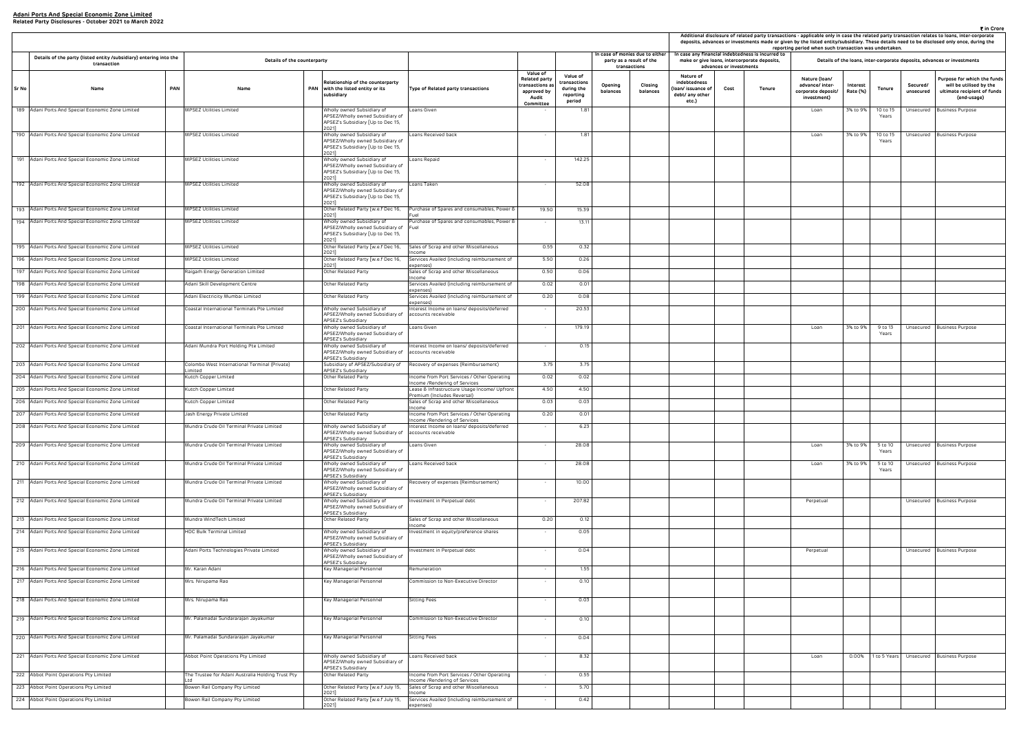| ₹ in Crore<br>Additional disclosure of related party transactions - applicable only in case the related party transaction relates to loans, inter-corporate<br>deposits, advances or investments made or given by the listed entity/subsidiary. These details need to be disclosed only once, during the<br>reporting period when such transaction was undertaken.<br>case any financial indebtedness is incurred to |                         |                                              |                                                                       |                      |                   |                       |                                                                                                      |  |  |  |  |  |
|----------------------------------------------------------------------------------------------------------------------------------------------------------------------------------------------------------------------------------------------------------------------------------------------------------------------------------------------------------------------------------------------------------------------|-------------------------|----------------------------------------------|-----------------------------------------------------------------------|----------------------|-------------------|-----------------------|------------------------------------------------------------------------------------------------------|--|--|--|--|--|
|                                                                                                                                                                                                                                                                                                                                                                                                                      | advances or investments | make or give Ioans, intercorporate deposits, |                                                                       |                      |                   |                       | Details of the loans, inter-corporate deposits, advances or investments                              |  |  |  |  |  |
| Nature of<br>debtedness<br>n/ issuance of<br>bt/ any other<br>etc.)                                                                                                                                                                                                                                                                                                                                                  | Cost                    | Tenure                                       | Nature (Ioan/<br>advance/ inter-<br>corporate deposit/<br>investment) | Interest<br>Rate (%) | <b>Tenure</b>     | Secured/<br>unsecured | Purpose for which the funds<br>will be utilised by the<br>ultimate recipient of funds<br>(end-usage) |  |  |  |  |  |
|                                                                                                                                                                                                                                                                                                                                                                                                                      |                         |                                              | Loan                                                                  | 3% to 9%             | 10 to 15<br>Years | Unsecured             | <b>Business Purpose</b>                                                                              |  |  |  |  |  |
|                                                                                                                                                                                                                                                                                                                                                                                                                      |                         |                                              | Loan                                                                  | 3% to 9%             | 10 to 15<br>Years | Unsecured             | <b>Business Purpose</b>                                                                              |  |  |  |  |  |
|                                                                                                                                                                                                                                                                                                                                                                                                                      |                         |                                              |                                                                       |                      |                   |                       |                                                                                                      |  |  |  |  |  |
|                                                                                                                                                                                                                                                                                                                                                                                                                      |                         |                                              |                                                                       |                      |                   |                       |                                                                                                      |  |  |  |  |  |
|                                                                                                                                                                                                                                                                                                                                                                                                                      |                         |                                              |                                                                       |                      |                   |                       |                                                                                                      |  |  |  |  |  |
|                                                                                                                                                                                                                                                                                                                                                                                                                      |                         |                                              |                                                                       |                      |                   |                       |                                                                                                      |  |  |  |  |  |
|                                                                                                                                                                                                                                                                                                                                                                                                                      |                         |                                              |                                                                       |                      |                   |                       |                                                                                                      |  |  |  |  |  |
|                                                                                                                                                                                                                                                                                                                                                                                                                      |                         |                                              |                                                                       |                      |                   |                       |                                                                                                      |  |  |  |  |  |
|                                                                                                                                                                                                                                                                                                                                                                                                                      |                         |                                              |                                                                       |                      |                   |                       |                                                                                                      |  |  |  |  |  |
|                                                                                                                                                                                                                                                                                                                                                                                                                      |                         |                                              | Loan                                                                  | 3% to 9%             | 9 to 13<br>Years  | Unsecured             | <b>Business Purpose</b>                                                                              |  |  |  |  |  |
|                                                                                                                                                                                                                                                                                                                                                                                                                      |                         |                                              |                                                                       |                      |                   |                       |                                                                                                      |  |  |  |  |  |
|                                                                                                                                                                                                                                                                                                                                                                                                                      |                         |                                              |                                                                       |                      |                   |                       |                                                                                                      |  |  |  |  |  |
|                                                                                                                                                                                                                                                                                                                                                                                                                      |                         |                                              |                                                                       |                      |                   |                       |                                                                                                      |  |  |  |  |  |
|                                                                                                                                                                                                                                                                                                                                                                                                                      |                         |                                              |                                                                       |                      |                   |                       |                                                                                                      |  |  |  |  |  |
|                                                                                                                                                                                                                                                                                                                                                                                                                      |                         |                                              | Loan                                                                  | 3% to 9%             | 5 to 10           | Unsecured             | Business Purpose                                                                                     |  |  |  |  |  |
|                                                                                                                                                                                                                                                                                                                                                                                                                      |                         |                                              | Loan                                                                  | 3% to 9%             | Years<br>5 to 10  | Unsecured             | <b>Business Purpose</b>                                                                              |  |  |  |  |  |
|                                                                                                                                                                                                                                                                                                                                                                                                                      |                         |                                              |                                                                       |                      | Years             |                       |                                                                                                      |  |  |  |  |  |
|                                                                                                                                                                                                                                                                                                                                                                                                                      |                         |                                              | Perpetual                                                             |                      |                   | Unsecured             | <b>Business Purpose</b>                                                                              |  |  |  |  |  |
|                                                                                                                                                                                                                                                                                                                                                                                                                      |                         |                                              |                                                                       |                      |                   |                       |                                                                                                      |  |  |  |  |  |
|                                                                                                                                                                                                                                                                                                                                                                                                                      |                         |                                              | Perpetual                                                             |                      |                   | Unsecured             | <b>Business Purpose</b>                                                                              |  |  |  |  |  |
|                                                                                                                                                                                                                                                                                                                                                                                                                      |                         |                                              |                                                                       |                      |                   |                       |                                                                                                      |  |  |  |  |  |
|                                                                                                                                                                                                                                                                                                                                                                                                                      |                         |                                              |                                                                       |                      |                   |                       |                                                                                                      |  |  |  |  |  |
|                                                                                                                                                                                                                                                                                                                                                                                                                      |                         |                                              |                                                                       |                      |                   |                       |                                                                                                      |  |  |  |  |  |
|                                                                                                                                                                                                                                                                                                                                                                                                                      |                         |                                              |                                                                       |                      |                   |                       |                                                                                                      |  |  |  |  |  |
|                                                                                                                                                                                                                                                                                                                                                                                                                      |                         |                                              | Loan                                                                  | 0.00%                | 1 to 5 Years      | Unsecured             | <b>Business Purpose</b>                                                                              |  |  |  |  |  |
|                                                                                                                                                                                                                                                                                                                                                                                                                      |                         |                                              |                                                                       |                      |                   |                       |                                                                                                      |  |  |  |  |  |
|                                                                                                                                                                                                                                                                                                                                                                                                                      |                         |                                              |                                                                       |                      |                   |                       |                                                                                                      |  |  |  |  |  |

|       |                                                                                                        |            |                                                         |     |                                                                                                                                  |                                                                                 |                                                                                        |                                                               |                     |                                                                             | Additional disclosure of related party transactions - applicable only in case the related party transaction relates to loans, inter-co<br>deposits, advances or investments made or given by the listed entity/subsidiary. These details need to be disclosed only once, du<br>reporting period when such transaction was undertaken. |                         |                                                                                                   |                                                                       |                      |                   |                       |                                                                       |
|-------|--------------------------------------------------------------------------------------------------------|------------|---------------------------------------------------------|-----|----------------------------------------------------------------------------------------------------------------------------------|---------------------------------------------------------------------------------|----------------------------------------------------------------------------------------|---------------------------------------------------------------|---------------------|-----------------------------------------------------------------------------|---------------------------------------------------------------------------------------------------------------------------------------------------------------------------------------------------------------------------------------------------------------------------------------------------------------------------------------|-------------------------|---------------------------------------------------------------------------------------------------|-----------------------------------------------------------------------|----------------------|-------------------|-----------------------|-----------------------------------------------------------------------|
|       | Details of the party (listed entity /subsidiary) entering into the<br>transaction                      |            | Details of the counterparty                             |     |                                                                                                                                  |                                                                                 |                                                                                        |                                                               |                     | In case of monies due to either<br>party as a result of the<br>transactions |                                                                                                                                                                                                                                                                                                                                       | advances or investments | In case any financial indebtedness is incurred to<br>make or give loans, intercorporate deposits, |                                                                       |                      |                   |                       | Details of the loans, inter-corporate deposits, advances or investmen |
| Sr No | Name                                                                                                   | <b>PAN</b> | Name                                                    | PAN | Relationship of the counterparty<br>with the listed entity or its<br>subsidiary                                                  | Type of Related party transactions                                              | Value of<br><b>Related party</b><br>ransactions a<br>approved by<br>Audit<br>Committee | Value of<br>:ransactions<br>during the<br>reporting<br>period | Opening<br>balances | Closing<br>balances                                                         | Nature of<br>indebtedness<br>loan/ issuance of<br>debt/ any other<br>etc.)                                                                                                                                                                                                                                                            | Cost                    | Tenure                                                                                            | Nature (Ioan/<br>advance/ inter-<br>corporate deposit/<br>investment) | Interest<br>Rate (%) | Tenure            | Secured/<br>unsecured | Purpose for whit<br>will be utilise<br>ultimate recipie<br>(end-usa   |
|       | 189 Adani Ports And Special Economic Zone Limited                                                      |            | MPSEZ Utilities Limited                                 |     | Wholly owned Subsidiary of<br>APSEZ/Wholly owned Subsidiary of<br>APSEZ's Subsidiary [Up to Dec 15,                              | Loans Given                                                                     |                                                                                        | 1.81                                                          |                     |                                                                             |                                                                                                                                                                                                                                                                                                                                       |                         |                                                                                                   | Loan                                                                  | 3% to 9%             | 10 to 15<br>Years |                       | Unsecured Business Purpose                                            |
|       | 190 Adani Ports And Special Economic Zone Limited                                                      |            | MPSEZ Utilities Limited                                 |     | 2021]<br>Wholly owned Subsidiary of<br>APSEZ/Wholly owned Subsidiary of<br>APSEZ's Subsidiary [Up to Dec 15,                     | Loans Received back                                                             | $\sim$                                                                                 | 1.81                                                          |                     |                                                                             |                                                                                                                                                                                                                                                                                                                                       |                         |                                                                                                   | Loan                                                                  | 3% to 9%             | 10 to 15<br>Years |                       | Unsecured Business Purpose                                            |
|       | 191 Adani Ports And Special Economic Zone Limited                                                      |            | MPSEZ Utilities Limited                                 |     | 2021]<br>Wholly owned Subsidiary of<br>APSEZ/Wholly owned Subsidiary of<br>APSEZ's Subsidiary [Up to Dec 15,                     | Loans Repaid                                                                    |                                                                                        | 142.25                                                        |                     |                                                                             |                                                                                                                                                                                                                                                                                                                                       |                         |                                                                                                   |                                                                       |                      |                   |                       |                                                                       |
|       | 192 Adani Ports And Special Economic Zone Limited                                                      |            | MPSEZ Utilities Limited                                 |     | 2021]<br>Wholly owned Subsidiary of<br>APSEZ/Wholly owned Subsidiary of<br>APSEZ's Subsidiary [Up to Dec 15,                     | Loans Taken                                                                     | $\sim$                                                                                 | 52.08                                                         |                     |                                                                             |                                                                                                                                                                                                                                                                                                                                       |                         |                                                                                                   |                                                                       |                      |                   |                       |                                                                       |
|       | 193 Adani Ports And Special Economic Zone Limited                                                      |            | MPSEZ Utilities Limited                                 |     | 2021]<br>Other Related Party [w.e.f Dec 16,                                                                                      | Purchase of Spares and consumables, Power 8                                     | 19.50                                                                                  | 15.39                                                         |                     |                                                                             |                                                                                                                                                                                                                                                                                                                                       |                         |                                                                                                   |                                                                       |                      |                   |                       |                                                                       |
|       | 194 Adani Ports And Special Economic Zone Limited                                                      |            | MPSEZ Utilities Limited                                 |     | 2021]<br>Wholly owned Subsidiary of<br>APSEZ/Wholly owned Subsidiary of<br>APSEZ's Subsidiary [Up to Dec 15,<br>2021]            | Purchase of Spares and consumables, Power 8<br>Fuel                             |                                                                                        | 13.11                                                         |                     |                                                                             |                                                                                                                                                                                                                                                                                                                                       |                         |                                                                                                   |                                                                       |                      |                   |                       |                                                                       |
|       | 195 Adani Ports And Special Economic Zone Limited                                                      |            | MPSEZ Utilities Limited                                 |     | Other Related Party [w.e.f Dec 16,                                                                                               | Sales of Scrap and other Miscellaneous                                          | 0.55                                                                                   | 0.32                                                          |                     |                                                                             |                                                                                                                                                                                                                                                                                                                                       |                         |                                                                                                   |                                                                       |                      |                   |                       |                                                                       |
|       | 196 Adani Ports And Special Economic Zone Limited                                                      |            | MPSEZ Utilities Limited                                 |     | 2021]<br>Other Related Party [w.e.f Dec 16,                                                                                      | Income<br>Services Availed (including reimbursement of                          | 5.50                                                                                   | 0.26                                                          |                     |                                                                             |                                                                                                                                                                                                                                                                                                                                       |                         |                                                                                                   |                                                                       |                      |                   |                       |                                                                       |
|       | 197 Adani Ports And Special Economic Zone Limited                                                      |            | Raigarh Energy Generation Limited                       |     | 2021]<br>Other Related Party                                                                                                     | expenses)<br>Sales of Scrap and other Miscellaneous                             | 0.50                                                                                   | 0.06                                                          |                     |                                                                             |                                                                                                                                                                                                                                                                                                                                       |                         |                                                                                                   |                                                                       |                      |                   |                       |                                                                       |
|       | 198 Adani Ports And Special Economic Zone Limited                                                      |            | Adani Skill Development Centre                          |     | Other Related Party                                                                                                              | Income<br>Services Availed (including reimbursement of                          | 0.02                                                                                   | 0.01                                                          |                     |                                                                             |                                                                                                                                                                                                                                                                                                                                       |                         |                                                                                                   |                                                                       |                      |                   |                       |                                                                       |
|       | 199 Adani Ports And Special Economic Zone Limited                                                      |            | Adani Electricity Mumbai Limited                        |     | Other Related Party                                                                                                              | expenses)<br>Services Availed (including reimbursement of                       | 0.20                                                                                   | 0.08                                                          |                     |                                                                             |                                                                                                                                                                                                                                                                                                                                       |                         |                                                                                                   |                                                                       |                      |                   |                       |                                                                       |
|       | 200 Adani Ports And Special Economic Zone Limited                                                      |            | Coastal International Terminals Pte Limited             |     | Wholly owned Subsidiary of<br>APSEZ/Wholly owned Subsidiary of<br>APSEZ's Subsidiary                                             | expenses)<br>Interest Income on loans/ deposits/deferred<br>accounts receivable | $\sim$                                                                                 | 20.53                                                         |                     |                                                                             |                                                                                                                                                                                                                                                                                                                                       |                         |                                                                                                   |                                                                       |                      |                   |                       |                                                                       |
|       | 201 Adani Ports And Special Economic Zone Limited                                                      |            | Coastal International Terminals Pte Limited             |     | Wholly owned Subsidiary of<br>APSEZ/Wholly owned Subsidiary of<br>APSEZ's Subsidiary                                             | Loans Given                                                                     | $\sim$                                                                                 | 179.19                                                        |                     |                                                                             |                                                                                                                                                                                                                                                                                                                                       |                         |                                                                                                   | Loan                                                                  | 3% to 9%             | 9 to 13<br>Years  |                       | Unsecured Business Purpose                                            |
|       | 202 Adani Ports And Special Economic Zone Limited<br>203 Adani Ports And Special Economic Zone Limited |            | Adani Mundra Port Holding Pte Limited                   |     | Wholly owned Subsidiary of<br>APSEZ/Wholly owned Subsidiary of<br><b>APSEZ's Subsidiary</b><br>Subsidiary of APSEZ/Subsidiary of | Interest Income on loans/ deposits/deferred<br>accounts receivable              | $\sim$<br>3.75                                                                         | 0.15<br>3.75                                                  |                     |                                                                             |                                                                                                                                                                                                                                                                                                                                       |                         |                                                                                                   |                                                                       |                      |                   |                       |                                                                       |
|       |                                                                                                        |            | Colombo West International Terminal (Private)<br>imited |     | APSEZ's Subsidiary                                                                                                               | Recovery of expenses (Reimbursement)                                            |                                                                                        |                                                               |                     |                                                                             |                                                                                                                                                                                                                                                                                                                                       |                         |                                                                                                   |                                                                       |                      |                   |                       |                                                                       |
|       | 204 Adani Ports And Special Economic Zone Limited                                                      |            | Kutch Copper Limited                                    |     | Other Related Party                                                                                                              | Income from Port Services / Other Operating<br>Income /Rendering of Services    | 0.02                                                                                   | 0.02                                                          |                     |                                                                             |                                                                                                                                                                                                                                                                                                                                       |                         |                                                                                                   |                                                                       |                      |                   |                       |                                                                       |
|       | 205 Adani Ports And Special Economic Zone Limited                                                      |            | Kutch Copper Limited                                    |     | Other Related Party                                                                                                              | Lease & Infrastructure Usage Income/ Upfront<br>Premium (Includes Reversal)     | 4.50                                                                                   | 4.50                                                          |                     |                                                                             |                                                                                                                                                                                                                                                                                                                                       |                         |                                                                                                   |                                                                       |                      |                   |                       |                                                                       |
|       | 206 Adani Ports And Special Economic Zone Limited                                                      |            | Kutch Copper Limited                                    |     | Other Related Party                                                                                                              | Sales of Scrap and other Miscellaneous<br>Income                                | 0.03                                                                                   | 0.03                                                          |                     |                                                                             |                                                                                                                                                                                                                                                                                                                                       |                         |                                                                                                   |                                                                       |                      |                   |                       |                                                                       |
|       | 207 Adani Ports And Special Economic Zone Limited                                                      |            | Jash Energy Private Limited                             |     | Other Related Party                                                                                                              | Income from Port Services / Other Operating<br>Income /Rendering of Services    | 0.20                                                                                   | 0.01                                                          |                     |                                                                             |                                                                                                                                                                                                                                                                                                                                       |                         |                                                                                                   |                                                                       |                      |                   |                       |                                                                       |
|       | 208 Adani Ports And Special Economic Zone Limited                                                      |            | Mundra Crude Oil Terminal Private Limited               |     | Wholly owned Subsidiary of<br>APSEZ/Wholly owned Subsidiary of<br>APSEZ's Subsidiary                                             | Interest Income on loans/ deposits/deferred<br>accounts receivable              |                                                                                        | 6.23                                                          |                     |                                                                             |                                                                                                                                                                                                                                                                                                                                       |                         |                                                                                                   |                                                                       |                      |                   |                       |                                                                       |
|       | 209 Adani Ports And Special Economic Zone Limited                                                      |            | Mundra Crude Oil Terminal Private Limited               |     | Wholly owned Subsidiary of<br>APSEZ/Wholly owned Subsidiary of<br>APSEZ's Subsidiary                                             | Loans Given                                                                     | $\sim$                                                                                 | 28.08                                                         |                     |                                                                             |                                                                                                                                                                                                                                                                                                                                       |                         |                                                                                                   | Loan                                                                  | 3% to 9%             | 5 to 10<br>Years  |                       | Unsecured Business Purpose                                            |
|       | 210 Adani Ports And Special Economic Zone Limited                                                      |            | Mundra Crude Oil Terminal Private Limited               |     | Wholly owned Subsidiary of<br>APSEZ/Wholly owned Subsidiary of<br>APSEZ's Subsidiary                                             | Loans Received back                                                             | $\sim$                                                                                 | 28.08                                                         |                     |                                                                             |                                                                                                                                                                                                                                                                                                                                       |                         |                                                                                                   | Loan                                                                  | 3% to 9%             | 5 to 10<br>Years  |                       | Unsecured Business Purpose                                            |
|       | 211 Adani Ports And Special Economic Zone Limited                                                      |            | Mundra Crude Oil Terminal Private Limited               |     | Wholly owned Subsidiary of<br>APSEZ/Wholly owned Subsidiary of<br>APSEZ's Subsidiary                                             | Recovery of expenses (Reimbursement)                                            | $\sim$                                                                                 | 10.00                                                         |                     |                                                                             |                                                                                                                                                                                                                                                                                                                                       |                         |                                                                                                   |                                                                       |                      |                   |                       |                                                                       |
|       | 212 Adani Ports And Special Economic Zone Limited                                                      |            | Mundra Crude Oil Terminal Private Limited               |     | Wholly owned Subsidiary of<br>APSEZ/Wholly owned Subsidiary of<br>APSEZ's Subsidiary                                             | Investment in Perpetual debt                                                    | $\sim$                                                                                 | 207.82                                                        |                     |                                                                             |                                                                                                                                                                                                                                                                                                                                       |                         |                                                                                                   | Perpetual                                                             |                      |                   |                       | Unsecured Business Purpose                                            |
|       | 213 Adani Ports And Special Economic Zone Limited                                                      |            | Mundra WindTech Limited                                 |     | Other Related Party                                                                                                              | Sales of Scrap and other Miscellaneous<br>Income                                | 0.20                                                                                   | 0.12                                                          |                     |                                                                             |                                                                                                                                                                                                                                                                                                                                       |                         |                                                                                                   |                                                                       |                      |                   |                       |                                                                       |
|       | 214 Adani Ports And Special Economic Zone Limited                                                      |            | HDC Bulk Terminal Limited                               |     | Wholly owned Subsidiary of<br>APSEZ/Wholly owned Subsidiary of<br>APSEZ's Subsidiary                                             | Investment in equity/preference shares                                          | $\sim$                                                                                 | 0.05                                                          |                     |                                                                             |                                                                                                                                                                                                                                                                                                                                       |                         |                                                                                                   |                                                                       |                      |                   |                       |                                                                       |
|       | 215 Adani Ports And Special Economic Zone Limited                                                      |            | Adani Ports Technologies Private Limited                |     | Wholly owned Subsidiary of<br>APSEZ/Wholly owned Subsidiary of<br>APSEZ's Subsidiary                                             | Investment in Perpetual debt                                                    | $\sim$                                                                                 | 0.04                                                          |                     |                                                                             |                                                                                                                                                                                                                                                                                                                                       |                         |                                                                                                   | Perpetual                                                             |                      |                   |                       | Unsecured Business Purpose                                            |
|       | 216 Adani Ports And Special Economic Zone Limited                                                      |            | Mr. Karan Adani                                         |     | Key Managerial Personnel                                                                                                         | Remuneration                                                                    | $\sim$                                                                                 | 1.55                                                          |                     |                                                                             |                                                                                                                                                                                                                                                                                                                                       |                         |                                                                                                   |                                                                       |                      |                   |                       |                                                                       |
|       | 217 Adani Ports And Special Economic Zone Limited                                                      |            | Mrs. Nirupama Rao                                       |     | Key Managerial Personnel                                                                                                         | Commission to Non-Executive Director                                            | $\sim$                                                                                 | 0.10                                                          |                     |                                                                             |                                                                                                                                                                                                                                                                                                                                       |                         |                                                                                                   |                                                                       |                      |                   |                       |                                                                       |
|       | 218 Adani Ports And Special Economic Zone Limited                                                      |            | Mrs. Nirupama Rao                                       |     | Key Managerial Personnel                                                                                                         | Sitting Fees                                                                    | $\sim$                                                                                 | 0.03                                                          |                     |                                                                             |                                                                                                                                                                                                                                                                                                                                       |                         |                                                                                                   |                                                                       |                      |                   |                       |                                                                       |
|       | 219 Adani Ports And Special Economic Zone Limited                                                      |            | Mr. Palamadai Sundararajan Jayakumar                    |     | Key Managerial Personnel                                                                                                         | Commission to Non-Executive Director                                            | $\sim$                                                                                 | 0.10                                                          |                     |                                                                             |                                                                                                                                                                                                                                                                                                                                       |                         |                                                                                                   |                                                                       |                      |                   |                       |                                                                       |
|       | 220 Adani Ports And Special Economic Zone Limited                                                      |            | Mr. Palamadai Sundararajan Jayakumar                    |     | Key Managerial Personnel                                                                                                         | Sitting Fees                                                                    | $\sim$                                                                                 | 0.04                                                          |                     |                                                                             |                                                                                                                                                                                                                                                                                                                                       |                         |                                                                                                   |                                                                       |                      |                   |                       |                                                                       |
|       | 221 Adani Ports And Special Economic Zone Limited                                                      |            | Abbot Point Operations Pty Limited                      |     | Wholly owned Subsidiary of<br>APSEZ/Wholly owned Subsidiary of<br>APSEZ's Subsidiary                                             | Loans Received back                                                             | $\sim$                                                                                 | 8.32                                                          |                     |                                                                             |                                                                                                                                                                                                                                                                                                                                       |                         |                                                                                                   | Loan                                                                  |                      |                   |                       | 0.00% 1 to 5 Years Unsecured Business Purpose                         |
|       | 222 Abbot Point Operations Pty Limited                                                                 |            | The Trustee for Adani Australia Holding Trust Pty       |     | Other Related Party                                                                                                              | Income from Port Services / Other Operating<br>Income /Rendering of Services    | $\sim$                                                                                 | 0.55                                                          |                     |                                                                             |                                                                                                                                                                                                                                                                                                                                       |                         |                                                                                                   |                                                                       |                      |                   |                       |                                                                       |
|       | 223 Abbot Point Operations Pty Limited                                                                 |            | Bowen Rail Company Pty Limited                          |     | Other Related Party [w.e.f July 15,<br>2021]                                                                                     | Sales of Scrap and other Miscellaneous                                          | $\sim$                                                                                 | 5.70                                                          |                     |                                                                             |                                                                                                                                                                                                                                                                                                                                       |                         |                                                                                                   |                                                                       |                      |                   |                       |                                                                       |
|       | 224 Abbot Point Operations Pty Limited                                                                 |            | Bowen Rail Company Pty Limited                          |     | Other Related Party [w.e.f July 15,<br>20211                                                                                     | Income<br>Services Availed (including reimbursement of<br>expenses)             | $\sim$                                                                                 | 0.42                                                          |                     |                                                                             |                                                                                                                                                                                                                                                                                                                                       |                         |                                                                                                   |                                                                       |                      |                   |                       |                                                                       |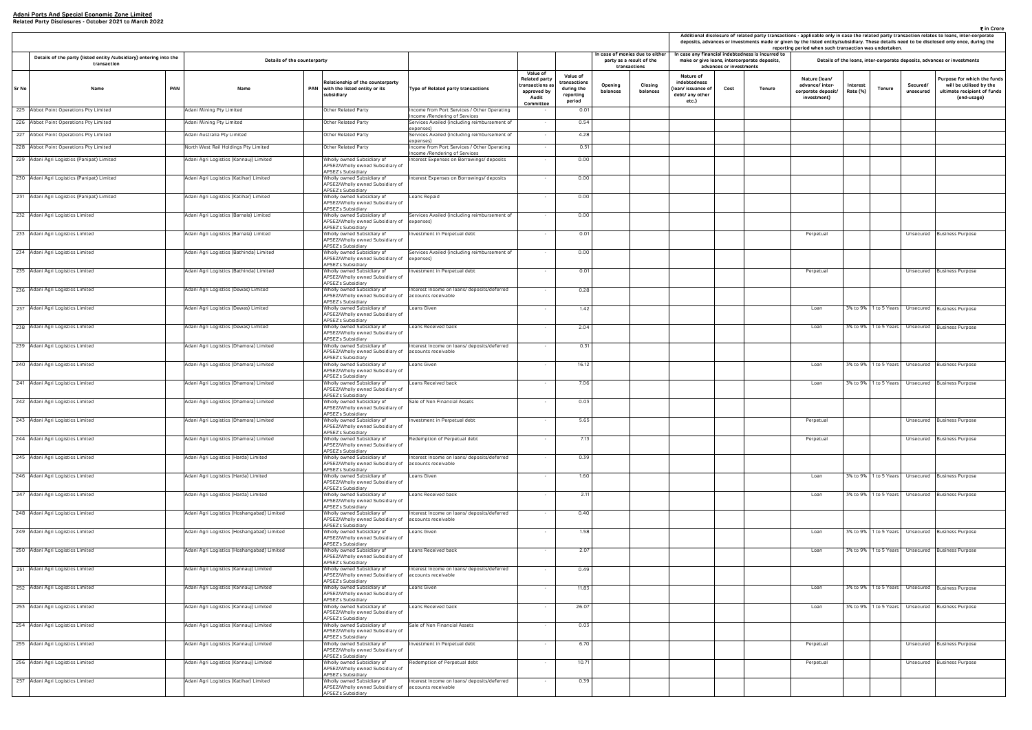|                                                                     |                                 | case any financial indebtedness is incurred to<br>make or give Ioans, intercorporate deposits, | reporting period when such transaction was undertaken.                |                      |                       |                       | Details of the loans, inter-corporate deposits, advances or investments                              |
|---------------------------------------------------------------------|---------------------------------|------------------------------------------------------------------------------------------------|-----------------------------------------------------------------------|----------------------|-----------------------|-----------------------|------------------------------------------------------------------------------------------------------|
| Nature of<br>debtedness<br>n/ issuance of<br>bt/ any other<br>etc.) | advances or investments<br>Cost | Tenure                                                                                         | Nature (Ioan/<br>advance/ inter-<br>corporate deposit/<br>investment) | Interest<br>Rate (%) | Tenure                | Secured/<br>unsecured | Purpose for which the funds<br>will be utilised by the<br>ultimate recipient of funds<br>(end-usage) |
|                                                                     |                                 |                                                                                                |                                                                       |                      |                       |                       |                                                                                                      |
|                                                                     |                                 |                                                                                                |                                                                       |                      |                       |                       |                                                                                                      |
|                                                                     |                                 |                                                                                                |                                                                       |                      |                       |                       |                                                                                                      |
|                                                                     |                                 |                                                                                                |                                                                       |                      |                       |                       |                                                                                                      |
|                                                                     |                                 |                                                                                                |                                                                       |                      |                       |                       |                                                                                                      |
|                                                                     |                                 |                                                                                                |                                                                       |                      |                       |                       |                                                                                                      |
|                                                                     |                                 |                                                                                                | Perpetual                                                             |                      |                       | Unsecured             | <b>Business Purpose</b>                                                                              |
|                                                                     |                                 |                                                                                                |                                                                       |                      |                       |                       |                                                                                                      |
|                                                                     |                                 |                                                                                                | Perpetual                                                             |                      |                       | Unsecured             | <b>Business Purpose</b>                                                                              |
|                                                                     |                                 |                                                                                                |                                                                       |                      |                       |                       |                                                                                                      |
|                                                                     |                                 |                                                                                                | Loan                                                                  | 3% to 9%             | 1 to 5 Years          | Unsecured             | <b>Business Purpose</b>                                                                              |
|                                                                     |                                 |                                                                                                | Loan                                                                  | 3% to 9%             | 1 to 5 Years          | Unsecured             | <b>Business Purpose</b>                                                                              |
|                                                                     |                                 |                                                                                                |                                                                       |                      |                       |                       |                                                                                                      |
|                                                                     |                                 |                                                                                                | Loan                                                                  | 3% to 9%             | 1 to 5 Years          | Unsecured             | <b>Business Purpose</b>                                                                              |
|                                                                     |                                 |                                                                                                | Loan                                                                  | 3% to 9%             | 1 to 5 Years          | Unsecured             | <b>Business Purpose</b>                                                                              |
|                                                                     |                                 |                                                                                                |                                                                       |                      |                       |                       |                                                                                                      |
|                                                                     |                                 |                                                                                                | Perpetual                                                             |                      |                       | Unsecured             | <b>Business Purpose</b>                                                                              |
|                                                                     |                                 |                                                                                                | Perpetual                                                             |                      |                       | Unsecured             | <b>Business Purpose</b>                                                                              |
|                                                                     |                                 |                                                                                                |                                                                       |                      |                       |                       |                                                                                                      |
|                                                                     |                                 |                                                                                                | Loan                                                                  | 3% to 9%             | 1 to 5 Years          | Unsecured             | Business Purpose                                                                                     |
|                                                                     |                                 |                                                                                                | Loan                                                                  | 3% to 9%             | 1 to 5 Years          | Unsecured             | <b>Business Purpose</b>                                                                              |
|                                                                     |                                 |                                                                                                |                                                                       |                      |                       |                       |                                                                                                      |
|                                                                     |                                 |                                                                                                | Loan                                                                  | 3% to 9%             | 1 to 5 Years          | Unsecured             | <b>Business Purpose</b>                                                                              |
|                                                                     |                                 |                                                                                                | Loan                                                                  | 3% to 9%             | 1 to 5 Years          | Unsecured             | <b>Business Purpose</b>                                                                              |
|                                                                     |                                 |                                                                                                |                                                                       |                      |                       |                       |                                                                                                      |
|                                                                     |                                 |                                                                                                | Loan                                                                  |                      | 3% to 9% 1 to 5 Years | Unsecured             | <b>Business Purpose</b>                                                                              |
|                                                                     |                                 |                                                                                                | Loan                                                                  | 3% to 9%             | 1 to 5 Years          | Unsecured             | <b>Business Purpose</b>                                                                              |
|                                                                     |                                 |                                                                                                |                                                                       |                      |                       |                       |                                                                                                      |
|                                                                     |                                 |                                                                                                |                                                                       |                      |                       |                       |                                                                                                      |
|                                                                     |                                 |                                                                                                | Perpetual                                                             |                      |                       | Unsecured             | <b>Business Purpose</b>                                                                              |
|                                                                     |                                 |                                                                                                | Perpetual                                                             |                      |                       | Unsecured             | <b>Business Purpose</b>                                                                              |
|                                                                     |                                 |                                                                                                |                                                                       |                      |                       |                       |                                                                                                      |

|                                                                                   |                                            |                                                                                                          |                                                                              |                                                                                          |                                                               |                     |                                                                             |                                                                           |                         |                                                                                                   |                                                                       | Additional disclosure of related party transactions - applicable only in case the related party transaction relates to loans, inter-co<br>deposits, advances or investments made or given by the listed entity/subsidiary. These details need to be disclosed only once, du<br>reporting period when such transaction was undertaken. |                       |                                                                     |
|-----------------------------------------------------------------------------------|--------------------------------------------|----------------------------------------------------------------------------------------------------------|------------------------------------------------------------------------------|------------------------------------------------------------------------------------------|---------------------------------------------------------------|---------------------|-----------------------------------------------------------------------------|---------------------------------------------------------------------------|-------------------------|---------------------------------------------------------------------------------------------------|-----------------------------------------------------------------------|---------------------------------------------------------------------------------------------------------------------------------------------------------------------------------------------------------------------------------------------------------------------------------------------------------------------------------------|-----------------------|---------------------------------------------------------------------|
| Details of the party (listed entity /subsidiary) entering into the<br>transaction | Details of the counterparty                |                                                                                                          |                                                                              |                                                                                          |                                                               |                     | In case of monies due to either<br>party as a result of the<br>transactions |                                                                           | advances or investments | In case any financial indebtedness is incurred to<br>make or give loans, intercorporate deposits, |                                                                       | Details of the loans, inter-corporate deposits, advances or investmen                                                                                                                                                                                                                                                                 |                       |                                                                     |
| <b>PAN</b><br>Sr No<br>Name                                                       | Name                                       | Relationship of the counterparty<br>PAN with the listed entity or its<br>subsidiary                      | Type of Related party transactions                                           | Value of<br><b>Related party</b><br>transactions a:<br>approved by<br>Audit<br>Committee | Value of<br>:ransactions<br>during the<br>reporting<br>period | Opening<br>balances | Closing<br>balances                                                         | Nature of<br>indebtedness<br>oan/ issuance of<br>debt/ any other<br>etc.) | Cost                    | Tenure                                                                                            | Nature (Ioan/<br>advance/ inter-<br>corporate deposit/<br>investment) | Interest<br>Tenure<br>Rate (%)                                                                                                                                                                                                                                                                                                        | Secured/<br>unsecured | Purpose for whit<br>will be utilise<br>ultimate recipie<br>(end-usa |
| 225 Abbot Point Operations Pty Limited                                            | Adani Mining Pty Limited                   | Other Related Party                                                                                      | Income from Port Services / Other Operating<br>Income /Rendering of Services |                                                                                          | 0.01                                                          |                     |                                                                             |                                                                           |                         |                                                                                                   |                                                                       |                                                                                                                                                                                                                                                                                                                                       |                       |                                                                     |
| 226 Abbot Point Operations Pty Limited                                            | Adani Mining Pty Limited                   | Other Related Party                                                                                      | Services Availed (including reimbursement of<br>expenses)                    |                                                                                          | 0.54                                                          |                     |                                                                             |                                                                           |                         |                                                                                                   |                                                                       |                                                                                                                                                                                                                                                                                                                                       |                       |                                                                     |
| 227 Abbot Point Operations Pty Limited                                            | Adani Australia Pty Limited                | Other Related Party                                                                                      | Services Availed (including reimbursement of                                 | $\sim$                                                                                   | 4.28                                                          |                     |                                                                             |                                                                           |                         |                                                                                                   |                                                                       |                                                                                                                                                                                                                                                                                                                                       |                       |                                                                     |
| 228 Abbot Point Operations Pty Limited                                            | North West Rail Holdings Pty Limited       | Other Related Party                                                                                      | expenses)<br>Income from Port Services / Other Operating                     |                                                                                          | 0.51                                                          |                     |                                                                             |                                                                           |                         |                                                                                                   |                                                                       |                                                                                                                                                                                                                                                                                                                                       |                       |                                                                     |
| 229 Adani Agri Logistics (Panipat) Limited                                        | Adani Agri Logistics (Kannauj) Limited     | Wholly owned Subsidiary of<br>APSEZ/Wholly owned Subsidiary of<br><b>APSEZ's Subsidiary</b>              | Income /Rendering of Services<br>Interest Expenses on Borrowings/ deposits   | $\sim$                                                                                   | 0.00                                                          |                     |                                                                             |                                                                           |                         |                                                                                                   |                                                                       |                                                                                                                                                                                                                                                                                                                                       |                       |                                                                     |
| 230 Adani Agri Logistics (Panipat) Limited                                        | Adani Agri Logistics (Katihar) Limited     | Wholly owned Subsidiary of<br>APSEZ/Wholly owned Subsidiary of<br>APSEZ's Subsidiary                     | Interest Expenses on Borrowings/ deposits                                    |                                                                                          | 0.00                                                          |                     |                                                                             |                                                                           |                         |                                                                                                   |                                                                       |                                                                                                                                                                                                                                                                                                                                       |                       |                                                                     |
| 231 Adani Agri Logistics (Panipat) Limited                                        | Adani Agri Logistics (Katihar) Limited     | Wholly owned Subsidiary of<br>APSEZ/Wholly owned Subsidiary of<br>APSEZ's Subsidiary                     | Loans Repaid                                                                 | $\sim$                                                                                   | 0.00                                                          |                     |                                                                             |                                                                           |                         |                                                                                                   |                                                                       |                                                                                                                                                                                                                                                                                                                                       |                       |                                                                     |
| 232 Adani Agri Logistics Limited                                                  | Adani Agri Logistics (Barnala) Limited     | Wholly owned Subsidiary of<br>APSEZ/Wholly owned Subsidiary of expenses)<br>APSEZ's Subsidiary           | Services Availed (including reimbursement of                                 | $\sim$                                                                                   | 0.00                                                          |                     |                                                                             |                                                                           |                         |                                                                                                   |                                                                       |                                                                                                                                                                                                                                                                                                                                       |                       |                                                                     |
| 233 Adani Agri Logistics Limited                                                  | Adani Agri Logistics (Barnala) Limited     | Wholly owned Subsidiary of<br>APSEZ/Wholly owned Subsidiary of<br>APSEZ's Subsidiary                     | Investment in Perpetual debt                                                 | $\sim$                                                                                   | 0.01                                                          |                     |                                                                             |                                                                           |                         |                                                                                                   | Perpetual                                                             |                                                                                                                                                                                                                                                                                                                                       |                       | Unsecured Business Purpose                                          |
| 234 Adani Agri Logistics Limited                                                  | Adani Agri Logistics (Bathinda) Limited    | Wholly owned Subsidiary of<br>APSEZ/Wholly owned Subsidiary of<br>APSEZ's Subsidiary                     | Services Availed (including reimbursement of<br>expenses)                    | $\sim$                                                                                   | 0.00                                                          |                     |                                                                             |                                                                           |                         |                                                                                                   |                                                                       |                                                                                                                                                                                                                                                                                                                                       |                       |                                                                     |
| 235 Adani Agri Logistics Limited                                                  | Adani Agri Logistics (Bathinda) Limited    | Wholly owned Subsidiary of<br>APSEZ/Wholly owned Subsidiary of<br>APSEZ's Subsidiary                     | Investment in Perpetual debt                                                 | $\sim$                                                                                   | 0.01                                                          |                     |                                                                             |                                                                           |                         |                                                                                                   | Perpetual                                                             |                                                                                                                                                                                                                                                                                                                                       |                       | Unsecured Business Purpose                                          |
| 236 Adani Agri Logistics Limited                                                  | Adani Agri Logistics (Dewas) Limited       | Wholly owned Subsidiary of<br>APSEZ/Wholly owned Subsidiary of<br>APSEZ's Subsidiary                     | Interest Income on loans/ deposits/deferred<br>accounts receivable           | $\sim$                                                                                   | 0.28                                                          |                     |                                                                             |                                                                           |                         |                                                                                                   |                                                                       |                                                                                                                                                                                                                                                                                                                                       |                       |                                                                     |
| 237 Adani Agri Logistics Limited                                                  | Adani Agri Logistics (Dewas) Limited       | Wholly owned Subsidiary of<br>APSEZ/Wholly owned Subsidiary of<br>APSEZ's Subsidiary                     | Loans Given                                                                  | $\sim$                                                                                   | 1.42                                                          |                     |                                                                             |                                                                           |                         |                                                                                                   | Loan                                                                  | 3% to 9% 1 to 5 Years                                                                                                                                                                                                                                                                                                                 |                       | Unsecured Business Purpose                                          |
| 238 Adani Agri Logistics Limited                                                  | Adani Agri Logistics (Dewas) Limited       | Wholly owned Subsidiary of<br>APSEZ/Wholly owned Subsidiary of<br>APSEZ's Subsidiary                     | Loans Received back                                                          | $\sim$                                                                                   | 2.04                                                          |                     |                                                                             |                                                                           |                         |                                                                                                   | Loan                                                                  | 3% to 9% 1 to 5 Years                                                                                                                                                                                                                                                                                                                 |                       | Unsecured Business Purpose                                          |
| 239 Adani Agri Logistics Limited                                                  | Adani Agri Logistics (Dhamora) Limited     | Wholly owned Subsidiary of<br>APSEZ/Wholly owned Subsidiary of accounts receivable<br>APSEZ's Subsidiary | Interest Income on loans/ deposits/deferred                                  |                                                                                          | 0.31                                                          |                     |                                                                             |                                                                           |                         |                                                                                                   |                                                                       |                                                                                                                                                                                                                                                                                                                                       |                       |                                                                     |
| 240 Adani Agri Logistics Limited                                                  | Adani Agri Logistics (Dhamora) Limited     | Wholly owned Subsidiary of<br>APSEZ/Wholly owned Subsidiary of<br>APSEZ's Subsidiary                     | Loans Given                                                                  | $\sim$                                                                                   | 16.12                                                         |                     |                                                                             |                                                                           |                         |                                                                                                   | Loan                                                                  | 3% to 9% 1 to 5 Years                                                                                                                                                                                                                                                                                                                 |                       | Unsecured Business Purpose                                          |
| 241 Adani Agri Logistics Limited                                                  | Adani Agri Logistics (Dhamora) Limited     | Wholly owned Subsidiary of<br>APSEZ/Wholly owned Subsidiary of<br>APSEZ's Subsidiary                     | Loans Received back                                                          | $\sim$                                                                                   | 7.06                                                          |                     |                                                                             |                                                                           |                         |                                                                                                   | Loan                                                                  | 3% to 9%   1 to 5 Years   Unsecured   Business Purpose                                                                                                                                                                                                                                                                                |                       |                                                                     |
| 242 Adani Agri Logistics Limited                                                  | Adani Agri Logistics (Dhamora) Limited     | Wholly owned Subsidiary of<br>APSEZ/Wholly owned Subsidiary of<br>APSEZ's Subsidiary                     | Sale of Non Financial Assets                                                 |                                                                                          | 0.03                                                          |                     |                                                                             |                                                                           |                         |                                                                                                   |                                                                       |                                                                                                                                                                                                                                                                                                                                       |                       |                                                                     |
| 243 Adani Agri Logistics Limited                                                  | Adani Agri Logistics (Dhamora) Limited     | Wholly owned Subsidiary of<br>APSEZ/Wholly owned Subsidiary of<br>APSEZ's Subsidiary                     | Investment in Perpetual debt                                                 |                                                                                          | 5.65                                                          |                     |                                                                             |                                                                           |                         |                                                                                                   | Perpetual                                                             |                                                                                                                                                                                                                                                                                                                                       |                       | Unsecured Business Purpose                                          |
| 244 Adani Agri Logistics Limited                                                  | Adani Agri Logistics (Dhamora) Limited     | Wholly owned Subsidiary of<br>APSEZ/Wholly owned Subsidiary of<br>APSEZ's Subsidiary                     | Redemption of Perpetual debt                                                 |                                                                                          | 7.13                                                          |                     |                                                                             |                                                                           |                         |                                                                                                   | Perpetual                                                             |                                                                                                                                                                                                                                                                                                                                       |                       | Unsecured Business Purpose                                          |
| 245 Adani Agri Logistics Limited                                                  | Adani Agri Logistics (Harda) Limited       | Wholly owned Subsidiary of<br>APSEZ/Wholly owned Subsidiary of accounts receivable<br>APSEZ's Subsidiary | Interest Income on loans/ deposits/deferred                                  |                                                                                          | 0.39                                                          |                     |                                                                             |                                                                           |                         |                                                                                                   |                                                                       |                                                                                                                                                                                                                                                                                                                                       |                       |                                                                     |
| 246 Adani Agri Logistics Limited                                                  | Adani Agri Logistics (Harda) Limited       | Wholly owned Subsidiary of<br>APSEZ/Wholly owned Subsidiary of<br>APSEZ's Subsidiary                     | Loans Given                                                                  | $\sim$                                                                                   | 1.60                                                          |                     |                                                                             |                                                                           |                         |                                                                                                   | Loan                                                                  | 3% to 9%   1 to 5 Years   Unsecured   Business Purpose                                                                                                                                                                                                                                                                                |                       |                                                                     |
| 247 Adani Agri Logistics Limited                                                  | Adani Agri Logistics (Harda) Limited       | Wholly owned Subsidiary of<br>APSEZ/Wholly owned Subsidiary of<br>APSEZ's Subsidiary                     | Loans Received back                                                          | $\sim$                                                                                   | 2.11                                                          |                     |                                                                             |                                                                           |                         |                                                                                                   | Loan                                                                  | 3% to 9%   1 to 5 Years   Unsecured   Business Purpose                                                                                                                                                                                                                                                                                |                       |                                                                     |
| 248 Adani Agri Logistics Limited                                                  | Adani Agri Logistics (Hoshangabad) Limited | Wholly owned Subsidiary of<br>APSEZ/Wholly owned Subsidiary of<br>APSEZ's Subsidiary                     | Interest Income on loans/ deposits/deferred<br>accounts receivable           | $\sim$                                                                                   | 0.40                                                          |                     |                                                                             |                                                                           |                         |                                                                                                   |                                                                       |                                                                                                                                                                                                                                                                                                                                       |                       |                                                                     |
| 249 Adani Agri Logistics Limited                                                  | Adani Agri Logistics (Hoshangabad) Limited | Wholly owned Subsidiary of<br>APSEZ/Wholly owned Subsidiary of<br>APSEZ's Subsidiary                     | Loans Given                                                                  | $\sim$                                                                                   | 1.58                                                          |                     |                                                                             |                                                                           |                         |                                                                                                   | Loan                                                                  | 3% to 9%   1 to 5 Years                                                                                                                                                                                                                                                                                                               |                       | Unsecured Business Purpose                                          |
| 250 Adani Agri Logistics Limited                                                  | Adani Agri Logistics (Hoshangabad) Limited | Wholly owned Subsidiary of<br>APSEZ/Wholly owned Subsidiary of<br>APSEZ's Subsidiary                     | Loans Received back                                                          | $\sim$                                                                                   | 2.07                                                          |                     |                                                                             |                                                                           |                         |                                                                                                   | Loan                                                                  | 3% to 9%   1 to 5 Years                                                                                                                                                                                                                                                                                                               |                       | Unsecured Business Purpose                                          |
| 251 Adani Agri Logistics Limited                                                  | Adani Agri Logistics (Kannauj) Limited     | Wholly owned Subsidiary of<br>APSEZ/Wholly owned Subsidiary of accounts receivable<br>APSEZ's Subsidiary | Interest Income on loans/ deposits/deferred                                  |                                                                                          | 0.49                                                          |                     |                                                                             |                                                                           |                         |                                                                                                   |                                                                       |                                                                                                                                                                                                                                                                                                                                       |                       |                                                                     |
| 252 Adani Agri Logistics Limited                                                  | Adani Agri Logistics (Kannauj) Limited     | Wholly owned Subsidiary of<br>APSEZ/Wholly owned Subsidiary of<br>APSEZ's Subsidiary                     | Loans Given                                                                  | $\sim$                                                                                   | 11.83                                                         |                     |                                                                             |                                                                           |                         |                                                                                                   | Loan                                                                  | 3% to 9% 1 to 5 Years Unsecured Business Purpose                                                                                                                                                                                                                                                                                      |                       |                                                                     |
| 253 Adani Agri Logistics Limited                                                  | Adani Agri Logistics (Kannauj) Limited     | Wholly owned Subsidiary of<br>APSEZ/Wholly owned Subsidiary of<br>APSEZ's Subsidiary                     | Loans Received back                                                          | $\sim$                                                                                   | 26.07                                                         |                     |                                                                             |                                                                           |                         |                                                                                                   | Loan                                                                  | 3% to 9%   1 to 5 Years   Unsecured   Business Purpose                                                                                                                                                                                                                                                                                |                       |                                                                     |
| 254 Adani Agri Logistics Limited                                                  | Adani Agri Logistics (Kannauj) Limited     | Wholly owned Subsidiary of<br>APSEZ/Wholly owned Subsidiary of<br>APSEZ's Subsidiary                     | Sale of Non Financial Assets                                                 |                                                                                          | 0.03                                                          |                     |                                                                             |                                                                           |                         |                                                                                                   |                                                                       |                                                                                                                                                                                                                                                                                                                                       |                       |                                                                     |
| 255 Adani Agri Logistics Limited                                                  | Adani Agri Logistics (Kannauj) Limited     | Wholly owned Subsidiary of<br>APSEZ/Wholly owned Subsidiary of<br>APSEZ's Subsidiary                     | Investment in Perpetual debt                                                 | $\sim$                                                                                   | 6.70                                                          |                     |                                                                             |                                                                           |                         |                                                                                                   | Perpetual                                                             |                                                                                                                                                                                                                                                                                                                                       |                       | Unsecured Business Purpose                                          |
| 256 Adani Agri Logistics Limited                                                  | Adani Agri Logistics (Kannauj) Limited     | Wholly owned Subsidiary of<br>APSEZ/Wholly owned Subsidiary of<br>APSEZ's Subsidiary                     | Redemption of Perpetual debt                                                 | $\sim$                                                                                   | 10.71                                                         |                     |                                                                             |                                                                           |                         |                                                                                                   | Perpetual                                                             |                                                                                                                                                                                                                                                                                                                                       |                       | Unsecured Business Purpose                                          |
| 257 Adani Agri Logistics Limited                                                  | Adani Agri Logistics (Katihar) Limited     | Wholly owned Subsidiary of<br>APSEZ/Wholly owned Subsidiary of accounts receivable<br>APSEZ's Subsidiary | Interest Income on loans/ deposits/deferred                                  |                                                                                          | 0.39                                                          |                     |                                                                             |                                                                           |                         |                                                                                                   |                                                                       |                                                                                                                                                                                                                                                                                                                                       |                       |                                                                     |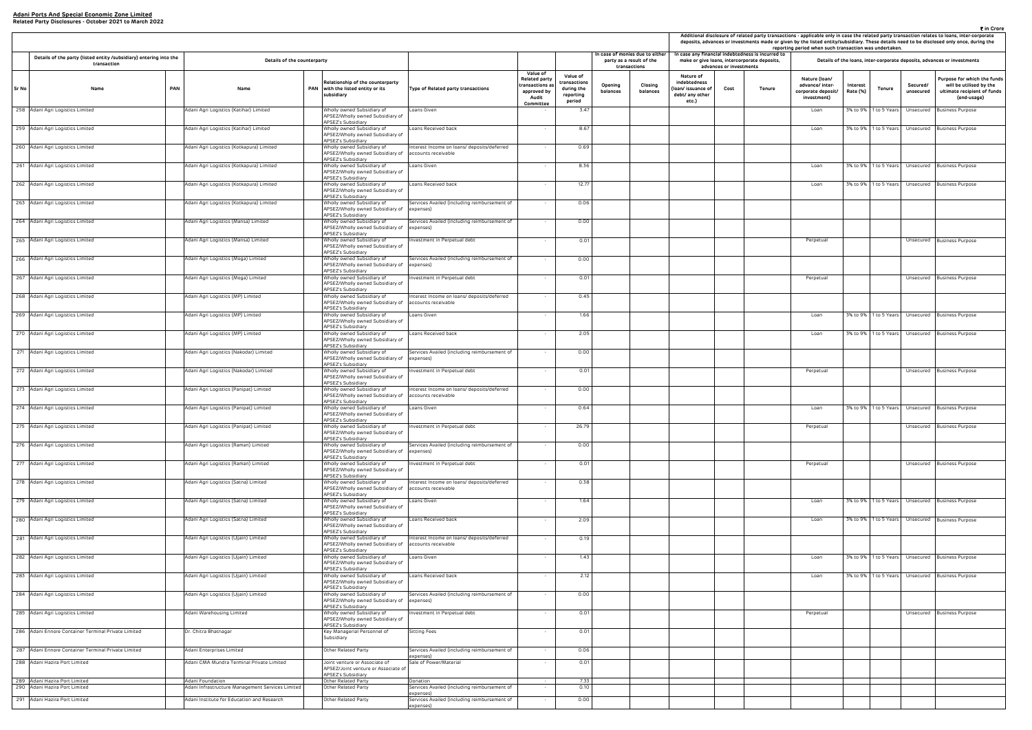|                                                                |                                                                                   |     |                                                                      |                                                                                                                      |                                                                        |                                                                                  |                                                              |                     |                                                                            |                                                                                                   |                         |        | reporting period when such transaction was undertaken.                |                      |        |                       | ₹ in Crore<br>Additional disclosure of related party transactions - applicable only in case the related party transaction relates to loans, inter-corporate<br>deposits, advances or investments made or given by the listed entity/subsidiary. These details need to be disclosed only once, during the |
|----------------------------------------------------------------|-----------------------------------------------------------------------------------|-----|----------------------------------------------------------------------|----------------------------------------------------------------------------------------------------------------------|------------------------------------------------------------------------|----------------------------------------------------------------------------------|--------------------------------------------------------------|---------------------|----------------------------------------------------------------------------|---------------------------------------------------------------------------------------------------|-------------------------|--------|-----------------------------------------------------------------------|----------------------|--------|-----------------------|----------------------------------------------------------------------------------------------------------------------------------------------------------------------------------------------------------------------------------------------------------------------------------------------------------|
|                                                                | Details of the party (listed entity /subsidiary) entering into the<br>transaction |     | Details of the counterparty                                          |                                                                                                                      |                                                                        |                                                                                  |                                                              |                     | n case of monies due to either<br>party as a result of the<br>transactions | In case any financial indebtedness is incurred to<br>make or give loans, intercorporate deposits, | advances or investments |        |                                                                       |                      |        |                       | Details of the loans, inter-corporate deposits, advances or investments                                                                                                                                                                                                                                  |
| Sr No                                                          | Name                                                                              | PAN | Name                                                                 | Relationship of the counterparty<br>PAN with the listed entity or its<br>subsidiary                                  | Type of Related party transactions                                     | Value of<br>Related party<br>transactions a<br>approved by<br>Audit<br>Committee | Value of<br>ransactions<br>during the<br>reporting<br>period | Opening<br>balances | Closing<br>balances                                                        | Nature of<br>indebtedness<br>loan/ issuance of<br>debt/ any other<br>etc.)                        | Cost                    | Tenure | Nature (Ioan/<br>advance/ inter-<br>corporate deposit/<br>investment) | Interest<br>Rate (%) | Tenure | Secured/<br>unsecured | Purpose for which the funds<br>will be utilised by the<br>ultimate recipient of funds<br>(end-usage)                                                                                                                                                                                                     |
| 258 Adani Agri Logistics Limited                               |                                                                                   |     | Adani Agri Logistics (Katihar) Limited                               | Wholly owned Subsidiary of<br>APSEZ/Wholly owned Subsidiary of<br>APSEZ's Subsidiary                                 | Loans Given                                                            |                                                                                  | 3.47                                                         |                     |                                                                            |                                                                                                   |                         |        | Loan                                                                  |                      |        |                       | 3% to 9%   1 to 5 Years   Unsecured   Business Purpose                                                                                                                                                                                                                                                   |
| 259 Adani Agri Logistics Limited                               |                                                                                   |     | Adani Agri Logistics (Katihar) Limited                               | Wholly owned Subsidiary of<br>APSEZ/Wholly owned Subsidiary of<br>APSEZ's Subsidiary                                 | Loans Received back                                                    |                                                                                  | 8.67                                                         |                     |                                                                            |                                                                                                   |                         |        | Loan                                                                  |                      |        |                       | 3% to 9%   1 to 5 Years   Unsecured   Business Purpose                                                                                                                                                                                                                                                   |
| 260 Adani Agri Logistics Limited                               |                                                                                   |     | Adani Agri Logistics (Kotkapura) Limited                             | Wholly owned Subsidiary of<br>APSEZ/Wholly owned Subsidiary of<br>APSEZ's Subsidiary                                 | Interest Income on loans/ deposits/deferred<br>accounts receivable     |                                                                                  | 0.69                                                         |                     |                                                                            |                                                                                                   |                         |        |                                                                       |                      |        |                       |                                                                                                                                                                                                                                                                                                          |
| 261 Adani Agri Logistics Limited                               |                                                                                   |     | Adani Agri Logistics (Kotkapura) Limited                             | Wholly owned Subsidiary of<br>APSEZ/Wholly owned Subsidiary of<br><b>APSEZ's Subsidiary</b>                          | Loans Given                                                            |                                                                                  | 8.36                                                         |                     |                                                                            |                                                                                                   |                         |        | Loan                                                                  |                      |        |                       | 3% to 9%   1 to 5 Years   Unsecured   Business Purpose                                                                                                                                                                                                                                                   |
| 262 Adani Agri Logistics Limited                               |                                                                                   |     | Adani Agri Logistics (Kotkapura) Limited                             | Wholly owned Subsidiary of<br>APSEZ/Wholly owned Subsidiary of<br>APSEZ's Subsidiary                                 | Loans Received back                                                    |                                                                                  | 12.77                                                        |                     |                                                                            |                                                                                                   |                         |        | Loan                                                                  |                      |        |                       | 3% to 9%   1 to 5 Years   Unsecured   Business Purpose                                                                                                                                                                                                                                                   |
| 263 Adani Agri Logistics Limited                               |                                                                                   |     | Adani Agri Logistics (Kotkapura) Limited                             | Wholly owned Subsidiary of<br>APSEZ/Wholly owned Subsidiary of<br>APSEZ's Subsidiary                                 | Services Availed (including reimbursement of<br>expenses)              |                                                                                  | 0.06                                                         |                     |                                                                            |                                                                                                   |                         |        |                                                                       |                      |        |                       |                                                                                                                                                                                                                                                                                                          |
| 264 Adani Agri Logistics Limited                               |                                                                                   |     | Adani Agri Logistics (Mansa) Limited                                 | Wholly owned Subsidiary of<br>APSEZ/Wholly owned Subsidiary of<br>APSEZ's Subsidiary                                 | Services Availed (including reimbursement of<br>expenses)              |                                                                                  | 0.00                                                         |                     |                                                                            |                                                                                                   |                         |        |                                                                       |                      |        |                       |                                                                                                                                                                                                                                                                                                          |
| 265 Adani Agri Logistics Limited                               |                                                                                   |     | Adani Agri Logistics (Mansa) Limited                                 | Wholly owned Subsidiary of<br>APSEZ/Wholly owned Subsidiary of<br>APSEZ's Subsidiary                                 | Investment in Perpetual debt                                           |                                                                                  | 0.01                                                         |                     |                                                                            |                                                                                                   |                         |        | Perpetual                                                             |                      |        |                       | Unsecured Business Purpose                                                                                                                                                                                                                                                                               |
| 266 Adani Agri Logistics Limited                               |                                                                                   |     | Adani Agri Logistics (Moga) Limited                                  | Wholly owned Subsidiary of<br>APSEZ/Wholly owned Subsidiary of<br>APSEZ's Subsidiary                                 | Services Availed (including reimbursement of<br>expenses)              |                                                                                  | 0.00                                                         |                     |                                                                            |                                                                                                   |                         |        |                                                                       |                      |        |                       |                                                                                                                                                                                                                                                                                                          |
| 267 Adani Agri Logistics Limited                               |                                                                                   |     | Adani Agri Logistics (Moga) Limited                                  | Wholly owned Subsidiary of<br>APSEZ/Wholly owned Subsidiary of<br>APSEZ's Subsidiary                                 | westment in Perpetual debt                                             |                                                                                  | 0.01                                                         |                     |                                                                            |                                                                                                   |                         |        | Perpetual                                                             |                      |        |                       | Unsecured Business Purpose                                                                                                                                                                                                                                                                               |
| 268 Adani Agri Logistics Limited                               |                                                                                   |     | Adani Agri Logistics (MP) Limited                                    | Wholly owned Subsidiary of<br>APSEZ/Wholly owned Subsidiary of<br>APSEZ's Subsidiary                                 | Interest Income on loans/ deposits/deferred<br>accounts receivable     |                                                                                  | 0.45                                                         |                     |                                                                            |                                                                                                   |                         |        |                                                                       |                      |        |                       |                                                                                                                                                                                                                                                                                                          |
| 269 Adani Agri Logistics Limited                               |                                                                                   |     | Adani Agri Logistics (MP) Limited                                    | Wholly owned Subsidiary of<br>APSEZ/Wholly owned Subsidiary of<br>APSEZ's Subsidiary                                 | Loans Given                                                            |                                                                                  | 1.66                                                         |                     |                                                                            |                                                                                                   |                         |        | Loan                                                                  |                      |        |                       | 3% to 9%   1 to 5 Years   Unsecured   Business Purpose                                                                                                                                                                                                                                                   |
| 270 Adani Agri Logistics Limited                               |                                                                                   |     | Adani Agri Logistics (MP) Limited                                    | Wholly owned Subsidiary of<br>APSEZ/Wholly owned Subsidiary of<br>APSEZ's Subsidiary                                 | Loans Received back                                                    |                                                                                  | 2.05                                                         |                     |                                                                            |                                                                                                   |                         |        | Loan                                                                  |                      |        |                       | 3% to 9%   1 to 5 Years   Unsecured   Business Purpose                                                                                                                                                                                                                                                   |
| 271 Adani Agri Logistics Limited                               |                                                                                   |     | Adani Agri Logistics (Nakodar) Limited                               | Wholly owned Subsidiary of<br>APSEZ/Wholly owned Subsidiary of                                                       | Services Availed (including reimbursement of<br>expenses)              |                                                                                  | 0.00                                                         |                     |                                                                            |                                                                                                   |                         |        |                                                                       |                      |        |                       |                                                                                                                                                                                                                                                                                                          |
| 272 Adani Agri Logistics Limited                               |                                                                                   |     | Adani Agri Logistics (Nakodar) Limited                               | APSEZ's Subsidiary<br>Wholly owned Subsidiary of<br>APSEZ/Wholly owned Subsidiary of<br>APSEZ's Subsidiary           | nvestment in Perpetual debt                                            |                                                                                  | 0.01                                                         |                     |                                                                            |                                                                                                   |                         |        | Perpetual                                                             |                      |        |                       | Unsecured Business Purpose                                                                                                                                                                                                                                                                               |
| 273 Adani Agri Logistics Limited                               |                                                                                   |     | Adani Agri Logistics (Panipat) Limited                               | Wholly owned Subsidiary of<br>APSEZ/Wholly owned Subsidiary of<br>APSEZ's Subsidiary                                 | Interest Income on loans/ deposits/deferred<br>accounts receivable     |                                                                                  | 0.00                                                         |                     |                                                                            |                                                                                                   |                         |        |                                                                       |                      |        |                       |                                                                                                                                                                                                                                                                                                          |
| 274 Adani Agri Logistics Limited                               |                                                                                   |     | Adani Agri Logistics (Panipat) Limited                               | Wholly owned Subsidiary of<br>APSEZ/Wholly owned Subsidiary of                                                       | Loans Given                                                            |                                                                                  | 0.64                                                         |                     |                                                                            |                                                                                                   |                         |        | Loan                                                                  |                      |        |                       | 3% to 9%   1 to 5 Years   Unsecured   Business Purpose                                                                                                                                                                                                                                                   |
| 275 Adani Agri Logistics Limited                               |                                                                                   |     | Adani Agri Logistics (Panipat) Limited                               | APSEZ's Subsidiary<br>Wholly owned Subsidiary of<br>APSEZ/Wholly owned Subsidiary of                                 | nvestment in Perpetual debt                                            |                                                                                  | 26.79                                                        |                     |                                                                            |                                                                                                   |                         |        | Perpetual                                                             |                      |        |                       | Unsecured Business Purpose                                                                                                                                                                                                                                                                               |
| 276 Adani Agri Logistics Limited                               |                                                                                   |     | Adani Agri Logistics (Raman) Limited                                 | APSEZ's Subsidiary<br>Wholly owned Subsidiary of<br>APSEZ/Wholly owned Subsidiary of expenses)<br>APSEZ's Subsidiary | Services Availed (including reimbursement of                           |                                                                                  | 0.00                                                         |                     |                                                                            |                                                                                                   |                         |        |                                                                       |                      |        |                       |                                                                                                                                                                                                                                                                                                          |
| 277 Adani Agri Logistics Limited                               |                                                                                   |     | Adani Agri Logistics (Raman) Limited                                 | Wholly owned Subsidiary of<br>APSEZ/Wholly owned Subsidiary of                                                       | Investment in Perpetual debt                                           |                                                                                  | 0.01                                                         |                     |                                                                            |                                                                                                   |                         |        | Perpetual                                                             |                      |        |                       | Unsecured Business Purpose                                                                                                                                                                                                                                                                               |
| 278 Adani Agri Logistics Limited                               |                                                                                   |     | Adani Agri Logistics (Satna) Limited                                 | APSEZ's Subsidiary<br>Wholly owned Subsidiary of<br>APSEZ/Wholly owned Subsidiary of<br>APSEZ's Subsidiary           | Interest Income on loans/ deposits/deferred<br>accounts receivable     |                                                                                  | 0.38                                                         |                     |                                                                            |                                                                                                   |                         |        |                                                                       |                      |        |                       |                                                                                                                                                                                                                                                                                                          |
| 279 Adani Agri Logistics Limited                               |                                                                                   |     | Adani Agri Logistics (Satna) Limited                                 | Wholly owned Subsidiary of<br>APSEZ/Wholly owned Subsidiary of                                                       | Loans Given                                                            |                                                                                  | 1.64                                                         |                     |                                                                            |                                                                                                   |                         |        | Loan                                                                  |                      |        |                       | 3% to 9%   1 to 5 Years   Unsecured   Business Purpose                                                                                                                                                                                                                                                   |
| 280 Adani Agri Logistics Limited                               |                                                                                   |     | Adani Agri Logistics (Satna) Limited                                 | APSEZ's Subsidiary<br>Wholly owned Subsidiary of<br>APSEZ/Wholly owned Subsidiary of<br>APSEZ's Subsidiary           | Loans Received back                                                    |                                                                                  | 2.09                                                         |                     |                                                                            |                                                                                                   |                         |        | Loan                                                                  |                      |        |                       | 3% to 9%   1 to 5 Years   Unsecured Business Purpose                                                                                                                                                                                                                                                     |
| 281 Adani Agri Logistics Limited                               |                                                                                   |     | Adani Agri Logistics (Ujjain) Limited                                | Wholly owned Subsidiary of<br>APSEZ/Wholly owned Subsidiary of accounts receivable<br>APSEZ's Subsidiary             | Interest Income on loans/ deposits/deferred                            |                                                                                  | 0.19                                                         |                     |                                                                            |                                                                                                   |                         |        |                                                                       |                      |        |                       |                                                                                                                                                                                                                                                                                                          |
| 282 Adani Agri Logistics Limited                               |                                                                                   |     | Adani Agri Logistics (Ujjain) Limited                                | Wholly owned Subsidiary of<br>APSEZ/Wholly owned Subsidiary of<br>APSEZ's Subsidiary                                 | Loans Given                                                            |                                                                                  | 1.43                                                         |                     |                                                                            |                                                                                                   |                         |        | Loan                                                                  |                      |        |                       | 3% to 9%   1 to 5 Years   Unsecured   Business Purpose                                                                                                                                                                                                                                                   |
| 283 Adani Agri Logistics Limited                               |                                                                                   |     | Adani Agri Logistics (Ujjain) Limited                                | Wholly owned Subsidiary of<br>APSEZ/Wholly owned Subsidiary of<br>APSEZ's Subsidiary                                 | Loans Received back                                                    |                                                                                  | 2.12                                                         |                     |                                                                            |                                                                                                   |                         |        | Loan                                                                  |                      |        |                       | 3% to 9%   1 to 5 Years   Unsecured   Business Purpose                                                                                                                                                                                                                                                   |
| 284 Adani Agri Logistics Limited                               |                                                                                   |     | Adani Agri Logistics (Ujjain) Limited                                | Wholly owned Subsidiary of<br>APSEZ/Wholly owned Subsidiary of expenses)                                             | Services Availed (including reimbursement of                           |                                                                                  | 0.00                                                         |                     |                                                                            |                                                                                                   |                         |        |                                                                       |                      |        |                       |                                                                                                                                                                                                                                                                                                          |
| 285 Adani Agri Logistics Limited                               |                                                                                   |     | Adani Warehousing Limited                                            | APSEZ's Subsidiary<br>Wholly owned Subsidiary of<br>APSEZ/Wholly owned Subsidiary of                                 | Investment in Perpetual debt                                           |                                                                                  | 0.01                                                         |                     |                                                                            |                                                                                                   |                         |        | Perpetual                                                             |                      |        |                       | Unsecured Business Purpose                                                                                                                                                                                                                                                                               |
|                                                                | 286 Adani Ennore Container Terminal Private Limited                               |     | Dr. Chitra Bhatnagar                                                 | APSEZ's Subsidiary<br>Key Managerial Personnel of<br>Subsidiary                                                      | Sitting Fees                                                           |                                                                                  | 0.01                                                         |                     |                                                                            |                                                                                                   |                         |        |                                                                       |                      |        |                       |                                                                                                                                                                                                                                                                                                          |
|                                                                | 287 Adani Ennore Container Terminal Private Limited                               |     | Adani Enterprises Limited                                            | Other Related Party                                                                                                  | Services Availed (including reimbursement of<br>expenses).             |                                                                                  | 0.06                                                         |                     |                                                                            |                                                                                                   |                         |        |                                                                       |                      |        |                       |                                                                                                                                                                                                                                                                                                          |
| 288 Adani Hazira Port Limited                                  |                                                                                   |     | Adani CMA Mundra Terminal Private Limited                            | Joint venture or Associate of<br>APSEZ/Joint venture or Associate of<br>APSEZ's Subsidiary                           | Sale of Power/Material                                                 |                                                                                  | 0.01                                                         |                     |                                                                            |                                                                                                   |                         |        |                                                                       |                      |        |                       |                                                                                                                                                                                                                                                                                                          |
| 289 Adani Hazira Port Limited<br>290 Adani Hazira Port Limited |                                                                                   |     | Adani Foundation<br>Adani Infrastructure Management Services Limited | Other Related Party<br>Other Related Party                                                                           | Donation<br>Services Availed (including reimbursement of               |                                                                                  | 7.33<br>0.10                                                 |                     |                                                                            |                                                                                                   |                         |        |                                                                       |                      |        |                       |                                                                                                                                                                                                                                                                                                          |
| 291 Adani Hazira Port Limited                                  |                                                                                   |     | Adani Institute for Education and Research                           | Other Related Party                                                                                                  | expenses)<br>Services Availed (including reimbursement of<br>expenses) |                                                                                  | 0.00                                                         |                     |                                                                            |                                                                                                   |                         |        |                                                                       |                      |        |                       |                                                                                                                                                                                                                                                                                                          |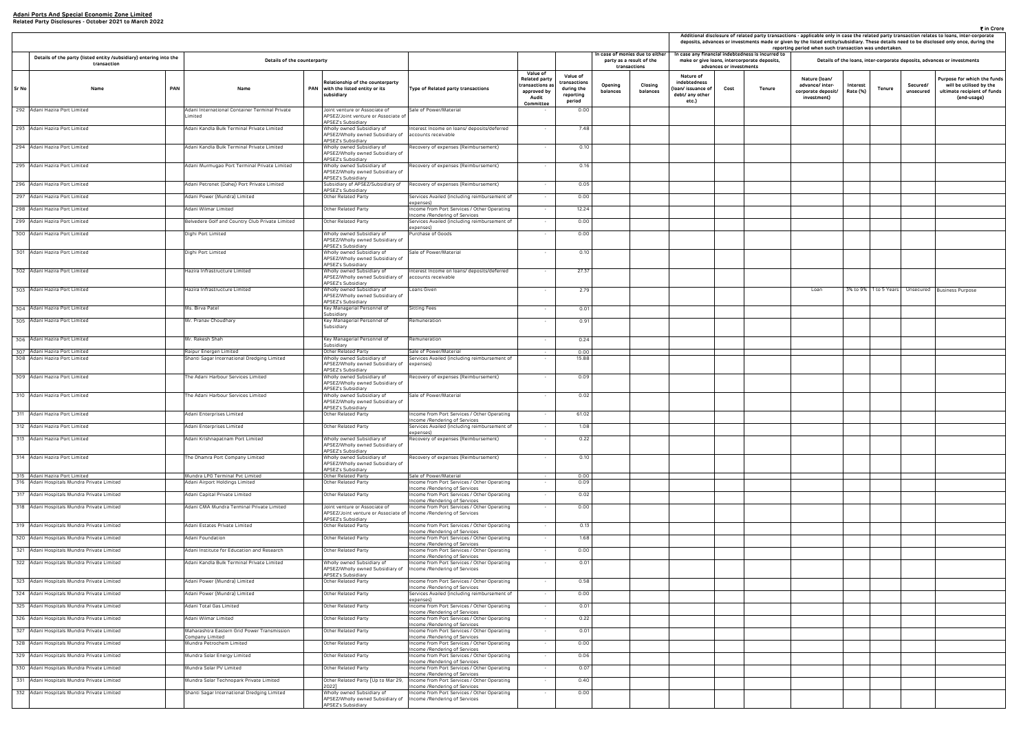|                                                                     |                                 |                                                                                                |                                                                       |                      |               |                       | ₹ in Crore<br>Additional disclosure of related party transactions - applicable only in case the related party transaction relates to loans, inter-corporate<br>deposits, advances or investments made or given by the listed entity/subsidiary. These details need to be disclosed only once, during the |
|---------------------------------------------------------------------|---------------------------------|------------------------------------------------------------------------------------------------|-----------------------------------------------------------------------|----------------------|---------------|-----------------------|----------------------------------------------------------------------------------------------------------------------------------------------------------------------------------------------------------------------------------------------------------------------------------------------------------|
|                                                                     |                                 | case any financial indebtedness is incurred to<br>make or give loans, intercorporate deposits, | reporting period when such transaction was undertaken.                |                      |               |                       | Details of the loans, inter-corporate deposits, advances or investments                                                                                                                                                                                                                                  |
| Nature of<br>debtedness<br>n/ issuance of<br>bt/ any other<br>etc.) | advances or investments<br>Cost | Tenure                                                                                         | Nature (Ioan/<br>advance/ inter-<br>corporate deposit/<br>investment) | Interest<br>Rate (%) | <b>Tenure</b> | Secured/<br>unsecured | Purpose for which the funds<br>will be utilised by the<br>ultimate recipient of funds<br>(end-usage)                                                                                                                                                                                                     |
|                                                                     |                                 |                                                                                                |                                                                       |                      |               |                       |                                                                                                                                                                                                                                                                                                          |
|                                                                     |                                 |                                                                                                |                                                                       |                      |               |                       |                                                                                                                                                                                                                                                                                                          |
|                                                                     |                                 |                                                                                                |                                                                       |                      |               |                       |                                                                                                                                                                                                                                                                                                          |
|                                                                     |                                 |                                                                                                |                                                                       |                      |               |                       |                                                                                                                                                                                                                                                                                                          |
|                                                                     |                                 |                                                                                                |                                                                       |                      |               |                       |                                                                                                                                                                                                                                                                                                          |
|                                                                     |                                 |                                                                                                |                                                                       |                      |               |                       |                                                                                                                                                                                                                                                                                                          |
|                                                                     |                                 |                                                                                                |                                                                       |                      |               |                       |                                                                                                                                                                                                                                                                                                          |
|                                                                     |                                 |                                                                                                |                                                                       |                      |               |                       |                                                                                                                                                                                                                                                                                                          |
|                                                                     |                                 |                                                                                                |                                                                       |                      |               |                       |                                                                                                                                                                                                                                                                                                          |
|                                                                     |                                 |                                                                                                | Loan                                                                  | 3% to 9%             | 1 to 5 Years  | Unsecured             | <b>Business Purpose</b>                                                                                                                                                                                                                                                                                  |
|                                                                     |                                 |                                                                                                |                                                                       |                      |               |                       |                                                                                                                                                                                                                                                                                                          |
|                                                                     |                                 |                                                                                                |                                                                       |                      |               |                       |                                                                                                                                                                                                                                                                                                          |
|                                                                     |                                 |                                                                                                |                                                                       |                      |               |                       |                                                                                                                                                                                                                                                                                                          |
|                                                                     |                                 |                                                                                                |                                                                       |                      |               |                       |                                                                                                                                                                                                                                                                                                          |
|                                                                     |                                 |                                                                                                |                                                                       |                      |               |                       |                                                                                                                                                                                                                                                                                                          |
|                                                                     |                                 |                                                                                                |                                                                       |                      |               |                       |                                                                                                                                                                                                                                                                                                          |
|                                                                     |                                 |                                                                                                |                                                                       |                      |               |                       |                                                                                                                                                                                                                                                                                                          |
|                                                                     |                                 |                                                                                                |                                                                       |                      |               |                       |                                                                                                                                                                                                                                                                                                          |
|                                                                     |                                 |                                                                                                |                                                                       |                      |               |                       |                                                                                                                                                                                                                                                                                                          |
|                                                                     |                                 |                                                                                                |                                                                       |                      |               |                       |                                                                                                                                                                                                                                                                                                          |
|                                                                     |                                 |                                                                                                |                                                                       |                      |               |                       |                                                                                                                                                                                                                                                                                                          |
|                                                                     |                                 |                                                                                                |                                                                       |                      |               |                       |                                                                                                                                                                                                                                                                                                          |
|                                                                     |                                 |                                                                                                |                                                                       |                      |               |                       |                                                                                                                                                                                                                                                                                                          |
|                                                                     |                                 |                                                                                                |                                                                       |                      |               |                       |                                                                                                                                                                                                                                                                                                          |
|                                                                     |                                 |                                                                                                |                                                                       |                      |               |                       |                                                                                                                                                                                                                                                                                                          |
|                                                                     |                                 |                                                                                                |                                                                       |                      |               |                       |                                                                                                                                                                                                                                                                                                          |
|                                                                     |                                 |                                                                                                |                                                                       |                      |               |                       |                                                                                                                                                                                                                                                                                                          |
|                                                                     |                                 |                                                                                                |                                                                       |                      |               |                       |                                                                                                                                                                                                                                                                                                          |
|                                                                     |                                 |                                                                                                |                                                                       |                      |               |                       |                                                                                                                                                                                                                                                                                                          |
|                                                                     |                                 |                                                                                                |                                                                       |                      |               |                       |                                                                                                                                                                                                                                                                                                          |
|                                                                     |                                 |                                                                                                |                                                                       |                      |               |                       |                                                                                                                                                                                                                                                                                                          |
|                                                                     |                                 |                                                                                                |                                                                       |                      |               |                       |                                                                                                                                                                                                                                                                                                          |
|                                                                     |                                 |                                                                                                |                                                                       |                      |               |                       |                                                                                                                                                                                                                                                                                                          |

|       |                                                                                   |            |                                                                |     |                                                                                                       |                                                                                                               |                                                                                  |                                                              |                                                                             |                                                                            |                         |                                                                                                   |                                                                       | Additional disclosure of related party transactions - applicable only in case the related party transaction relates to loans, inter-co<br>deposits, advances or investments made or given by the listed entity/subsidiary. These details need to be disclosed only once, du<br>reporting period when such transaction was undertaken. |                       |                                                                     |
|-------|-----------------------------------------------------------------------------------|------------|----------------------------------------------------------------|-----|-------------------------------------------------------------------------------------------------------|---------------------------------------------------------------------------------------------------------------|----------------------------------------------------------------------------------|--------------------------------------------------------------|-----------------------------------------------------------------------------|----------------------------------------------------------------------------|-------------------------|---------------------------------------------------------------------------------------------------|-----------------------------------------------------------------------|---------------------------------------------------------------------------------------------------------------------------------------------------------------------------------------------------------------------------------------------------------------------------------------------------------------------------------------|-----------------------|---------------------------------------------------------------------|
|       | Details of the party (listed entity /subsidiary) entering into the<br>transaction |            | Details of the counterparty                                    |     |                                                                                                       |                                                                                                               |                                                                                  |                                                              | In case of monies due to either<br>party as a result of the<br>transactions |                                                                            | advances or investments | In case any financial indebtedness is incurred to<br>make or give loans, intercorporate deposits, |                                                                       | Details of the loans, inter-corporate deposits, advances or investmen                                                                                                                                                                                                                                                                 |                       |                                                                     |
| Sr No | Name                                                                              | <b>PAN</b> | Name                                                           | PAN | Relationship of the counterparty<br>with the listed entity or its<br>subsidiary                       | Type of Related party transactions                                                                            | Value of<br>Related party<br>ransactions a:<br>approved by<br>Audit<br>Committee | Value of<br>ransactions<br>during the<br>reporting<br>period | Closing<br>Opening<br>balances<br>balances                                  | Nature of<br>indebtedness<br>loan/ issuance of<br>debt/ any other<br>etc.) | Cost                    | Tenure                                                                                            | Nature (Ioan/<br>advance/ inter-<br>corporate deposit/<br>investment) | Interest<br>Tenure<br>Rate (%)                                                                                                                                                                                                                                                                                                        | Secured/<br>unsecured | Purpose for whit<br>will be utilise<br>ultimate recipie<br>(end-usa |
|       | 292 Adani Hazira Port Limited                                                     |            | Adani International Container Terminal Private<br>.imited      |     | Joint venture or Associate of<br>APSEZ/Joint venture or Associate of                                  | Sale of Power/Material                                                                                        |                                                                                  | 0.00                                                         |                                                                             |                                                                            |                         |                                                                                                   |                                                                       |                                                                                                                                                                                                                                                                                                                                       |                       |                                                                     |
|       | 293 Adani Hazira Port Limited                                                     |            | Adani Kandla Bulk Terminal Private Limited                     |     | APSEZ's Subsidiary<br>Wholly owned Subsidiary of<br>APSEZ/Wholly owned Subsidiary of                  | Interest Income on loans/ deposits/deferred<br>accounts receivable                                            |                                                                                  | 7.48                                                         |                                                                             |                                                                            |                         |                                                                                                   |                                                                       |                                                                                                                                                                                                                                                                                                                                       |                       |                                                                     |
|       | 294 Adani Hazira Port Limited                                                     |            | Adani Kandla Bulk Terminal Private Limited                     |     | APSEZ's Subsidiary<br>Wholly owned Subsidiary of<br>APSEZ/Wholly owned Subsidiary of                  | Recovery of expenses (Reimbursement)                                                                          | $\sim$                                                                           | 0.10                                                         |                                                                             |                                                                            |                         |                                                                                                   |                                                                       |                                                                                                                                                                                                                                                                                                                                       |                       |                                                                     |
|       | 295 Adani Hazira Port Limited                                                     |            | Adani Murmugao Port Terminal Private Limited                   |     | APSEZ's Subsidiary<br>Wholly owned Subsidiary of                                                      | Recovery of expenses (Reimbursement)                                                                          | $\sim$                                                                           | 0.16                                                         |                                                                             |                                                                            |                         |                                                                                                   |                                                                       |                                                                                                                                                                                                                                                                                                                                       |                       |                                                                     |
|       | 296 Adani Hazira Port Limited                                                     |            | Adani Petronet (Dahej) Port Private Limited                    |     | APSEZ/Wholly owned Subsidiary of<br>APSEZ's Subsidiary<br>Subsidiary of APSEZ/Subsidiary of           | Recovery of expenses (Reimbursement)                                                                          | $\sim$                                                                           | 0.05                                                         |                                                                             |                                                                            |                         |                                                                                                   |                                                                       |                                                                                                                                                                                                                                                                                                                                       |                       |                                                                     |
|       | 297 Adani Hazira Port Limited                                                     |            | Adani Power (Mundra) Limited                                   |     | APSEZ's Subsidiary<br>Other Related Party                                                             | Services Availed (including reimbursement of                                                                  | $\sim$                                                                           | 0.00                                                         |                                                                             |                                                                            |                         |                                                                                                   |                                                                       |                                                                                                                                                                                                                                                                                                                                       |                       |                                                                     |
|       | 298 Adani Hazira Port Limited                                                     |            | Adani Wilmar Limited                                           |     | Other Related Party                                                                                   | expenses)<br>Income from Port Services / Other Operating                                                      | $\sim$                                                                           | 12.24                                                        |                                                                             |                                                                            |                         |                                                                                                   |                                                                       |                                                                                                                                                                                                                                                                                                                                       |                       |                                                                     |
|       | 299 Adani Hazira Port Limited                                                     |            | Belvedere Golf and Country Club Private Limited                |     | Other Related Party                                                                                   | ncome /Rendering of Services<br>Services Availed (including reimbursement of                                  | $\sim$                                                                           | 0.00                                                         |                                                                             |                                                                            |                         |                                                                                                   |                                                                       |                                                                                                                                                                                                                                                                                                                                       |                       |                                                                     |
|       | 300 Adani Hazira Port Limited                                                     |            | )ighi Port Limited                                             |     | Wholly owned Subsidiary of                                                                            | expenses)<br>Purchase of Goods                                                                                |                                                                                  | 0.00                                                         |                                                                             |                                                                            |                         |                                                                                                   |                                                                       |                                                                                                                                                                                                                                                                                                                                       |                       |                                                                     |
|       |                                                                                   |            |                                                                |     | APSEZ/Wholly owned Subsidiary of<br><b>APSEZ's Subsidiary</b>                                         |                                                                                                               |                                                                                  |                                                              |                                                                             |                                                                            |                         |                                                                                                   |                                                                       |                                                                                                                                                                                                                                                                                                                                       |                       |                                                                     |
|       | 301 Adani Hazira Port Limited                                                     |            | Dighi Port Limited                                             |     | Wholly owned Subsidiary of<br>APSEZ/Wholly owned Subsidiary of                                        | Sale of Power/Material                                                                                        | $\sim$                                                                           | 0.10                                                         |                                                                             |                                                                            |                         |                                                                                                   |                                                                       |                                                                                                                                                                                                                                                                                                                                       |                       |                                                                     |
|       | 302 Adani Hazira Port Limited                                                     |            | Hazira Infrastructure Limited                                  |     | <b>APSEZ's Subsidiary</b><br>Wholly owned Subsidiary of<br>APSEZ/Wholly owned Subsidiary of           | Interest Income on loans/ deposits/deferred<br>accounts receivable                                            | $\sim$                                                                           | 27.37                                                        |                                                                             |                                                                            |                         |                                                                                                   |                                                                       |                                                                                                                                                                                                                                                                                                                                       |                       |                                                                     |
|       | 303 Adani Hazira Port Limited                                                     |            | Hazira Infrastructure Limited                                  |     | APSEZ's Subsidiary<br>Wholly owned Subsidiary of<br>APSEZ/Wholly owned Subsidiary of                  | Loans Given                                                                                                   |                                                                                  | 2.79                                                         |                                                                             |                                                                            |                         |                                                                                                   | Loan                                                                  | 3% to 9% 1 to 5 Years                                                                                                                                                                                                                                                                                                                 |                       | Unsecured Business Purpose                                          |
|       | 304 Adani Hazira Port Limited                                                     |            | Ms. Birva Patel                                                |     | APSEZ's Subsidiary<br>Key Managerial Personnel of                                                     | Sitting Fees                                                                                                  | $\sim$                                                                           | 0.01                                                         |                                                                             |                                                                            |                         |                                                                                                   |                                                                       |                                                                                                                                                                                                                                                                                                                                       |                       |                                                                     |
|       | 305 Adani Hazira Port Limited                                                     |            | Mr. Pranav Choudhary                                           |     | Subsidiary<br>Key Managerial Personnel of<br>Subsidiary                                               | Remuneration                                                                                                  | $\sim$                                                                           | 0.91                                                         |                                                                             |                                                                            |                         |                                                                                                   |                                                                       |                                                                                                                                                                                                                                                                                                                                       |                       |                                                                     |
|       | 306 Adani Hazira Port Limited                                                     |            | Mr. Rakesh Shah                                                |     | Key Managerial Personnel of                                                                           | Remuneration                                                                                                  | $\sim$                                                                           | 0.24                                                         |                                                                             |                                                                            |                         |                                                                                                   |                                                                       |                                                                                                                                                                                                                                                                                                                                       |                       |                                                                     |
|       | 307 Adani Hazira Port Limited                                                     |            | Raipur Energen Limited                                         |     | Subsidiary<br>Other Related Party                                                                     | Sale of Power/Material                                                                                        |                                                                                  | 0.00                                                         |                                                                             |                                                                            |                         |                                                                                                   |                                                                       |                                                                                                                                                                                                                                                                                                                                       |                       |                                                                     |
|       | 308 Adani Hazira Port Limited                                                     |            | Shanti Sagar International Dredging Limited                    |     | Wholly owned Subsidiary of<br>APSEZ/Wholly owned Subsidiary of expenses)<br><b>APSEZ's Subsidiary</b> | Services Availed (including reimbursement of                                                                  | $\overline{\phantom{a}}$                                                         | 15.88                                                        |                                                                             |                                                                            |                         |                                                                                                   |                                                                       |                                                                                                                                                                                                                                                                                                                                       |                       |                                                                     |
|       | 309 Adani Hazira Port Limited                                                     |            | he Adani Harbour Services Limited                              |     | Wholly owned Subsidiary of<br>APSEZ/Wholly owned Subsidiary of<br>APSEZ's Subsidiary                  | Recovery of expenses (Reimbursement)                                                                          | $\sim$                                                                           | 0.09                                                         |                                                                             |                                                                            |                         |                                                                                                   |                                                                       |                                                                                                                                                                                                                                                                                                                                       |                       |                                                                     |
|       | 310 Adani Hazira Port Limited                                                     |            | he Adani Harbour Services Limited                              |     | Wholly owned Subsidiary of<br>APSEZ/Wholly owned Subsidiary of<br>APSEZ's Subsidiary                  | Sale of Power/Material                                                                                        | $\sim$                                                                           | 0.02                                                         |                                                                             |                                                                            |                         |                                                                                                   |                                                                       |                                                                                                                                                                                                                                                                                                                                       |                       |                                                                     |
|       | 311 Adani Hazira Port Limited                                                     |            | Adani Enterprises Limited                                      |     | Other Related Party                                                                                   | Income from Port Services / Other Operating                                                                   | $\sim$                                                                           | 61.02                                                        |                                                                             |                                                                            |                         |                                                                                                   |                                                                       |                                                                                                                                                                                                                                                                                                                                       |                       |                                                                     |
|       | 312 Adani Hazira Port Limited                                                     |            | Adani Enterprises Limited                                      |     | Other Related Party                                                                                   | come /Rendering of Services<br>Services Availed (including reimbursement of<br>expenses)                      | $\sim$                                                                           | 1.08                                                         |                                                                             |                                                                            |                         |                                                                                                   |                                                                       |                                                                                                                                                                                                                                                                                                                                       |                       |                                                                     |
|       | 313 Adani Hazira Port Limited                                                     |            | Adani Krishnapatnam Port Limited                               |     | Wholly owned Subsidiary of<br>APSEZ/Wholly owned Subsidiary of                                        | Recovery of expenses (Reimbursement)                                                                          | $\sim$                                                                           | 0.22                                                         |                                                                             |                                                                            |                         |                                                                                                   |                                                                       |                                                                                                                                                                                                                                                                                                                                       |                       |                                                                     |
|       | 314 Adani Hazira Port Limited                                                     |            | The Dhamra Port Company Limited                                |     | APSEZ's Subsidiary<br>Wholly owned Subsidiary of<br>APSEZ/Wholly owned Subsidiary of                  | Recovery of expenses (Reimbursement)                                                                          | $\sim$                                                                           | 0.10                                                         |                                                                             |                                                                            |                         |                                                                                                   |                                                                       |                                                                                                                                                                                                                                                                                                                                       |                       |                                                                     |
|       | 315 Adani Hazira Port Limited                                                     |            | Mundra LPG Terminal Pvt Limited                                |     | <b>APSEZ's Subsidiary</b><br>Other Related Party                                                      | Sale of Power/Material                                                                                        | $\sim$                                                                           | 0.00                                                         |                                                                             |                                                                            |                         |                                                                                                   |                                                                       |                                                                                                                                                                                                                                                                                                                                       |                       |                                                                     |
|       | 316 Adani Hospitals Mundra Private Limited                                        |            | Adani Airport Holdings Limited                                 |     | Other Related Party                                                                                   | Income from Port Services / Other Operating<br>ncome /Rendering of Services                                   | $\sim$                                                                           | 0.09                                                         |                                                                             |                                                                            |                         |                                                                                                   |                                                                       |                                                                                                                                                                                                                                                                                                                                       |                       |                                                                     |
|       | 317 Adani Hospitals Mundra Private Limited                                        |            | Adani Capital Private Limited                                  |     | Other Related Party                                                                                   | Income from Port Services / Other Operating<br>Income /Rendering of Services                                  | $\sim$                                                                           | 0.02                                                         |                                                                             |                                                                            |                         |                                                                                                   |                                                                       |                                                                                                                                                                                                                                                                                                                                       |                       |                                                                     |
|       | 318 Adani Hospitals Mundra Private Limited                                        |            | Adani CMA Mundra Terminal Private Limited                      |     | loint venture or Associate of<br>APSEZ/Joint venture or Associate of<br>APSEZ's Subsidiary            | Income from Port Services / Other Operating<br>Income /Rendering of Services                                  | $\sim$                                                                           | 0.00                                                         |                                                                             |                                                                            |                         |                                                                                                   |                                                                       |                                                                                                                                                                                                                                                                                                                                       |                       |                                                                     |
|       | 319 Adani Hospitals Mundra Private Limited                                        |            | Adani Estates Private Limited                                  |     | Other Related Party                                                                                   | Income from Port Services / Other Operating<br>Income /Rendering of Services                                  | $\sim$                                                                           | 0.13                                                         |                                                                             |                                                                            |                         |                                                                                                   |                                                                       |                                                                                                                                                                                                                                                                                                                                       |                       |                                                                     |
|       | 320 Adani Hospitals Mundra Private Limited                                        |            | Adani Foundation                                               |     | Other Related Party                                                                                   | Income from Port Services / Other Operating<br>Income /Rendering of Services                                  | $\sim$                                                                           | 1.68                                                         |                                                                             |                                                                            |                         |                                                                                                   |                                                                       |                                                                                                                                                                                                                                                                                                                                       |                       |                                                                     |
|       | 321 Adani Hospitals Mundra Private Limited                                        |            | Adani Institute for Education and Research                     |     | Other Related Party                                                                                   | Income from Port Services / Other Operating<br>Income /Rendering of Services                                  | $\sim$                                                                           | 0.00                                                         |                                                                             |                                                                            |                         |                                                                                                   |                                                                       |                                                                                                                                                                                                                                                                                                                                       |                       |                                                                     |
|       | 322 Adani Hospitals Mundra Private Limited                                        |            | Adani Kandla Bulk Terminal Private Limited                     |     | Wholly owned Subsidiary of<br>APSEZ/Wholly owned Subsidiary of<br>APSEZ's Subsidiary                  | Income from Port Services / Other Operating<br>Income /Rendering of Services                                  | $\sim$                                                                           | 0.01                                                         |                                                                             |                                                                            |                         |                                                                                                   |                                                                       |                                                                                                                                                                                                                                                                                                                                       |                       |                                                                     |
|       | 323 Adani Hospitals Mundra Private Limited                                        |            | Adani Power (Mundra) Limited                                   |     | Other Related Party                                                                                   | Income from Port Services / Other Operating                                                                   | $\sim$                                                                           | 0.58                                                         |                                                                             |                                                                            |                         |                                                                                                   |                                                                       |                                                                                                                                                                                                                                                                                                                                       |                       |                                                                     |
|       | 324 Adani Hospitals Mundra Private Limited                                        |            | Adani Power (Mundra) Limited                                   |     | Other Related Party                                                                                   | ncome /Rendering of Services<br>Services Availed (including reimbursement of<br>expenses)                     | $\sim$                                                                           | 0.00                                                         |                                                                             |                                                                            |                         |                                                                                                   |                                                                       |                                                                                                                                                                                                                                                                                                                                       |                       |                                                                     |
|       | 325 Adani Hospitals Mundra Private Limited                                        |            | Adani Total Gas Limited                                        |     | Other Related Party                                                                                   | Income from Port Services / Other Operating<br>Income /Rendering of Services                                  | $\sim$                                                                           | 0.01                                                         |                                                                             |                                                                            |                         |                                                                                                   |                                                                       |                                                                                                                                                                                                                                                                                                                                       |                       |                                                                     |
|       | 326 Adani Hospitals Mundra Private Limited                                        |            | Adani Wilmar Limited                                           |     | Other Related Party                                                                                   | Income from Port Services / Other Operating<br>Income /Rendering of Services                                  | $\sim$                                                                           | 0.22                                                         |                                                                             |                                                                            |                         |                                                                                                   |                                                                       |                                                                                                                                                                                                                                                                                                                                       |                       |                                                                     |
|       | 327 Adani Hospitals Mundra Private Limited                                        |            | Maharashtra Eastern Grid Power Transmission<br>Company Limited |     | Other Related Party                                                                                   | Income from Port Services / Other Operating<br>Income /Rendering of Services                                  | $\sim$                                                                           | 0.01                                                         |                                                                             |                                                                            |                         |                                                                                                   |                                                                       |                                                                                                                                                                                                                                                                                                                                       |                       |                                                                     |
|       | 328 Adani Hospitals Mundra Private Limited                                        |            | Mundra Petrochem Limited                                       |     | Other Related Party                                                                                   | Income from Port Services / Other Operating<br>ncome /Rendering of Services                                   |                                                                                  | 0.00                                                         |                                                                             |                                                                            |                         |                                                                                                   |                                                                       |                                                                                                                                                                                                                                                                                                                                       |                       |                                                                     |
|       | 329 Adani Hospitals Mundra Private Limited                                        |            | Mundra Solar Energy Limited                                    |     | Other Related Party                                                                                   | Income from Port Services / Other Operating                                                                   | $\sim$                                                                           | 0.06                                                         |                                                                             |                                                                            |                         |                                                                                                   |                                                                       |                                                                                                                                                                                                                                                                                                                                       |                       |                                                                     |
|       | 330 Adani Hospitals Mundra Private Limited                                        |            | Mundra Solar PV Limited                                        |     | Other Related Party                                                                                   | Income /Rendering of Services<br>Income from Port Services / Other Operating<br>Income /Rendering of Services | $\sim$                                                                           | 0.07                                                         |                                                                             |                                                                            |                         |                                                                                                   |                                                                       |                                                                                                                                                                                                                                                                                                                                       |                       |                                                                     |
|       | 331 Adani Hospitals Mundra Private Limited                                        |            | Mundra Solar Technopark Private Limited                        |     | Other Related Party [Up to Mar 29,<br>022]                                                            | Income from Port Services / Other Operating<br>Income /Rendering of Services                                  | $\sim$                                                                           | 0.40                                                         |                                                                             |                                                                            |                         |                                                                                                   |                                                                       |                                                                                                                                                                                                                                                                                                                                       |                       |                                                                     |
|       | 332 Adani Hospitals Mundra Private Limited                                        |            | Shanti Sagar International Dredging Limited                    |     | Wholly owned Subsidiary of<br>APSEZ/Wholly owned Subsidiary of   Income / Rendering of Services       | Income from Port Services / Other Operating                                                                   |                                                                                  | 0.00                                                         |                                                                             |                                                                            |                         |                                                                                                   |                                                                       |                                                                                                                                                                                                                                                                                                                                       |                       |                                                                     |
|       |                                                                                   |            |                                                                |     | APSEZ's Subsidiary                                                                                    |                                                                                                               |                                                                                  |                                                              |                                                                             |                                                                            |                         |                                                                                                   |                                                                       |                                                                                                                                                                                                                                                                                                                                       |                       |                                                                     |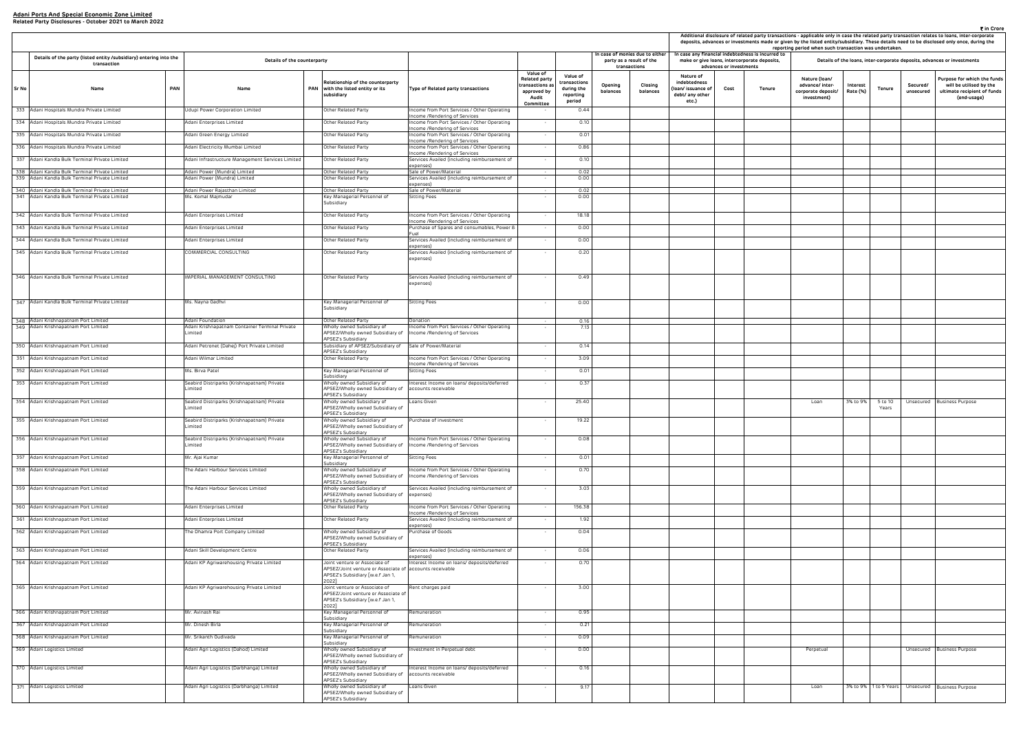|                                                                     |                                 | case any financial indebtedness is incurred to | reporting period when such transaction was undertaken.                |                      |                       |                       | ₹ in Crore<br>Additional disclosure of related party transactions - applicable only in case the related party transaction relates to loans, inter-corporate<br>deposits, advances or investments made or given by the listed entity/subsidiary. These details need to be disclosed only once, during the |
|---------------------------------------------------------------------|---------------------------------|------------------------------------------------|-----------------------------------------------------------------------|----------------------|-----------------------|-----------------------|----------------------------------------------------------------------------------------------------------------------------------------------------------------------------------------------------------------------------------------------------------------------------------------------------------|
|                                                                     |                                 | make or give Ioans, intercorporate deposits,   |                                                                       |                      |                       |                       | Details of the loans, inter-corporate deposits, advances or investments                                                                                                                                                                                                                                  |
| Nature of<br>debtedness<br>n/ issuance of<br>bt/ any other<br>etc.) | advances or investments<br>Cost | Tenure                                         | Nature (Ioan/<br>advance/ inter-<br>corporate deposit/<br>investment) | Interest<br>Rate (%) | Tenure                | Secured/<br>unsecured | Purpose for which the funds<br>will be utilised by the<br>ultimate recipient of funds<br>(end-usage)                                                                                                                                                                                                     |
|                                                                     |                                 |                                                |                                                                       |                      |                       |                       |                                                                                                                                                                                                                                                                                                          |
|                                                                     |                                 |                                                |                                                                       |                      |                       |                       |                                                                                                                                                                                                                                                                                                          |
|                                                                     |                                 |                                                |                                                                       |                      |                       |                       |                                                                                                                                                                                                                                                                                                          |
|                                                                     |                                 |                                                |                                                                       |                      |                       |                       |                                                                                                                                                                                                                                                                                                          |
|                                                                     |                                 |                                                |                                                                       |                      |                       |                       |                                                                                                                                                                                                                                                                                                          |
|                                                                     |                                 |                                                |                                                                       |                      |                       |                       |                                                                                                                                                                                                                                                                                                          |
|                                                                     |                                 |                                                |                                                                       |                      |                       |                       |                                                                                                                                                                                                                                                                                                          |
|                                                                     |                                 |                                                |                                                                       |                      |                       |                       |                                                                                                                                                                                                                                                                                                          |
|                                                                     |                                 |                                                |                                                                       |                      |                       |                       |                                                                                                                                                                                                                                                                                                          |
|                                                                     |                                 |                                                |                                                                       |                      |                       |                       |                                                                                                                                                                                                                                                                                                          |
|                                                                     |                                 |                                                |                                                                       |                      |                       |                       |                                                                                                                                                                                                                                                                                                          |
|                                                                     |                                 |                                                |                                                                       |                      |                       |                       |                                                                                                                                                                                                                                                                                                          |
|                                                                     |                                 |                                                |                                                                       |                      |                       |                       |                                                                                                                                                                                                                                                                                                          |
|                                                                     |                                 |                                                |                                                                       |                      |                       |                       |                                                                                                                                                                                                                                                                                                          |
|                                                                     |                                 |                                                |                                                                       |                      |                       |                       |                                                                                                                                                                                                                                                                                                          |
|                                                                     |                                 |                                                |                                                                       |                      |                       |                       |                                                                                                                                                                                                                                                                                                          |
|                                                                     |                                 |                                                |                                                                       |                      |                       |                       |                                                                                                                                                                                                                                                                                                          |
|                                                                     |                                 |                                                |                                                                       |                      |                       |                       |                                                                                                                                                                                                                                                                                                          |
|                                                                     |                                 |                                                |                                                                       |                      |                       |                       |                                                                                                                                                                                                                                                                                                          |
|                                                                     |                                 |                                                |                                                                       |                      |                       |                       |                                                                                                                                                                                                                                                                                                          |
|                                                                     |                                 |                                                |                                                                       |                      |                       |                       |                                                                                                                                                                                                                                                                                                          |
|                                                                     |                                 |                                                |                                                                       |                      |                       |                       |                                                                                                                                                                                                                                                                                                          |
|                                                                     |                                 |                                                |                                                                       |                      |                       |                       |                                                                                                                                                                                                                                                                                                          |
|                                                                     |                                 |                                                |                                                                       |                      |                       |                       |                                                                                                                                                                                                                                                                                                          |
|                                                                     |                                 |                                                | Loan                                                                  | 3% to 9%             | 5 to 10               | Unsecured             | <b>Business Purpose</b>                                                                                                                                                                                                                                                                                  |
|                                                                     |                                 |                                                |                                                                       |                      | Years                 |                       |                                                                                                                                                                                                                                                                                                          |
|                                                                     |                                 |                                                |                                                                       |                      |                       |                       |                                                                                                                                                                                                                                                                                                          |
|                                                                     |                                 |                                                |                                                                       |                      |                       |                       |                                                                                                                                                                                                                                                                                                          |
|                                                                     |                                 |                                                |                                                                       |                      |                       |                       |                                                                                                                                                                                                                                                                                                          |
|                                                                     |                                 |                                                |                                                                       |                      |                       |                       |                                                                                                                                                                                                                                                                                                          |
|                                                                     |                                 |                                                |                                                                       |                      |                       |                       |                                                                                                                                                                                                                                                                                                          |
|                                                                     |                                 |                                                |                                                                       |                      |                       |                       |                                                                                                                                                                                                                                                                                                          |
|                                                                     |                                 |                                                |                                                                       |                      |                       |                       |                                                                                                                                                                                                                                                                                                          |
|                                                                     |                                 |                                                |                                                                       |                      |                       |                       |                                                                                                                                                                                                                                                                                                          |
|                                                                     |                                 |                                                |                                                                       |                      |                       |                       |                                                                                                                                                                                                                                                                                                          |
|                                                                     |                                 |                                                |                                                                       |                      |                       |                       |                                                                                                                                                                                                                                                                                                          |
|                                                                     |                                 |                                                |                                                                       |                      |                       |                       |                                                                                                                                                                                                                                                                                                          |
|                                                                     |                                 |                                                |                                                                       |                      |                       |                       |                                                                                                                                                                                                                                                                                                          |
|                                                                     |                                 |                                                |                                                                       |                      |                       |                       |                                                                                                                                                                                                                                                                                                          |
|                                                                     |                                 |                                                |                                                                       |                      |                       |                       |                                                                                                                                                                                                                                                                                                          |
|                                                                     |                                 |                                                |                                                                       |                      |                       |                       |                                                                                                                                                                                                                                                                                                          |
|                                                                     |                                 |                                                |                                                                       |                      |                       |                       |                                                                                                                                                                                                                                                                                                          |
|                                                                     |                                 |                                                |                                                                       |                      |                       |                       |                                                                                                                                                                                                                                                                                                          |
|                                                                     |                                 |                                                |                                                                       |                      |                       |                       |                                                                                                                                                                                                                                                                                                          |
|                                                                     |                                 |                                                |                                                                       |                      |                       |                       |                                                                                                                                                                                                                                                                                                          |
|                                                                     |                                 |                                                | Perpetual                                                             |                      |                       | Unsecured             | <b>Business Purpose</b>                                                                                                                                                                                                                                                                                  |
|                                                                     |                                 |                                                |                                                                       |                      |                       |                       |                                                                                                                                                                                                                                                                                                          |
|                                                                     |                                 |                                                |                                                                       |                      |                       |                       |                                                                                                                                                                                                                                                                                                          |
|                                                                     |                                 |                                                | Loan                                                                  |                      | 3% to 9% 1 to 5 Years |                       | Unsecured Business Purpose                                                                                                                                                                                                                                                                               |

|       |                                                                                   |            |                                                           |            |                                                                                                                                             |                                                                               |                                                                                         |                                                               |                     |                                                                             |                                                                            |                         |                                                                                                   |                                                                       | Additional disclosure of related party transactions - applicable only in case the related party transaction relates to loans, inter-co<br>deposits, advances or investments made or given by the listed entity/subsidiary. These details need to be disclosed only once, du<br>reporting period when such transaction was undertaken. |                       |                                                                     |
|-------|-----------------------------------------------------------------------------------|------------|-----------------------------------------------------------|------------|---------------------------------------------------------------------------------------------------------------------------------------------|-------------------------------------------------------------------------------|-----------------------------------------------------------------------------------------|---------------------------------------------------------------|---------------------|-----------------------------------------------------------------------------|----------------------------------------------------------------------------|-------------------------|---------------------------------------------------------------------------------------------------|-----------------------------------------------------------------------|---------------------------------------------------------------------------------------------------------------------------------------------------------------------------------------------------------------------------------------------------------------------------------------------------------------------------------------|-----------------------|---------------------------------------------------------------------|
|       | Details of the party (listed entity /subsidiary) entering into the<br>transaction |            | Details of the counterparty                               |            |                                                                                                                                             |                                                                               |                                                                                         |                                                               |                     | In case of monies due to either<br>party as a result of the<br>transactions |                                                                            | advances or investments | In case any financial indebtedness is incurred to<br>make or give loans, intercorporate deposits, |                                                                       | Details of the loans, inter-corporate deposits, advances or investmen                                                                                                                                                                                                                                                                 |                       |                                                                     |
| Sr No | Name                                                                              | <b>PAN</b> | Name                                                      | <b>PAN</b> | Relationship of the counterparty<br>with the listed entity or its<br>subsidiary                                                             | Type of Related party transactions                                            | Value of<br><b>Related party</b><br>ransactions a:<br>approved by<br>Audit<br>Committee | Value of<br>transactions<br>during the<br>reporting<br>period | Opening<br>balances | Closing<br>balances                                                         | Nature of<br>indebtedness<br>loan/ issuance of<br>debt/ any other<br>etc.) | Cost                    | Tenure                                                                                            | Nature (Ioan/<br>advance/ inter-<br>corporate deposit/<br>investment) | Interest<br>Tenure<br>Rate (%)                                                                                                                                                                                                                                                                                                        | Secured/<br>unsecured | Purpose for whit<br>will be utilise<br>ultimate recipie<br>(end-usa |
|       | 333 Adani Hospitals Mundra Private Limited                                        |            | Udupi Power Corporation Limited                           |            | Other Related Party                                                                                                                         | Income from Port Services / Other Operating<br>Income /Rendering of Services  |                                                                                         | 0.44                                                          |                     |                                                                             |                                                                            |                         |                                                                                                   |                                                                       |                                                                                                                                                                                                                                                                                                                                       |                       |                                                                     |
|       | 334 Adani Hospitals Mundra Private Limited                                        |            | Adani Enterprises Limited                                 |            | Other Related Party                                                                                                                         | Income from Port Services / Other Operating                                   | $\sim$                                                                                  | 0.10                                                          |                     |                                                                             |                                                                            |                         |                                                                                                   |                                                                       |                                                                                                                                                                                                                                                                                                                                       |                       |                                                                     |
|       | 335 Adani Hospitals Mundra Private Limited                                        |            | Adani Green Energy Limited                                |            | Other Related Party                                                                                                                         | Income /Rendering of Services<br>Income from Port Services / Other Operating  |                                                                                         | 0.01                                                          |                     |                                                                             |                                                                            |                         |                                                                                                   |                                                                       |                                                                                                                                                                                                                                                                                                                                       |                       |                                                                     |
|       | 336 Adani Hospitals Mundra Private Limited                                        |            | Adani Electricity Mumbai Limited                          |            | Other Related Party                                                                                                                         | Income /Rendering of Services<br>Income from Port Services / Other Operating  | $\sim$                                                                                  | 0.86                                                          |                     |                                                                             |                                                                            |                         |                                                                                                   |                                                                       |                                                                                                                                                                                                                                                                                                                                       |                       |                                                                     |
|       | 337 Adani Kandla Bulk Terminal Private Limited                                    |            | Adani Infrastructure Management Services Limited          |            | Other Related Party                                                                                                                         | Income /Rendering of Services<br>Services Availed (including reimbursement of | $\sim$                                                                                  | 0.10                                                          |                     |                                                                             |                                                                            |                         |                                                                                                   |                                                                       |                                                                                                                                                                                                                                                                                                                                       |                       |                                                                     |
|       | 338 Adani Kandla Bulk Terminal Private Limited                                    |            | Adani Power (Mundra) Limited                              |            | Other Related Party                                                                                                                         | expenses)<br>Sale of Power/Material                                           |                                                                                         | 0.02                                                          |                     |                                                                             |                                                                            |                         |                                                                                                   |                                                                       |                                                                                                                                                                                                                                                                                                                                       |                       |                                                                     |
|       | 339 Adani Kandla Bulk Terminal Private Limited                                    |            | Adani Power (Mundra) Limited                              |            | Other Related Party                                                                                                                         | Services Availed (including reimbursement of                                  | $\sim$                                                                                  | 0.00                                                          |                     |                                                                             |                                                                            |                         |                                                                                                   |                                                                       |                                                                                                                                                                                                                                                                                                                                       |                       |                                                                     |
|       | 340 Adani Kandla Bulk Terminal Private Limited                                    |            | Adani Power Rajasthan Limited                             |            | Other Related Party                                                                                                                         | expenses)<br>Sale of Power/Material                                           | $\sim$                                                                                  | 0.02                                                          |                     |                                                                             |                                                                            |                         |                                                                                                   |                                                                       |                                                                                                                                                                                                                                                                                                                                       |                       |                                                                     |
|       | 341 Adani Kandla Bulk Terminal Private Limited                                    |            | Ms. Komal Majmudar                                        |            | Key Managerial Personnel of<br>Subsidiary                                                                                                   | Sitting Fees                                                                  | $\sim$                                                                                  | 0.00                                                          |                     |                                                                             |                                                                            |                         |                                                                                                   |                                                                       |                                                                                                                                                                                                                                                                                                                                       |                       |                                                                     |
|       |                                                                                   |            |                                                           |            |                                                                                                                                             |                                                                               |                                                                                         |                                                               |                     |                                                                             |                                                                            |                         |                                                                                                   |                                                                       |                                                                                                                                                                                                                                                                                                                                       |                       |                                                                     |
|       | 342 Adani Kandla Bulk Terminal Private Limited                                    |            | Adani Enterprises Limited                                 |            | Other Related Party                                                                                                                         | Income from Port Services / Other Operating<br>Income /Rendering of Services  | $\overline{\phantom{a}}$                                                                | 18.18                                                         |                     |                                                                             |                                                                            |                         |                                                                                                   |                                                                       |                                                                                                                                                                                                                                                                                                                                       |                       |                                                                     |
|       | 343 Adani Kandla Bulk Terminal Private Limited                                    |            | Adani Enterprises Limited                                 |            | Other Related Party                                                                                                                         | Purchase of Spares and consumables, Power 8                                   | $\sim$                                                                                  | 0.00                                                          |                     |                                                                             |                                                                            |                         |                                                                                                   |                                                                       |                                                                                                                                                                                                                                                                                                                                       |                       |                                                                     |
|       | 344 Adani Kandla Bulk Terminal Private Limited                                    |            | Adani Enterprises Limited                                 |            | Other Related Party                                                                                                                         | Services Availed (including reimbursement of                                  | $\sim$                                                                                  | 0.00                                                          |                     |                                                                             |                                                                            |                         |                                                                                                   |                                                                       |                                                                                                                                                                                                                                                                                                                                       |                       |                                                                     |
|       | 345 Adani Kandla Bulk Terminal Private Limited                                    |            | COMMERCIAL CONSULTING                                     |            | Other Related Party                                                                                                                         | expenses)<br>Services Availed (including reimbursement of<br>expenses)        | $\sim$                                                                                  | 0.20                                                          |                     |                                                                             |                                                                            |                         |                                                                                                   |                                                                       |                                                                                                                                                                                                                                                                                                                                       |                       |                                                                     |
|       |                                                                                   |            |                                                           |            |                                                                                                                                             |                                                                               |                                                                                         |                                                               |                     |                                                                             |                                                                            |                         |                                                                                                   |                                                                       |                                                                                                                                                                                                                                                                                                                                       |                       |                                                                     |
|       | 346 Adani Kandla Bulk Terminal Private Limited                                    |            | IMPERIAL MANAGEMENT CONSULTING                            |            | Other Related Party                                                                                                                         | Services Availed (including reimbursement of<br>expenses)                     | $\sim$                                                                                  | 0.49                                                          |                     |                                                                             |                                                                            |                         |                                                                                                   |                                                                       |                                                                                                                                                                                                                                                                                                                                       |                       |                                                                     |
|       | 347 Adani Kandla Bulk Terminal Private Limited                                    |            | Ms. Nayna Gadhvi                                          |            | Key Managerial Personnel of<br>Subsidiary                                                                                                   | Sitting Fees                                                                  | $\overline{\phantom{a}}$                                                                | 0.00                                                          |                     |                                                                             |                                                                            |                         |                                                                                                   |                                                                       |                                                                                                                                                                                                                                                                                                                                       |                       |                                                                     |
|       | 348 Adani Krishnapatnam Port Limited                                              |            | Adani Foundation                                          |            | Other Related Party                                                                                                                         | Donation                                                                      |                                                                                         | 0.16                                                          |                     |                                                                             |                                                                            |                         |                                                                                                   |                                                                       |                                                                                                                                                                                                                                                                                                                                       |                       |                                                                     |
|       | 349 Adani Krishnapatnam Port Limited                                              |            | Adani Krishnapatnam Container Terminal Private<br>_imited |            | Wholly owned Subsidiary of<br>APSEZ/Wholly owned Subsidiary of<br><b>APSEZ's Subsidiary</b>                                                 | Income from Port Services / Other Operating<br>Income /Rendering of Services  | $\sim$                                                                                  | 7.13                                                          |                     |                                                                             |                                                                            |                         |                                                                                                   |                                                                       |                                                                                                                                                                                                                                                                                                                                       |                       |                                                                     |
|       | 350 Adani Krishnapatnam Port Limited                                              |            | Adani Petronet (Dahej) Port Private Limited               |            | Subsidiary of APSEZ/Subsidiary of<br>APSEZ's Subsidiary                                                                                     | Sale of Power/Material                                                        | $\sim$                                                                                  | 0.14                                                          |                     |                                                                             |                                                                            |                         |                                                                                                   |                                                                       |                                                                                                                                                                                                                                                                                                                                       |                       |                                                                     |
|       | 351 Adani Krishnapatnam Port Limited                                              |            | Adani Wilmar Limited                                      |            | Other Related Party                                                                                                                         | Income from Port Services / Other Operating                                   |                                                                                         | 3.09                                                          |                     |                                                                             |                                                                            |                         |                                                                                                   |                                                                       |                                                                                                                                                                                                                                                                                                                                       |                       |                                                                     |
|       | 352 Adani Krishnapatnam Port Limited                                              |            | Ms. Birva Patel                                           |            | Key Managerial Personnel of                                                                                                                 | Income /Rendering of Services<br>Sitting Fees                                 | $\sim$                                                                                  | 0.01                                                          |                     |                                                                             |                                                                            |                         |                                                                                                   |                                                                       |                                                                                                                                                                                                                                                                                                                                       |                       |                                                                     |
|       | 353 Adani Krishnapatnam Port Limited                                              |            | Seabird Distriparks (Krishnapatnam) Private<br>.imited    |            | Subsidiary<br>Wholly owned Subsidiary of<br>APSEZ/Wholly owned Subsidiary of                                                                | Interest Income on loans/ deposits/deferred<br>accounts receivable            | $\sim$                                                                                  | 0.37                                                          |                     |                                                                             |                                                                            |                         |                                                                                                   |                                                                       |                                                                                                                                                                                                                                                                                                                                       |                       |                                                                     |
|       | 354 Adani Krishnapatnam Port Limited                                              |            | Seabird Distriparks (Krishnapatnam) Private<br>_imited    |            | <b>APSEZ's Subsidiary</b><br>Wholly owned Subsidiary of<br>APSEZ/Wholly owned Subsidiary of                                                 | Loans Given                                                                   | $\sim$                                                                                  | 25.40                                                         |                     |                                                                             |                                                                            |                         |                                                                                                   | Loan                                                                  | 3% to 9%<br>5 to 10<br>Years                                                                                                                                                                                                                                                                                                          |                       | Unsecured Business Purpose                                          |
|       | 355 Adani Krishnapatnam Port Limited                                              |            | Seabird Distriparks (Krishnapatnam) Private<br>imited     |            | APSEZ's Subsidiary<br>Wholly owned Subsidiary of<br>APSEZ/Wholly owned Subsidiary of                                                        | Purchase of investment                                                        |                                                                                         | 19.22                                                         |                     |                                                                             |                                                                            |                         |                                                                                                   |                                                                       |                                                                                                                                                                                                                                                                                                                                       |                       |                                                                     |
|       | 356 Adani Krishnapatnam Port Limited                                              |            | Seabird Distriparks (Krishnapatnam) Private<br>.imited    |            | APSEZ's Subsidiary<br>Wholly owned Subsidiary of<br>APSEZ/Wholly owned Subsidiary of   Income / Rendering of Services<br>APSEZ's Subsidiary | Income from Port Services / Other Operating                                   | $\overline{\phantom{a}}$                                                                | 0.08                                                          |                     |                                                                             |                                                                            |                         |                                                                                                   |                                                                       |                                                                                                                                                                                                                                                                                                                                       |                       |                                                                     |
|       | 357 Adani Krishnapatnam Port Limited                                              |            | Mr. Ajai Kumar                                            |            | Key Managerial Personnel of                                                                                                                 | Sitting Fees                                                                  | $\sim$                                                                                  | 0.01                                                          |                     |                                                                             |                                                                            |                         |                                                                                                   |                                                                       |                                                                                                                                                                                                                                                                                                                                       |                       |                                                                     |
|       | 358 Adani Krishnapatnam Port Limited                                              |            | The Adani Harbour Services Limited                        |            | Subsidiary<br>Wholly owned Subsidiary of<br>APSEZ/Wholly owned Subsidiary of   Income / Rendering of Services                               | Income from Port Services / Other Operating                                   | $\sim$                                                                                  | 0.70                                                          |                     |                                                                             |                                                                            |                         |                                                                                                   |                                                                       |                                                                                                                                                                                                                                                                                                                                       |                       |                                                                     |
|       | 359 Adani Krishnapatnam Port Limited                                              |            | The Adani Harbour Services Limited                        |            | APSEZ's Subsidiary<br>Wholly owned Subsidiary of<br>APSEZ/Wholly owned Subsidiary of expenses)                                              | Services Availed (including reimbursement of                                  | $\sim$                                                                                  | 3.03                                                          |                     |                                                                             |                                                                            |                         |                                                                                                   |                                                                       |                                                                                                                                                                                                                                                                                                                                       |                       |                                                                     |
|       | 360 Adani Krishnapatnam Port Limited                                              |            | Adani Enterprises Limited                                 |            | APSEZ's Subsidiary<br>Other Related Party                                                                                                   | Income from Port Services / Other Operating                                   | $\sim$                                                                                  | 156.38                                                        |                     |                                                                             |                                                                            |                         |                                                                                                   |                                                                       |                                                                                                                                                                                                                                                                                                                                       |                       |                                                                     |
|       |                                                                                   |            |                                                           |            |                                                                                                                                             | Income /Rendering of Services                                                 |                                                                                         |                                                               |                     |                                                                             |                                                                            |                         |                                                                                                   |                                                                       |                                                                                                                                                                                                                                                                                                                                       |                       |                                                                     |
|       | 361 Adani Krishnapatnam Port Limited                                              |            | Adani Enterprises Limited                                 |            | Other Related Party                                                                                                                         | Services Availed (including reimbursement of<br>expenses)                     | $\sim$                                                                                  | 1.92                                                          |                     |                                                                             |                                                                            |                         |                                                                                                   |                                                                       |                                                                                                                                                                                                                                                                                                                                       |                       |                                                                     |
|       | 362 Adani Krishnapatnam Port Limited                                              |            | The Dhamra Port Company Limited                           |            | Wholly owned Subsidiary of<br>APSEZ/Wholly owned Subsidiary of<br>APSEZ's Subsidiary                                                        | Purchase of Goods                                                             | $\sim$                                                                                  | 0.04                                                          |                     |                                                                             |                                                                            |                         |                                                                                                   |                                                                       |                                                                                                                                                                                                                                                                                                                                       |                       |                                                                     |
|       | 363 Adani Krishnapatnam Port Limited                                              |            | Adani Skill Development Centre                            |            | Other Related Party                                                                                                                         | Services Availed (including reimbursement of<br>expenses)                     |                                                                                         | 0.06                                                          |                     |                                                                             |                                                                            |                         |                                                                                                   |                                                                       |                                                                                                                                                                                                                                                                                                                                       |                       |                                                                     |
|       | 364 Adani Krishnapatnam Port Limited                                              |            | Adani KP Agriwarehousing Private Limited                  |            | Joint venture or Associate of<br>APSEZ/Joint venture or Associate of<br>APSEZ's Subsidiary [w.e.f Jan 1,<br>2022]                           | Interest Income on loans/ deposits/deferred<br>accounts receivable            | $\sim$                                                                                  | 0.70                                                          |                     |                                                                             |                                                                            |                         |                                                                                                   |                                                                       |                                                                                                                                                                                                                                                                                                                                       |                       |                                                                     |
|       | 365 Adani Krishnapatnam Port Limited                                              |            | Adani KP Agriwarehousing Private Limited                  |            | Joint venture or Associate of<br>APSEZ/Joint venture or Associate of<br>APSEZ's Subsidiary [w.e.f Jan 1,                                    | Rent charges paid                                                             | $\sim$                                                                                  | 3.00                                                          |                     |                                                                             |                                                                            |                         |                                                                                                   |                                                                       |                                                                                                                                                                                                                                                                                                                                       |                       |                                                                     |
|       | 366 Adani Krishnapatnam Port Limited                                              |            | Mr. Avinash Rai                                           |            | 2022]<br>Key Managerial Personnel of<br>Subsidiary                                                                                          | Remuneration                                                                  | $\overline{\phantom{a}}$                                                                | 0.95                                                          |                     |                                                                             |                                                                            |                         |                                                                                                   |                                                                       |                                                                                                                                                                                                                                                                                                                                       |                       |                                                                     |
|       | 367 Adani Krishnapatnam Port Limited                                              |            | Mr. Dinesh Birla                                          |            | Key Managerial Personnel of                                                                                                                 | Remuneration                                                                  | $\sim$                                                                                  | 0.21                                                          |                     |                                                                             |                                                                            |                         |                                                                                                   |                                                                       |                                                                                                                                                                                                                                                                                                                                       |                       |                                                                     |
|       | 368 Adani Krishnapatnam Port Limited                                              |            | Mr. Srikanth Gudivada                                     |            | Subsidiary<br>Key Managerial Personnel of                                                                                                   | Remuneration                                                                  | $\sim$                                                                                  | 0.09                                                          |                     |                                                                             |                                                                            |                         |                                                                                                   |                                                                       |                                                                                                                                                                                                                                                                                                                                       |                       |                                                                     |
|       | 369 Adani Logistics Limited                                                       |            |                                                           |            | Subsidiary                                                                                                                                  |                                                                               | $\sim$                                                                                  | 0.00                                                          |                     |                                                                             |                                                                            |                         |                                                                                                   |                                                                       |                                                                                                                                                                                                                                                                                                                                       |                       | Unsecured Business Purpose                                          |
|       |                                                                                   |            | Adani Agri Logistics (Dahod) Limited                      |            | Wholly owned Subsidiary of<br>APSEZ/Wholly owned Subsidiary of<br>APSEZ's Subsidiary                                                        | Investment in Perpetual debt                                                  |                                                                                         |                                                               |                     |                                                                             |                                                                            |                         |                                                                                                   | Perpetual                                                             |                                                                                                                                                                                                                                                                                                                                       |                       |                                                                     |
|       | 370 Adani Logistics Limited                                                       |            | Adani Agri Logistics (Darbhanga) Limited                  |            | Wholly owned Subsidiary of<br>APSEZ/Wholly owned Subsidiary of                                                                              | Interest Income on loans/ deposits/deferred<br>accounts receivable            | $\sim$                                                                                  | 0.16                                                          |                     |                                                                             |                                                                            |                         |                                                                                                   |                                                                       |                                                                                                                                                                                                                                                                                                                                       |                       |                                                                     |
|       | 371 Adani Logistics Limited                                                       |            | Adani Agri Logistics (Darbhanga) Limited                  |            | APSEZ's Subsidiary<br>Wholly owned Subsidiary of<br>APSEZ/Wholly owned Subsidiary of                                                        | Loans Given                                                                   | $\overline{\phantom{a}}$                                                                | 9.17                                                          |                     |                                                                             |                                                                            |                         |                                                                                                   | Loan                                                                  | 3% to 9%   1 to 5 Years                                                                                                                                                                                                                                                                                                               |                       | Unsecured Business Purpose                                          |
|       |                                                                                   |            |                                                           |            | APSEZ's Subsidiary                                                                                                                          |                                                                               |                                                                                         |                                                               |                     |                                                                             |                                                                            |                         |                                                                                                   |                                                                       |                                                                                                                                                                                                                                                                                                                                       |                       |                                                                     |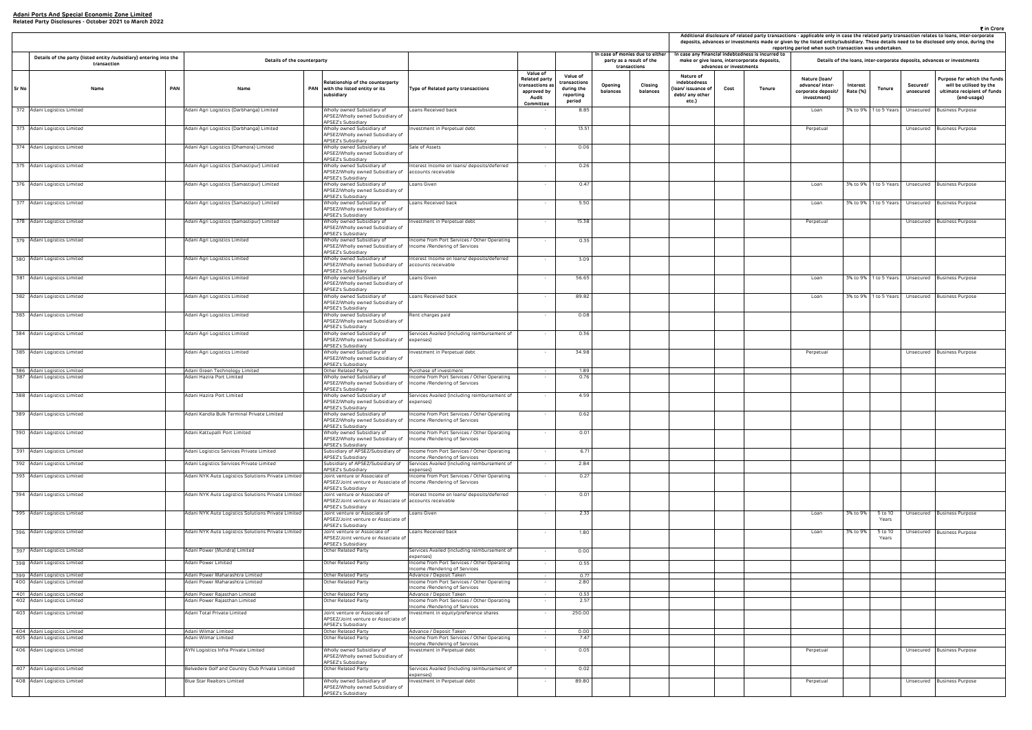|       | Related Party Disclosures • October 2021 to March 2022                            |                                                                    |                                                                                                                                                        |                                                                                                       |                                                                                                                                                          |                                                                            |                     |                                                                             |                         |                                                                                                   | reporting period when such transaction was undertaken.                |                      |                       |                       | ₹ in Crore<br>Additional disclosure of related party transactions - applicable only in case the related party transaction relates to loans, inter-corporate<br>deposits, advances or investments made or given by the listed entity/subsidiary. These details need to be disclosed only once, during the |
|-------|-----------------------------------------------------------------------------------|--------------------------------------------------------------------|--------------------------------------------------------------------------------------------------------------------------------------------------------|-------------------------------------------------------------------------------------------------------|----------------------------------------------------------------------------------------------------------------------------------------------------------|----------------------------------------------------------------------------|---------------------|-----------------------------------------------------------------------------|-------------------------|---------------------------------------------------------------------------------------------------|-----------------------------------------------------------------------|----------------------|-----------------------|-----------------------|----------------------------------------------------------------------------------------------------------------------------------------------------------------------------------------------------------------------------------------------------------------------------------------------------------|
|       | Details of the party (listed entity /subsidiary) entering into the<br>transaction | Details of the counterparty                                        |                                                                                                                                                        |                                                                                                       |                                                                                                                                                          | n case of monies due to either<br>party as a result of the<br>transactions |                     |                                                                             | advances or investments | In case any financial indebtedness is incurred to<br>make or give loans, intercorporate deposits, |                                                                       |                      |                       |                       | Details of the loans, inter-corporate deposits, advances or investments                                                                                                                                                                                                                                  |
| Sr No | <b>PAN</b><br>Name                                                                | Name                                                               | Relationship of the counterparty<br>PAN with the listed entity or its<br>subsidiary                                                                    | Type of Related party transactions                                                                    | Value of<br>Value of<br><b>Related party</b><br>ransactions<br>transactions as<br>during the<br>approved by<br>reporting<br>Audit<br>period<br>Committee | Opening<br>balances                                                        | Closing<br>balances | Nature of<br>indebtedness<br>(Ioan/ issuance of<br>debt/ any other<br>etc.) | Cost                    | Tenure                                                                                            | Nature (Ioan/<br>advance/ inter-<br>corporate deposit/<br>investment) | Interest<br>Rate (%) | <b>Tenure</b>         | Secured/<br>unsecured | Purpose for which the funds<br>will be utilised by the<br>ultimate recipient of funds<br>(end-usage)                                                                                                                                                                                                     |
|       | 372 Adani Logistics Limited                                                       | Adani Agri Logistics (Darbhanga) Limited                           | Wholly owned Subsidiary of<br>APSEZ/Wholly owned Subsidiary of                                                                                         | Loans Received back                                                                                   | 8.85                                                                                                                                                     |                                                                            |                     |                                                                             |                         |                                                                                                   | Loan                                                                  |                      | 3% to 9% 1 to 5 Years | Unsecured             | <b>Business Purpose</b>                                                                                                                                                                                                                                                                                  |
|       | 373 Adani Logistics Limited                                                       | Adani Agri Logistics (Darbhanga) Limited                           | APSEZ's Subsidiary<br>Wholly owned Subsidiary of<br>APSEZ/Wholly owned Subsidiary of                                                                   | nvestment in Perpetual debt                                                                           | 13.51                                                                                                                                                    |                                                                            |                     |                                                                             |                         |                                                                                                   | Perpetual                                                             |                      |                       |                       | Unsecured Business Purpose                                                                                                                                                                                                                                                                               |
|       | 374 Adani Logistics Limited                                                       | Adani Agri Logistics (Dhamora) Limited                             | APSEZ's Subsidiary<br>Wholly owned Subsidiary of<br>APSEZ/Wholly owned Subsidiary of                                                                   | Sale of Assets                                                                                        | 0.06                                                                                                                                                     |                                                                            |                     |                                                                             |                         |                                                                                                   |                                                                       |                      |                       |                       |                                                                                                                                                                                                                                                                                                          |
|       | 375 Adani Logistics Limited                                                       | Adani Agri Logistics (Samastipur) Limited                          | APSEZ's Subsidiary<br>Wholly owned Subsidiary of<br>APSEZ/Wholly owned Subsidiary of                                                                   | nterest Income on loans/deposits/deferred<br>accounts receivable                                      | 0.26                                                                                                                                                     |                                                                            |                     |                                                                             |                         |                                                                                                   |                                                                       |                      |                       |                       |                                                                                                                                                                                                                                                                                                          |
|       | 376 Adani Logistics Limited                                                       | Adani Agri Logistics (Samastipur) Limited                          | <b>APSEZ's Subsidiary</b><br>Wholly owned Subsidiary of<br>APSEZ/Wholly owned Subsidiary of                                                            | oans Given                                                                                            | 0.47                                                                                                                                                     |                                                                            |                     |                                                                             |                         |                                                                                                   | Loan                                                                  |                      | 3% to 9% 1 to 5 Years |                       | Unsecured Business Purpose                                                                                                                                                                                                                                                                               |
|       | 377 Adani Logistics Limited                                                       | Adani Agri Logistics (Samastipur) Limited                          | APSEZ's Subsidiary<br>Wholly owned Subsidiary of<br>APSEZ/Wholly owned Subsidiary of                                                                   | Loans Received back                                                                                   | 5.50                                                                                                                                                     |                                                                            |                     |                                                                             |                         |                                                                                                   | Loan                                                                  |                      | 3% to 9% 1 to 5 Years | Unsecured             | <b>Business Purpose</b>                                                                                                                                                                                                                                                                                  |
|       | 378 Adani Logistics Limited                                                       | Adani Agri Logistics (Samastipur) Limited                          | APSEZ's Subsidiary<br>Wholly owned Subsidiary of                                                                                                       | nvestment in Perpetual debt                                                                           | 15.38                                                                                                                                                    |                                                                            |                     |                                                                             |                         |                                                                                                   | Perpetual                                                             |                      |                       |                       | Unsecured Business Purpose                                                                                                                                                                                                                                                                               |
|       | 379 Adani Logistics Limited                                                       | Adani Agri Logistics Limited                                       | APSEZ/Wholly owned Subsidiary of<br>APSEZ's Subsidiary<br>Wholly owned Subsidiary of                                                                   | ncome from Port Services / Other Operating                                                            | 0.35<br>$\sim$                                                                                                                                           |                                                                            |                     |                                                                             |                         |                                                                                                   |                                                                       |                      |                       |                       |                                                                                                                                                                                                                                                                                                          |
|       |                                                                                   |                                                                    | APSEZ/Wholly owned Subsidiary of<br>APSEZ's Subsidiary                                                                                                 | Income /Rendering of Services                                                                         |                                                                                                                                                          |                                                                            |                     |                                                                             |                         |                                                                                                   |                                                                       |                      |                       |                       |                                                                                                                                                                                                                                                                                                          |
|       | 380 Adani Logistics Limited                                                       | Adani Agri Logistics Limited                                       | Wholly owned Subsidiary of<br>APSEZ/Wholly owned Subsidiary of<br>APSEZ's Subsidiary                                                                   | nterest Income on loans/deposits/deferred<br>accounts receivable                                      | 3.09                                                                                                                                                     |                                                                            |                     |                                                                             |                         |                                                                                                   |                                                                       |                      |                       |                       |                                                                                                                                                                                                                                                                                                          |
|       | 381 Adani Logistics Limited                                                       | Adani Agri Logistics Limited                                       | Wholly owned Subsidiary of<br>APSEZ/Wholly owned Subsidiary of<br>APSEZ's Subsidiary                                                                   | oans Given                                                                                            | 56.65                                                                                                                                                    |                                                                            |                     |                                                                             |                         |                                                                                                   | Loan                                                                  |                      | 3% to 9% 1 to 5 Years |                       | Unsecured Business Purpose                                                                                                                                                                                                                                                                               |
|       | 382 Adani Logistics Limited                                                       | Adani Agri Logistics Limited                                       | Wholly owned Subsidiary of<br>APSEZ/Wholly owned Subsidiary of                                                                                         | Loans Received back                                                                                   | 89.82                                                                                                                                                    |                                                                            |                     |                                                                             |                         |                                                                                                   | Loan                                                                  |                      | 3% to 9% 1 to 5 Years |                       | Unsecured Business Purpose                                                                                                                                                                                                                                                                               |
|       | 383 Adani Logistics Limited                                                       | Adani Agri Logistics Limited                                       | APSEZ's Subsidiary<br>Wholly owned Subsidiary of<br>APSEZ/Wholly owned Subsidiary of                                                                   | Rent charges paid                                                                                     | 0.08                                                                                                                                                     |                                                                            |                     |                                                                             |                         |                                                                                                   |                                                                       |                      |                       |                       |                                                                                                                                                                                                                                                                                                          |
|       | 384 Adani Logistics Limited                                                       | Adani Agri Logistics Limited                                       | APSEZ's Subsidiary<br>Wholly owned Subsidiary of<br>APSEZ/Wholly owned Subsidiary of                                                                   | Services Availed (including reimbursement of<br>expenses)                                             | 0.36                                                                                                                                                     |                                                                            |                     |                                                                             |                         |                                                                                                   |                                                                       |                      |                       |                       |                                                                                                                                                                                                                                                                                                          |
|       | 385 Adani Logistics Limited                                                       | Adani Agri Logistics Limited                                       | APSEZ's Subsidiary<br>Wholly owned Subsidiary of<br>APSEZ/Wholly owned Subsidiary of                                                                   | nvestment in Perpetual debt                                                                           | 34.98                                                                                                                                                    |                                                                            |                     |                                                                             |                         |                                                                                                   | Perpetual                                                             |                      |                       |                       | Unsecured Business Purpose                                                                                                                                                                                                                                                                               |
|       | 386 Adani Logistics Limited<br>387 Adani Logistics Limited                        | Adani Green Technology Limited<br>Adani Hazira Port Limited        | APSEZ's Subsidiary<br>Other Related Party<br>Wholly owned Subsidiary of<br>APSEZ/Wholly owned Subsidiary of                                            | Purchase of investment<br>ncome from Port Services / Other Operating<br>Income /Rendering of Services | 1.89<br>0.76                                                                                                                                             |                                                                            |                     |                                                                             |                         |                                                                                                   |                                                                       |                      |                       |                       |                                                                                                                                                                                                                                                                                                          |
|       | 388 Adani Logistics Limited                                                       | Adani Hazira Port Limited                                          | APSEZ's Subsidiary<br>Wholly owned Subsidiary of<br>APSEZ/Wholly owned Subsidiary of                                                                   | Services Availed (including reimbursement of<br>expenses)                                             | 4.59                                                                                                                                                     |                                                                            |                     |                                                                             |                         |                                                                                                   |                                                                       |                      |                       |                       |                                                                                                                                                                                                                                                                                                          |
|       | 389 Adani Logistics Limited                                                       | Adani Kandla Bulk Terminal Private Limited                         | APSEZ's Subsidiary<br>Wholly owned Subsidiary of                                                                                                       | Income from Port Services / Other Operating                                                           | 0.62                                                                                                                                                     |                                                                            |                     |                                                                             |                         |                                                                                                   |                                                                       |                      |                       |                       |                                                                                                                                                                                                                                                                                                          |
|       | 390 Adani Logistics Limited                                                       | Adani Kattupalli Port Limited                                      | APSEZ/Wholly owned Subsidiary of Income /Rendering of Services<br>APSEZ's Subsidiary<br>Wholly owned Subsidiary of<br>APSEZ/Wholly owned Subsidiary of | Income from Port Services / Other Operating<br>Income /Rendering of Services                          | 0.01                                                                                                                                                     |                                                                            |                     |                                                                             |                         |                                                                                                   |                                                                       |                      |                       |                       |                                                                                                                                                                                                                                                                                                          |
|       | 391 Adani Logistics Limited                                                       | Adani Logistics Services Private Limited                           | <b>APSEZ's Subsidiary</b>                                                                                                                              | Subsidiary of APSEZ/Subsidiary of   Income from Port Services / Other Operating                       | 6.71<br>$\sim$                                                                                                                                           |                                                                            |                     |                                                                             |                         |                                                                                                   |                                                                       |                      |                       |                       |                                                                                                                                                                                                                                                                                                          |
|       | 392 Adani Logistics Limited                                                       | Adani Logistics Services Private Limited                           | APSEZ's Subsidiary<br>Subsidiary of APSEZ/Subsidiary of                                                                                                | ncome /Rendering of Services<br>Services Availed (including reimbursement of                          | 2.84<br>$\sim$                                                                                                                                           |                                                                            |                     |                                                                             |                         |                                                                                                   |                                                                       |                      |                       |                       |                                                                                                                                                                                                                                                                                                          |
|       | 393 Adani Logistics Limited                                                       | Adani NYK Auto Logistics Solutions Private Limited                 | APSEZ's Subsidiary<br>Joint venture or Associate of<br>APSEZ/Joint venture or Associate of Income /Rendering of Services                               | expenses)<br>ncome from Port Services / Other Operating                                               | 0.27                                                                                                                                                     |                                                                            |                     |                                                                             |                         |                                                                                                   |                                                                       |                      |                       |                       |                                                                                                                                                                                                                                                                                                          |
|       | 394 Adani Logistics Limited                                                       | Adani NYK Auto Logistics Solutions Private Limited                 | APSEZ's Subsidiary<br>Joint venture or Associate of<br>APSEZ/Joint venture or Associate of accounts receivable                                         | Interest Income on loans/ deposits/deferred                                                           | 0.01                                                                                                                                                     |                                                                            |                     |                                                                             |                         |                                                                                                   |                                                                       |                      |                       |                       |                                                                                                                                                                                                                                                                                                          |
|       | 395 Adani Logistics Limited                                                       | Adani NYK Auto Logistics Solutions Private Limited                 | APSEZ's Subsidiary<br>Joint venture or Associate of<br>APSEZ/Joint venture or Associate of<br>APSEZ's Subsidiary                                       | Loans Given                                                                                           | 2.33                                                                                                                                                     |                                                                            |                     |                                                                             |                         |                                                                                                   | Loan                                                                  | 3% to 9%             | 5 to 10<br>Years      |                       | Unsecured Business Purpose                                                                                                                                                                                                                                                                               |
|       | 396 Adani Logistics Limited                                                       | Adani NYK Auto Logistics Solutions Private Limited                 | Joint venture or Associate of<br>APSEZ/Joint venture or Associate of<br>APSEZ's Subsidiary                                                             | Loans Received back                                                                                   | 1.80                                                                                                                                                     |                                                                            |                     |                                                                             |                         |                                                                                                   | Loan                                                                  | 3% to 9%             | 5 to 10<br>Years      |                       | Unsecured Business Purpose                                                                                                                                                                                                                                                                               |
|       | 397 Adani Logistics Limited                                                       | Adani Power (Mundra) Limited                                       | Other Related Party                                                                                                                                    | Services Availed (including reimbursement of<br>expenses)                                             | 0.00<br>$\sim$                                                                                                                                           |                                                                            |                     |                                                                             |                         |                                                                                                   |                                                                       |                      |                       |                       |                                                                                                                                                                                                                                                                                                          |
|       | 398 Adani Logistics Limited                                                       | Adani Power Limited                                                | Other Related Party                                                                                                                                    | ncome from Port Services / Other Operating<br>ncome /Rendering of Services                            | 0.55                                                                                                                                                     |                                                                            |                     |                                                                             |                         |                                                                                                   |                                                                       |                      |                       |                       |                                                                                                                                                                                                                                                                                                          |
|       | 399 Adani Logistics Limited<br>400 Adani Logistics Limited                        | Adani Power Maharashtra Limited<br>Adani Power Maharashtra Limited | Other Related Party<br>Other Related Party                                                                                                             | Advance / Deposit Taken<br>ncome from Port Services / Other Operating                                 | 0.77<br>2.80<br>$\sim$                                                                                                                                   |                                                                            |                     |                                                                             |                         |                                                                                                   |                                                                       |                      |                       |                       |                                                                                                                                                                                                                                                                                                          |
|       | 401 Adani Logistics Limited                                                       | Adani Power Rajasthan Limited                                      | Other Related Party                                                                                                                                    | Income /Rendering of Services<br>Advance / Deposit Taken                                              | 0.53<br>$\sim$                                                                                                                                           |                                                                            |                     |                                                                             |                         |                                                                                                   |                                                                       |                      |                       |                       |                                                                                                                                                                                                                                                                                                          |
|       | 402 Adani Logistics Limited                                                       | Adani Power Rajasthan Limited                                      | Other Related Party                                                                                                                                    | ncome from Port Services / Other Operating<br>ncome /Rendering of Services                            | 2.57<br>$\sim$                                                                                                                                           |                                                                            |                     |                                                                             |                         |                                                                                                   |                                                                       |                      |                       |                       |                                                                                                                                                                                                                                                                                                          |
|       | 403 Adani Logistics Limited                                                       | Adani Total Private Limited                                        | Joint venture or Associate of<br>APSEZ/Joint venture or Associate of<br>APSEZ's Subsidiary                                                             | nvestment in equity/preference shares                                                                 | 250.00<br>$\sim$                                                                                                                                         |                                                                            |                     |                                                                             |                         |                                                                                                   |                                                                       |                      |                       |                       |                                                                                                                                                                                                                                                                                                          |
|       | 404 Adani Logistics Limited<br>405 Adani Logistics Limited                        | Adani Wilmar Limited<br>Adani Wilmar Limited                       | Other Related Party<br>Other Related Party                                                                                                             | Advance / Deposit Taken<br>ncome from Port Services / Other Operating<br>ncome /Rendering of Services | 0.00<br>7.47<br>$\sim$                                                                                                                                   |                                                                            |                     |                                                                             |                         |                                                                                                   |                                                                       |                      |                       |                       |                                                                                                                                                                                                                                                                                                          |
|       | 406 Adani Logistics Limited                                                       | AYN Logistics Infra Private Limited                                | Wholly owned Subsidiary of<br>APSEZ/Wholly owned Subsidiary of<br>APSEZ's Subsidiary                                                                   | ivestment in Perpetual debt                                                                           | 0.05                                                                                                                                                     |                                                                            |                     |                                                                             |                         |                                                                                                   | Perpetual                                                             |                      |                       |                       | Unsecured Business Purpose                                                                                                                                                                                                                                                                               |
|       | 407 Adani Logistics Limited                                                       | Belvedere Golf and Country Club Private Limited                    | Other Related Party                                                                                                                                    | Services Availed (including reimbursement of<br>expenses)                                             | 0.02                                                                                                                                                     |                                                                            |                     |                                                                             |                         |                                                                                                   |                                                                       |                      |                       |                       |                                                                                                                                                                                                                                                                                                          |
|       | 408 Adani Logistics Limited                                                       | Blue Star Realtors Limited                                         | Wholly owned Subsidiary of<br>APSEZ/Wholly owned Subsidiary of<br>APSEZ's Subsidiary                                                                   | hvestment in Perpetual debt                                                                           | 89.80                                                                                                                                                    |                                                                            |                     |                                                                             |                         |                                                                                                   | Perpetual                                                             |                      |                       |                       | Unsecured Business Purpose                                                                                                                                                                                                                                                                               |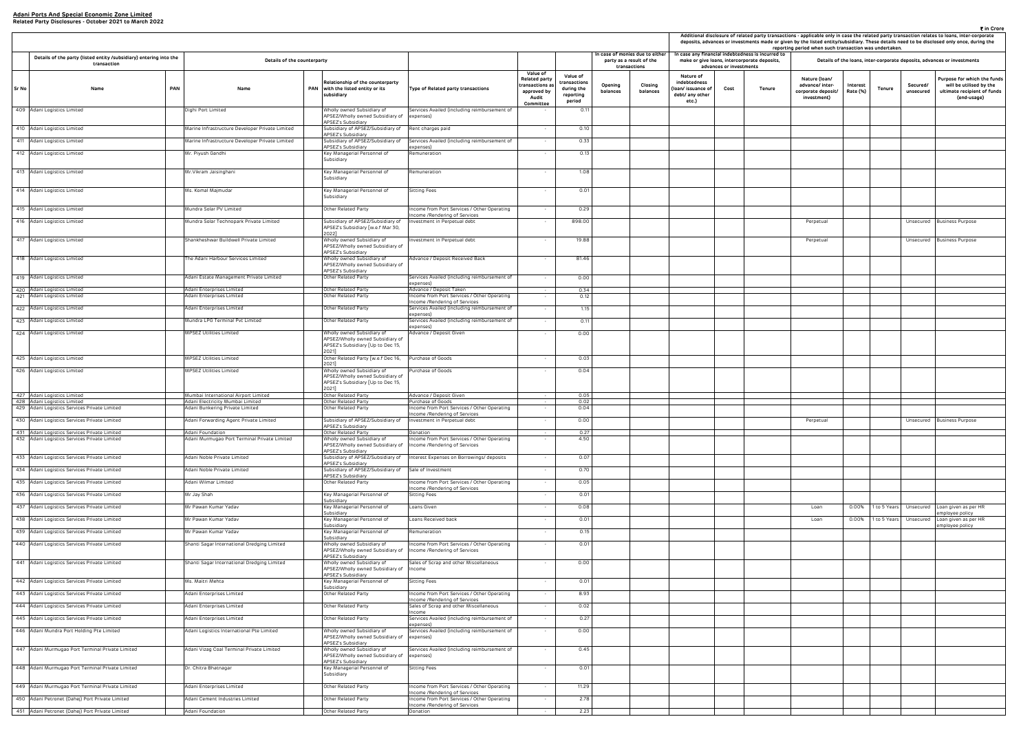|                                                                     |                         |                                                |                                                                       |                      |               |                       | ₹ in Crore                                                                                                                                                                                                                                                                                 |
|---------------------------------------------------------------------|-------------------------|------------------------------------------------|-----------------------------------------------------------------------|----------------------|---------------|-----------------------|--------------------------------------------------------------------------------------------------------------------------------------------------------------------------------------------------------------------------------------------------------------------------------------------|
|                                                                     |                         |                                                |                                                                       |                      |               |                       | Additional disclosure of related party transactions - applicable only in case the related party transaction relates to loans, inter-corporate<br>deposits, advances or investments made or given by the listed entity/subsidiary. These details need to be disclosed only once, during the |
|                                                                     |                         | case any financial indebtedness is incurred to | reporting period when such transaction was undertaken.                |                      |               |                       |                                                                                                                                                                                                                                                                                            |
|                                                                     | advances or investments | make or give Ioans, intercorporate deposits,   |                                                                       |                      |               |                       | Details of the loans, inter-corporate deposits, advances or investments                                                                                                                                                                                                                    |
| Nature of<br>debtedness<br>n/ issuance of<br>bt/ any other<br>etc.) | Cost                    | Tenure                                         | Nature (Ioan/<br>advance/ inter-<br>corporate deposit/<br>investment) | Interest<br>Rate (%) | <b>Tenure</b> | Secured/<br>unsecured | Purpose for which the funds<br>will be utilised by the<br>ultimate recipient of funds<br>(end-usage)                                                                                                                                                                                       |
|                                                                     |                         |                                                |                                                                       |                      |               |                       |                                                                                                                                                                                                                                                                                            |
|                                                                     |                         |                                                |                                                                       |                      |               |                       |                                                                                                                                                                                                                                                                                            |
|                                                                     |                         |                                                |                                                                       |                      |               |                       |                                                                                                                                                                                                                                                                                            |
|                                                                     |                         |                                                |                                                                       |                      |               |                       |                                                                                                                                                                                                                                                                                            |
|                                                                     |                         |                                                |                                                                       |                      |               |                       |                                                                                                                                                                                                                                                                                            |
|                                                                     |                         |                                                |                                                                       |                      |               |                       |                                                                                                                                                                                                                                                                                            |
|                                                                     |                         |                                                |                                                                       |                      |               |                       |                                                                                                                                                                                                                                                                                            |
|                                                                     |                         |                                                |                                                                       |                      |               |                       |                                                                                                                                                                                                                                                                                            |
|                                                                     |                         |                                                | Perpetual                                                             |                      |               | Unsecured             | <b>Business Purpose</b>                                                                                                                                                                                                                                                                    |
|                                                                     |                         |                                                | Perpetual                                                             |                      |               | Unsecured             | <b>Business Purpose</b>                                                                                                                                                                                                                                                                    |
|                                                                     |                         |                                                |                                                                       |                      |               |                       |                                                                                                                                                                                                                                                                                            |
|                                                                     |                         |                                                |                                                                       |                      |               |                       |                                                                                                                                                                                                                                                                                            |
|                                                                     |                         |                                                |                                                                       |                      |               |                       |                                                                                                                                                                                                                                                                                            |
|                                                                     |                         |                                                |                                                                       |                      |               |                       |                                                                                                                                                                                                                                                                                            |
|                                                                     |                         |                                                |                                                                       |                      |               |                       |                                                                                                                                                                                                                                                                                            |
|                                                                     |                         |                                                |                                                                       |                      |               |                       |                                                                                                                                                                                                                                                                                            |
|                                                                     |                         |                                                |                                                                       |                      |               |                       |                                                                                                                                                                                                                                                                                            |
|                                                                     |                         |                                                |                                                                       |                      |               |                       |                                                                                                                                                                                                                                                                                            |
|                                                                     |                         |                                                |                                                                       |                      |               |                       |                                                                                                                                                                                                                                                                                            |
|                                                                     |                         |                                                |                                                                       |                      |               |                       |                                                                                                                                                                                                                                                                                            |
|                                                                     |                         |                                                |                                                                       |                      |               |                       |                                                                                                                                                                                                                                                                                            |
|                                                                     |                         |                                                |                                                                       |                      |               |                       |                                                                                                                                                                                                                                                                                            |
|                                                                     |                         |                                                | Perpetual                                                             |                      |               | Unsecured             |                                                                                                                                                                                                                                                                                            |
|                                                                     |                         |                                                |                                                                       |                      |               |                       | <b>Business Purpose</b>                                                                                                                                                                                                                                                                    |
|                                                                     |                         |                                                |                                                                       |                      |               |                       |                                                                                                                                                                                                                                                                                            |
|                                                                     |                         |                                                |                                                                       |                      |               |                       |                                                                                                                                                                                                                                                                                            |
|                                                                     |                         |                                                |                                                                       |                      |               |                       |                                                                                                                                                                                                                                                                                            |
|                                                                     |                         |                                                |                                                                       |                      |               |                       |                                                                                                                                                                                                                                                                                            |
|                                                                     |                         |                                                |                                                                       |                      |               |                       |                                                                                                                                                                                                                                                                                            |
|                                                                     |                         |                                                | Loan                                                                  | 0.00%                | 1 to 5 Years  | Unsecured             | Loan given as per HR<br>employee policy                                                                                                                                                                                                                                                    |
|                                                                     |                         |                                                | Loan                                                                  | 0.00%                | 1 to 5 Years  | Unsecured             | Loan given as per HR<br>employee policy                                                                                                                                                                                                                                                    |
|                                                                     |                         |                                                |                                                                       |                      |               |                       |                                                                                                                                                                                                                                                                                            |
|                                                                     |                         |                                                |                                                                       |                      |               |                       |                                                                                                                                                                                                                                                                                            |
|                                                                     |                         |                                                |                                                                       |                      |               |                       |                                                                                                                                                                                                                                                                                            |
|                                                                     |                         |                                                |                                                                       |                      |               |                       |                                                                                                                                                                                                                                                                                            |
|                                                                     |                         |                                                |                                                                       |                      |               |                       |                                                                                                                                                                                                                                                                                            |
|                                                                     |                         |                                                |                                                                       |                      |               |                       |                                                                                                                                                                                                                                                                                            |
|                                                                     |                         |                                                |                                                                       |                      |               |                       |                                                                                                                                                                                                                                                                                            |
|                                                                     |                         |                                                |                                                                       |                      |               |                       |                                                                                                                                                                                                                                                                                            |
|                                                                     |                         |                                                |                                                                       |                      |               |                       |                                                                                                                                                                                                                                                                                            |
|                                                                     |                         |                                                |                                                                       |                      |               |                       |                                                                                                                                                                                                                                                                                            |
|                                                                     |                         |                                                |                                                                       |                      |               |                       |                                                                                                                                                                                                                                                                                            |
|                                                                     |                         |                                                |                                                                       |                      |               |                       |                                                                                                                                                                                                                                                                                            |
|                                                                     |                         |                                                |                                                                       |                      |               |                       |                                                                                                                                                                                                                                                                                            |
|                                                                     |                         |                                                |                                                                       |                      |               |                       |                                                                                                                                                                                                                                                                                            |

|                                                            | Details of the party (listed entity /subsidiary) entering into the<br>Details of the counterparty |     |                                                                          |  |                                                                                                              |                                                                             | In case of monies due to either                                                               | In case any financial indebtedness is incurred to            |                     |                                          | reporting period when such transaction was undertaken.                      |                         |               |                                                                       | deposits, advances or investments made or given by the listed entity/subsidiary. These details need to be disclosed only once, during |                    |                       |                                                                                    |
|------------------------------------------------------------|---------------------------------------------------------------------------------------------------|-----|--------------------------------------------------------------------------|--|--------------------------------------------------------------------------------------------------------------|-----------------------------------------------------------------------------|-----------------------------------------------------------------------------------------------|--------------------------------------------------------------|---------------------|------------------------------------------|-----------------------------------------------------------------------------|-------------------------|---------------|-----------------------------------------------------------------------|---------------------------------------------------------------------------------------------------------------------------------------|--------------------|-----------------------|------------------------------------------------------------------------------------|
|                                                            | transaction                                                                                       |     |                                                                          |  |                                                                                                              |                                                                             |                                                                                               |                                                              |                     | party as a result of the<br>transactions | make or give loans, intercorporate deposits,                                | advances or investments |               |                                                                       |                                                                                                                                       |                    |                       | Details of the loans, inter-corporate deposits, advances or investments            |
| Sr No<br>Name                                              |                                                                                                   | PAN | Name                                                                     |  | Relationship of the counterparty<br>PAN with the listed entity or its<br>subsidiary                          | Type of Related party transactions                                          | <b>Value of</b><br><b>Related party</b><br>ransactions a<br>approved by<br>Audit<br>Committee | Value of<br>ransactions<br>during the<br>reporting<br>period | Opening<br>balances | Closing<br>balances                      | Nature of<br>indebtedness<br>(Ioan/ issuance of<br>debt/ any other<br>etc.) | Cost                    | <b>Tenure</b> | Nature (Ioan/<br>advance/ inter-<br>corporate deposit/<br>investment) | Interest<br>Rate (%)                                                                                                                  | Tenure             | Secured/<br>unsecured | Purpose for which th<br>will be utilised by<br>ultimate recipient o<br>(end-usage) |
| 409 Adani Logistics Limited                                |                                                                                                   |     | Dighi Port Limited                                                       |  | Wholly owned Subsidiary of<br>APSEZ/Wholly owned Subsidiary of                                               | Services Availed (including reimbursement of<br>expenses)                   |                                                                                               | 0.11                                                         |                     |                                          |                                                                             |                         |               |                                                                       |                                                                                                                                       |                    |                       |                                                                                    |
| 410 Adani Logistics Limited                                |                                                                                                   |     | Marine Infrastructure Developer Private Limited                          |  | APSEZ's Subsidiary<br>Subsidiary of APSEZ/Subsidiary of                                                      | Rent charges paid                                                           |                                                                                               | 0.10                                                         |                     |                                          |                                                                             |                         |               |                                                                       |                                                                                                                                       |                    |                       |                                                                                    |
| 411 Adani Logistics Limited                                |                                                                                                   |     | Marine Infrastructure Developer Private Limited                          |  | APSEZ's Subsidiary<br>Subsidiary of APSEZ/Subsidiary of                                                      | Services Availed (including reimbursement of                                |                                                                                               | 0.33                                                         |                     |                                          |                                                                             |                         |               |                                                                       |                                                                                                                                       |                    |                       |                                                                                    |
| 412 Adani Logistics Limited                                |                                                                                                   |     | Mr. Piyush Gandhi                                                        |  | APSEZ's Subsidiary<br>Key Managerial Personnel of                                                            | expenses)<br>Remuneration                                                   |                                                                                               | 0.13                                                         |                     |                                          |                                                                             |                         |               |                                                                       |                                                                                                                                       |                    |                       |                                                                                    |
|                                                            |                                                                                                   |     |                                                                          |  | Subsidiary                                                                                                   |                                                                             |                                                                                               |                                                              |                     |                                          |                                                                             |                         |               |                                                                       |                                                                                                                                       |                    |                       |                                                                                    |
| 413 Adani Logistics Limited                                |                                                                                                   |     | Mr. Vikram Jaisinghani                                                   |  | Key Managerial Personnel of<br>Subsidiary                                                                    | Remuneration                                                                |                                                                                               | 1.08                                                         |                     |                                          |                                                                             |                         |               |                                                                       |                                                                                                                                       |                    |                       |                                                                                    |
| 414 Adani Logistics Limited                                |                                                                                                   |     | Ms. Komal Majmudar                                                       |  | Key Managerial Personnel of<br>Subsidiary                                                                    | Sitting Fees                                                                |                                                                                               | 0.01                                                         |                     |                                          |                                                                             |                         |               |                                                                       |                                                                                                                                       |                    |                       |                                                                                    |
| 415 Adani Logistics Limited                                |                                                                                                   |     | Mundra Solar PV Limited                                                  |  | Other Related Party                                                                                          | ncome from Port Services / Other Operating<br>ncome /Rendering of Services  |                                                                                               | 0.29                                                         |                     |                                          |                                                                             |                         |               |                                                                       |                                                                                                                                       |                    |                       |                                                                                    |
| 416 Adani Logistics Limited                                |                                                                                                   |     | Mundra Solar Technopark Private Limited                                  |  | Subsidiary of APSEZ/Subsidiary of<br>APSEZ's Subsidiary [w.e.f Mar 30,                                       | nvestment in Perpetual debt                                                 |                                                                                               | 898.00                                                       |                     |                                          |                                                                             |                         |               | Perpetual                                                             |                                                                                                                                       |                    |                       | Unsecured Business Purpose                                                         |
| 417 Adani Logistics Limited                                |                                                                                                   |     | Shankheshwar Buildwell Private Limited                                   |  | 2022]<br>Wholly owned Subsidiary of                                                                          | ivestment in Perpetual debt                                                 |                                                                                               | 19.88                                                        |                     |                                          |                                                                             |                         |               | Perpetual                                                             |                                                                                                                                       |                    | Unsecured             | <b>Business Purpose</b>                                                            |
| 418 Adani Logistics Limited                                |                                                                                                   |     | The Adani Harbour Services Limited                                       |  | APSEZ/Wholly owned Subsidiary of<br>APSEZ's Subsidiary<br>Wholly owned Subsidiary of                         | Advance / Deposit Received Back                                             |                                                                                               | 81.46                                                        |                     |                                          |                                                                             |                         |               |                                                                       |                                                                                                                                       |                    |                       |                                                                                    |
|                                                            |                                                                                                   |     |                                                                          |  | APSEZ/Wholly owned Subsidiary of<br>APSEZ's Subsidiary                                                       |                                                                             |                                                                                               |                                                              |                     |                                          |                                                                             |                         |               |                                                                       |                                                                                                                                       |                    |                       |                                                                                    |
| 419 Adani Logistics Limited                                |                                                                                                   |     | Adani Estate Management Private Limited                                  |  | Other Related Party                                                                                          | Services Availed (including reimbursement of<br>expenses)                   |                                                                                               | 0.00                                                         |                     |                                          |                                                                             |                         |               |                                                                       |                                                                                                                                       |                    |                       |                                                                                    |
| 420 Adani Logistics Limited<br>421 Adani Logistics Limited |                                                                                                   |     | Adani Enterprises Limited<br>Adani Enterprises Limited                   |  | Other Related Party<br>Other Related Party                                                                   | Advance / Deposit Taken<br>ncome from Port Services / Other Operating       |                                                                                               | 0.34<br>0.12                                                 |                     |                                          |                                                                             |                         |               |                                                                       |                                                                                                                                       |                    |                       |                                                                                    |
|                                                            |                                                                                                   |     |                                                                          |  |                                                                                                              | Income /Rendering of Services                                               |                                                                                               |                                                              |                     |                                          |                                                                             |                         |               |                                                                       |                                                                                                                                       |                    |                       |                                                                                    |
| 422 Adani Logistics Limited                                |                                                                                                   |     | Adani Enterprises Limited                                                |  | Other Related Party                                                                                          | Services Availed (including reimbursement of<br>expenses)                   |                                                                                               | 1.15                                                         |                     |                                          |                                                                             |                         |               |                                                                       |                                                                                                                                       |                    |                       |                                                                                    |
| 423 Adani Logistics Limited                                |                                                                                                   |     | Mundra LPG Terminal Pvt Limited                                          |  | Other Related Party                                                                                          | Services Availed (including reimbursement of<br>xpenses)                    |                                                                                               | 0.11                                                         |                     |                                          |                                                                             |                         |               |                                                                       |                                                                                                                                       |                    |                       |                                                                                    |
| 424 Adani Logistics Limited                                |                                                                                                   |     | MPSEZ Utilities Limited                                                  |  | Wholly owned Subsidiary of<br>APSEZ/Wholly owned Subsidiary of<br>APSEZ's Subsidiary [Up to Dec 15,<br>20211 | Advance / Deposit Given                                                     |                                                                                               | 0.00                                                         |                     |                                          |                                                                             |                         |               |                                                                       |                                                                                                                                       |                    |                       |                                                                                    |
| 425 Adani Logistics Limited                                |                                                                                                   |     | <b>MPSEZ Utilities Limited</b>                                           |  | Other Related Party [w.e.f Dec 16,<br>2021]                                                                  | Purchase of Goods                                                           |                                                                                               | 0.03                                                         |                     |                                          |                                                                             |                         |               |                                                                       |                                                                                                                                       |                    |                       |                                                                                    |
| 426 Adani Logistics Limited                                |                                                                                                   |     | MPSEZ Utilities Limited                                                  |  | Wholly owned Subsidiary of<br>APSEZ/Wholly owned Subsidiary of<br>APSEZ's Subsidiary [Up to Dec 15,<br>2021] | Purchase of Goods                                                           |                                                                                               | 0.04                                                         |                     |                                          |                                                                             |                         |               |                                                                       |                                                                                                                                       |                    |                       |                                                                                    |
| 427 Adani Logistics Limited<br>428 Adani Logistics Limited |                                                                                                   |     | Mumbai International Airport Limited<br>Adani Electricity Mumbai Limited |  | Other Related Party<br>Other Related Party                                                                   | Advance / Deposit Given<br>Purchase of Goods                                |                                                                                               | 0.05<br>0.02                                                 |                     |                                          |                                                                             |                         |               |                                                                       |                                                                                                                                       |                    |                       |                                                                                    |
| 429 Adani Logistics Services Private Limited               |                                                                                                   |     | Adani Bunkering Private Limited                                          |  | Other Related Party                                                                                          | ncome from Port Services / Other Operating                                  |                                                                                               | 0.04                                                         |                     |                                          |                                                                             |                         |               |                                                                       |                                                                                                                                       |                    |                       |                                                                                    |
| 430 Adani Logistics Services Private Limited               |                                                                                                   |     | Adani Forwarding Agent Private Limited                                   |  | Subsidiary of APSEZ/Subsidiary of<br>APSEZ's Subsidiary                                                      | Income /Rendering of Services<br>Investment in Perpetual debt               |                                                                                               | 0.00                                                         |                     |                                          |                                                                             |                         |               | Perpetual                                                             |                                                                                                                                       |                    |                       | Unsecured Business Purpose                                                         |
| 431 Adani Logistics Services Private Limited               |                                                                                                   |     | Adani Foundation                                                         |  | Other Related Party                                                                                          | Donation                                                                    | $\sim$                                                                                        | 0.27                                                         |                     |                                          |                                                                             |                         |               |                                                                       |                                                                                                                                       |                    |                       |                                                                                    |
| 432 Adani Logistics Services Private Limited               |                                                                                                   |     | Adani Murmugao Port Terminal Private Limited                             |  | Wholly owned Subsidiary of<br>APSEZ/Wholly owned Subsidiary of<br>APSEZ's Subsidiary                         | ncome from Port Services / Other Operating<br>Income /Rendering of Services |                                                                                               | 4.50                                                         |                     |                                          |                                                                             |                         |               |                                                                       |                                                                                                                                       |                    |                       |                                                                                    |
| 433 Adani Logistics Services Private Limited               |                                                                                                   |     | Adani Noble Private Limited                                              |  | Subsidiary of APSEZ/Subsidiary of<br>APSEZ's Subsidiary                                                      | Interest Expenses on Borrowings/ deposits                                   |                                                                                               | 0.07                                                         |                     |                                          |                                                                             |                         |               |                                                                       |                                                                                                                                       |                    |                       |                                                                                    |
| 434 Adani Logistics Services Private Limited               |                                                                                                   |     | Adani Noble Private Limited                                              |  | Subsidiary of APSEZ/Subsidiary of                                                                            | Sale of Investment                                                          | $\sim$                                                                                        | 0.70                                                         |                     |                                          |                                                                             |                         |               |                                                                       |                                                                                                                                       |                    |                       |                                                                                    |
| 435 Adani Logistics Services Private Limited               |                                                                                                   |     | Adani Wilmar Limited                                                     |  | APSEZ's Subsidiary<br>Other Related Party                                                                    | Income from Port Services / Other Operating                                 |                                                                                               | 0.05                                                         |                     |                                          |                                                                             |                         |               |                                                                       |                                                                                                                                       |                    |                       |                                                                                    |
| 436 Adani Logistics Services Private Limited               |                                                                                                   |     | Mr Jay Shah                                                              |  | Key Managerial Personnel of                                                                                  | ncome /Rendering of Services<br>Sitting Fees                                | $\sim$                                                                                        | 0.01                                                         |                     |                                          |                                                                             |                         |               |                                                                       |                                                                                                                                       |                    |                       |                                                                                    |
| 437 Adani Logistics Services Private Limited               |                                                                                                   |     | Mr Pawan Kumar Yadav                                                     |  | Subsidiary<br>Key Managerial Personnel of                                                                    | Loans Given                                                                 | $\sim$                                                                                        | 0.08                                                         |                     |                                          |                                                                             |                         |               | Loan                                                                  | 0.00%                                                                                                                                 | 1 to 5 Years       | Unsecured             | Loan given as per HR                                                               |
| 438 Adani Logistics Services Private Limited               |                                                                                                   |     | Mr Pawan Kumar Yadav                                                     |  | Subsidiary<br>Key Managerial Personnel of                                                                    | Loans Received back                                                         | $\sim$                                                                                        | 0.01                                                         |                     |                                          |                                                                             |                         |               | Loan                                                                  |                                                                                                                                       | 0.00% 1 to 5 Years |                       | mployee policy<br>Unsecured Loan given as per HR                                   |
| 439 Adani Logistics Services Private Limited               |                                                                                                   |     | Mr Pawan Kumar Yadav                                                     |  | Subsidiary<br>Key Managerial Personnel of                                                                    | Remuneration                                                                | $\sim$                                                                                        | 0.15                                                         |                     |                                          |                                                                             |                         |               |                                                                       |                                                                                                                                       |                    |                       | employee policy                                                                    |
| 440 Adani Logistics Services Private Limited               |                                                                                                   |     | Shanti Sagar International Dredging Limited                              |  | Subsidiary<br>Wholly owned Subsidiary of<br>APSEZ/Wholly owned Subsidiary of                                 | ncome from Port Services / Other Operating<br>Income /Rendering of Services | $\sim$                                                                                        | 0.01                                                         |                     |                                          |                                                                             |                         |               |                                                                       |                                                                                                                                       |                    |                       |                                                                                    |
| 441 Adani Logistics Services Private Limited               |                                                                                                   |     | Shanti Sagar International Dredging Limited                              |  | APSEZ's Subsidiary<br>Wholly owned Subsidiary of<br>APSEZ/Wholly owned Subsidiary of                         | Sales of Scrap and other Miscellaneous<br>Income                            |                                                                                               | 0.00                                                         |                     |                                          |                                                                             |                         |               |                                                                       |                                                                                                                                       |                    |                       |                                                                                    |
| 442 Adani Logistics Services Private Limited               |                                                                                                   |     | Ms. Maitri Mehta                                                         |  | APSEZ's Subsidiary<br>Key Managerial Personnel of                                                            | Sitting Fees                                                                | $\sim$                                                                                        | 0.01                                                         |                     |                                          |                                                                             |                         |               |                                                                       |                                                                                                                                       |                    |                       |                                                                                    |
| 443 Adani Logistics Services Private Limited               |                                                                                                   |     | Adani Enterprises Limited                                                |  | Subsidiary<br>Other Related Party                                                                            | ncome from Port Services / Other Operating                                  | $\sim$                                                                                        | 8.93                                                         |                     |                                          |                                                                             |                         |               |                                                                       |                                                                                                                                       |                    |                       |                                                                                    |
| 444 Adani Logistics Services Private Limited               |                                                                                                   |     | Adani Enterprises Limited                                                |  | Other Related Party                                                                                          | ncome /Rendering of Services<br>Sales of Scrap and other Miscellaneous      |                                                                                               | 0.02                                                         |                     |                                          |                                                                             |                         |               |                                                                       |                                                                                                                                       |                    |                       |                                                                                    |
| 445 Adani Logistics Services Private Limited               |                                                                                                   |     | Adani Enterprises Limited                                                |  | Other Related Party                                                                                          | ncome<br>Services Availed (including reimbursement of                       |                                                                                               | 0.27                                                         |                     |                                          |                                                                             |                         |               |                                                                       |                                                                                                                                       |                    |                       |                                                                                    |
| 446 Adani Mundra Port Holding Pte Limited                  |                                                                                                   |     | Adani Logistics International Pte Limited                                |  | Vholly owned Subsidiary of                                                                                   | expenses)<br>Services Availed (including reimbursement of                   |                                                                                               | 0.00                                                         |                     |                                          |                                                                             |                         |               |                                                                       |                                                                                                                                       |                    |                       |                                                                                    |
|                                                            |                                                                                                   |     |                                                                          |  | APSEZ/Wholly owned Subsidiary of<br>APSEZ's Subsidiary                                                       | expenses)                                                                   |                                                                                               |                                                              |                     |                                          |                                                                             |                         |               |                                                                       |                                                                                                                                       |                    |                       |                                                                                    |
| 447 Adani Murmugao Port Terminal Private Limited           |                                                                                                   |     | Adani Vizag Coal Terminal Private Limited                                |  | Wholly owned Subsidiary of<br>APSEZ/Wholly owned Subsidiary of<br>APSEZ's Subsidiary                         | Services Availed (including reimbursement of<br>expenses)                   |                                                                                               | 0.45                                                         |                     |                                          |                                                                             |                         |               |                                                                       |                                                                                                                                       |                    |                       |                                                                                    |
| 448 Adani Murmugao Port Terminal Private Limited           |                                                                                                   |     | Dr. Chitra Bhatnagar                                                     |  | Key Managerial Personnel of<br>Subsidiary                                                                    | Sitting Fees                                                                | $\sim$                                                                                        | 0.01                                                         |                     |                                          |                                                                             |                         |               |                                                                       |                                                                                                                                       |                    |                       |                                                                                    |
| 449 Adani Murmugao Port Terminal Private Limited           |                                                                                                   |     | Adani Enterprises Limited                                                |  | Other Related Party                                                                                          | ncome from Port Services / Other Operating                                  |                                                                                               | 11.29                                                        |                     |                                          |                                                                             |                         |               |                                                                       |                                                                                                                                       |                    |                       |                                                                                    |
| 450 Adani Petronet (Dahej) Port Private Limited            |                                                                                                   |     | Adani Cement Industries Limited                                          |  | Other Related Party                                                                                          | ncome /Rendering of Services<br>ncome from Port Services / Other Operating  | $\sim$ $-$                                                                                    | 2.78                                                         |                     |                                          |                                                                             |                         |               |                                                                       |                                                                                                                                       |                    |                       |                                                                                    |
| 451 Adani Petronet (Dahej) Port Private Limited            |                                                                                                   |     | Adani Foundation                                                         |  | Other Related Party                                                                                          | Income /Rendering of Services<br>Donation                                   |                                                                                               | 2.23                                                         |                     |                                          |                                                                             |                         |               |                                                                       |                                                                                                                                       |                    |                       |                                                                                    |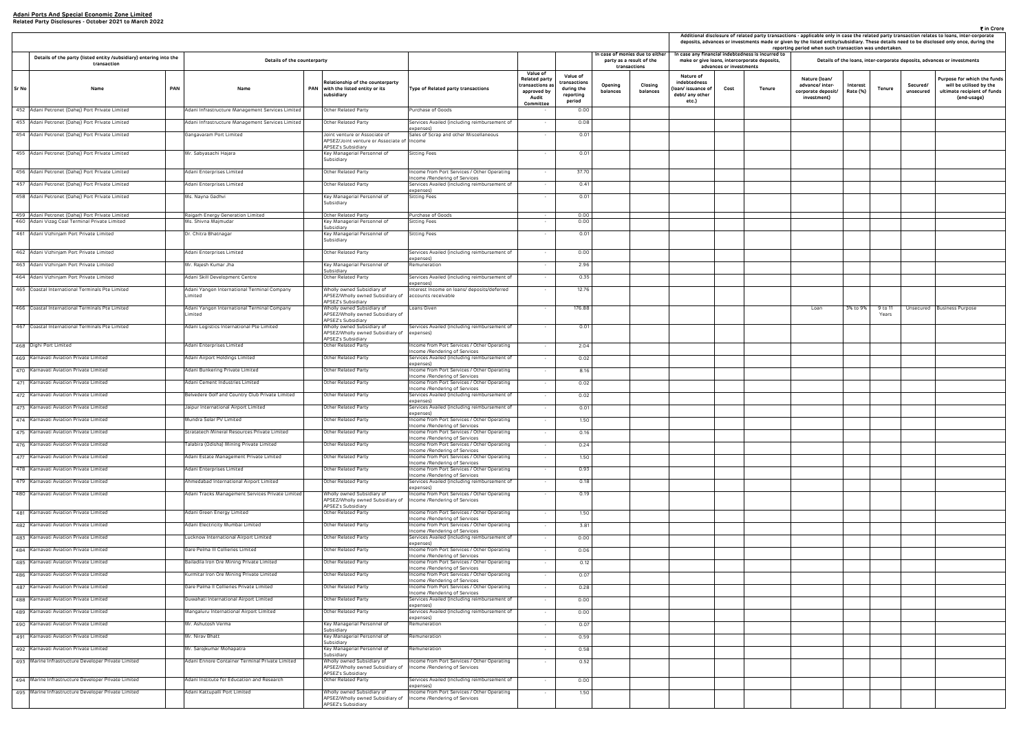|                                                                     |                         |                                                                                                | reporting period when such transaction was undertaken.                |                      |                  |                       | ₹ in Crore<br>Additional disclosure of related party transactions - applicable only in case the related party transaction relates to loans, inter-corporate<br>deposits, advances or investments made or given by the listed entity/subsidiary. These details need to be disclosed only once, during the |
|---------------------------------------------------------------------|-------------------------|------------------------------------------------------------------------------------------------|-----------------------------------------------------------------------|----------------------|------------------|-----------------------|----------------------------------------------------------------------------------------------------------------------------------------------------------------------------------------------------------------------------------------------------------------------------------------------------------|
|                                                                     | advances or investments | case any financial indebtedness is incurred to<br>make or give loans, intercorporate deposits, |                                                                       |                      |                  |                       | Details of the loans, inter-corporate deposits, advances or investments                                                                                                                                                                                                                                  |
| Nature of<br>debtedness<br>n/ issuance of<br>bt/ any other<br>etc.) | Cost                    | Tenure                                                                                         | Nature (Ioan/<br>advance/ inter-<br>corporate deposit/<br>investment) | Interest<br>Rate (%) | <b>Tenure</b>    | Secured/<br>unsecured | Purpose for which the funds<br>will be utilised by the<br>ultimate recipient of funds<br>(end-usage)                                                                                                                                                                                                     |
|                                                                     |                         |                                                                                                |                                                                       |                      |                  |                       |                                                                                                                                                                                                                                                                                                          |
|                                                                     |                         |                                                                                                |                                                                       |                      |                  |                       |                                                                                                                                                                                                                                                                                                          |
|                                                                     |                         |                                                                                                |                                                                       |                      |                  |                       |                                                                                                                                                                                                                                                                                                          |
|                                                                     |                         |                                                                                                |                                                                       |                      |                  |                       |                                                                                                                                                                                                                                                                                                          |
|                                                                     |                         |                                                                                                |                                                                       |                      |                  |                       |                                                                                                                                                                                                                                                                                                          |
|                                                                     |                         |                                                                                                |                                                                       |                      |                  |                       |                                                                                                                                                                                                                                                                                                          |
|                                                                     |                         |                                                                                                |                                                                       |                      |                  |                       |                                                                                                                                                                                                                                                                                                          |
|                                                                     |                         |                                                                                                |                                                                       |                      |                  |                       |                                                                                                                                                                                                                                                                                                          |
|                                                                     |                         |                                                                                                |                                                                       |                      |                  |                       |                                                                                                                                                                                                                                                                                                          |
|                                                                     |                         |                                                                                                |                                                                       |                      |                  |                       |                                                                                                                                                                                                                                                                                                          |
|                                                                     |                         |                                                                                                |                                                                       |                      |                  |                       |                                                                                                                                                                                                                                                                                                          |
|                                                                     |                         |                                                                                                |                                                                       |                      |                  |                       |                                                                                                                                                                                                                                                                                                          |
|                                                                     |                         |                                                                                                |                                                                       |                      |                  |                       |                                                                                                                                                                                                                                                                                                          |
|                                                                     |                         |                                                                                                |                                                                       |                      |                  |                       |                                                                                                                                                                                                                                                                                                          |
|                                                                     |                         |                                                                                                | Loan                                                                  | 3% to 9%             | 9 to 11<br>Years | Unsecured             | <b>Business Purpose</b>                                                                                                                                                                                                                                                                                  |
|                                                                     |                         |                                                                                                |                                                                       |                      |                  |                       |                                                                                                                                                                                                                                                                                                          |
|                                                                     |                         |                                                                                                |                                                                       |                      |                  |                       |                                                                                                                                                                                                                                                                                                          |
|                                                                     |                         |                                                                                                |                                                                       |                      |                  |                       |                                                                                                                                                                                                                                                                                                          |
|                                                                     |                         |                                                                                                |                                                                       |                      |                  |                       |                                                                                                                                                                                                                                                                                                          |
|                                                                     |                         |                                                                                                |                                                                       |                      |                  |                       |                                                                                                                                                                                                                                                                                                          |
|                                                                     |                         |                                                                                                |                                                                       |                      |                  |                       |                                                                                                                                                                                                                                                                                                          |
|                                                                     |                         |                                                                                                |                                                                       |                      |                  |                       |                                                                                                                                                                                                                                                                                                          |
|                                                                     |                         |                                                                                                |                                                                       |                      |                  |                       |                                                                                                                                                                                                                                                                                                          |
|                                                                     |                         |                                                                                                |                                                                       |                      |                  |                       |                                                                                                                                                                                                                                                                                                          |
|                                                                     |                         |                                                                                                |                                                                       |                      |                  |                       |                                                                                                                                                                                                                                                                                                          |
|                                                                     |                         |                                                                                                |                                                                       |                      |                  |                       |                                                                                                                                                                                                                                                                                                          |
|                                                                     |                         |                                                                                                |                                                                       |                      |                  |                       |                                                                                                                                                                                                                                                                                                          |
|                                                                     |                         |                                                                                                |                                                                       |                      |                  |                       |                                                                                                                                                                                                                                                                                                          |
|                                                                     |                         |                                                                                                |                                                                       |                      |                  |                       |                                                                                                                                                                                                                                                                                                          |
|                                                                     |                         |                                                                                                |                                                                       |                      |                  |                       |                                                                                                                                                                                                                                                                                                          |
|                                                                     |                         |                                                                                                |                                                                       |                      |                  |                       |                                                                                                                                                                                                                                                                                                          |
|                                                                     |                         |                                                                                                |                                                                       |                      |                  |                       |                                                                                                                                                                                                                                                                                                          |
|                                                                     |                         |                                                                                                |                                                                       |                      |                  |                       |                                                                                                                                                                                                                                                                                                          |
|                                                                     |                         |                                                                                                |                                                                       |                      |                  |                       |                                                                                                                                                                                                                                                                                                          |
|                                                                     |                         |                                                                                                |                                                                       |                      |                  |                       |                                                                                                                                                                                                                                                                                                          |
|                                                                     |                         |                                                                                                |                                                                       |                      |                  |                       |                                                                                                                                                                                                                                                                                                          |
|                                                                     |                         |                                                                                                |                                                                       |                      |                  |                       |                                                                                                                                                                                                                                                                                                          |
|                                                                     |                         |                                                                                                |                                                                       |                      |                  |                       |                                                                                                                                                                                                                                                                                                          |
|                                                                     |                         |                                                                                                |                                                                       |                      |                  |                       |                                                                                                                                                                                                                                                                                                          |
|                                                                     |                         |                                                                                                |                                                                       |                      |                  |                       |                                                                                                                                                                                                                                                                                                          |
|                                                                     |                         |                                                                                                |                                                                       |                      |                  |                       |                                                                                                                                                                                                                                                                                                          |
|                                                                     |                         |                                                                                                |                                                                       |                      |                  |                       |                                                                                                                                                                                                                                                                                                          |

|       |                                                                                   |     |                                                                 |                                                                                      |                                                                                           |                                                                                         |                                                               |                     |                                                                             |                                                                             |                         |                                                                                                   | Additional disclosure of related party transactions - applicable only in case the related party<br>deposits, advances or investments made or given by the listed entity/subsidiary. These detail<br>reporting period when such transaction was undertal |                                     |                  |
|-------|-----------------------------------------------------------------------------------|-----|-----------------------------------------------------------------|--------------------------------------------------------------------------------------|-------------------------------------------------------------------------------------------|-----------------------------------------------------------------------------------------|---------------------------------------------------------------|---------------------|-----------------------------------------------------------------------------|-----------------------------------------------------------------------------|-------------------------|---------------------------------------------------------------------------------------------------|---------------------------------------------------------------------------------------------------------------------------------------------------------------------------------------------------------------------------------------------------------|-------------------------------------|------------------|
|       | Details of the party (listed entity /subsidiary) entering into the<br>transaction |     | Details of the counterparty                                     |                                                                                      |                                                                                           |                                                                                         |                                                               |                     | In case of monies due to either<br>party as a result of the<br>transactions |                                                                             | advances or investments | In case any financial indebtedness is incurred to<br>make or give loans, intercorporate deposits, |                                                                                                                                                                                                                                                         | Details of the loans, inter-corpora |                  |
| Sr No | Name                                                                              | PAN | Name                                                            | Relationship of the counterparty<br>PAN with the listed entity or its<br>subsidiary  | Type of Related party transactions                                                        | Value of<br><b>Related party</b><br>ransactions as<br>approved by<br>Audit<br>Committee | Value of<br>transactions<br>during the<br>reporting<br>period | Opening<br>balances | Closing<br>balances                                                         | Nature of<br>indebtedness<br>(Ioan/ issuance of<br>debt/ any other<br>etc.) | Cost                    | <b>Tenure</b>                                                                                     | Nature (Ioan/<br>advance/ inter-<br>corporate deposit/<br>investment)                                                                                                                                                                                   | Interest<br>Rate (%)                | <b>Tenure</b>    |
|       | 452 Adani Petronet (Dahej) Port Private Limited                                   |     | Adani Infrastructure Management Services Limited                | Other Related Party                                                                  | Purchase of Goods                                                                         |                                                                                         | 0.00                                                          |                     |                                                                             |                                                                             |                         |                                                                                                   |                                                                                                                                                                                                                                                         |                                     |                  |
|       | 453 Adani Petronet (Dahej) Port Private Limited                                   |     | Adani Infrastructure Management Services Limited                | Other Related Party                                                                  | Services Availed (including reimbursement of<br>expenses)                                 |                                                                                         | 0.08                                                          |                     |                                                                             |                                                                             |                         |                                                                                                   |                                                                                                                                                                                                                                                         |                                     |                  |
|       | 454 Adani Petronet (Dahej) Port Private Limited                                   |     | Gangavaram Port Limited                                         | Joint venture or Associate of                                                        | Sales of Scrap and other Miscellaneous                                                    |                                                                                         | 0.01                                                          |                     |                                                                             |                                                                             |                         |                                                                                                   |                                                                                                                                                                                                                                                         |                                     |                  |
|       |                                                                                   |     |                                                                 | APSEZ/Joint venture or Associate of Income<br>APSEZ's Subsidiary                     |                                                                                           |                                                                                         |                                                               |                     |                                                                             |                                                                             |                         |                                                                                                   |                                                                                                                                                                                                                                                         |                                     |                  |
|       | 455 Adani Petronet (Dahej) Port Private Limited                                   |     | Mr. Sabyasachi Hajara                                           | Key Managerial Personnel of<br>Subsidiary                                            | Sitting Fees                                                                              |                                                                                         | 0.01                                                          |                     |                                                                             |                                                                             |                         |                                                                                                   |                                                                                                                                                                                                                                                         |                                     |                  |
|       | 456 Adani Petronet (Dahej) Port Private Limited                                   |     | Adani Enterprises Limited                                       | Other Related Party                                                                  | Income from Port Services / Other Operating<br>Income /Rendering of Services              | $\sim$                                                                                  | 37.70                                                         |                     |                                                                             |                                                                             |                         |                                                                                                   |                                                                                                                                                                                                                                                         |                                     |                  |
|       | 457 Adani Petronet (Dahej) Port Private Limited                                   |     | Adani Enterprises Limited                                       | Other Related Party                                                                  | Services Availed (including reimbursement of<br>expenses)                                 |                                                                                         | 0.41                                                          |                     |                                                                             |                                                                             |                         |                                                                                                   |                                                                                                                                                                                                                                                         |                                     |                  |
|       | 458 Adani Petronet (Dahej) Port Private Limited                                   |     | Ms. Nayna Gadhvi                                                | Key Managerial Personnel of<br>Subsidiary                                            | Sitting Fees                                                                              | $\sim$                                                                                  | 0.01                                                          |                     |                                                                             |                                                                             |                         |                                                                                                   |                                                                                                                                                                                                                                                         |                                     |                  |
|       | 459 Adani Petronet (Dahej) Port Private Limited                                   |     | Raigarh Energy Generation Limited                               | Other Related Party                                                                  | Purchase of Goods                                                                         |                                                                                         | 0.00                                                          |                     |                                                                             |                                                                             |                         |                                                                                                   |                                                                                                                                                                                                                                                         |                                     |                  |
|       | 460 Adani Vizag Coal Terminal Private Limited                                     |     | Ms. Shivna Majmudar                                             | Key Managerial Personnel of<br>Subsidiary                                            | Sitting Fees                                                                              | $\sim$                                                                                  | 0.00                                                          |                     |                                                                             |                                                                             |                         |                                                                                                   |                                                                                                                                                                                                                                                         |                                     |                  |
|       | 461 Adani Vizhinjam Port Private Limited                                          |     | Dr. Chitra Bhatnagar                                            | Key Managerial Personnel of<br>Subsidiary                                            | Sitting Fees                                                                              |                                                                                         | 0.01                                                          |                     |                                                                             |                                                                             |                         |                                                                                                   |                                                                                                                                                                                                                                                         |                                     |                  |
|       | 462 Adani Vizhinjam Port Private Limited                                          |     | Adani Enterprises Limited                                       | Other Related Party                                                                  | Services Availed (including reimbursement of                                              | $\sim$                                                                                  | 0.00                                                          |                     |                                                                             |                                                                             |                         |                                                                                                   |                                                                                                                                                                                                                                                         |                                     |                  |
|       | 463 Adani Vizhinjam Port Private Limited                                          |     | Mr. Rajesh Kumar Jha                                            | Key Managerial Personnel of                                                          | expenses)<br>Remuneration                                                                 |                                                                                         | 2.96                                                          |                     |                                                                             |                                                                             |                         |                                                                                                   |                                                                                                                                                                                                                                                         |                                     |                  |
|       | 464 Adani Vizhinjam Port Private Limited                                          |     | Adani Skill Development Centre                                  | Subsidiary<br>Other Related Party                                                    | Services Availed (including reimbursement of                                              |                                                                                         | 0.35                                                          |                     |                                                                             |                                                                             |                         |                                                                                                   |                                                                                                                                                                                                                                                         |                                     |                  |
|       | 465 Coastal International Terminals Pte Limited                                   |     | Adani Yangon International Terminal Company<br>Limited          | Wholly owned Subsidiary of<br>APSEZ/Wholly owned Subsidiary of                       | expenses)<br>Interest Income on loans/ deposits/deferred<br>accounts receivable           | $\sim$                                                                                  | 12.76                                                         |                     |                                                                             |                                                                             |                         |                                                                                                   |                                                                                                                                                                                                                                                         |                                     |                  |
| 466   | Coastal International Terminals Pte Limited                                       |     | Adani Yangon International Terminal Company<br>Limited          | APSEZ's Subsidiary<br>Wholly owned Subsidiary of<br>APSEZ/Wholly owned Subsidiary of | Loans Given                                                                               |                                                                                         | 176.88                                                        |                     |                                                                             |                                                                             |                         |                                                                                                   | Loan                                                                                                                                                                                                                                                    | 3% to 9%                            | 9 to 11<br>Years |
|       | 467 Coastal International Terminals Pte Limited                                   |     | Adani Logistics International Pte Limited                       | APSEZ's Subsidiary<br>Wholly owned Subsidiary of                                     | Services Availed (including reimbursement of                                              | $\sim$                                                                                  | 0.01                                                          |                     |                                                                             |                                                                             |                         |                                                                                                   |                                                                                                                                                                                                                                                         |                                     |                  |
|       | 468 Dighi Port Limited                                                            |     | Adani Enterprises Limited                                       | APSEZ/Wholly owned Subsidiary of<br>APSEZ's Subsidiary<br>Other Related Party        | expenses)<br>Income from Port Services / Other Operating                                  | $\sim$                                                                                  | 2.04                                                          |                     |                                                                             |                                                                             |                         |                                                                                                   |                                                                                                                                                                                                                                                         |                                     |                  |
|       | 469 Karnavati Aviation Private Limited                                            |     | Adani Airport Holdings Limited                                  | Other Related Party                                                                  | Income /Rendering of Services<br>Services Availed (including reimbursement of             | $\sim$                                                                                  | 0.02                                                          |                     |                                                                             |                                                                             |                         |                                                                                                   |                                                                                                                                                                                                                                                         |                                     |                  |
|       | 470 Karnavati Aviation Private Limited                                            |     | Adani Bunkering Private Limited                                 | Other Related Party                                                                  | expenses)<br>Income from Port Services / Other Operating                                  | $\sim$                                                                                  | 8.16                                                          |                     |                                                                             |                                                                             |                         |                                                                                                   |                                                                                                                                                                                                                                                         |                                     |                  |
|       | 471 Karnavati Aviation Private Limited                                            |     | Adani Cement Industries Limited                                 | Other Related Party                                                                  | Income /Rendering of Services<br>Income from Port Services / Other Operating              |                                                                                         |                                                               |                     |                                                                             |                                                                             |                         |                                                                                                   |                                                                                                                                                                                                                                                         |                                     |                  |
|       | 472 Karnavati Aviation Private Limited                                            |     | Belvedere Golf and Country Club Private Limited                 | Other Related Party                                                                  | Income /Rendering of Services<br>Services Availed (including reimbursement of             | $\sim$<br>$\sim$                                                                        | 0.02<br>0.02                                                  |                     |                                                                             |                                                                             |                         |                                                                                                   |                                                                                                                                                                                                                                                         |                                     |                  |
|       | 473 Karnavati Aviation Private Limited                                            |     |                                                                 |                                                                                      | expenses)<br>Services Availed (including reimbursement of                                 |                                                                                         | 0.01                                                          |                     |                                                                             |                                                                             |                         |                                                                                                   |                                                                                                                                                                                                                                                         |                                     |                  |
|       | 474 Karnavati Aviation Private Limited                                            |     | Jaipur International Airport Limited<br>Mundra Solar PV Limited | Other Related Party                                                                  | expenses)                                                                                 | $\sim$                                                                                  | 1.50                                                          |                     |                                                                             |                                                                             |                         |                                                                                                   |                                                                                                                                                                                                                                                         |                                     |                  |
|       |                                                                                   |     |                                                                 | Other Related Party                                                                  | Income from Port Services / Other Operating<br>Income /Rendering of Services              |                                                                                         |                                                               |                     |                                                                             |                                                                             |                         |                                                                                                   |                                                                                                                                                                                                                                                         |                                     |                  |
|       | 475 Karnavati Aviation Private Limited                                            |     | Stratatech Mineral Resources Private Limited                    | Other Related Party                                                                  | Income from Port Services / Other Operating<br>Income /Rendering of Services              |                                                                                         | 0.16                                                          |                     |                                                                             |                                                                             |                         |                                                                                                   |                                                                                                                                                                                                                                                         |                                     |                  |
|       | 476 Karnavati Aviation Private Limited                                            |     | Talabira (Odisha) Mining Private Limited                        | Other Related Party                                                                  | Income from Port Services / Other Operating<br>Income /Rendering of Services              | $\sim$                                                                                  | 0.24                                                          |                     |                                                                             |                                                                             |                         |                                                                                                   |                                                                                                                                                                                                                                                         |                                     |                  |
|       | 477 Karnavati Aviation Private Limited                                            |     | Adani Estate Management Private Limited                         | Other Related Party                                                                  | Income from Port Services / Other Operating<br>Income /Rendering of Services              | $\sim$                                                                                  | 1.50                                                          |                     |                                                                             |                                                                             |                         |                                                                                                   |                                                                                                                                                                                                                                                         |                                     |                  |
| 478   | Karnavati Aviation Private Limited                                                |     | Adani Enterprises Limited                                       | Other Related Party                                                                  | Income from Port Services / Other Operating<br>Income /Rendering of Services              | $\sim$                                                                                  | 0.93                                                          |                     |                                                                             |                                                                             |                         |                                                                                                   |                                                                                                                                                                                                                                                         |                                     |                  |
|       | 479 Karnavati Aviation Private Limited                                            |     | Ahmedabad International Airport Limited                         | Other Related Party                                                                  | Services Availed (including reimbursement of<br>expenses)                                 | $\sim$                                                                                  | 0.18                                                          |                     |                                                                             |                                                                             |                         |                                                                                                   |                                                                                                                                                                                                                                                         |                                     |                  |
|       | 480 Karnavati Aviation Private Limited                                            |     | Adani Tracks Management Services Private Limited                | Wholly owned Subsidiary of<br>APSEZ/Wholly owned Subsidiary of<br>APSEZ's Subsidiary | Income from Port Services / Other Operating<br>Income /Rendering of Services              | $\sim$                                                                                  | 0.19                                                          |                     |                                                                             |                                                                             |                         |                                                                                                   |                                                                                                                                                                                                                                                         |                                     |                  |
|       | 481 Karnavati Aviation Private Limited                                            |     | Adani Green Energy Limited                                      | Other Related Party                                                                  | Income from Port Services / Other Operating<br>Income /Rendering of Services              | $\sim$                                                                                  | 1.50                                                          |                     |                                                                             |                                                                             |                         |                                                                                                   |                                                                                                                                                                                                                                                         |                                     |                  |
|       | 482 Karnavati Aviation Private Limited                                            |     | Adani Electricity Mumbai Limited                                | Other Related Party                                                                  | Income from Port Services / Other Operating<br>Income /Rendering of Services              | $\sim$                                                                                  | 3.81                                                          |                     |                                                                             |                                                                             |                         |                                                                                                   |                                                                                                                                                                                                                                                         |                                     |                  |
|       | 483 Karnavati Aviation Private Limited                                            |     | Lucknow International Airport Limited                           | Other Related Party                                                                  | Services Availed (including reimbursement of<br>expenses)                                 | $\sim$                                                                                  | 0.00                                                          |                     |                                                                             |                                                                             |                         |                                                                                                   |                                                                                                                                                                                                                                                         |                                     |                  |
|       | 484 Karnavati Aviation Private Limited                                            |     | Gare Pelma III Collieries Limited                               | Other Related Party                                                                  | Income from Port Services / Other Operating<br>Income /Rendering of Services              | $\sim$                                                                                  | 0.06                                                          |                     |                                                                             |                                                                             |                         |                                                                                                   |                                                                                                                                                                                                                                                         |                                     |                  |
|       | 485 Karnavati Aviation Private Limited                                            |     | Bailadila Iron Ore Mining Private Limited                       | Other Related Party                                                                  | Income from Port Services / Other Operating<br>Income /Rendering of Services              | $\sim$                                                                                  | 0.12                                                          |                     |                                                                             |                                                                             |                         |                                                                                                   |                                                                                                                                                                                                                                                         |                                     |                  |
|       | 486 Karnavati Aviation Private Limited                                            |     | Kurmitar Iron Ore Mining Private Limited                        | Other Related Party                                                                  | Income from Port Services / Other Operating                                               | $\sim$                                                                                  | 0.07                                                          |                     |                                                                             |                                                                             |                         |                                                                                                   |                                                                                                                                                                                                                                                         |                                     |                  |
|       | 487 Karnavati Aviation Private Limited                                            |     | Gare Palma II Collieries Private Limited                        | Other Related Party                                                                  | Income /Rendering of Services<br>Income from Port Services / Other Operating              | $\sim$                                                                                  | 0.28                                                          |                     |                                                                             |                                                                             |                         |                                                                                                   |                                                                                                                                                                                                                                                         |                                     |                  |
|       | 488 Karnavati Aviation Private Limited                                            |     | Guwahati International Airport Limited                          | Other Related Party                                                                  | Income /Rendering of Services<br>Services Availed (including reimbursement of             | $\sim$                                                                                  | 0.00                                                          |                     |                                                                             |                                                                             |                         |                                                                                                   |                                                                                                                                                                                                                                                         |                                     |                  |
|       | 489 Karnavati Aviation Private Limited                                            |     | Mangaluru International Airport Limited                         | Other Related Party                                                                  | expenses)<br>Services Availed (including reimbursement of<br>expenses)                    | $\sim$                                                                                  | 0.00                                                          |                     |                                                                             |                                                                             |                         |                                                                                                   |                                                                                                                                                                                                                                                         |                                     |                  |
|       | 490 Karnavati Aviation Private Limited                                            |     | Mr. Ashutosh Verma                                              | Key Managerial Personnel of<br>Subsidiary                                            | Remuneration                                                                              | $\sim$                                                                                  | 0.07                                                          |                     |                                                                             |                                                                             |                         |                                                                                                   |                                                                                                                                                                                                                                                         |                                     |                  |
|       | 491 Karnavati Aviation Private Limited                                            |     | Mr. Nirav Bhatt                                                 | Key Managerial Personnel of<br>Subsidiary                                            | Remuneration                                                                              |                                                                                         | 0.59                                                          |                     |                                                                             |                                                                             |                         |                                                                                                   |                                                                                                                                                                                                                                                         |                                     |                  |
|       | 492 Karnavati Aviation Private Limited                                            |     | Mr. Sarojkumar Mohapatra                                        | Key Managerial Personnel of                                                          | Remuneration                                                                              |                                                                                         | 0.58                                                          |                     |                                                                             |                                                                             |                         |                                                                                                   |                                                                                                                                                                                                                                                         |                                     |                  |
|       | 493 Marine Infrastructure Developer Private Limited                               |     | Adani Ennore Container Terminal Private Limited                 | Subsidiary<br>Wholly owned Subsidiary of<br>APSEZ/Wholly owned Subsidiary of         | Income from Port Services / Other Operating<br>Income /Rendering of Services              |                                                                                         | 0.52                                                          |                     |                                                                             |                                                                             |                         |                                                                                                   |                                                                                                                                                                                                                                                         |                                     |                  |
|       | 494 Marine Infrastructure Developer Private Limited                               |     | Adani Institute for Education and Research                      | APSEZ's Subsidiary<br>Other Related Party                                            | Services Availed (including reimbursement of                                              |                                                                                         | 0.00                                                          |                     |                                                                             |                                                                             |                         |                                                                                                   |                                                                                                                                                                                                                                                         |                                     |                  |
|       | 495 Marine Infrastructure Developer Private Limited                               |     | Adani Kattupalli Port Limited                                   | Wholly owned Subsidiary of<br>APSEZ/Wholly owned Subsidiary of                       | expenses)<br>Income from Port Services / Other Operating<br>Income /Rendering of Services |                                                                                         | 1.50                                                          |                     |                                                                             |                                                                             |                         |                                                                                                   |                                                                                                                                                                                                                                                         |                                     |                  |
|       |                                                                                   |     |                                                                 | APSEZ's Subsidiary                                                                   |                                                                                           |                                                                                         |                                                               |                     |                                                                             |                                                                             |                         |                                                                                                   |                                                                                                                                                                                                                                                         |                                     |                  |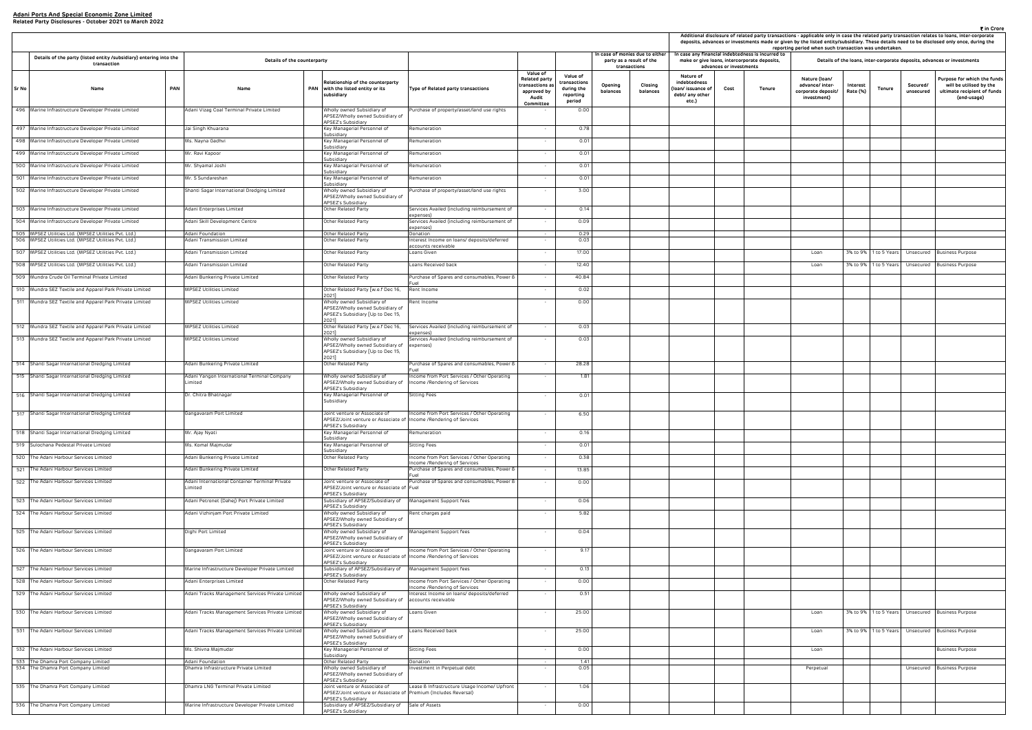|                                                                     | advances or investments | case any financial indebtedness is incurred to<br>make or give loans, intercorporate deposits, | reporting period when such transaction was undertaken.                |                      |              |                       | Details of the loans, inter-corporate deposits, advances or investments                              |
|---------------------------------------------------------------------|-------------------------|------------------------------------------------------------------------------------------------|-----------------------------------------------------------------------|----------------------|--------------|-----------------------|------------------------------------------------------------------------------------------------------|
| Nature of<br>debtedness<br>n/ issuance of<br>bt/ any other<br>etc.) | Cost                    | Tenure                                                                                         | Nature (Ioan/<br>advance/ inter-<br>corporate deposit/<br>investment) | Interest<br>Rate (%) | Tenure       | Secured/<br>unsecured | Purpose for which the funds<br>will be utilised by the<br>ultimate recipient of funds<br>(end-usage) |
|                                                                     |                         |                                                                                                |                                                                       |                      |              |                       |                                                                                                      |
|                                                                     |                         |                                                                                                |                                                                       |                      |              |                       |                                                                                                      |
|                                                                     |                         |                                                                                                |                                                                       |                      |              |                       |                                                                                                      |
|                                                                     |                         |                                                                                                |                                                                       |                      |              |                       |                                                                                                      |
|                                                                     |                         |                                                                                                |                                                                       |                      |              |                       |                                                                                                      |
|                                                                     |                         |                                                                                                |                                                                       |                      |              |                       |                                                                                                      |
|                                                                     |                         |                                                                                                |                                                                       |                      |              |                       |                                                                                                      |
|                                                                     |                         |                                                                                                |                                                                       |                      |              |                       |                                                                                                      |
|                                                                     |                         |                                                                                                | Loan                                                                  | 3% to 9%             | 1 to 5 Years | Unsecured             | <b>Business Purpose</b>                                                                              |
|                                                                     |                         |                                                                                                | Loan                                                                  | 3% to 9%             | 1 to 5 Years | Unsecured             | <b>Business Purpose</b>                                                                              |
|                                                                     |                         |                                                                                                |                                                                       |                      |              |                       |                                                                                                      |
|                                                                     |                         |                                                                                                |                                                                       |                      |              |                       |                                                                                                      |
|                                                                     |                         |                                                                                                |                                                                       |                      |              |                       |                                                                                                      |
|                                                                     |                         |                                                                                                |                                                                       |                      |              |                       |                                                                                                      |
|                                                                     |                         |                                                                                                |                                                                       |                      |              |                       |                                                                                                      |
|                                                                     |                         |                                                                                                |                                                                       |                      |              |                       |                                                                                                      |
|                                                                     |                         |                                                                                                |                                                                       |                      |              |                       |                                                                                                      |
|                                                                     |                         |                                                                                                |                                                                       |                      |              |                       |                                                                                                      |
|                                                                     |                         |                                                                                                |                                                                       |                      |              |                       |                                                                                                      |
|                                                                     |                         |                                                                                                |                                                                       |                      |              |                       |                                                                                                      |
|                                                                     |                         |                                                                                                |                                                                       |                      |              |                       |                                                                                                      |
|                                                                     |                         |                                                                                                |                                                                       |                      |              |                       |                                                                                                      |
|                                                                     |                         |                                                                                                |                                                                       |                      |              |                       |                                                                                                      |
|                                                                     |                         |                                                                                                |                                                                       |                      |              |                       |                                                                                                      |
|                                                                     |                         |                                                                                                |                                                                       |                      |              |                       |                                                                                                      |
|                                                                     |                         |                                                                                                |                                                                       |                      |              |                       |                                                                                                      |
|                                                                     |                         |                                                                                                |                                                                       |                      |              |                       |                                                                                                      |
|                                                                     |                         |                                                                                                |                                                                       |                      |              |                       |                                                                                                      |
|                                                                     |                         |                                                                                                |                                                                       |                      |              |                       |                                                                                                      |
|                                                                     |                         |                                                                                                |                                                                       |                      |              |                       |                                                                                                      |
|                                                                     |                         |                                                                                                | Loan                                                                  | 3% to 9%             | 1 to 5 Years | Unsecured             | Business Purpose                                                                                     |
|                                                                     |                         |                                                                                                | Loan                                                                  | 3% to 9%             | 1 to 5 Years | Unsecured             | <b>Business Purpose</b>                                                                              |
|                                                                     |                         |                                                                                                | Loan                                                                  |                      |              |                       | <b>Business Purpose</b>                                                                              |
|                                                                     |                         |                                                                                                | Perpetual                                                             |                      |              | Unsecured             |                                                                                                      |
|                                                                     |                         |                                                                                                |                                                                       |                      |              |                       | <b>Business Purpose</b>                                                                              |
|                                                                     |                         |                                                                                                |                                                                       |                      |              |                       |                                                                                                      |
|                                                                     |                         |                                                                                                |                                                                       |                      |              |                       |                                                                                                      |

|                                                                                   |                                                           |                                                                                                                          |                                                                              |                                                                                                |                                                               |                     | In case of monies due to either          |                                                                           |                         | In case any financial indebtedness is incurred to |                                                                       | Additional disclosure of related party transactions - applicable only in case the related party transaction relates to loans, inter-co<br>deposits, advances or investments made or given by the listed entity/subsidiary. These details need to be disclosed only once, du<br>reporting period when such transaction was undertaken. |                       |                                                                     |
|-----------------------------------------------------------------------------------|-----------------------------------------------------------|--------------------------------------------------------------------------------------------------------------------------|------------------------------------------------------------------------------|------------------------------------------------------------------------------------------------|---------------------------------------------------------------|---------------------|------------------------------------------|---------------------------------------------------------------------------|-------------------------|---------------------------------------------------|-----------------------------------------------------------------------|---------------------------------------------------------------------------------------------------------------------------------------------------------------------------------------------------------------------------------------------------------------------------------------------------------------------------------------|-----------------------|---------------------------------------------------------------------|
| Details of the party (listed entity /subsidiary) entering into the<br>transaction | Details of the counterparty                               |                                                                                                                          |                                                                              |                                                                                                |                                                               |                     | party as a result of the<br>transactions |                                                                           | advances or investments | make or give loans, intercorporate deposits,      |                                                                       | Details of the loans, inter-corporate deposits, advances or investmen                                                                                                                                                                                                                                                                 |                       |                                                                     |
| PAN<br>Sr No<br>Name                                                              | Name                                                      | Relationship of the counterparty<br>PAN with the listed entity or its<br>subsidiary                                      | Type of Related party transactions                                           | <b>Value of</b><br><b>Related party</b><br>transactions a<br>approved by<br>Audit<br>Committee | Value of<br>:ransactions<br>during the<br>reporting<br>period | Opening<br>balances | Closing<br>balances                      | Nature of<br>indebtedness<br>oan/ issuance of<br>debt/ any other<br>etc.) | Cost                    | Tenure                                            | Nature (Ioan/<br>advance/ inter-<br>corporate deposit/<br>investment) | Interest<br>Tenure<br>Rate (%)                                                                                                                                                                                                                                                                                                        | Secured/<br>unsecured | Purpose for whic<br>will be utilise<br>ultimate recipie<br>(end-usa |
| 496 Marine Infrastructure Developer Private Limited                               | Adani Vizag Coal Terminal Private Limited                 | Wholly owned Subsidiary of<br>APSEZ/Wholly owned Subsidiary of                                                           | Purchase of property/asset/land use rights                                   |                                                                                                | 0.00                                                          |                     |                                          |                                                                           |                         |                                                   |                                                                       |                                                                                                                                                                                                                                                                                                                                       |                       |                                                                     |
| 497 Marine Infrastructure Developer Private Limited                               | Jai Singh Khuarana                                        | APSEZ's Subsidiary<br>Key Managerial Personnel of                                                                        | Remuneration                                                                 |                                                                                                | 0.78                                                          |                     |                                          |                                                                           |                         |                                                   |                                                                       |                                                                                                                                                                                                                                                                                                                                       |                       |                                                                     |
| 498 Marine Infrastructure Developer Private Limited                               | Ms. Nayna Gadhvi                                          | Subsidiary<br>Key Managerial Personnel of                                                                                | Remuneration                                                                 | $\sim$                                                                                         | 0.01                                                          |                     |                                          |                                                                           |                         |                                                   |                                                                       |                                                                                                                                                                                                                                                                                                                                       |                       |                                                                     |
| 499 Marine Infrastructure Developer Private Limited                               | Mr. Ravi Kapoor                                           | Subsidiary<br>Key Managerial Personnel of                                                                                | Remuneration                                                                 | $\overline{\phantom{a}}$                                                                       | 0.01                                                          |                     |                                          |                                                                           |                         |                                                   |                                                                       |                                                                                                                                                                                                                                                                                                                                       |                       |                                                                     |
| 500 Marine Infrastructure Developer Private Limited                               | Mr. Shyamal Joshi                                         | Subsidiary<br>Key Managerial Personnel of                                                                                | Remuneration                                                                 | $\sim$                                                                                         | 0.01                                                          |                     |                                          |                                                                           |                         |                                                   |                                                                       |                                                                                                                                                                                                                                                                                                                                       |                       |                                                                     |
| 501 Marine Infrastructure Developer Private Limited                               | Mr. S Sundareshan                                         | Subsidiary<br>Key Managerial Personnel of                                                                                | Remuneration                                                                 | $\sim$                                                                                         | 0.01                                                          |                     |                                          |                                                                           |                         |                                                   |                                                                       |                                                                                                                                                                                                                                                                                                                                       |                       |                                                                     |
| 502 Marine Infrastructure Developer Private Limited                               | Shanti Sagar International Dredging Limited               | Subsidiary<br>Wholly owned Subsidiary of<br>APSEZ/Wholly owned Subsidiary of                                             | Purchase of property/asset/land use rights                                   | $\sim$                                                                                         | 3.00                                                          |                     |                                          |                                                                           |                         |                                                   |                                                                       |                                                                                                                                                                                                                                                                                                                                       |                       |                                                                     |
| 503 Marine Infrastructure Developer Private Limited                               | Adani Enterprises Limited                                 | APSEZ's Subsidiary<br>Other Related Party                                                                                | Services Availed (including reimbursement of                                 | $\sim$                                                                                         | 0.14                                                          |                     |                                          |                                                                           |                         |                                                   |                                                                       |                                                                                                                                                                                                                                                                                                                                       |                       |                                                                     |
| 504 Marine Infrastructure Developer Private Limited                               | Adani Skill Development Centre                            | Other Related Party                                                                                                      | expenses)<br>Services Availed (including reimbursement of                    | $\sim$                                                                                         | 0.09                                                          |                     |                                          |                                                                           |                         |                                                   |                                                                       |                                                                                                                                                                                                                                                                                                                                       |                       |                                                                     |
| 505 MPSEZ Utilities Ltd. (MPSEZ Utilities Pvt. Ltd.)                              | Adani Foundation                                          | Other Related Party                                                                                                      | expenses)<br>Donation                                                        | $\sim$                                                                                         | 0.29                                                          |                     |                                          |                                                                           |                         |                                                   |                                                                       |                                                                                                                                                                                                                                                                                                                                       |                       |                                                                     |
| 506   MPSEZ Utilities Ltd. (MPSEZ Utilities Pvt. Ltd.)                            | Adani Transmission Limited                                | Other Related Party                                                                                                      | Interest Income on loans/ deposits/deferred<br>accounts receivable           | $\sim$                                                                                         | 0.03                                                          |                     |                                          |                                                                           |                         |                                                   |                                                                       |                                                                                                                                                                                                                                                                                                                                       |                       |                                                                     |
| 507 MPSEZ Utilities Ltd. (MPSEZ Utilities Pvt. Ltd.)                              | Adani Transmission Limited                                | Other Related Party                                                                                                      | Loans Given                                                                  | $\sim$                                                                                         | 17.00                                                         |                     |                                          |                                                                           |                         |                                                   | Loan                                                                  | 3% to 9% 1 to 5 Years                                                                                                                                                                                                                                                                                                                 | Unsecured             | <b>Business Purpose</b>                                             |
| 508 MPSEZ Utilities Ltd. (MPSEZ Utilities Pvt. Ltd.)                              | Adani Transmission Limited                                | Other Related Party                                                                                                      | Loans Received back                                                          | $\sim$                                                                                         | 12.40                                                         |                     |                                          |                                                                           |                         |                                                   | Loan                                                                  | 3% to 9% 1 to 5 Years                                                                                                                                                                                                                                                                                                                 |                       | Unsecured Business Purpose                                          |
| 509 Mundra Crude Oil Terminal Private Limited                                     | Adani Bunkering Private Limited                           | Other Related Party                                                                                                      | Purchase of Spares and consumables, Power &                                  | $\sim$                                                                                         | 40.84                                                         |                     |                                          |                                                                           |                         |                                                   |                                                                       |                                                                                                                                                                                                                                                                                                                                       |                       |                                                                     |
| 510 Mundra SEZ Textile and Apparel Park Private Limited                           | MPSEZ Utilities Limited                                   | Other Related Party [w.e.f Dec 16,<br>2021]                                                                              | Rent Income                                                                  |                                                                                                | 0.02                                                          |                     |                                          |                                                                           |                         |                                                   |                                                                       |                                                                                                                                                                                                                                                                                                                                       |                       |                                                                     |
| 511 Mundra SEZ Textile and Apparel Park Private Limited                           | MPSEZ Utilities Limited                                   | Wholly owned Subsidiary of<br>APSEZ/Wholly owned Subsidiary of<br>APSEZ's Subsidiary [Up to Dec 15,<br>2021]             | Rent Income                                                                  |                                                                                                | 0.00                                                          |                     |                                          |                                                                           |                         |                                                   |                                                                       |                                                                                                                                                                                                                                                                                                                                       |                       |                                                                     |
| 512 Mundra SEZ Textile and Apparel Park Private Limited                           | MPSEZ Utilities Limited                                   | Other Related Party [w.e.f Dec 16,<br>2021]                                                                              | Services Availed (including reimbursement of                                 | $\sim$                                                                                         | 0.03                                                          |                     |                                          |                                                                           |                         |                                                   |                                                                       |                                                                                                                                                                                                                                                                                                                                       |                       |                                                                     |
| 513 Mundra SEZ Textile and Apparel Park Private Limited                           | MPSEZ Utilities Limited                                   | Wholly owned Subsidiary of<br>APSEZ/Wholly owned Subsidiary of expenses)<br>APSEZ's Subsidiary [Up to Dec 15,            | expenses)<br>Services Availed (including reimbursement of                    |                                                                                                | 0.03                                                          |                     |                                          |                                                                           |                         |                                                   |                                                                       |                                                                                                                                                                                                                                                                                                                                       |                       |                                                                     |
| 514 Shanti Sagar International Dredging Limited                                   | Adani Bunkering Private Limited                           | 2021]<br>Other Related Party                                                                                             | Purchase of Spares and consumables, Power 8                                  | $\overline{\phantom{a}}$                                                                       | 28.28                                                         |                     |                                          |                                                                           |                         |                                                   |                                                                       |                                                                                                                                                                                                                                                                                                                                       |                       |                                                                     |
| 515 Shanti Sagar International Dredging Limited                                   | Adani Yangon International Terminal Company<br>.imited    | Wholly owned Subsidiary of<br>APSEZ/Wholly owned Subsidiary of<br>APSEZ's Subsidiary                                     | Income from Port Services / Other Operating<br>Income /Rendering of Services | $\sim$                                                                                         | 1.81                                                          |                     |                                          |                                                                           |                         |                                                   |                                                                       |                                                                                                                                                                                                                                                                                                                                       |                       |                                                                     |
| 516 Shanti Sagar International Dredging Limited                                   | Dr. Chitra Bhatnagar                                      | Key Managerial Personnel of<br>Subsidiary                                                                                | Sitting Fees                                                                 |                                                                                                | 0.01                                                          |                     |                                          |                                                                           |                         |                                                   |                                                                       |                                                                                                                                                                                                                                                                                                                                       |                       |                                                                     |
| 517 Shanti Sagar International Dredging Limited                                   | Gangavaram Port Limited                                   | Joint venture or Associate of<br>APSEZ/Joint venture or Associate of Income /Rendering of Services<br>APSEZ's Subsidiary | Income from Port Services / Other Operating                                  | $\sim$                                                                                         | 6.50                                                          |                     |                                          |                                                                           |                         |                                                   |                                                                       |                                                                                                                                                                                                                                                                                                                                       |                       |                                                                     |
| 518 Shanti Sagar International Dredging Limited                                   | Mr. Ajay Nyati                                            | Key Managerial Personnel of<br>Subsidiary                                                                                | Remuneration                                                                 | $\sim$                                                                                         | 0.16                                                          |                     |                                          |                                                                           |                         |                                                   |                                                                       |                                                                                                                                                                                                                                                                                                                                       |                       |                                                                     |
| 519 Sulochana Pedestal Private Limited                                            | Ms. Komal Majmudar                                        | Key Managerial Personnel of<br>Subsidiary                                                                                | Sitting Fees                                                                 | $\sim$                                                                                         | 0.01                                                          |                     |                                          |                                                                           |                         |                                                   |                                                                       |                                                                                                                                                                                                                                                                                                                                       |                       |                                                                     |
| 520 The Adani Harbour Services Limited                                            | Adani Bunkering Private Limited                           | Other Related Party                                                                                                      | Income from Port Services / Other Operating<br>Income /Rendering of Services | $\sim$                                                                                         | 0.38                                                          |                     |                                          |                                                                           |                         |                                                   |                                                                       |                                                                                                                                                                                                                                                                                                                                       |                       |                                                                     |
| 521 The Adani Harbour Services Limited                                            | Adani Bunkering Private Limited                           | Other Related Party                                                                                                      | Purchase of Spares and consumables, Power &                                  | $\sim$                                                                                         | 13.85                                                         |                     |                                          |                                                                           |                         |                                                   |                                                                       |                                                                                                                                                                                                                                                                                                                                       |                       |                                                                     |
| 522 The Adani Harbour Services Limited                                            | Adani International Container Terminal Private<br>.imited | Joint venture or Associate of<br>APSEZ/Joint venture or Associate of Fuel<br>APSEZ's Subsidiary                          | Purchase of Spares and consumables, Power &                                  |                                                                                                | 0.00                                                          |                     |                                          |                                                                           |                         |                                                   |                                                                       |                                                                                                                                                                                                                                                                                                                                       |                       |                                                                     |
| 523 The Adani Harbour Services Limited                                            | Adani Petronet (Dahej) Port Private Limited               | Subsidiary of APSEZ/Subsidiary of<br>APSEZ's Subsidiary                                                                  | Management Support fees                                                      | $\sim$                                                                                         | 0.06                                                          |                     |                                          |                                                                           |                         |                                                   |                                                                       |                                                                                                                                                                                                                                                                                                                                       |                       |                                                                     |
| 524 The Adani Harbour Services Limited                                            | Adani Vizhinjam Port Private Limited                      | Wholly owned Subsidiary of<br>APSEZ/Wholly owned Subsidiary of                                                           | Rent charges paid                                                            | $\sim$                                                                                         | 5.82                                                          |                     |                                          |                                                                           |                         |                                                   |                                                                       |                                                                                                                                                                                                                                                                                                                                       |                       |                                                                     |
| 525 The Adani Harbour Services Limited                                            | Dighi Port Limited                                        | APSEZ's Subsidiary<br>Wholly owned Subsidiary of<br>APSEZ/Wholly owned Subsidiary of<br>APSEZ's Subsidiary               | Management Support fees                                                      | $\sim$                                                                                         | 0.04                                                          |                     |                                          |                                                                           |                         |                                                   |                                                                       |                                                                                                                                                                                                                                                                                                                                       |                       |                                                                     |
| 526 The Adani Harbour Services Limited                                            | Gangavaram Port Limited                                   | Joint venture or Associate of<br>APSEZ/Joint venture or Associate of Income /Rendering of Services<br>APSEZ's Subsidiary | Income from Port Services / Other Operating                                  | $\sim$                                                                                         | 9.17                                                          |                     |                                          |                                                                           |                         |                                                   |                                                                       |                                                                                                                                                                                                                                                                                                                                       |                       |                                                                     |
| 527 The Adani Harbour Services Limited                                            | Marine Infrastructure Developer Private Limited           | Subsidiary of APSEZ/Subsidiary of Management Support fees<br>APSEZ's Subsidiary                                          |                                                                              | $\sim$                                                                                         | 0.13                                                          |                     |                                          |                                                                           |                         |                                                   |                                                                       |                                                                                                                                                                                                                                                                                                                                       |                       |                                                                     |
| 528 The Adani Harbour Services Limited                                            | Adani Enterprises Limited                                 | Other Related Party                                                                                                      | Income from Port Services / Other Operating<br>Income /Rendering of Services |                                                                                                | 0.00                                                          |                     |                                          |                                                                           |                         |                                                   |                                                                       |                                                                                                                                                                                                                                                                                                                                       |                       |                                                                     |
| 529 The Adani Harbour Services Limited                                            | Adani Tracks Management Services Private Limited          | Wholly owned Subsidiary of<br>APSEZ/Wholly owned Subsidiary of accounts receivable<br>APSEZ's Subsidiary                 | Interest Income on loans/ deposits/deferred                                  | $\sim$                                                                                         | 0.51                                                          |                     |                                          |                                                                           |                         |                                                   |                                                                       |                                                                                                                                                                                                                                                                                                                                       |                       |                                                                     |
| 530 The Adani Harbour Services Limited                                            | Adani Tracks Management Services Private Limited          | Wholly owned Subsidiary of<br>APSEZ/Wholly owned Subsidiary of<br>APSEZ's Subsidiary                                     | Loans Given                                                                  | $\sim$                                                                                         | 25.00                                                         |                     |                                          |                                                                           |                         |                                                   | Loan                                                                  | 3% to 9%   1 to 5 Years   Unsecured   Business Purpose                                                                                                                                                                                                                                                                                |                       |                                                                     |
| 531 The Adani Harbour Services Limited                                            | Adani Tracks Management Services Private Limited          | Wholly owned Subsidiary of<br>APSEZ/Wholly owned Subsidiary of<br>APSEZ's Subsidiary                                     | Loans Received back                                                          | $\sim$                                                                                         | 25.00                                                         |                     |                                          |                                                                           |                         |                                                   | Loan                                                                  | 3% to 9%   1 to 5 Years   Unsecured   Business Purpose                                                                                                                                                                                                                                                                                |                       |                                                                     |
| 532 The Adani Harbour Services Limited                                            | Ms. Shivna Majmudar                                       | Key Managerial Personnel of<br>Subsidiary                                                                                | Sitting Fees                                                                 | $\sim$                                                                                         | 0.00                                                          |                     |                                          |                                                                           |                         |                                                   | Loan                                                                  |                                                                                                                                                                                                                                                                                                                                       |                       | <b>Business Purpose</b>                                             |
| 533 The Dhamra Port Company Limited<br>534 The Dhamra Port Company Limited        | Adani Foundation<br>Dhamra Infrastructure Private Limited | Other Related Party<br>Wholly owned Subsidiary of                                                                        | Donation<br>Investment in Perpetual debt                                     | $\sim$                                                                                         | 1.41<br>0.05                                                  |                     |                                          |                                                                           |                         |                                                   | Perpetual                                                             |                                                                                                                                                                                                                                                                                                                                       |                       | Unsecured Business Purpose                                          |
| 535 The Dhamra Port Company Limited                                               | Dhamra LNG Terminal Private Limited                       | APSEZ/Wholly owned Subsidiary of<br>APSEZ's Subsidiary<br>Joint venture or Associate of                                  | Lease & Infrastructure Usage Income/ Upfront                                 | $\sim$                                                                                         | 1.06                                                          |                     |                                          |                                                                           |                         |                                                   |                                                                       |                                                                                                                                                                                                                                                                                                                                       |                       |                                                                     |
|                                                                                   |                                                           | APSEZ/Joint venture or Associate of Premium (Includes Reversal)<br>APSEZ's Subsidiary                                    |                                                                              |                                                                                                |                                                               |                     |                                          |                                                                           |                         |                                                   |                                                                       |                                                                                                                                                                                                                                                                                                                                       |                       |                                                                     |
| 536 The Dhamra Port Company Limited                                               | Marine Infrastructure Developer Private Limited           | Subsidiary of APSEZ/Subsidiary of Sale of Assets<br>APSEZ's Subsidiary                                                   |                                                                              |                                                                                                | 0.00                                                          |                     |                                          |                                                                           |                         |                                                   |                                                                       |                                                                                                                                                                                                                                                                                                                                       |                       |                                                                     |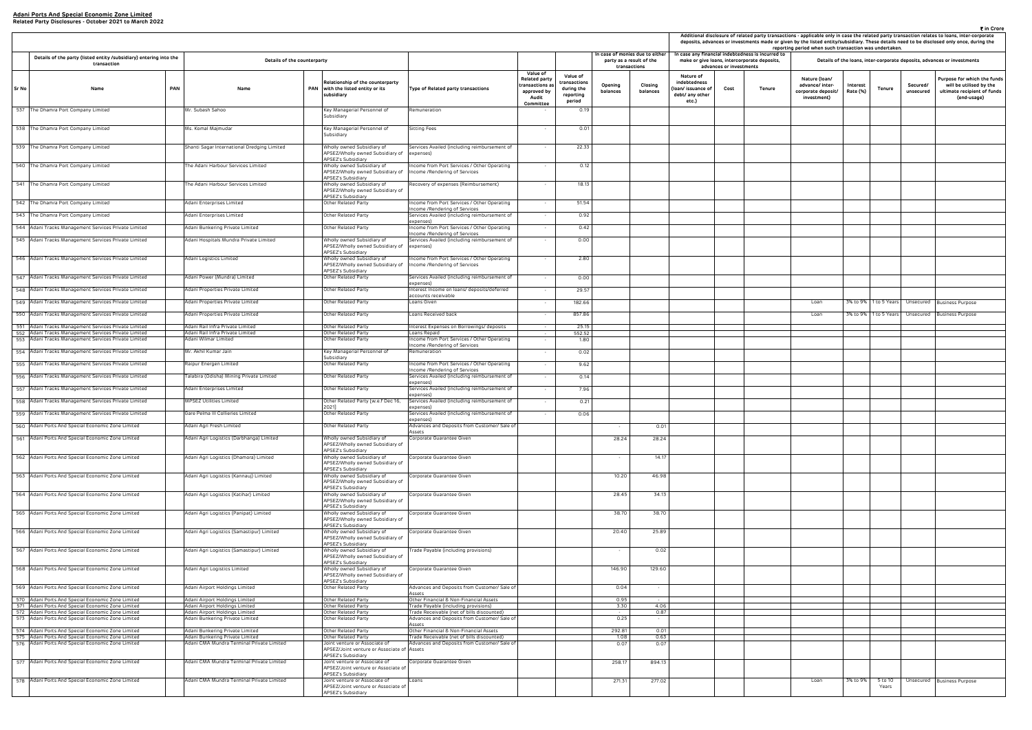| ₹ in Crore<br>Additional disclosure of related party transactions - applicable only in case the related party transaction relates to loans, inter-corporate<br>deposits, advances or investments made or given by the listed entity/subsidiary. These details need to be disclosed only once, during the<br>reporting period when such transaction was undertaken.<br>case any financial indebtedness is incurred to<br>make or give loans, intercorporate deposits,<br>Details of the loans, inter-corporate deposits, advances or investments |                         |        |                                                                       |                      |                  |                       |                                                                                                      |  |  |  |  |  |  |
|-------------------------------------------------------------------------------------------------------------------------------------------------------------------------------------------------------------------------------------------------------------------------------------------------------------------------------------------------------------------------------------------------------------------------------------------------------------------------------------------------------------------------------------------------|-------------------------|--------|-----------------------------------------------------------------------|----------------------|------------------|-----------------------|------------------------------------------------------------------------------------------------------|--|--|--|--|--|--|
|                                                                                                                                                                                                                                                                                                                                                                                                                                                                                                                                                 | advances or investments |        |                                                                       |                      |                  |                       |                                                                                                      |  |  |  |  |  |  |
| Nature of<br>debtedness<br>n/ issuance of<br>bt/ any other<br>etc.)                                                                                                                                                                                                                                                                                                                                                                                                                                                                             | Cost                    | Tenure | Nature (Ioan/<br>advance/ inter-<br>corporate deposit/<br>investment) | Interest<br>Rate (%) | <b>Tenure</b>    | Secured/<br>unsecured | Purpose for which the funds<br>will be utilised by the<br>ultimate recipient of funds<br>(end-usage) |  |  |  |  |  |  |
|                                                                                                                                                                                                                                                                                                                                                                                                                                                                                                                                                 |                         |        |                                                                       |                      |                  |                       |                                                                                                      |  |  |  |  |  |  |
|                                                                                                                                                                                                                                                                                                                                                                                                                                                                                                                                                 |                         |        |                                                                       |                      |                  |                       |                                                                                                      |  |  |  |  |  |  |
|                                                                                                                                                                                                                                                                                                                                                                                                                                                                                                                                                 |                         |        |                                                                       |                      |                  |                       |                                                                                                      |  |  |  |  |  |  |
|                                                                                                                                                                                                                                                                                                                                                                                                                                                                                                                                                 |                         |        |                                                                       |                      |                  |                       |                                                                                                      |  |  |  |  |  |  |
|                                                                                                                                                                                                                                                                                                                                                                                                                                                                                                                                                 |                         |        |                                                                       |                      |                  |                       |                                                                                                      |  |  |  |  |  |  |
|                                                                                                                                                                                                                                                                                                                                                                                                                                                                                                                                                 |                         |        |                                                                       |                      |                  |                       |                                                                                                      |  |  |  |  |  |  |
|                                                                                                                                                                                                                                                                                                                                                                                                                                                                                                                                                 |                         |        |                                                                       |                      |                  |                       |                                                                                                      |  |  |  |  |  |  |
|                                                                                                                                                                                                                                                                                                                                                                                                                                                                                                                                                 |                         |        |                                                                       |                      |                  |                       |                                                                                                      |  |  |  |  |  |  |
|                                                                                                                                                                                                                                                                                                                                                                                                                                                                                                                                                 |                         |        |                                                                       |                      |                  |                       |                                                                                                      |  |  |  |  |  |  |
|                                                                                                                                                                                                                                                                                                                                                                                                                                                                                                                                                 |                         |        |                                                                       |                      |                  |                       |                                                                                                      |  |  |  |  |  |  |
|                                                                                                                                                                                                                                                                                                                                                                                                                                                                                                                                                 |                         |        | Loan                                                                  | 3% to 9%             | 1 to 5 Years     | Unsecured             | <b>Business Purpose</b>                                                                              |  |  |  |  |  |  |
|                                                                                                                                                                                                                                                                                                                                                                                                                                                                                                                                                 |                         |        | Loan                                                                  | 3% to 9%             | 1 to 5 Years     | Unsecured             | <b>Business Purpose</b>                                                                              |  |  |  |  |  |  |
|                                                                                                                                                                                                                                                                                                                                                                                                                                                                                                                                                 |                         |        |                                                                       |                      |                  |                       |                                                                                                      |  |  |  |  |  |  |
|                                                                                                                                                                                                                                                                                                                                                                                                                                                                                                                                                 |                         |        |                                                                       |                      |                  |                       |                                                                                                      |  |  |  |  |  |  |
|                                                                                                                                                                                                                                                                                                                                                                                                                                                                                                                                                 |                         |        |                                                                       |                      |                  |                       |                                                                                                      |  |  |  |  |  |  |
|                                                                                                                                                                                                                                                                                                                                                                                                                                                                                                                                                 |                         |        |                                                                       |                      |                  |                       |                                                                                                      |  |  |  |  |  |  |
|                                                                                                                                                                                                                                                                                                                                                                                                                                                                                                                                                 |                         |        |                                                                       |                      |                  |                       |                                                                                                      |  |  |  |  |  |  |
|                                                                                                                                                                                                                                                                                                                                                                                                                                                                                                                                                 |                         |        |                                                                       |                      |                  |                       |                                                                                                      |  |  |  |  |  |  |
|                                                                                                                                                                                                                                                                                                                                                                                                                                                                                                                                                 |                         |        |                                                                       |                      |                  |                       |                                                                                                      |  |  |  |  |  |  |
|                                                                                                                                                                                                                                                                                                                                                                                                                                                                                                                                                 |                         |        |                                                                       |                      |                  |                       |                                                                                                      |  |  |  |  |  |  |
|                                                                                                                                                                                                                                                                                                                                                                                                                                                                                                                                                 |                         |        |                                                                       |                      |                  |                       |                                                                                                      |  |  |  |  |  |  |
|                                                                                                                                                                                                                                                                                                                                                                                                                                                                                                                                                 |                         |        |                                                                       |                      |                  |                       |                                                                                                      |  |  |  |  |  |  |
|                                                                                                                                                                                                                                                                                                                                                                                                                                                                                                                                                 |                         |        |                                                                       |                      |                  |                       |                                                                                                      |  |  |  |  |  |  |
|                                                                                                                                                                                                                                                                                                                                                                                                                                                                                                                                                 |                         |        |                                                                       |                      |                  |                       |                                                                                                      |  |  |  |  |  |  |
|                                                                                                                                                                                                                                                                                                                                                                                                                                                                                                                                                 |                         |        |                                                                       |                      |                  |                       |                                                                                                      |  |  |  |  |  |  |
|                                                                                                                                                                                                                                                                                                                                                                                                                                                                                                                                                 |                         |        |                                                                       |                      |                  |                       |                                                                                                      |  |  |  |  |  |  |
|                                                                                                                                                                                                                                                                                                                                                                                                                                                                                                                                                 |                         |        |                                                                       |                      |                  |                       |                                                                                                      |  |  |  |  |  |  |
|                                                                                                                                                                                                                                                                                                                                                                                                                                                                                                                                                 |                         |        |                                                                       |                      |                  |                       |                                                                                                      |  |  |  |  |  |  |
|                                                                                                                                                                                                                                                                                                                                                                                                                                                                                                                                                 |                         |        |                                                                       |                      |                  |                       |                                                                                                      |  |  |  |  |  |  |
|                                                                                                                                                                                                                                                                                                                                                                                                                                                                                                                                                 |                         |        |                                                                       |                      |                  |                       |                                                                                                      |  |  |  |  |  |  |
|                                                                                                                                                                                                                                                                                                                                                                                                                                                                                                                                                 |                         |        |                                                                       |                      |                  |                       |                                                                                                      |  |  |  |  |  |  |
|                                                                                                                                                                                                                                                                                                                                                                                                                                                                                                                                                 |                         |        |                                                                       |                      |                  |                       |                                                                                                      |  |  |  |  |  |  |
|                                                                                                                                                                                                                                                                                                                                                                                                                                                                                                                                                 |                         |        |                                                                       |                      |                  |                       |                                                                                                      |  |  |  |  |  |  |
|                                                                                                                                                                                                                                                                                                                                                                                                                                                                                                                                                 |                         |        |                                                                       |                      |                  |                       |                                                                                                      |  |  |  |  |  |  |
|                                                                                                                                                                                                                                                                                                                                                                                                                                                                                                                                                 |                         |        | Loan                                                                  | 3% to 9%             | 5 to 10<br>Years | Unsecured             | <b>Business Purpose</b>                                                                              |  |  |  |  |  |  |

| In case any financial indebtedness is incurred to<br>In case of monies due to either<br>Details of the party (listed entity /subsidiary) entering into the<br>Details of the counterparty<br>Details of the loans, inter-corporate deposits, advances or investmen<br>party as a result of the<br>make or give loans, intercorporate deposits,<br>transaction<br>transactions<br>advances or investments<br><b>Value of</b><br>Value of<br>Nature of<br>Nature (Ioan/<br><b>Related party</b><br>Relationship of the counterparty<br>transactions<br>indebtedness<br>Opening<br>Closing<br>advance/ inter-<br>Interest<br>Secured/<br>transactions a:<br><b>PAN</b><br>PAN with the listed entity or its<br>Sr No<br>Name<br>Name<br>Type of Related party transactions<br>during the<br>loan/ issuance of<br>Cost<br><b>Tenure</b><br>Tenure<br>Rate (%)<br>approved by<br>balances<br>balances<br>corporate deposit/<br>unsecured<br>subsidiary<br>debt/ any other<br>reporting<br>investment)<br>Audit<br>etc.)<br>period<br>Committee<br>537 The Dhamra Port Company Limited<br>Key Managerial Personnel of<br>0.19<br>Mr. Subash Sahoo<br>Remuneration<br>Subsidiary<br>0.01<br>Ms. Komal Majmudar<br>Key Managerial Personnel of<br>Sitting Fees<br>538 The Dhamra Port Company Limited<br>$\sim$<br>Subsidiary<br>539 The Dhamra Port Company Limited<br>Shanti Sagar International Dredging Limited<br>Wholly owned Subsidiary of<br>Services Availed (including reimbursement of<br>22.33<br>$\sim$<br>APSEZ/Wholly owned Subsidiary of expenses)<br>APSEZ's Subsidiary<br>540 The Dhamra Port Company Limited<br>The Adani Harbour Services Limited<br>Wholly owned Subsidiary of<br>Income from Port Services / Other Operating<br>0.12<br>APSEZ/Wholly owned Subsidiary of<br>Income /Rendering of Services<br>APSEZ's Subsidiary<br>Wholly owned Subsidiary of<br>18.13<br>541 The Dhamra Port Company Limited<br>Recovery of expenses (Reimbursement)<br>he Adani Harbour Services Limited<br>$\sim$<br>APSEZ/Wholly owned Subsidiary of<br>APSEZ's Subsidiary<br>Other Related Party<br>542 The Dhamra Port Company Limited<br>Adani Enterprises Limited<br>Income from Port Services / Other Operating<br>51.54<br>$\sim$<br>Income /Rendering of Services<br>Other Related Party<br>Services Availed (including reimbursement of<br>543 The Dhamra Port Company Limited<br>Adani Enterprises Limited<br>0.92<br>expenses)<br>544 Adani Tracks Management Services Private Limited<br>Other Related Party<br>Income from Port Services / Other Operating<br>0.42<br>Adani Bunkering Private Limited<br>$\sim$<br>Income /Rendering of Services<br>Wholly owned Subsidiary of<br>Services Availed (including reimbursement of<br>0.00<br>545 Adani Tracks Management Services Private Limited<br>Adani Hospitals Mundra Private Limited<br>APSEZ/Wholly owned Subsidiary of expenses)<br>APSEZ's Subsidiary<br>2.80<br>546 Adani Tracks Management Services Private Limited<br>Adani Logistics Limited<br>Wholly owned Subsidiary of<br>Income from Port Services / Other Operating<br>$\sim$<br>APSEZ/Wholly owned Subsidiary of<br>Income /Rendering of Services<br>APSEZ's Subsidiary<br>547 Adani Tracks Management Services Private Limited<br>Other Related Party<br>Adani Power (Mundra) Limited<br>Services Availed (including reimbursement of<br>0.00<br>$\sim$<br>expenses)<br>548 Adani Tracks Management Services Private Limited<br>Other Related Party<br>Adani Properties Private Limited<br>Interest Income on loans/ deposits/deferred<br>29.57<br>$\sim$<br>accounts receivable<br>549 Adani Tracks Management Services Private Limited<br>182.66<br>Adani Properties Private Limited<br>Other Related Party<br>Loans Given<br>3% to 9% 1 to 5 Years<br>Unsecured Business Purpose<br>Loan<br>$\sim$<br>550 Adani Tracks Management Services Private Limited<br>Other Related Party<br>857.86<br>3% to 9% 1 to 5 Years<br>Unsecured Business Purpose<br>Adani Properties Private Limited<br>Loans Received back<br>Loan<br>$\sim$<br>551 Adani Tracks Management Services Private Limited<br>Adani Rail Infra Private Limited<br>Other Related Party<br>25.15<br>Interest Expenses on Borrowings/ deposits<br>$\sim 10^{-11}$<br>552 Adani Tracks Management Services Private Limited<br>552.52<br>Adani Rail Infra Private Limited<br>Other Related Party<br>Loans Repaid<br>$\sim$<br>553 Adani Tracks Management Services Private Limited<br>Adani Wilmar Limited<br>Other Related Party<br>Income from Port Services / Other Operating<br>1.80<br>$\sim$<br>Income /Rendering of Services<br>554 Adani Tracks Management Services Private Limited<br>Mr. Akhil Kumar Jain<br>Key Managerial Personnel of<br>Remuneration<br>0.02<br>$\sim$<br>Subsidiary<br>555 Adani Tracks Management Services Private Limited<br>Raipur Energen Limited<br>Other Related Party<br>Income from Port Services / Other Operating<br>9.62<br>$\sim$<br>Income /Rendering of Services<br>556 Adani Tracks Management Services Private Limited<br>"alabira (Odisha) Mining Private Limited<br>Other Related Party<br>Services Availed (including reimbursement of<br>0.14<br>$\overline{\phantom{a}}$<br>expenses)<br>Services Availed (including reimbursement of<br>7.96<br>557 Adani Tracks Management Services Private Limited<br>Adani Enterprises Limited<br>Other Related Party<br>expenses)<br>558 Adani Tracks Management Services Private Limited<br>Other Related Party [w.e.f Dec 16,<br>Services Availed (including reimbursement of<br>0.21<br>MPSEZ Utilities Limited<br>2021]<br>expenses)<br>559 Adani Tracks Management Services Private Limited<br>Gare Pelma III Collieries Limited<br>Other Related Party<br>Services Availed (including reimbursement of<br>0.06<br>$\sim$<br>expenses)<br>560 Adani Ports And Special Economic Zone Limited<br>0.01<br>Adani Agri Fresh Limited<br>Other Related Party<br>Advances and Deposits from Customer/ Sale of<br>Assets<br>28.24<br>28.24<br>561 Adani Ports And Special Economic Zone Limited<br>Adani Agri Logistics (Darbhanga) Limited<br>Wholly owned Subsidiary of<br>Corporate Guarantee Given<br>APSEZ/Wholly owned Subsidiary of<br>APSEZ's Subsidiary<br>Wholly owned Subsidiary of<br>14.17<br>562 Adani Ports And Special Economic Zone Limited<br>Adani Agri Logistics (Dhamora) Limited<br>Corporate Guarantee Given<br>APSEZ/Wholly owned Subsidiary of<br>APSEZ's Subsidiary<br>10.20<br>563 Adani Ports And Special Economic Zone Limited<br>Wholly owned Subsidiary of<br>46.98<br>Adani Agri Logistics (Kannauj) Limited<br>Corporate Guarantee Given<br>APSEZ/Wholly owned Subsidiary of<br>APSEZ's Subsidiary<br>Wholly owned Subsidiary of<br>34.13<br>564 Adani Ports And Special Economic Zone Limited<br>Adani Agri Logistics (Katihar) Limited<br>Corporate Guarantee Given<br>28.45<br>APSEZ/Wholly owned Subsidiary of<br>APSEZ's Subsidiary<br>565 Adani Ports And Special Economic Zone Limited<br>Adani Agri Logistics (Panipat) Limited<br>Wholly owned Subsidiary of<br>38.70<br>38.70<br>Corporate Guarantee Given<br>APSEZ/Wholly owned Subsidiary of<br><b>APSEZ's Subsidiary</b><br>Wholly owned Subsidiary of<br>25.89<br>566 Adani Ports And Special Economic Zone Limited<br>Adani Agri Logistics (Samastipur) Limited<br>Corporate Guarantee Given<br>20.40<br>APSEZ/Wholly owned Subsidiary of<br>APSEZ's Subsidiary<br>Wholly owned Subsidiary of<br>567 Adani Ports And Special Economic Zone Limited<br>Adani Agri Logistics (Samastipur) Limited<br>Trade Payable (including provisions)<br>0.02<br>APSEZ/Wholly owned Subsidiary of<br>APSEZ's Subsidiary<br>568 Adani Ports And Special Economic Zone Limited<br>Wholly owned Subsidiary of<br>146.90<br>129.60<br>Adani Agri Logistics Limited<br>Corporate Guarantee Given<br>APSEZ/Wholly owned Subsidiary of<br>APSEZ's Subsidiary<br>Other Related Party<br>569 Adani Ports And Special Economic Zone Limited<br>Advances and Deposits from Customer/ Sale of<br>Adani Airport Holdings Limited<br>0.04<br>$\sim$<br>Assets<br>Other Related Party<br>570 Adani Ports And Special Economic Zone Limited<br>Adani Airport Holdings Limited<br>Other Financial & Non-Financial Assets<br>0.95<br>571 Adani Ports And Special Economic Zone Limited<br>Adani Airport Holdings Limited<br>Other Related Party<br>Trade Payable (including provisions)<br>3.30<br>4.06<br>572 Adani Ports And Special Economic Zone Limited<br>Other Related Party<br>0.87<br>Adani Airport Holdings Limited<br>Trade Receivable (net of bills discounted)<br>0.25<br>573 Adani Ports And Special Economic Zone Limited<br>Adani Bunkering Private Limited<br>Other Related Party<br>Advances and Deposits from Customer/ Sale of<br>Assets<br>574 Adani Ports And Special Economic Zone Limited<br>Other Related Party<br>Other Financial & Non-Financial Assets<br>Adani Bunkering Private Limited<br>292.81<br>0.01<br>575 Adani Ports And Special Economic Zone Limited<br>Adani Bunkering Private Limited<br>Other Related Party<br>Trade Receivable (net of bills discounted)<br>1.08<br>0.63<br>576 Adani Ports And Special Economic Zone Limited<br>Adani CMA Mundra Terminal Private Limited<br>Joint venture or Associate of<br>Advances and Deposits from Customer/ Sale of<br>0.07<br>0.07<br>APSEZ/Joint venture or Associate of Assets<br>APSEZ's Subsidiary<br>577 Adani Ports And Special Economic Zone Limited<br>Adani CMA Mundra Terminal Private Limited<br>Joint venture or Associate of<br>Corporate Guarantee Given<br>258.17<br>894.13<br>APSEZ/Joint venture or Associate of<br>APSEZ's Subsidiary<br>578 Adani Ports And Special Economic Zone Limited<br>Adani CMA Mundra Terminal Private Limited<br>Joint venture or Associate of<br>277.02<br>3% to 9%<br>Loans<br>271.31<br>5 to 10<br>Unsecured Business Purpose<br>Loan<br>Years |  |  |  |                                     |  |  |  |  |  | Additional disclosure of related party transactions - applicable only in case the related party transaction relates to loans, inter-co<br>deposits, advances or investments made or given by the listed entity/subsidiary. These details need to be disclosed only once, du<br>reporting period when such transaction was undertaken. |  |                                                                     |
|--------------------------------------------------------------------------------------------------------------------------------------------------------------------------------------------------------------------------------------------------------------------------------------------------------------------------------------------------------------------------------------------------------------------------------------------------------------------------------------------------------------------------------------------------------------------------------------------------------------------------------------------------------------------------------------------------------------------------------------------------------------------------------------------------------------------------------------------------------------------------------------------------------------------------------------------------------------------------------------------------------------------------------------------------------------------------------------------------------------------------------------------------------------------------------------------------------------------------------------------------------------------------------------------------------------------------------------------------------------------------------------------------------------------------------------------------------------------------------------------------------------------------------------------------------------------------------------------------------------------------------------------------------------------------------------------------------------------------------------------------------------------------------------------------------------------------------------------------------------------------------------------------------------------------------------------------------------------------------------------------------------------------------------------------------------------------------------------------------------------------------------------------------------------------------------------------------------------------------------------------------------------------------------------------------------------------------------------------------------------------------------------------------------------------------------------------------------------------------------------------------------------------------------------------------------------------------------------------------------------------------------------------------------------------------------------------------------------------------------------------------------------------------------------------------------------------------------------------------------------------------------------------------------------------------------------------------------------------------------------------------------------------------------------------------------------------------------------------------------------------------------------------------------------------------------------------------------------------------------------------------------------------------------------------------------------------------------------------------------------------------------------------------------------------------------------------------------------------------------------------------------------------------------------------------------------------------------------------------------------------------------------------------------------------------------------------------------------------------------------------------------------------------------------------------------------------------------------------------------------------------------------------------------------------------------------------------------------------------------------------------------------------------------------------------------------------------------------------------------------------------------------------------------------------------------------------------------------------------------------------------------------------------------------------------------------------------------------------------------------------------------------------------------------------------------------------------------------------------------------------------------------------------------------------------------------------------------------------------------------------------------------------------------------------------------------------------------------------------------------------------------------------------------------------------------------------------------------------------------------------------------------------------------------------------------------------------------------------------------------------------------------------------------------------------------------------------------------------------------------------------------------------------------------------------------------------------------------------------------------------------------------------------------------------------------------------------------------------------------------------------------------------------------------------------------------------------------------------------------------------------------------------------------------------------------------------------------------------------------------------------------------------------------------------------------------------------------------------------------------------------------------------------------------------------------------------------------------------------------------------------------------------------------------------------------------------------------------------------------------------------------------------------------------------------------------------------------------------------------------------------------------------------------------------------------------------------------------------------------------------------------------------------------------------------------------------------------------------------------------------------------------------------------------------------------------------------------------------------------------------------------------------------------------------------------------------------------------------------------------------------------------------------------------------------------------------------------------------------------------------------------------------------------------------------------------------------------------------------------------------------------------------------------------------------------------------------------------------------------------------------------------------------------------------------------------------------------------------------------------------------------------------------------------------------------------------------------------------------------------------------------------------------------------------------------------------------------------------------------------------------------------------------------------------------------------------------------------------------------------------------------------------------------------------------------------------------------------------------------------------------------------------------------------------------------------------------------------------------------------------------------------------------------------------------------------------------------------------------------------------------------------------------------------------------------------------------------------------------------------------------------------------------------------------------------------------------------------------------------------------------------------------------------------------------------------------------------------------------------------------------------------------------------------------------------------------------------------------------------------------------------------------------------------------------------------------------------------------------------------------------------------------------------------------------------------------------------------------------------------------------------------------------------------------------------------------------------------------------------------------------------------------------------------------------------------------------------------------------------------------------------------------------------------------------------------------------------------------------------------------------------------------------------------------------------------------------------------------------------------------------------------------------------------------------------------------------------------------------------------------------------------------------------------------------------------------------------------------------------------------------------------------------------------------------------------------------------------------------------------------------------------------------------------------------------------------------------------------------------------------------------------------------------------------------------------------------------------------------------------------------------------------------------------------------------------------------------------------------------------------------------------------------------------------------------|--|--|--|-------------------------------------|--|--|--|--|--|---------------------------------------------------------------------------------------------------------------------------------------------------------------------------------------------------------------------------------------------------------------------------------------------------------------------------------------|--|---------------------------------------------------------------------|
|                                                                                                                                                                                                                                                                                                                                                                                                                                                                                                                                                                                                                                                                                                                                                                                                                                                                                                                                                                                                                                                                                                                                                                                                                                                                                                                                                                                                                                                                                                                                                                                                                                                                                                                                                                                                                                                                                                                                                                                                                                                                                                                                                                                                                                                                                                                                                                                                                                                                                                                                                                                                                                                                                                                                                                                                                                                                                                                                                                                                                                                                                                                                                                                                                                                                                                                                                                                                                                                                                                                                                                                                                                                                                                                                                                                                                                                                                                                                                                                                                                                                                                                                                                                                                                                                                                                                                                                                                                                                                                                                                                                                                                                                                                                                                                                                                                                                                                                                                                                                                                                                                                                                                                                                                                                                                                                                                                                                                                                                                                                                                                                                                                                                                                                                                                                                                                                                                                                                                                                                                                                                                                                                                                                                                                                                                                                                                                                                                                                                                                                                                                                                                                                                                                                                                                                                                                                                                                                                                                                                                                                                                                                                                                                                                                                                                                                                                                                                                                                                                                                                                                                                                                                                                                                                                                                                                                                                                                                                                                                                                                                                                                                                                                                                                                                                                                                                                                                                                                                                                                                                                                                                                                                                                                                                                                                                                                                                                                                                                                                                                                                                                                                                                                                                                                                                                                                                                                                                                                                                                                                                                                                                                                                                                                                                                                                                                                                                                                                                      |  |  |  |                                     |  |  |  |  |  |                                                                                                                                                                                                                                                                                                                                       |  |                                                                     |
|                                                                                                                                                                                                                                                                                                                                                                                                                                                                                                                                                                                                                                                                                                                                                                                                                                                                                                                                                                                                                                                                                                                                                                                                                                                                                                                                                                                                                                                                                                                                                                                                                                                                                                                                                                                                                                                                                                                                                                                                                                                                                                                                                                                                                                                                                                                                                                                                                                                                                                                                                                                                                                                                                                                                                                                                                                                                                                                                                                                                                                                                                                                                                                                                                                                                                                                                                                                                                                                                                                                                                                                                                                                                                                                                                                                                                                                                                                                                                                                                                                                                                                                                                                                                                                                                                                                                                                                                                                                                                                                                                                                                                                                                                                                                                                                                                                                                                                                                                                                                                                                                                                                                                                                                                                                                                                                                                                                                                                                                                                                                                                                                                                                                                                                                                                                                                                                                                                                                                                                                                                                                                                                                                                                                                                                                                                                                                                                                                                                                                                                                                                                                                                                                                                                                                                                                                                                                                                                                                                                                                                                                                                                                                                                                                                                                                                                                                                                                                                                                                                                                                                                                                                                                                                                                                                                                                                                                                                                                                                                                                                                                                                                                                                                                                                                                                                                                                                                                                                                                                                                                                                                                                                                                                                                                                                                                                                                                                                                                                                                                                                                                                                                                                                                                                                                                                                                                                                                                                                                                                                                                                                                                                                                                                                                                                                                                                                                                                                                                      |  |  |  |                                     |  |  |  |  |  |                                                                                                                                                                                                                                                                                                                                       |  | Purpose for whit<br>will be utilise<br>ultimate recipie<br>(end-usa |
|                                                                                                                                                                                                                                                                                                                                                                                                                                                                                                                                                                                                                                                                                                                                                                                                                                                                                                                                                                                                                                                                                                                                                                                                                                                                                                                                                                                                                                                                                                                                                                                                                                                                                                                                                                                                                                                                                                                                                                                                                                                                                                                                                                                                                                                                                                                                                                                                                                                                                                                                                                                                                                                                                                                                                                                                                                                                                                                                                                                                                                                                                                                                                                                                                                                                                                                                                                                                                                                                                                                                                                                                                                                                                                                                                                                                                                                                                                                                                                                                                                                                                                                                                                                                                                                                                                                                                                                                                                                                                                                                                                                                                                                                                                                                                                                                                                                                                                                                                                                                                                                                                                                                                                                                                                                                                                                                                                                                                                                                                                                                                                                                                                                                                                                                                                                                                                                                                                                                                                                                                                                                                                                                                                                                                                                                                                                                                                                                                                                                                                                                                                                                                                                                                                                                                                                                                                                                                                                                                                                                                                                                                                                                                                                                                                                                                                                                                                                                                                                                                                                                                                                                                                                                                                                                                                                                                                                                                                                                                                                                                                                                                                                                                                                                                                                                                                                                                                                                                                                                                                                                                                                                                                                                                                                                                                                                                                                                                                                                                                                                                                                                                                                                                                                                                                                                                                                                                                                                                                                                                                                                                                                                                                                                                                                                                                                                                                                                                                                                      |  |  |  |                                     |  |  |  |  |  |                                                                                                                                                                                                                                                                                                                                       |  |                                                                     |
|                                                                                                                                                                                                                                                                                                                                                                                                                                                                                                                                                                                                                                                                                                                                                                                                                                                                                                                                                                                                                                                                                                                                                                                                                                                                                                                                                                                                                                                                                                                                                                                                                                                                                                                                                                                                                                                                                                                                                                                                                                                                                                                                                                                                                                                                                                                                                                                                                                                                                                                                                                                                                                                                                                                                                                                                                                                                                                                                                                                                                                                                                                                                                                                                                                                                                                                                                                                                                                                                                                                                                                                                                                                                                                                                                                                                                                                                                                                                                                                                                                                                                                                                                                                                                                                                                                                                                                                                                                                                                                                                                                                                                                                                                                                                                                                                                                                                                                                                                                                                                                                                                                                                                                                                                                                                                                                                                                                                                                                                                                                                                                                                                                                                                                                                                                                                                                                                                                                                                                                                                                                                                                                                                                                                                                                                                                                                                                                                                                                                                                                                                                                                                                                                                                                                                                                                                                                                                                                                                                                                                                                                                                                                                                                                                                                                                                                                                                                                                                                                                                                                                                                                                                                                                                                                                                                                                                                                                                                                                                                                                                                                                                                                                                                                                                                                                                                                                                                                                                                                                                                                                                                                                                                                                                                                                                                                                                                                                                                                                                                                                                                                                                                                                                                                                                                                                                                                                                                                                                                                                                                                                                                                                                                                                                                                                                                                                                                                                                                                      |  |  |  |                                     |  |  |  |  |  |                                                                                                                                                                                                                                                                                                                                       |  |                                                                     |
|                                                                                                                                                                                                                                                                                                                                                                                                                                                                                                                                                                                                                                                                                                                                                                                                                                                                                                                                                                                                                                                                                                                                                                                                                                                                                                                                                                                                                                                                                                                                                                                                                                                                                                                                                                                                                                                                                                                                                                                                                                                                                                                                                                                                                                                                                                                                                                                                                                                                                                                                                                                                                                                                                                                                                                                                                                                                                                                                                                                                                                                                                                                                                                                                                                                                                                                                                                                                                                                                                                                                                                                                                                                                                                                                                                                                                                                                                                                                                                                                                                                                                                                                                                                                                                                                                                                                                                                                                                                                                                                                                                                                                                                                                                                                                                                                                                                                                                                                                                                                                                                                                                                                                                                                                                                                                                                                                                                                                                                                                                                                                                                                                                                                                                                                                                                                                                                                                                                                                                                                                                                                                                                                                                                                                                                                                                                                                                                                                                                                                                                                                                                                                                                                                                                                                                                                                                                                                                                                                                                                                                                                                                                                                                                                                                                                                                                                                                                                                                                                                                                                                                                                                                                                                                                                                                                                                                                                                                                                                                                                                                                                                                                                                                                                                                                                                                                                                                                                                                                                                                                                                                                                                                                                                                                                                                                                                                                                                                                                                                                                                                                                                                                                                                                                                                                                                                                                                                                                                                                                                                                                                                                                                                                                                                                                                                                                                                                                                                                                      |  |  |  |                                     |  |  |  |  |  |                                                                                                                                                                                                                                                                                                                                       |  |                                                                     |
|                                                                                                                                                                                                                                                                                                                                                                                                                                                                                                                                                                                                                                                                                                                                                                                                                                                                                                                                                                                                                                                                                                                                                                                                                                                                                                                                                                                                                                                                                                                                                                                                                                                                                                                                                                                                                                                                                                                                                                                                                                                                                                                                                                                                                                                                                                                                                                                                                                                                                                                                                                                                                                                                                                                                                                                                                                                                                                                                                                                                                                                                                                                                                                                                                                                                                                                                                                                                                                                                                                                                                                                                                                                                                                                                                                                                                                                                                                                                                                                                                                                                                                                                                                                                                                                                                                                                                                                                                                                                                                                                                                                                                                                                                                                                                                                                                                                                                                                                                                                                                                                                                                                                                                                                                                                                                                                                                                                                                                                                                                                                                                                                                                                                                                                                                                                                                                                                                                                                                                                                                                                                                                                                                                                                                                                                                                                                                                                                                                                                                                                                                                                                                                                                                                                                                                                                                                                                                                                                                                                                                                                                                                                                                                                                                                                                                                                                                                                                                                                                                                                                                                                                                                                                                                                                                                                                                                                                                                                                                                                                                                                                                                                                                                                                                                                                                                                                                                                                                                                                                                                                                                                                                                                                                                                                                                                                                                                                                                                                                                                                                                                                                                                                                                                                                                                                                                                                                                                                                                                                                                                                                                                                                                                                                                                                                                                                                                                                                                                                      |  |  |  |                                     |  |  |  |  |  |                                                                                                                                                                                                                                                                                                                                       |  |                                                                     |
|                                                                                                                                                                                                                                                                                                                                                                                                                                                                                                                                                                                                                                                                                                                                                                                                                                                                                                                                                                                                                                                                                                                                                                                                                                                                                                                                                                                                                                                                                                                                                                                                                                                                                                                                                                                                                                                                                                                                                                                                                                                                                                                                                                                                                                                                                                                                                                                                                                                                                                                                                                                                                                                                                                                                                                                                                                                                                                                                                                                                                                                                                                                                                                                                                                                                                                                                                                                                                                                                                                                                                                                                                                                                                                                                                                                                                                                                                                                                                                                                                                                                                                                                                                                                                                                                                                                                                                                                                                                                                                                                                                                                                                                                                                                                                                                                                                                                                                                                                                                                                                                                                                                                                                                                                                                                                                                                                                                                                                                                                                                                                                                                                                                                                                                                                                                                                                                                                                                                                                                                                                                                                                                                                                                                                                                                                                                                                                                                                                                                                                                                                                                                                                                                                                                                                                                                                                                                                                                                                                                                                                                                                                                                                                                                                                                                                                                                                                                                                                                                                                                                                                                                                                                                                                                                                                                                                                                                                                                                                                                                                                                                                                                                                                                                                                                                                                                                                                                                                                                                                                                                                                                                                                                                                                                                                                                                                                                                                                                                                                                                                                                                                                                                                                                                                                                                                                                                                                                                                                                                                                                                                                                                                                                                                                                                                                                                                                                                                                                                      |  |  |  |                                     |  |  |  |  |  |                                                                                                                                                                                                                                                                                                                                       |  |                                                                     |
|                                                                                                                                                                                                                                                                                                                                                                                                                                                                                                                                                                                                                                                                                                                                                                                                                                                                                                                                                                                                                                                                                                                                                                                                                                                                                                                                                                                                                                                                                                                                                                                                                                                                                                                                                                                                                                                                                                                                                                                                                                                                                                                                                                                                                                                                                                                                                                                                                                                                                                                                                                                                                                                                                                                                                                                                                                                                                                                                                                                                                                                                                                                                                                                                                                                                                                                                                                                                                                                                                                                                                                                                                                                                                                                                                                                                                                                                                                                                                                                                                                                                                                                                                                                                                                                                                                                                                                                                                                                                                                                                                                                                                                                                                                                                                                                                                                                                                                                                                                                                                                                                                                                                                                                                                                                                                                                                                                                                                                                                                                                                                                                                                                                                                                                                                                                                                                                                                                                                                                                                                                                                                                                                                                                                                                                                                                                                                                                                                                                                                                                                                                                                                                                                                                                                                                                                                                                                                                                                                                                                                                                                                                                                                                                                                                                                                                                                                                                                                                                                                                                                                                                                                                                                                                                                                                                                                                                                                                                                                                                                                                                                                                                                                                                                                                                                                                                                                                                                                                                                                                                                                                                                                                                                                                                                                                                                                                                                                                                                                                                                                                                                                                                                                                                                                                                                                                                                                                                                                                                                                                                                                                                                                                                                                                                                                                                                                                                                                                                                      |  |  |  |                                     |  |  |  |  |  |                                                                                                                                                                                                                                                                                                                                       |  |                                                                     |
|                                                                                                                                                                                                                                                                                                                                                                                                                                                                                                                                                                                                                                                                                                                                                                                                                                                                                                                                                                                                                                                                                                                                                                                                                                                                                                                                                                                                                                                                                                                                                                                                                                                                                                                                                                                                                                                                                                                                                                                                                                                                                                                                                                                                                                                                                                                                                                                                                                                                                                                                                                                                                                                                                                                                                                                                                                                                                                                                                                                                                                                                                                                                                                                                                                                                                                                                                                                                                                                                                                                                                                                                                                                                                                                                                                                                                                                                                                                                                                                                                                                                                                                                                                                                                                                                                                                                                                                                                                                                                                                                                                                                                                                                                                                                                                                                                                                                                                                                                                                                                                                                                                                                                                                                                                                                                                                                                                                                                                                                                                                                                                                                                                                                                                                                                                                                                                                                                                                                                                                                                                                                                                                                                                                                                                                                                                                                                                                                                                                                                                                                                                                                                                                                                                                                                                                                                                                                                                                                                                                                                                                                                                                                                                                                                                                                                                                                                                                                                                                                                                                                                                                                                                                                                                                                                                                                                                                                                                                                                                                                                                                                                                                                                                                                                                                                                                                                                                                                                                                                                                                                                                                                                                                                                                                                                                                                                                                                                                                                                                                                                                                                                                                                                                                                                                                                                                                                                                                                                                                                                                                                                                                                                                                                                                                                                                                                                                                                                                                                      |  |  |  |                                     |  |  |  |  |  |                                                                                                                                                                                                                                                                                                                                       |  |                                                                     |
|                                                                                                                                                                                                                                                                                                                                                                                                                                                                                                                                                                                                                                                                                                                                                                                                                                                                                                                                                                                                                                                                                                                                                                                                                                                                                                                                                                                                                                                                                                                                                                                                                                                                                                                                                                                                                                                                                                                                                                                                                                                                                                                                                                                                                                                                                                                                                                                                                                                                                                                                                                                                                                                                                                                                                                                                                                                                                                                                                                                                                                                                                                                                                                                                                                                                                                                                                                                                                                                                                                                                                                                                                                                                                                                                                                                                                                                                                                                                                                                                                                                                                                                                                                                                                                                                                                                                                                                                                                                                                                                                                                                                                                                                                                                                                                                                                                                                                                                                                                                                                                                                                                                                                                                                                                                                                                                                                                                                                                                                                                                                                                                                                                                                                                                                                                                                                                                                                                                                                                                                                                                                                                                                                                                                                                                                                                                                                                                                                                                                                                                                                                                                                                                                                                                                                                                                                                                                                                                                                                                                                                                                                                                                                                                                                                                                                                                                                                                                                                                                                                                                                                                                                                                                                                                                                                                                                                                                                                                                                                                                                                                                                                                                                                                                                                                                                                                                                                                                                                                                                                                                                                                                                                                                                                                                                                                                                                                                                                                                                                                                                                                                                                                                                                                                                                                                                                                                                                                                                                                                                                                                                                                                                                                                                                                                                                                                                                                                                                                                      |  |  |  |                                     |  |  |  |  |  |                                                                                                                                                                                                                                                                                                                                       |  |                                                                     |
|                                                                                                                                                                                                                                                                                                                                                                                                                                                                                                                                                                                                                                                                                                                                                                                                                                                                                                                                                                                                                                                                                                                                                                                                                                                                                                                                                                                                                                                                                                                                                                                                                                                                                                                                                                                                                                                                                                                                                                                                                                                                                                                                                                                                                                                                                                                                                                                                                                                                                                                                                                                                                                                                                                                                                                                                                                                                                                                                                                                                                                                                                                                                                                                                                                                                                                                                                                                                                                                                                                                                                                                                                                                                                                                                                                                                                                                                                                                                                                                                                                                                                                                                                                                                                                                                                                                                                                                                                                                                                                                                                                                                                                                                                                                                                                                                                                                                                                                                                                                                                                                                                                                                                                                                                                                                                                                                                                                                                                                                                                                                                                                                                                                                                                                                                                                                                                                                                                                                                                                                                                                                                                                                                                                                                                                                                                                                                                                                                                                                                                                                                                                                                                                                                                                                                                                                                                                                                                                                                                                                                                                                                                                                                                                                                                                                                                                                                                                                                                                                                                                                                                                                                                                                                                                                                                                                                                                                                                                                                                                                                                                                                                                                                                                                                                                                                                                                                                                                                                                                                                                                                                                                                                                                                                                                                                                                                                                                                                                                                                                                                                                                                                                                                                                                                                                                                                                                                                                                                                                                                                                                                                                                                                                                                                                                                                                                                                                                                                                                      |  |  |  |                                     |  |  |  |  |  |                                                                                                                                                                                                                                                                                                                                       |  |                                                                     |
|                                                                                                                                                                                                                                                                                                                                                                                                                                                                                                                                                                                                                                                                                                                                                                                                                                                                                                                                                                                                                                                                                                                                                                                                                                                                                                                                                                                                                                                                                                                                                                                                                                                                                                                                                                                                                                                                                                                                                                                                                                                                                                                                                                                                                                                                                                                                                                                                                                                                                                                                                                                                                                                                                                                                                                                                                                                                                                                                                                                                                                                                                                                                                                                                                                                                                                                                                                                                                                                                                                                                                                                                                                                                                                                                                                                                                                                                                                                                                                                                                                                                                                                                                                                                                                                                                                                                                                                                                                                                                                                                                                                                                                                                                                                                                                                                                                                                                                                                                                                                                                                                                                                                                                                                                                                                                                                                                                                                                                                                                                                                                                                                                                                                                                                                                                                                                                                                                                                                                                                                                                                                                                                                                                                                                                                                                                                                                                                                                                                                                                                                                                                                                                                                                                                                                                                                                                                                                                                                                                                                                                                                                                                                                                                                                                                                                                                                                                                                                                                                                                                                                                                                                                                                                                                                                                                                                                                                                                                                                                                                                                                                                                                                                                                                                                                                                                                                                                                                                                                                                                                                                                                                                                                                                                                                                                                                                                                                                                                                                                                                                                                                                                                                                                                                                                                                                                                                                                                                                                                                                                                                                                                                                                                                                                                                                                                                                                                                                                                                      |  |  |  |                                     |  |  |  |  |  |                                                                                                                                                                                                                                                                                                                                       |  |                                                                     |
|                                                                                                                                                                                                                                                                                                                                                                                                                                                                                                                                                                                                                                                                                                                                                                                                                                                                                                                                                                                                                                                                                                                                                                                                                                                                                                                                                                                                                                                                                                                                                                                                                                                                                                                                                                                                                                                                                                                                                                                                                                                                                                                                                                                                                                                                                                                                                                                                                                                                                                                                                                                                                                                                                                                                                                                                                                                                                                                                                                                                                                                                                                                                                                                                                                                                                                                                                                                                                                                                                                                                                                                                                                                                                                                                                                                                                                                                                                                                                                                                                                                                                                                                                                                                                                                                                                                                                                                                                                                                                                                                                                                                                                                                                                                                                                                                                                                                                                                                                                                                                                                                                                                                                                                                                                                                                                                                                                                                                                                                                                                                                                                                                                                                                                                                                                                                                                                                                                                                                                                                                                                                                                                                                                                                                                                                                                                                                                                                                                                                                                                                                                                                                                                                                                                                                                                                                                                                                                                                                                                                                                                                                                                                                                                                                                                                                                                                                                                                                                                                                                                                                                                                                                                                                                                                                                                                                                                                                                                                                                                                                                                                                                                                                                                                                                                                                                                                                                                                                                                                                                                                                                                                                                                                                                                                                                                                                                                                                                                                                                                                                                                                                                                                                                                                                                                                                                                                                                                                                                                                                                                                                                                                                                                                                                                                                                                                                                                                                                                                      |  |  |  |                                     |  |  |  |  |  |                                                                                                                                                                                                                                                                                                                                       |  |                                                                     |
|                                                                                                                                                                                                                                                                                                                                                                                                                                                                                                                                                                                                                                                                                                                                                                                                                                                                                                                                                                                                                                                                                                                                                                                                                                                                                                                                                                                                                                                                                                                                                                                                                                                                                                                                                                                                                                                                                                                                                                                                                                                                                                                                                                                                                                                                                                                                                                                                                                                                                                                                                                                                                                                                                                                                                                                                                                                                                                                                                                                                                                                                                                                                                                                                                                                                                                                                                                                                                                                                                                                                                                                                                                                                                                                                                                                                                                                                                                                                                                                                                                                                                                                                                                                                                                                                                                                                                                                                                                                                                                                                                                                                                                                                                                                                                                                                                                                                                                                                                                                                                                                                                                                                                                                                                                                                                                                                                                                                                                                                                                                                                                                                                                                                                                                                                                                                                                                                                                                                                                                                                                                                                                                                                                                                                                                                                                                                                                                                                                                                                                                                                                                                                                                                                                                                                                                                                                                                                                                                                                                                                                                                                                                                                                                                                                                                                                                                                                                                                                                                                                                                                                                                                                                                                                                                                                                                                                                                                                                                                                                                                                                                                                                                                                                                                                                                                                                                                                                                                                                                                                                                                                                                                                                                                                                                                                                                                                                                                                                                                                                                                                                                                                                                                                                                                                                                                                                                                                                                                                                                                                                                                                                                                                                                                                                                                                                                                                                                                                                                      |  |  |  |                                     |  |  |  |  |  |                                                                                                                                                                                                                                                                                                                                       |  |                                                                     |
|                                                                                                                                                                                                                                                                                                                                                                                                                                                                                                                                                                                                                                                                                                                                                                                                                                                                                                                                                                                                                                                                                                                                                                                                                                                                                                                                                                                                                                                                                                                                                                                                                                                                                                                                                                                                                                                                                                                                                                                                                                                                                                                                                                                                                                                                                                                                                                                                                                                                                                                                                                                                                                                                                                                                                                                                                                                                                                                                                                                                                                                                                                                                                                                                                                                                                                                                                                                                                                                                                                                                                                                                                                                                                                                                                                                                                                                                                                                                                                                                                                                                                                                                                                                                                                                                                                                                                                                                                                                                                                                                                                                                                                                                                                                                                                                                                                                                                                                                                                                                                                                                                                                                                                                                                                                                                                                                                                                                                                                                                                                                                                                                                                                                                                                                                                                                                                                                                                                                                                                                                                                                                                                                                                                                                                                                                                                                                                                                                                                                                                                                                                                                                                                                                                                                                                                                                                                                                                                                                                                                                                                                                                                                                                                                                                                                                                                                                                                                                                                                                                                                                                                                                                                                                                                                                                                                                                                                                                                                                                                                                                                                                                                                                                                                                                                                                                                                                                                                                                                                                                                                                                                                                                                                                                                                                                                                                                                                                                                                                                                                                                                                                                                                                                                                                                                                                                                                                                                                                                                                                                                                                                                                                                                                                                                                                                                                                                                                                                                                      |  |  |  |                                     |  |  |  |  |  |                                                                                                                                                                                                                                                                                                                                       |  |                                                                     |
|                                                                                                                                                                                                                                                                                                                                                                                                                                                                                                                                                                                                                                                                                                                                                                                                                                                                                                                                                                                                                                                                                                                                                                                                                                                                                                                                                                                                                                                                                                                                                                                                                                                                                                                                                                                                                                                                                                                                                                                                                                                                                                                                                                                                                                                                                                                                                                                                                                                                                                                                                                                                                                                                                                                                                                                                                                                                                                                                                                                                                                                                                                                                                                                                                                                                                                                                                                                                                                                                                                                                                                                                                                                                                                                                                                                                                                                                                                                                                                                                                                                                                                                                                                                                                                                                                                                                                                                                                                                                                                                                                                                                                                                                                                                                                                                                                                                                                                                                                                                                                                                                                                                                                                                                                                                                                                                                                                                                                                                                                                                                                                                                                                                                                                                                                                                                                                                                                                                                                                                                                                                                                                                                                                                                                                                                                                                                                                                                                                                                                                                                                                                                                                                                                                                                                                                                                                                                                                                                                                                                                                                                                                                                                                                                                                                                                                                                                                                                                                                                                                                                                                                                                                                                                                                                                                                                                                                                                                                                                                                                                                                                                                                                                                                                                                                                                                                                                                                                                                                                                                                                                                                                                                                                                                                                                                                                                                                                                                                                                                                                                                                                                                                                                                                                                                                                                                                                                                                                                                                                                                                                                                                                                                                                                                                                                                                                                                                                                                                                      |  |  |  |                                     |  |  |  |  |  |                                                                                                                                                                                                                                                                                                                                       |  |                                                                     |
|                                                                                                                                                                                                                                                                                                                                                                                                                                                                                                                                                                                                                                                                                                                                                                                                                                                                                                                                                                                                                                                                                                                                                                                                                                                                                                                                                                                                                                                                                                                                                                                                                                                                                                                                                                                                                                                                                                                                                                                                                                                                                                                                                                                                                                                                                                                                                                                                                                                                                                                                                                                                                                                                                                                                                                                                                                                                                                                                                                                                                                                                                                                                                                                                                                                                                                                                                                                                                                                                                                                                                                                                                                                                                                                                                                                                                                                                                                                                                                                                                                                                                                                                                                                                                                                                                                                                                                                                                                                                                                                                                                                                                                                                                                                                                                                                                                                                                                                                                                                                                                                                                                                                                                                                                                                                                                                                                                                                                                                                                                                                                                                                                                                                                                                                                                                                                                                                                                                                                                                                                                                                                                                                                                                                                                                                                                                                                                                                                                                                                                                                                                                                                                                                                                                                                                                                                                                                                                                                                                                                                                                                                                                                                                                                                                                                                                                                                                                                                                                                                                                                                                                                                                                                                                                                                                                                                                                                                                                                                                                                                                                                                                                                                                                                                                                                                                                                                                                                                                                                                                                                                                                                                                                                                                                                                                                                                                                                                                                                                                                                                                                                                                                                                                                                                                                                                                                                                                                                                                                                                                                                                                                                                                                                                                                                                                                                                                                                                                                                      |  |  |  |                                     |  |  |  |  |  |                                                                                                                                                                                                                                                                                                                                       |  |                                                                     |
|                                                                                                                                                                                                                                                                                                                                                                                                                                                                                                                                                                                                                                                                                                                                                                                                                                                                                                                                                                                                                                                                                                                                                                                                                                                                                                                                                                                                                                                                                                                                                                                                                                                                                                                                                                                                                                                                                                                                                                                                                                                                                                                                                                                                                                                                                                                                                                                                                                                                                                                                                                                                                                                                                                                                                                                                                                                                                                                                                                                                                                                                                                                                                                                                                                                                                                                                                                                                                                                                                                                                                                                                                                                                                                                                                                                                                                                                                                                                                                                                                                                                                                                                                                                                                                                                                                                                                                                                                                                                                                                                                                                                                                                                                                                                                                                                                                                                                                                                                                                                                                                                                                                                                                                                                                                                                                                                                                                                                                                                                                                                                                                                                                                                                                                                                                                                                                                                                                                                                                                                                                                                                                                                                                                                                                                                                                                                                                                                                                                                                                                                                                                                                                                                                                                                                                                                                                                                                                                                                                                                                                                                                                                                                                                                                                                                                                                                                                                                                                                                                                                                                                                                                                                                                                                                                                                                                                                                                                                                                                                                                                                                                                                                                                                                                                                                                                                                                                                                                                                                                                                                                                                                                                                                                                                                                                                                                                                                                                                                                                                                                                                                                                                                                                                                                                                                                                                                                                                                                                                                                                                                                                                                                                                                                                                                                                                                                                                                                                                                      |  |  |  |                                     |  |  |  |  |  |                                                                                                                                                                                                                                                                                                                                       |  |                                                                     |
|                                                                                                                                                                                                                                                                                                                                                                                                                                                                                                                                                                                                                                                                                                                                                                                                                                                                                                                                                                                                                                                                                                                                                                                                                                                                                                                                                                                                                                                                                                                                                                                                                                                                                                                                                                                                                                                                                                                                                                                                                                                                                                                                                                                                                                                                                                                                                                                                                                                                                                                                                                                                                                                                                                                                                                                                                                                                                                                                                                                                                                                                                                                                                                                                                                                                                                                                                                                                                                                                                                                                                                                                                                                                                                                                                                                                                                                                                                                                                                                                                                                                                                                                                                                                                                                                                                                                                                                                                                                                                                                                                                                                                                                                                                                                                                                                                                                                                                                                                                                                                                                                                                                                                                                                                                                                                                                                                                                                                                                                                                                                                                                                                                                                                                                                                                                                                                                                                                                                                                                                                                                                                                                                                                                                                                                                                                                                                                                                                                                                                                                                                                                                                                                                                                                                                                                                                                                                                                                                                                                                                                                                                                                                                                                                                                                                                                                                                                                                                                                                                                                                                                                                                                                                                                                                                                                                                                                                                                                                                                                                                                                                                                                                                                                                                                                                                                                                                                                                                                                                                                                                                                                                                                                                                                                                                                                                                                                                                                                                                                                                                                                                                                                                                                                                                                                                                                                                                                                                                                                                                                                                                                                                                                                                                                                                                                                                                                                                                                                                      |  |  |  |                                     |  |  |  |  |  |                                                                                                                                                                                                                                                                                                                                       |  |                                                                     |
|                                                                                                                                                                                                                                                                                                                                                                                                                                                                                                                                                                                                                                                                                                                                                                                                                                                                                                                                                                                                                                                                                                                                                                                                                                                                                                                                                                                                                                                                                                                                                                                                                                                                                                                                                                                                                                                                                                                                                                                                                                                                                                                                                                                                                                                                                                                                                                                                                                                                                                                                                                                                                                                                                                                                                                                                                                                                                                                                                                                                                                                                                                                                                                                                                                                                                                                                                                                                                                                                                                                                                                                                                                                                                                                                                                                                                                                                                                                                                                                                                                                                                                                                                                                                                                                                                                                                                                                                                                                                                                                                                                                                                                                                                                                                                                                                                                                                                                                                                                                                                                                                                                                                                                                                                                                                                                                                                                                                                                                                                                                                                                                                                                                                                                                                                                                                                                                                                                                                                                                                                                                                                                                                                                                                                                                                                                                                                                                                                                                                                                                                                                                                                                                                                                                                                                                                                                                                                                                                                                                                                                                                                                                                                                                                                                                                                                                                                                                                                                                                                                                                                                                                                                                                                                                                                                                                                                                                                                                                                                                                                                                                                                                                                                                                                                                                                                                                                                                                                                                                                                                                                                                                                                                                                                                                                                                                                                                                                                                                                                                                                                                                                                                                                                                                                                                                                                                                                                                                                                                                                                                                                                                                                                                                                                                                                                                                                                                                                                                                      |  |  |  |                                     |  |  |  |  |  |                                                                                                                                                                                                                                                                                                                                       |  |                                                                     |
|                                                                                                                                                                                                                                                                                                                                                                                                                                                                                                                                                                                                                                                                                                                                                                                                                                                                                                                                                                                                                                                                                                                                                                                                                                                                                                                                                                                                                                                                                                                                                                                                                                                                                                                                                                                                                                                                                                                                                                                                                                                                                                                                                                                                                                                                                                                                                                                                                                                                                                                                                                                                                                                                                                                                                                                                                                                                                                                                                                                                                                                                                                                                                                                                                                                                                                                                                                                                                                                                                                                                                                                                                                                                                                                                                                                                                                                                                                                                                                                                                                                                                                                                                                                                                                                                                                                                                                                                                                                                                                                                                                                                                                                                                                                                                                                                                                                                                                                                                                                                                                                                                                                                                                                                                                                                                                                                                                                                                                                                                                                                                                                                                                                                                                                                                                                                                                                                                                                                                                                                                                                                                                                                                                                                                                                                                                                                                                                                                                                                                                                                                                                                                                                                                                                                                                                                                                                                                                                                                                                                                                                                                                                                                                                                                                                                                                                                                                                                                                                                                                                                                                                                                                                                                                                                                                                                                                                                                                                                                                                                                                                                                                                                                                                                                                                                                                                                                                                                                                                                                                                                                                                                                                                                                                                                                                                                                                                                                                                                                                                                                                                                                                                                                                                                                                                                                                                                                                                                                                                                                                                                                                                                                                                                                                                                                                                                                                                                                                                                      |  |  |  |                                     |  |  |  |  |  |                                                                                                                                                                                                                                                                                                                                       |  |                                                                     |
|                                                                                                                                                                                                                                                                                                                                                                                                                                                                                                                                                                                                                                                                                                                                                                                                                                                                                                                                                                                                                                                                                                                                                                                                                                                                                                                                                                                                                                                                                                                                                                                                                                                                                                                                                                                                                                                                                                                                                                                                                                                                                                                                                                                                                                                                                                                                                                                                                                                                                                                                                                                                                                                                                                                                                                                                                                                                                                                                                                                                                                                                                                                                                                                                                                                                                                                                                                                                                                                                                                                                                                                                                                                                                                                                                                                                                                                                                                                                                                                                                                                                                                                                                                                                                                                                                                                                                                                                                                                                                                                                                                                                                                                                                                                                                                                                                                                                                                                                                                                                                                                                                                                                                                                                                                                                                                                                                                                                                                                                                                                                                                                                                                                                                                                                                                                                                                                                                                                                                                                                                                                                                                                                                                                                                                                                                                                                                                                                                                                                                                                                                                                                                                                                                                                                                                                                                                                                                                                                                                                                                                                                                                                                                                                                                                                                                                                                                                                                                                                                                                                                                                                                                                                                                                                                                                                                                                                                                                                                                                                                                                                                                                                                                                                                                                                                                                                                                                                                                                                                                                                                                                                                                                                                                                                                                                                                                                                                                                                                                                                                                                                                                                                                                                                                                                                                                                                                                                                                                                                                                                                                                                                                                                                                                                                                                                                                                                                                                                                                      |  |  |  |                                     |  |  |  |  |  |                                                                                                                                                                                                                                                                                                                                       |  |                                                                     |
|                                                                                                                                                                                                                                                                                                                                                                                                                                                                                                                                                                                                                                                                                                                                                                                                                                                                                                                                                                                                                                                                                                                                                                                                                                                                                                                                                                                                                                                                                                                                                                                                                                                                                                                                                                                                                                                                                                                                                                                                                                                                                                                                                                                                                                                                                                                                                                                                                                                                                                                                                                                                                                                                                                                                                                                                                                                                                                                                                                                                                                                                                                                                                                                                                                                                                                                                                                                                                                                                                                                                                                                                                                                                                                                                                                                                                                                                                                                                                                                                                                                                                                                                                                                                                                                                                                                                                                                                                                                                                                                                                                                                                                                                                                                                                                                                                                                                                                                                                                                                                                                                                                                                                                                                                                                                                                                                                                                                                                                                                                                                                                                                                                                                                                                                                                                                                                                                                                                                                                                                                                                                                                                                                                                                                                                                                                                                                                                                                                                                                                                                                                                                                                                                                                                                                                                                                                                                                                                                                                                                                                                                                                                                                                                                                                                                                                                                                                                                                                                                                                                                                                                                                                                                                                                                                                                                                                                                                                                                                                                                                                                                                                                                                                                                                                                                                                                                                                                                                                                                                                                                                                                                                                                                                                                                                                                                                                                                                                                                                                                                                                                                                                                                                                                                                                                                                                                                                                                                                                                                                                                                                                                                                                                                                                                                                                                                                                                                                                                                      |  |  |  |                                     |  |  |  |  |  |                                                                                                                                                                                                                                                                                                                                       |  |                                                                     |
|                                                                                                                                                                                                                                                                                                                                                                                                                                                                                                                                                                                                                                                                                                                                                                                                                                                                                                                                                                                                                                                                                                                                                                                                                                                                                                                                                                                                                                                                                                                                                                                                                                                                                                                                                                                                                                                                                                                                                                                                                                                                                                                                                                                                                                                                                                                                                                                                                                                                                                                                                                                                                                                                                                                                                                                                                                                                                                                                                                                                                                                                                                                                                                                                                                                                                                                                                                                                                                                                                                                                                                                                                                                                                                                                                                                                                                                                                                                                                                                                                                                                                                                                                                                                                                                                                                                                                                                                                                                                                                                                                                                                                                                                                                                                                                                                                                                                                                                                                                                                                                                                                                                                                                                                                                                                                                                                                                                                                                                                                                                                                                                                                                                                                                                                                                                                                                                                                                                                                                                                                                                                                                                                                                                                                                                                                                                                                                                                                                                                                                                                                                                                                                                                                                                                                                                                                                                                                                                                                                                                                                                                                                                                                                                                                                                                                                                                                                                                                                                                                                                                                                                                                                                                                                                                                                                                                                                                                                                                                                                                                                                                                                                                                                                                                                                                                                                                                                                                                                                                                                                                                                                                                                                                                                                                                                                                                                                                                                                                                                                                                                                                                                                                                                                                                                                                                                                                                                                                                                                                                                                                                                                                                                                                                                                                                                                                                                                                                                                                      |  |  |  |                                     |  |  |  |  |  |                                                                                                                                                                                                                                                                                                                                       |  |                                                                     |
|                                                                                                                                                                                                                                                                                                                                                                                                                                                                                                                                                                                                                                                                                                                                                                                                                                                                                                                                                                                                                                                                                                                                                                                                                                                                                                                                                                                                                                                                                                                                                                                                                                                                                                                                                                                                                                                                                                                                                                                                                                                                                                                                                                                                                                                                                                                                                                                                                                                                                                                                                                                                                                                                                                                                                                                                                                                                                                                                                                                                                                                                                                                                                                                                                                                                                                                                                                                                                                                                                                                                                                                                                                                                                                                                                                                                                                                                                                                                                                                                                                                                                                                                                                                                                                                                                                                                                                                                                                                                                                                                                                                                                                                                                                                                                                                                                                                                                                                                                                                                                                                                                                                                                                                                                                                                                                                                                                                                                                                                                                                                                                                                                                                                                                                                                                                                                                                                                                                                                                                                                                                                                                                                                                                                                                                                                                                                                                                                                                                                                                                                                                                                                                                                                                                                                                                                                                                                                                                                                                                                                                                                                                                                                                                                                                                                                                                                                                                                                                                                                                                                                                                                                                                                                                                                                                                                                                                                                                                                                                                                                                                                                                                                                                                                                                                                                                                                                                                                                                                                                                                                                                                                                                                                                                                                                                                                                                                                                                                                                                                                                                                                                                                                                                                                                                                                                                                                                                                                                                                                                                                                                                                                                                                                                                                                                                                                                                                                                                                                      |  |  |  |                                     |  |  |  |  |  |                                                                                                                                                                                                                                                                                                                                       |  |                                                                     |
|                                                                                                                                                                                                                                                                                                                                                                                                                                                                                                                                                                                                                                                                                                                                                                                                                                                                                                                                                                                                                                                                                                                                                                                                                                                                                                                                                                                                                                                                                                                                                                                                                                                                                                                                                                                                                                                                                                                                                                                                                                                                                                                                                                                                                                                                                                                                                                                                                                                                                                                                                                                                                                                                                                                                                                                                                                                                                                                                                                                                                                                                                                                                                                                                                                                                                                                                                                                                                                                                                                                                                                                                                                                                                                                                                                                                                                                                                                                                                                                                                                                                                                                                                                                                                                                                                                                                                                                                                                                                                                                                                                                                                                                                                                                                                                                                                                                                                                                                                                                                                                                                                                                                                                                                                                                                                                                                                                                                                                                                                                                                                                                                                                                                                                                                                                                                                                                                                                                                                                                                                                                                                                                                                                                                                                                                                                                                                                                                                                                                                                                                                                                                                                                                                                                                                                                                                                                                                                                                                                                                                                                                                                                                                                                                                                                                                                                                                                                                                                                                                                                                                                                                                                                                                                                                                                                                                                                                                                                                                                                                                                                                                                                                                                                                                                                                                                                                                                                                                                                                                                                                                                                                                                                                                                                                                                                                                                                                                                                                                                                                                                                                                                                                                                                                                                                                                                                                                                                                                                                                                                                                                                                                                                                                                                                                                                                                                                                                                                                                      |  |  |  |                                     |  |  |  |  |  |                                                                                                                                                                                                                                                                                                                                       |  |                                                                     |
|                                                                                                                                                                                                                                                                                                                                                                                                                                                                                                                                                                                                                                                                                                                                                                                                                                                                                                                                                                                                                                                                                                                                                                                                                                                                                                                                                                                                                                                                                                                                                                                                                                                                                                                                                                                                                                                                                                                                                                                                                                                                                                                                                                                                                                                                                                                                                                                                                                                                                                                                                                                                                                                                                                                                                                                                                                                                                                                                                                                                                                                                                                                                                                                                                                                                                                                                                                                                                                                                                                                                                                                                                                                                                                                                                                                                                                                                                                                                                                                                                                                                                                                                                                                                                                                                                                                                                                                                                                                                                                                                                                                                                                                                                                                                                                                                                                                                                                                                                                                                                                                                                                                                                                                                                                                                                                                                                                                                                                                                                                                                                                                                                                                                                                                                                                                                                                                                                                                                                                                                                                                                                                                                                                                                                                                                                                                                                                                                                                                                                                                                                                                                                                                                                                                                                                                                                                                                                                                                                                                                                                                                                                                                                                                                                                                                                                                                                                                                                                                                                                                                                                                                                                                                                                                                                                                                                                                                                                                                                                                                                                                                                                                                                                                                                                                                                                                                                                                                                                                                                                                                                                                                                                                                                                                                                                                                                                                                                                                                                                                                                                                                                                                                                                                                                                                                                                                                                                                                                                                                                                                                                                                                                                                                                                                                                                                                                                                                                                                                      |  |  |  |                                     |  |  |  |  |  |                                                                                                                                                                                                                                                                                                                                       |  |                                                                     |
|                                                                                                                                                                                                                                                                                                                                                                                                                                                                                                                                                                                                                                                                                                                                                                                                                                                                                                                                                                                                                                                                                                                                                                                                                                                                                                                                                                                                                                                                                                                                                                                                                                                                                                                                                                                                                                                                                                                                                                                                                                                                                                                                                                                                                                                                                                                                                                                                                                                                                                                                                                                                                                                                                                                                                                                                                                                                                                                                                                                                                                                                                                                                                                                                                                                                                                                                                                                                                                                                                                                                                                                                                                                                                                                                                                                                                                                                                                                                                                                                                                                                                                                                                                                                                                                                                                                                                                                                                                                                                                                                                                                                                                                                                                                                                                                                                                                                                                                                                                                                                                                                                                                                                                                                                                                                                                                                                                                                                                                                                                                                                                                                                                                                                                                                                                                                                                                                                                                                                                                                                                                                                                                                                                                                                                                                                                                                                                                                                                                                                                                                                                                                                                                                                                                                                                                                                                                                                                                                                                                                                                                                                                                                                                                                                                                                                                                                                                                                                                                                                                                                                                                                                                                                                                                                                                                                                                                                                                                                                                                                                                                                                                                                                                                                                                                                                                                                                                                                                                                                                                                                                                                                                                                                                                                                                                                                                                                                                                                                                                                                                                                                                                                                                                                                                                                                                                                                                                                                                                                                                                                                                                                                                                                                                                                                                                                                                                                                                                                                      |  |  |  |                                     |  |  |  |  |  |                                                                                                                                                                                                                                                                                                                                       |  |                                                                     |
|                                                                                                                                                                                                                                                                                                                                                                                                                                                                                                                                                                                                                                                                                                                                                                                                                                                                                                                                                                                                                                                                                                                                                                                                                                                                                                                                                                                                                                                                                                                                                                                                                                                                                                                                                                                                                                                                                                                                                                                                                                                                                                                                                                                                                                                                                                                                                                                                                                                                                                                                                                                                                                                                                                                                                                                                                                                                                                                                                                                                                                                                                                                                                                                                                                                                                                                                                                                                                                                                                                                                                                                                                                                                                                                                                                                                                                                                                                                                                                                                                                                                                                                                                                                                                                                                                                                                                                                                                                                                                                                                                                                                                                                                                                                                                                                                                                                                                                                                                                                                                                                                                                                                                                                                                                                                                                                                                                                                                                                                                                                                                                                                                                                                                                                                                                                                                                                                                                                                                                                                                                                                                                                                                                                                                                                                                                                                                                                                                                                                                                                                                                                                                                                                                                                                                                                                                                                                                                                                                                                                                                                                                                                                                                                                                                                                                                                                                                                                                                                                                                                                                                                                                                                                                                                                                                                                                                                                                                                                                                                                                                                                                                                                                                                                                                                                                                                                                                                                                                                                                                                                                                                                                                                                                                                                                                                                                                                                                                                                                                                                                                                                                                                                                                                                                                                                                                                                                                                                                                                                                                                                                                                                                                                                                                                                                                                                                                                                                                                                      |  |  |  |                                     |  |  |  |  |  |                                                                                                                                                                                                                                                                                                                                       |  |                                                                     |
|                                                                                                                                                                                                                                                                                                                                                                                                                                                                                                                                                                                                                                                                                                                                                                                                                                                                                                                                                                                                                                                                                                                                                                                                                                                                                                                                                                                                                                                                                                                                                                                                                                                                                                                                                                                                                                                                                                                                                                                                                                                                                                                                                                                                                                                                                                                                                                                                                                                                                                                                                                                                                                                                                                                                                                                                                                                                                                                                                                                                                                                                                                                                                                                                                                                                                                                                                                                                                                                                                                                                                                                                                                                                                                                                                                                                                                                                                                                                                                                                                                                                                                                                                                                                                                                                                                                                                                                                                                                                                                                                                                                                                                                                                                                                                                                                                                                                                                                                                                                                                                                                                                                                                                                                                                                                                                                                                                                                                                                                                                                                                                                                                                                                                                                                                                                                                                                                                                                                                                                                                                                                                                                                                                                                                                                                                                                                                                                                                                                                                                                                                                                                                                                                                                                                                                                                                                                                                                                                                                                                                                                                                                                                                                                                                                                                                                                                                                                                                                                                                                                                                                                                                                                                                                                                                                                                                                                                                                                                                                                                                                                                                                                                                                                                                                                                                                                                                                                                                                                                                                                                                                                                                                                                                                                                                                                                                                                                                                                                                                                                                                                                                                                                                                                                                                                                                                                                                                                                                                                                                                                                                                                                                                                                                                                                                                                                                                                                                                                                      |  |  |  |                                     |  |  |  |  |  |                                                                                                                                                                                                                                                                                                                                       |  |                                                                     |
|                                                                                                                                                                                                                                                                                                                                                                                                                                                                                                                                                                                                                                                                                                                                                                                                                                                                                                                                                                                                                                                                                                                                                                                                                                                                                                                                                                                                                                                                                                                                                                                                                                                                                                                                                                                                                                                                                                                                                                                                                                                                                                                                                                                                                                                                                                                                                                                                                                                                                                                                                                                                                                                                                                                                                                                                                                                                                                                                                                                                                                                                                                                                                                                                                                                                                                                                                                                                                                                                                                                                                                                                                                                                                                                                                                                                                                                                                                                                                                                                                                                                                                                                                                                                                                                                                                                                                                                                                                                                                                                                                                                                                                                                                                                                                                                                                                                                                                                                                                                                                                                                                                                                                                                                                                                                                                                                                                                                                                                                                                                                                                                                                                                                                                                                                                                                                                                                                                                                                                                                                                                                                                                                                                                                                                                                                                                                                                                                                                                                                                                                                                                                                                                                                                                                                                                                                                                                                                                                                                                                                                                                                                                                                                                                                                                                                                                                                                                                                                                                                                                                                                                                                                                                                                                                                                                                                                                                                                                                                                                                                                                                                                                                                                                                                                                                                                                                                                                                                                                                                                                                                                                                                                                                                                                                                                                                                                                                                                                                                                                                                                                                                                                                                                                                                                                                                                                                                                                                                                                                                                                                                                                                                                                                                                                                                                                                                                                                                                                                      |  |  |  |                                     |  |  |  |  |  |                                                                                                                                                                                                                                                                                                                                       |  |                                                                     |
|                                                                                                                                                                                                                                                                                                                                                                                                                                                                                                                                                                                                                                                                                                                                                                                                                                                                                                                                                                                                                                                                                                                                                                                                                                                                                                                                                                                                                                                                                                                                                                                                                                                                                                                                                                                                                                                                                                                                                                                                                                                                                                                                                                                                                                                                                                                                                                                                                                                                                                                                                                                                                                                                                                                                                                                                                                                                                                                                                                                                                                                                                                                                                                                                                                                                                                                                                                                                                                                                                                                                                                                                                                                                                                                                                                                                                                                                                                                                                                                                                                                                                                                                                                                                                                                                                                                                                                                                                                                                                                                                                                                                                                                                                                                                                                                                                                                                                                                                                                                                                                                                                                                                                                                                                                                                                                                                                                                                                                                                                                                                                                                                                                                                                                                                                                                                                                                                                                                                                                                                                                                                                                                                                                                                                                                                                                                                                                                                                                                                                                                                                                                                                                                                                                                                                                                                                                                                                                                                                                                                                                                                                                                                                                                                                                                                                                                                                                                                                                                                                                                                                                                                                                                                                                                                                                                                                                                                                                                                                                                                                                                                                                                                                                                                                                                                                                                                                                                                                                                                                                                                                                                                                                                                                                                                                                                                                                                                                                                                                                                                                                                                                                                                                                                                                                                                                                                                                                                                                                                                                                                                                                                                                                                                                                                                                                                                                                                                                                                                      |  |  |  |                                     |  |  |  |  |  |                                                                                                                                                                                                                                                                                                                                       |  |                                                                     |
|                                                                                                                                                                                                                                                                                                                                                                                                                                                                                                                                                                                                                                                                                                                                                                                                                                                                                                                                                                                                                                                                                                                                                                                                                                                                                                                                                                                                                                                                                                                                                                                                                                                                                                                                                                                                                                                                                                                                                                                                                                                                                                                                                                                                                                                                                                                                                                                                                                                                                                                                                                                                                                                                                                                                                                                                                                                                                                                                                                                                                                                                                                                                                                                                                                                                                                                                                                                                                                                                                                                                                                                                                                                                                                                                                                                                                                                                                                                                                                                                                                                                                                                                                                                                                                                                                                                                                                                                                                                                                                                                                                                                                                                                                                                                                                                                                                                                                                                                                                                                                                                                                                                                                                                                                                                                                                                                                                                                                                                                                                                                                                                                                                                                                                                                                                                                                                                                                                                                                                                                                                                                                                                                                                                                                                                                                                                                                                                                                                                                                                                                                                                                                                                                                                                                                                                                                                                                                                                                                                                                                                                                                                                                                                                                                                                                                                                                                                                                                                                                                                                                                                                                                                                                                                                                                                                                                                                                                                                                                                                                                                                                                                                                                                                                                                                                                                                                                                                                                                                                                                                                                                                                                                                                                                                                                                                                                                                                                                                                                                                                                                                                                                                                                                                                                                                                                                                                                                                                                                                                                                                                                                                                                                                                                                                                                                                                                                                                                                                                      |  |  |  |                                     |  |  |  |  |  |                                                                                                                                                                                                                                                                                                                                       |  |                                                                     |
|                                                                                                                                                                                                                                                                                                                                                                                                                                                                                                                                                                                                                                                                                                                                                                                                                                                                                                                                                                                                                                                                                                                                                                                                                                                                                                                                                                                                                                                                                                                                                                                                                                                                                                                                                                                                                                                                                                                                                                                                                                                                                                                                                                                                                                                                                                                                                                                                                                                                                                                                                                                                                                                                                                                                                                                                                                                                                                                                                                                                                                                                                                                                                                                                                                                                                                                                                                                                                                                                                                                                                                                                                                                                                                                                                                                                                                                                                                                                                                                                                                                                                                                                                                                                                                                                                                                                                                                                                                                                                                                                                                                                                                                                                                                                                                                                                                                                                                                                                                                                                                                                                                                                                                                                                                                                                                                                                                                                                                                                                                                                                                                                                                                                                                                                                                                                                                                                                                                                                                                                                                                                                                                                                                                                                                                                                                                                                                                                                                                                                                                                                                                                                                                                                                                                                                                                                                                                                                                                                                                                                                                                                                                                                                                                                                                                                                                                                                                                                                                                                                                                                                                                                                                                                                                                                                                                                                                                                                                                                                                                                                                                                                                                                                                                                                                                                                                                                                                                                                                                                                                                                                                                                                                                                                                                                                                                                                                                                                                                                                                                                                                                                                                                                                                                                                                                                                                                                                                                                                                                                                                                                                                                                                                                                                                                                                                                                                                                                                                                      |  |  |  |                                     |  |  |  |  |  |                                                                                                                                                                                                                                                                                                                                       |  |                                                                     |
|                                                                                                                                                                                                                                                                                                                                                                                                                                                                                                                                                                                                                                                                                                                                                                                                                                                                                                                                                                                                                                                                                                                                                                                                                                                                                                                                                                                                                                                                                                                                                                                                                                                                                                                                                                                                                                                                                                                                                                                                                                                                                                                                                                                                                                                                                                                                                                                                                                                                                                                                                                                                                                                                                                                                                                                                                                                                                                                                                                                                                                                                                                                                                                                                                                                                                                                                                                                                                                                                                                                                                                                                                                                                                                                                                                                                                                                                                                                                                                                                                                                                                                                                                                                                                                                                                                                                                                                                                                                                                                                                                                                                                                                                                                                                                                                                                                                                                                                                                                                                                                                                                                                                                                                                                                                                                                                                                                                                                                                                                                                                                                                                                                                                                                                                                                                                                                                                                                                                                                                                                                                                                                                                                                                                                                                                                                                                                                                                                                                                                                                                                                                                                                                                                                                                                                                                                                                                                                                                                                                                                                                                                                                                                                                                                                                                                                                                                                                                                                                                                                                                                                                                                                                                                                                                                                                                                                                                                                                                                                                                                                                                                                                                                                                                                                                                                                                                                                                                                                                                                                                                                                                                                                                                                                                                                                                                                                                                                                                                                                                                                                                                                                                                                                                                                                                                                                                                                                                                                                                                                                                                                                                                                                                                                                                                                                                                                                                                                                                                      |  |  |  |                                     |  |  |  |  |  |                                                                                                                                                                                                                                                                                                                                       |  |                                                                     |
|                                                                                                                                                                                                                                                                                                                                                                                                                                                                                                                                                                                                                                                                                                                                                                                                                                                                                                                                                                                                                                                                                                                                                                                                                                                                                                                                                                                                                                                                                                                                                                                                                                                                                                                                                                                                                                                                                                                                                                                                                                                                                                                                                                                                                                                                                                                                                                                                                                                                                                                                                                                                                                                                                                                                                                                                                                                                                                                                                                                                                                                                                                                                                                                                                                                                                                                                                                                                                                                                                                                                                                                                                                                                                                                                                                                                                                                                                                                                                                                                                                                                                                                                                                                                                                                                                                                                                                                                                                                                                                                                                                                                                                                                                                                                                                                                                                                                                                                                                                                                                                                                                                                                                                                                                                                                                                                                                                                                                                                                                                                                                                                                                                                                                                                                                                                                                                                                                                                                                                                                                                                                                                                                                                                                                                                                                                                                                                                                                                                                                                                                                                                                                                                                                                                                                                                                                                                                                                                                                                                                                                                                                                                                                                                                                                                                                                                                                                                                                                                                                                                                                                                                                                                                                                                                                                                                                                                                                                                                                                                                                                                                                                                                                                                                                                                                                                                                                                                                                                                                                                                                                                                                                                                                                                                                                                                                                                                                                                                                                                                                                                                                                                                                                                                                                                                                                                                                                                                                                                                                                                                                                                                                                                                                                                                                                                                                                                                                                                                                      |  |  |  |                                     |  |  |  |  |  |                                                                                                                                                                                                                                                                                                                                       |  |                                                                     |
|                                                                                                                                                                                                                                                                                                                                                                                                                                                                                                                                                                                                                                                                                                                                                                                                                                                                                                                                                                                                                                                                                                                                                                                                                                                                                                                                                                                                                                                                                                                                                                                                                                                                                                                                                                                                                                                                                                                                                                                                                                                                                                                                                                                                                                                                                                                                                                                                                                                                                                                                                                                                                                                                                                                                                                                                                                                                                                                                                                                                                                                                                                                                                                                                                                                                                                                                                                                                                                                                                                                                                                                                                                                                                                                                                                                                                                                                                                                                                                                                                                                                                                                                                                                                                                                                                                                                                                                                                                                                                                                                                                                                                                                                                                                                                                                                                                                                                                                                                                                                                                                                                                                                                                                                                                                                                                                                                                                                                                                                                                                                                                                                                                                                                                                                                                                                                                                                                                                                                                                                                                                                                                                                                                                                                                                                                                                                                                                                                                                                                                                                                                                                                                                                                                                                                                                                                                                                                                                                                                                                                                                                                                                                                                                                                                                                                                                                                                                                                                                                                                                                                                                                                                                                                                                                                                                                                                                                                                                                                                                                                                                                                                                                                                                                                                                                                                                                                                                                                                                                                                                                                                                                                                                                                                                                                                                                                                                                                                                                                                                                                                                                                                                                                                                                                                                                                                                                                                                                                                                                                                                                                                                                                                                                                                                                                                                                                                                                                                                                      |  |  |  |                                     |  |  |  |  |  |                                                                                                                                                                                                                                                                                                                                       |  |                                                                     |
|                                                                                                                                                                                                                                                                                                                                                                                                                                                                                                                                                                                                                                                                                                                                                                                                                                                                                                                                                                                                                                                                                                                                                                                                                                                                                                                                                                                                                                                                                                                                                                                                                                                                                                                                                                                                                                                                                                                                                                                                                                                                                                                                                                                                                                                                                                                                                                                                                                                                                                                                                                                                                                                                                                                                                                                                                                                                                                                                                                                                                                                                                                                                                                                                                                                                                                                                                                                                                                                                                                                                                                                                                                                                                                                                                                                                                                                                                                                                                                                                                                                                                                                                                                                                                                                                                                                                                                                                                                                                                                                                                                                                                                                                                                                                                                                                                                                                                                                                                                                                                                                                                                                                                                                                                                                                                                                                                                                                                                                                                                                                                                                                                                                                                                                                                                                                                                                                                                                                                                                                                                                                                                                                                                                                                                                                                                                                                                                                                                                                                                                                                                                                                                                                                                                                                                                                                                                                                                                                                                                                                                                                                                                                                                                                                                                                                                                                                                                                                                                                                                                                                                                                                                                                                                                                                                                                                                                                                                                                                                                                                                                                                                                                                                                                                                                                                                                                                                                                                                                                                                                                                                                                                                                                                                                                                                                                                                                                                                                                                                                                                                                                                                                                                                                                                                                                                                                                                                                                                                                                                                                                                                                                                                                                                                                                                                                                                                                                                                                                      |  |  |  |                                     |  |  |  |  |  |                                                                                                                                                                                                                                                                                                                                       |  |                                                                     |
|                                                                                                                                                                                                                                                                                                                                                                                                                                                                                                                                                                                                                                                                                                                                                                                                                                                                                                                                                                                                                                                                                                                                                                                                                                                                                                                                                                                                                                                                                                                                                                                                                                                                                                                                                                                                                                                                                                                                                                                                                                                                                                                                                                                                                                                                                                                                                                                                                                                                                                                                                                                                                                                                                                                                                                                                                                                                                                                                                                                                                                                                                                                                                                                                                                                                                                                                                                                                                                                                                                                                                                                                                                                                                                                                                                                                                                                                                                                                                                                                                                                                                                                                                                                                                                                                                                                                                                                                                                                                                                                                                                                                                                                                                                                                                                                                                                                                                                                                                                                                                                                                                                                                                                                                                                                                                                                                                                                                                                                                                                                                                                                                                                                                                                                                                                                                                                                                                                                                                                                                                                                                                                                                                                                                                                                                                                                                                                                                                                                                                                                                                                                                                                                                                                                                                                                                                                                                                                                                                                                                                                                                                                                                                                                                                                                                                                                                                                                                                                                                                                                                                                                                                                                                                                                                                                                                                                                                                                                                                                                                                                                                                                                                                                                                                                                                                                                                                                                                                                                                                                                                                                                                                                                                                                                                                                                                                                                                                                                                                                                                                                                                                                                                                                                                                                                                                                                                                                                                                                                                                                                                                                                                                                                                                                                                                                                                                                                                                                                                      |  |  |  |                                     |  |  |  |  |  |                                                                                                                                                                                                                                                                                                                                       |  |                                                                     |
|                                                                                                                                                                                                                                                                                                                                                                                                                                                                                                                                                                                                                                                                                                                                                                                                                                                                                                                                                                                                                                                                                                                                                                                                                                                                                                                                                                                                                                                                                                                                                                                                                                                                                                                                                                                                                                                                                                                                                                                                                                                                                                                                                                                                                                                                                                                                                                                                                                                                                                                                                                                                                                                                                                                                                                                                                                                                                                                                                                                                                                                                                                                                                                                                                                                                                                                                                                                                                                                                                                                                                                                                                                                                                                                                                                                                                                                                                                                                                                                                                                                                                                                                                                                                                                                                                                                                                                                                                                                                                                                                                                                                                                                                                                                                                                                                                                                                                                                                                                                                                                                                                                                                                                                                                                                                                                                                                                                                                                                                                                                                                                                                                                                                                                                                                                                                                                                                                                                                                                                                                                                                                                                                                                                                                                                                                                                                                                                                                                                                                                                                                                                                                                                                                                                                                                                                                                                                                                                                                                                                                                                                                                                                                                                                                                                                                                                                                                                                                                                                                                                                                                                                                                                                                                                                                                                                                                                                                                                                                                                                                                                                                                                                                                                                                                                                                                                                                                                                                                                                                                                                                                                                                                                                                                                                                                                                                                                                                                                                                                                                                                                                                                                                                                                                                                                                                                                                                                                                                                                                                                                                                                                                                                                                                                                                                                                                                                                                                                                                      |  |  |  |                                     |  |  |  |  |  |                                                                                                                                                                                                                                                                                                                                       |  |                                                                     |
|                                                                                                                                                                                                                                                                                                                                                                                                                                                                                                                                                                                                                                                                                                                                                                                                                                                                                                                                                                                                                                                                                                                                                                                                                                                                                                                                                                                                                                                                                                                                                                                                                                                                                                                                                                                                                                                                                                                                                                                                                                                                                                                                                                                                                                                                                                                                                                                                                                                                                                                                                                                                                                                                                                                                                                                                                                                                                                                                                                                                                                                                                                                                                                                                                                                                                                                                                                                                                                                                                                                                                                                                                                                                                                                                                                                                                                                                                                                                                                                                                                                                                                                                                                                                                                                                                                                                                                                                                                                                                                                                                                                                                                                                                                                                                                                                                                                                                                                                                                                                                                                                                                                                                                                                                                                                                                                                                                                                                                                                                                                                                                                                                                                                                                                                                                                                                                                                                                                                                                                                                                                                                                                                                                                                                                                                                                                                                                                                                                                                                                                                                                                                                                                                                                                                                                                                                                                                                                                                                                                                                                                                                                                                                                                                                                                                                                                                                                                                                                                                                                                                                                                                                                                                                                                                                                                                                                                                                                                                                                                                                                                                                                                                                                                                                                                                                                                                                                                                                                                                                                                                                                                                                                                                                                                                                                                                                                                                                                                                                                                                                                                                                                                                                                                                                                                                                                                                                                                                                                                                                                                                                                                                                                                                                                                                                                                                                                                                                                                                      |  |  |  |                                     |  |  |  |  |  |                                                                                                                                                                                                                                                                                                                                       |  |                                                                     |
|                                                                                                                                                                                                                                                                                                                                                                                                                                                                                                                                                                                                                                                                                                                                                                                                                                                                                                                                                                                                                                                                                                                                                                                                                                                                                                                                                                                                                                                                                                                                                                                                                                                                                                                                                                                                                                                                                                                                                                                                                                                                                                                                                                                                                                                                                                                                                                                                                                                                                                                                                                                                                                                                                                                                                                                                                                                                                                                                                                                                                                                                                                                                                                                                                                                                                                                                                                                                                                                                                                                                                                                                                                                                                                                                                                                                                                                                                                                                                                                                                                                                                                                                                                                                                                                                                                                                                                                                                                                                                                                                                                                                                                                                                                                                                                                                                                                                                                                                                                                                                                                                                                                                                                                                                                                                                                                                                                                                                                                                                                                                                                                                                                                                                                                                                                                                                                                                                                                                                                                                                                                                                                                                                                                                                                                                                                                                                                                                                                                                                                                                                                                                                                                                                                                                                                                                                                                                                                                                                                                                                                                                                                                                                                                                                                                                                                                                                                                                                                                                                                                                                                                                                                                                                                                                                                                                                                                                                                                                                                                                                                                                                                                                                                                                                                                                                                                                                                                                                                                                                                                                                                                                                                                                                                                                                                                                                                                                                                                                                                                                                                                                                                                                                                                                                                                                                                                                                                                                                                                                                                                                                                                                                                                                                                                                                                                                                                                                                                                                      |  |  |  |                                     |  |  |  |  |  |                                                                                                                                                                                                                                                                                                                                       |  |                                                                     |
| APSEZ's Subsidiary                                                                                                                                                                                                                                                                                                                                                                                                                                                                                                                                                                                                                                                                                                                                                                                                                                                                                                                                                                                                                                                                                                                                                                                                                                                                                                                                                                                                                                                                                                                                                                                                                                                                                                                                                                                                                                                                                                                                                                                                                                                                                                                                                                                                                                                                                                                                                                                                                                                                                                                                                                                                                                                                                                                                                                                                                                                                                                                                                                                                                                                                                                                                                                                                                                                                                                                                                                                                                                                                                                                                                                                                                                                                                                                                                                                                                                                                                                                                                                                                                                                                                                                                                                                                                                                                                                                                                                                                                                                                                                                                                                                                                                                                                                                                                                                                                                                                                                                                                                                                                                                                                                                                                                                                                                                                                                                                                                                                                                                                                                                                                                                                                                                                                                                                                                                                                                                                                                                                                                                                                                                                                                                                                                                                                                                                                                                                                                                                                                                                                                                                                                                                                                                                                                                                                                                                                                                                                                                                                                                                                                                                                                                                                                                                                                                                                                                                                                                                                                                                                                                                                                                                                                                                                                                                                                                                                                                                                                                                                                                                                                                                                                                                                                                                                                                                                                                                                                                                                                                                                                                                                                                                                                                                                                                                                                                                                                                                                                                                                                                                                                                                                                                                                                                                                                                                                                                                                                                                                                                                                                                                                                                                                                                                                                                                                                                                                                                                                                                   |  |  |  | APSEZ/Joint venture or Associate of |  |  |  |  |  |                                                                                                                                                                                                                                                                                                                                       |  |                                                                     |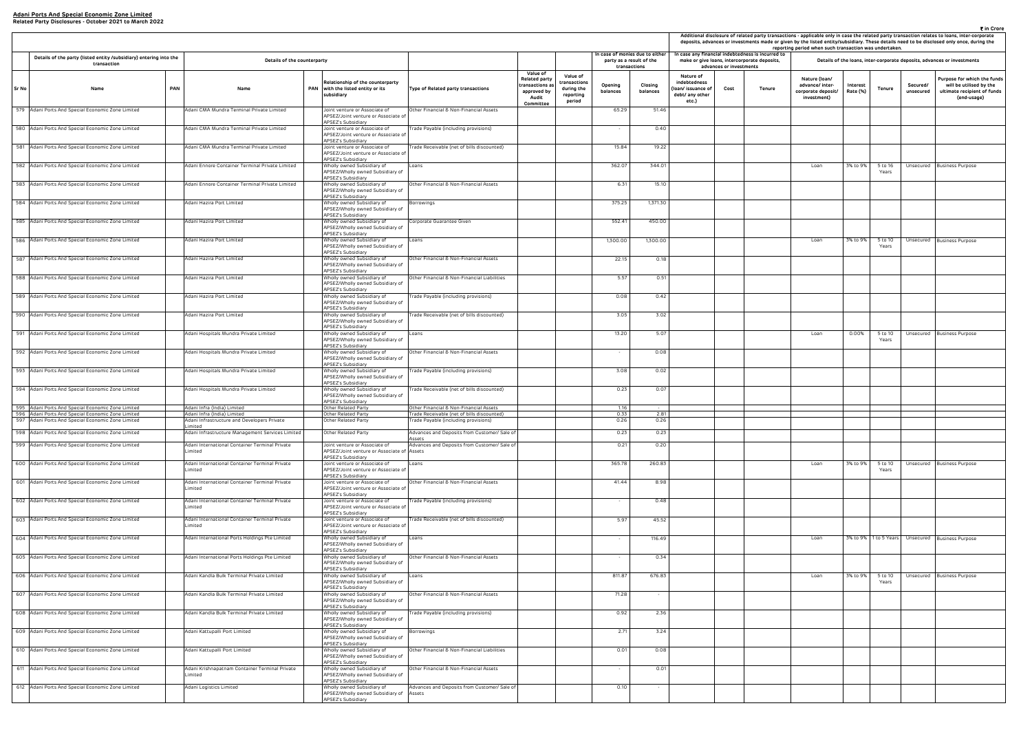| ₹ in Crore<br>Additional disclosure of related party transactions - applicable only in case the related party transaction relates to loans, inter-corporate<br>deposits, advances or investments made or given by the listed entity/subsidiary. These details need to be disclosed only once, during the<br>reporting period when such transaction was undertaken.<br>case any financial indebtedness is incurred to |                                 |                                              |                                                                       |                      |                  |                       |                                                                                                      |  |  |  |  |  |  |
|----------------------------------------------------------------------------------------------------------------------------------------------------------------------------------------------------------------------------------------------------------------------------------------------------------------------------------------------------------------------------------------------------------------------|---------------------------------|----------------------------------------------|-----------------------------------------------------------------------|----------------------|------------------|-----------------------|------------------------------------------------------------------------------------------------------|--|--|--|--|--|--|
|                                                                                                                                                                                                                                                                                                                                                                                                                      |                                 | make or give loans, intercorporate deposits, |                                                                       |                      |                  |                       | Details of the loans, inter-corporate deposits, advances or investments                              |  |  |  |  |  |  |
| Nature of<br>debtedness<br>n/ issuance of<br>bt/ any other<br>etc.)                                                                                                                                                                                                                                                                                                                                                  | advances or investments<br>Cost | Tenure                                       | Nature (Ioan/<br>advance/ inter-<br>corporate deposit/<br>investment) | Interest<br>Rate (%) | Tenure           | Secured/<br>unsecured | Purpose for which the funds<br>will be utilised by the<br>ultimate recipient of funds<br>(end-usage) |  |  |  |  |  |  |
|                                                                                                                                                                                                                                                                                                                                                                                                                      |                                 |                                              |                                                                       |                      |                  |                       |                                                                                                      |  |  |  |  |  |  |
|                                                                                                                                                                                                                                                                                                                                                                                                                      |                                 |                                              |                                                                       |                      |                  |                       |                                                                                                      |  |  |  |  |  |  |
|                                                                                                                                                                                                                                                                                                                                                                                                                      |                                 |                                              | Loan                                                                  | 3% to 9%             | 5 to 16          | Unsecured             | <b>Business Purpose</b>                                                                              |  |  |  |  |  |  |
|                                                                                                                                                                                                                                                                                                                                                                                                                      |                                 |                                              |                                                                       |                      | Years            |                       |                                                                                                      |  |  |  |  |  |  |
|                                                                                                                                                                                                                                                                                                                                                                                                                      |                                 |                                              |                                                                       |                      |                  |                       |                                                                                                      |  |  |  |  |  |  |
|                                                                                                                                                                                                                                                                                                                                                                                                                      |                                 |                                              |                                                                       |                      |                  |                       |                                                                                                      |  |  |  |  |  |  |
|                                                                                                                                                                                                                                                                                                                                                                                                                      |                                 |                                              | Loan                                                                  | 3% to 9%             | 5 to 10<br>Years | Unsecured             | <b>Business Purpose</b>                                                                              |  |  |  |  |  |  |
|                                                                                                                                                                                                                                                                                                                                                                                                                      |                                 |                                              |                                                                       |                      |                  |                       |                                                                                                      |  |  |  |  |  |  |
|                                                                                                                                                                                                                                                                                                                                                                                                                      |                                 |                                              |                                                                       |                      |                  |                       |                                                                                                      |  |  |  |  |  |  |
|                                                                                                                                                                                                                                                                                                                                                                                                                      |                                 |                                              |                                                                       |                      |                  |                       |                                                                                                      |  |  |  |  |  |  |
|                                                                                                                                                                                                                                                                                                                                                                                                                      |                                 |                                              | Loan                                                                  | 0.00%                | 5 to 10          | Unsecured             | <b>Business Purpose</b>                                                                              |  |  |  |  |  |  |
|                                                                                                                                                                                                                                                                                                                                                                                                                      |                                 |                                              |                                                                       |                      | Years            |                       |                                                                                                      |  |  |  |  |  |  |
|                                                                                                                                                                                                                                                                                                                                                                                                                      |                                 |                                              |                                                                       |                      |                  |                       |                                                                                                      |  |  |  |  |  |  |
|                                                                                                                                                                                                                                                                                                                                                                                                                      |                                 |                                              |                                                                       |                      |                  |                       |                                                                                                      |  |  |  |  |  |  |
|                                                                                                                                                                                                                                                                                                                                                                                                                      |                                 |                                              |                                                                       |                      |                  |                       |                                                                                                      |  |  |  |  |  |  |
|                                                                                                                                                                                                                                                                                                                                                                                                                      |                                 |                                              |                                                                       |                      |                  |                       |                                                                                                      |  |  |  |  |  |  |
|                                                                                                                                                                                                                                                                                                                                                                                                                      |                                 |                                              |                                                                       |                      |                  |                       |                                                                                                      |  |  |  |  |  |  |
|                                                                                                                                                                                                                                                                                                                                                                                                                      |                                 |                                              | Loan                                                                  | 3% to 9%             | 5 to 10<br>Years | Unsecured             | <b>Business Purpose</b>                                                                              |  |  |  |  |  |  |
|                                                                                                                                                                                                                                                                                                                                                                                                                      |                                 |                                              |                                                                       |                      |                  |                       |                                                                                                      |  |  |  |  |  |  |
|                                                                                                                                                                                                                                                                                                                                                                                                                      |                                 |                                              |                                                                       |                      |                  |                       |                                                                                                      |  |  |  |  |  |  |
|                                                                                                                                                                                                                                                                                                                                                                                                                      |                                 |                                              | Loan                                                                  | 3% to 9%             | 1 to 5 Years     | Unsecured             | <b>Business Purpose</b>                                                                              |  |  |  |  |  |  |
|                                                                                                                                                                                                                                                                                                                                                                                                                      |                                 |                                              |                                                                       |                      |                  |                       |                                                                                                      |  |  |  |  |  |  |
|                                                                                                                                                                                                                                                                                                                                                                                                                      |                                 |                                              | Loan                                                                  | 3% to 9%             | 5 to 10<br>Years | Unsecured             | <b>Business Purpose</b>                                                                              |  |  |  |  |  |  |
|                                                                                                                                                                                                                                                                                                                                                                                                                      |                                 |                                              |                                                                       |                      |                  |                       |                                                                                                      |  |  |  |  |  |  |
|                                                                                                                                                                                                                                                                                                                                                                                                                      |                                 |                                              |                                                                       |                      |                  |                       |                                                                                                      |  |  |  |  |  |  |
|                                                                                                                                                                                                                                                                                                                                                                                                                      |                                 |                                              |                                                                       |                      |                  |                       |                                                                                                      |  |  |  |  |  |  |
|                                                                                                                                                                                                                                                                                                                                                                                                                      |                                 |                                              |                                                                       |                      |                  |                       |                                                                                                      |  |  |  |  |  |  |
|                                                                                                                                                                                                                                                                                                                                                                                                                      |                                 |                                              |                                                                       |                      |                  |                       |                                                                                                      |  |  |  |  |  |  |
|                                                                                                                                                                                                                                                                                                                                                                                                                      |                                 |                                              |                                                                       |                      |                  |                       |                                                                                                      |  |  |  |  |  |  |

|       |                                                                                   |                                                           |                                                                                                   |                                              |                                                                                                |                                                              |                     |                                                                            |                                                                            |                         |                                                                                                   | Additional disclosure of related party transactions - applicable only in case the related party transaction relates to loans, inter-co<br>deposits, advances or investments made or given by the listed entity/subsidiary. These details need to be disclosed only once, du<br>reporting period when such transaction was undertaken. |                      |                       |                       |                                                                       |
|-------|-----------------------------------------------------------------------------------|-----------------------------------------------------------|---------------------------------------------------------------------------------------------------|----------------------------------------------|------------------------------------------------------------------------------------------------|--------------------------------------------------------------|---------------------|----------------------------------------------------------------------------|----------------------------------------------------------------------------|-------------------------|---------------------------------------------------------------------------------------------------|---------------------------------------------------------------------------------------------------------------------------------------------------------------------------------------------------------------------------------------------------------------------------------------------------------------------------------------|----------------------|-----------------------|-----------------------|-----------------------------------------------------------------------|
|       | Details of the party (listed entity /subsidiary) entering into the<br>transaction | Details of the counterparty                               |                                                                                                   |                                              |                                                                                                |                                                              |                     | n case of monies due to either<br>party as a result of the<br>transactions |                                                                            | advances or investments | In case any financial indebtedness is incurred to<br>make or give loans, intercorporate deposits, |                                                                                                                                                                                                                                                                                                                                       |                      |                       |                       | Details of the loans, inter-corporate deposits, advances or investmen |
| Sr No | Name                                                                              | <b>PAN</b><br>Name                                        | Relationship of the counterparty<br>PAN with the listed entity or its<br>subsidiary               | Type of Related party transactions           | <b>Value of</b><br><b>Related party</b><br>transactions a<br>approved by<br>Audit<br>Committee | Value of<br>ransactions<br>during the<br>reporting<br>period | Opening<br>balances | Closing<br>balances                                                        | Nature of<br>indebtedness<br>loan/ issuance of<br>debt/ any other<br>etc.) | Cost                    | Tenure                                                                                            | Nature (Ioan/<br>advance/ inter-<br>corporate deposit/<br>investment)                                                                                                                                                                                                                                                                 | Interest<br>Rate (%) | Tenure                | Secured/<br>unsecured | Purpose for whic<br>will be utilise<br>ultimate recipie<br>(end-usa   |
|       | 579 Adani Ports And Special Economic Zone Limited                                 | Adani CMA Mundra Terminal Private Limited                 | Joint venture or Associate of<br>APSEZ/Joint venture or Associate of<br>APSEZ's Subsidiary        | Other Financial & Non-Financial Assets       |                                                                                                |                                                              | 65.29               | 51.46                                                                      |                                                                            |                         |                                                                                                   |                                                                                                                                                                                                                                                                                                                                       |                      |                       |                       |                                                                       |
|       | 580 Adani Ports And Special Economic Zone Limited                                 | Adani CMA Mundra Terminal Private Limited                 | Joint venture or Associate of<br>APSEZ/Joint venture or Associate of<br>APSEZ's Subsidiary        | Trade Payable (including provisions)         |                                                                                                |                                                              |                     | 0.40                                                                       |                                                                            |                         |                                                                                                   |                                                                                                                                                                                                                                                                                                                                       |                      |                       |                       |                                                                       |
|       | 581 Adani Ports And Special Economic Zone Limited                                 | Adani CMA Mundra Terminal Private Limited                 | Joint venture or Associate of<br>APSEZ/Joint venture or Associate of<br>APSEZ's Subsidiary        | Trade Receivable (net of bills discounted)   |                                                                                                |                                                              | 15.84               | 19.22                                                                      |                                                                            |                         |                                                                                                   |                                                                                                                                                                                                                                                                                                                                       |                      |                       |                       |                                                                       |
|       | 582 Adani Ports And Special Economic Zone Limited                                 | Adani Ennore Container Terminal Private Limited           | Wholly owned Subsidiary of<br>APSEZ/Wholly owned Subsidiary of<br><b>APSEZ's Subsidiary</b>       | Loans                                        |                                                                                                |                                                              | 362.07              | 344.01                                                                     |                                                                            |                         |                                                                                                   | Loan                                                                                                                                                                                                                                                                                                                                  | 3% to 9%             | 5 to 16<br>Years      |                       | Unsecured Business Purpose                                            |
|       | 583 Adani Ports And Special Economic Zone Limited                                 | Adani Ennore Container Terminal Private Limited           | Wholly owned Subsidiary of<br>APSEZ/Wholly owned Subsidiary of<br>APSEZ's Subsidiary              | Other Financial & Non-Financial Assets       |                                                                                                |                                                              | 6.31                | 15.10                                                                      |                                                                            |                         |                                                                                                   |                                                                                                                                                                                                                                                                                                                                       |                      |                       |                       |                                                                       |
|       | 584 Adani Ports And Special Economic Zone Limited                                 | Adani Hazira Port Limited                                 | Wholly owned Subsidiary of<br>APSEZ/Wholly owned Subsidiary of<br>APSEZ's Subsidiary              | Borrowings                                   |                                                                                                |                                                              | 375.25              | 1,371.30                                                                   |                                                                            |                         |                                                                                                   |                                                                                                                                                                                                                                                                                                                                       |                      |                       |                       |                                                                       |
|       | 585 Adani Ports And Special Economic Zone Limited                                 | Adani Hazira Port Limited                                 | Wholly owned Subsidiary of<br>APSEZ/Wholly owned Subsidiary of<br>APSEZ's Subsidiary              | Corporate Guarantee Given                    |                                                                                                |                                                              | 552.41              | 450.00                                                                     |                                                                            |                         |                                                                                                   |                                                                                                                                                                                                                                                                                                                                       |                      |                       |                       |                                                                       |
|       | 586 Adani Ports And Special Economic Zone Limited                                 | Adani Hazira Port Limited                                 | Wholly owned Subsidiary of<br>APSEZ/Wholly owned Subsidiary of<br>APSEZ's Subsidiary              | Loans                                        |                                                                                                |                                                              | 1,300.00            | 1,300.00                                                                   |                                                                            |                         |                                                                                                   | Loan                                                                                                                                                                                                                                                                                                                                  | 3% to 9%             | 5 to 10<br>Years      |                       | Unsecured Business Purpose                                            |
|       | 587 Adani Ports And Special Economic Zone Limited                                 | Adani Hazira Port Limited                                 | Wholly owned Subsidiary of<br>APSEZ/Wholly owned Subsidiary of<br>APSEZ's Subsidiary              | Other Financial & Non-Financial Assets       |                                                                                                |                                                              | 22.15               | 0.18                                                                       |                                                                            |                         |                                                                                                   |                                                                                                                                                                                                                                                                                                                                       |                      |                       |                       |                                                                       |
|       | 588 Adani Ports And Special Economic Zone Limited                                 | Adani Hazira Port Limited                                 | Wholly owned Subsidiary of<br>APSEZ/Wholly owned Subsidiary of<br><b>APSEZ's Subsidiary</b>       | Other Financial & Non-Financial Liabilities  |                                                                                                |                                                              | 5.57                | 0.51                                                                       |                                                                            |                         |                                                                                                   |                                                                                                                                                                                                                                                                                                                                       |                      |                       |                       |                                                                       |
|       | 589 Adani Ports And Special Economic Zone Limited                                 | Adani Hazira Port Limited                                 | Wholly owned Subsidiary of<br>APSEZ/Wholly owned Subsidiary of<br>APSEZ's Subsidiary              | "rade Payable (including provisions)         |                                                                                                |                                                              | 0.08                | 0.42                                                                       |                                                                            |                         |                                                                                                   |                                                                                                                                                                                                                                                                                                                                       |                      |                       |                       |                                                                       |
|       | 590 Adani Ports And Special Economic Zone Limited                                 | Adani Hazira Port Limited                                 | Wholly owned Subsidiary of<br>APSEZ/Wholly owned Subsidiary of<br>APSEZ's Subsidiary              | rade Receivable (net of bills discounted)    |                                                                                                |                                                              | 3.05                | 3.02                                                                       |                                                                            |                         |                                                                                                   |                                                                                                                                                                                                                                                                                                                                       |                      |                       |                       |                                                                       |
|       | 591 Adani Ports And Special Economic Zone Limited                                 | Adani Hospitals Mundra Private Limited                    | Wholly owned Subsidiary of<br>APSEZ/Wholly owned Subsidiary of<br><b>APSEZ's Subsidiary</b>       | Loans                                        |                                                                                                |                                                              | 13.20               | 5.07                                                                       |                                                                            |                         |                                                                                                   | Loan                                                                                                                                                                                                                                                                                                                                  | 0.00%                | 5 to 10<br>Years      |                       | Unsecured Business Purpose                                            |
|       | 592 Adani Ports And Special Economic Zone Limited                                 | Adani Hospitals Mundra Private Limited                    | Wholly owned Subsidiary of<br>APSEZ/Wholly owned Subsidiary of<br>APSEZ's Subsidiary              | Other Financial & Non-Financial Assets       |                                                                                                |                                                              |                     | 0.08                                                                       |                                                                            |                         |                                                                                                   |                                                                                                                                                                                                                                                                                                                                       |                      |                       |                       |                                                                       |
|       | 593 Adani Ports And Special Economic Zone Limited                                 | Adani Hospitals Mundra Private Limited                    | Wholly owned Subsidiary of<br>APSEZ/Wholly owned Subsidiary of<br>APSEZ's Subsidiary              | Trade Payable (including provisions)         |                                                                                                |                                                              | 3.08                | 0.02                                                                       |                                                                            |                         |                                                                                                   |                                                                                                                                                                                                                                                                                                                                       |                      |                       |                       |                                                                       |
|       | 594 Adani Ports And Special Economic Zone Limited                                 | Adani Hospitals Mundra Private Limited                    | Wholly owned Subsidiary of<br>APSEZ/Wholly owned Subsidiary of<br><b>APSEZ's Subsidiary</b>       | Trade Receivable (net of bills discounted)   |                                                                                                |                                                              | 0.23                | 0.07                                                                       |                                                                            |                         |                                                                                                   |                                                                                                                                                                                                                                                                                                                                       |                      |                       |                       |                                                                       |
|       | 595 Adani Ports And Special Economic Zone Limited                                 | Adani Infra (India) Limited                               | Other Related Party                                                                               | Other Financial & Non-Financial Assets       |                                                                                                |                                                              | 1.16                |                                                                            |                                                                            |                         |                                                                                                   |                                                                                                                                                                                                                                                                                                                                       |                      |                       |                       |                                                                       |
|       | 596 Adani Ports And Special Economic Zone Limited                                 | Adani Infra (India) Limited                               | Other Related Party                                                                               | Trade Receivable (net of bills discounted)   |                                                                                                |                                                              | 0.33                | 2.81                                                                       |                                                                            |                         |                                                                                                   |                                                                                                                                                                                                                                                                                                                                       |                      |                       |                       |                                                                       |
|       | 597 Adani Ports And Special Economic Zone Limited                                 | dani Infrastructure and Developers Private<br>.imited     | Jther Related Party                                                                               | rade Payable (including provisions)          |                                                                                                |                                                              | 0.26                | 0.26                                                                       |                                                                            |                         |                                                                                                   |                                                                                                                                                                                                                                                                                                                                       |                      |                       |                       |                                                                       |
|       | 598 Adani Ports And Special Economic Zone Limited                                 | Adani Infrastructure Management Services Limited          | Other Related Party                                                                               | Advances and Deposits from Customer/ Sale of |                                                                                                |                                                              | 0.23                | 0.23                                                                       |                                                                            |                         |                                                                                                   |                                                                                                                                                                                                                                                                                                                                       |                      |                       |                       |                                                                       |
|       |                                                                                   |                                                           |                                                                                                   | Assets                                       |                                                                                                |                                                              |                     |                                                                            |                                                                            |                         |                                                                                                   |                                                                                                                                                                                                                                                                                                                                       |                      |                       |                       |                                                                       |
|       | 599 Adani Ports And Special Economic Zone Limited                                 | Adani International Container Terminal Private<br>Limited | Joint venture or Associate of<br>APSEZ/Joint venture or Associate of Assets<br>APSEZ's Subsidiary | Advances and Deposits from Customer/ Sale of |                                                                                                |                                                              | 0.21                | 0.20                                                                       |                                                                            |                         |                                                                                                   |                                                                                                                                                                                                                                                                                                                                       |                      |                       |                       |                                                                       |
|       | 600 Adani Ports And Special Economic Zone Limited                                 | Adani International Container Terminal Private<br>.imited | Joint venture or Associate of<br>APSEZ/Joint venture or Associate of<br>APSEZ's Subsidiary        | Loans                                        |                                                                                                |                                                              | 365.78              | 260.83                                                                     |                                                                            |                         |                                                                                                   | Loan                                                                                                                                                                                                                                                                                                                                  | 3% to 9%             | 5 to 10<br>Years      |                       | Unsecured Business Purpose                                            |
|       | 601 Adani Ports And Special Economic Zone Limited                                 | Adani International Container Terminal Private<br>Limited | Joint venture or Associate of<br>APSEZ/Joint venture or Associate of<br>APSEZ's Subsidiary        | Other Financial & Non-Financial Assets       |                                                                                                |                                                              | 41.44               | 8.98                                                                       |                                                                            |                         |                                                                                                   |                                                                                                                                                                                                                                                                                                                                       |                      |                       |                       |                                                                       |
|       | 602 Adani Ports And Special Economic Zone Limited                                 | Adani International Container Terminal Private<br>Limited | Joint venture or Associate of<br>APSEZ/Joint venture or Associate of<br>APSEZ's Subsidiary        | Trade Payable (including provisions)         |                                                                                                |                                                              |                     | 0.48                                                                       |                                                                            |                         |                                                                                                   |                                                                                                                                                                                                                                                                                                                                       |                      |                       |                       |                                                                       |
|       | 603 Adani Ports And Special Economic Zone Limited                                 | Adani International Container Terminal Private<br>Limited | Joint venture or Associate of<br>APSEZ/Joint venture or Associate of<br>APSEZ's Subsidiary        | rade Receivable (net of bills discounted)    |                                                                                                |                                                              | 5.97                | 45.52                                                                      |                                                                            |                         |                                                                                                   |                                                                                                                                                                                                                                                                                                                                       |                      |                       |                       |                                                                       |
|       | 604 Adani Ports And Special Economic Zone Limited                                 | Adani International Ports Holdings Pte Limited            | Wholly owned Subsidiary of<br>APSEZ/Wholly owned Subsidiary of<br>PSEZ's Subsidiary               | Loans                                        |                                                                                                |                                                              |                     | 116.49                                                                     |                                                                            |                         |                                                                                                   | Loan                                                                                                                                                                                                                                                                                                                                  |                      | 3% to 9% 1 to 5 Years |                       | Unsecured Business Purpose                                            |
|       | 605 Adani Ports And Special Economic Zone Limited                                 | Adani International Ports Holdings Pte Limited            | Wholly owned Subsidiary of<br>APSEZ/Wholly owned Subsidiary of<br>APSEZ's Subsidiary              | Other Financial & Non-Financial Assets       |                                                                                                |                                                              |                     | 0.34                                                                       |                                                                            |                         |                                                                                                   |                                                                                                                                                                                                                                                                                                                                       |                      |                       |                       |                                                                       |
|       | 606 Adani Ports And Special Economic Zone Limited                                 | Adani Kandla Bulk Terminal Private Limited                | Wholly owned Subsidiary of<br>APSEZ/Wholly owned Subsidiary of<br>APSEZ's Subsidiary              | Loans                                        |                                                                                                |                                                              | 811.87              | 676.83                                                                     |                                                                            |                         |                                                                                                   | Loan                                                                                                                                                                                                                                                                                                                                  | 3% to 9%             | 5 to 10<br>Years      |                       | Unsecured Business Purpose                                            |
|       | 607 Adani Ports And Special Economic Zone Limited                                 | Adani Kandla Bulk Terminal Private Limited                | Wholly owned Subsidiary of<br>APSEZ/Wholly owned Subsidiary of<br>APSEZ's Subsidiary              | Other Financial & Non-Financial Assets       |                                                                                                |                                                              | 71.28               | $\sim$                                                                     |                                                                            |                         |                                                                                                   |                                                                                                                                                                                                                                                                                                                                       |                      |                       |                       |                                                                       |
|       | 608 Adani Ports And Special Economic Zone Limited                                 | Adani Kandla Bulk Terminal Private Limited                | Vholly owned Subsidiary of<br>APSEZ/Wholly owned Subsidiary of<br>APSEZ's Subsidiary              | Trade Payable (including provisions)         |                                                                                                |                                                              | 0.92                | 2.36                                                                       |                                                                            |                         |                                                                                                   |                                                                                                                                                                                                                                                                                                                                       |                      |                       |                       |                                                                       |
|       | 609 Adani Ports And Special Economic Zone Limited                                 | Adani Kattupalli Port Limited                             | Wholly owned Subsidiary of<br>APSEZ/Wholly owned Subsidiary of<br>APSEZ's Subsidiary              | Borrowings                                   |                                                                                                |                                                              | 2.71                | 3.24                                                                       |                                                                            |                         |                                                                                                   |                                                                                                                                                                                                                                                                                                                                       |                      |                       |                       |                                                                       |
|       | 610 Adani Ports And Special Economic Zone Limited                                 | Adani Kattupalli Port Limited                             | Wholly owned Subsidiary of<br>APSEZ/Wholly owned Subsidiary of<br>APSEZ's Subsidiary              | Other Financial & Non-Financial Liabilities  |                                                                                                |                                                              | 0.01                | 0.08                                                                       |                                                                            |                         |                                                                                                   |                                                                                                                                                                                                                                                                                                                                       |                      |                       |                       |                                                                       |
|       | 611 Adani Ports And Special Economic Zone Limited                                 | Adani Krishnapatnam Container Terminal Private            | Wholly owned Subsidiary of                                                                        | Other Financial & Non-Financial Assets       |                                                                                                |                                                              |                     | 0.01                                                                       |                                                                            |                         |                                                                                                   |                                                                                                                                                                                                                                                                                                                                       |                      |                       |                       |                                                                       |
|       |                                                                                   | .imited                                                   | APSEZ/Wholly owned Subsidiary of<br>APSEZ's Subsidiary                                            |                                              |                                                                                                |                                                              |                     |                                                                            |                                                                            |                         |                                                                                                   |                                                                                                                                                                                                                                                                                                                                       |                      |                       |                       |                                                                       |
|       | 612 Adani Ports And Special Economic Zone Limited                                 | Adani Logistics Limited                                   | Wholly owned Subsidiary of<br>APSEZ/Wholly owned Subsidiary of Assets                             | Advances and Deposits from Customer/ Sale of |                                                                                                |                                                              | 0.10                |                                                                            |                                                                            |                         |                                                                                                   |                                                                                                                                                                                                                                                                                                                                       |                      |                       |                       |                                                                       |
|       |                                                                                   |                                                           | APSEZ's Subsidiary                                                                                |                                              |                                                                                                |                                                              |                     |                                                                            |                                                                            |                         |                                                                                                   |                                                                                                                                                                                                                                                                                                                                       |                      |                       |                       |                                                                       |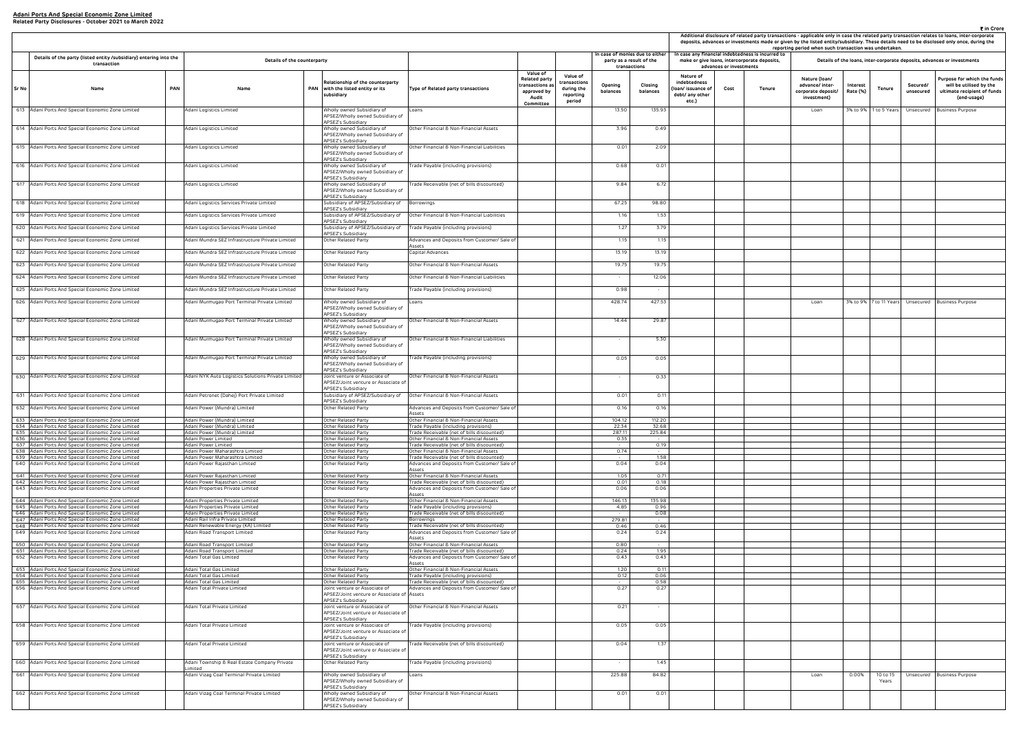| ₹ in Crore<br>Additional disclosure of related party transactions - applicable only in case the related party transaction relates to loans, inter-corporate<br>deposits, advances or investments made or given by the listed entity/subsidiary. These details need to be disclosed only once, during the<br>reporting period when such transaction was undertaken.<br>case any financial indebtedness is incurred to |                         |                                              |                                                                       |                      |                        |                       |                                                                                                      |  |  |  |  |  |  |
|----------------------------------------------------------------------------------------------------------------------------------------------------------------------------------------------------------------------------------------------------------------------------------------------------------------------------------------------------------------------------------------------------------------------|-------------------------|----------------------------------------------|-----------------------------------------------------------------------|----------------------|------------------------|-----------------------|------------------------------------------------------------------------------------------------------|--|--|--|--|--|--|
|                                                                                                                                                                                                                                                                                                                                                                                                                      | advances or investments | make or give Ioans, intercorporate deposits, |                                                                       |                      |                        |                       | Details of the loans, inter-corporate deposits, advances or investments                              |  |  |  |  |  |  |
| Nature of<br>debtedness<br>n/ issuance of<br>bt/ any other<br>etc.)                                                                                                                                                                                                                                                                                                                                                  | Cost                    | Tenure                                       | Nature (Ioan/<br>advance/ inter-<br>corporate deposit/<br>investment) | Interest<br>Rate (%) | Tenure                 | Secured/<br>unsecured | Purpose for which the funds<br>will be utilised by the<br>ultimate recipient of funds<br>(end-usage) |  |  |  |  |  |  |
|                                                                                                                                                                                                                                                                                                                                                                                                                      |                         |                                              | Loan                                                                  | 3% to 9%             | 1 to 5 Years           | Unsecured             | <b>Business Purpose</b>                                                                              |  |  |  |  |  |  |
|                                                                                                                                                                                                                                                                                                                                                                                                                      |                         |                                              |                                                                       |                      |                        |                       |                                                                                                      |  |  |  |  |  |  |
|                                                                                                                                                                                                                                                                                                                                                                                                                      |                         |                                              |                                                                       |                      |                        |                       |                                                                                                      |  |  |  |  |  |  |
|                                                                                                                                                                                                                                                                                                                                                                                                                      |                         |                                              |                                                                       |                      |                        |                       |                                                                                                      |  |  |  |  |  |  |
|                                                                                                                                                                                                                                                                                                                                                                                                                      |                         |                                              |                                                                       |                      |                        |                       |                                                                                                      |  |  |  |  |  |  |
|                                                                                                                                                                                                                                                                                                                                                                                                                      |                         |                                              |                                                                       |                      |                        |                       |                                                                                                      |  |  |  |  |  |  |
|                                                                                                                                                                                                                                                                                                                                                                                                                      |                         |                                              |                                                                       |                      |                        |                       |                                                                                                      |  |  |  |  |  |  |
|                                                                                                                                                                                                                                                                                                                                                                                                                      |                         |                                              |                                                                       |                      |                        |                       |                                                                                                      |  |  |  |  |  |  |
|                                                                                                                                                                                                                                                                                                                                                                                                                      |                         |                                              |                                                                       |                      |                        |                       |                                                                                                      |  |  |  |  |  |  |
|                                                                                                                                                                                                                                                                                                                                                                                                                      |                         |                                              |                                                                       |                      |                        |                       |                                                                                                      |  |  |  |  |  |  |
|                                                                                                                                                                                                                                                                                                                                                                                                                      |                         |                                              |                                                                       |                      |                        |                       |                                                                                                      |  |  |  |  |  |  |
|                                                                                                                                                                                                                                                                                                                                                                                                                      |                         |                                              | Loan                                                                  |                      | 3% to 9% 7 to 11 Years | Unsecured             | <b>Business Purpose</b>                                                                              |  |  |  |  |  |  |
|                                                                                                                                                                                                                                                                                                                                                                                                                      |                         |                                              |                                                                       |                      |                        |                       |                                                                                                      |  |  |  |  |  |  |
|                                                                                                                                                                                                                                                                                                                                                                                                                      |                         |                                              |                                                                       |                      |                        |                       |                                                                                                      |  |  |  |  |  |  |
|                                                                                                                                                                                                                                                                                                                                                                                                                      |                         |                                              |                                                                       |                      |                        |                       |                                                                                                      |  |  |  |  |  |  |
|                                                                                                                                                                                                                                                                                                                                                                                                                      |                         |                                              |                                                                       |                      |                        |                       |                                                                                                      |  |  |  |  |  |  |
|                                                                                                                                                                                                                                                                                                                                                                                                                      |                         |                                              |                                                                       |                      |                        |                       |                                                                                                      |  |  |  |  |  |  |
|                                                                                                                                                                                                                                                                                                                                                                                                                      |                         |                                              |                                                                       |                      |                        |                       |                                                                                                      |  |  |  |  |  |  |
|                                                                                                                                                                                                                                                                                                                                                                                                                      |                         |                                              |                                                                       |                      |                        |                       |                                                                                                      |  |  |  |  |  |  |
|                                                                                                                                                                                                                                                                                                                                                                                                                      |                         |                                              |                                                                       |                      |                        |                       |                                                                                                      |  |  |  |  |  |  |
|                                                                                                                                                                                                                                                                                                                                                                                                                      |                         |                                              |                                                                       |                      |                        |                       |                                                                                                      |  |  |  |  |  |  |
|                                                                                                                                                                                                                                                                                                                                                                                                                      |                         |                                              |                                                                       |                      |                        |                       |                                                                                                      |  |  |  |  |  |  |
|                                                                                                                                                                                                                                                                                                                                                                                                                      |                         |                                              |                                                                       |                      |                        |                       |                                                                                                      |  |  |  |  |  |  |
|                                                                                                                                                                                                                                                                                                                                                                                                                      |                         |                                              |                                                                       |                      |                        |                       |                                                                                                      |  |  |  |  |  |  |
|                                                                                                                                                                                                                                                                                                                                                                                                                      |                         |                                              |                                                                       |                      |                        |                       |                                                                                                      |  |  |  |  |  |  |
|                                                                                                                                                                                                                                                                                                                                                                                                                      |                         |                                              |                                                                       |                      |                        |                       |                                                                                                      |  |  |  |  |  |  |
|                                                                                                                                                                                                                                                                                                                                                                                                                      |                         |                                              |                                                                       |                      |                        |                       |                                                                                                      |  |  |  |  |  |  |
|                                                                                                                                                                                                                                                                                                                                                                                                                      |                         |                                              |                                                                       |                      |                        |                       |                                                                                                      |  |  |  |  |  |  |
|                                                                                                                                                                                                                                                                                                                                                                                                                      |                         |                                              |                                                                       |                      |                        |                       |                                                                                                      |  |  |  |  |  |  |
|                                                                                                                                                                                                                                                                                                                                                                                                                      |                         |                                              |                                                                       |                      |                        |                       |                                                                                                      |  |  |  |  |  |  |
|                                                                                                                                                                                                                                                                                                                                                                                                                      |                         |                                              |                                                                       |                      |                        |                       |                                                                                                      |  |  |  |  |  |  |
|                                                                                                                                                                                                                                                                                                                                                                                                                      |                         |                                              |                                                                       |                      |                        |                       |                                                                                                      |  |  |  |  |  |  |
|                                                                                                                                                                                                                                                                                                                                                                                                                      |                         |                                              | Loan                                                                  | 0.00%                | 10 to 15<br>Years      | Unsecured             | Business Purpose                                                                                     |  |  |  |  |  |  |
|                                                                                                                                                                                                                                                                                                                                                                                                                      |                         |                                              |                                                                       |                      |                        |                       |                                                                                                      |  |  |  |  |  |  |

|       |                                                                                                        |            |                                                                      |     |                                                                                                   |                                                                                            |                                                                                         |                                                               | reporting period when such transaction was undertaken.                      |                     | Additional disclosure of related party transactions - applicable only in case the related party transaction relates to loans, inter-co<br>deposits, advances or investments made or given by the listed entity/subsidiary. These details need to be disclosed only once, du |                         |                                                                                                   |                                                                       |                                |                                                                                              |
|-------|--------------------------------------------------------------------------------------------------------|------------|----------------------------------------------------------------------|-----|---------------------------------------------------------------------------------------------------|--------------------------------------------------------------------------------------------|-----------------------------------------------------------------------------------------|---------------------------------------------------------------|-----------------------------------------------------------------------------|---------------------|-----------------------------------------------------------------------------------------------------------------------------------------------------------------------------------------------------------------------------------------------------------------------------|-------------------------|---------------------------------------------------------------------------------------------------|-----------------------------------------------------------------------|--------------------------------|----------------------------------------------------------------------------------------------|
|       | Details of the party (listed entity /subsidiary) entering into the<br>transaction                      |            | Details of the counterparty                                          |     |                                                                                                   |                                                                                            |                                                                                         |                                                               | In case of monies due to either<br>party as a result of the<br>transactions |                     |                                                                                                                                                                                                                                                                             | advances or investments | In case any financial indebtedness is incurred to<br>make or give loans, intercorporate deposits, |                                                                       |                                | Details of the loans, inter-corporate deposits, advances or investmen                        |
| Sr No | Name                                                                                                   | <b>PAN</b> | Name                                                                 | PAN | Relationship of the counterparty<br>with the listed entity or its<br>subsidiary                   | Type of Related party transactions                                                         | Value of<br><b>Related party</b><br>ransactions a:<br>approved by<br>Audit<br>Committee | Value of<br>transactions<br>during the<br>reporting<br>period | Opening<br>balances                                                         | Closing<br>balances | Nature of<br>indebtedness<br>loan/ issuance of<br>debt/ any other<br>etc.)                                                                                                                                                                                                  | Cost                    | Tenure                                                                                            | Nature (Ioan/<br>advance/ inter-<br>corporate deposit/<br>investment) | Interest<br>Tenure<br>Rate (%) | Purpose for whic<br>will be utilise<br>Secured/<br>ultimate recipie<br>unsecured<br>(end-usa |
|       | 613 Adani Ports And Special Economic Zone Limited                                                      |            | Adani Logistics Limited                                              |     | Wholly owned Subsidiary of<br>APSEZ/Wholly owned Subsidiary of<br><b>APSEZ's Subsidiary</b>       | Loans                                                                                      |                                                                                         |                                                               | 13.50                                                                       | 135.93              |                                                                                                                                                                                                                                                                             |                         |                                                                                                   | Loan                                                                  | 1 to 5 Years<br>3% to 9%       | <b>Business Purpose</b><br>Unsecured                                                         |
|       | 614 Adani Ports And Special Economic Zone Limited                                                      |            | Adani Logistics Limited                                              |     | Wholly owned Subsidiary of<br>APSEZ/Wholly owned Subsidiary of<br>APSEZ's Subsidiary              | Other Financial & Non-Financial Assets                                                     |                                                                                         |                                                               | 3.96                                                                        | 0.49                |                                                                                                                                                                                                                                                                             |                         |                                                                                                   |                                                                       |                                |                                                                                              |
|       | 615 Adani Ports And Special Economic Zone Limited                                                      |            | Adani Logistics Limited                                              |     | Wholly owned Subsidiary of<br>APSEZ/Wholly owned Subsidiary of<br><b>APSEZ's Subsidiary</b>       | Other Financial & Non-Financial Liabilities                                                |                                                                                         |                                                               | 0.01                                                                        | 2.09                |                                                                                                                                                                                                                                                                             |                         |                                                                                                   |                                                                       |                                |                                                                                              |
|       | 616 Adani Ports And Special Economic Zone Limited                                                      |            | Adani Logistics Limited                                              |     | Wholly owned Subsidiary of<br>APSEZ/Wholly owned Subsidiary of                                    | [rade Payable (including provisions)                                                       |                                                                                         |                                                               | 0.68                                                                        | 0.01                |                                                                                                                                                                                                                                                                             |                         |                                                                                                   |                                                                       |                                |                                                                                              |
|       | 617 Adani Ports And Special Economic Zone Limited                                                      |            | Adani Logistics Limited                                              |     | APSEZ's Subsidiary<br>Wholly owned Subsidiary of<br>APSEZ/Wholly owned Subsidiary of              | [rade Receivable (net of bills discounted)                                                 |                                                                                         |                                                               | 9.84                                                                        | 6.72                |                                                                                                                                                                                                                                                                             |                         |                                                                                                   |                                                                       |                                |                                                                                              |
|       | 618 Adani Ports And Special Economic Zone Limited                                                      |            | Adani Logistics Services Private Limited                             |     | APSEZ's Subsidiary<br>Subsidiary of APSEZ/Subsidiary of Borrowings<br><b>APSEZ's Subsidiary</b>   |                                                                                            |                                                                                         |                                                               | 67.25                                                                       | 98.80               |                                                                                                                                                                                                                                                                             |                         |                                                                                                   |                                                                       |                                |                                                                                              |
|       | 619 Adani Ports And Special Economic Zone Limited                                                      |            | Adani Logistics Services Private Limited                             |     | Subsidiary of APSEZ/Subsidiary of<br><b>APSEZ's Subsidiary</b>                                    | Other Financial & Non-Financial Liabilities                                                |                                                                                         |                                                               | 1.16                                                                        | 1.53                |                                                                                                                                                                                                                                                                             |                         |                                                                                                   |                                                                       |                                |                                                                                              |
|       | 620 Adani Ports And Special Economic Zone Limited                                                      |            | Adani Logistics Services Private Limited                             |     | subsidiary of APSEZ/Subsidiary of                                                                 | Trade Payable (including provisions)                                                       |                                                                                         |                                                               | 1.27                                                                        | 3.79                |                                                                                                                                                                                                                                                                             |                         |                                                                                                   |                                                                       |                                |                                                                                              |
|       | 621 Adani Ports And Special Economic Zone Limited                                                      |            | Adani Mundra SEZ Infrastructure Private Limited                      |     | APSEZ's Subsidiary<br>Other Related Party                                                         | Advances and Deposits from Customer/ Sale of                                               |                                                                                         |                                                               | 1.15                                                                        | 1.15                |                                                                                                                                                                                                                                                                             |                         |                                                                                                   |                                                                       |                                |                                                                                              |
|       | 622 Adani Ports And Special Economic Zone Limited                                                      |            | Adani Mundra SEZ Infrastructure Private Limited                      |     | Other Related Party                                                                               | Assets<br>Capital Advances                                                                 |                                                                                         |                                                               | 13.19                                                                       | 13.19               |                                                                                                                                                                                                                                                                             |                         |                                                                                                   |                                                                       |                                |                                                                                              |
|       | 623 Adani Ports And Special Economic Zone Limited                                                      |            | Adani Mundra SEZ Infrastructure Private Limited                      |     | Other Related Party                                                                               | Other Financial & Non-Financial Assets                                                     |                                                                                         |                                                               | 19.75                                                                       | 19.75               |                                                                                                                                                                                                                                                                             |                         |                                                                                                   |                                                                       |                                |                                                                                              |
|       |                                                                                                        |            |                                                                      |     |                                                                                                   |                                                                                            |                                                                                         |                                                               |                                                                             |                     |                                                                                                                                                                                                                                                                             |                         |                                                                                                   |                                                                       |                                |                                                                                              |
|       | 624 Adani Ports And Special Economic Zone Limited                                                      |            | Adani Mundra SEZ Infrastructure Private Limited                      |     | Other Related Party                                                                               | Other Financial & Non-Financial Liabilities                                                |                                                                                         |                                                               | $\sim$                                                                      | 12.06               |                                                                                                                                                                                                                                                                             |                         |                                                                                                   |                                                                       |                                |                                                                                              |
|       | 625 Adani Ports And Special Economic Zone Limited                                                      |            | Adani Mundra SEZ Infrastructure Private Limited                      |     | Other Related Party                                                                               | Trade Payable (including provisions)                                                       |                                                                                         |                                                               | 0.98                                                                        | $\sim$              |                                                                                                                                                                                                                                                                             |                         |                                                                                                   |                                                                       |                                |                                                                                              |
|       | 626 Adani Ports And Special Economic Zone Limited                                                      |            | Adani Murmugao Port Terminal Private Limited                         |     | Wholly owned Subsidiary of<br>APSEZ/Wholly owned Subsidiary of<br>APSEZ's Subsidiary              | Loans                                                                                      |                                                                                         |                                                               | 428.74                                                                      | 427.53              |                                                                                                                                                                                                                                                                             |                         |                                                                                                   | Loan                                                                  |                                | 3% to 9% 7 to 11 Years Unsecured Business Purpose                                            |
|       | 627 Adani Ports And Special Economic Zone Limited                                                      |            | Adani Murmugao Port Terminal Private Limited                         |     | Wholly owned Subsidiary of<br>APSEZ/Wholly owned Subsidiary of<br><b>APSEZ's Subsidiary</b>       | Other Financial & Non-Financial Assets                                                     |                                                                                         |                                                               | 14.44                                                                       | 29.87               |                                                                                                                                                                                                                                                                             |                         |                                                                                                   |                                                                       |                                |                                                                                              |
|       | 628 Adani Ports And Special Economic Zone Limited                                                      |            | Adani Murmugao Port Terminal Private Limited                         |     | Wholly owned Subsidiary of<br>APSEZ/Wholly owned Subsidiary of<br>APSEZ's Subsidiary              | Other Financial & Non-Financial Liabilities                                                |                                                                                         |                                                               |                                                                             | 5.30                |                                                                                                                                                                                                                                                                             |                         |                                                                                                   |                                                                       |                                |                                                                                              |
|       | 629 Adani Ports And Special Economic Zone Limited                                                      |            | Adani Murmugao Port Terminal Private Limited                         |     | Wholly owned Subsidiary of<br>APSEZ/Wholly owned Subsidiary of<br>APSEZ's Subsidiary              | Trade Payable (including provisions)                                                       |                                                                                         |                                                               | 0.05                                                                        | 0.05                |                                                                                                                                                                                                                                                                             |                         |                                                                                                   |                                                                       |                                |                                                                                              |
|       | 630 Adani Ports And Special Economic Zone Limited                                                      |            | Adani NYK Auto Logistics Solutions Private Limited                   |     | Joint venture or Associate of<br>APSEZ/Joint venture or Associate of<br>APSEZ's Subsidiary        | Other Financial & Non-Financial Assets                                                     |                                                                                         |                                                               |                                                                             | 0.33                |                                                                                                                                                                                                                                                                             |                         |                                                                                                   |                                                                       |                                |                                                                                              |
|       | 631 Adani Ports And Special Economic Zone Limited                                                      |            | Adani Petronet (Dahej) Port Private Limited                          |     | Subsidiary of APSEZ/Subsidiary of<br>APSEZ's Subsidiary                                           | Other Financial & Non-Financial Assets                                                     |                                                                                         |                                                               | 0.01                                                                        | 0.11                |                                                                                                                                                                                                                                                                             |                         |                                                                                                   |                                                                       |                                |                                                                                              |
|       | 632 Adani Ports And Special Economic Zone Limited                                                      |            | Adani Power (Mundra) Limited                                         |     | Other Related Party                                                                               | Advances and Deposits from Customer/ Sale of                                               |                                                                                         |                                                               | 0.16                                                                        | 0.16                |                                                                                                                                                                                                                                                                             |                         |                                                                                                   |                                                                       |                                |                                                                                              |
|       | 633 Adani Ports And Special Economic Zone Limited                                                      |            | Adani Power (Mundra) Limited                                         |     | Other Related Party                                                                               | Assets<br>Other Financial & Non-Financial Assets                                           |                                                                                         |                                                               | 104.12                                                                      | 112.20              |                                                                                                                                                                                                                                                                             |                         |                                                                                                   |                                                                       |                                |                                                                                              |
|       | 634 Adani Ports And Special Economic Zone Limited<br>635 Adani Ports And Special Economic Zone Limited |            | Adani Power (Mundra) Limited<br>Adani Power (Mundra) Limited         |     | Other Related Party<br>Other Related Party                                                        | rade Payable (including provisions)<br>rade Receivable (net of bills discounted)           |                                                                                         |                                                               | 22.34<br>287.11                                                             | 32.68<br>225.84     |                                                                                                                                                                                                                                                                             |                         |                                                                                                   |                                                                       |                                |                                                                                              |
|       | 636 Adani Ports And Special Economic Zone Limited                                                      |            | Adani Power Limited                                                  |     | Other Related Party                                                                               | Other Financial & Non-Financial Assets                                                     |                                                                                         |                                                               | 0.35                                                                        |                     |                                                                                                                                                                                                                                                                             |                         |                                                                                                   |                                                                       |                                |                                                                                              |
|       | 637 Adani Ports And Special Economic Zone Limited<br>638 Adani Ports And Special Economic Zone Limited |            | Adani Power Limited<br>Adani Power Maharashtra Limited               |     | Other Related Party<br>Other Related Party                                                        | [rade Receivable (net of bills discounted)<br>Other Financial & Non-Financial Assets       |                                                                                         |                                                               | $\sim 10^{-1}$<br>0.74                                                      | 0.19<br>$\sim$      |                                                                                                                                                                                                                                                                             |                         |                                                                                                   |                                                                       |                                |                                                                                              |
|       | 639 Adani Ports And Special Economic Zone Limited                                                      |            | Adani Power Maharashtra Limited                                      |     | Other Related Party                                                                               | 'rade Receivable (net of bills discounted)                                                 |                                                                                         |                                                               |                                                                             | 1.58                |                                                                                                                                                                                                                                                                             |                         |                                                                                                   |                                                                       |                                |                                                                                              |
|       | 640 Adani Ports And Special Economic Zone Limited                                                      |            | Adani Power Rajasthan Limited                                        |     | Other Related Party                                                                               | Advances and Deposits from Customer/ Sale of<br>Assets                                     |                                                                                         |                                                               | 0.04                                                                        | 0.04                |                                                                                                                                                                                                                                                                             |                         |                                                                                                   |                                                                       |                                |                                                                                              |
|       | 641 Adani Ports And Special Economic Zone Limited<br>642 Adani Ports And Special Economic Zone Limited |            | Adani Power Raiasthan Limited<br>Adani Power Rajasthan Limited       |     | Other Related Party<br>Other Related Party                                                        | Other Financial & Non-Financial Assets<br>Trade Receivable (net of bills discounted)       |                                                                                         |                                                               | 1.05<br>0.01                                                                | 0.71<br>0.18        |                                                                                                                                                                                                                                                                             |                         |                                                                                                   |                                                                       |                                |                                                                                              |
|       | 643 Adani Ports And Special Economic Zone Limited                                                      |            | Adani Properties Private Limited                                     |     | Other Related Party                                                                               | Advances and Deposits from Customer/ Sale of                                               |                                                                                         |                                                               | 0.06                                                                        | 0.06                |                                                                                                                                                                                                                                                                             |                         |                                                                                                   |                                                                       |                                |                                                                                              |
|       | 644 Adani Ports And Special Economic Zone Limited                                                      |            | Adani Properties Private Limited                                     |     | Other Related Party                                                                               | Assets<br>Other Financial & Non-Financial Assets                                           |                                                                                         |                                                               | 146.13                                                                      | 135.98              |                                                                                                                                                                                                                                                                             |                         |                                                                                                   |                                                                       |                                |                                                                                              |
|       | 645 Adani Ports And Special Economic Zone Limited<br>646 Adani Ports And Special Economic Zone Limited |            | Adani Properties Private Limited<br>Adani Properties Private Limited |     | Other Related Party<br>Other Related Party                                                        | rade Payable (including provisions)<br>Trade Receivable (net of bills discounted)          |                                                                                         |                                                               | 4.85<br>$\sim$                                                              | 0.96<br>0.08        |                                                                                                                                                                                                                                                                             |                         |                                                                                                   |                                                                       |                                |                                                                                              |
|       | 647 Adani Ports And Special Economic Zone Limited                                                      |            | Adani Rail Infra Private Limited                                     |     | Other Related Party                                                                               | <b>Borrowings</b>                                                                          |                                                                                         |                                                               | 279.81                                                                      | $\sim$              |                                                                                                                                                                                                                                                                             |                         |                                                                                                   |                                                                       |                                |                                                                                              |
|       | 648 Adani Ports And Special Economic Zone Limited<br>649 Adani Ports And Special Economic Zone Limited |            | Adani Renewable Energy (KA) Limited<br>Adani Road Transport Limited  |     | Other Related Party<br>Other Related Party                                                        | 'rade Receivable (net of bills discounted)<br>Advances and Deposits from Customer/ Sale of |                                                                                         |                                                               | 0.46<br>0.24                                                                | 0.46<br>0.24        |                                                                                                                                                                                                                                                                             |                         |                                                                                                   |                                                                       |                                |                                                                                              |
|       |                                                                                                        |            |                                                                      |     |                                                                                                   | Assets<br>Other Financial & Non-Financial Assets                                           |                                                                                         |                                                               |                                                                             |                     |                                                                                                                                                                                                                                                                             |                         |                                                                                                   |                                                                       |                                |                                                                                              |
|       | 650 Adani Ports And Special Economic Zone Limited<br>651 Adani Ports And Special Economic Zone Limited |            | Adani Road Transport Limited<br>Adani Road Transport Limited         |     | Other Related Party<br>Other Related Party                                                        | 'rade Receivable (net of bills discounted)                                                 |                                                                                         |                                                               | 0.80<br>0.24                                                                | 1.95                |                                                                                                                                                                                                                                                                             |                         |                                                                                                   |                                                                       |                                |                                                                                              |
|       | 652 Adani Ports And Special Economic Zone Limited                                                      |            | Adani Total Gas Limited                                              |     | Other Related Party                                                                               | Advances and Deposits from Customer/ Sale of<br>Assets                                     |                                                                                         |                                                               | 0.43                                                                        | 0.43                |                                                                                                                                                                                                                                                                             |                         |                                                                                                   |                                                                       |                                |                                                                                              |
|       | 653 Adani Ports And Special Economic Zone Limited<br>654 Adani Ports And Special Economic Zone Limited |            | Adani Total Gas Limited<br>Adani Total Gas Limited                   |     | Other Related Party<br>Other Related Party                                                        | Other Financial & Non-Financial Assets<br>[rade Payable (including provisions)             |                                                                                         |                                                               | 1.20<br>0.12                                                                | 0.11<br>0.06        |                                                                                                                                                                                                                                                                             |                         |                                                                                                   |                                                                       |                                |                                                                                              |
|       | 655 Adani Ports And Special Economic Zone Limited                                                      |            | Adani Total Gas Limited                                              |     | Other Related Party                                                                               | [rade Receivable (net of bills discounted)                                                 |                                                                                         |                                                               |                                                                             | 0.58                |                                                                                                                                                                                                                                                                             |                         |                                                                                                   |                                                                       |                                |                                                                                              |
|       | 656 Adani Ports And Special Economic Zone Limited                                                      |            | Adani Total Private Limited                                          |     | Joint venture or Associate of<br>APSEZ/Joint venture or Associate of Assets<br>APSEZ's Subsidiary | Advances and Deposits from Customer/ Sale of                                               |                                                                                         |                                                               | 0.27                                                                        | 0.27                |                                                                                                                                                                                                                                                                             |                         |                                                                                                   |                                                                       |                                |                                                                                              |
|       | 657 Adani Ports And Special Economic Zone Limited                                                      |            | Adani Total Private Limited                                          |     | Joint venture or Associate of<br>APSEZ/Joint venture or Associate of<br>APSEZ's Subsidiary        | Other Financial & Non-Financial Assets                                                     |                                                                                         |                                                               | 0.21                                                                        | $\sim$              |                                                                                                                                                                                                                                                                             |                         |                                                                                                   |                                                                       |                                |                                                                                              |
|       | 658 Adani Ports And Special Economic Zone Limited                                                      |            | Adani Total Private Limited                                          |     | Joint venture or Associate of<br>APSEZ/Joint venture or Associate of<br>APSEZ's Subsidiary        | Trade Payable (including provisions)                                                       |                                                                                         |                                                               | 0.05                                                                        | 0.05                |                                                                                                                                                                                                                                                                             |                         |                                                                                                   |                                                                       |                                |                                                                                              |
|       | 659 Adani Ports And Special Economic Zone Limited                                                      |            | Adani Total Private Limited                                          |     | Joint venture or Associate of<br>APSEZ/Joint venture or Associate of<br>APSEZ's Subsidiary        | [rade Receivable (net of bills discounted)                                                 |                                                                                         |                                                               | 0.04                                                                        | 1.37                |                                                                                                                                                                                                                                                                             |                         |                                                                                                   |                                                                       |                                |                                                                                              |
|       | 660 Adani Ports And Special Economic Zone Limited                                                      |            | Adani Township & Real Estate Company Private<br>imited               |     | Other Related Party                                                                               | Frade Payable (including provisions)                                                       |                                                                                         |                                                               | $\sim$                                                                      | 1.45                |                                                                                                                                                                                                                                                                             |                         |                                                                                                   |                                                                       |                                |                                                                                              |
|       | 661 Adani Ports And Special Economic Zone Limited                                                      |            | Adani Vizag Coal Terminal Private Limited                            |     | Wholly owned Subsidiary of<br>APSEZ/Wholly owned Subsidiary of<br>PSEZ's Subsidiary               | Loans                                                                                      |                                                                                         |                                                               | 225.88                                                                      | 84.82               |                                                                                                                                                                                                                                                                             |                         |                                                                                                   | Loan                                                                  | 0.00%<br>10 to 15<br>Years     | Unsecured Business Purpose                                                                   |
|       | 662 Adani Ports And Special Economic Zone Limited                                                      |            | Adani Vizag Coal Terminal Private Limited                            |     | Wholly owned Subsidiary of<br>APSEZ/Wholly owned Subsidiary of<br>APSEZ's Subsidiary              | Other Financial & Non-Financial Assets                                                     |                                                                                         |                                                               | 0.01                                                                        | 0.01                |                                                                                                                                                                                                                                                                             |                         |                                                                                                   |                                                                       |                                |                                                                                              |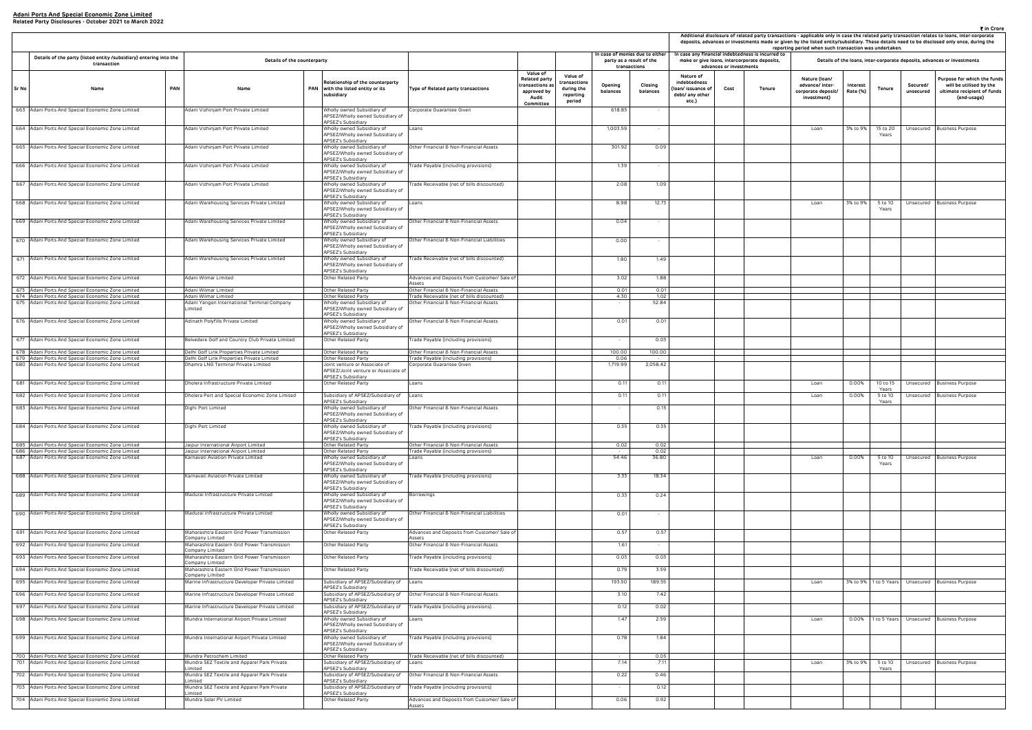| ₹ in Crore<br>Additional disclosure of related party transactions - applicable only in case the related party transaction relates to loans, inter-corporate<br>deposits, advances or investments made or given by the listed entity/subsidiary. These details need to be disclosed only once, during the<br>reporting period when such transaction was undertaken.<br>case any financial indebtedness is incurred to |                         |                                              |                                                                       |                      |                                       |                        |                                                                                                      |  |  |  |  |  |  |
|----------------------------------------------------------------------------------------------------------------------------------------------------------------------------------------------------------------------------------------------------------------------------------------------------------------------------------------------------------------------------------------------------------------------|-------------------------|----------------------------------------------|-----------------------------------------------------------------------|----------------------|---------------------------------------|------------------------|------------------------------------------------------------------------------------------------------|--|--|--|--|--|--|
|                                                                                                                                                                                                                                                                                                                                                                                                                      | advances or investments | make or give Ioans, intercorporate deposits, |                                                                       |                      |                                       |                        | Details of the loans, inter-corporate deposits, advances or investments                              |  |  |  |  |  |  |
| Nature of<br>debtedness<br>n/ issuance of<br>bt/ any other<br>etc.)                                                                                                                                                                                                                                                                                                                                                  | Cost                    | Tenure                                       | Nature (Ioan/<br>advance/ inter-<br>corporate deposit/<br>investment) | Interest<br>Rate (%) | Tenure                                | Secured/<br>unsecured  | Purpose for which the funds<br>will be utilised by the<br>ultimate recipient of funds<br>(end-usage) |  |  |  |  |  |  |
|                                                                                                                                                                                                                                                                                                                                                                                                                      |                         |                                              | Loan                                                                  | 3% to 9%             | 15 to 20<br>Years                     | Unsecured              | <b>Business Purpose</b>                                                                              |  |  |  |  |  |  |
|                                                                                                                                                                                                                                                                                                                                                                                                                      |                         |                                              |                                                                       |                      |                                       |                        |                                                                                                      |  |  |  |  |  |  |
|                                                                                                                                                                                                                                                                                                                                                                                                                      |                         |                                              | Loan                                                                  | 3% to 9%             | 5 to 10<br>Years                      | Unsecured              | <b>Business Purpose</b>                                                                              |  |  |  |  |  |  |
|                                                                                                                                                                                                                                                                                                                                                                                                                      |                         |                                              |                                                                       |                      |                                       |                        |                                                                                                      |  |  |  |  |  |  |
|                                                                                                                                                                                                                                                                                                                                                                                                                      |                         |                                              |                                                                       |                      |                                       |                        |                                                                                                      |  |  |  |  |  |  |
|                                                                                                                                                                                                                                                                                                                                                                                                                      |                         |                                              |                                                                       |                      |                                       |                        |                                                                                                      |  |  |  |  |  |  |
|                                                                                                                                                                                                                                                                                                                                                                                                                      |                         |                                              |                                                                       |                      |                                       |                        |                                                                                                      |  |  |  |  |  |  |
|                                                                                                                                                                                                                                                                                                                                                                                                                      |                         |                                              |                                                                       |                      |                                       |                        |                                                                                                      |  |  |  |  |  |  |
|                                                                                                                                                                                                                                                                                                                                                                                                                      |                         |                                              | Loan<br>Loan                                                          | 0.00%<br>0.00%       | 10 to 15<br>Years<br>5 to 10<br>Years | Unsecured<br>Unsecured | Business Purpose<br><b>Business Purpose</b>                                                          |  |  |  |  |  |  |
|                                                                                                                                                                                                                                                                                                                                                                                                                      |                         |                                              |                                                                       |                      |                                       |                        |                                                                                                      |  |  |  |  |  |  |
|                                                                                                                                                                                                                                                                                                                                                                                                                      |                         |                                              | Loan                                                                  | 0.00%                | 5 to 10<br>Years                      | Unsecured              | <b>Business Purpose</b>                                                                              |  |  |  |  |  |  |
|                                                                                                                                                                                                                                                                                                                                                                                                                      |                         |                                              |                                                                       |                      |                                       |                        |                                                                                                      |  |  |  |  |  |  |
|                                                                                                                                                                                                                                                                                                                                                                                                                      |                         |                                              |                                                                       |                      |                                       |                        |                                                                                                      |  |  |  |  |  |  |
|                                                                                                                                                                                                                                                                                                                                                                                                                      |                         |                                              |                                                                       |                      |                                       |                        |                                                                                                      |  |  |  |  |  |  |
|                                                                                                                                                                                                                                                                                                                                                                                                                      |                         |                                              | Loan                                                                  | 3% to 9%             | 1 to 5 Years                          | Unsecured              | <b>Business Purpose</b>                                                                              |  |  |  |  |  |  |
|                                                                                                                                                                                                                                                                                                                                                                                                                      |                         |                                              | Loan                                                                  | 0.00%                | 1 to 5 Years                          | Unsecured              | <b>Business Purpose</b>                                                                              |  |  |  |  |  |  |
|                                                                                                                                                                                                                                                                                                                                                                                                                      |                         |                                              |                                                                       |                      |                                       |                        |                                                                                                      |  |  |  |  |  |  |
|                                                                                                                                                                                                                                                                                                                                                                                                                      |                         |                                              | Loan                                                                  | 3% to 9%             | 5 to 10<br>Years                      | Unsecured              | <b>Business Purpose</b>                                                                              |  |  |  |  |  |  |
|                                                                                                                                                                                                                                                                                                                                                                                                                      |                         |                                              |                                                                       |                      |                                       |                        |                                                                                                      |  |  |  |  |  |  |

|                                                                                                        |                                                                                          |                                                                                             |                                                                                      |                                                                                    |                                                               |                     |                                                                             |                                                                           |                         |                                                                                                   | Additional disclosure of related party transactions - applicable only in case the related party transaction relates to loans, inter-co<br>deposits, advances or investments made or given by the listed entity/subsidiary. These details need to be disclosed only once, du<br>reporting period when such transaction was undertaken. |                      |                       |                       |                                                                       |
|--------------------------------------------------------------------------------------------------------|------------------------------------------------------------------------------------------|---------------------------------------------------------------------------------------------|--------------------------------------------------------------------------------------|------------------------------------------------------------------------------------|---------------------------------------------------------------|---------------------|-----------------------------------------------------------------------------|---------------------------------------------------------------------------|-------------------------|---------------------------------------------------------------------------------------------------|---------------------------------------------------------------------------------------------------------------------------------------------------------------------------------------------------------------------------------------------------------------------------------------------------------------------------------------|----------------------|-----------------------|-----------------------|-----------------------------------------------------------------------|
| Details of the party (listed entity /subsidiary) entering into the<br>transaction                      | Details of the counterparty                                                              |                                                                                             |                                                                                      |                                                                                    |                                                               |                     | In case of monies due to either<br>party as a result of the<br>transactions |                                                                           | advances or investments | In case any financial indebtedness is incurred to<br>make or give loans, intercorporate deposits, |                                                                                                                                                                                                                                                                                                                                       |                      |                       |                       | Details of the loans, inter-corporate deposits, advances or investmen |
| <b>PAN</b><br>Sr No<br>Name                                                                            | Name                                                                                     | Relationship of the counterparty<br>PAN with the listed entity or its<br>subsidiary         | Type of Related party transactions                                                   | <b>Value of</b><br><b>Related party</b><br>transactions a:<br>approved by<br>Audit | Value of<br>:ransactions<br>during the<br>reporting<br>period | Opening<br>balances | Closing<br>balances                                                         | Nature of<br>indebtedness<br>oan/ issuance of<br>debt/ any other<br>etc.) | Cost                    | Tenure                                                                                            | Nature (Ioan/<br>advance/ inter-<br>corporate deposit/<br>investment)                                                                                                                                                                                                                                                                 | Interest<br>Rate (%) | Tenure                | Secured/<br>unsecured | Purpose for whic<br>will be utilise<br>ultimate recipie<br>(end-usa   |
| 663 Adani Ports And Special Economic Zone Limited                                                      | Adani Vizhinjam Port Private Limited                                                     | Wholly owned Subsidiary of<br>APSEZ/Wholly owned Subsidiary of                              | Corporate Guarantee Given                                                            | Committee                                                                          |                                                               | 618.85              |                                                                             |                                                                           |                         |                                                                                                   |                                                                                                                                                                                                                                                                                                                                       |                      |                       |                       |                                                                       |
| 664 Adani Ports And Special Economic Zone Limited                                                      | Adani Vizhinjam Port Private Limited                                                     | APSEZ's Subsidiary<br>Wholly owned Subsidiary of<br>APSEZ/Wholly owned Subsidiary of        | Loans                                                                                |                                                                                    |                                                               | 1,003.59            | $\sim$                                                                      |                                                                           |                         |                                                                                                   | Loan                                                                                                                                                                                                                                                                                                                                  | 3% to 9%             | 15 to 20<br>Years     | Unsecured             | <b>Business Purpose</b>                                               |
| 665 Adani Ports And Special Economic Zone Limited                                                      | Adani Vizhinjam Port Private Limited                                                     | APSEZ's Subsidiary<br>Wholly owned Subsidiary of<br>APSEZ/Wholly owned Subsidiary of        | Other Financial & Non-Financial Assets                                               |                                                                                    |                                                               | 301.92              | 0.09                                                                        |                                                                           |                         |                                                                                                   |                                                                                                                                                                                                                                                                                                                                       |                      |                       |                       |                                                                       |
| 666 Adani Ports And Special Economic Zone Limited                                                      | Adani Vizhinjam Port Private Limited                                                     | APSEZ's Subsidiary<br>Wholly owned Subsidiary of<br>APSEZ/Wholly owned Subsidiary of        | Trade Payable (including provisions)                                                 |                                                                                    |                                                               | 1.39                |                                                                             |                                                                           |                         |                                                                                                   |                                                                                                                                                                                                                                                                                                                                       |                      |                       |                       |                                                                       |
| 667 Adani Ports And Special Economic Zone Limited                                                      | Adani Vizhinjam Port Private Limited                                                     | APSEZ's Subsidiary<br>Wholly owned Subsidiary of<br>APSEZ/Wholly owned Subsidiary of        | Trade Receivable (net of bills discounted)                                           |                                                                                    |                                                               | 2.08                | 1.09                                                                        |                                                                           |                         |                                                                                                   |                                                                                                                                                                                                                                                                                                                                       |                      |                       |                       |                                                                       |
| 668 Adani Ports And Special Economic Zone Limited                                                      | Adani Warehousing Services Private Limited                                               | APSEZ's Subsidiary<br>Wholly owned Subsidiary of<br>APSEZ/Wholly owned Subsidiary of        | Loans                                                                                |                                                                                    |                                                               | 8.98                | 12.73                                                                       |                                                                           |                         |                                                                                                   | Loan                                                                                                                                                                                                                                                                                                                                  | 3% to 9%             | 5 to 10<br>Years      |                       | Unsecured Business Purpose                                            |
| 669 Adani Ports And Special Economic Zone Limited                                                      | Adani Warehousing Services Private Limited                                               | APSEZ's Subsidiary<br>Wholly owned Subsidiary of                                            | Other Financial & Non-Financial Assets                                               |                                                                                    |                                                               | 0.04                | $\sim$                                                                      |                                                                           |                         |                                                                                                   |                                                                                                                                                                                                                                                                                                                                       |                      |                       |                       |                                                                       |
|                                                                                                        |                                                                                          | APSEZ/Wholly owned Subsidiary of<br>APSEZ's Subsidiary                                      |                                                                                      |                                                                                    |                                                               |                     |                                                                             |                                                                           |                         |                                                                                                   |                                                                                                                                                                                                                                                                                                                                       |                      |                       |                       |                                                                       |
| 670 Adani Ports And Special Economic Zone Limited                                                      | Adani Warehousing Services Private Limited                                               | Wholly owned Subsidiary of<br>APSEZ/Wholly owned Subsidiary of<br>APSEZ's Subsidiary        | Other Financial & Non-Financial Liabilities                                          |                                                                                    |                                                               | 0.00                |                                                                             |                                                                           |                         |                                                                                                   |                                                                                                                                                                                                                                                                                                                                       |                      |                       |                       |                                                                       |
| 671 Adani Ports And Special Economic Zone Limited                                                      | Adani Warehousing Services Private Limited                                               | Wholly owned Subsidiary of<br>APSEZ/Wholly owned Subsidiary of<br>APSEZ's Subsidiary        | Trade Receivable (net of bills discounted)                                           |                                                                                    |                                                               | 1.80                | 1.49                                                                        |                                                                           |                         |                                                                                                   |                                                                                                                                                                                                                                                                                                                                       |                      |                       |                       |                                                                       |
| 672 Adani Ports And Special Economic Zone Limited                                                      | Adani Wilmar Limited                                                                     | Other Related Party                                                                         | Advances and Deposits from Customer/ Sale of<br>Assets                               |                                                                                    |                                                               | 3.02                | 1.88                                                                        |                                                                           |                         |                                                                                                   |                                                                                                                                                                                                                                                                                                                                       |                      |                       |                       |                                                                       |
| 673 Adani Ports And Special Economic Zone Limited<br>674 Adani Ports And Special Economic Zone Limited | Adani Wilmar Limited<br>Adani Wilmar Limited                                             | Other Related Party<br>Other Related Party                                                  | Other Financial & Non-Financial Assets<br>Trade Receivable (net of bills discounted) |                                                                                    |                                                               | 0.01<br>4.30        | 0.01<br>1.02                                                                |                                                                           |                         |                                                                                                   |                                                                                                                                                                                                                                                                                                                                       |                      |                       |                       |                                                                       |
| 675 Adani Ports And Special Economic Zone Limited                                                      | Adani Yangon International Terminal Company<br>Limited                                   | Wholly owned Subsidiary of<br>APSEZ/Wholly owned Subsidiary of<br>APSEZ's Subsidiary        | Other Financial & Non-Financial Assets                                               |                                                                                    |                                                               | $\sim$              | 52.84                                                                       |                                                                           |                         |                                                                                                   |                                                                                                                                                                                                                                                                                                                                       |                      |                       |                       |                                                                       |
| 676 Adani Ports And Special Economic Zone Limited                                                      | Adinath Polyfills Private Limited                                                        | Wholly owned Subsidiary of<br>APSEZ/Wholly owned Subsidiary of<br>APSEZ's Subsidiary        | Other Financial & Non-Financial Assets                                               |                                                                                    |                                                               | 0.01                | 0.01                                                                        |                                                                           |                         |                                                                                                   |                                                                                                                                                                                                                                                                                                                                       |                      |                       |                       |                                                                       |
| 677 Adani Ports And Special Economic Zone Limited                                                      | Belvedere Golf and Country Club Private Limited                                          | Other Related Party                                                                         | Trade Payable (including provisions)                                                 |                                                                                    |                                                               |                     | 0.03                                                                        |                                                                           |                         |                                                                                                   |                                                                                                                                                                                                                                                                                                                                       |                      |                       |                       |                                                                       |
| 678 Adani Ports And Special Economic Zone Limited<br>679 Adani Ports And Special Economic Zone Limited | Delhi Golf Link Properties Private Limited<br>Delhi Golf Link Properties Private Limited | Other Related Party<br>Other Related Party                                                  | Other Financial & Non-Financial Assets<br>Trade Payable (including provisions)       |                                                                                    |                                                               | 100.00<br>0.06      | 100.00                                                                      |                                                                           |                         |                                                                                                   |                                                                                                                                                                                                                                                                                                                                       |                      |                       |                       |                                                                       |
| 680 Adani Ports And Special Economic Zone Limited                                                      | Dhamra LNG Terminal Private Limited                                                      | Joint venture or Associate of<br>APSEZ/Joint venture or Associate of<br>APSEZ's Subsidiary  | Corporate Guarantee Given                                                            |                                                                                    |                                                               | 1,719.99            | 2,058.42                                                                    |                                                                           |                         |                                                                                                   |                                                                                                                                                                                                                                                                                                                                       |                      |                       |                       |                                                                       |
| 681 Adani Ports And Special Economic Zone Limited                                                      | Dholera Infrastructure Private Limited                                                   | Other Related Party                                                                         | Loans                                                                                |                                                                                    |                                                               | 0.11                | 0.11                                                                        |                                                                           |                         |                                                                                                   | Loan                                                                                                                                                                                                                                                                                                                                  | 0.00%                | 10 to 15              |                       | Unsecured Business Purpose                                            |
| 682 Adani Ports And Special Economic Zone Limited                                                      | Dholera Port and Special Economic Zone Limited                                           | Subsidiary of APSEZ/Subsidiary of                                                           | Loans                                                                                |                                                                                    |                                                               | 0.11                | 0.11                                                                        |                                                                           |                         |                                                                                                   | Loan                                                                                                                                                                                                                                                                                                                                  | 0.00%                | Years<br>5 to 10      |                       | Unsecured Business Purpose                                            |
| 683 Adani Ports And Special Economic Zone Limited                                                      | Dighi Port Limited                                                                       | APSEZ's Subsidiary<br>Wholly owned Subsidiary of<br>APSEZ/Wholly owned Subsidiary of        | Other Financial & Non-Financial Assets                                               |                                                                                    |                                                               |                     | 0.15                                                                        |                                                                           |                         |                                                                                                   |                                                                                                                                                                                                                                                                                                                                       |                      | Years                 |                       |                                                                       |
| 684 Adani Ports And Special Economic Zone Limited                                                      | Dighi Port Limited                                                                       | <b>APSE7's Subsidiary</b><br>Wholly owned Subsidiary of<br>APSEZ/Wholly owned Subsidiary of | Trade Payable (including provisions)                                                 |                                                                                    |                                                               | 0.35                | 0.35                                                                        |                                                                           |                         |                                                                                                   |                                                                                                                                                                                                                                                                                                                                       |                      |                       |                       |                                                                       |
| 685 Adani Ports And Special Economic Zone Limited                                                      | Jaipur International Airport Limited                                                     | APSEZ's Subsidiary<br>Other Related Party                                                   | Other Financial & Non-Financial Assets                                               |                                                                                    |                                                               | 0.02                | 0.02                                                                        |                                                                           |                         |                                                                                                   |                                                                                                                                                                                                                                                                                                                                       |                      |                       |                       |                                                                       |
| 686 Adani Ports And Special Economic Zone Limited<br>687 Adani Ports And Special Economic Zone Limited | Jaipur International Airport Limited<br>Karnavati Aviation Private Limited               | Other Related Party                                                                         | Trade Payable (including provisions)                                                 |                                                                                    |                                                               | 54.46               | 0.02<br>36.80                                                               |                                                                           |                         |                                                                                                   | Loan                                                                                                                                                                                                                                                                                                                                  | $0.00\%$             | 5 to 10               |                       |                                                                       |
|                                                                                                        |                                                                                          | Wholly owned Subsidiary of<br>APSEZ/Wholly owned Subsidiary of<br>APSEZ's Subsidiary        | Loans                                                                                |                                                                                    |                                                               |                     |                                                                             |                                                                           |                         |                                                                                                   |                                                                                                                                                                                                                                                                                                                                       |                      | Years                 |                       | Unsecured Business Purpose                                            |
| 688 Adani Ports And Special Economic Zone Limited                                                      | Karnavati Aviation Private Limited                                                       | Wholly owned Subsidiary of<br>APSEZ/Wholly owned Subsidiary of<br>APSEZ's Subsidiary        | Trade Payable (including provisions)                                                 |                                                                                    |                                                               | 3.33                | 18.34                                                                       |                                                                           |                         |                                                                                                   |                                                                                                                                                                                                                                                                                                                                       |                      |                       |                       |                                                                       |
| 689 Adani Ports And Special Economic Zone Limited                                                      | Madurai Infrastructure Private Limited                                                   | Wholly owned Subsidiary of<br>APSEZ/Wholly owned Subsidiary of<br>APSEZ's Subsidiary        | Borrowings                                                                           |                                                                                    |                                                               | 0.33                | 0.24                                                                        |                                                                           |                         |                                                                                                   |                                                                                                                                                                                                                                                                                                                                       |                      |                       |                       |                                                                       |
| 690 Adani Ports And Special Economic Zone Limited                                                      | Madurai Infrastructure Private Limited                                                   | Wholly owned Subsidiary of<br>APSEZ/Wholly owned Subsidiary of<br>APSEZ's Subsidiary        | Other Financial & Non-Financial Liabilities                                          |                                                                                    |                                                               | 0.01                | $\sim$                                                                      |                                                                           |                         |                                                                                                   |                                                                                                                                                                                                                                                                                                                                       |                      |                       |                       |                                                                       |
| 691 Adani Ports And Special Economic Zone Limited                                                      | Maharashtra Eastern Grid Power Transmission<br>Company Limited                           | Other Related Party                                                                         | Advances and Deposits from Customer/ Sale of<br>Assets                               |                                                                                    |                                                               | 0.57                | 0.57                                                                        |                                                                           |                         |                                                                                                   |                                                                                                                                                                                                                                                                                                                                       |                      |                       |                       |                                                                       |
| 692 Adani Ports And Special Economic Zone Limited                                                      | Maharashtra Eastern Grid Power Transmission<br>Company Limited                           | Other Related Party                                                                         | Other Financial & Non-Financial Assets                                               |                                                                                    |                                                               | 1.61                | $\sim$                                                                      |                                                                           |                         |                                                                                                   |                                                                                                                                                                                                                                                                                                                                       |                      |                       |                       |                                                                       |
| 693 Adani Ports And Special Economic Zone Limited                                                      | Maharashtra Eastern Grid Power Transmission                                              | Other Related Party                                                                         | Trade Payable (including provisions)                                                 |                                                                                    |                                                               | 0.03                | 0.03                                                                        |                                                                           |                         |                                                                                                   |                                                                                                                                                                                                                                                                                                                                       |                      |                       |                       |                                                                       |
| 694 Adani Ports And Special Economic Zone Limited                                                      | Company Limited<br>Maharashtra Eastern Grid Power Transmission                           | Other Related Party                                                                         | Trade Receivable (net of bills discounted)                                           |                                                                                    |                                                               | 0.79                | 3.59                                                                        |                                                                           |                         |                                                                                                   |                                                                                                                                                                                                                                                                                                                                       |                      |                       |                       |                                                                       |
| 695 Adani Ports And Special Economic Zone Limited                                                      | Company Limited<br>Marine Infrastructure Developer Private Limited                       | Subsidiary of APSEZ/Subsidiary of                                                           | Loans                                                                                |                                                                                    |                                                               | 193.50              | 189.55                                                                      |                                                                           |                         |                                                                                                   | Loan                                                                                                                                                                                                                                                                                                                                  |                      | 3% to 9% 1 to 5 Years |                       | Unsecured Business Purpose                                            |
| 696 Adani Ports And Special Economic Zone Limited                                                      | Marine Infrastructure Developer Private Limited                                          | APSEZ's Subsidiary<br>Subsidiary of APSEZ/Subsidiary of                                     | Other Financial & Non-Financial Assets                                               |                                                                                    |                                                               | 3.10                | 7.42                                                                        |                                                                           |                         |                                                                                                   |                                                                                                                                                                                                                                                                                                                                       |                      |                       |                       |                                                                       |
| 697 Adani Ports And Special Economic Zone Limited                                                      | Marine Infrastructure Developer Private Limited                                          | APSEZ's Subsidiary<br>Subsidiary of APSEZ/Subsidiary of                                     | Trade Payable (including provisions)                                                 |                                                                                    |                                                               | 0.12                | 0.02                                                                        |                                                                           |                         |                                                                                                   |                                                                                                                                                                                                                                                                                                                                       |                      |                       |                       |                                                                       |
| 698 Adani Ports And Special Economic Zone Limited                                                      | Mundra International Airport Private Limited                                             | APSEZ's Subsidiary<br>Wholly owned Subsidiary of<br>APSEZ/Wholly owned Subsidiary of        | Loans                                                                                |                                                                                    |                                                               | 1.47                | 2.59                                                                        |                                                                           |                         |                                                                                                   | Loan                                                                                                                                                                                                                                                                                                                                  |                      |                       |                       | 0.00% 1 to 5 Years Unsecured Business Purpose                         |
| 699 Adani Ports And Special Economic Zone Limited                                                      | Mundra International Airport Private Limited                                             | APSEZ's Subsidiary<br>Wholly owned Subsidiary of<br>APSEZ/Wholly owned Subsidiary of        | Trade Payable (including provisions)                                                 |                                                                                    |                                                               | 0.78                | 1.84                                                                        |                                                                           |                         |                                                                                                   |                                                                                                                                                                                                                                                                                                                                       |                      |                       |                       |                                                                       |
|                                                                                                        |                                                                                          | APSEZ's Subsidiary                                                                          |                                                                                      |                                                                                    |                                                               |                     |                                                                             |                                                                           |                         |                                                                                                   |                                                                                                                                                                                                                                                                                                                                       |                      |                       |                       |                                                                       |
| 700 Adani Ports And Special Economic Zone Limited<br>701 Adani Ports And Special Economic Zone Limited | Mundra Petrochem Limited<br>Mundra SEZ Textile and Apparel Park Private                  | Other Related Party<br>Subsidiary of APSEZ/Subsidiary of Loans                              | Trade Receivable (net of bills discounted)                                           |                                                                                    |                                                               | 7.14                | 0.05<br>7.11                                                                |                                                                           |                         |                                                                                                   | Loan                                                                                                                                                                                                                                                                                                                                  | 3% to 9%             | 5 to 10               |                       | Unsecured Business Purpose                                            |
| 702 Adani Ports And Special Economic Zone Limited                                                      | imited<br>Mundra SEZ Textile and Apparel Park Private                                    | APSEZ's Subsidiary<br>Subsidiary of APSEZ/Subsidiary of                                     | Other Financial & Non-Financial Assets                                               |                                                                                    |                                                               | 0.22                | 0.46                                                                        |                                                                           |                         |                                                                                                   |                                                                                                                                                                                                                                                                                                                                       |                      | Years                 |                       |                                                                       |
| 703 Adani Ports And Special Economic Zone Limited                                                      | imited<br>Mundra SEZ Textile and Apparel Park Private                                    | APSEZ's Subsidiary<br>Subsidiary of APSEZ/Subsidiary of                                     | Trade Payable (including provisions)                                                 |                                                                                    |                                                               |                     | 0.12                                                                        |                                                                           |                         |                                                                                                   |                                                                                                                                                                                                                                                                                                                                       |                      |                       |                       |                                                                       |
| 704 Adani Ports And Special Economic Zone Limited                                                      | .imited<br>Mundra Solar PV Limited                                                       | APSEZ's Subsidiary<br>Other Related Party                                                   | Advances and Deposits from Customer/ Sale of                                         |                                                                                    |                                                               | 0.06                | 0.92                                                                        |                                                                           |                         |                                                                                                   |                                                                                                                                                                                                                                                                                                                                       |                      |                       |                       |                                                                       |
|                                                                                                        |                                                                                          |                                                                                             | Assets                                                                               |                                                                                    |                                                               |                     |                                                                             |                                                                           |                         |                                                                                                   |                                                                                                                                                                                                                                                                                                                                       |                      |                       |                       |                                                                       |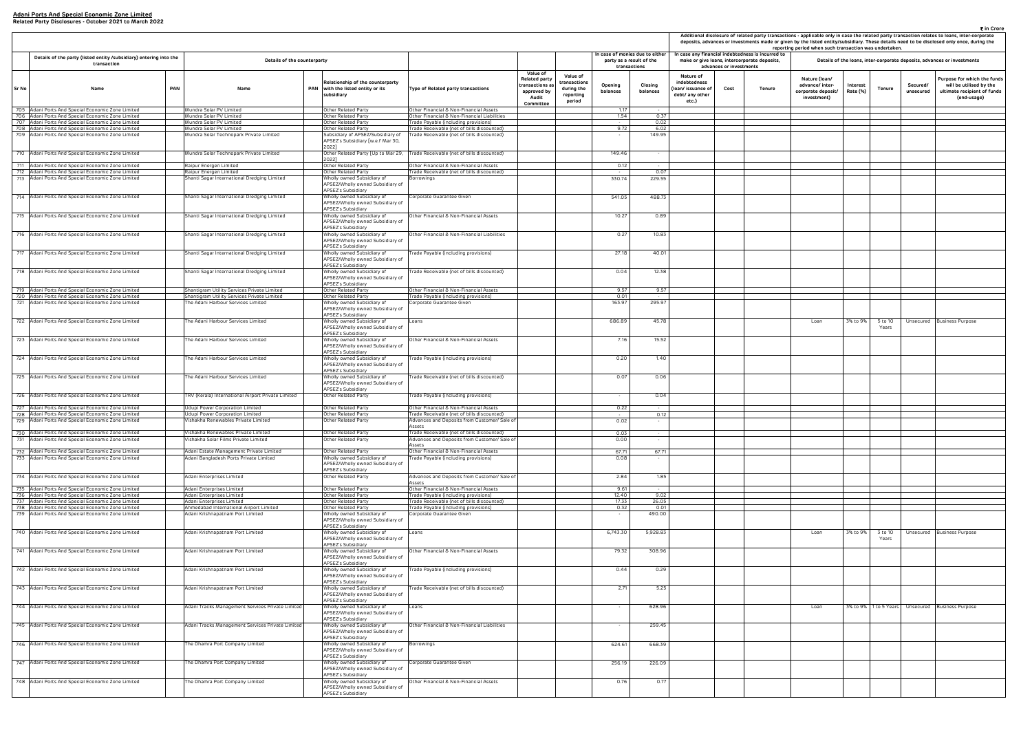|                                                                     | Additional disclosure of related party transactions - applicable only in case the related party transaction relates to loans, inter-corporate<br>deposits, advances or investments made or given by the listed entity/subsidiary. These details need to be disclosed only once, during the<br>reporting period when such transaction was undertaken.<br>case any financial indebtedness is incurred to<br>make or give loans, intercorporate deposits,<br>Details of the loans, inter-corporate deposits, advances or investments |        |                                                                       |                      |                       |                       |                                                                                                      |  |  |  |  |  |  |  |
|---------------------------------------------------------------------|-----------------------------------------------------------------------------------------------------------------------------------------------------------------------------------------------------------------------------------------------------------------------------------------------------------------------------------------------------------------------------------------------------------------------------------------------------------------------------------------------------------------------------------|--------|-----------------------------------------------------------------------|----------------------|-----------------------|-----------------------|------------------------------------------------------------------------------------------------------|--|--|--|--|--|--|--|
|                                                                     | advances or investments                                                                                                                                                                                                                                                                                                                                                                                                                                                                                                           |        |                                                                       |                      |                       |                       |                                                                                                      |  |  |  |  |  |  |  |
| Nature of<br>debtedness<br>n/ issuance of<br>bt/ any other<br>etc.) | Cost                                                                                                                                                                                                                                                                                                                                                                                                                                                                                                                              | Tenure | Nature (Ioan/<br>advance/ inter-<br>corporate deposit/<br>investment) | Interest<br>Rate (%) | Tenure                | Secured/<br>unsecured | Purpose for which the funds<br>will be utilised by the<br>ultimate recipient of funds<br>(end-usage) |  |  |  |  |  |  |  |
|                                                                     |                                                                                                                                                                                                                                                                                                                                                                                                                                                                                                                                   |        |                                                                       |                      |                       |                       |                                                                                                      |  |  |  |  |  |  |  |
|                                                                     |                                                                                                                                                                                                                                                                                                                                                                                                                                                                                                                                   |        |                                                                       |                      |                       |                       |                                                                                                      |  |  |  |  |  |  |  |
|                                                                     |                                                                                                                                                                                                                                                                                                                                                                                                                                                                                                                                   |        |                                                                       |                      |                       |                       |                                                                                                      |  |  |  |  |  |  |  |
|                                                                     |                                                                                                                                                                                                                                                                                                                                                                                                                                                                                                                                   |        |                                                                       |                      |                       |                       |                                                                                                      |  |  |  |  |  |  |  |
|                                                                     |                                                                                                                                                                                                                                                                                                                                                                                                                                                                                                                                   |        |                                                                       |                      |                       |                       |                                                                                                      |  |  |  |  |  |  |  |
|                                                                     |                                                                                                                                                                                                                                                                                                                                                                                                                                                                                                                                   |        |                                                                       |                      |                       |                       |                                                                                                      |  |  |  |  |  |  |  |
|                                                                     |                                                                                                                                                                                                                                                                                                                                                                                                                                                                                                                                   |        |                                                                       |                      |                       |                       |                                                                                                      |  |  |  |  |  |  |  |
|                                                                     |                                                                                                                                                                                                                                                                                                                                                                                                                                                                                                                                   |        |                                                                       |                      |                       |                       |                                                                                                      |  |  |  |  |  |  |  |
|                                                                     |                                                                                                                                                                                                                                                                                                                                                                                                                                                                                                                                   |        |                                                                       |                      |                       |                       |                                                                                                      |  |  |  |  |  |  |  |
|                                                                     |                                                                                                                                                                                                                                                                                                                                                                                                                                                                                                                                   |        |                                                                       |                      |                       |                       |                                                                                                      |  |  |  |  |  |  |  |
|                                                                     |                                                                                                                                                                                                                                                                                                                                                                                                                                                                                                                                   |        |                                                                       |                      |                       |                       |                                                                                                      |  |  |  |  |  |  |  |
|                                                                     |                                                                                                                                                                                                                                                                                                                                                                                                                                                                                                                                   |        |                                                                       |                      |                       |                       |                                                                                                      |  |  |  |  |  |  |  |
|                                                                     |                                                                                                                                                                                                                                                                                                                                                                                                                                                                                                                                   |        |                                                                       |                      |                       |                       |                                                                                                      |  |  |  |  |  |  |  |
|                                                                     |                                                                                                                                                                                                                                                                                                                                                                                                                                                                                                                                   |        |                                                                       |                      |                       |                       |                                                                                                      |  |  |  |  |  |  |  |
|                                                                     |                                                                                                                                                                                                                                                                                                                                                                                                                                                                                                                                   |        |                                                                       |                      |                       |                       |                                                                                                      |  |  |  |  |  |  |  |
|                                                                     |                                                                                                                                                                                                                                                                                                                                                                                                                                                                                                                                   |        | Loan                                                                  | 3% to 9%             | 5 to 10<br>Years      | Unsecured             | <b>Business Purpose</b>                                                                              |  |  |  |  |  |  |  |
|                                                                     |                                                                                                                                                                                                                                                                                                                                                                                                                                                                                                                                   |        |                                                                       |                      |                       |                       |                                                                                                      |  |  |  |  |  |  |  |
|                                                                     |                                                                                                                                                                                                                                                                                                                                                                                                                                                                                                                                   |        |                                                                       |                      |                       |                       |                                                                                                      |  |  |  |  |  |  |  |
|                                                                     |                                                                                                                                                                                                                                                                                                                                                                                                                                                                                                                                   |        |                                                                       |                      |                       |                       |                                                                                                      |  |  |  |  |  |  |  |
|                                                                     |                                                                                                                                                                                                                                                                                                                                                                                                                                                                                                                                   |        |                                                                       |                      |                       |                       |                                                                                                      |  |  |  |  |  |  |  |
|                                                                     |                                                                                                                                                                                                                                                                                                                                                                                                                                                                                                                                   |        |                                                                       |                      |                       |                       |                                                                                                      |  |  |  |  |  |  |  |
|                                                                     |                                                                                                                                                                                                                                                                                                                                                                                                                                                                                                                                   |        |                                                                       |                      |                       |                       |                                                                                                      |  |  |  |  |  |  |  |
|                                                                     |                                                                                                                                                                                                                                                                                                                                                                                                                                                                                                                                   |        |                                                                       |                      |                       |                       |                                                                                                      |  |  |  |  |  |  |  |
|                                                                     |                                                                                                                                                                                                                                                                                                                                                                                                                                                                                                                                   |        |                                                                       |                      |                       |                       |                                                                                                      |  |  |  |  |  |  |  |
|                                                                     |                                                                                                                                                                                                                                                                                                                                                                                                                                                                                                                                   |        |                                                                       |                      |                       |                       |                                                                                                      |  |  |  |  |  |  |  |
|                                                                     |                                                                                                                                                                                                                                                                                                                                                                                                                                                                                                                                   |        |                                                                       |                      |                       |                       |                                                                                                      |  |  |  |  |  |  |  |
|                                                                     |                                                                                                                                                                                                                                                                                                                                                                                                                                                                                                                                   |        |                                                                       |                      |                       |                       |                                                                                                      |  |  |  |  |  |  |  |
|                                                                     |                                                                                                                                                                                                                                                                                                                                                                                                                                                                                                                                   |        |                                                                       |                      |                       |                       |                                                                                                      |  |  |  |  |  |  |  |
|                                                                     |                                                                                                                                                                                                                                                                                                                                                                                                                                                                                                                                   |        |                                                                       |                      |                       |                       |                                                                                                      |  |  |  |  |  |  |  |
|                                                                     |                                                                                                                                                                                                                                                                                                                                                                                                                                                                                                                                   |        | Loan                                                                  | 3% to 9%             | 3 to 10<br>Years      | Unsecured             | <b>Business Purpose</b>                                                                              |  |  |  |  |  |  |  |
|                                                                     |                                                                                                                                                                                                                                                                                                                                                                                                                                                                                                                                   |        |                                                                       |                      |                       |                       |                                                                                                      |  |  |  |  |  |  |  |
|                                                                     |                                                                                                                                                                                                                                                                                                                                                                                                                                                                                                                                   |        |                                                                       |                      |                       |                       |                                                                                                      |  |  |  |  |  |  |  |
|                                                                     |                                                                                                                                                                                                                                                                                                                                                                                                                                                                                                                                   |        |                                                                       |                      |                       |                       |                                                                                                      |  |  |  |  |  |  |  |
|                                                                     |                                                                                                                                                                                                                                                                                                                                                                                                                                                                                                                                   |        | Loan                                                                  |                      | 3% to 9% 1 to 5 Years | Unsecured             | <b>Business Purpose</b>                                                                              |  |  |  |  |  |  |  |
|                                                                     |                                                                                                                                                                                                                                                                                                                                                                                                                                                                                                                                   |        |                                                                       |                      |                       |                       |                                                                                                      |  |  |  |  |  |  |  |
|                                                                     |                                                                                                                                                                                                                                                                                                                                                                                                                                                                                                                                   |        |                                                                       |                      |                       |                       |                                                                                                      |  |  |  |  |  |  |  |
|                                                                     |                                                                                                                                                                                                                                                                                                                                                                                                                                                                                                                                   |        |                                                                       |                      |                       |                       |                                                                                                      |  |  |  |  |  |  |  |
|                                                                     |                                                                                                                                                                                                                                                                                                                                                                                                                                                                                                                                   |        |                                                                       |                      |                       |                       |                                                                                                      |  |  |  |  |  |  |  |

|       |                                                                                                        |            |                                                                                   |                                                                                                            |                                                                                            |                                                                                         |                                                               |                     |                                                                             |                                                                            |                         |                                                                                                   | Additional disclosure of related party transactions - applicable only in case the related party transaction relates to loans, inter-co<br>deposits, advances or investments made or given by the listed entity/subsidiary. These details need to be disclosed only once, du<br>reporting period when such transaction was undertaken. |                      |                  |                       |                                                                       |
|-------|--------------------------------------------------------------------------------------------------------|------------|-----------------------------------------------------------------------------------|------------------------------------------------------------------------------------------------------------|--------------------------------------------------------------------------------------------|-----------------------------------------------------------------------------------------|---------------------------------------------------------------|---------------------|-----------------------------------------------------------------------------|----------------------------------------------------------------------------|-------------------------|---------------------------------------------------------------------------------------------------|---------------------------------------------------------------------------------------------------------------------------------------------------------------------------------------------------------------------------------------------------------------------------------------------------------------------------------------|----------------------|------------------|-----------------------|-----------------------------------------------------------------------|
|       | Details of the party (listed entity /subsidiary) entering into the<br>transaction                      |            | Details of the counterparty                                                       |                                                                                                            |                                                                                            |                                                                                         |                                                               |                     | In case of monies due to either<br>party as a result of the<br>transactions |                                                                            | advances or investments | In case any financial indebtedness is incurred to<br>make or give loans, intercorporate deposits, |                                                                                                                                                                                                                                                                                                                                       |                      |                  |                       | Details of the loans, inter-corporate deposits, advances or investmen |
| Sr No | Name                                                                                                   | <b>PAN</b> | Name                                                                              | Relationship of the counterparty<br>PAN with the listed entity or its<br>subsidiary                        | Type of Related party transactions                                                         | Value of<br><b>Related party</b><br>transactions a<br>approved by<br>Audit<br>Committee | Value of<br>:ransactions<br>during the<br>reporting<br>period | Opening<br>balances | Closing<br>balances                                                         | Nature of<br>indebtedness<br>loan/ issuance of<br>debt/ any other<br>etc.) | Cost                    | Tenure                                                                                            | Nature (Ioan/<br>advance/ inter-<br>corporate deposit/<br>investment)                                                                                                                                                                                                                                                                 | Interest<br>Rate (%) | Tenure           | Secured/<br>unsecured | Purpose for whit<br>will be utilise<br>ultimate recipie<br>(end-usa   |
|       | 705 Adani Ports And Special Economic Zone Limited<br>706 Adani Ports And Special Economic Zone Limited |            | Mundra Solar PV Limited<br>Mundra Solar PV Limited                                | Other Related Party<br>Other Related Party                                                                 | Other Financial & Non-Financial Assets<br>Other Financial & Non-Financial Liabilities      |                                                                                         |                                                               | 1.17<br>1.54        | 0.37                                                                        |                                                                            |                         |                                                                                                   |                                                                                                                                                                                                                                                                                                                                       |                      |                  |                       |                                                                       |
|       | 707 Adani Ports And Special Economic Zone Limited                                                      |            | Mundra Solar PV Limited                                                           | Other Related Party                                                                                        | Trade Payable (including provisions)                                                       |                                                                                         |                                                               |                     | 0.02                                                                        |                                                                            |                         |                                                                                                   |                                                                                                                                                                                                                                                                                                                                       |                      |                  |                       |                                                                       |
|       | 708 Adani Ports And Special Economic Zone Limited<br>709 Adani Ports And Special Economic Zone Limited |            | Mundra Solar PV Limited<br>Mundra Solar Technopark Private Limited                | Other Related Party<br>Subsidiary of APSEZ/Subsidiary of<br>APSEZ's Subsidiary [w.e.f Mar 30,<br>2022]     | Trade Receivable (net of bills discounted)<br>Trade Receivable (net of bills discounted)   |                                                                                         |                                                               | 9.72<br>$\sim$      | 6.02<br>149.95                                                              |                                                                            |                         |                                                                                                   |                                                                                                                                                                                                                                                                                                                                       |                      |                  |                       |                                                                       |
|       | 710 Adani Ports And Special Economic Zone Limited                                                      |            | Mundra Solar Technopark Private Limited                                           | Other Related Party [Up to Mar 29,                                                                         | Trade Receivable (net of bills discounted)                                                 |                                                                                         |                                                               | 149.46              | $\sim$                                                                      |                                                                            |                         |                                                                                                   |                                                                                                                                                                                                                                                                                                                                       |                      |                  |                       |                                                                       |
|       | 711 Adani Ports And Special Economic Zone Limited                                                      |            | Raipur Energen Limited                                                            | 20221<br>Other Related Party                                                                               | Other Financial & Non-Financial Assets                                                     |                                                                                         |                                                               | 0.12                | $\sim$                                                                      |                                                                            |                         |                                                                                                   |                                                                                                                                                                                                                                                                                                                                       |                      |                  |                       |                                                                       |
|       | 712 Adani Ports And Special Economic Zone Limited                                                      |            | Raipur Energen Limited                                                            | Other Related Party                                                                                        | Trade Receivable (net of bills discounted)                                                 |                                                                                         |                                                               | 330.74              | 0.07                                                                        |                                                                            |                         |                                                                                                   |                                                                                                                                                                                                                                                                                                                                       |                      |                  |                       |                                                                       |
|       | 713 Adani Ports And Special Economic Zone Limited                                                      |            | Shanti Sagar International Dredging Limited                                       | Wholly owned Subsidiary of<br>APSEZ/Wholly owned Subsidiary of<br><b>APSEZ's Subsidiary</b>                | Borrowings                                                                                 |                                                                                         |                                                               |                     | 229.55                                                                      |                                                                            |                         |                                                                                                   |                                                                                                                                                                                                                                                                                                                                       |                      |                  |                       |                                                                       |
|       | 714 Adani Ports And Special Economic Zone Limited                                                      |            | Shanti Sagar International Dredging Limited                                       | Wholly owned Subsidiary of<br>APSEZ/Wholly owned Subsidiary of<br>APSEZ's Subsidiary                       | Corporate Guarantee Given                                                                  |                                                                                         |                                                               | 541.05              | 488.73                                                                      |                                                                            |                         |                                                                                                   |                                                                                                                                                                                                                                                                                                                                       |                      |                  |                       |                                                                       |
|       | 715 Adani Ports And Special Economic Zone Limited                                                      |            | Shanti Sagar International Dredging Limited                                       | Wholly owned Subsidiary of<br>APSEZ/Wholly owned Subsidiary of<br>APSEZ's Subsidiary                       | Other Financial & Non-Financial Assets                                                     |                                                                                         |                                                               | 10.27               | 0.89                                                                        |                                                                            |                         |                                                                                                   |                                                                                                                                                                                                                                                                                                                                       |                      |                  |                       |                                                                       |
|       | 716 Adani Ports And Special Economic Zone Limited                                                      |            | Shanti Sagar International Dredging Limited                                       | Wholly owned Subsidiary of<br>APSEZ/Wholly owned Subsidiary of                                             | Other Financial & Non-Financial Liabilities                                                |                                                                                         |                                                               | 0.27                | 10.83                                                                       |                                                                            |                         |                                                                                                   |                                                                                                                                                                                                                                                                                                                                       |                      |                  |                       |                                                                       |
|       | 717 Adani Ports And Special Economic Zone Limited                                                      |            | Shanti Sagar International Dredging Limited                                       | APSEZ's Subsidiary<br>Wholly owned Subsidiary of                                                           | Trade Payable (including provisions)                                                       |                                                                                         |                                                               | 27.18               | 40.01                                                                       |                                                                            |                         |                                                                                                   |                                                                                                                                                                                                                                                                                                                                       |                      |                  |                       |                                                                       |
|       |                                                                                                        |            |                                                                                   | APSEZ/Wholly owned Subsidiary of<br>APSEZ's Subsidiary                                                     |                                                                                            |                                                                                         |                                                               |                     |                                                                             |                                                                            |                         |                                                                                                   |                                                                                                                                                                                                                                                                                                                                       |                      |                  |                       |                                                                       |
|       | 718 Adani Ports And Special Economic Zone Limited                                                      |            | Shanti Sagar International Dredging Limited                                       | Wholly owned Subsidiary of<br>APSEZ/Wholly owned Subsidiary of<br><b>APSEZ's Subsidiary</b>                | Trade Receivable (net of bills discounted)                                                 |                                                                                         |                                                               | 0.04                | 12.38                                                                       |                                                                            |                         |                                                                                                   |                                                                                                                                                                                                                                                                                                                                       |                      |                  |                       |                                                                       |
|       | 719 Adani Ports And Special Economic Zone Limited                                                      |            | Shantigram Utility Services Private Limited                                       | Other Related Party                                                                                        | Other Financial & Non-Financial Assets                                                     |                                                                                         |                                                               | 9.57<br>0.01        | 9.57                                                                        |                                                                            |                         |                                                                                                   |                                                                                                                                                                                                                                                                                                                                       |                      |                  |                       |                                                                       |
|       | 720 Adani Ports And Special Economic Zone Limited<br>721 Adani Ports And Special Economic Zone Limited |            | Shantigram Utility Services Private Limited<br>The Adani Harbour Services Limited | Other Related Party<br>Wholly owned Subsidiary of                                                          | Trade Payable (including provisions)<br>Corporate Guarantee Given                          |                                                                                         |                                                               | 163.97              | 295.97                                                                      |                                                                            |                         |                                                                                                   |                                                                                                                                                                                                                                                                                                                                       |                      |                  |                       |                                                                       |
|       |                                                                                                        |            |                                                                                   | APSEZ/Wholly owned Subsidiary of                                                                           |                                                                                            |                                                                                         |                                                               |                     |                                                                             |                                                                            |                         |                                                                                                   |                                                                                                                                                                                                                                                                                                                                       |                      |                  |                       |                                                                       |
|       | 722 Adani Ports And Special Economic Zone Limited                                                      |            | The Adani Harbour Services Limited                                                | APSEZ's Subsidiary<br>Wholly owned Subsidiary of<br>APSEZ/Wholly owned Subsidiary of                       | Loans                                                                                      |                                                                                         |                                                               | 686.89              | 45.78                                                                       |                                                                            |                         |                                                                                                   | Loan                                                                                                                                                                                                                                                                                                                                  | 3% to 9%             | 5 to 10<br>Years |                       | Unsecured Business Purpose                                            |
|       | 723 Adani Ports And Special Economic Zone Limited                                                      |            | The Adani Harbour Services Limited                                                | APSEZ's Subsidiary<br>Wholly owned Subsidiary of<br>APSEZ/Wholly owned Subsidiary of<br>APSEZ's Subsidiary | Other Financial & Non-Financial Assets                                                     |                                                                                         |                                                               | 7.16                | 15.52                                                                       |                                                                            |                         |                                                                                                   |                                                                                                                                                                                                                                                                                                                                       |                      |                  |                       |                                                                       |
|       | 724 Adani Ports And Special Economic Zone Limited                                                      |            | The Adani Harbour Services Limited                                                | Wholly owned Subsidiary of<br>APSEZ/Wholly owned Subsidiary of                                             | Trade Payable (including provisions)                                                       |                                                                                         |                                                               | 0.20                | 1.40                                                                        |                                                                            |                         |                                                                                                   |                                                                                                                                                                                                                                                                                                                                       |                      |                  |                       |                                                                       |
|       | 725 Adani Ports And Special Economic Zone Limited                                                      |            | The Adani Harbour Services Limited                                                | APSEZ's Subsidiary<br>Wholly owned Subsidiary of<br>APSEZ/Wholly owned Subsidiary of                       | Trade Receivable (net of bills discounted)                                                 |                                                                                         |                                                               | 0.07                | 0.06                                                                        |                                                                            |                         |                                                                                                   |                                                                                                                                                                                                                                                                                                                                       |                      |                  |                       |                                                                       |
|       | 726 Adani Ports And Special Economic Zone Limited                                                      |            | TRV (Kerala) International Airport Private Limited                                | APSEZ's Subsidiary<br>Other Related Party                                                                  | Trade Payable (including provisions)                                                       |                                                                                         |                                                               |                     | 0.04                                                                        |                                                                            |                         |                                                                                                   |                                                                                                                                                                                                                                                                                                                                       |                      |                  |                       |                                                                       |
|       | 727 Adani Ports And Special Economic Zone Limited                                                      |            | Udupi Power Corporation Limited                                                   | Other Related Party                                                                                        | Other Financial & Non-Financial Assets                                                     |                                                                                         |                                                               | 0.22                | $\sim$                                                                      |                                                                            |                         |                                                                                                   |                                                                                                                                                                                                                                                                                                                                       |                      |                  |                       |                                                                       |
|       | 728 Adani Ports And Special Economic Zone Limited                                                      |            | Udupi Power Corporation Limited                                                   | Other Related Party                                                                                        | Trade Receivable (net of bills discounted)                                                 |                                                                                         |                                                               | $\sim$<br>0.02      | 0.12                                                                        |                                                                            |                         |                                                                                                   |                                                                                                                                                                                                                                                                                                                                       |                      |                  |                       |                                                                       |
|       | 729 Adani Ports And Special Economic Zone Limited                                                      |            | Vishakha Renewables Private Limited                                               | Other Related Party                                                                                        | Advances and Deposits from Customer/ Sale of<br>Assets                                     |                                                                                         |                                                               |                     |                                                                             |                                                                            |                         |                                                                                                   |                                                                                                                                                                                                                                                                                                                                       |                      |                  |                       |                                                                       |
|       | 730 Adani Ports And Special Economic Zone Limited<br>731 Adani Ports And Special Economic Zone Limited |            | Vishakha Renewables Private Limited<br>Vishakha Solar Films Private Limited       | Other Related Party<br>Other Related Party                                                                 | Trade Receivable (net of bills discounted)<br>Advances and Deposits from Customer/ Sale of |                                                                                         |                                                               | 0.03<br>0.00        | $\sim$ $\sim$<br>$\sim$                                                     |                                                                            |                         |                                                                                                   |                                                                                                                                                                                                                                                                                                                                       |                      |                  |                       |                                                                       |
|       |                                                                                                        |            |                                                                                   |                                                                                                            | Assets                                                                                     |                                                                                         |                                                               |                     |                                                                             |                                                                            |                         |                                                                                                   |                                                                                                                                                                                                                                                                                                                                       |                      |                  |                       |                                                                       |
|       | 732 Adani Ports And Special Economic Zone Limited<br>733 Adani Ports And Special Economic Zone Limited |            | Adani Estate Management Private Limited                                           | Other Related Party<br>Wholly owned Subsidiary of                                                          | Other Financial & Non-Financial Assets                                                     |                                                                                         |                                                               | 67.71<br>0.08       | 67.71                                                                       |                                                                            |                         |                                                                                                   |                                                                                                                                                                                                                                                                                                                                       |                      |                  |                       |                                                                       |
|       |                                                                                                        |            | Adani Bangladesh Ports Private Limited                                            | APSEZ/Wholly owned Subsidiary of<br>APSEZ's Subsidiary                                                     | Trade Payable (including provisions)                                                       |                                                                                         |                                                               |                     |                                                                             |                                                                            |                         |                                                                                                   |                                                                                                                                                                                                                                                                                                                                       |                      |                  |                       |                                                                       |
|       | 734 Adani Ports And Special Economic Zone Limited                                                      |            | Adani Enterprises Limited                                                         | Other Related Party                                                                                        | Advances and Deposits from Customer/ Sale of<br>Assets                                     |                                                                                         |                                                               | 2.84                | 1.85                                                                        |                                                                            |                         |                                                                                                   |                                                                                                                                                                                                                                                                                                                                       |                      |                  |                       |                                                                       |
|       | 735 Adani Ports And Special Economic Zone Limited                                                      |            | Adani Enterprises Limited                                                         | Other Related Party                                                                                        | Other Financial & Non-Financial Assets                                                     |                                                                                         |                                                               | 9.61                | $\sim$                                                                      |                                                                            |                         |                                                                                                   |                                                                                                                                                                                                                                                                                                                                       |                      |                  |                       |                                                                       |
|       | 736 Adani Ports And Special Economic Zone Limited<br>737 Adani Ports And Special Economic Zone Limited |            | Adani Enterprises Limited<br>Adani Enterprises Limited                            | Other Related Party<br>Other Related Party                                                                 | Trade Payable (including provisions)<br>Trade Receivable (net of bills discounted)         |                                                                                         |                                                               | 12.40<br>17.33      | 9.02<br>26.05                                                               |                                                                            |                         |                                                                                                   |                                                                                                                                                                                                                                                                                                                                       |                      |                  |                       |                                                                       |
|       | 738 Adani Ports And Special Economic Zone Limited                                                      |            | Ahmedabad International Airport Limited                                           | Other Related Party                                                                                        | Trade Payable (including provisions)                                                       |                                                                                         |                                                               | 0.32                | 0.01                                                                        |                                                                            |                         |                                                                                                   |                                                                                                                                                                                                                                                                                                                                       |                      |                  |                       |                                                                       |
|       | 739 Adani Ports And Special Economic Zone Limited                                                      |            | Adani Krishnapatnam Port Limited                                                  | Wholly owned Subsidiary of<br>APSEZ/Wholly owned Subsidiary of<br>APSEZ's Subsidiary                       | Corporate Guarantee Given                                                                  |                                                                                         |                                                               | $\sim$              | 490.00                                                                      |                                                                            |                         |                                                                                                   |                                                                                                                                                                                                                                                                                                                                       |                      |                  |                       |                                                                       |
|       | 740 Adani Ports And Special Economic Zone Limited                                                      |            | Adani Krishnapatnam Port Limited                                                  | Wholly owned Subsidiary of<br>APSEZ/Wholly owned Subsidiary of<br>APSEZ's Subsidiary                       | Loans                                                                                      |                                                                                         |                                                               | 6,743.30            | 5,928.83                                                                    |                                                                            |                         |                                                                                                   | Loan                                                                                                                                                                                                                                                                                                                                  | 3% to 9%             | 3 to 10<br>Years |                       | Unsecured Business Purpose                                            |
|       | 741 Adani Ports And Special Economic Zone Limited                                                      |            | Adani Krishnapatnam Port Limited                                                  | Wholly owned Subsidiary of<br>APSEZ/Wholly owned Subsidiary of<br>APSEZ's Subsidiary                       | Other Financial & Non-Financial Assets                                                     |                                                                                         |                                                               | 79.32               | 308.96                                                                      |                                                                            |                         |                                                                                                   |                                                                                                                                                                                                                                                                                                                                       |                      |                  |                       |                                                                       |
|       | 742 Adani Ports And Special Economic Zone Limited                                                      |            | Adani Krishnapatnam Port Limited                                                  | Wholly owned Subsidiary of<br>APSEZ/Wholly owned Subsidiary of<br>APSEZ's Subsidiary                       | Trade Payable (including provisions)                                                       |                                                                                         |                                                               | 0.44                | 0.29                                                                        |                                                                            |                         |                                                                                                   |                                                                                                                                                                                                                                                                                                                                       |                      |                  |                       |                                                                       |
|       | 743 Adani Ports And Special Economic Zone Limited                                                      |            | Adani Krishnapatnam Port Limited                                                  | Wholly owned Subsidiary of<br>APSEZ/Wholly owned Subsidiary of<br>APSEZ's Subsidiary                       | Trade Receivable (net of bills discounted)                                                 |                                                                                         |                                                               | 2.71                | 5.25                                                                        |                                                                            |                         |                                                                                                   |                                                                                                                                                                                                                                                                                                                                       |                      |                  |                       |                                                                       |
|       | 744 Adani Ports And Special Economic Zone Limited                                                      |            | Adani Tracks Management Services Private Limited                                  | Wholly owned Subsidiary of<br>APSEZ/Wholly owned Subsidiary of<br>APSEZ's Subsidiary                       | Loans                                                                                      |                                                                                         |                                                               | $\sim$              | 628.96                                                                      |                                                                            |                         |                                                                                                   | Loan                                                                                                                                                                                                                                                                                                                                  |                      |                  |                       | 3% to 9%   1 to 5 Years   Unsecured   Business Purpose                |
|       | 745 Adani Ports And Special Economic Zone Limited                                                      |            | Adani Tracks Management Services Private Limited                                  | Wholly owned Subsidiary of<br>APSEZ/Wholly owned Subsidiary of<br>APSEZ's Subsidiary                       | Other Financial & Non-Financial Liabilities                                                |                                                                                         |                                                               |                     | 259.45                                                                      |                                                                            |                         |                                                                                                   |                                                                                                                                                                                                                                                                                                                                       |                      |                  |                       |                                                                       |
|       | 746 Adani Ports And Special Economic Zone Limited                                                      |            | The Dhamra Port Company Limited                                                   | Wholly owned Subsidiary of<br>APSEZ/Wholly owned Subsidiary of<br>APSEZ's Subsidiary                       | Borrowings                                                                                 |                                                                                         |                                                               | 624.61              | 668.39                                                                      |                                                                            |                         |                                                                                                   |                                                                                                                                                                                                                                                                                                                                       |                      |                  |                       |                                                                       |
|       | 747 Adani Ports And Special Economic Zone Limited                                                      |            | The Dhamra Port Company Limited                                                   | Wholly owned Subsidiary of<br>APSEZ/Wholly owned Subsidiary of                                             | Corporate Guarantee Given                                                                  |                                                                                         |                                                               | 256.19              | 226.09                                                                      |                                                                            |                         |                                                                                                   |                                                                                                                                                                                                                                                                                                                                       |                      |                  |                       |                                                                       |
|       | 748 Adani Ports And Special Economic Zone Limited                                                      |            | The Dhamra Port Company Limited                                                   | APSEZ's Subsidiary<br>Wholly owned Subsidiary of<br>APSEZ/Wholly owned Subsidiary of                       | Other Financial & Non-Financial Assets                                                     |                                                                                         |                                                               | 0.76                | 0.77                                                                        |                                                                            |                         |                                                                                                   |                                                                                                                                                                                                                                                                                                                                       |                      |                  |                       |                                                                       |
|       |                                                                                                        |            |                                                                                   | APSEZ's Subsidiary                                                                                         |                                                                                            |                                                                                         |                                                               |                     |                                                                             |                                                                            |                         |                                                                                                   |                                                                                                                                                                                                                                                                                                                                       |                      |                  |                       |                                                                       |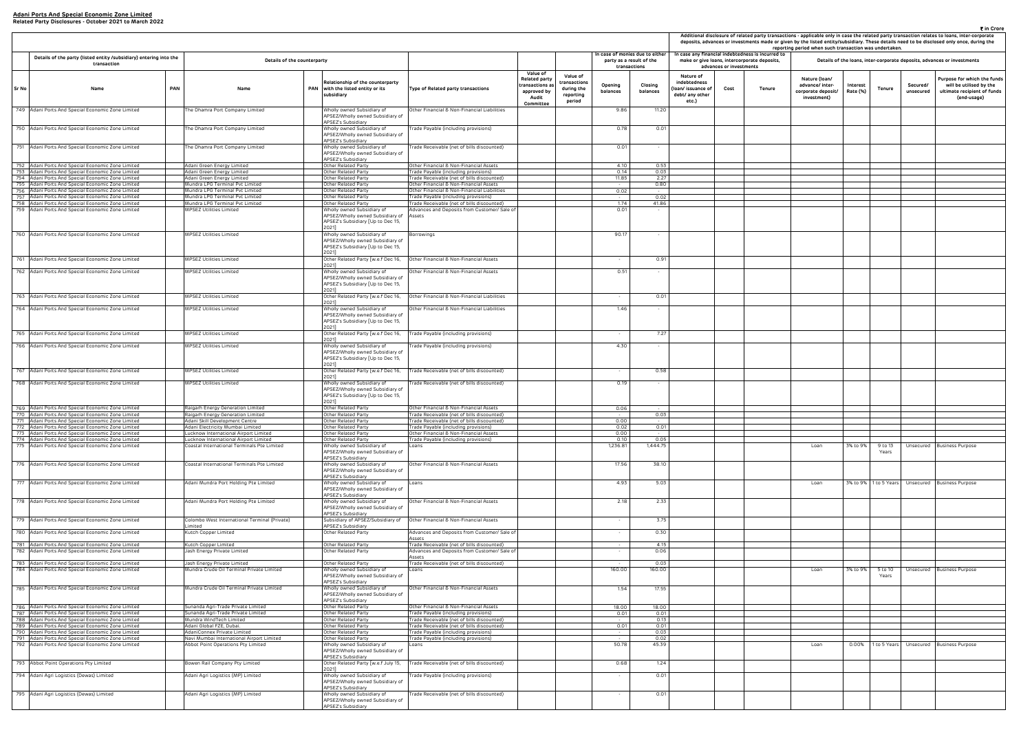|                                                                     | advances or investments | case any financial indebtedness is incurred to<br>make or give loans, intercorporate deposits, | reporting period when such transaction was undertaken.                |                      |                  |                       | Details of the loans, inter-corporate deposits, advances or investments                              |
|---------------------------------------------------------------------|-------------------------|------------------------------------------------------------------------------------------------|-----------------------------------------------------------------------|----------------------|------------------|-----------------------|------------------------------------------------------------------------------------------------------|
| Nature of<br>debtedness<br>n/ issuance of<br>bt/ any other<br>etc.) | Cost                    | Tenure                                                                                         | Nature (Ioan/<br>advance/ inter-<br>corporate deposit/<br>investment) | Interest<br>Rate (%) | Tenure           | Secured/<br>unsecured | Purpose for which the funds<br>will be utilised by the<br>ultimate recipient of funds<br>(end-usage) |
|                                                                     |                         |                                                                                                |                                                                       |                      |                  |                       |                                                                                                      |
|                                                                     |                         |                                                                                                |                                                                       |                      |                  |                       |                                                                                                      |
|                                                                     |                         |                                                                                                |                                                                       |                      |                  |                       |                                                                                                      |
|                                                                     |                         |                                                                                                |                                                                       |                      |                  |                       |                                                                                                      |
|                                                                     |                         |                                                                                                |                                                                       |                      |                  |                       |                                                                                                      |
|                                                                     |                         |                                                                                                |                                                                       |                      |                  |                       |                                                                                                      |
|                                                                     |                         |                                                                                                |                                                                       |                      |                  |                       |                                                                                                      |
|                                                                     |                         |                                                                                                |                                                                       |                      |                  |                       |                                                                                                      |
|                                                                     |                         |                                                                                                |                                                                       |                      |                  |                       |                                                                                                      |
|                                                                     |                         |                                                                                                |                                                                       |                      |                  |                       |                                                                                                      |
|                                                                     |                         |                                                                                                |                                                                       |                      |                  |                       |                                                                                                      |
|                                                                     |                         |                                                                                                |                                                                       |                      |                  |                       |                                                                                                      |
|                                                                     |                         |                                                                                                |                                                                       |                      |                  |                       |                                                                                                      |
|                                                                     |                         |                                                                                                |                                                                       |                      |                  |                       |                                                                                                      |
|                                                                     |                         |                                                                                                |                                                                       |                      |                  |                       |                                                                                                      |
|                                                                     |                         |                                                                                                |                                                                       |                      |                  |                       |                                                                                                      |
|                                                                     |                         |                                                                                                |                                                                       |                      |                  |                       |                                                                                                      |
|                                                                     |                         |                                                                                                |                                                                       |                      |                  |                       |                                                                                                      |
|                                                                     |                         |                                                                                                | Loan                                                                  | 3% to 9%             | 9 to 13<br>Years | Unsecured             | <b>Business Purpose</b>                                                                              |
|                                                                     |                         |                                                                                                | Loan                                                                  | 3% to 9%             | 1 to 5 Years     | Unsecured             | <b>Business Purpose</b>                                                                              |
|                                                                     |                         |                                                                                                |                                                                       |                      |                  |                       |                                                                                                      |
|                                                                     |                         |                                                                                                |                                                                       |                      |                  |                       |                                                                                                      |
|                                                                     |                         |                                                                                                |                                                                       |                      |                  |                       |                                                                                                      |
|                                                                     |                         |                                                                                                |                                                                       |                      |                  |                       |                                                                                                      |
|                                                                     |                         |                                                                                                | Loan                                                                  | 3% to 9%             | 5 to 10          | Unsecured             | <b>Business Purpose</b>                                                                              |
|                                                                     |                         |                                                                                                |                                                                       |                      | Years            |                       |                                                                                                      |
|                                                                     |                         |                                                                                                |                                                                       |                      |                  |                       |                                                                                                      |
|                                                                     |                         |                                                                                                |                                                                       |                      |                  |                       |                                                                                                      |
|                                                                     |                         |                                                                                                |                                                                       |                      |                  |                       |                                                                                                      |
|                                                                     |                         |                                                                                                |                                                                       |                      |                  |                       | <b>Business Purpose</b>                                                                              |
|                                                                     |                         |                                                                                                | Loan                                                                  | 0.00%                | 1 to 5 Years     | Unsecured             |                                                                                                      |
|                                                                     |                         |                                                                                                |                                                                       |                      |                  |                       |                                                                                                      |
|                                                                     |                         |                                                                                                |                                                                       |                      |                  |                       |                                                                                                      |
|                                                                     |                         |                                                                                                |                                                                       |                      |                  |                       |                                                                                                      |

|       |                                                                                                        |     |                                                                                     |            |                                                                                                                       |                                                                                           |                                                                                  |                                                               |                                                             |                     |                                                                            |                                 |                                                                                                   | Additional disclosure of related party transactions - applicable only in case the related party transaction relates to loans, inter-co<br>deposits, advances or investments made or given by the listed entity/subsidiary. These details need to be disclosed only once, du<br>reporting period when such transaction was undertaken. |                                                                       |                       |                                                                     |
|-------|--------------------------------------------------------------------------------------------------------|-----|-------------------------------------------------------------------------------------|------------|-----------------------------------------------------------------------------------------------------------------------|-------------------------------------------------------------------------------------------|----------------------------------------------------------------------------------|---------------------------------------------------------------|-------------------------------------------------------------|---------------------|----------------------------------------------------------------------------|---------------------------------|---------------------------------------------------------------------------------------------------|---------------------------------------------------------------------------------------------------------------------------------------------------------------------------------------------------------------------------------------------------------------------------------------------------------------------------------------|-----------------------------------------------------------------------|-----------------------|---------------------------------------------------------------------|
|       | Details of the party (listed entity /subsidiary) entering into the<br>transaction                      |     | Details of the counterparty                                                         |            |                                                                                                                       |                                                                                           |                                                                                  |                                                               | In case of monies due to either<br>party as a result of the |                     |                                                                            |                                 | In case any financial indebtedness is incurred to<br>make or give loans, intercorporate deposits, |                                                                                                                                                                                                                                                                                                                                       | Details of the loans, inter-corporate deposits, advances or investmen |                       |                                                                     |
| Sr No | Name                                                                                                   | PAN | Name                                                                                | <b>PAN</b> | Relationship of the counterparty<br>with the listed entity or its<br>subsidiary                                       | Type of Related party transactions                                                        | Value of<br>Related party<br>ransactions a:<br>approved by<br>Audit<br>Committee | Value of<br>transactions<br>during the<br>reporting<br>period | transactions<br>Opening<br>balances                         | Closing<br>balances | Nature of<br>indebtedness<br>loan/ issuance of<br>debt/ any other<br>etc.) | advances or investments<br>Cost | Tenure                                                                                            | Nature (Ioan/<br>advance/ inter-<br>corporate deposit/<br>investment)                                                                                                                                                                                                                                                                 | Interest<br>Tenure<br>Rate (%)                                        | Secured/<br>unsecured | Purpose for whit<br>will be utilise<br>ultimate recipie<br>(end-usa |
|       | 749 Adani Ports And Special Economic Zone Limited                                                      |     | The Dhamra Port Company Limited                                                     |            | Wholly owned Subsidiary of<br>APSEZ/Wholly owned Subsidiary of                                                        | Other Financial & Non-Financial Liabilities                                               |                                                                                  |                                                               | 9.86                                                        | 11.20               |                                                                            |                                 |                                                                                                   |                                                                                                                                                                                                                                                                                                                                       |                                                                       |                       |                                                                     |
|       | 750 Adani Ports And Special Economic Zone Limited                                                      |     | The Dhamra Port Company Limited                                                     |            | APSEZ's Subsidiary<br>Wholly owned Subsidiary of<br>APSEZ/Wholly owned Subsidiary of                                  | [rade Payable (including provisions)                                                      |                                                                                  |                                                               | 0.78                                                        | 0.01                |                                                                            |                                 |                                                                                                   |                                                                                                                                                                                                                                                                                                                                       |                                                                       |                       |                                                                     |
|       | 751 Adani Ports And Special Economic Zone Limited                                                      |     | he Dhamra Port Company Limited                                                      |            | <b>APSEZ's Subsidiary</b><br>Wholly owned Subsidiary of<br>APSEZ/Wholly owned Subsidiary of<br>APSEZ's Subsidiary     | [rade Receivable (net of bills discounted)                                                |                                                                                  |                                                               | 0.01                                                        |                     |                                                                            |                                 |                                                                                                   |                                                                                                                                                                                                                                                                                                                                       |                                                                       |                       |                                                                     |
|       | 752 Adani Ports And Special Economic Zone Limited                                                      |     | Adani Green Energy Limited                                                          |            | Other Related Party                                                                                                   | Other Financial & Non-Financial Assets                                                    |                                                                                  |                                                               | 4.10                                                        | 0.53                |                                                                            |                                 |                                                                                                   |                                                                                                                                                                                                                                                                                                                                       |                                                                       |                       |                                                                     |
|       | 753 Adani Ports And Special Economic Zone Limited                                                      |     | Adani Green Energy Limited                                                          |            | Other Related Party                                                                                                   | Trade Payable (including provisions)                                                      |                                                                                  |                                                               | 0.14                                                        | 0.03                |                                                                            |                                 |                                                                                                   |                                                                                                                                                                                                                                                                                                                                       |                                                                       |                       |                                                                     |
|       | 754 Adani Ports And Special Economic Zone Limited<br>755 Adani Ports And Special Economic Zone Limited |     | Adani Green Energy Limited<br>Mundra LPG Terminal Pvt Limited                       |            | Other Related Party<br>Other Related Party                                                                            | rade Receivable (net of bills discounted)<br>Other Financial & Non-Financial Assets       |                                                                                  |                                                               | 11.85<br>$\sim 100$                                         | 2.27<br>0.80        |                                                                            |                                 |                                                                                                   |                                                                                                                                                                                                                                                                                                                                       |                                                                       |                       |                                                                     |
|       | 756 Adani Ports And Special Economic Zone Limited                                                      |     | Mundra LPG Terminal Pvt Limited                                                     |            | Other Related Party                                                                                                   | Other Financial & Non-Financial Liabilities                                               |                                                                                  |                                                               | 0.02                                                        | $\sim$ $-$          |                                                                            |                                 |                                                                                                   |                                                                                                                                                                                                                                                                                                                                       |                                                                       |                       |                                                                     |
| 757   | Adani Ports And Special Economic Zone Limited                                                          |     | Mundra LPG Terminal Pvt Limited<br>Mundra LPG Terminal Pvt Limited                  |            | Other Related Party                                                                                                   | rade Payable (including provisions)                                                       |                                                                                  |                                                               | 1.74                                                        | 0.02<br>41.86       |                                                                            |                                 |                                                                                                   |                                                                                                                                                                                                                                                                                                                                       |                                                                       |                       |                                                                     |
|       | 758 Adani Ports And Special Economic Zone Limited<br>759 Adani Ports And Special Economic Zone Limited |     | MPSEZ Utilities Limited                                                             |            | Other Related Party<br>Wholly owned Subsidiary of                                                                     | Trade Receivable (net of bills discounted)<br>Advances and Deposits from Customer/ Sale o |                                                                                  |                                                               | 0.01                                                        |                     |                                                                            |                                 |                                                                                                   |                                                                                                                                                                                                                                                                                                                                       |                                                                       |                       |                                                                     |
|       |                                                                                                        |     |                                                                                     |            | APSEZ/Wholly owned Subsidiary of<br>APSEZ's Subsidiary [Up to Dec 15,<br>2021]                                        | Assets                                                                                    |                                                                                  |                                                               |                                                             |                     |                                                                            |                                 |                                                                                                   |                                                                                                                                                                                                                                                                                                                                       |                                                                       |                       |                                                                     |
|       | 760 Adani Ports And Special Economic Zone Limited                                                      |     | MPSEZ Utilities Limited                                                             |            | Wholly owned Subsidiary of<br>APSEZ/Wholly owned Subsidiary of<br>APSEZ's Subsidiary [Up to Dec 15,<br>2021]          | orrowings?                                                                                |                                                                                  |                                                               | 90.17                                                       |                     |                                                                            |                                 |                                                                                                   |                                                                                                                                                                                                                                                                                                                                       |                                                                       |                       |                                                                     |
|       | 761 Adani Ports And Special Economic Zone Limited                                                      |     | MPSEZ Utilities Limited                                                             |            | Other Related Party [w.e.f Dec 16,<br>2021]                                                                           | Other Financial & Non-Financial Assets                                                    |                                                                                  |                                                               |                                                             | 0.91                |                                                                            |                                 |                                                                                                   |                                                                                                                                                                                                                                                                                                                                       |                                                                       |                       |                                                                     |
|       | 762 Adani Ports And Special Economic Zone Limited                                                      |     | MPSEZ Utilities Limited                                                             |            | Wholly owned Subsidiary of<br>APSEZ/Wholly owned Subsidiary of<br>APSEZ's Subsidiary [Up to Dec 15,<br>2021]          | Other Financial & Non-Financial Assets                                                    |                                                                                  |                                                               | 0.51                                                        |                     |                                                                            |                                 |                                                                                                   |                                                                                                                                                                                                                                                                                                                                       |                                                                       |                       |                                                                     |
|       | 763 Adani Ports And Special Economic Zone Limited                                                      |     | MPSEZ Utilities Limited                                                             |            | Other Related Party [w.e.f Dec 16,<br>2021]                                                                           | Other Financial & Non-Financial Liabilities                                               |                                                                                  |                                                               |                                                             | 0.01                |                                                                            |                                 |                                                                                                   |                                                                                                                                                                                                                                                                                                                                       |                                                                       |                       |                                                                     |
|       | 764 Adani Ports And Special Economic Zone Limited                                                      |     | MPSEZ Utilities Limited                                                             |            | Wholly owned Subsidiary of<br>APSEZ/Wholly owned Subsidiary of<br>APSEZ's Subsidiary [Up to Dec 15,<br>2021]          | Other Financial & Non-Financial Liabilities                                               |                                                                                  |                                                               | 1.46                                                        |                     |                                                                            |                                 |                                                                                                   |                                                                                                                                                                                                                                                                                                                                       |                                                                       |                       |                                                                     |
|       | 765 Adani Ports And Special Economic Zone Limited                                                      |     | MPSEZ Utilities Limited                                                             |            | Other Related Party [w.e.f Dec 16,                                                                                    | rade Payable (including provisions)                                                       |                                                                                  |                                                               |                                                             | 7.27                |                                                                            |                                 |                                                                                                   |                                                                                                                                                                                                                                                                                                                                       |                                                                       |                       |                                                                     |
|       | 766 Adani Ports And Special Economic Zone Limited                                                      |     | MPSEZ Utilities Limited                                                             |            | 2021]<br>Wholly owned Subsidiary of<br>APSEZ/Wholly owned Subsidiary of<br>APSEZ's Subsidiary [Up to Dec 15,<br>2021] | Trade Payable (including provisions)                                                      |                                                                                  |                                                               | 4.30                                                        |                     |                                                                            |                                 |                                                                                                   |                                                                                                                                                                                                                                                                                                                                       |                                                                       |                       |                                                                     |
|       | 767 Adani Ports And Special Economic Zone Limited                                                      |     | MPSEZ Utilities Limited                                                             |            | Other Related Party [w.e.f Dec 16,                                                                                    | Trade Receivable (net of bills discounted)                                                |                                                                                  |                                                               |                                                             | 0.58                |                                                                            |                                 |                                                                                                   |                                                                                                                                                                                                                                                                                                                                       |                                                                       |                       |                                                                     |
|       | 768 Adani Ports And Special Economic Zone Limited                                                      |     | MPSEZ Utilities Limited                                                             |            | 2021]<br>Wholly owned Subsidiary of<br>APSEZ/Wholly owned Subsidiary of<br>APSEZ's Subsidiary [Up to Dec 15,<br>2021] | rade Receivable (net of bills discounted)                                                 |                                                                                  |                                                               | 0.19                                                        | $\sim$              |                                                                            |                                 |                                                                                                   |                                                                                                                                                                                                                                                                                                                                       |                                                                       |                       |                                                                     |
|       | 769 Adani Ports And Special Economic Zone Limited                                                      |     | Raigarh Energy Generation Limited                                                   |            | Other Related Party                                                                                                   | Other Financial & Non-Financial Assets                                                    |                                                                                  |                                                               | 0.06                                                        | $\sim$ $-$          |                                                                            |                                 |                                                                                                   |                                                                                                                                                                                                                                                                                                                                       |                                                                       |                       |                                                                     |
|       | 770 Adani Ports And Special Economic Zone Limited<br>771 Adani Ports And Special Economic zone Limited |     | Raigarh Energy Generation Limited                                                   |            | Other Related Party                                                                                                   | Trade Receivable (net of bills discounted)                                                |                                                                                  |                                                               | $\sim 10^{-11}$<br>0.00                                     | 0.03                |                                                                            |                                 |                                                                                                   |                                                                                                                                                                                                                                                                                                                                       |                                                                       |                       |                                                                     |
|       | 772 Adani Ports And Special Economic Zone Limited                                                      |     | voani Skiil Development Centre<br>Adani Electricity Mumbai Limited                  |            | лспег кетасео нагсу<br>Other Related Party                                                                            | ade Receivable (net or bills discounted).<br>rade Payable (including provisions)          |                                                                                  |                                                               | 0.02                                                        | 0.01                |                                                                            |                                 |                                                                                                   |                                                                                                                                                                                                                                                                                                                                       |                                                                       |                       |                                                                     |
|       | 773 Adani Ports And Special Economic Zone Limited                                                      |     | ucknow International Airport Limited                                                |            | Other Related Party                                                                                                   | Other Financial & Non-Financial Assets                                                    |                                                                                  |                                                               | 0.00                                                        |                     |                                                                            |                                 |                                                                                                   |                                                                                                                                                                                                                                                                                                                                       |                                                                       |                       |                                                                     |
|       | 774 Adani Ports And Special Economic Zone Limited<br>775 Adani Ports And Special Economic Zone Limited |     | ucknow International Airport Limited<br>Coastal International Terminals Pte Limited |            | Other Related Party<br>Wholly owned Subsidiary of                                                                     | Frade Payable (including provisions)                                                      |                                                                                  |                                                               | 0.10<br>1,236.81                                            | 0.05<br>1,444.75    |                                                                            |                                 |                                                                                                   | Loan                                                                                                                                                                                                                                                                                                                                  | 3% to 9%<br>9 to 13                                                   |                       | Unsecured Business Purpose                                          |
|       | 776 Adani Ports And Special Economic Zone Limited                                                      |     | Coastal International Terminals Pte Limited                                         |            | APSEZ/Wholly owned Subsidiary of<br>APSEZ's Subsidiary<br>Wholly owned Subsidiary of                                  | Other Financial & Non-Financial Assets                                                    |                                                                                  |                                                               | 17.56                                                       | 38.10               |                                                                            |                                 |                                                                                                   |                                                                                                                                                                                                                                                                                                                                       | Years                                                                 |                       |                                                                     |
|       |                                                                                                        |     |                                                                                     |            | APSEZ/Wholly owned Subsidiary of<br>APSEZ's Subsidiary                                                                |                                                                                           |                                                                                  |                                                               |                                                             |                     |                                                                            |                                 |                                                                                                   |                                                                                                                                                                                                                                                                                                                                       |                                                                       |                       |                                                                     |
|       | 777 Adani Ports And Special Economic Zone Limited                                                      |     | Adani Mundra Port Holding Pte Limited                                               |            | Wholly owned Subsidiary of<br>APSEZ/Wholly owned Subsidiary of<br>APSEZ's Subsidiary                                  | Loans                                                                                     |                                                                                  |                                                               | 4.93                                                        | 5.03                |                                                                            |                                 |                                                                                                   | Loan                                                                                                                                                                                                                                                                                                                                  |                                                                       |                       | 3% to 9%   1 to 5 Years   Unsecured   Business Purpose              |
|       | 778 Adani Ports And Special Economic Zone Limited                                                      |     | Adani Mundra Port Holding Pte Limited                                               |            | Wholly owned Subsidiary of<br>APSEZ/Wholly owned Subsidiary of<br>APSEZ's Subsidiary                                  | Other Financial & Non-Financial Assets                                                    |                                                                                  |                                                               | 2.18                                                        | 2.33                |                                                                            |                                 |                                                                                                   |                                                                                                                                                                                                                                                                                                                                       |                                                                       |                       |                                                                     |
|       | 779 Adani Ports And Special Economic Zone Limited                                                      |     | colombo West International Terminal (Private)<br>imited                             |            | Subsidiary of APSEZ/Subsidiary of<br>APSEZ's Subsidiary                                                               | Other Financial & Non-Financial Assets                                                    |                                                                                  |                                                               |                                                             | 3.75                |                                                                            |                                 |                                                                                                   |                                                                                                                                                                                                                                                                                                                                       |                                                                       |                       |                                                                     |
|       | 780 Adani Ports And Special Economic Zone Limited                                                      |     | Kutch Copper Limited                                                                |            | Other Related Party                                                                                                   | Advances and Deposits from Customer/ Sale of<br>Assets                                    |                                                                                  |                                                               | $\sim$                                                      | 0.30                |                                                                            |                                 |                                                                                                   |                                                                                                                                                                                                                                                                                                                                       |                                                                       |                       |                                                                     |
|       | 781 Adani Ports And Special Economic Zone Limited                                                      |     | Kutch Copper Limited                                                                |            | Other Related Party                                                                                                   | [rade Receivable (net of bills discounted)                                                |                                                                                  |                                                               |                                                             | 4.15                |                                                                            |                                 |                                                                                                   |                                                                                                                                                                                                                                                                                                                                       |                                                                       |                       |                                                                     |
|       | 782 Adani Ports And Special Economic Zone Limited                                                      |     | Jash Energy Private Limited                                                         |            | Other Related Party                                                                                                   | Advances and Deposits from Customer/ Sale of<br>Assets                                    |                                                                                  |                                                               | $\sim$                                                      | 0.06                |                                                                            |                                 |                                                                                                   |                                                                                                                                                                                                                                                                                                                                       |                                                                       |                       |                                                                     |
|       | 783 Adani Ports And Special Economic Zone Limited<br>784 Adani Ports And Special Economic Zone Limited |     | Jash Energy Private Limited<br>Mundra Crude Oil Terminal Private Limited            |            | Other Related Party<br>Wholly owned Subsidiary of<br>APSEZ/Wholly owned Subsidiary of<br>APSEZ's Subsidiary           | Trade Receivable (net of bills discounted)<br>Loans                                       |                                                                                  |                                                               | 160.00                                                      | 0.03<br>160.00      |                                                                            |                                 |                                                                                                   | Loan                                                                                                                                                                                                                                                                                                                                  | 3% to 9%<br>5 to 10<br>Years                                          |                       | Unsecured Business Purpose                                          |
|       | 785 Adani Ports And Special Economic Zone Limited                                                      |     | Mundra Crude Oil Terminal Private Limited                                           |            | Wholly owned Subsidiary of<br>APSEZ/Wholly owned Subsidiary of<br>APSEZ's Subsidiary                                  | Other Financial & Non-Financial Assets                                                    |                                                                                  |                                                               | 1.54                                                        | 17.55               |                                                                            |                                 |                                                                                                   |                                                                                                                                                                                                                                                                                                                                       |                                                                       |                       |                                                                     |
|       | 786 Adani Ports And Special Economic Zone Limited                                                      |     | Sunanda Agri-Trade Private Limited                                                  |            | Other Related Party                                                                                                   | Other Financial & Non-Financial Assets                                                    |                                                                                  |                                                               | 18.00                                                       | 18.00               |                                                                            |                                 |                                                                                                   |                                                                                                                                                                                                                                                                                                                                       |                                                                       |                       |                                                                     |
|       | 787 Adani Ports And Special Economic Zone Limited<br>788 Adani Ports And Special Economic Zone Limited |     | Sunanda Agri-Trade Private Limited<br>Mundra WindTech Limited                       |            | Other Related Party<br>Other Related Party                                                                            | Trade Payable (including provisions)<br>'rade Receivable (net of bills discounted)        |                                                                                  |                                                               | 0.01<br>$\sim 10^{-1}$                                      | 0.01<br>0.13        |                                                                            |                                 |                                                                                                   |                                                                                                                                                                                                                                                                                                                                       |                                                                       |                       |                                                                     |
|       | 789 Adani Ports And Special Economic Zone Limited                                                      |     | Adani Global FZE, Dubai.                                                            |            | Other Related Party                                                                                                   | rade Receivable (net of bills discounted)                                                 |                                                                                  |                                                               | 0.01                                                        | 0.01                |                                                                            |                                 |                                                                                                   |                                                                                                                                                                                                                                                                                                                                       |                                                                       |                       |                                                                     |
|       | 790 Adani Ports And Special Economic Zone Limited                                                      |     | AdaniConnex Private Limited                                                         |            | Other Related Party                                                                                                   | rade Payable (including provisions)                                                       |                                                                                  |                                                               | $\sim$ $-$<br>$\sim$                                        | 0.03                |                                                                            |                                 |                                                                                                   |                                                                                                                                                                                                                                                                                                                                       |                                                                       |                       |                                                                     |
|       | 791 Adani Ports And Special Economic Zone Limited<br>792 Adani Ports And Special Economic Zone Limited |     | Navi Mumbai International Airport Limited<br>Abbot Point Operations Pty Limited     |            | Other Related Party<br>Wholly owned Subsidiary of<br>APSEZ/Wholly owned Subsidiary of<br>APSEZ's Subsidiary           | Trade Payable (including provisions)<br>Loans                                             |                                                                                  |                                                               | 50.78                                                       | 0.02<br>45.39       |                                                                            |                                 |                                                                                                   | Loan                                                                                                                                                                                                                                                                                                                                  |                                                                       |                       | 0.00% 1 to 5 Years Unsecured Business Purpose                       |
|       | 793 Abbot Point Operations Pty Limited                                                                 |     | Bowen Rail Company Pty Limited                                                      |            | Other Related Party [w.e.f July 15,<br>2021]                                                                          | Trade Receivable (net of bills discounted)                                                |                                                                                  |                                                               | 0.68                                                        | 1.24                |                                                                            |                                 |                                                                                                   |                                                                                                                                                                                                                                                                                                                                       |                                                                       |                       |                                                                     |
|       | 794 Adani Agri Logistics (Dewas) Limited                                                               |     | Adani Agri Logistics (MP) Limited                                                   |            | Wholly owned Subsidiary of<br>APSEZ/Wholly owned Subsidiary of<br>APSEZ's Subsidiary                                  | Trade Payable (including provisions)                                                      |                                                                                  |                                                               |                                                             | 0.01                |                                                                            |                                 |                                                                                                   |                                                                                                                                                                                                                                                                                                                                       |                                                                       |                       |                                                                     |
|       | 795 Adani Agri Logistics (Dewas) Limited                                                               |     | Adani Agri Logistics (MP) Limited                                                   |            | Wholly owned Subsidiary of<br>APSEZ/Wholly owned Subsidiary of<br>APSEZ's Subsidiary                                  | [rade Receivable (net of bills discounted)                                                |                                                                                  |                                                               | $\sim$                                                      | 0.01                |                                                                            |                                 |                                                                                                   |                                                                                                                                                                                                                                                                                                                                       |                                                                       |                       |                                                                     |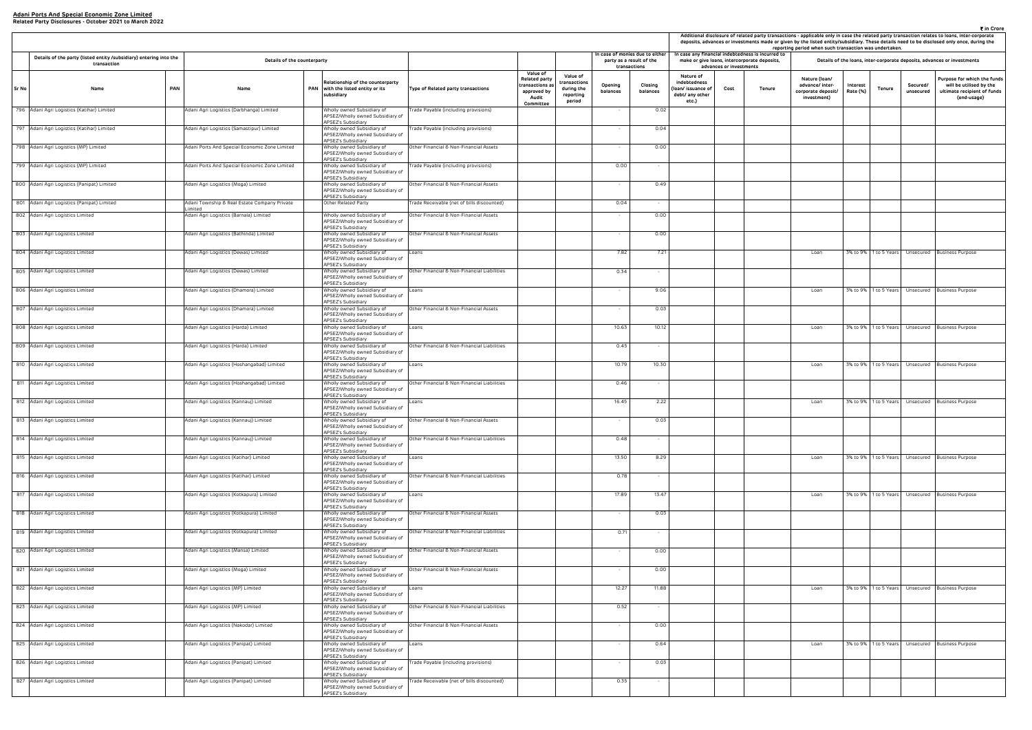|                                                                     | ₹ in Crore<br>Additional disclosure of related party transactions - applicable only in case the related party transaction relates to loans, inter-corporate<br>deposits, advances or investments made or given by the listed entity/subsidiary. These details need to be disclosed only once, during the<br>reporting period when such transaction was undertaken.<br>case any financial indebtedness is incurred to |                                              |                                                                       |                      |                       |                       |                                                                                                      |  |  |  |  |  |  |
|---------------------------------------------------------------------|----------------------------------------------------------------------------------------------------------------------------------------------------------------------------------------------------------------------------------------------------------------------------------------------------------------------------------------------------------------------------------------------------------------------|----------------------------------------------|-----------------------------------------------------------------------|----------------------|-----------------------|-----------------------|------------------------------------------------------------------------------------------------------|--|--|--|--|--|--|
|                                                                     | advances or investments                                                                                                                                                                                                                                                                                                                                                                                              | make or give Ioans, intercorporate deposits, |                                                                       |                      |                       |                       | Details of the loans, inter-corporate deposits, advances or investments                              |  |  |  |  |  |  |
| Nature of<br>debtedness<br>n/ issuance of<br>bt/ any other<br>etc.) | Cost                                                                                                                                                                                                                                                                                                                                                                                                                 | Tenure                                       | Nature (Ioan/<br>advance/ inter-<br>corporate deposit/<br>investment) | Interest<br>Rate (%) | <b>Tenure</b>         | Secured/<br>unsecured | Purpose for which the funds<br>will be utilised by the<br>ultimate recipient of funds<br>(end-usage) |  |  |  |  |  |  |
|                                                                     |                                                                                                                                                                                                                                                                                                                                                                                                                      |                                              |                                                                       |                      |                       |                       |                                                                                                      |  |  |  |  |  |  |
|                                                                     |                                                                                                                                                                                                                                                                                                                                                                                                                      |                                              |                                                                       |                      |                       |                       |                                                                                                      |  |  |  |  |  |  |
|                                                                     |                                                                                                                                                                                                                                                                                                                                                                                                                      |                                              |                                                                       |                      |                       |                       |                                                                                                      |  |  |  |  |  |  |
|                                                                     |                                                                                                                                                                                                                                                                                                                                                                                                                      |                                              |                                                                       |                      |                       |                       |                                                                                                      |  |  |  |  |  |  |
|                                                                     |                                                                                                                                                                                                                                                                                                                                                                                                                      |                                              |                                                                       |                      |                       |                       |                                                                                                      |  |  |  |  |  |  |
|                                                                     |                                                                                                                                                                                                                                                                                                                                                                                                                      |                                              |                                                                       |                      |                       |                       |                                                                                                      |  |  |  |  |  |  |
|                                                                     |                                                                                                                                                                                                                                                                                                                                                                                                                      |                                              |                                                                       |                      |                       |                       |                                                                                                      |  |  |  |  |  |  |
|                                                                     |                                                                                                                                                                                                                                                                                                                                                                                                                      |                                              | Loan                                                                  | 3% to 9%             | 1 to 5 Years          | Unsecured             | <b>Business Purpose</b>                                                                              |  |  |  |  |  |  |
|                                                                     |                                                                                                                                                                                                                                                                                                                                                                                                                      |                                              |                                                                       |                      |                       |                       |                                                                                                      |  |  |  |  |  |  |
|                                                                     |                                                                                                                                                                                                                                                                                                                                                                                                                      |                                              |                                                                       |                      |                       |                       |                                                                                                      |  |  |  |  |  |  |
|                                                                     |                                                                                                                                                                                                                                                                                                                                                                                                                      |                                              | Loan                                                                  | 3% to 9%             | 1 to 5 Years          | Unsecured             | <b>Business Purpose</b>                                                                              |  |  |  |  |  |  |
|                                                                     |                                                                                                                                                                                                                                                                                                                                                                                                                      |                                              |                                                                       |                      |                       |                       |                                                                                                      |  |  |  |  |  |  |
|                                                                     |                                                                                                                                                                                                                                                                                                                                                                                                                      |                                              | Loan                                                                  | 3% to 9%             | 1 to 5 Years          | Unsecured             | <b>Business Purpose</b>                                                                              |  |  |  |  |  |  |
|                                                                     |                                                                                                                                                                                                                                                                                                                                                                                                                      |                                              |                                                                       |                      |                       |                       |                                                                                                      |  |  |  |  |  |  |
|                                                                     |                                                                                                                                                                                                                                                                                                                                                                                                                      |                                              | Loan                                                                  | 3% to 9%             | 1 to 5 Years          | Unsecured             | <b>Business Purpose</b>                                                                              |  |  |  |  |  |  |
|                                                                     |                                                                                                                                                                                                                                                                                                                                                                                                                      |                                              |                                                                       |                      |                       |                       |                                                                                                      |  |  |  |  |  |  |
|                                                                     |                                                                                                                                                                                                                                                                                                                                                                                                                      |                                              | Loan                                                                  | 3% to 9%             | 1 to 5 Years          | Unsecured             | <b>Business Purpose</b>                                                                              |  |  |  |  |  |  |
|                                                                     |                                                                                                                                                                                                                                                                                                                                                                                                                      |                                              |                                                                       |                      |                       |                       |                                                                                                      |  |  |  |  |  |  |
|                                                                     |                                                                                                                                                                                                                                                                                                                                                                                                                      |                                              |                                                                       |                      |                       |                       |                                                                                                      |  |  |  |  |  |  |
|                                                                     |                                                                                                                                                                                                                                                                                                                                                                                                                      |                                              | Loan                                                                  |                      | 3% to 9% 1 to 5 Years | Unsecured             | <b>Business Purpose</b>                                                                              |  |  |  |  |  |  |
|                                                                     |                                                                                                                                                                                                                                                                                                                                                                                                                      |                                              |                                                                       |                      |                       |                       |                                                                                                      |  |  |  |  |  |  |
|                                                                     |                                                                                                                                                                                                                                                                                                                                                                                                                      |                                              | Loan                                                                  | 3% to 9%             | 1 to 5 Years          | Unsecured             | <b>Business Purpose</b>                                                                              |  |  |  |  |  |  |
|                                                                     |                                                                                                                                                                                                                                                                                                                                                                                                                      |                                              |                                                                       |                      |                       |                       |                                                                                                      |  |  |  |  |  |  |
|                                                                     |                                                                                                                                                                                                                                                                                                                                                                                                                      |                                              |                                                                       |                      |                       |                       |                                                                                                      |  |  |  |  |  |  |
|                                                                     |                                                                                                                                                                                                                                                                                                                                                                                                                      |                                              |                                                                       |                      |                       |                       |                                                                                                      |  |  |  |  |  |  |
|                                                                     |                                                                                                                                                                                                                                                                                                                                                                                                                      |                                              |                                                                       |                      |                       |                       |                                                                                                      |  |  |  |  |  |  |
|                                                                     |                                                                                                                                                                                                                                                                                                                                                                                                                      |                                              | Loan                                                                  | 3% to 9%             | 1 to 5 Years          | Unsecured             | <b>Business Purpose</b>                                                                              |  |  |  |  |  |  |
|                                                                     |                                                                                                                                                                                                                                                                                                                                                                                                                      |                                              |                                                                       |                      |                       |                       |                                                                                                      |  |  |  |  |  |  |
|                                                                     |                                                                                                                                                                                                                                                                                                                                                                                                                      |                                              |                                                                       |                      |                       |                       |                                                                                                      |  |  |  |  |  |  |
|                                                                     |                                                                                                                                                                                                                                                                                                                                                                                                                      |                                              | Loan                                                                  |                      | 3% to 9% 1 to 5 Years | Unsecured             | <b>Business Purpose</b>                                                                              |  |  |  |  |  |  |
|                                                                     |                                                                                                                                                                                                                                                                                                                                                                                                                      |                                              |                                                                       |                      |                       |                       |                                                                                                      |  |  |  |  |  |  |
|                                                                     |                                                                                                                                                                                                                                                                                                                                                                                                                      |                                              |                                                                       |                      |                       |                       |                                                                                                      |  |  |  |  |  |  |

|       |                                                                                   |            |                                                         |                                                                                                            |                                             |                                                                                         |                                                               |                     |                                                                             |                                                                           | Additional disclosure of related party transactions - applicable only in case the related party transaction relates to loans, inter-co<br>deposits, advances or investments made or given by the listed entity/subsidiary. These details need to be disclosed only once, du<br>reporting period when such transaction was undertaken. |                                                                                                   |                                                                       |                                                                       |                       |                                                                    |
|-------|-----------------------------------------------------------------------------------|------------|---------------------------------------------------------|------------------------------------------------------------------------------------------------------------|---------------------------------------------|-----------------------------------------------------------------------------------------|---------------------------------------------------------------|---------------------|-----------------------------------------------------------------------------|---------------------------------------------------------------------------|---------------------------------------------------------------------------------------------------------------------------------------------------------------------------------------------------------------------------------------------------------------------------------------------------------------------------------------|---------------------------------------------------------------------------------------------------|-----------------------------------------------------------------------|-----------------------------------------------------------------------|-----------------------|--------------------------------------------------------------------|
|       | Details of the party (listed entity /subsidiary) entering into the<br>transaction |            | Details of the counterparty                             |                                                                                                            |                                             |                                                                                         |                                                               |                     | In case of monies due to either<br>party as a result of the<br>transactions |                                                                           | advances or investments                                                                                                                                                                                                                                                                                                               | In case any financial indebtedness is incurred to<br>make or give loans, intercorporate deposits, |                                                                       | Details of the loans, inter-corporate deposits, advances or investmen |                       |                                                                    |
| Sr No | Name                                                                              | <b>PAN</b> | Name                                                    | Relationship of the counterparty<br>PAN with the listed entity or its<br>subsidiary                        | Type of Related party transactions          | Value of<br><b>Related party</b><br>ransactions a:<br>approved by<br>Audit<br>Committee | Value of<br>:ransactions<br>during the<br>reporting<br>period | Opening<br>balances | Closing<br>balances                                                         | Nature of<br>indebtedness<br>oan/ issuance of<br>debt/ any other<br>etc.) | Cost                                                                                                                                                                                                                                                                                                                                  | Tenure                                                                                            | Nature (Ioan/<br>advance/ inter-<br>corporate deposit/<br>investment) | Interest<br>Tenure<br>Rate (%)                                        | Secured/<br>unsecured | Purpose for whi<br>will be utilise<br>ultimate recipie<br>(end-usa |
|       | 796 Adani Agri Logistics (Katihar) Limited                                        |            | Adani Agri Logistics (Darbhanga) Limited                | Wholly owned Subsidiary of<br>APSEZ/Wholly owned Subsidiary of<br>APSEZ's Subsidiary                       | Trade Payable (including provisions)        |                                                                                         |                                                               |                     | 0.02                                                                        |                                                                           |                                                                                                                                                                                                                                                                                                                                       |                                                                                                   |                                                                       |                                                                       |                       |                                                                    |
|       | 797 Adani Agri Logistics (Katihar) Limited                                        |            | Adani Agri Logistics (Samastipur) Limited               | Wholly owned Subsidiary of<br>APSEZ/Wholly owned Subsidiary of<br>APSEZ's Subsidiary                       | Trade Payable (including provisions)        |                                                                                         |                                                               |                     | 0.04                                                                        |                                                                           |                                                                                                                                                                                                                                                                                                                                       |                                                                                                   |                                                                       |                                                                       |                       |                                                                    |
|       | 798 Adani Agri Logistics (MP) Limited                                             |            | Adani Ports And Special Economic Zone Limited           | Wholly owned Subsidiary of<br>APSEZ/Wholly owned Subsidiary of<br>APSEZ's Subsidiary                       | Other Financial & Non-Financial Assets      |                                                                                         |                                                               |                     | 0.00                                                                        |                                                                           |                                                                                                                                                                                                                                                                                                                                       |                                                                                                   |                                                                       |                                                                       |                       |                                                                    |
|       | 799 Adani Agri Logistics (MP) Limited                                             |            | Adani Ports And Special Economic Zone Limited           | Wholly owned Subsidiary of<br>APSEZ/Wholly owned Subsidiary of<br>APSEZ's Subsidiary                       | Trade Payable (including provisions)        |                                                                                         |                                                               | 0.00                |                                                                             |                                                                           |                                                                                                                                                                                                                                                                                                                                       |                                                                                                   |                                                                       |                                                                       |                       |                                                                    |
|       | 800 Adani Agri Logistics (Panipat) Limited                                        |            | Adani Agri Logistics (Moga) Limited                     | Wholly owned Subsidiary of<br>APSEZ/Wholly owned Subsidiary of<br>APSEZ's Subsidiary                       | Other Financial & Non-Financial Assets      |                                                                                         |                                                               | $\sim$              | 0.49                                                                        |                                                                           |                                                                                                                                                                                                                                                                                                                                       |                                                                                                   |                                                                       |                                                                       |                       |                                                                    |
|       | 801 Adani Agri Logistics (Panipat) Limited                                        |            | Adani Township & Real Estate Company Private<br>.imited | Other Related Party                                                                                        | Trade Receivable (net of bills discounted)  |                                                                                         |                                                               | 0.04                | $\sim$                                                                      |                                                                           |                                                                                                                                                                                                                                                                                                                                       |                                                                                                   |                                                                       |                                                                       |                       |                                                                    |
|       | 802 Adani Agri Logistics Limited                                                  |            | Adani Agri Logistics (Barnala) Limited                  | Wholly owned Subsidiary of<br>APSEZ/Wholly owned Subsidiary of<br>APSEZ's Subsidiary                       | Other Financial & Non-Financial Assets      |                                                                                         |                                                               | $\sim$              | 0.00                                                                        |                                                                           |                                                                                                                                                                                                                                                                                                                                       |                                                                                                   |                                                                       |                                                                       |                       |                                                                    |
|       | 803 Adani Agri Logistics Limited                                                  |            | Adani Agri Logistics (Bathinda) Limited                 | Wholly owned Subsidiary of<br>APSEZ/Wholly owned Subsidiary of<br>APSEZ's Subsidiary                       | Other Financial & Non-Financial Assets      |                                                                                         |                                                               |                     | 0.00                                                                        |                                                                           |                                                                                                                                                                                                                                                                                                                                       |                                                                                                   |                                                                       |                                                                       |                       |                                                                    |
|       | 804 Adani Agri Logistics Limited                                                  |            | Adani Agri Logistics (Dewas) Limited                    | Wholly owned Subsidiary of<br>APSEZ/Wholly owned Subsidiary of<br>APSEZ's Subsidiary                       | Loans                                       |                                                                                         |                                                               | 7.82                | 7.21                                                                        |                                                                           |                                                                                                                                                                                                                                                                                                                                       |                                                                                                   | Loan                                                                  | 3% to 9% 1 to 5 Years                                                 |                       | Unsecured Business Purpose                                         |
|       | 805 Adani Agri Logistics Limited                                                  |            | Adani Agri Logistics (Dewas) Limited                    | Wholly owned Subsidiary of<br>APSEZ/Wholly owned Subsidiary of<br>APSEZ's Subsidiary                       | Other Financial & Non-Financial Liabilities |                                                                                         |                                                               | 0.34                | $\sim$                                                                      |                                                                           |                                                                                                                                                                                                                                                                                                                                       |                                                                                                   |                                                                       |                                                                       |                       |                                                                    |
|       | 806 Adani Agri Logistics Limited                                                  |            | Adani Agri Logistics (Dhamora) Limited                  | Wholly owned Subsidiary of<br>APSEZ/Wholly owned Subsidiary of<br>APSEZ's Subsidiary                       | Loans                                       |                                                                                         |                                                               |                     | 9.06                                                                        |                                                                           |                                                                                                                                                                                                                                                                                                                                       |                                                                                                   | Loan                                                                  | 3% to 9% 1 to 5 Years                                                 |                       | Unsecured Business Purpose                                         |
|       | 807 Adani Agri Logistics Limited                                                  |            | Adani Agri Logistics (Dhamora) Limited                  | Wholly owned Subsidiary of<br>APSEZ/Wholly owned Subsidiary of<br>APSEZ's Subsidiary                       | Other Financial & Non-Financial Assets      |                                                                                         |                                                               |                     | 0.03                                                                        |                                                                           |                                                                                                                                                                                                                                                                                                                                       |                                                                                                   |                                                                       |                                                                       |                       |                                                                    |
|       | 808 Adani Agri Logistics Limited                                                  |            | Adani Agri Logistics (Harda) Limited                    | Wholly owned Subsidiary of<br>APSEZ/Wholly owned Subsidiary of<br>APSEZ's Subsidiary                       | Loans                                       |                                                                                         |                                                               | 10.63               | 10.12                                                                       |                                                                           |                                                                                                                                                                                                                                                                                                                                       |                                                                                                   | Loan                                                                  | 3% to 9% 1 to 5 Years Unsecured Business Purpose                      |                       |                                                                    |
|       | 809 Adani Agri Logistics Limited                                                  |            | Adani Agri Logistics (Harda) Limited                    | Wholly owned Subsidiary of<br>APSEZ/Wholly owned Subsidiary of<br>APSEZ's Subsidiary                       | Other Financial & Non-Financial Liabilities |                                                                                         |                                                               | 0.45                | $\sim$                                                                      |                                                                           |                                                                                                                                                                                                                                                                                                                                       |                                                                                                   |                                                                       |                                                                       |                       |                                                                    |
|       | 810 Adani Agri Logistics Limited                                                  |            | Adani Agri Logistics (Hoshangabad) Limited              | Wholly owned Subsidiary of<br>APSEZ/Wholly owned Subsidiary of                                             | Loans                                       |                                                                                         |                                                               | 10.79               | 10.30                                                                       |                                                                           |                                                                                                                                                                                                                                                                                                                                       |                                                                                                   | Loan                                                                  | 3% to 9%   1 to 5 Years   Unsecured   Business Purpose                |                       |                                                                    |
|       | 811 Adani Agri Logistics Limited                                                  |            | Adani Agri Logistics (Hoshangabad) Limited              | APSEZ's Subsidiary<br>Wholly owned Subsidiary of<br>APSEZ/Wholly owned Subsidiary of                       | Other Financial & Non-Financial Liabilities |                                                                                         |                                                               | 0.46                | $\sim$                                                                      |                                                                           |                                                                                                                                                                                                                                                                                                                                       |                                                                                                   |                                                                       |                                                                       |                       |                                                                    |
|       | 812 Adani Agri Logistics Limited                                                  |            | Adani Agri Logistics (Kannauj) Limited                  | APSEZ's Subsidiary<br>Wholly owned Subsidiary of<br>APSEZ/Wholly owned Subsidiary of                       | Loans                                       |                                                                                         |                                                               | 16.45               | 2.22                                                                        |                                                                           |                                                                                                                                                                                                                                                                                                                                       |                                                                                                   | Loan                                                                  | 3% to 9%   1 to 5 Years   Unsecured   Business Purpose                |                       |                                                                    |
|       | 813 Adani Agri Logistics Limited                                                  |            | Adani Agri Logistics (Kannauj) Limited                  | APSEZ's Subsidiary<br>Wholly owned Subsidiary of<br>APSEZ/Wholly owned Subsidiary of                       | Other Financial & Non-Financial Assets      |                                                                                         |                                                               |                     | 0.03                                                                        |                                                                           |                                                                                                                                                                                                                                                                                                                                       |                                                                                                   |                                                                       |                                                                       |                       |                                                                    |
|       | 814 Adani Agri Logistics Limited                                                  |            | Adani Agri Logistics (Kannauj) Limited                  | APSEZ's Subsidiary<br>Wholly owned Subsidiary of<br>APSEZ/Wholly owned Subsidiary of                       | Other Financial & Non-Financial Liabilities |                                                                                         |                                                               | 0.48                | $\sim$                                                                      |                                                                           |                                                                                                                                                                                                                                                                                                                                       |                                                                                                   |                                                                       |                                                                       |                       |                                                                    |
|       | 815 Adani Agri Logistics Limited                                                  |            | Adani Agri Logistics (Katihar) Limited                  | APSEZ's Subsidiary<br>Wholly owned Subsidiary of<br>APSEZ/Wholly owned Subsidiary of                       | Loans                                       |                                                                                         |                                                               | 13.50               | 8.29                                                                        |                                                                           |                                                                                                                                                                                                                                                                                                                                       |                                                                                                   | Loan                                                                  | 3% to 9%   1 to 5 Years   Unsecured   Business Purpose                |                       |                                                                    |
|       | 816 Adani Agri Logistics Limited                                                  |            | Adani Agri Logistics (Katihar) Limited                  | APSEZ's Subsidiary<br>Wholly owned Subsidiary of<br>APSEZ/Wholly owned Subsidiary of                       | Other Financial & Non-Financial Liabilities |                                                                                         |                                                               | 0.78                | $\sim$                                                                      |                                                                           |                                                                                                                                                                                                                                                                                                                                       |                                                                                                   |                                                                       |                                                                       |                       |                                                                    |
|       | 817 Adani Agri Logistics Limited                                                  |            | Adani Agri Logistics (Kotkapura) Limited                | APSEZ's Subsidiary<br>Wholly owned Subsidiary of<br>APSEZ/Wholly owned Subsidiary of                       | Loans                                       |                                                                                         |                                                               | 17.89               | 13.47                                                                       |                                                                           |                                                                                                                                                                                                                                                                                                                                       |                                                                                                   | Loan                                                                  | 3% to 9% 1 to 5 Years                                                 |                       | Unsecured Business Purpose                                         |
|       | 818 Adani Agri Logistics Limited                                                  |            | Adani Agri Logistics (Kotkapura) Limited                | APSEZ's Subsidiary<br>Wholly owned Subsidiary of<br>APSEZ/Wholly owned Subsidiary of                       | Other Financial & Non-Financial Assets      |                                                                                         |                                                               | $\sim$              | 0.03                                                                        |                                                                           |                                                                                                                                                                                                                                                                                                                                       |                                                                                                   |                                                                       |                                                                       |                       |                                                                    |
|       | 819 Adani Agri Logistics Limited                                                  |            | Adani Agri Logistics (Kotkapura) Limited                | APSEZ's Subsidiary<br>Wholly owned Subsidiary of<br>APSEZ/Wholly owned Subsidiary of<br>APSEZ's Subsidiary | Other Financial & Non-Financial Liabilities |                                                                                         |                                                               | 0.71                |                                                                             |                                                                           |                                                                                                                                                                                                                                                                                                                                       |                                                                                                   |                                                                       |                                                                       |                       |                                                                    |
|       | 820 Adani Agri Logistics Limited                                                  |            | Adani Agri Logistics (Mansa) Limited                    | Wholly owned Subsidiary of<br>APSEZ/Wholly owned Subsidiary of                                             | Other Financial & Non-Financial Assets      |                                                                                         |                                                               |                     | 0.00                                                                        |                                                                           |                                                                                                                                                                                                                                                                                                                                       |                                                                                                   |                                                                       |                                                                       |                       |                                                                    |
|       | 821 Adani Agri Logistics Limited                                                  |            | Adani Agri Logistics (Moga) Limited                     | APSEZ's Subsidiary<br>Wholly owned Subsidiary of<br>APSEZ/Wholly owned Subsidiary of                       | Other Financial & Non-Financial Assets      |                                                                                         |                                                               | $\sim$              | 0.00                                                                        |                                                                           |                                                                                                                                                                                                                                                                                                                                       |                                                                                                   |                                                                       |                                                                       |                       |                                                                    |
|       | 822 Adani Agri Logistics Limited                                                  |            | Adani Agri Logistics (MP) Limited                       | APSEZ's Subsidiary<br>Wholly owned Subsidiary of<br>APSEZ/Wholly owned Subsidiary of                       | Loans                                       |                                                                                         |                                                               | 12.27               | 11.88                                                                       |                                                                           |                                                                                                                                                                                                                                                                                                                                       |                                                                                                   | Loan                                                                  | 3% to 9%   1 to 5 Years   Unsecured   Business Purpose                |                       |                                                                    |
|       | 823 Adani Agri Logistics Limited                                                  |            | Adani Agri Logistics (MP) Limited                       | APSEZ's Subsidiary<br>Wholly owned Subsidiary of<br>APSEZ/Wholly owned Subsidiary of                       | Other Financial & Non-Financial Liabilities |                                                                                         |                                                               | 0.52                | $\sim$                                                                      |                                                                           |                                                                                                                                                                                                                                                                                                                                       |                                                                                                   |                                                                       |                                                                       |                       |                                                                    |
|       | 824 Adani Agri Logistics Limited                                                  |            | Adani Agri Logistics (Nakodar) Limited                  | APSEZ's Subsidiary<br>Wholly owned Subsidiary of<br>APSEZ/Wholly owned Subsidiary of                       | Other Financial & Non-Financial Assets      |                                                                                         |                                                               |                     | 0.00                                                                        |                                                                           |                                                                                                                                                                                                                                                                                                                                       |                                                                                                   |                                                                       |                                                                       |                       |                                                                    |
|       | 825 Adani Agri Logistics Limited                                                  |            | Adani Agri Logistics (Panipat) Limited                  | APSEZ's Subsidiary<br>Wholly owned Subsidiary of<br>APSEZ/Wholly owned Subsidiary of                       | Loans                                       |                                                                                         |                                                               |                     | 0.64                                                                        |                                                                           |                                                                                                                                                                                                                                                                                                                                       |                                                                                                   | Loan                                                                  | 3% to 9%   1 to 5 Years                                               |                       | Unsecured Business Purpose                                         |
|       | 826 Adani Agri Logistics Limited                                                  |            | Adani Agri Logistics (Panipat) Limited                  | APSEZ's Subsidiary<br>Wholly owned Subsidiary of<br>APSEZ/Wholly owned Subsidiary of                       | Trade Payable (including provisions)        |                                                                                         |                                                               | $\sim$              | 0.03                                                                        |                                                                           |                                                                                                                                                                                                                                                                                                                                       |                                                                                                   |                                                                       |                                                                       |                       |                                                                    |
|       | 827 Adani Agri Logistics Limited                                                  |            | Adani Agri Logistics (Panipat) Limited                  | APSEZ's Subsidiary<br>Wholly owned Subsidiary of<br>APSEZ/Wholly owned Subsidiary of                       | Trade Receivable (net of bills discounted)  |                                                                                         |                                                               | 0.35                |                                                                             |                                                                           |                                                                                                                                                                                                                                                                                                                                       |                                                                                                   |                                                                       |                                                                       |                       |                                                                    |
|       |                                                                                   |            |                                                         | APSEZ's Subsidiary                                                                                         |                                             |                                                                                         |                                                               |                     |                                                                             |                                                                           |                                                                                                                                                                                                                                                                                                                                       |                                                                                                   |                                                                       |                                                                       |                       |                                                                    |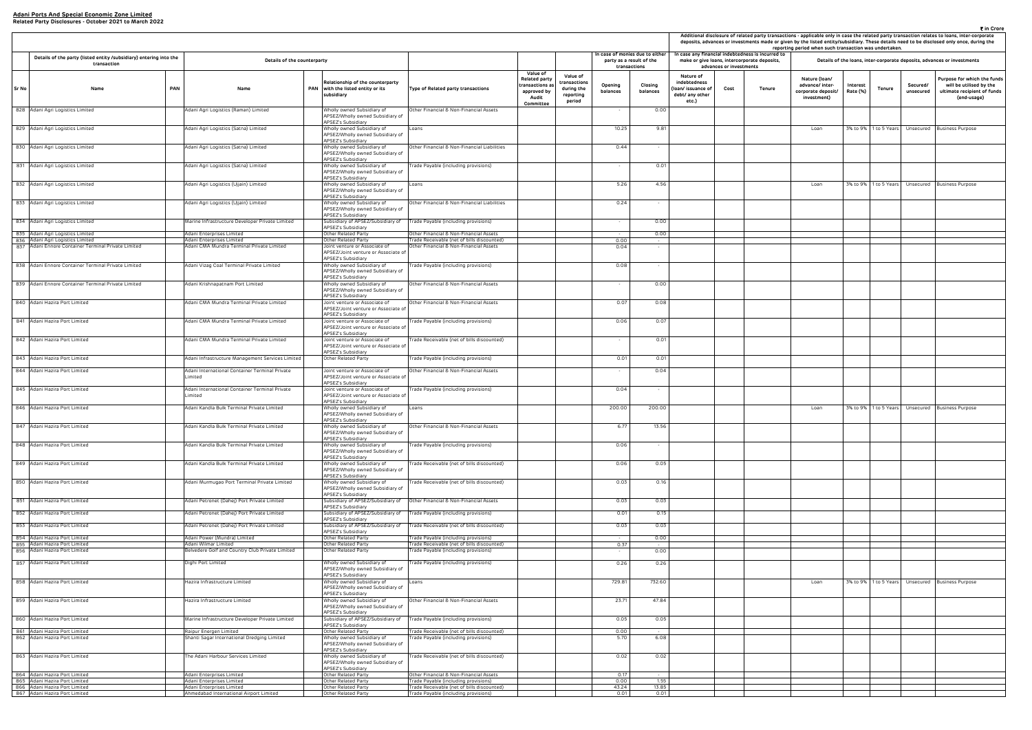| ₹ in Crore<br>Additional disclosure of related party transactions - applicable only in case the related party transaction relates to loans, inter-corporate<br>deposits, advances or investments made or given by the listed entity/subsidiary. These details need to be disclosed only once, during the |                         |                                                                                                |                                                                       |                      |                       |                       |                                                                                                      |  |  |  |  |  |
|----------------------------------------------------------------------------------------------------------------------------------------------------------------------------------------------------------------------------------------------------------------------------------------------------------|-------------------------|------------------------------------------------------------------------------------------------|-----------------------------------------------------------------------|----------------------|-----------------------|-----------------------|------------------------------------------------------------------------------------------------------|--|--|--|--|--|
|                                                                                                                                                                                                                                                                                                          |                         |                                                                                                | reporting period when such transaction was undertaken.                |                      |                       |                       |                                                                                                      |  |  |  |  |  |
|                                                                                                                                                                                                                                                                                                          | advances or investments | case any financial indebtedness is incurred to<br>make or give loans, intercorporate deposits, |                                                                       |                      |                       |                       | Details of the loans, inter-corporate deposits, advances or investments                              |  |  |  |  |  |
| Nature of<br>debtedness<br>n/ issuance of<br>bt/ any other<br>etc.)                                                                                                                                                                                                                                      | Cost                    | Tenure                                                                                         | Nature (Ioan/<br>advance/ inter-<br>corporate deposit/<br>investment) | Interest<br>Rate (%) | <b>Tenure</b>         | Secured/<br>unsecured | Purpose for which the funds<br>will be utilised by the<br>ultimate recipient of funds<br>(end-usage) |  |  |  |  |  |
|                                                                                                                                                                                                                                                                                                          |                         |                                                                                                | Loan                                                                  | 3% to 9%             | 1 to 5 Years          | Unsecured             | <b>Business Purpose</b>                                                                              |  |  |  |  |  |
|                                                                                                                                                                                                                                                                                                          |                         |                                                                                                |                                                                       |                      |                       |                       |                                                                                                      |  |  |  |  |  |
|                                                                                                                                                                                                                                                                                                          |                         |                                                                                                | Loan                                                                  | 3% to 9%             | 1 to 5 Years          | Unsecured             | <b>Business Purpose</b>                                                                              |  |  |  |  |  |
|                                                                                                                                                                                                                                                                                                          |                         |                                                                                                |                                                                       |                      |                       |                       |                                                                                                      |  |  |  |  |  |
|                                                                                                                                                                                                                                                                                                          |                         |                                                                                                |                                                                       |                      |                       |                       |                                                                                                      |  |  |  |  |  |
|                                                                                                                                                                                                                                                                                                          |                         |                                                                                                |                                                                       |                      |                       |                       |                                                                                                      |  |  |  |  |  |
|                                                                                                                                                                                                                                                                                                          |                         |                                                                                                |                                                                       |                      |                       |                       |                                                                                                      |  |  |  |  |  |
|                                                                                                                                                                                                                                                                                                          |                         |                                                                                                |                                                                       |                      |                       |                       |                                                                                                      |  |  |  |  |  |
|                                                                                                                                                                                                                                                                                                          |                         |                                                                                                |                                                                       |                      |                       |                       |                                                                                                      |  |  |  |  |  |
|                                                                                                                                                                                                                                                                                                          |                         |                                                                                                |                                                                       |                      |                       |                       |                                                                                                      |  |  |  |  |  |
|                                                                                                                                                                                                                                                                                                          |                         |                                                                                                | Loan                                                                  | 3% to 9%             | 1 to 5 Years          | Unsecured             | <b>Business Purpose</b>                                                                              |  |  |  |  |  |
|                                                                                                                                                                                                                                                                                                          |                         |                                                                                                |                                                                       |                      |                       |                       |                                                                                                      |  |  |  |  |  |
|                                                                                                                                                                                                                                                                                                          |                         |                                                                                                |                                                                       |                      |                       |                       |                                                                                                      |  |  |  |  |  |
|                                                                                                                                                                                                                                                                                                          |                         |                                                                                                |                                                                       |                      |                       |                       |                                                                                                      |  |  |  |  |  |
|                                                                                                                                                                                                                                                                                                          |                         |                                                                                                |                                                                       |                      |                       |                       |                                                                                                      |  |  |  |  |  |
|                                                                                                                                                                                                                                                                                                          |                         |                                                                                                |                                                                       |                      |                       |                       |                                                                                                      |  |  |  |  |  |
|                                                                                                                                                                                                                                                                                                          |                         |                                                                                                | Loan                                                                  |                      | 3% to 9% 1 to 5 Years | Unsecured             | <b>Business Purpose</b>                                                                              |  |  |  |  |  |
|                                                                                                                                                                                                                                                                                                          |                         |                                                                                                |                                                                       |                      |                       |                       |                                                                                                      |  |  |  |  |  |
|                                                                                                                                                                                                                                                                                                          |                         |                                                                                                |                                                                       |                      |                       |                       |                                                                                                      |  |  |  |  |  |
|                                                                                                                                                                                                                                                                                                          |                         |                                                                                                |                                                                       |                      |                       |                       |                                                                                                      |  |  |  |  |  |
|                                                                                                                                                                                                                                                                                                          |                         |                                                                                                |                                                                       |                      |                       |                       |                                                                                                      |  |  |  |  |  |

|       |                                                                                         |            |                                                                         |                                                                                                             |                                                                                      |                                                                                         |                                                               |                                                                             |                     |                                                                            |                         | Additional disclosure of related party transactions - applicable only in case the related party transaction relates to loans, inter-co<br>deposits, advances or investments made or given by the listed entity/subsidiary. These details need to be disclosed only once, du<br>reporting period when such transaction was undertaken. |                                                                       |                                                                       |                       |                                                                     |
|-------|-----------------------------------------------------------------------------------------|------------|-------------------------------------------------------------------------|-------------------------------------------------------------------------------------------------------------|--------------------------------------------------------------------------------------|-----------------------------------------------------------------------------------------|---------------------------------------------------------------|-----------------------------------------------------------------------------|---------------------|----------------------------------------------------------------------------|-------------------------|---------------------------------------------------------------------------------------------------------------------------------------------------------------------------------------------------------------------------------------------------------------------------------------------------------------------------------------|-----------------------------------------------------------------------|-----------------------------------------------------------------------|-----------------------|---------------------------------------------------------------------|
|       | Details of the party (listed entity /subsidiary) entering into the<br>transaction       |            | Details of the counterparty                                             |                                                                                                             |                                                                                      |                                                                                         |                                                               | In case of monies due to either<br>party as a result of the<br>transactions |                     |                                                                            | advances or investments | In case any financial indebtedness is incurred to<br>make or give loans, intercorporate deposits,                                                                                                                                                                                                                                     |                                                                       | Details of the loans, inter-corporate deposits, advances or investmen |                       |                                                                     |
| Sr No | Name                                                                                    | <b>PAN</b> | Name                                                                    | Relationship of the counterparty<br>PAN with the listed entity or its<br>subsidiary                         | Type of Related party transactions                                                   | Value of<br><b>Related party</b><br>ransactions a:<br>approved by<br>Audit<br>Committee | Value of<br>transactions<br>during the<br>reporting<br>period | Opening<br>balances                                                         | Closing<br>balances | Nature of<br>indebtedness<br>loan/ issuance of<br>debt/ any other<br>etc.) | Cost                    | Tenure                                                                                                                                                                                                                                                                                                                                | Nature (Ioan/<br>advance/ inter-<br>corporate deposit/<br>investment) | Interest<br>Tenure<br>Rate (%)                                        | Secured/<br>unsecured | Purpose for whit<br>will be utilise<br>ultimate recipie<br>(end-usa |
|       | 828 Adani Agri Logistics Limited                                                        |            | Adani Agri Logistics (Raman) Limited                                    | Wholly owned Subsidiary of<br>APSEZ/Wholly owned Subsidiary of<br>APSEZ's Subsidiary                        | Other Financial & Non-Financial Assets                                               |                                                                                         |                                                               |                                                                             | 0.00                |                                                                            |                         |                                                                                                                                                                                                                                                                                                                                       |                                                                       |                                                                       |                       |                                                                     |
|       | 829 Adani Agri Logistics Limited                                                        |            | Adani Agri Logistics (Satna) Limited                                    | Wholly owned Subsidiary of<br>APSEZ/Wholly owned Subsidiary of<br><b>APSEZ's Subsidiary</b>                 | Loans                                                                                |                                                                                         |                                                               | 10.25                                                                       | 9.81                |                                                                            |                         |                                                                                                                                                                                                                                                                                                                                       | Loan                                                                  | 3% to 9% 1 to 5 Years                                                 |                       | Unsecured Business Purpose                                          |
|       | 830 Adani Agri Logistics Limited                                                        |            | Adani Agri Logistics (Satna) Limited                                    | Wholly owned Subsidiary of<br>APSEZ/Wholly owned Subsidiary of<br>APSEZ's Subsidiary                        | Other Financial & Non-Financial Liabilities                                          |                                                                                         |                                                               | 0.44                                                                        | $\sim$              |                                                                            |                         |                                                                                                                                                                                                                                                                                                                                       |                                                                       |                                                                       |                       |                                                                     |
|       | 831 Adani Agri Logistics Limited                                                        |            | Adani Agri Logistics (Satna) Limited                                    | Wholly owned Subsidiary of<br>APSEZ/Wholly owned Subsidiary of<br>APSEZ's Subsidiary                        | [rade Payable (including provisions)                                                 |                                                                                         |                                                               |                                                                             | 0.01                |                                                                            |                         |                                                                                                                                                                                                                                                                                                                                       |                                                                       |                                                                       |                       |                                                                     |
|       | 832 Adani Agri Logistics Limited                                                        |            | Adani Agri Logistics (Ujjain) Limited                                   | Wholly owned Subsidiary of<br>APSEZ/Wholly owned Subsidiary of<br>APSEZ's Subsidiary                        | Loans                                                                                |                                                                                         |                                                               | 5.26                                                                        | 4.56                |                                                                            |                         |                                                                                                                                                                                                                                                                                                                                       | Loan                                                                  | 3% to 9%   1 to 5 Years   Unsecured   Business Purpose                |                       |                                                                     |
|       | 833 Adani Agri Logistics Limited                                                        |            | Adani Agri Logistics (Ujjain) Limited                                   | Wholly owned Subsidiary of<br>APSEZ/Wholly owned Subsidiary of<br>APSEZ's Subsidiary                        | Other Financial & Non-Financial Liabilities                                          |                                                                                         |                                                               | 0.24                                                                        | $\sim$              |                                                                            |                         |                                                                                                                                                                                                                                                                                                                                       |                                                                       |                                                                       |                       |                                                                     |
|       | 834 Adani Agri Logistics Limited                                                        |            | Marine Infrastructure Developer Private Limited                         | Subsidiary of APSEZ/Subsidiary of                                                                           | Trade Payable (including provisions)                                                 |                                                                                         |                                                               | $\sim$                                                                      | 0.00                |                                                                            |                         |                                                                                                                                                                                                                                                                                                                                       |                                                                       |                                                                       |                       |                                                                     |
|       | 835 Adani Agri Logistics Limited                                                        |            | Adani Enterprises Limited                                               | APSEZ's Subsidiary<br>Other Related Party                                                                   | Other Financial & Non-Financial Assets                                               |                                                                                         |                                                               | $\sim$                                                                      | 0.00                |                                                                            |                         |                                                                                                                                                                                                                                                                                                                                       |                                                                       |                                                                       |                       |                                                                     |
|       | 836 Adani Agri Logistics Limited<br>837 Adani Ennore Container Terminal Private Limited |            | Adani Enterprises Limited<br>Adani CMA Mundra Terminal Private Limited  | Other Related Party<br>Joint venture or Associate of                                                        | Trade Receivable (net of bills discounted)<br>Other Financial & Non-Financial Assets |                                                                                         |                                                               | 0.00<br>0.04                                                                | $\sim$              |                                                                            |                         |                                                                                                                                                                                                                                                                                                                                       |                                                                       |                                                                       |                       |                                                                     |
|       |                                                                                         |            |                                                                         | APSEZ/Joint venture or Associate of<br>APSEZ's Subsidiary                                                   |                                                                                      |                                                                                         |                                                               |                                                                             |                     |                                                                            |                         |                                                                                                                                                                                                                                                                                                                                       |                                                                       |                                                                       |                       |                                                                     |
|       | 838 Adani Ennore Container Terminal Private Limited                                     |            | Adani Vizag Coal Terminal Private Limited                               | Wholly owned Subsidiary of<br>APSEZ/Wholly owned Subsidiary of<br><b>APSEZ's Subsidiary</b>                 | Trade Payable (including provisions)                                                 |                                                                                         |                                                               | 0.08                                                                        | $\sim$              |                                                                            |                         |                                                                                                                                                                                                                                                                                                                                       |                                                                       |                                                                       |                       |                                                                     |
|       | 839 Adani Ennore Container Terminal Private Limited                                     |            | Adani Krishnapatnam Port Limited                                        | Wholly owned Subsidiary of<br>APSEZ/Wholly owned Subsidiary of<br>APSEZ's Subsidiary                        | Other Financial & Non-Financial Assets                                               |                                                                                         |                                                               | $\sim$                                                                      | 0.00                |                                                                            |                         |                                                                                                                                                                                                                                                                                                                                       |                                                                       |                                                                       |                       |                                                                     |
|       | 840 Adani Hazira Port Limited                                                           |            | Adani CMA Mundra Terminal Private Limited                               | Joint venture or Associate of<br>APSEZ/Joint venture or Associate of<br>APSEZ's Subsidiary                  | Other Financial & Non-Financial Assets                                               |                                                                                         |                                                               | 0.07                                                                        | 0.08                |                                                                            |                         |                                                                                                                                                                                                                                                                                                                                       |                                                                       |                                                                       |                       |                                                                     |
|       | 841 Adani Hazira Port Limited                                                           |            | Adani CMA Mundra Terminal Private Limited                               | Joint venture or Associate of<br>APSEZ/Joint venture or Associate of<br>APSEZ's Subsidiary                  | [rade Payable (including provisions)                                                 |                                                                                         |                                                               | 0.06                                                                        | 0.07                |                                                                            |                         |                                                                                                                                                                                                                                                                                                                                       |                                                                       |                                                                       |                       |                                                                     |
|       | 842 Adani Hazira Port Limited                                                           |            | Adani CMA Mundra Terminal Private Limited                               | Joint venture or Associate of<br>APSEZ/Joint venture or Associate of<br>APSEZ's Subsidiary                  | Trade Receivable (net of bills discounted)                                           |                                                                                         |                                                               | $\sim$                                                                      | 0.01                |                                                                            |                         |                                                                                                                                                                                                                                                                                                                                       |                                                                       |                                                                       |                       |                                                                     |
|       | 843 Adani Hazira Port Limited                                                           |            | Adani Infrastructure Management Services Limited                        | Other Related Party                                                                                         | Trade Payable (including provisions)                                                 |                                                                                         |                                                               | 0.01                                                                        | 0.01                |                                                                            |                         |                                                                                                                                                                                                                                                                                                                                       |                                                                       |                                                                       |                       |                                                                     |
|       | 844 Adani Hazira Port Limited                                                           |            | Adani International Container Terminal Private<br>.imited               | Joint venture or Associate of<br>APSEZ/Joint venture or Associate of<br>APSEZ's Subsidiary                  | Other Financial & Non-Financial Assets                                               |                                                                                         |                                                               |                                                                             | 0.04                |                                                                            |                         |                                                                                                                                                                                                                                                                                                                                       |                                                                       |                                                                       |                       |                                                                     |
|       | 845 Adani Hazira Port Limited                                                           |            | Adani International Container Terminal Private<br>.imited               | Joint venture or Associate of<br>APSEZ/Joint venture or Associate of<br><b>APSEZ's Subsidiary</b>           | Trade Payable (including provisions)                                                 |                                                                                         |                                                               | 0.04                                                                        |                     |                                                                            |                         |                                                                                                                                                                                                                                                                                                                                       |                                                                       |                                                                       |                       |                                                                     |
|       | 846 Adani Hazira Port Limited                                                           |            | Adani Kandla Bulk Terminal Private Limited                              | Wholly owned Subsidiary of<br>APSEZ/Wholly owned Subsidiary of<br>APSEZ's Subsidiary                        | Loans                                                                                |                                                                                         |                                                               | 200.00                                                                      | 200.00              |                                                                            |                         |                                                                                                                                                                                                                                                                                                                                       | Loan                                                                  | 3% to 9% 1 to 5 Years Unsecured Business Purpose                      |                       |                                                                     |
|       | 847 Adani Hazira Port Limited                                                           |            | Adani Kandla Bulk Terminal Private Limited                              | Wholly owned Subsidiary of<br>APSEZ/Wholly owned Subsidiary of<br>APSEZ's Subsidiary                        | Other Financial & Non-Financial Assets                                               |                                                                                         |                                                               | 6.77                                                                        | 13.56               |                                                                            |                         |                                                                                                                                                                                                                                                                                                                                       |                                                                       |                                                                       |                       |                                                                     |
|       | 848 Adani Hazira Port Limited                                                           |            | Adani Kandla Bulk Terminal Private Limited                              | Wholly owned Subsidiary of<br>APSEZ/Wholly owned Subsidiary of<br><b>APSEZ's Subsidiary</b>                 | Frade Payable (including provisions)                                                 |                                                                                         |                                                               | 0.06                                                                        | $\sim$              |                                                                            |                         |                                                                                                                                                                                                                                                                                                                                       |                                                                       |                                                                       |                       |                                                                     |
|       | 849 Adani Hazira Port Limited                                                           |            | Adani Kandla Bulk Terminal Private Limited                              | Wholly owned Subsidiary of<br>APSEZ/Wholly owned Subsidiary of<br>APSEZ's Subsidiary                        | [rade Receivable (net of bills discounted)                                           |                                                                                         |                                                               | 0.06                                                                        | 0.05                |                                                                            |                         |                                                                                                                                                                                                                                                                                                                                       |                                                                       |                                                                       |                       |                                                                     |
|       | 850 Adani Hazira Port Limited                                                           |            | Adani Murmugao Port Terminal Private Limited                            | Wholly owned Subsidiary of<br>APSEZ/Wholly owned Subsidiary of<br>APSEZ's Subsidiary                        | Trade Receivable (net of bills discounted)                                           |                                                                                         |                                                               | 0.03                                                                        | 0.16                |                                                                            |                         |                                                                                                                                                                                                                                                                                                                                       |                                                                       |                                                                       |                       |                                                                     |
|       | 851 Adani Hazira Port Limited                                                           |            | Adani Petronet (Dahej) Port Private Limited                             | Subsidiary of APSEZ/Subsidiary of<br>APSEZ's Subsidiary                                                     | Other Financial & Non-Financial Assets                                               |                                                                                         |                                                               | 0.03                                                                        | 0.03                |                                                                            |                         |                                                                                                                                                                                                                                                                                                                                       |                                                                       |                                                                       |                       |                                                                     |
|       | 852 Adani Hazira Port Limited                                                           |            | Adani Petronet (Dahej) Port Private Limited                             | Subsidiary of APSEZ/Subsidiary of<br>APSEZ's Subsidiary                                                     | Trade Payable (including provisions)                                                 |                                                                                         |                                                               | 0.01                                                                        | 0.15                |                                                                            |                         |                                                                                                                                                                                                                                                                                                                                       |                                                                       |                                                                       |                       |                                                                     |
|       | 853 Adani Hazira Port Limited                                                           |            | Adani Petronet (Dahej) Port Private Limited                             | Subsidiary of APSEZ/Subsidiary of                                                                           | Trade Receivable (net of bills discounted)                                           |                                                                                         |                                                               | 0.03                                                                        | 0.03                |                                                                            |                         |                                                                                                                                                                                                                                                                                                                                       |                                                                       |                                                                       |                       |                                                                     |
|       | 854 Adani Hazira Port Limited                                                           |            | Adani Power (Mundra) Limited                                            | APSEZ's Subsidiary<br>Other Related Party                                                                   | Frade Payable (including provisions)                                                 |                                                                                         |                                                               | $\sim$                                                                      | 0.00                |                                                                            |                         |                                                                                                                                                                                                                                                                                                                                       |                                                                       |                                                                       |                       |                                                                     |
|       | 855 Adani Hazira Port Limited<br>856 Adani Hazira Port Limited                          |            | Adani Wilmar Limited<br>Belvedere Golf and Country Club Private Limited | Other Related Party<br>Other Related Party                                                                  | Trade Receivable (net of bills discounted)<br>Trade Payable (including provisions)   |                                                                                         |                                                               | 0.37                                                                        | $\sim$<br>0.00      |                                                                            |                         |                                                                                                                                                                                                                                                                                                                                       |                                                                       |                                                                       |                       |                                                                     |
|       | 857 Adani Hazira Port Limited                                                           |            | Dighi Port Limited                                                      | Wholly owned Subsidiary of<br>APSEZ/Wholly owned Subsidiary of<br>APSEZ's Subsidiary                        | rade Payable (including provisions)                                                  |                                                                                         |                                                               | 0.26                                                                        | 0.26                |                                                                            |                         |                                                                                                                                                                                                                                                                                                                                       |                                                                       |                                                                       |                       |                                                                     |
|       | 858 Adani Hazira Port Limited                                                           |            | Hazira Infrastructure Limited                                           | Wholly owned Subsidiary of<br>APSEZ/Wholly owned Subsidiary of<br>APSEZ's Subsidiary                        | Loans                                                                                |                                                                                         |                                                               | 729.81                                                                      | 732.60              |                                                                            |                         |                                                                                                                                                                                                                                                                                                                                       | Loan                                                                  | 3% to 9% 1 to 5 Years                                                 |                       | Unsecured Business Purpose                                          |
|       | 859 Adani Hazira Port Limited                                                           |            | Hazira Infrastructure Limited                                           | Wholly owned Subsidiary of<br>APSEZ/Wholly owned Subsidiary of<br>APSEZ's Subsidiary                        | Other Financial & Non-Financial Assets                                               |                                                                                         |                                                               | 23.71                                                                       | 47.84               |                                                                            |                         |                                                                                                                                                                                                                                                                                                                                       |                                                                       |                                                                       |                       |                                                                     |
|       | 860 Adani Hazira Port Limited                                                           |            | Marine Infrastructure Developer Private Limited                         | Subsidiary of APSEZ/Subsidiary of<br>APSEZ's Subsidiary                                                     | Trade Payable (including provisions)                                                 |                                                                                         |                                                               | 0.05                                                                        | 0.05                |                                                                            |                         |                                                                                                                                                                                                                                                                                                                                       |                                                                       |                                                                       |                       |                                                                     |
|       | 861 Adani Hazira Port Limited<br>862 Adani Hazira Port Limited                          |            | Raipur Energen Limited<br>Shanti Sagar International Dredging Limited   | Other Related Party<br>Wholly owned Subsidiary of                                                           | Frade Receivable (net of bills discounted)<br>Frade Payable (including provisions)   |                                                                                         |                                                               | 0.00<br>5.70                                                                | 6.08                |                                                                            |                         |                                                                                                                                                                                                                                                                                                                                       |                                                                       |                                                                       |                       |                                                                     |
|       |                                                                                         |            |                                                                         | APSEZ/Wholly owned Subsidiary of<br>APSEZ's Subsidiary                                                      |                                                                                      |                                                                                         |                                                               |                                                                             |                     |                                                                            |                         |                                                                                                                                                                                                                                                                                                                                       |                                                                       |                                                                       |                       |                                                                     |
|       | 863 Adani Hazira Port Limited<br>864 Adani Hazira Port Limited                          |            | he Adani Harbour Services Limited<br>Adani Enterprises Limited          | Wholly owned Subsidiary of<br>APSEZ/Wholly owned Subsidiary of<br>APSEZ's Subsidiary<br>Other Related Party | Frade Receivable (net of bills discounted)<br>Other Financial & Non-Financial Assets |                                                                                         |                                                               | 0.02<br>0.17                                                                | 0.02<br>$\sim$      |                                                                            |                         |                                                                                                                                                                                                                                                                                                                                       |                                                                       |                                                                       |                       |                                                                     |
|       | 865 Adani Hazira Port Limited                                                           |            | Adani Enterprises Limited                                               | Other Related Party                                                                                         | rade Payable (including provisions)                                                  |                                                                                         |                                                               | 0.00                                                                        | 1.55                |                                                                            |                         |                                                                                                                                                                                                                                                                                                                                       |                                                                       |                                                                       |                       |                                                                     |
|       | 866 Adani Hazira Port Limited<br>867 Adani Hazira Port Limited                          |            | Adani Enterprises Limited<br>Ahmedabad International Airport Limited    | Other Related Party<br>Other Related Party                                                                  | Frade Receivable (net of bills discounted)<br>Trade Payable (including provisions)   |                                                                                         |                                                               | 43.24<br>0.01                                                               | 13.85<br>0.01       |                                                                            |                         |                                                                                                                                                                                                                                                                                                                                       |                                                                       |                                                                       |                       |                                                                     |
|       |                                                                                         |            |                                                                         |                                                                                                             |                                                                                      |                                                                                         |                                                               |                                                                             |                     |                                                                            |                         |                                                                                                                                                                                                                                                                                                                                       |                                                                       |                                                                       |                       |                                                                     |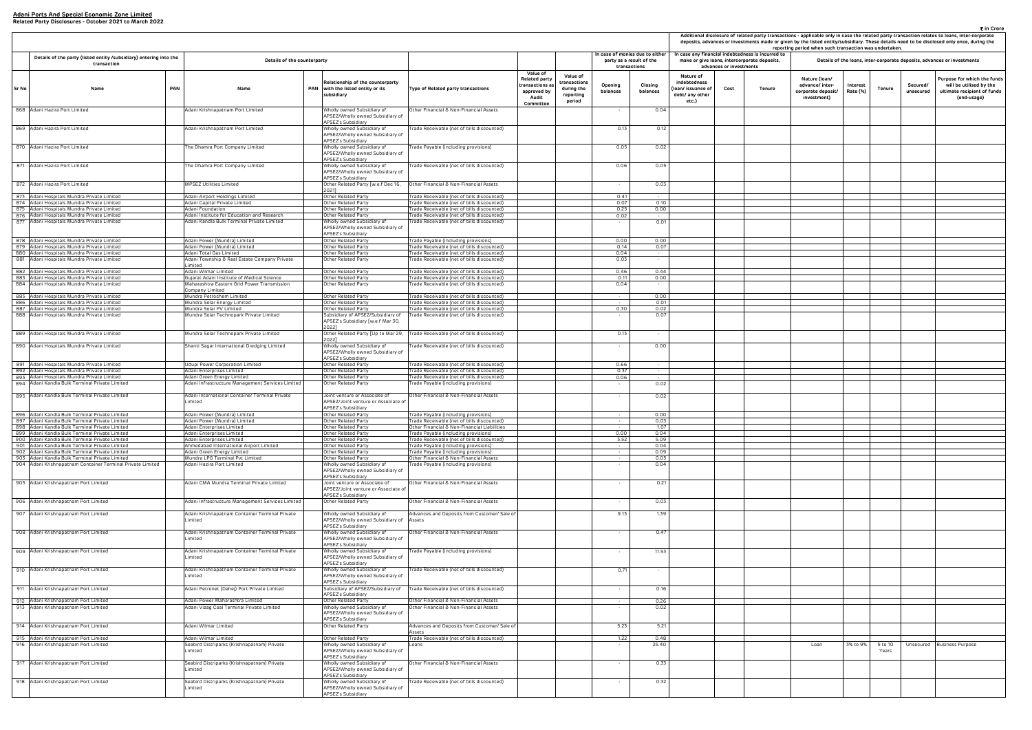|                                                                     |                         |                                                                                                | reporting period when such transaction was undertaken.                |                      |                             |                       | ₹ in Crore<br>Additional disclosure of related party transactions - applicable only in case the related party transaction relates to loans, inter-corporate<br>deposits, advances or investments made or given by the listed entity/subsidiary. These details need to be disclosed only once, during the |
|---------------------------------------------------------------------|-------------------------|------------------------------------------------------------------------------------------------|-----------------------------------------------------------------------|----------------------|-----------------------------|-----------------------|----------------------------------------------------------------------------------------------------------------------------------------------------------------------------------------------------------------------------------------------------------------------------------------------------------|
|                                                                     | advances or investments | case any financial indebtedness is incurred to<br>make or give loans, intercorporate deposits, |                                                                       |                      |                             |                       | Details of the loans, inter-corporate deposits, advances or investments                                                                                                                                                                                                                                  |
| Nature of<br>debtedness<br>n/ issuance of<br>bt/ any other<br>etc.) | Cost                    | Tenure                                                                                         | Nature (Ioan/<br>advance/ inter-<br>corporate deposit/<br>investment) | Interest<br>Rate (%) | Tenure                      | Secured/<br>unsecured | Purpose for which the funds<br>will be utilised by the<br>ultimate recipient of funds<br>(end-usage)                                                                                                                                                                                                     |
|                                                                     |                         |                                                                                                |                                                                       |                      |                             |                       |                                                                                                                                                                                                                                                                                                          |
|                                                                     |                         |                                                                                                |                                                                       |                      |                             |                       |                                                                                                                                                                                                                                                                                                          |
|                                                                     |                         |                                                                                                |                                                                       |                      |                             |                       |                                                                                                                                                                                                                                                                                                          |
|                                                                     |                         |                                                                                                |                                                                       |                      |                             |                       |                                                                                                                                                                                                                                                                                                          |
|                                                                     |                         |                                                                                                |                                                                       |                      |                             |                       |                                                                                                                                                                                                                                                                                                          |
|                                                                     |                         |                                                                                                |                                                                       |                      |                             |                       |                                                                                                                                                                                                                                                                                                          |
|                                                                     |                         |                                                                                                |                                                                       |                      |                             |                       |                                                                                                                                                                                                                                                                                                          |
|                                                                     |                         |                                                                                                |                                                                       |                      |                             |                       |                                                                                                                                                                                                                                                                                                          |
|                                                                     |                         |                                                                                                |                                                                       |                      |                             |                       |                                                                                                                                                                                                                                                                                                          |
|                                                                     |                         |                                                                                                |                                                                       |                      |                             |                       |                                                                                                                                                                                                                                                                                                          |
|                                                                     |                         |                                                                                                |                                                                       |                      |                             |                       |                                                                                                                                                                                                                                                                                                          |
|                                                                     |                         |                                                                                                |                                                                       |                      |                             |                       |                                                                                                                                                                                                                                                                                                          |
|                                                                     |                         |                                                                                                |                                                                       |                      |                             |                       |                                                                                                                                                                                                                                                                                                          |
|                                                                     |                         |                                                                                                |                                                                       |                      |                             |                       |                                                                                                                                                                                                                                                                                                          |
|                                                                     |                         |                                                                                                |                                                                       |                      |                             |                       |                                                                                                                                                                                                                                                                                                          |
|                                                                     |                         |                                                                                                |                                                                       |                      |                             |                       |                                                                                                                                                                                                                                                                                                          |
|                                                                     |                         |                                                                                                |                                                                       |                      |                             |                       |                                                                                                                                                                                                                                                                                                          |
|                                                                     |                         |                                                                                                |                                                                       |                      |                             |                       |                                                                                                                                                                                                                                                                                                          |
|                                                                     |                         |                                                                                                |                                                                       |                      |                             |                       |                                                                                                                                                                                                                                                                                                          |
|                                                                     |                         |                                                                                                |                                                                       |                      |                             |                       |                                                                                                                                                                                                                                                                                                          |
|                                                                     |                         |                                                                                                |                                                                       |                      |                             |                       |                                                                                                                                                                                                                                                                                                          |
|                                                                     |                         |                                                                                                |                                                                       |                      |                             |                       |                                                                                                                                                                                                                                                                                                          |
|                                                                     |                         |                                                                                                |                                                                       |                      |                             |                       |                                                                                                                                                                                                                                                                                                          |
|                                                                     |                         |                                                                                                |                                                                       |                      |                             |                       |                                                                                                                                                                                                                                                                                                          |
|                                                                     |                         |                                                                                                |                                                                       |                      |                             |                       |                                                                                                                                                                                                                                                                                                          |
|                                                                     |                         |                                                                                                |                                                                       |                      |                             |                       |                                                                                                                                                                                                                                                                                                          |
|                                                                     |                         |                                                                                                |                                                                       |                      |                             |                       |                                                                                                                                                                                                                                                                                                          |
|                                                                     |                         |                                                                                                |                                                                       |                      |                             |                       |                                                                                                                                                                                                                                                                                                          |
|                                                                     |                         |                                                                                                |                                                                       |                      |                             |                       |                                                                                                                                                                                                                                                                                                          |
|                                                                     |                         |                                                                                                |                                                                       |                      |                             |                       |                                                                                                                                                                                                                                                                                                          |
|                                                                     |                         |                                                                                                | Loan                                                                  | 3% to 9%             | 5 <sub>to</sub> 10<br>Years | Unsecured             | <b>Business Purpose</b>                                                                                                                                                                                                                                                                                  |
|                                                                     |                         |                                                                                                |                                                                       |                      |                             |                       |                                                                                                                                                                                                                                                                                                          |
|                                                                     |                         |                                                                                                |                                                                       |                      |                             |                       |                                                                                                                                                                                                                                                                                                          |
|                                                                     |                         |                                                                                                |                                                                       |                      |                             |                       |                                                                                                                                                                                                                                                                                                          |

|            |                                                                                                          |            |                                                                                                              |                                                                                                             |                                                                                           |                                                                                                 |                                                               |                     |                                                                             |                                                                            |                         |                                                                                                   | Additional disclosure of related party transactions - applicable only in case the related party<br>deposits, advances or investments made or given by the listed entity/subsidiary. These detail<br>reporting period when such transaction was undertal |                                     |                  |
|------------|----------------------------------------------------------------------------------------------------------|------------|--------------------------------------------------------------------------------------------------------------|-------------------------------------------------------------------------------------------------------------|-------------------------------------------------------------------------------------------|-------------------------------------------------------------------------------------------------|---------------------------------------------------------------|---------------------|-----------------------------------------------------------------------------|----------------------------------------------------------------------------|-------------------------|---------------------------------------------------------------------------------------------------|---------------------------------------------------------------------------------------------------------------------------------------------------------------------------------------------------------------------------------------------------------|-------------------------------------|------------------|
|            | Details of the party (listed entity /subsidiary) entering into the<br>transaction                        |            | Details of the counterparty                                                                                  |                                                                                                             |                                                                                           |                                                                                                 |                                                               |                     | In case of monies due to either<br>party as a result of the<br>transactions |                                                                            | advances or investments | In case any financial indebtedness is incurred to<br>make or give loans, intercorporate deposits, |                                                                                                                                                                                                                                                         | Details of the loans, inter-corpora |                  |
| Sr No      | Name                                                                                                     | <b>PAN</b> | Name                                                                                                         | Relationship of the counterparty<br>with the listed entity or its<br>PAN<br>subsidiary                      | Type of Related party transactions                                                        | <b>Value of</b><br><b>Related party</b><br>ransactions as:<br>approved by<br>Audit<br>Committee | Value of<br>transactions<br>during the<br>reporting<br>period | Opening<br>balances | Closing<br>balances                                                         | Nature of<br>indebtedness<br>loan/ issuance of<br>debt/ any other<br>etc.) | Cost                    | <b>Tenure</b>                                                                                     | Nature (Ioan/<br>advance/ inter-<br>corporate deposit/<br>investment)                                                                                                                                                                                   | Interest<br>Rate (%)                | <b>Tenure</b>    |
|            | 868 Adani Hazira Port Limited                                                                            |            | Adani Krishnapatnam Port Limited                                                                             | Wholly owned Subsidiary of<br>APSEZ/Wholly owned Subsidiary of<br>APSEZ's Subsidiary                        | Other Financial & Non-Financial Assets                                                    |                                                                                                 |                                                               |                     | 0.04                                                                        |                                                                            |                         |                                                                                                   |                                                                                                                                                                                                                                                         |                                     |                  |
|            | 869 Adani Hazira Port Limited                                                                            |            | Adani Krishnapatnam Port Limited                                                                             | Wholly owned Subsidiary of<br>APSEZ/Wholly owned Subsidiary of<br><b>APSEZ's Subsidiary</b>                 | Trade Receivable (net of bills discounted)                                                |                                                                                                 |                                                               | 0.13                | 0.12                                                                        |                                                                            |                         |                                                                                                   |                                                                                                                                                                                                                                                         |                                     |                  |
|            | 870 Adani Hazira Port Limited                                                                            |            | The Dhamra Port Company Limited                                                                              | Wholly owned Subsidiary of<br>APSEZ/Wholly owned Subsidiary of                                              | "rade Payable (including provisions)                                                      |                                                                                                 |                                                               | 0.05                | 0.02                                                                        |                                                                            |                         |                                                                                                   |                                                                                                                                                                                                                                                         |                                     |                  |
|            | 871 Adani Hazira Port Limited                                                                            |            | The Dhamra Port Company Limited                                                                              | APSEZ's Subsidiary<br>Wholly owned Subsidiary of<br>APSEZ/Wholly owned Subsidiary of                        | Trade Receivable (net of bills discounted)                                                |                                                                                                 |                                                               | 0.06                | 0.05                                                                        |                                                                            |                         |                                                                                                   |                                                                                                                                                                                                                                                         |                                     |                  |
|            | 872 Adani Hazira Port Limited                                                                            |            | MPSEZ Utilities Limited                                                                                      | APSEZ's Subsidiary<br>Other Related Party [w.e.f Dec 16,<br>2021]                                           | Other Financial & Non-Financial Assets                                                    |                                                                                                 |                                                               | $\sim$              | 0.03                                                                        |                                                                            |                         |                                                                                                   |                                                                                                                                                                                                                                                         |                                     |                  |
|            | 873 Adani Hospitals Mundra Private Limited                                                               |            | Adani Airport Holdings Limited                                                                               | Other Related Party                                                                                         | Trade Receivable (net of bills discounted)                                                |                                                                                                 |                                                               | 0.41                |                                                                             |                                                                            |                         |                                                                                                   |                                                                                                                                                                                                                                                         |                                     |                  |
|            | 874 Adani Hospitals Mundra Private Limited                                                               |            | Adani Capital Private Limited<br>Adani Foundation                                                            | Other Related Party                                                                                         | Trade Receivable (net of bills discounted)<br>Trade Receivable (net of bills discounted)  |                                                                                                 |                                                               | 0.07                | 0.10                                                                        |                                                                            |                         |                                                                                                   |                                                                                                                                                                                                                                                         |                                     |                  |
|            | 875 Adani Hospitals Mundra Private Limited<br>876 Adani Hospitals Mundra Private Limited                 |            | Adani Institute for Education and Research                                                                   | Other Related Party<br>Other Related Party                                                                  | Trade Receivable (net of bills discounted)                                                |                                                                                                 |                                                               | 0.25<br>0.02        | 0.00<br>$\sim$                                                              |                                                                            |                         |                                                                                                   |                                                                                                                                                                                                                                                         |                                     |                  |
| 877        | Adani Hospitals Mundra Private Limited                                                                   |            | Adani Kandla Bulk Terminal Private Limited                                                                   | Wholly owned Subsidiary of<br>APSEZ/Wholly owned Subsidiary of<br>APSEZ's Subsidiary                        | Trade Receivable (net of bills discounted)                                                |                                                                                                 |                                                               |                     | 0.01                                                                        |                                                                            |                         |                                                                                                   |                                                                                                                                                                                                                                                         |                                     |                  |
| 878        | Adani Hospitals Mundra Private Limited                                                                   |            | Adani Power (Mundra) Limited                                                                                 | Other Related Party                                                                                         | Trade Payable (including provisions)                                                      |                                                                                                 |                                                               | 0.00                | 0.00                                                                        |                                                                            |                         |                                                                                                   |                                                                                                                                                                                                                                                         |                                     |                  |
| 880        | 879 Adani Hospitals Mundra Private Limited                                                               |            | Adani Power (Mundra) Limited                                                                                 | Other Related Party                                                                                         | Trade Receivable (net of bills discounted)<br>Trade Receivable (net of bills discounted)  |                                                                                                 |                                                               | 0.14<br>0.04        | 0.07                                                                        |                                                                            |                         |                                                                                                   |                                                                                                                                                                                                                                                         |                                     |                  |
| 881        | Adani Hospitals Mundra Private Limited<br>Adani Hospitals Mundra Private Limited                         |            | Adani Total Gas Limited<br>Adani Township & Real Estate Company Private                                      | Other Related Party<br>Other Related Party                                                                  | Trade Receivable (net of bills discounted)                                                |                                                                                                 |                                                               | 0.03                | $\sim$                                                                      |                                                                            |                         |                                                                                                   |                                                                                                                                                                                                                                                         |                                     |                  |
| 882        | Adani Hospitals Mundra Private Limited                                                                   |            | _imited<br>Adani Wilmar Limited                                                                              | Other Related Party                                                                                         | Trade Receivable (net of bills discounted)                                                |                                                                                                 |                                                               | 0.46                | 0.44                                                                        |                                                                            |                         |                                                                                                   |                                                                                                                                                                                                                                                         |                                     |                  |
| 884        | 883 Adani Hospitals Mundra Private Limited<br>Adani Hospitals Mundra Private Limited                     |            | Gujarat Adani Institute of Medical Science<br>Maharashtra Eastern Grid Power Transmission<br>Company Limited | Other Related Party<br>Other Related Party                                                                  | Trade Receivable (net of bills discounted)<br>"rade Receivable (net of bills discounted)  |                                                                                                 |                                                               | 0.11<br>0.04        | 0.00<br>$\sim$                                                              |                                                                            |                         |                                                                                                   |                                                                                                                                                                                                                                                         |                                     |                  |
| 885        | Adani Hospitals Mundra Private Limited                                                                   |            | Mundra Petrochem Limited                                                                                     | Other Related Party                                                                                         | Trade Receivable (net of bills discounted)                                                |                                                                                                 |                                                               | $\sim$              | 0.00                                                                        |                                                                            |                         |                                                                                                   |                                                                                                                                                                                                                                                         |                                     |                  |
| 886        | Adani Hospitals Mundra Private Limited                                                                   |            | Mundra Solar Energy Limited                                                                                  | Other Related Party                                                                                         | Trade Receivable (net of bills discounted)                                                |                                                                                                 |                                                               | $\sim$              | 0.01                                                                        |                                                                            |                         |                                                                                                   |                                                                                                                                                                                                                                                         |                                     |                  |
| 887<br>888 | Adani Hospitals Mundra Private Limited<br>Adani Hospitals Mundra Private Limited                         |            | Mundra Solar PV Limited<br>Mundra Solar Technopark Private Limited                                           | Other Related Party<br>Subsidiary of APSEZ/Subsidiary of<br>APSEZ's Subsidiary [w.e.f Mar 30,<br>2022]      | Trade Receivable (net of bills discounted)<br>"rade Receivable (net of bills discounted)  |                                                                                                 |                                                               | 0.30                | 0.02<br>0.07                                                                |                                                                            |                         |                                                                                                   |                                                                                                                                                                                                                                                         |                                     |                  |
|            | 889 Adani Hospitals Mundra Private Limited                                                               |            | Mundra Solar Technopark Private Limited                                                                      | Other Related Party [Up to Mar 29,                                                                          | Trade Receivable (net of bills discounted)                                                |                                                                                                 |                                                               | 0.13                | $\sim$                                                                      |                                                                            |                         |                                                                                                   |                                                                                                                                                                                                                                                         |                                     |                  |
|            | 890 Adani Hospitals Mundra Private Limited                                                               |            | Shanti Sagar International Dredging Limited                                                                  | 2022]<br>Wholly owned Subsidiary of<br>APSEZ/Wholly owned Subsidiary of                                     | "rade Receivable (net of bills discounted)                                                |                                                                                                 |                                                               |                     | 0.00                                                                        |                                                                            |                         |                                                                                                   |                                                                                                                                                                                                                                                         |                                     |                  |
| 891        | Adani Hospitals Mundra Private Limited                                                                   |            | Jdupi Power Corporation Limited                                                                              | APSEZ's Subsidiary<br>Other Related Party                                                                   | Trade Receivable (net of bills discounted)                                                |                                                                                                 |                                                               | 0.66                |                                                                             |                                                                            |                         |                                                                                                   |                                                                                                                                                                                                                                                         |                                     |                  |
| 892        | Adani Hospitals Mundra Private Limited                                                                   |            | Adani Enterprises Limited                                                                                    | Other Related Party                                                                                         | Trade Receivable (net of bills discounted)                                                |                                                                                                 |                                                               | 0.37                |                                                                             |                                                                            |                         |                                                                                                   |                                                                                                                                                                                                                                                         |                                     |                  |
| 893<br>894 | Adani Hospitals Mundra Private Limited<br>Adani Kandla Bulk Terminal Private Limited                     |            | Adani Green Energy Limited<br>Adani Infrastructure Management Services Limited                               | Other Related Party<br>Other Related Party                                                                  | rade Receivable (net of bills discounted)<br>"rade Payable (including provisions)         |                                                                                                 |                                                               | 0.06                | $\sim$<br>0.02                                                              |                                                                            |                         |                                                                                                   |                                                                                                                                                                                                                                                         |                                     |                  |
|            | 895 Adani Kandla Bulk Terminal Private Limited                                                           |            | Adani International Container Terminal Private<br>Limited                                                    | Joint venture or Associate of<br>APSEZ/Joint venture or Associate of                                        | Other Financial & Non-Financial Assets                                                    |                                                                                                 |                                                               |                     | 0.02                                                                        |                                                                            |                         |                                                                                                   |                                                                                                                                                                                                                                                         |                                     |                  |
|            |                                                                                                          |            |                                                                                                              | APSEZ's Subsidiary                                                                                          |                                                                                           |                                                                                                 |                                                               |                     |                                                                             |                                                                            |                         |                                                                                                   |                                                                                                                                                                                                                                                         |                                     |                  |
|            | 896 Adani Kandla Bulk Terminal Private Limited<br>897 Adani Kandla Bulk Terminal Private Limited         |            | Adani Power (Mundra) Limited<br>Adani Power (Mundra) Limited                                                 | Other Related Party<br>Other Related Party                                                                  | Trade Payable (including provisions)<br>Trade Receivable (net of bills discounted)        |                                                                                                 |                                                               |                     | 0.00<br>0.03                                                                |                                                                            |                         |                                                                                                   |                                                                                                                                                                                                                                                         |                                     |                  |
|            | 898 Adani Kandla Bulk Terminal Private Limited                                                           |            | Adani Enterprises Limited                                                                                    | Other Related Party                                                                                         | Other Financial & Non-Financial Liabilities                                               |                                                                                                 |                                                               |                     | 1.07                                                                        |                                                                            |                         |                                                                                                   |                                                                                                                                                                                                                                                         |                                     |                  |
|            | 899 Adani Kandla Bulk Terminal Private Limited<br>900 Adani Kandla Bulk Terminal Private Limited         |            | Adani Enterprises Limited                                                                                    | Other Related Party                                                                                         | <b>Trade Payable (including provisions)</b><br>Trade Receivable (net of bills discounted) |                                                                                                 |                                                               | 0.00                | 0.04<br>5.09                                                                |                                                                            |                         |                                                                                                   |                                                                                                                                                                                                                                                         |                                     |                  |
|            | 901 Adani Kandla Bulk Terminal Private Limited                                                           |            | Adani Enterprises Limited<br>Ahmedabad International Airport Limited                                         | Other Related Party<br>Other Related Party                                                                  | Trade Payable (including provisions)                                                      |                                                                                                 |                                                               | 3.52<br>$\sim$      | 0.04                                                                        |                                                                            |                         |                                                                                                   |                                                                                                                                                                                                                                                         |                                     |                  |
|            | 902 Adani Kandla Bulk Terminal Private Limited                                                           |            | Adani Green Energy Limited                                                                                   | Other Related Party                                                                                         | Trade Payable (including provisions)                                                      |                                                                                                 |                                                               | $\sim$              | 0.09                                                                        |                                                                            |                         |                                                                                                   |                                                                                                                                                                                                                                                         |                                     |                  |
| 903        | Adani Kandla Bulk Terminal Private Limited<br>904 Adani Krishnapatnam Container Terminal Private Limited |            | Mundra LPG Terminal Pvt Limited<br>Adani Hazira Port Limited                                                 | Other Related Party<br>Wholly owned Subsidiary of<br>APSEZ/Wholly owned Subsidiary of<br>APSEZ's Subsidiary | Other Financial & Non-Financial Assets<br>rade Payable (including provisions)             |                                                                                                 |                                                               | $\sim$              | 0.05<br>0.04                                                                |                                                                            |                         |                                                                                                   |                                                                                                                                                                                                                                                         |                                     |                  |
|            | 905 Adani Krishnapatnam Port Limited                                                                     |            | Adani CMA Mundra Terminal Private Limited                                                                    | Joint venture or Associate of<br>APSEZ/Joint venture or Associate of<br>APSEZ's Subsidiary                  | Other Financial & Non-Financial Assets                                                    |                                                                                                 |                                                               | $\sim$              | 0.21                                                                        |                                                                            |                         |                                                                                                   |                                                                                                                                                                                                                                                         |                                     |                  |
|            | 906 Adani Krishnapatnam Port Limited                                                                     |            | Adani Infrastructure Management Services Limited                                                             | Other Related Party                                                                                         | Other Financial & Non-Financial Assets                                                    |                                                                                                 |                                                               | $\sim$              | 0.03                                                                        |                                                                            |                         |                                                                                                   |                                                                                                                                                                                                                                                         |                                     |                  |
|            | 907 Adani Krishnapatnam Port Limited                                                                     |            | Adani Krishnapatnam Container Terminal Private<br>Limited                                                    | Wholly owned Subsidiary of<br>APSEZ/Wholly owned Subsidiary of                                              | Advances and Deposits from Customer/ Sale of<br>Assets                                    |                                                                                                 |                                                               | 9.13                | 1.39                                                                        |                                                                            |                         |                                                                                                   |                                                                                                                                                                                                                                                         |                                     |                  |
|            | 908 Adani Krishnapatnam Port Limited                                                                     |            | Adani Krishnapatnam Container Terminal Private<br>_imited                                                    | APSEZ's Subsidiary<br>Wholly owned Subsidiary of<br>APSEZ/Wholly owned Subsidiary of<br>APSEZ's Subsidiary  | Other Financial & Non-Financial Assets                                                    |                                                                                                 |                                                               | $\sim$              | 0.47                                                                        |                                                                            |                         |                                                                                                   |                                                                                                                                                                                                                                                         |                                     |                  |
|            | 909 Adani Krishnapatnam Port Limited                                                                     |            | Adani Krishnapatnam Container Terminal Private<br>Limited                                                    | Wholly owned Subsidiary of<br>APSEZ/Wholly owned Subsidiary of<br>APSEZ's Subsidiary                        | rade Payable (including provisions)                                                       |                                                                                                 |                                                               |                     | 11.53                                                                       |                                                                            |                         |                                                                                                   |                                                                                                                                                                                                                                                         |                                     |                  |
|            | 910 Adani Krishnapatnam Port Limited                                                                     |            | Adani Krishnapatnam Container Terminal Private<br>Limited                                                    | Wholly owned Subsidiary of<br>APSEZ/Wholly owned Subsidiary of<br><b>APSEZ's Subsidiary</b>                 | "rade Receivable (net of bills discounted)                                                |                                                                                                 |                                                               | 0.71                |                                                                             |                                                                            |                         |                                                                                                   |                                                                                                                                                                                                                                                         |                                     |                  |
|            | 911 Adani Krishnapatnam Port Limited                                                                     |            | Adani Petronet (Dahej) Port Private Limited                                                                  | Subsidiary of APSEZ/Subsidiary of<br>APSEZ's Subsidiary                                                     | Trade Receivable (net of bills discounted)                                                |                                                                                                 |                                                               |                     | 0.16                                                                        |                                                                            |                         |                                                                                                   |                                                                                                                                                                                                                                                         |                                     |                  |
|            | 912 Adani Krishnapatnam Port Limited<br>913 Adani Krishnapatnam Port Limited                             |            | Adani Power Maharashtra Limited<br>Adani Vizag Coal Terminal Private Limited                                 | Other Related Party<br>Wholly owned Subsidiary of<br>APSEZ/Wholly owned Subsidiary of<br>APSEZ's Subsidiary | Other Financial & Non-Financial Assets<br>Other Financial & Non-Financial Assets          |                                                                                                 |                                                               | $\sim$<br>$\sim$    | 0.26<br>0.02                                                                |                                                                            |                         |                                                                                                   |                                                                                                                                                                                                                                                         |                                     |                  |
|            | 914 Adani Krishnapatnam Port Limited                                                                     |            | Adani Wilmar Limited                                                                                         | Other Related Party                                                                                         | Advances and Deposits from Customer/ Sale of                                              |                                                                                                 |                                                               | 5.23                | 5.21                                                                        |                                                                            |                         |                                                                                                   |                                                                                                                                                                                                                                                         |                                     |                  |
|            | 915 Adani Krishnapatnam Port Limited                                                                     |            | Adani Wilmar Limited                                                                                         | Other Related Party                                                                                         | Assets<br>Trade Receivable (net of bills discounted)                                      |                                                                                                 |                                                               | 1.22                | 0.48                                                                        |                                                                            |                         |                                                                                                   |                                                                                                                                                                                                                                                         |                                     |                  |
|            | 916 Adani Krishnapatnam Port Limited                                                                     |            | Seabird Distriparks (Krishnapatnam) Private                                                                  | Wholly owned Subsidiary of                                                                                  | Loans                                                                                     |                                                                                                 |                                                               |                     | 25.40                                                                       |                                                                            |                         |                                                                                                   | Loan                                                                                                                                                                                                                                                    |                                     | 3% to 9% 5 to 10 |
|            | 917 Adani Krishnapatnam Port Limited                                                                     |            | Limited<br>Seabird Distriparks (Krishnapatnam) Private                                                       | APSEZ/Wholly owned Subsidiary of<br>APSEZ's Subsidiary<br>Wholly owned Subsidiary of                        | Other Financial & Non-Financial Assets                                                    |                                                                                                 |                                                               | $\sim$              | 0.33                                                                        |                                                                            |                         |                                                                                                   |                                                                                                                                                                                                                                                         |                                     | Years            |
|            | 918 Adani Krishnapatnam Port Limited                                                                     |            | Limited<br>Seabird Distriparks (Krishnapatnam) Private                                                       | APSEZ/Wholly owned Subsidiary of<br>APSEZ's Subsidiary<br>Wholly owned Subsidiary of                        | rade Receivable (net of bills discounted)                                                 |                                                                                                 |                                                               |                     | 0.32                                                                        |                                                                            |                         |                                                                                                   |                                                                                                                                                                                                                                                         |                                     |                  |
|            |                                                                                                          |            | Limited                                                                                                      | APSEZ/Wholly owned Subsidiary of<br><b>APSEZ's Subsidiary</b>                                               |                                                                                           |                                                                                                 |                                                               |                     |                                                                             |                                                                            |                         |                                                                                                   |                                                                                                                                                                                                                                                         |                                     |                  |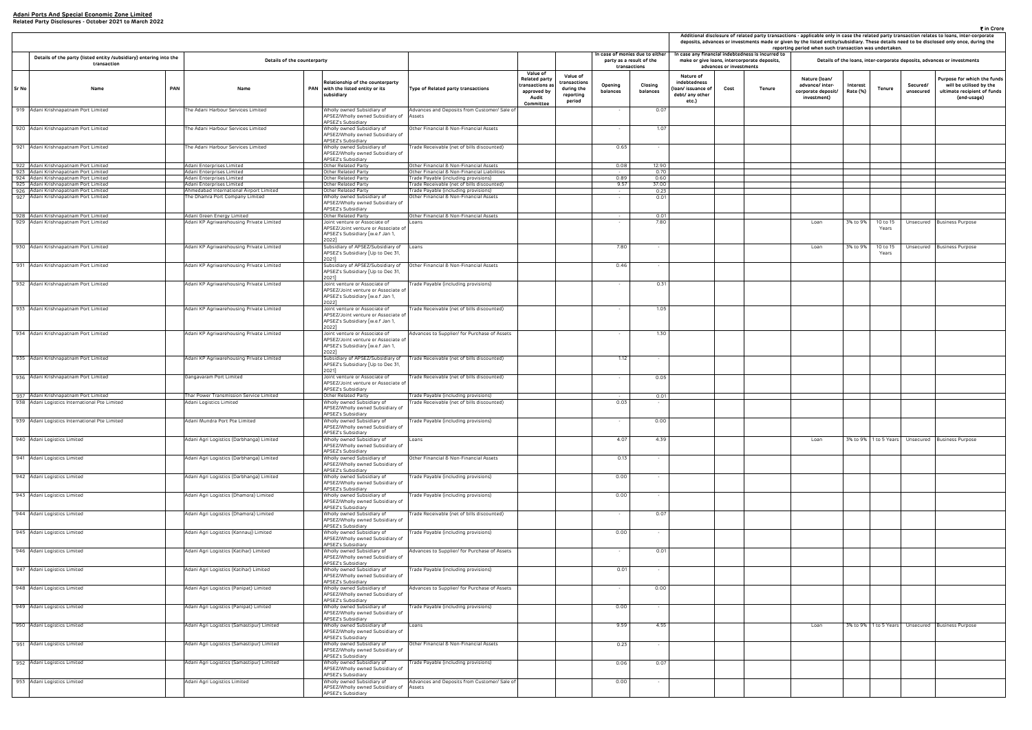|                                                                     |                         |                                                                                                | reporting period when such transaction was undertaken.                |                      |                       |                       | Additional disclosure of related party transactions - applicable only in case the related party transaction relates to loans, inter-corporate<br>deposits, advances or investments made or given by the listed entity/subsidiary. These details need to be disclosed only once, during the |
|---------------------------------------------------------------------|-------------------------|------------------------------------------------------------------------------------------------|-----------------------------------------------------------------------|----------------------|-----------------------|-----------------------|--------------------------------------------------------------------------------------------------------------------------------------------------------------------------------------------------------------------------------------------------------------------------------------------|
|                                                                     | advances or investments | case any financial indebtedness is incurred to<br>make or give Ioans, intercorporate deposits, |                                                                       |                      |                       |                       | Details of the loans, inter-corporate deposits, advances or investments                                                                                                                                                                                                                    |
| Nature of<br>debtedness<br>n/ issuance of<br>bt/ any other<br>etc.) | Cost                    | Tenure                                                                                         | Nature (Ioan/<br>advance/ inter-<br>corporate deposit/<br>investment) | Interest<br>Rate (%) | Tenure                | Secured/<br>unsecured | Purpose for which the funds<br>will be utilised by the<br>ultimate recipient of funds<br>(end-usage)                                                                                                                                                                                       |
|                                                                     |                         |                                                                                                |                                                                       |                      |                       |                       |                                                                                                                                                                                                                                                                                            |
|                                                                     |                         |                                                                                                |                                                                       |                      |                       |                       |                                                                                                                                                                                                                                                                                            |
|                                                                     |                         |                                                                                                |                                                                       |                      |                       |                       |                                                                                                                                                                                                                                                                                            |
|                                                                     |                         |                                                                                                |                                                                       |                      |                       |                       |                                                                                                                                                                                                                                                                                            |
|                                                                     |                         |                                                                                                |                                                                       |                      |                       |                       |                                                                                                                                                                                                                                                                                            |
|                                                                     |                         |                                                                                                |                                                                       |                      |                       |                       |                                                                                                                                                                                                                                                                                            |
|                                                                     |                         |                                                                                                | Loan                                                                  | 3% to 9%             | 10 to 15<br>Years     | Unsecured             | <b>Business Purpose</b>                                                                                                                                                                                                                                                                    |
|                                                                     |                         |                                                                                                | Loan                                                                  | 3% to 9%             | 10 to 15<br>Years     | Unsecured             | Business Purpose                                                                                                                                                                                                                                                                           |
|                                                                     |                         |                                                                                                |                                                                       |                      |                       |                       |                                                                                                                                                                                                                                                                                            |
|                                                                     |                         |                                                                                                |                                                                       |                      |                       |                       |                                                                                                                                                                                                                                                                                            |
|                                                                     |                         |                                                                                                |                                                                       |                      |                       |                       |                                                                                                                                                                                                                                                                                            |
|                                                                     |                         |                                                                                                |                                                                       |                      |                       |                       |                                                                                                                                                                                                                                                                                            |
|                                                                     |                         |                                                                                                |                                                                       |                      |                       |                       |                                                                                                                                                                                                                                                                                            |
|                                                                     |                         |                                                                                                |                                                                       |                      |                       |                       |                                                                                                                                                                                                                                                                                            |
|                                                                     |                         |                                                                                                |                                                                       |                      |                       |                       |                                                                                                                                                                                                                                                                                            |
|                                                                     |                         |                                                                                                |                                                                       |                      |                       |                       |                                                                                                                                                                                                                                                                                            |
|                                                                     |                         |                                                                                                | Loan                                                                  |                      | 3% to 9% 1 to 5 Years |                       | Unsecured Business Purpose                                                                                                                                                                                                                                                                 |
|                                                                     |                         |                                                                                                |                                                                       |                      |                       |                       |                                                                                                                                                                                                                                                                                            |
|                                                                     |                         |                                                                                                |                                                                       |                      |                       |                       |                                                                                                                                                                                                                                                                                            |
|                                                                     |                         |                                                                                                |                                                                       |                      |                       |                       |                                                                                                                                                                                                                                                                                            |
|                                                                     |                         |                                                                                                |                                                                       |                      |                       |                       |                                                                                                                                                                                                                                                                                            |
|                                                                     |                         |                                                                                                |                                                                       |                      |                       |                       |                                                                                                                                                                                                                                                                                            |
|                                                                     |                         |                                                                                                |                                                                       |                      |                       |                       |                                                                                                                                                                                                                                                                                            |
|                                                                     |                         |                                                                                                |                                                                       |                      |                       |                       |                                                                                                                                                                                                                                                                                            |
|                                                                     |                         |                                                                                                |                                                                       |                      |                       |                       |                                                                                                                                                                                                                                                                                            |
|                                                                     |                         |                                                                                                | Loan                                                                  |                      | 3% to 9% 1 to 5 Years |                       | Unsecured Business Purpose                                                                                                                                                                                                                                                                 |
|                                                                     |                         |                                                                                                |                                                                       |                      |                       |                       |                                                                                                                                                                                                                                                                                            |
|                                                                     |                         |                                                                                                |                                                                       |                      |                       |                       |                                                                                                                                                                                                                                                                                            |
|                                                                     |                         |                                                                                                |                                                                       |                      |                       |                       |                                                                                                                                                                                                                                                                                            |
|                                                                     |                         |                                                                                                |                                                                       |                      |                       |                       |                                                                                                                                                                                                                                                                                            |

|       | In case of monies due to either                                                       |     |                                                                                  |     |                                                                                                                    |                                                                                      |                                                                                  |                                                               |                                          | Additional disclosure of related party transactions - applicable only in case the related party transaction relates to loans, inter-co<br>deposits, advances or investments made or given by the listed entity/subsidiary. These details need to be disclosed only once, du<br>reporting period when such transaction was undertaken. |                                                                            |                         |                                                                                                   |                                                                       |                      |                   |                       |                                                                       |
|-------|---------------------------------------------------------------------------------------|-----|----------------------------------------------------------------------------------|-----|--------------------------------------------------------------------------------------------------------------------|--------------------------------------------------------------------------------------|----------------------------------------------------------------------------------|---------------------------------------------------------------|------------------------------------------|---------------------------------------------------------------------------------------------------------------------------------------------------------------------------------------------------------------------------------------------------------------------------------------------------------------------------------------|----------------------------------------------------------------------------|-------------------------|---------------------------------------------------------------------------------------------------|-----------------------------------------------------------------------|----------------------|-------------------|-----------------------|-----------------------------------------------------------------------|
|       | Details of the party (listed entity /subsidiary) entering into the<br>transaction     |     | Details of the counterparty                                                      |     |                                                                                                                    |                                                                                      |                                                                                  |                                                               | party as a result of the<br>transactions |                                                                                                                                                                                                                                                                                                                                       |                                                                            | advances or investments | In case any financial indebtedness is incurred to<br>make or give loans, intercorporate deposits, |                                                                       |                      |                   |                       | Details of the loans, inter-corporate deposits, advances or investmen |
| Sr No | Name                                                                                  | PAN | Name                                                                             | PAN | Relationship of the counterparty<br>with the listed entity or its<br>subsidiary                                    | Type of Related party transactions                                                   | Value of<br>Related party<br>ransactions a:<br>approved by<br>Audit<br>Committee | Value of<br>transactions<br>during the<br>reporting<br>period | Opening<br>balances                      | Closing<br>balances                                                                                                                                                                                                                                                                                                                   | Nature of<br>indebtedness<br>loan/ issuance of<br>debt/ any other<br>etc.) | Cost                    | Tenure                                                                                            | Nature (Ioan/<br>advance/ inter-<br>corporate deposit/<br>investment) | Interest<br>Rate (%) | Tenure            | Secured/<br>unsecured | Purpose for whit<br>will be utilise<br>ultimate recipie<br>(end-usa   |
|       | 919 Adani Krishnapatnam Port Limited                                                  |     | he Adani Harbour Services Limited                                                |     | Wholly owned Subsidiary of<br>APSEZ/Wholly owned Subsidiary of Assets<br>APSEZ's Subsidiary                        | Advances and Deposits from Customer/ Sale of                                         |                                                                                  |                                                               |                                          | 0.07                                                                                                                                                                                                                                                                                                                                  |                                                                            |                         |                                                                                                   |                                                                       |                      |                   |                       |                                                                       |
|       | 920 Adani Krishnapatnam Port Limited                                                  |     | The Adani Harbour Services Limited                                               |     | Wholly owned Subsidiary of<br>APSEZ/Wholly owned Subsidiary of<br>APSEZ's Subsidiary                               | Other Financial & Non-Financial Assets                                               |                                                                                  |                                                               |                                          | 1.07                                                                                                                                                                                                                                                                                                                                  |                                                                            |                         |                                                                                                   |                                                                       |                      |                   |                       |                                                                       |
|       | 921 Adani Krishnapatnam Port Limited                                                  |     | he Adani Harbour Services Limited                                                |     | Wholly owned Subsidiary of<br>APSEZ/Wholly owned Subsidiary of<br>APSEZ's Subsidiary                               | [rade Receivable (net of bills discounted)                                           |                                                                                  |                                                               | 0.65                                     |                                                                                                                                                                                                                                                                                                                                       |                                                                            |                         |                                                                                                   |                                                                       |                      |                   |                       |                                                                       |
|       | 922 Adani Krishnapatnam Port Limited                                                  |     | Adani Enterprises Limited                                                        |     | Other Related Party                                                                                                | Other Financial & Non-Financial Assets                                               |                                                                                  |                                                               | 0.08                                     | 12.90                                                                                                                                                                                                                                                                                                                                 |                                                                            |                         |                                                                                                   |                                                                       |                      |                   |                       |                                                                       |
|       | 923 Adani Krishnapatnam Port Limited<br>924 Adani Krishnapatnam Port Limited          |     | Adani Enterprises Limited<br>Adani Enterprises Limited                           |     | Other Related Party<br>Other Related Party                                                                         | Other Financial & Non-Financial Liabilities<br>rade Payable (including provisions)   |                                                                                  |                                                               | $\sim$<br>0.89                           | 0.70<br>0.60                                                                                                                                                                                                                                                                                                                          |                                                                            |                         |                                                                                                   |                                                                       |                      |                   |                       |                                                                       |
|       | 925 Adani Krishnapatnam Port Limited                                                  |     | Adani Enterprises Limited                                                        |     | Other Related Party                                                                                                | rade Receivable (net of bills discounted)                                            |                                                                                  |                                                               | 9.57                                     | 37.00                                                                                                                                                                                                                                                                                                                                 |                                                                            |                         |                                                                                                   |                                                                       |                      |                   |                       |                                                                       |
|       | 926 Adani Krishnapatnam Port Limited<br>927 Adani Krishnapatnam Port Limited          |     | Ahmedabad International Airport Limited<br>The Dhamra Port Company Limited       |     | Other Related Party<br>Wholly owned Subsidiary of<br>APSEZ/Wholly owned Subsidiary of<br>APSEZ's Subsidiary        | Trade Payable (including provisions)<br>Other Financial & Non-Financial Assets       |                                                                                  |                                                               | $\sim 10^{-1}$                           | 0.23<br>0.01                                                                                                                                                                                                                                                                                                                          |                                                                            |                         |                                                                                                   |                                                                       |                      |                   |                       |                                                                       |
|       | 928 Adani Krishnapatnam Port Limited                                                  |     | Adani Green Energy Limited                                                       |     | Other Related Party                                                                                                | Other Financial & Non-Financial Assets                                               |                                                                                  |                                                               | $\sim$                                   | 0.01                                                                                                                                                                                                                                                                                                                                  |                                                                            |                         |                                                                                                   |                                                                       |                      |                   |                       |                                                                       |
|       | 929 Adani Krishnapatnam Port Limited                                                  |     | Adani KP Agriwarehousing Private Limited                                         |     | Joint venture or Associate of<br>APSEZ/Joint venture or Associate of<br>APSEZ's Subsidiary [w.e.f Jan 1,<br>2022]  | Loans                                                                                |                                                                                  |                                                               | $\sim$                                   | 7.80                                                                                                                                                                                                                                                                                                                                  |                                                                            |                         |                                                                                                   | Loan                                                                  | 3% to 9%             | 10 to 15<br>Years |                       | Unsecured Business Purpose                                            |
|       | 930 Adani Krishnapatnam Port Limited                                                  |     | Adani KP Agriwarehousing Private Limited                                         |     | Subsidiary of APSEZ/Subsidiary of Loans<br>APSEZ's Subsidiary [Up to Dec 31,<br>2021]                              |                                                                                      |                                                                                  |                                                               | 7.80                                     | $\sim$                                                                                                                                                                                                                                                                                                                                |                                                                            |                         |                                                                                                   | Loan                                                                  | 3% to 9%             | 10 to 15<br>Years |                       | Unsecured Business Purpose                                            |
|       | 931 Adani Krishnapatnam Port Limited                                                  |     | Adani KP Agriwarehousing Private Limited                                         |     | Subsidiary of APSEZ/Subsidiary of<br>APSEZ's Subsidiary [Up to Dec 31,<br>20211                                    | Other Financial & Non-Financial Assets                                               |                                                                                  |                                                               | 0.46                                     |                                                                                                                                                                                                                                                                                                                                       |                                                                            |                         |                                                                                                   |                                                                       |                      |                   |                       |                                                                       |
|       | 932 Adani Krishnapatnam Port Limited                                                  |     | Adani KP Agriwarehousing Private Limited                                         |     | Joint venture or Associate of<br>APSEZ/Joint venture or Associate of<br>APSEZ's Subsidiary [w.e.f Jan 1,<br>2022]  | [rade Payable (including provisions)                                                 |                                                                                  |                                                               |                                          | 0.31                                                                                                                                                                                                                                                                                                                                  |                                                                            |                         |                                                                                                   |                                                                       |                      |                   |                       |                                                                       |
|       | 933 Adani Krishnapatnam Port Limited                                                  |     | Adani KP Agriwarehousing Private Limited                                         |     | Joint venture or Associate of<br>APSEZ/Joint venture or Associate of<br>APSEZ's Subsidiary [w.e.f Jan 1,<br>2022]  | Trade Receivable (net of bills discounted)                                           |                                                                                  |                                                               | $\sim$                                   | 1.05                                                                                                                                                                                                                                                                                                                                  |                                                                            |                         |                                                                                                   |                                                                       |                      |                   |                       |                                                                       |
|       | 934 Adani Krishnapatnam Port Limited                                                  |     | Adani KP Agriwarehousing Private Limited                                         |     | Joint venture or Associate of<br>APSEZ/Joint venture or Associate of<br>APSEZ's Subsidiary [w.e.f Jan 1,<br>20221  | Advances to Supplier/ for Purchase of Assets                                         |                                                                                  |                                                               |                                          | 1.30                                                                                                                                                                                                                                                                                                                                  |                                                                            |                         |                                                                                                   |                                                                       |                      |                   |                       |                                                                       |
|       | 935 Adani Krishnapatnam Port Limited                                                  |     | Adani KP Agriwarehousing Private Limited                                         |     | Subsidiary of APSEZ/Subsidiary of<br>APSEZ's Subsidiary [Up to Dec 31,<br>2021]                                    | Trade Receivable (net of bills discounted)                                           |                                                                                  |                                                               | 1.12                                     | $\sim$                                                                                                                                                                                                                                                                                                                                |                                                                            |                         |                                                                                                   |                                                                       |                      |                   |                       |                                                                       |
|       | 936 Adani Krishnapatnam Port Limited                                                  |     | Gangavaram Port Limited                                                          |     | Joint venture or Associate of<br>APSEZ/Joint venture or Associate of<br><b>APSEZ's Subsidiary</b>                  | Trade Receivable (net of bills discounted)                                           |                                                                                  |                                                               | $\sim$                                   | 0.05                                                                                                                                                                                                                                                                                                                                  |                                                                            |                         |                                                                                                   |                                                                       |                      |                   |                       |                                                                       |
|       | 937 Adani Krishnapatnam Port Limited<br>938 Adani Logistics International Pte Limited |     | Thar Power Transmission Service Limited<br>Adani Logistics Limited               |     | Other Related Party<br>Wholly owned Subsidiary of<br>APSEZ/Wholly owned Subsidiary of<br>APSEZ's Subsidiary        | Trade Payable (including provisions)<br>Trade Receivable (net of bills discounted)   |                                                                                  |                                                               | 0.03                                     | 0.01                                                                                                                                                                                                                                                                                                                                  |                                                                            |                         |                                                                                                   |                                                                       |                      |                   |                       |                                                                       |
|       | 939 Adani Logistics International Pte Limited                                         |     | Adani Mundra Port Pte Limited                                                    |     | vnolly owned Subsidiary of<br>APSEZ/Wholly owned Subsidiary of<br>APSEZ's Subsidiary                               | Trade Payable (including provisions)                                                 |                                                                                  |                                                               |                                          | 0.00                                                                                                                                                                                                                                                                                                                                  |                                                                            |                         |                                                                                                   |                                                                       |                      |                   |                       |                                                                       |
|       | 940 Adani Logistics Limited                                                           |     | Adani Agri Logistics (Darbhanga) Limited                                         |     | Wholly owned Subsidiary of<br>APSEZ/Wholly owned Subsidiary of<br>APSEZ's Subsidiary                               | Loans                                                                                |                                                                                  |                                                               | 4.07                                     | 4.39                                                                                                                                                                                                                                                                                                                                  |                                                                            |                         |                                                                                                   | Loan                                                                  |                      |                   |                       | 3% to 9%   1 to 5 Years   Unsecured   Business Purpose                |
|       | 941 Adani Logistics Limited                                                           |     | Adani Agri Logistics (Darbhanga) Limited                                         |     | Wholly owned Subsidiary of<br>APSEZ/Wholly owned Subsidiary of<br>APSEZ's Subsidiary                               | Other Financial & Non-Financial Assets                                               |                                                                                  |                                                               | 0.13                                     |                                                                                                                                                                                                                                                                                                                                       |                                                                            |                         |                                                                                                   |                                                                       |                      |                   |                       |                                                                       |
|       | 942 Adani Logistics Limited                                                           |     | Adani Agri Logistics (Darbhanga) Limited                                         |     | Wholly owned Subsidiary of<br>APSEZ/Wholly owned Subsidiary of<br>PSEZ's Subsidiary                                | Frade Payable (including provisions)                                                 |                                                                                  |                                                               | 0.00                                     | $\sim$                                                                                                                                                                                                                                                                                                                                |                                                                            |                         |                                                                                                   |                                                                       |                      |                   |                       |                                                                       |
|       | 943 Adani Logistics Limited                                                           |     | Adani Agri Logistics (Dhamora) Limited                                           |     | Wholly owned Subsidiary of<br>APSEZ/Wholly owned Subsidiary of<br>APSEZ's Subsidiary                               | rade Payable (including provisions)                                                  |                                                                                  |                                                               | 0.00                                     | $\sim$                                                                                                                                                                                                                                                                                                                                |                                                                            |                         |                                                                                                   |                                                                       |                      |                   |                       |                                                                       |
|       | 944 Adani Logistics Limited                                                           |     | Adani Agri Logistics (Dhamora) Limited                                           |     | Wholly owned Subsidiary of<br>APSEZ/Wholly owned Subsidiary of<br>APSEZ's Subsidiary                               | [rade Receivable (net of bills discounted)                                           |                                                                                  |                                                               |                                          | 0.07                                                                                                                                                                                                                                                                                                                                  |                                                                            |                         |                                                                                                   |                                                                       |                      |                   |                       |                                                                       |
|       | 945 Adani Logistics Limited                                                           |     | Adani Agri Logistics (Kannauj) Limited                                           |     | Wholly owned Subsidiary of<br>APSEZ/Wholly owned Subsidiary of<br>APSEZ's Subsidiary<br>Wholly owned Subsidiary of | Trade Payable (including provisions)                                                 |                                                                                  |                                                               | 0.00                                     | $\sim$                                                                                                                                                                                                                                                                                                                                |                                                                            |                         |                                                                                                   |                                                                       |                      |                   |                       |                                                                       |
|       | 946 Adani Logistics Limited<br>947 Adani Logistics Limited                            |     | Adani Agri Logistics (Katihar) Limited<br>Adani Agri Logistics (Katihar) Limited |     | APSEZ/Wholly owned Subsidiary of<br>APSEZ's Subsidiary<br>Wholly owned Subsidiary of                               | Advances to Supplier/ for Purchase of Assets<br>Trade Payable (including provisions) |                                                                                  |                                                               | 0.01                                     | 0.01<br>$\sim$                                                                                                                                                                                                                                                                                                                        |                                                                            |                         |                                                                                                   |                                                                       |                      |                   |                       |                                                                       |
|       | 948 Adani Logistics Limited                                                           |     | Adani Agri Logistics (Panipat) Limited                                           |     | APSEZ/Wholly owned Subsidiary of<br><b>APSEZ's Subsidiary</b><br>Wholly owned Subsidiary of                        | Advances to Supplier/ for Purchase of Assets                                         |                                                                                  |                                                               | $\sim$                                   | 0.00                                                                                                                                                                                                                                                                                                                                  |                                                                            |                         |                                                                                                   |                                                                       |                      |                   |                       |                                                                       |
|       | 949 Adani Logistics Limited                                                           |     | Adani Agri Logistics (Panipat) Limited                                           |     | APSEZ/Wholly owned Subsidiary of<br>APSEZ's Subsidiary<br>Wholly owned Subsidiary of                               | [rade Payable (including provisions)                                                 |                                                                                  |                                                               | 0.00                                     | $\sim$                                                                                                                                                                                                                                                                                                                                |                                                                            |                         |                                                                                                   |                                                                       |                      |                   |                       |                                                                       |
|       | 950 Adani Logistics Limited                                                           |     | Adani Agri Logistics (Samastipur) Limited                                        |     | APSEZ/Wholly owned Subsidiary of<br><b>APSEZ's Subsidiary</b><br>Wholly owned Subsidiary of                        | Loans                                                                                |                                                                                  |                                                               | 9.59                                     | 4.55                                                                                                                                                                                                                                                                                                                                  |                                                                            |                         |                                                                                                   | Loan                                                                  |                      |                   |                       | 3% to 9%   1 to 5 Years   Unsecured   Business Purpose                |
|       | 951 Adani Logistics Limited                                                           |     | Adani Agri Logistics (Samastipur) Limited                                        |     | APSEZ/Wholly owned Subsidiary of<br>APSEZ's Subsidiary<br>Wholly owned Subsidiary of                               | Other Financial & Non-Financial Assets                                               |                                                                                  |                                                               | 0.23                                     | $\sim$                                                                                                                                                                                                                                                                                                                                |                                                                            |                         |                                                                                                   |                                                                       |                      |                   |                       |                                                                       |
|       | 952 Adani Logistics Limited                                                           |     | Adani Agri Logistics (Samastipur) Limited                                        |     | APSEZ/Wholly owned Subsidiary of<br>APSEZ's Subsidiary<br>Wholly owned Subsidiary of                               | Frade Payable (including provisions)                                                 |                                                                                  |                                                               | 0.06                                     | 0.07                                                                                                                                                                                                                                                                                                                                  |                                                                            |                         |                                                                                                   |                                                                       |                      |                   |                       |                                                                       |
|       | 953 Adani Logistics Limited                                                           |     | Adani Agri Logistics Limited                                                     |     | APSEZ/Wholly owned Subsidiary of<br>APSEZ's Subsidiary<br>Wholly owned Subsidiary of                               | Advances and Deposits from Customer/ Sale of                                         |                                                                                  |                                                               | 0.00                                     |                                                                                                                                                                                                                                                                                                                                       |                                                                            |                         |                                                                                                   |                                                                       |                      |                   |                       |                                                                       |
|       |                                                                                       |     |                                                                                  |     | APSEZ/Wholly owned Subsidiary of Assets<br>APSEZ's Subsidiary                                                      |                                                                                      |                                                                                  |                                                               |                                          |                                                                                                                                                                                                                                                                                                                                       |                                                                            |                         |                                                                                                   |                                                                       |                      |                   |                       |                                                                       |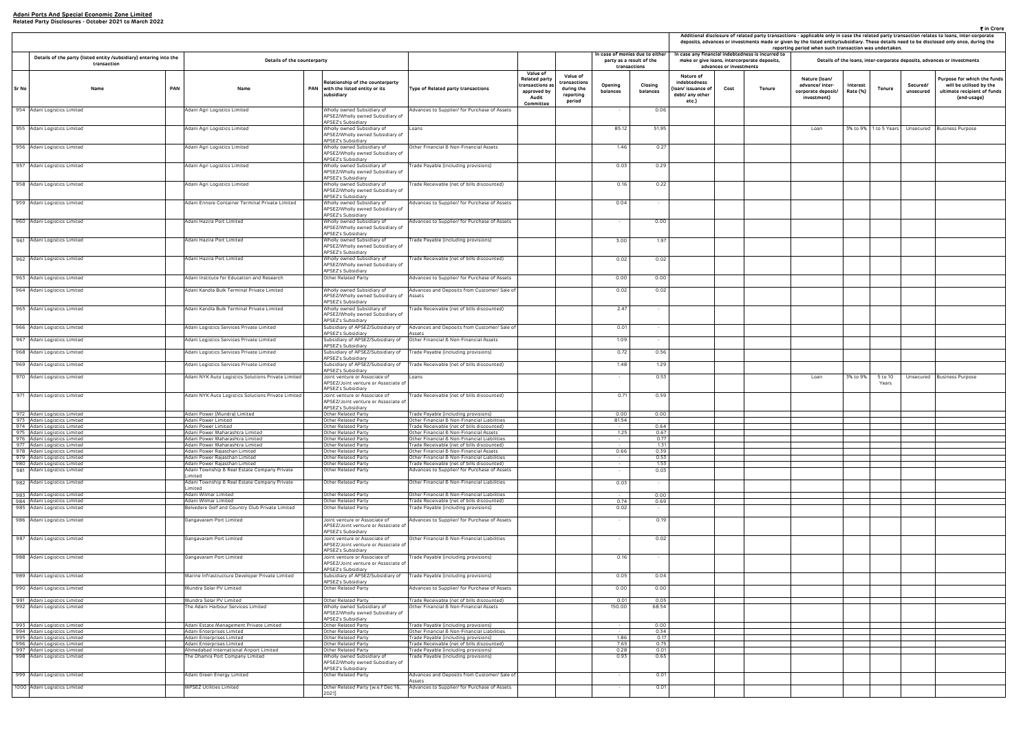| Additional disclosure of related party transactions - applicable only in case the related party transaction relates to loans, inter-corporate<br>deposits, advances or investments made or given by the listed entity/subsidiary. These details need to be disclosed only once, during the<br>reporting period when such transaction was undertaken.<br>case any financial indebtedness is incurred to<br>make or give loans, intercorporate deposits,<br>Details of the loans, inter-corporate deposits, advances or investments |                         |        |                                                                       |                      |              |                       |                                                                                                      |  |  |  |  |  |  |
|-----------------------------------------------------------------------------------------------------------------------------------------------------------------------------------------------------------------------------------------------------------------------------------------------------------------------------------------------------------------------------------------------------------------------------------------------------------------------------------------------------------------------------------|-------------------------|--------|-----------------------------------------------------------------------|----------------------|--------------|-----------------------|------------------------------------------------------------------------------------------------------|--|--|--|--|--|--|
|                                                                                                                                                                                                                                                                                                                                                                                                                                                                                                                                   | advances or investments |        |                                                                       |                      |              |                       |                                                                                                      |  |  |  |  |  |  |
| Nature of<br>debtedness<br>n/ issuance of<br>bt/ any other<br>etc.)                                                                                                                                                                                                                                                                                                                                                                                                                                                               | Cost                    | Tenure | Nature (Ioan/<br>advance/ inter-<br>corporate deposit/<br>investment) | Interest<br>Rate (%) | Tenure       | Secured/<br>unsecured | Purpose for which the funds<br>will be utilised by the<br>ultimate recipient of funds<br>(end-usage) |  |  |  |  |  |  |
|                                                                                                                                                                                                                                                                                                                                                                                                                                                                                                                                   |                         |        | Loan                                                                  | 3% to 9%             | 1 to 5 Years | Unsecured             | <b>Business Purpose</b>                                                                              |  |  |  |  |  |  |
|                                                                                                                                                                                                                                                                                                                                                                                                                                                                                                                                   |                         |        |                                                                       |                      |              |                       |                                                                                                      |  |  |  |  |  |  |
|                                                                                                                                                                                                                                                                                                                                                                                                                                                                                                                                   |                         |        |                                                                       |                      |              |                       |                                                                                                      |  |  |  |  |  |  |
|                                                                                                                                                                                                                                                                                                                                                                                                                                                                                                                                   |                         |        |                                                                       |                      |              |                       |                                                                                                      |  |  |  |  |  |  |
|                                                                                                                                                                                                                                                                                                                                                                                                                                                                                                                                   |                         |        |                                                                       |                      |              |                       |                                                                                                      |  |  |  |  |  |  |
|                                                                                                                                                                                                                                                                                                                                                                                                                                                                                                                                   |                         |        |                                                                       |                      |              |                       |                                                                                                      |  |  |  |  |  |  |
|                                                                                                                                                                                                                                                                                                                                                                                                                                                                                                                                   |                         |        |                                                                       |                      |              |                       |                                                                                                      |  |  |  |  |  |  |
|                                                                                                                                                                                                                                                                                                                                                                                                                                                                                                                                   |                         |        |                                                                       |                      |              |                       |                                                                                                      |  |  |  |  |  |  |
|                                                                                                                                                                                                                                                                                                                                                                                                                                                                                                                                   |                         |        |                                                                       |                      |              |                       |                                                                                                      |  |  |  |  |  |  |
|                                                                                                                                                                                                                                                                                                                                                                                                                                                                                                                                   |                         |        |                                                                       |                      |              |                       |                                                                                                      |  |  |  |  |  |  |
|                                                                                                                                                                                                                                                                                                                                                                                                                                                                                                                                   |                         |        |                                                                       |                      |              |                       |                                                                                                      |  |  |  |  |  |  |
|                                                                                                                                                                                                                                                                                                                                                                                                                                                                                                                                   |                         |        | Loan                                                                  | 3% to 9%             | 5 to 10      | Unsecured             | <b>Business Purpose</b>                                                                              |  |  |  |  |  |  |
|                                                                                                                                                                                                                                                                                                                                                                                                                                                                                                                                   |                         |        |                                                                       |                      | Years        |                       |                                                                                                      |  |  |  |  |  |  |
|                                                                                                                                                                                                                                                                                                                                                                                                                                                                                                                                   |                         |        |                                                                       |                      |              |                       |                                                                                                      |  |  |  |  |  |  |
|                                                                                                                                                                                                                                                                                                                                                                                                                                                                                                                                   |                         |        |                                                                       |                      |              |                       |                                                                                                      |  |  |  |  |  |  |
|                                                                                                                                                                                                                                                                                                                                                                                                                                                                                                                                   |                         |        |                                                                       |                      |              |                       |                                                                                                      |  |  |  |  |  |  |
|                                                                                                                                                                                                                                                                                                                                                                                                                                                                                                                                   |                         |        |                                                                       |                      |              |                       |                                                                                                      |  |  |  |  |  |  |
|                                                                                                                                                                                                                                                                                                                                                                                                                                                                                                                                   |                         |        |                                                                       |                      |              |                       |                                                                                                      |  |  |  |  |  |  |
|                                                                                                                                                                                                                                                                                                                                                                                                                                                                                                                                   |                         |        |                                                                       |                      |              |                       |                                                                                                      |  |  |  |  |  |  |
|                                                                                                                                                                                                                                                                                                                                                                                                                                                                                                                                   |                         |        |                                                                       |                      |              |                       |                                                                                                      |  |  |  |  |  |  |
|                                                                                                                                                                                                                                                                                                                                                                                                                                                                                                                                   |                         |        |                                                                       |                      |              |                       |                                                                                                      |  |  |  |  |  |  |
|                                                                                                                                                                                                                                                                                                                                                                                                                                                                                                                                   |                         |        |                                                                       |                      |              |                       |                                                                                                      |  |  |  |  |  |  |
|                                                                                                                                                                                                                                                                                                                                                                                                                                                                                                                                   |                         |        |                                                                       |                      |              |                       |                                                                                                      |  |  |  |  |  |  |
|                                                                                                                                                                                                                                                                                                                                                                                                                                                                                                                                   |                         |        |                                                                       |                      |              |                       |                                                                                                      |  |  |  |  |  |  |
|                                                                                                                                                                                                                                                                                                                                                                                                                                                                                                                                   |                         |        |                                                                       |                      |              |                       |                                                                                                      |  |  |  |  |  |  |
|                                                                                                                                                                                                                                                                                                                                                                                                                                                                                                                                   |                         |        |                                                                       |                      |              |                       |                                                                                                      |  |  |  |  |  |  |
|                                                                                                                                                                                                                                                                                                                                                                                                                                                                                                                                   |                         |        |                                                                       |                      |              |                       |                                                                                                      |  |  |  |  |  |  |
|                                                                                                                                                                                                                                                                                                                                                                                                                                                                                                                                   |                         |        |                                                                       |                      |              |                       |                                                                                                      |  |  |  |  |  |  |
|                                                                                                                                                                                                                                                                                                                                                                                                                                                                                                                                   |                         |        |                                                                       |                      |              |                       |                                                                                                      |  |  |  |  |  |  |

|       |                                                                                   |                                                                               |                                                                                                   |                                                                                           |                                                                                  |                                                               |                                          |                                |                                                                            |                         |                                                                                                   | Additional disclosure of related party transactions - applicable only in case the related party transaction relates to loans, inter-co<br>deposits, advances or investments made or given by the listed entity/subsidiary. These details need to be disclosed only once, du<br>reporting period when such transaction was undertaken. |                      |                       |                       |                                                                       |
|-------|-----------------------------------------------------------------------------------|-------------------------------------------------------------------------------|---------------------------------------------------------------------------------------------------|-------------------------------------------------------------------------------------------|----------------------------------------------------------------------------------|---------------------------------------------------------------|------------------------------------------|--------------------------------|----------------------------------------------------------------------------|-------------------------|---------------------------------------------------------------------------------------------------|---------------------------------------------------------------------------------------------------------------------------------------------------------------------------------------------------------------------------------------------------------------------------------------------------------------------------------------|----------------------|-----------------------|-----------------------|-----------------------------------------------------------------------|
|       | Details of the party (listed entity /subsidiary) entering into the<br>transaction | Details of the counterparty                                                   |                                                                                                   |                                                                                           |                                                                                  |                                                               | party as a result of the<br>transactions | n case of monies due to either |                                                                            | advances or investments | In case any financial indebtedness is incurred to<br>make or give loans, intercorporate deposits, |                                                                                                                                                                                                                                                                                                                                       |                      |                       |                       | Details of the loans, inter-corporate deposits, advances or investmen |
| Sr No | Name                                                                              | PAN<br>Name                                                                   | Relationship of the counterparty<br>PAN with the listed entity or its<br>subsidiary               | Type of Related party transactions                                                        | Value of<br>Related party<br>ransactions a:<br>approved by<br>Audit<br>Committee | Value of<br>ransactions:<br>during the<br>reporting<br>period | Opening<br>balances                      | Closing<br>balances            | Nature of<br>indebtedness<br>loan/ issuance of<br>debt/ any other<br>etc.) | Cost                    | <b>Tenure</b>                                                                                     | Nature (Ioan/<br>advance/ inter-<br>corporate deposit/<br>investment)                                                                                                                                                                                                                                                                 | Interest<br>Rate (%) | Tenure                | Secured/<br>unsecured | Purpose for whic<br>will be utilise<br>ultimate recipie<br>(end-usa   |
|       | 954 Adani Logistics Limited                                                       | Adani Agri Logistics Limited                                                  | Wholly owned Subsidiary of<br>APSEZ/Wholly owned Subsidiary of<br>APSEZ's Subsidiary              | Advances to Supplier/ for Purchase of Assets                                              |                                                                                  |                                                               |                                          | 0.06                           |                                                                            |                         |                                                                                                   |                                                                                                                                                                                                                                                                                                                                       |                      |                       |                       |                                                                       |
|       | 955 Adani Logistics Limited                                                       | Adani Agri Logistics Limited                                                  | Wholly owned Subsidiary of<br>APSEZ/Wholly owned Subsidiary of<br>APSEZ's Subsidiary              | Loans                                                                                     |                                                                                  |                                                               | 85.12                                    | 51.95                          |                                                                            |                         |                                                                                                   | Loan                                                                                                                                                                                                                                                                                                                                  |                      | 3% to 9% 1 to 5 Years |                       | Unsecured Business Purpose                                            |
|       | 956 Adani Logistics Limited                                                       | Adani Agri Logistics Limited                                                  | Wholly owned Subsidiary of<br>APSEZ/Wholly owned Subsidiary of                                    | Other Financial & Non-Financial Assets                                                    |                                                                                  |                                                               | 1.46                                     | 0.27                           |                                                                            |                         |                                                                                                   |                                                                                                                                                                                                                                                                                                                                       |                      |                       |                       |                                                                       |
|       | 957 Adani Logistics Limited                                                       | Adani Agri Logistics Limited                                                  | APSEZ's Subsidiary<br>Wholly owned Subsidiary of<br>APSEZ/Wholly owned Subsidiary of              | rade Payable (including provisions)                                                       |                                                                                  |                                                               | 0.03                                     | 0.29                           |                                                                            |                         |                                                                                                   |                                                                                                                                                                                                                                                                                                                                       |                      |                       |                       |                                                                       |
|       | 958 Adani Logistics Limited                                                       | Adani Agri Logistics Limited                                                  | APSEZ's Subsidiary<br>Wholly owned Subsidiary of<br>APSEZ/Wholly owned Subsidiary of              | rade Receivable (net of bills discounted)                                                 |                                                                                  |                                                               | 0.16                                     | 0.22                           |                                                                            |                         |                                                                                                   |                                                                                                                                                                                                                                                                                                                                       |                      |                       |                       |                                                                       |
|       | 959 Adani Logistics Limited                                                       | Adani Ennore Container Terminal Private Limited                               | APSEZ's Subsidiary<br>Wholly owned Subsidiary of<br>APSEZ/Wholly owned Subsidiary of              | Advances to Supplier/ for Purchase of Assets                                              |                                                                                  |                                                               | 0.04                                     |                                |                                                                            |                         |                                                                                                   |                                                                                                                                                                                                                                                                                                                                       |                      |                       |                       |                                                                       |
|       | 960 Adani Logistics Limited                                                       | Adani Hazira Port Limited                                                     | APSEZ's Subsidiary<br>Wholly owned Subsidiary of<br>APSEZ/Wholly owned Subsidiary of              | Advances to Supplier/ for Purchase of Assets                                              |                                                                                  |                                                               |                                          | 0.00                           |                                                                            |                         |                                                                                                   |                                                                                                                                                                                                                                                                                                                                       |                      |                       |                       |                                                                       |
|       | 961 Adani Logistics Limited                                                       | Adani Hazira Port Limited                                                     | APSEZ's Subsidiary<br>Wholly owned Subsidiary of<br>APSEZ/Wholly owned Subsidiary of              | Trade Payable (including provisions)                                                      |                                                                                  |                                                               | 3.00                                     | 1.97                           |                                                                            |                         |                                                                                                   |                                                                                                                                                                                                                                                                                                                                       |                      |                       |                       |                                                                       |
|       | 962 Adani Logistics Limited                                                       | Adani Hazira Port Limited                                                     | APSEZ's Subsidiary<br>Wholly owned Subsidiary of<br>APSEZ/Wholly owned Subsidiary of              | rade Receivable (net of bills discounted)                                                 |                                                                                  |                                                               | 0.02                                     | 0.02                           |                                                                            |                         |                                                                                                   |                                                                                                                                                                                                                                                                                                                                       |                      |                       |                       |                                                                       |
|       | 963 Adani Logistics Limited                                                       | Adani Institute for Education and Research                                    | APSEZ's Subsidiary<br>Other Related Party                                                         | Advances to Supplier/ for Purchase of Assets                                              |                                                                                  |                                                               | 0.00                                     | 0.00                           |                                                                            |                         |                                                                                                   |                                                                                                                                                                                                                                                                                                                                       |                      |                       |                       |                                                                       |
|       | 964 Adani Logistics Limited                                                       | Adani Kandla Bulk Terminal Private Limited                                    | Wholly owned Subsidiary of<br>APSEZ/Wholly owned Subsidiary of                                    | Advances and Deposits from Customer/ Sale of<br>Assets                                    |                                                                                  |                                                               | 0.02                                     | 0.02                           |                                                                            |                         |                                                                                                   |                                                                                                                                                                                                                                                                                                                                       |                      |                       |                       |                                                                       |
|       | 965 Adani Logistics Limited                                                       | Adani Kandla Bulk Terminal Private Limited                                    | <b>APSEZ's Subsidiary</b><br>Wholly owned Subsidiary of<br>APSEZ/Wholly owned Subsidiary of       | Frade Receivable (net of bills discounted)                                                |                                                                                  |                                                               | 2.47                                     | $\sim$                         |                                                                            |                         |                                                                                                   |                                                                                                                                                                                                                                                                                                                                       |                      |                       |                       |                                                                       |
|       | 966 Adani Logistics Limited                                                       | Adani Logistics Services Private Limited                                      | APSEZ's Subsidiary<br>Subsidiary of APSEZ/Subsidiary of                                           | Advances and Deposits from Customer/ Sale of                                              |                                                                                  |                                                               | 0.01                                     | $\sim$                         |                                                                            |                         |                                                                                                   |                                                                                                                                                                                                                                                                                                                                       |                      |                       |                       |                                                                       |
|       | 967 Adani Logistics Limited                                                       | Adani Logistics Services Private Limited                                      | <b>APSEZ's Subsidiary</b><br>Subsidiary of APSEZ/Subsidiary of                                    | Assets<br>Other Financial & Non-Financial Assets                                          |                                                                                  |                                                               | 1.09                                     | $\sim$                         |                                                                            |                         |                                                                                                   |                                                                                                                                                                                                                                                                                                                                       |                      |                       |                       |                                                                       |
|       | 968 Adani Logistics Limited                                                       | Adani Logistics Services Private Limited                                      | <b>APSEZ's Subsidiary</b><br>Subsidiary of APSEZ/Subsidiary of                                    | Trade Payable (including provisions)                                                      |                                                                                  |                                                               | 0.72                                     | 0.56                           |                                                                            |                         |                                                                                                   |                                                                                                                                                                                                                                                                                                                                       |                      |                       |                       |                                                                       |
|       | 969 Adani Logistics Limited                                                       | Adani Logistics Services Private Limited                                      | APSEZ's Subsidiary<br>Subsidiary of APSEZ/Subsidiary of                                           | [rade Receivable (net of bills discounted)                                                |                                                                                  |                                                               | 1.48                                     | 1.29                           |                                                                            |                         |                                                                                                   |                                                                                                                                                                                                                                                                                                                                       |                      |                       |                       |                                                                       |
|       | 970 Adani Logistics Limited                                                       | Adani NYK Auto Logistics Solutions Private Limited                            | APSEZ's Subsidiary<br>Joint venture or Associate of<br>APSEZ/Joint venture or Associate of        | Loans                                                                                     |                                                                                  |                                                               |                                          | 0.53                           |                                                                            |                         |                                                                                                   | Loan                                                                                                                                                                                                                                                                                                                                  | 3% to 9%             | 5 to 10<br>Years      |                       | Unsecured Business Purpose                                            |
|       | 971 Adani Logistics Limited                                                       | Adani NYK Auto Logistics Solutions Private Limited                            | <b>APSEZ's Subsidiary</b><br>Joint venture or Associate of<br>APSEZ/Joint venture or Associate of | Trade Receivable (net of bills discounted)                                                |                                                                                  |                                                               | 0.71                                     | 0.59                           |                                                                            |                         |                                                                                                   |                                                                                                                                                                                                                                                                                                                                       |                      |                       |                       |                                                                       |
|       | 972 Adani Logistics Limited                                                       | Adani Power (Mundra) Limited                                                  | APSEZ's Subsidiary<br>Other Related Party                                                         | Trade Payable (including provisions)                                                      |                                                                                  |                                                               | 0.00                                     | 0.00                           |                                                                            |                         |                                                                                                   |                                                                                                                                                                                                                                                                                                                                       |                      |                       |                       |                                                                       |
|       | 973   Adani Logistics Limited<br>974 Adani Logistics Limited                      | Adanı Power Limited<br>Adani Power Limited                                    | )ther Related Party<br>Other Related Party                                                        | )ther Financial & Non-Financial Liabilities<br>Trade Receivable (net of bills discounted) |                                                                                  |                                                               | 81.54<br>$\sim 10^{-11}$                 | 0.64                           |                                                                            |                         |                                                                                                   |                                                                                                                                                                                                                                                                                                                                       |                      |                       |                       |                                                                       |
|       | 975 Adani Logistics Limited                                                       | Adani Power Maharashtra Limited                                               | Other Related Party                                                                               | Other Financial & Non-Financial Assets                                                    |                                                                                  |                                                               | 1.25                                     | 0.67                           |                                                                            |                         |                                                                                                   |                                                                                                                                                                                                                                                                                                                                       |                      |                       |                       |                                                                       |
|       | 976 Adani Logistics Limited<br>977 Adani Logistics Limited                        | Adani Power Maharashtra Limited<br>Adani Power Maharashtra Limited            | Other Related Party<br>Other Related Party                                                        | Other Financial & Non-Financial Liabilities<br>rade Receivable (net of bills discounted)  |                                                                                  |                                                               | $\sim$                                   | 0.77<br>1.31                   |                                                                            |                         |                                                                                                   |                                                                                                                                                                                                                                                                                                                                       |                      |                       |                       |                                                                       |
|       | 978 Adani Logistics Limited                                                       | Adani Power Rajasthan Limited                                                 | Other Related Party                                                                               | Other Financial & Non-Financial Assets                                                    |                                                                                  |                                                               | 0.66                                     | 0.39                           |                                                                            |                         |                                                                                                   |                                                                                                                                                                                                                                                                                                                                       |                      |                       |                       |                                                                       |
|       | 979 Adani Logistics Limited                                                       | Adani Power Rajasthan Limited                                                 | Other Related Party                                                                               | Other Financial & Non-Financial Liabilities                                               |                                                                                  |                                                               | $\sim$                                   | 0.53                           |                                                                            |                         |                                                                                                   |                                                                                                                                                                                                                                                                                                                                       |                      |                       |                       |                                                                       |
|       | 980 Adani Logistics Limited<br>981 Adani Logistics Limited                        | Adani Power Rajasthan Limited<br>Adani Township & Real Estate Company Private | Other Related Party<br>Other Related Party                                                        | rade Receivable (net of bills discounted)<br>Advances to Supplier/ for Purchase of Assets |                                                                                  |                                                               | $\sim$<br>$\sim$                         | 1.53<br>0.03                   |                                                                            |                         |                                                                                                   |                                                                                                                                                                                                                                                                                                                                       |                      |                       |                       |                                                                       |
|       | 982 Adani Logistics Limited                                                       | imited<br>Adani Township & Real Estate Company Private                        | Other Related Party                                                                               | Other Financial & Non-Financial Liabilities                                               |                                                                                  |                                                               | 0.03                                     | $\sim$                         |                                                                            |                         |                                                                                                   |                                                                                                                                                                                                                                                                                                                                       |                      |                       |                       |                                                                       |
|       |                                                                                   | imited                                                                        |                                                                                                   |                                                                                           |                                                                                  |                                                               |                                          |                                |                                                                            |                         |                                                                                                   |                                                                                                                                                                                                                                                                                                                                       |                      |                       |                       |                                                                       |
|       | 983 Adani Logistics Limited<br>984 Adani Logistics Limited                        | Adani Wilmar Limited<br>Adani Wilmar Limited                                  | Other Related Party<br>Other Related Party                                                        | Other Financial & Non-Financial Liabilities<br>Frade Receivable (net of bills discounted) |                                                                                  |                                                               | 0.74                                     | 0.00<br>0.69                   |                                                                            |                         |                                                                                                   |                                                                                                                                                                                                                                                                                                                                       |                      |                       |                       |                                                                       |
|       | 985 Adani Logistics Limited                                                       | Belvedere Golf and Country Club Private Limited                               | Other Related Party                                                                               | rade Payable (including provisions)                                                       |                                                                                  |                                                               | 0.02                                     | $\sim$                         |                                                                            |                         |                                                                                                   |                                                                                                                                                                                                                                                                                                                                       |                      |                       |                       |                                                                       |
|       | 986 Adani Logistics Limited                                                       | Gangavaram Port Limited                                                       | Joint venture or Associate of<br>APSEZ/Joint venture or Associate of<br>APSEZ's Subsidiary        | Advances to Supplier/ for Purchase of Assets                                              |                                                                                  |                                                               |                                          | 0.19                           |                                                                            |                         |                                                                                                   |                                                                                                                                                                                                                                                                                                                                       |                      |                       |                       |                                                                       |
|       | 987 Adani Logistics Limited                                                       | Gangavaram Port Limited                                                       | Joint venture or Associate of<br>APSEZ/Joint venture or Associate of<br>APSEZ's Subsidiary        | Other Financial & Non-Financial Liabilities                                               |                                                                                  |                                                               |                                          | 0.02                           |                                                                            |                         |                                                                                                   |                                                                                                                                                                                                                                                                                                                                       |                      |                       |                       |                                                                       |
|       | 988 Adani Logistics Limited                                                       | Gangavaram Port Limited                                                       | Joint venture or Associate of<br>APSEZ/Joint venture or Associate of<br>APSEZ's Subsidiary        | [rade Payable (including provisions)                                                      |                                                                                  |                                                               | 0.16                                     |                                |                                                                            |                         |                                                                                                   |                                                                                                                                                                                                                                                                                                                                       |                      |                       |                       |                                                                       |
|       | 989 Adani Logistics Limited                                                       | Marine Infrastructure Developer Private Limited                               | Subsidiary of APSEZ/Subsidiary of<br>APSEZ's Subsidiary                                           | Trade Payable (including provisions)                                                      |                                                                                  |                                                               | 0.05                                     | 0.04                           |                                                                            |                         |                                                                                                   |                                                                                                                                                                                                                                                                                                                                       |                      |                       |                       |                                                                       |
|       | 990 Adani Logistics Limited                                                       | Aundra Solar PV Limited                                                       | Other Related Party<br>Other Related Party                                                        | Advances to Supplier/ for Purchase of Assets                                              |                                                                                  |                                                               | 0.00<br>0.01                             | 0.00<br>0.05                   |                                                                            |                         |                                                                                                   |                                                                                                                                                                                                                                                                                                                                       |                      |                       |                       |                                                                       |
|       | 991 Adani Logistics Limited<br>992 Adani Logistics Limited                        | Mundra Solar PV Limited<br>The Adani Harbour Services Limited                 | Wholly owned Subsidiary of<br>APSEZ/Wholly owned Subsidiary of                                    | Trade Receivable (net of bills discounted)<br>Other Financial & Non-Financial Assets      |                                                                                  |                                                               | 150.00                                   | 68.54                          |                                                                            |                         |                                                                                                   |                                                                                                                                                                                                                                                                                                                                       |                      |                       |                       |                                                                       |
|       | 993 Adani Logistics Limited                                                       | Adani Estate Management Private Limited                                       | APSEZ's Subsidiary<br>Other Related Party                                                         | Trade Payable (including provisions)                                                      |                                                                                  |                                                               | $\sim$                                   | 0.00                           |                                                                            |                         |                                                                                                   |                                                                                                                                                                                                                                                                                                                                       |                      |                       |                       |                                                                       |
|       | 994 Adani Logistics Limited                                                       | Adani Enterprises Limited                                                     | Other Related Party                                                                               | Other Financial & Non-Financial Liabilities                                               |                                                                                  |                                                               | $\sim$                                   | 0.34                           |                                                                            |                         |                                                                                                   |                                                                                                                                                                                                                                                                                                                                       |                      |                       |                       |                                                                       |
|       | 995 Adani Logistics Limited<br>996 Adani Logistics Limited                        | Adani Enterprises Limited<br>Adani Enterprises Limited                        | Other Related Party<br>Other Related Party                                                        | rade Payable (including provisions)<br>rade Receivable (net of bills discounted)          |                                                                                  |                                                               | 1.86<br>7.65                             | 0.17<br>0.75                   |                                                                            |                         |                                                                                                   |                                                                                                                                                                                                                                                                                                                                       |                      |                       |                       |                                                                       |
|       | 997 Adani Logistics Limited                                                       | Ahmedabad International Airport Limited                                       | Other Related Party                                                                               | rade Payable (including provisions)                                                       |                                                                                  |                                                               | 0.28                                     | 0.01                           |                                                                            |                         |                                                                                                   |                                                                                                                                                                                                                                                                                                                                       |                      |                       |                       |                                                                       |
|       | 998 Adani Logistics Limited                                                       | The Dhamra Port Company Limited                                               | Wholly owned Subsidiary of<br>APSEZ/Wholly owned Subsidiary of<br>APSEZ's Subsidiary              | Frade Payable (including provisions)                                                      |                                                                                  |                                                               | 0.93                                     | 0.65                           |                                                                            |                         |                                                                                                   |                                                                                                                                                                                                                                                                                                                                       |                      |                       |                       |                                                                       |
|       | 999 Adani Logistics Limited                                                       | Adani Green Energy Limited                                                    | Other Related Party                                                                               | Advances and Deposits from Customer/ Sale of<br>Assets                                    |                                                                                  |                                                               | $\sim$                                   | 0.01                           |                                                                            |                         |                                                                                                   |                                                                                                                                                                                                                                                                                                                                       |                      |                       |                       |                                                                       |
|       | 1000 Adani Logistics Limited                                                      | MPSEZ Utilities Limited                                                       | Other Related Party [w.e.f Dec 16,<br>2021]                                                       | Advances to Supplier/ for Purchase of Assets                                              |                                                                                  |                                                               | $\sim$                                   | 0.01                           |                                                                            |                         |                                                                                                   |                                                                                                                                                                                                                                                                                                                                       |                      |                       |                       |                                                                       |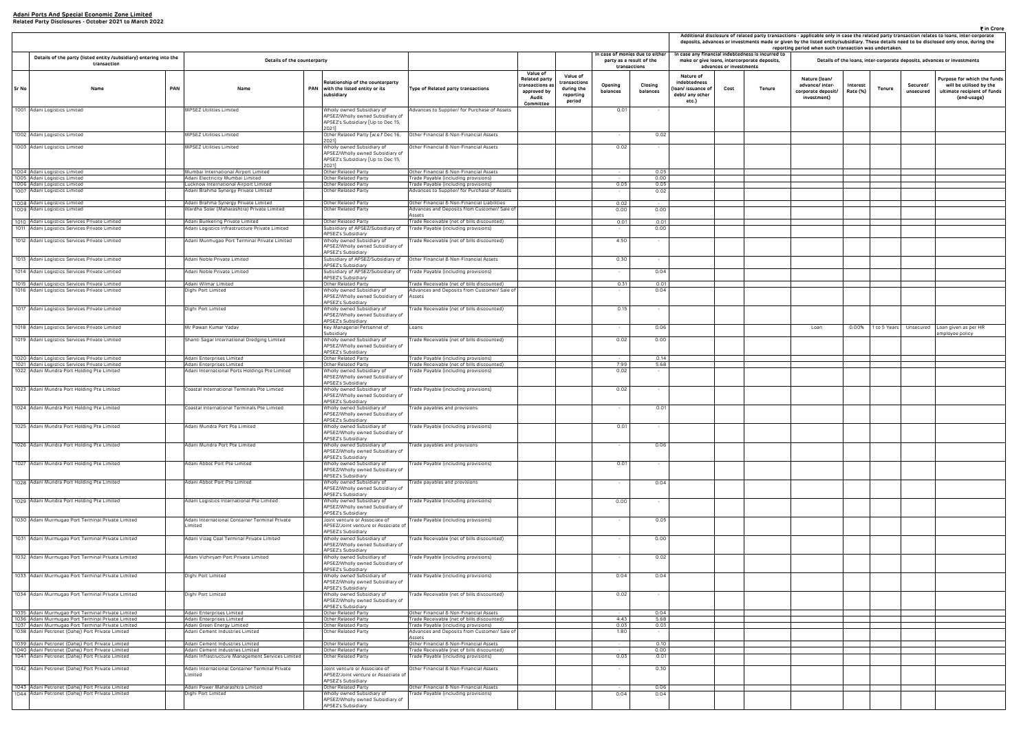| deposits, advances or investments made or given by the listed entity/subsidiary. These details need to be disclosed only once, during the<br>reporting period when such transaction was undertaken.<br>case any financial indebtedness is incurred to<br>make or give loans, intercorporate deposits,<br>Details of the loans, inter-corporate deposits, advances or investments |                                 |        |                                                                      |                      |               |                       |                                                                                                      |  |  |  |  |  |
|----------------------------------------------------------------------------------------------------------------------------------------------------------------------------------------------------------------------------------------------------------------------------------------------------------------------------------------------------------------------------------|---------------------------------|--------|----------------------------------------------------------------------|----------------------|---------------|-----------------------|------------------------------------------------------------------------------------------------------|--|--|--|--|--|
| Nature of<br>debtedness<br>n/ issuance of<br>bt/ any other                                                                                                                                                                                                                                                                                                                       | advances or investments<br>Cost | Tenure | Nature (Ioan/<br>advance/inter-<br>corporate deposit/<br>investment) | Interest<br>Rate (%) | <b>Tenure</b> | Secured/<br>unsecured | Purpose for which the funds<br>will be utilised by the<br>ultimate recipient of funds<br>(end-usage) |  |  |  |  |  |
| etc.)                                                                                                                                                                                                                                                                                                                                                                            |                                 |        |                                                                      |                      |               |                       |                                                                                                      |  |  |  |  |  |
|                                                                                                                                                                                                                                                                                                                                                                                  |                                 |        |                                                                      |                      |               |                       |                                                                                                      |  |  |  |  |  |
|                                                                                                                                                                                                                                                                                                                                                                                  |                                 |        |                                                                      |                      |               |                       |                                                                                                      |  |  |  |  |  |
|                                                                                                                                                                                                                                                                                                                                                                                  |                                 |        |                                                                      |                      |               |                       |                                                                                                      |  |  |  |  |  |
|                                                                                                                                                                                                                                                                                                                                                                                  |                                 |        |                                                                      |                      |               |                       |                                                                                                      |  |  |  |  |  |
|                                                                                                                                                                                                                                                                                                                                                                                  |                                 |        |                                                                      |                      |               |                       |                                                                                                      |  |  |  |  |  |
|                                                                                                                                                                                                                                                                                                                                                                                  |                                 |        |                                                                      |                      |               |                       |                                                                                                      |  |  |  |  |  |
|                                                                                                                                                                                                                                                                                                                                                                                  |                                 |        |                                                                      |                      |               |                       |                                                                                                      |  |  |  |  |  |
|                                                                                                                                                                                                                                                                                                                                                                                  |                                 |        |                                                                      |                      |               |                       |                                                                                                      |  |  |  |  |  |
|                                                                                                                                                                                                                                                                                                                                                                                  |                                 |        |                                                                      |                      |               |                       |                                                                                                      |  |  |  |  |  |
|                                                                                                                                                                                                                                                                                                                                                                                  |                                 |        |                                                                      |                      |               |                       |                                                                                                      |  |  |  |  |  |
|                                                                                                                                                                                                                                                                                                                                                                                  |                                 |        |                                                                      |                      |               |                       |                                                                                                      |  |  |  |  |  |
|                                                                                                                                                                                                                                                                                                                                                                                  |                                 |        | Loan                                                                 | 0.00%                | 1 to 5 Years  | Unsecured             | Loan given as per HR<br>employee policy                                                              |  |  |  |  |  |
|                                                                                                                                                                                                                                                                                                                                                                                  |                                 |        |                                                                      |                      |               |                       |                                                                                                      |  |  |  |  |  |
|                                                                                                                                                                                                                                                                                                                                                                                  |                                 |        |                                                                      |                      |               |                       |                                                                                                      |  |  |  |  |  |
|                                                                                                                                                                                                                                                                                                                                                                                  |                                 |        |                                                                      |                      |               |                       |                                                                                                      |  |  |  |  |  |
|                                                                                                                                                                                                                                                                                                                                                                                  |                                 |        |                                                                      |                      |               |                       |                                                                                                      |  |  |  |  |  |
|                                                                                                                                                                                                                                                                                                                                                                                  |                                 |        |                                                                      |                      |               |                       |                                                                                                      |  |  |  |  |  |
|                                                                                                                                                                                                                                                                                                                                                                                  |                                 |        |                                                                      |                      |               |                       |                                                                                                      |  |  |  |  |  |
|                                                                                                                                                                                                                                                                                                                                                                                  |                                 |        |                                                                      |                      |               |                       |                                                                                                      |  |  |  |  |  |
|                                                                                                                                                                                                                                                                                                                                                                                  |                                 |        |                                                                      |                      |               |                       |                                                                                                      |  |  |  |  |  |
|                                                                                                                                                                                                                                                                                                                                                                                  |                                 |        |                                                                      |                      |               |                       |                                                                                                      |  |  |  |  |  |
|                                                                                                                                                                                                                                                                                                                                                                                  |                                 |        |                                                                      |                      |               |                       |                                                                                                      |  |  |  |  |  |
|                                                                                                                                                                                                                                                                                                                                                                                  |                                 |        |                                                                      |                      |               |                       |                                                                                                      |  |  |  |  |  |
|                                                                                                                                                                                                                                                                                                                                                                                  |                                 |        |                                                                      |                      |               |                       |                                                                                                      |  |  |  |  |  |
|                                                                                                                                                                                                                                                                                                                                                                                  |                                 |        |                                                                      |                      |               |                       |                                                                                                      |  |  |  |  |  |
|                                                                                                                                                                                                                                                                                                                                                                                  |                                 |        |                                                                      |                      |               |                       |                                                                                                      |  |  |  |  |  |
|                                                                                                                                                                                                                                                                                                                                                                                  |                                 |        |                                                                      |                      |               |                       |                                                                                                      |  |  |  |  |  |
|                                                                                                                                                                                                                                                                                                                                                                                  |                                 |        |                                                                      |                      |               |                       |                                                                                                      |  |  |  |  |  |
|                                                                                                                                                                                                                                                                                                                                                                                  |                                 |        |                                                                      |                      |               |                       |                                                                                                      |  |  |  |  |  |
|                                                                                                                                                                                                                                                                                                                                                                                  |                                 |        |                                                                      |                      |               |                       |                                                                                                      |  |  |  |  |  |
|                                                                                                                                                                                                                                                                                                                                                                                  |                                 |        |                                                                      |                      |               |                       |                                                                                                      |  |  |  |  |  |
|                                                                                                                                                                                                                                                                                                                                                                                  |                                 |        |                                                                      |                      |               |                       |                                                                                                      |  |  |  |  |  |
|                                                                                                                                                                                                                                                                                                                                                                                  |                                 |        |                                                                      |                      |               |                       |                                                                                                      |  |  |  |  |  |

|       |                                                                                                        |                                                                                     |                                                                                                              |                                                                                                       |                                                                                                                                                  |                         |                                                                            | Additional disclosure of related party transactions - applicable only in case the related party transaction relates to loans, inter-corpo<br>deposits, advances or investments made or given by the listed entity/subsidiary. These details need to be disclosed only once, during<br>reporting period when such transaction was undertaken. |                                                                                                                              |                                                                       |                      |              |                                                                         |                                                                                    |  |
|-------|--------------------------------------------------------------------------------------------------------|-------------------------------------------------------------------------------------|--------------------------------------------------------------------------------------------------------------|-------------------------------------------------------------------------------------------------------|--------------------------------------------------------------------------------------------------------------------------------------------------|-------------------------|----------------------------------------------------------------------------|----------------------------------------------------------------------------------------------------------------------------------------------------------------------------------------------------------------------------------------------------------------------------------------------------------------------------------------------|------------------------------------------------------------------------------------------------------------------------------|-----------------------------------------------------------------------|----------------------|--------------|-------------------------------------------------------------------------|------------------------------------------------------------------------------------|--|
|       | Details of the party (listed entity /subsidiary) entering into the<br>transaction                      | Details of the counterparty                                                         |                                                                                                              |                                                                                                       |                                                                                                                                                  |                         | n case of monies due to either<br>party as a result of the<br>transactions |                                                                                                                                                                                                                                                                                                                                              | In case any financial indebtedness is incurred to<br>make or give loans, intercorporate deposits,<br>advances or investments |                                                                       |                      |              | Details of the loans, inter-corporate deposits, advances or investments |                                                                                    |  |
| Sr No | Name                                                                                                   | <b>PAN</b><br>Name                                                                  | Relationship of the counterparty<br>PAN with the listed entity or its<br>subsidiary                          | Type of Related party transactions                                                                    | Value of<br>Value of<br>Related party<br>ransactions<br>ransactions as<br>during the<br>approved by<br>reporting<br>Audit<br>period<br>Committee | Opening<br>balances     | Closing<br>balances                                                        | Nature of<br>indebtedness<br>(Ioan/ issuance of<br>debt/ any other<br>etc.)                                                                                                                                                                                                                                                                  | Cost<br><b>Tenure</b>                                                                                                        | Nature (Ioan/<br>advance/ inter-<br>corporate deposit/<br>investment) | Interest<br>Rate (%) | Tenure       | Secured/<br>unsecured                                                   | Purpose for which th<br>will be utilised by<br>ultimate recipient o<br>(end-usage) |  |
|       | 1001 Adani Logistics Limited                                                                           | MPSEZ Utilities Limited                                                             | Wholly owned Subsidiary of<br>APSEZ/Wholly owned Subsidiary of<br>APSEZ's Subsidiary [Up to Dec 15,<br>2021] | Advances to Supplier/ for Purchase of Assets                                                          |                                                                                                                                                  | 0.01                    |                                                                            |                                                                                                                                                                                                                                                                                                                                              |                                                                                                                              |                                                                       |                      |              |                                                                         |                                                                                    |  |
|       | 1002 Adani Logistics Limited                                                                           | MPSEZ Utilities Limited                                                             | Other Related Party [w.e.f Dec 16,<br>2021]                                                                  | Other Financial & Non-Financial Assets                                                                |                                                                                                                                                  |                         | 0.02                                                                       |                                                                                                                                                                                                                                                                                                                                              |                                                                                                                              |                                                                       |                      |              |                                                                         |                                                                                    |  |
|       | 1003 Adani Logistics Limited                                                                           | MPSEZ Utilities Limited                                                             | Wholly owned Subsidiary of<br>APSEZ/Wholly owned Subsidiary of<br>APSEZ's Subsidiary [Up to Dec 15,          | Other Financial & Non-Financial Assets                                                                |                                                                                                                                                  | 0.02                    |                                                                            |                                                                                                                                                                                                                                                                                                                                              |                                                                                                                              |                                                                       |                      |              |                                                                         |                                                                                    |  |
|       | 1004 Adani Logistics Limited                                                                           | Mumbai International Airport Limited                                                | 2021]<br>Other Related Party                                                                                 | Other Financial & Non-Financial Assets                                                                |                                                                                                                                                  |                         | 0.05                                                                       |                                                                                                                                                                                                                                                                                                                                              |                                                                                                                              |                                                                       |                      |              |                                                                         |                                                                                    |  |
|       | 1005 Adani Logistics Limited<br>1006 Adani Logistics Limited                                           | Adani Electricity Mumbai Limited<br>Lucknow International Airport Limited           | Other Related Party<br>Other Related Party                                                                   | Trade Payable (including provisions)<br>Trade Payable (including provisions)                          |                                                                                                                                                  | 0.05                    | 0.00<br>0.05                                                               |                                                                                                                                                                                                                                                                                                                                              |                                                                                                                              |                                                                       |                      |              |                                                                         |                                                                                    |  |
|       | 1007 Adani Logistics Limited                                                                           | Adani Brahma Synergy Private Limited                                                | Other Related Party                                                                                          | Advances to Supplier/ for Purchase of Assets                                                          |                                                                                                                                                  |                         | 0.02                                                                       |                                                                                                                                                                                                                                                                                                                                              |                                                                                                                              |                                                                       |                      |              |                                                                         |                                                                                    |  |
|       | 1008 Adani Logistics Limited<br>1009 Adani Logistics Limited                                           | Adani Brahma Synergy Private Limited<br>Wardha Solar (Maharashtra) Private Limited  | Other Related Party<br>Other Related Party                                                                   | Other Financial & Non-Financial Liabilities<br>Advances and Deposits from Customer/ Sale of<br>Assets |                                                                                                                                                  | 0.02<br>0.00            | 0.00                                                                       |                                                                                                                                                                                                                                                                                                                                              |                                                                                                                              |                                                                       |                      |              |                                                                         |                                                                                    |  |
|       | 1010 Adani Logistics Services Private Limited<br>1011 Adani Logistics Services Private Limited         | Adani Bunkering Private Limited<br>Adani Logistics Infrastructure Private Limited   | Other Related Party<br>Subsidiary of APSEZ/Subsidiary of                                                     | Trade Receivable (net of bills discounted)<br>Trade Payable (including provisions)                    |                                                                                                                                                  | 0.01                    | 0.01<br>0.00                                                               |                                                                                                                                                                                                                                                                                                                                              |                                                                                                                              |                                                                       |                      |              |                                                                         |                                                                                    |  |
|       | 1012 Adani Logistics Services Private Limited                                                          | Adani Murmugao Port Terminal Private Limited                                        | APSEZ's Subsidiary<br>Wholly owned Subsidiary of<br>APSEZ/Wholly owned Subsidiary of                         | rade Receivable (net of bills discounted)                                                             |                                                                                                                                                  | 4.50                    |                                                                            |                                                                                                                                                                                                                                                                                                                                              |                                                                                                                              |                                                                       |                      |              |                                                                         |                                                                                    |  |
|       | 1013 Adani Logistics Services Private Limited                                                          | Adani Noble Private Limited                                                         | <b>APSEZ's Subsidiary</b><br>Subsidiary of APSEZ/Subsidiary of                                               | Other Financial & Non-Financial Assets                                                                |                                                                                                                                                  | 0.30                    |                                                                            |                                                                                                                                                                                                                                                                                                                                              |                                                                                                                              |                                                                       |                      |              |                                                                         |                                                                                    |  |
|       | 1014 Adani Logistics Services Private Limited                                                          | Adani Noble Private Limited                                                         | APSEZ's Subsidiary<br>Subsidiary of APSEZ/Subsidiary of                                                      | Trade Payable (including provisions)                                                                  |                                                                                                                                                  |                         | 0.04                                                                       |                                                                                                                                                                                                                                                                                                                                              |                                                                                                                              |                                                                       |                      |              |                                                                         |                                                                                    |  |
|       | 1015 Adani Logistics Services Private Limited                                                          | Adani Wilmar Limited                                                                | APSEZ's Subsidiary<br>Other Related Party                                                                    | Trade Receivable (net of bills discounted)                                                            |                                                                                                                                                  | 0.31                    | 0.01                                                                       |                                                                                                                                                                                                                                                                                                                                              |                                                                                                                              |                                                                       |                      |              |                                                                         |                                                                                    |  |
|       | 1016 Adani Logistics Services Private Limited                                                          | Dighi Port Limited                                                                  | Wholly owned Subsidiary of<br>APSEZ/Wholly owned Subsidiary of                                               | Advances and Deposits from Customer/ Sale of<br>Assets                                                |                                                                                                                                                  |                         | 0.04                                                                       |                                                                                                                                                                                                                                                                                                                                              |                                                                                                                              |                                                                       |                      |              |                                                                         |                                                                                    |  |
|       | 1017 Adani Logistics Services Private Limited                                                          | Dighi Port Limited                                                                  | APSEZ's Subsidiary<br>Wholly owned Subsidiary of<br>APSEZ/Wholly owned Subsidiary of                         | rade Receivable (net of bills discounted)                                                             |                                                                                                                                                  | 0.15                    |                                                                            |                                                                                                                                                                                                                                                                                                                                              |                                                                                                                              |                                                                       |                      |              |                                                                         |                                                                                    |  |
|       | 1018 Adani Logistics Services Private Limited                                                          | Mr Pawan Kumar Yadav                                                                | APSEZ's Subsidiary<br>Key Managerial Personnel of                                                            | Loans                                                                                                 |                                                                                                                                                  |                         | 0.06                                                                       |                                                                                                                                                                                                                                                                                                                                              |                                                                                                                              | Loan                                                                  | 0.00%                | 1 to 5 Years |                                                                         | Unsecured Loan given as per HR                                                     |  |
|       | 1019 Adani Logistics Services Private Limited                                                          | Shanti Sagar International Dredging Limited                                         | Subsidiarv<br>Wholly owned Subsidiary of<br>APSEZ/Wholly owned Subsidiary of                                 | rade Receivable (net of bills discounted)                                                             |                                                                                                                                                  | 0.02                    | 0.00                                                                       |                                                                                                                                                                                                                                                                                                                                              |                                                                                                                              |                                                                       |                      |              |                                                                         | mployee policy                                                                     |  |
| 1020  | Adani Logistics Services Private Limited                                                               | Adani Enterprises Limited                                                           | APSEZ's Subsidiary<br>Other Related Party                                                                    | Trade Payable (including provisions)                                                                  |                                                                                                                                                  |                         | 0.14                                                                       |                                                                                                                                                                                                                                                                                                                                              |                                                                                                                              |                                                                       |                      |              |                                                                         |                                                                                    |  |
| 1021  | Adani Logistics Services Private Limited<br>1022 Adani Mundra Port Holding Pte Limited                 | Adani Enterprises Limited<br>Adani International Ports Holdings Pte Limited         | Other Related Party<br>Wholly owned Subsidiary of                                                            | Trade Receivable (net of bills discounted)<br>rade Payable (including provisions)                     |                                                                                                                                                  | 7.99<br>0.02            | 5.68                                                                       |                                                                                                                                                                                                                                                                                                                                              |                                                                                                                              |                                                                       |                      |              |                                                                         |                                                                                    |  |
|       | 1023 Adani Mundra Port Holding Pte Limited                                                             | Coastal International Terminals Pte Limited                                         | APSEZ/Wholly owned Subsidiary of<br>APSEZ's Subsidiary<br>Wholly owned Subsidiary of                         | rade Payable (including provisions)                                                                   |                                                                                                                                                  | 0.02                    |                                                                            |                                                                                                                                                                                                                                                                                                                                              |                                                                                                                              |                                                                       |                      |              |                                                                         |                                                                                    |  |
|       |                                                                                                        |                                                                                     | APSEZ/Wholly owned Subsidiary of<br>APSEZ's Subsidiary                                                       |                                                                                                       |                                                                                                                                                  |                         |                                                                            |                                                                                                                                                                                                                                                                                                                                              |                                                                                                                              |                                                                       |                      |              |                                                                         |                                                                                    |  |
|       | 1024 Adani Mundra Port Holding Pte Limited                                                             | Coastal International Terminals Pte Limited                                         | Wholly owned Subsidiary of<br>APSEZ/Wholly owned Subsidiary of<br>APSEZ's Subsidiary                         | rade payables and provisions                                                                          |                                                                                                                                                  |                         | 0.01                                                                       |                                                                                                                                                                                                                                                                                                                                              |                                                                                                                              |                                                                       |                      |              |                                                                         |                                                                                    |  |
|       | 1025 Adani Mundra Port Holding Pte Limited                                                             | Adani Mundra Port Pte Limited                                                       | Wholly owned Subsidiary of<br>APSEZ/Wholly owned Subsidiary of<br>APSEZ's Subsidiary                         | rade Payable (including provisions)                                                                   |                                                                                                                                                  | 0.01                    |                                                                            |                                                                                                                                                                                                                                                                                                                                              |                                                                                                                              |                                                                       |                      |              |                                                                         |                                                                                    |  |
|       | 1026 Adani Mundra Port Holding Pte Limited                                                             | Adani Mundra Port Pte Limited                                                       | Wholly owned Subsidiary of<br>APSEZ/Wholly owned Subsidiary of<br>APSEZ's Subsidiary                         | rade payables and provisions                                                                          |                                                                                                                                                  |                         | 0.06                                                                       |                                                                                                                                                                                                                                                                                                                                              |                                                                                                                              |                                                                       |                      |              |                                                                         |                                                                                    |  |
|       | 1027 Adani Mundra Port Holding Pte Limited                                                             | Adani Abbot Port Pte Limited                                                        | Wholly owned Subsidiary of<br>APSEZ/Wholly owned Subsidiary of<br>APSEZ's Subsidiary                         | Trade Payable (including provisions)                                                                  |                                                                                                                                                  | 0.01                    |                                                                            |                                                                                                                                                                                                                                                                                                                                              |                                                                                                                              |                                                                       |                      |              |                                                                         |                                                                                    |  |
|       | 1028 Adani Mundra Port Holding Pte Limited                                                             | Adani Abbot Port Pte Limited                                                        | Wholly owned Subsidiary of<br>APSEZ/Wholly owned Subsidiary of<br>APSEZ's Subsidiary                         | rade payables and provisions                                                                          |                                                                                                                                                  |                         | 0.04                                                                       |                                                                                                                                                                                                                                                                                                                                              |                                                                                                                              |                                                                       |                      |              |                                                                         |                                                                                    |  |
|       | 1029 Adani Mundra Port Holding Pte Limited                                                             | Adani Logistics International Pte Limited                                           | Wholly owned Subsidiary of<br>APSEZ/Wholly owned Subsidiary of<br>APSEZ's Subsidiary                         | rade Payable (including provisions)                                                                   |                                                                                                                                                  | 0.00                    |                                                                            |                                                                                                                                                                                                                                                                                                                                              |                                                                                                                              |                                                                       |                      |              |                                                                         |                                                                                    |  |
|       | 1030 Adani Murmugao Port Terminal Private Limited                                                      | Adani International Container Terminal Private<br>Limited                           | Joint venture or Associate of<br>APSEZ/Joint venture or Associate of<br>APSEZ's Subsidiary                   | rade Payable (including provisions)                                                                   |                                                                                                                                                  |                         | 0.05                                                                       |                                                                                                                                                                                                                                                                                                                                              |                                                                                                                              |                                                                       |                      |              |                                                                         |                                                                                    |  |
|       | 1031 Adani Murmugao Port Terminal Private Limited                                                      | Adani Vizag Coal Terminal Private Limited                                           | Wholly owned Subsidiary of<br>APSEZ/Wholly owned Subsidiary of<br>APSEZ's Subsidiary                         | 'rade Receivable (net of bills discounted)                                                            |                                                                                                                                                  |                         | 0.00                                                                       |                                                                                                                                                                                                                                                                                                                                              |                                                                                                                              |                                                                       |                      |              |                                                                         |                                                                                    |  |
|       | 1032 Adani Murmugao Port Terminal Private Limited                                                      | Adani Vizhinjam Port Private Limited                                                | Wholly owned Subsidiary of<br>APSEZ/Wholly owned Subsidiary of<br>APSEZ's Subsidiary                         | rade Payable (including provisions)                                                                   |                                                                                                                                                  |                         | 0.02                                                                       |                                                                                                                                                                                                                                                                                                                                              |                                                                                                                              |                                                                       |                      |              |                                                                         |                                                                                    |  |
|       | 1033 Adani Murmugao Port Terminal Private Limited                                                      | Dighi Port Limited                                                                  | Wholly owned Subsidiary of<br>APSEZ/Wholly owned Subsidiary of                                               | rade Payable (including provisions)                                                                   |                                                                                                                                                  | 0.04                    | 0.04                                                                       |                                                                                                                                                                                                                                                                                                                                              |                                                                                                                              |                                                                       |                      |              |                                                                         |                                                                                    |  |
|       | 1034 Adani Murmugao Port Terminal Private Limited                                                      | Dighi Port Limited                                                                  | APSEZ's Subsidiary<br>Wholly owned Subsidiary of<br>APSEZ/Wholly owned Subsidiary of<br>APSEZ's Subsidiary   | rade Receivable (net of bills discounted)                                                             |                                                                                                                                                  | 0.02                    | $\sim$                                                                     |                                                                                                                                                                                                                                                                                                                                              |                                                                                                                              |                                                                       |                      |              |                                                                         |                                                                                    |  |
|       | 1035 Adani Murmugao Port Terminal Private Limited                                                      | Adani Enterprises Limited                                                           | Other Related Party                                                                                          | Other Financial & Non-Financial Assets                                                                |                                                                                                                                                  |                         | 0.04                                                                       |                                                                                                                                                                                                                                                                                                                                              |                                                                                                                              |                                                                       |                      |              |                                                                         |                                                                                    |  |
|       | 1036 Adani Murmugao Port Terminal Private Limited<br>1037 Adani Murmugao Port Terminal Private Limited | Adani Enterprises Limited<br>Adani Green Energy Limited                             | Other Related Party<br>Other Related Party                                                                   | Trade Receivable (net of bills discounted)<br>Trade Payable (including provisions)                    |                                                                                                                                                  | 4.43<br>0.03            | 5.68<br>0.03                                                               |                                                                                                                                                                                                                                                                                                                                              |                                                                                                                              |                                                                       |                      |              |                                                                         |                                                                                    |  |
|       | 1038 Adani Petronet (Dahej) Port Private Limited                                                       | Adani Cement Industries Limited                                                     | Other Related Party                                                                                          | Advances and Deposits from Customer/ Sale of<br>Assets                                                |                                                                                                                                                  | 1.80                    |                                                                            |                                                                                                                                                                                                                                                                                                                                              |                                                                                                                              |                                                                       |                      |              |                                                                         |                                                                                    |  |
|       | 1039 Adani Petronet (Dahej) Port Private Limited                                                       | Adani Cement Industries Limited                                                     | Other Related Party                                                                                          | Other Financial & Non-Financial Assets                                                                |                                                                                                                                                  |                         | 0.10                                                                       |                                                                                                                                                                                                                                                                                                                                              |                                                                                                                              |                                                                       |                      |              |                                                                         |                                                                                    |  |
|       | 1040 Adani Petronet (Dahej) Port Private Limited<br>1041 Adani Petronet (Dahej) Port Private Limited   | Adani Cement Industries Limited<br>Adani Infrastructure Management Services Limited | Other Related Party<br>Other Related Party                                                                   | Trade Receivable (net of bills discounted)<br>Trade Payable (including provisions)                    |                                                                                                                                                  | <b>Contract</b><br>0.03 | 0.00<br>0.01                                                               |                                                                                                                                                                                                                                                                                                                                              |                                                                                                                              |                                                                       |                      |              |                                                                         |                                                                                    |  |
|       | 1042 Adani Petronet (Dahej) Port Private Limited                                                       | Adani International Container Terminal Private<br>Limited                           | Joint venture or Associate of<br>APSEZ/Joint venture or Associate of                                         | Other Financial & Non-Financial Assets                                                                |                                                                                                                                                  |                         | 0.30                                                                       |                                                                                                                                                                                                                                                                                                                                              |                                                                                                                              |                                                                       |                      |              |                                                                         |                                                                                    |  |
|       | 1043 Adani Petronet (Dahej) Port Private Limited                                                       | Adani Power Maharashtra Limited                                                     | APSEZ's Subsidiary<br>Other Related Party                                                                    | Other Financial & Non-Financial Assets                                                                |                                                                                                                                                  |                         | 0.06                                                                       |                                                                                                                                                                                                                                                                                                                                              |                                                                                                                              |                                                                       |                      |              |                                                                         |                                                                                    |  |
|       | 1044 Adani Petronet (Dahej) Port Private Limited                                                       | Dighi Port Limited                                                                  | Wholly owned Subsidiary of<br>APSEZ/Wholly owned Subsidiary of<br>APSEZ's Subsidiary                         | rade Payable (including provisions)                                                                   |                                                                                                                                                  | 0.04                    | 0.04                                                                       |                                                                                                                                                                                                                                                                                                                                              |                                                                                                                              |                                                                       |                      |              |                                                                         |                                                                                    |  |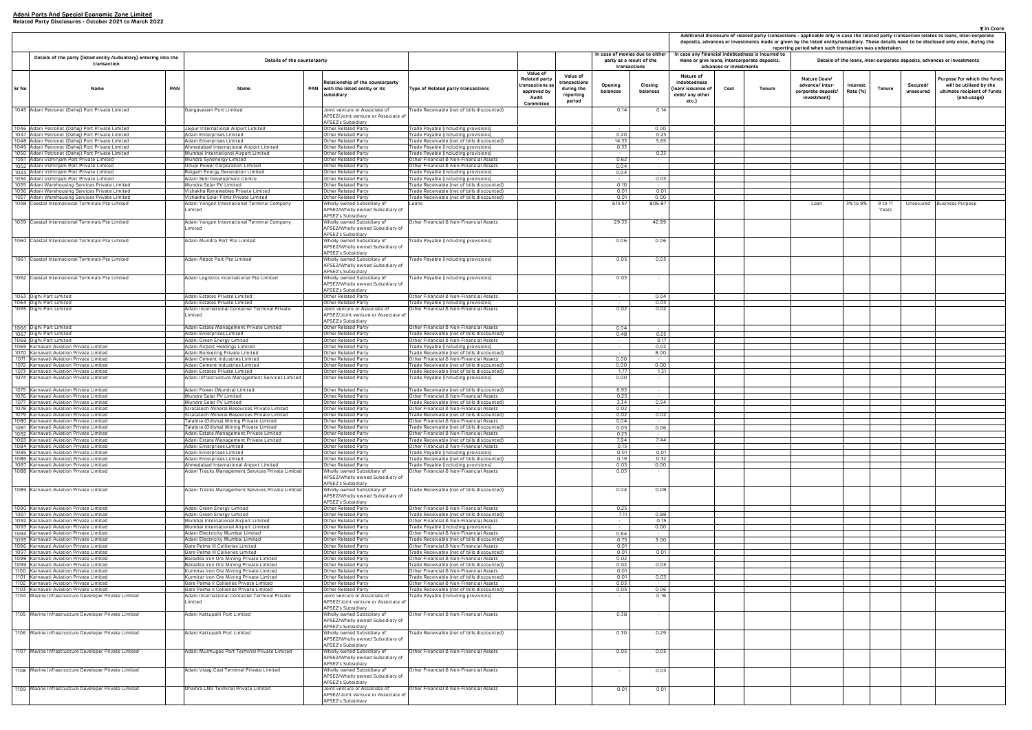|                                                                     | ₹ in Crore<br>Additional disclosure of related party transactions - applicable only in case the related party transaction relates to loans, inter-corporate<br>deposits, advances or investments made or given by the listed entity/subsidiary. These details need to be disclosed only once, during the<br>reporting period when such transaction was undertaken.<br>case any financial indebtedness is incurred to<br>make or give loans, intercorporate deposits,<br>Details of the loans, inter-corporate deposits, advances or investments |        |                                                                       |                      |                  |                       |                                                                                                      |  |  |  |  |  |  |  |
|---------------------------------------------------------------------|-------------------------------------------------------------------------------------------------------------------------------------------------------------------------------------------------------------------------------------------------------------------------------------------------------------------------------------------------------------------------------------------------------------------------------------------------------------------------------------------------------------------------------------------------|--------|-----------------------------------------------------------------------|----------------------|------------------|-----------------------|------------------------------------------------------------------------------------------------------|--|--|--|--|--|--|--|
|                                                                     | advances or investments                                                                                                                                                                                                                                                                                                                                                                                                                                                                                                                         |        |                                                                       |                      |                  |                       |                                                                                                      |  |  |  |  |  |  |  |
| Nature of<br>debtedness<br>n/ issuance of<br>bt/ any other<br>etc.) | Cost                                                                                                                                                                                                                                                                                                                                                                                                                                                                                                                                            | Tenure | Nature (Ioan/<br>advance/ inter-<br>corporate deposit/<br>investment) | Interest<br>Rate (%) | <b>Tenure</b>    | Secured/<br>unsecured | Purpose for which the funds<br>will be utilised by the<br>ultimate recipient of funds<br>(end-usage) |  |  |  |  |  |  |  |
|                                                                     |                                                                                                                                                                                                                                                                                                                                                                                                                                                                                                                                                 |        |                                                                       |                      |                  |                       |                                                                                                      |  |  |  |  |  |  |  |
|                                                                     |                                                                                                                                                                                                                                                                                                                                                                                                                                                                                                                                                 |        |                                                                       |                      |                  |                       |                                                                                                      |  |  |  |  |  |  |  |
|                                                                     |                                                                                                                                                                                                                                                                                                                                                                                                                                                                                                                                                 |        |                                                                       |                      |                  |                       |                                                                                                      |  |  |  |  |  |  |  |
|                                                                     |                                                                                                                                                                                                                                                                                                                                                                                                                                                                                                                                                 |        |                                                                       |                      |                  |                       |                                                                                                      |  |  |  |  |  |  |  |
|                                                                     |                                                                                                                                                                                                                                                                                                                                                                                                                                                                                                                                                 |        |                                                                       |                      |                  |                       |                                                                                                      |  |  |  |  |  |  |  |
|                                                                     |                                                                                                                                                                                                                                                                                                                                                                                                                                                                                                                                                 |        |                                                                       |                      |                  |                       |                                                                                                      |  |  |  |  |  |  |  |
|                                                                     |                                                                                                                                                                                                                                                                                                                                                                                                                                                                                                                                                 |        |                                                                       |                      |                  |                       |                                                                                                      |  |  |  |  |  |  |  |
|                                                                     |                                                                                                                                                                                                                                                                                                                                                                                                                                                                                                                                                 |        | Loan                                                                  | 3% to 9%             | 9 to 11<br>Years | Unsecured             | <b>Business Purpose</b>                                                                              |  |  |  |  |  |  |  |
|                                                                     |                                                                                                                                                                                                                                                                                                                                                                                                                                                                                                                                                 |        |                                                                       |                      |                  |                       |                                                                                                      |  |  |  |  |  |  |  |
|                                                                     |                                                                                                                                                                                                                                                                                                                                                                                                                                                                                                                                                 |        |                                                                       |                      |                  |                       |                                                                                                      |  |  |  |  |  |  |  |
|                                                                     |                                                                                                                                                                                                                                                                                                                                                                                                                                                                                                                                                 |        |                                                                       |                      |                  |                       |                                                                                                      |  |  |  |  |  |  |  |
|                                                                     |                                                                                                                                                                                                                                                                                                                                                                                                                                                                                                                                                 |        |                                                                       |                      |                  |                       |                                                                                                      |  |  |  |  |  |  |  |
|                                                                     |                                                                                                                                                                                                                                                                                                                                                                                                                                                                                                                                                 |        |                                                                       |                      |                  |                       |                                                                                                      |  |  |  |  |  |  |  |
|                                                                     |                                                                                                                                                                                                                                                                                                                                                                                                                                                                                                                                                 |        |                                                                       |                      |                  |                       |                                                                                                      |  |  |  |  |  |  |  |
|                                                                     |                                                                                                                                                                                                                                                                                                                                                                                                                                                                                                                                                 |        |                                                                       |                      |                  |                       |                                                                                                      |  |  |  |  |  |  |  |
|                                                                     |                                                                                                                                                                                                                                                                                                                                                                                                                                                                                                                                                 |        |                                                                       |                      |                  |                       |                                                                                                      |  |  |  |  |  |  |  |
|                                                                     |                                                                                                                                                                                                                                                                                                                                                                                                                                                                                                                                                 |        |                                                                       |                      |                  |                       |                                                                                                      |  |  |  |  |  |  |  |
|                                                                     |                                                                                                                                                                                                                                                                                                                                                                                                                                                                                                                                                 |        |                                                                       |                      |                  |                       |                                                                                                      |  |  |  |  |  |  |  |
|                                                                     |                                                                                                                                                                                                                                                                                                                                                                                                                                                                                                                                                 |        |                                                                       |                      |                  |                       |                                                                                                      |  |  |  |  |  |  |  |
|                                                                     |                                                                                                                                                                                                                                                                                                                                                                                                                                                                                                                                                 |        |                                                                       |                      |                  |                       |                                                                                                      |  |  |  |  |  |  |  |
|                                                                     |                                                                                                                                                                                                                                                                                                                                                                                                                                                                                                                                                 |        |                                                                       |                      |                  |                       |                                                                                                      |  |  |  |  |  |  |  |
|                                                                     |                                                                                                                                                                                                                                                                                                                                                                                                                                                                                                                                                 |        |                                                                       |                      |                  |                       |                                                                                                      |  |  |  |  |  |  |  |
|                                                                     |                                                                                                                                                                                                                                                                                                                                                                                                                                                                                                                                                 |        |                                                                       |                      |                  |                       |                                                                                                      |  |  |  |  |  |  |  |
|                                                                     |                                                                                                                                                                                                                                                                                                                                                                                                                                                                                                                                                 |        |                                                                       |                      |                  |                       |                                                                                                      |  |  |  |  |  |  |  |
|                                                                     |                                                                                                                                                                                                                                                                                                                                                                                                                                                                                                                                                 |        |                                                                       |                      |                  |                       |                                                                                                      |  |  |  |  |  |  |  |
|                                                                     |                                                                                                                                                                                                                                                                                                                                                                                                                                                                                                                                                 |        |                                                                       |                      |                  |                       |                                                                                                      |  |  |  |  |  |  |  |
|                                                                     |                                                                                                                                                                                                                                                                                                                                                                                                                                                                                                                                                 |        |                                                                       |                      |                  |                       |                                                                                                      |  |  |  |  |  |  |  |
|                                                                     |                                                                                                                                                                                                                                                                                                                                                                                                                                                                                                                                                 |        |                                                                       |                      |                  |                       |                                                                                                      |  |  |  |  |  |  |  |
|                                                                     |                                                                                                                                                                                                                                                                                                                                                                                                                                                                                                                                                 |        |                                                                       |                      |                  |                       |                                                                                                      |  |  |  |  |  |  |  |
|                                                                     |                                                                                                                                                                                                                                                                                                                                                                                                                                                                                                                                                 |        |                                                                       |                      |                  |                       |                                                                                                      |  |  |  |  |  |  |  |
|                                                                     |                                                                                                                                                                                                                                                                                                                                                                                                                                                                                                                                                 |        |                                                                       |                      |                  |                       |                                                                                                      |  |  |  |  |  |  |  |
|                                                                     |                                                                                                                                                                                                                                                                                                                                                                                                                                                                                                                                                 |        |                                                                       |                      |                  |                       |                                                                                                      |  |  |  |  |  |  |  |
|                                                                     |                                                                                                                                                                                                                                                                                                                                                                                                                                                                                                                                                 |        |                                                                       |                      |                  |                       |                                                                                                      |  |  |  |  |  |  |  |
|                                                                     |                                                                                                                                                                                                                                                                                                                                                                                                                                                                                                                                                 |        |                                                                       |                      |                  |                       |                                                                                                      |  |  |  |  |  |  |  |
|                                                                     |                                                                                                                                                                                                                                                                                                                                                                                                                                                                                                                                                 |        |                                                                       |                      |                  |                       |                                                                                                      |  |  |  |  |  |  |  |
|                                                                     |                                                                                                                                                                                                                                                                                                                                                                                                                                                                                                                                                 |        |                                                                       |                      |                  |                       |                                                                                                      |  |  |  |  |  |  |  |
|                                                                     |                                                                                                                                                                                                                                                                                                                                                                                                                                                                                                                                                 |        |                                                                       |                      |                  |                       |                                                                                                      |  |  |  |  |  |  |  |
|                                                                     |                                                                                                                                                                                                                                                                                                                                                                                                                                                                                                                                                 |        |                                                                       |                      |                  |                       |                                                                                                      |  |  |  |  |  |  |  |
|                                                                     |                                                                                                                                                                                                                                                                                                                                                                                                                                                                                                                                                 |        |                                                                       |                      |                  |                       |                                                                                                      |  |  |  |  |  |  |  |
|                                                                     |                                                                                                                                                                                                                                                                                                                                                                                                                                                                                                                                                 |        |                                                                       |                      |                  |                       |                                                                                                      |  |  |  |  |  |  |  |
|                                                                     |                                                                                                                                                                                                                                                                                                                                                                                                                                                                                                                                                 |        |                                                                       |                      |                  |                       |                                                                                                      |  |  |  |  |  |  |  |

|              |                                                                                            |     |                                                                                              |                                                                                                                   |                                                                                          |                                                                                  |                                                               |                                                                             |                     |                                                                           |                                                                                                                              |               | Additional disclosure of related party transactions - applicable only in case the related party<br>deposits, advances or investments made or given by the listed entity/subsidiary. These detail<br>reporting period when such transaction was undertal |                                     |         |
|--------------|--------------------------------------------------------------------------------------------|-----|----------------------------------------------------------------------------------------------|-------------------------------------------------------------------------------------------------------------------|------------------------------------------------------------------------------------------|----------------------------------------------------------------------------------|---------------------------------------------------------------|-----------------------------------------------------------------------------|---------------------|---------------------------------------------------------------------------|------------------------------------------------------------------------------------------------------------------------------|---------------|---------------------------------------------------------------------------------------------------------------------------------------------------------------------------------------------------------------------------------------------------------|-------------------------------------|---------|
|              | Details of the party (listed entity /subsidiary) entering into the<br>transaction          |     | Details of the counterparty                                                                  |                                                                                                                   |                                                                                          |                                                                                  |                                                               | In case of monies due to either<br>party as a result of the<br>transactions |                     |                                                                           | In case any financial indebtedness is incurred to<br>make or give loans, intercorporate deposits,<br>advances or investments |               |                                                                                                                                                                                                                                                         | Details of the loans, inter-corpora |         |
| Sr No        | Name                                                                                       | PAN | Name                                                                                         | Relationship of the counterparty<br>with the listed entity or its<br><b>PAN</b><br>subsidiary                     | Type of Related party transactions                                                       | Value of<br>Related party<br>ransactions as<br>approved by<br>Audit<br>Committee | Value of<br>transactions<br>during the<br>reporting<br>period | Opening<br>balances                                                         | Closing<br>balances | Nature of<br>indebtedness<br>oan/ issuance of<br>debt/ any other<br>etc.) | Cost                                                                                                                         | <b>Tenure</b> | Nature (Ioan/<br>advance/ inter-<br>corporate deposit/<br>investment)                                                                                                                                                                                   | Interest<br>Rate (%)                | Tenure  |
|              | 1045 Adani Petronet (Dahej) Port Private Limited                                           |     | Gangavaram Port Limited                                                                      | Joint venture or Associate of<br>APSEZ/Joint venture or Associate of                                              | Trade Receivable (net of bills discounted)                                               |                                                                                  |                                                               | 0.14                                                                        | 0.14                |                                                                           |                                                                                                                              |               |                                                                                                                                                                                                                                                         |                                     |         |
|              | 1046 Adani Petronet (Dahej) Port Private Limited                                           |     | Jaipur International Airport Limited                                                         | APSEZ's Subsidiary<br>Other Related Party                                                                         | Trade Payable (including provisions)                                                     |                                                                                  |                                                               |                                                                             | 0.00                |                                                                           |                                                                                                                              |               |                                                                                                                                                                                                                                                         |                                     |         |
| 1047         | Adani Petronet (Dahej) Port Private Limited                                                |     | Adani Enterprises Limited                                                                    | Other Related Party                                                                                               | Trade Payable (including provisions)                                                     |                                                                                  |                                                               | 0.2C                                                                        | 0.23                |                                                                           |                                                                                                                              |               |                                                                                                                                                                                                                                                         |                                     |         |
|              | 1048 Adani Petronet (Dahej) Port Private Limited                                           |     | Adani Enterprises Limited                                                                    | Other Related Party                                                                                               | Trade Receivable (net of bills discounted)                                               |                                                                                  |                                                               | 14.33                                                                       | 5.65                |                                                                           |                                                                                                                              |               |                                                                                                                                                                                                                                                         |                                     |         |
| 1049<br>1050 | Adani Petronet (Dahej) Port Private Limited<br>Adani Petronet (Dahej) Port Private Limited |     | Ahmedabad International Airport Limited<br>Mumbai International Airport Limited              | Other Related Party<br>Other Related Party                                                                        | Trade Payable (including provisions)                                                     |                                                                                  |                                                               | 0.33                                                                        | $\sim$<br>0.33      |                                                                           |                                                                                                                              |               |                                                                                                                                                                                                                                                         |                                     |         |
| 1051         | Adani Vizhinjam Port Private Limited                                                       |     | Mundra Synenergy Limited                                                                     | Other Related Party                                                                                               | Trade Payable (including provisions)<br>Other Financial & Non-Financial Assets           |                                                                                  |                                                               | 0.62                                                                        |                     |                                                                           |                                                                                                                              |               |                                                                                                                                                                                                                                                         |                                     |         |
| 1052         | Adani Vizhinjam Port Private Limited                                                       |     | Udupi Power Corporation Limited                                                              | Other Related Party                                                                                               | Other Financial & Non-Financial Assets                                                   |                                                                                  |                                                               | 0.04                                                                        |                     |                                                                           |                                                                                                                              |               |                                                                                                                                                                                                                                                         |                                     |         |
| 1053         | Adani Vizhinjam Port Private Limited<br>1054 Adani Vizhinjam Port Private Limited          |     | Raigarh Energy Generation Limited<br>Adani Skill Development Centre                          | Other Related Party<br>Other Related Party                                                                        | Trade Payable (including provisions)                                                     |                                                                                  |                                                               | 0.04<br>$\sim$                                                              | $\sim$<br>0.03      |                                                                           |                                                                                                                              |               |                                                                                                                                                                                                                                                         |                                     |         |
| 1055         | Adani Warehousing Services Private Limited                                                 |     | Mundra Solar PV Limited                                                                      | Other Related Party                                                                                               | Trade Payable (including provisions)<br>Trade Receivable (net of bills discounted)       |                                                                                  |                                                               | 0.10                                                                        |                     |                                                                           |                                                                                                                              |               |                                                                                                                                                                                                                                                         |                                     |         |
| 1056         | Adani Warehousing Services Private Limited                                                 |     | Vishakha Renewables Private Limited                                                          | Other Related Party                                                                                               | Trade Receivable (net of bills discounted)                                               |                                                                                  |                                                               | 0.01                                                                        | 0.01                |                                                                           |                                                                                                                              |               |                                                                                                                                                                                                                                                         |                                     |         |
| 1057<br>1058 | Adani Warehousing Services Private Limited<br>Coastal International Terminals Pte Limited  |     | Vishakha Solar Films Private Limited<br>Adani Yangon International Terminal Company          | Other Related Party                                                                                               | Trade Receivable (net of bills discounted)                                               |                                                                                  |                                                               | 0.01<br>613.57                                                              | 0.00<br>806.87      |                                                                           |                                                                                                                              |               | Loan                                                                                                                                                                                                                                                    | 3% to 9%                            | 9 to 11 |
|              |                                                                                            |     | Limited                                                                                      | Wholly owned Subsidiary of<br>APSEZ/Wholly owned Subsidiary of<br>APSEZ's Subsidiary                              | Loans                                                                                    |                                                                                  |                                                               |                                                                             |                     |                                                                           |                                                                                                                              |               |                                                                                                                                                                                                                                                         |                                     | Years   |
|              | 1059 Coastal International Terminals Pte Limited                                           |     | Adani Yangon International Terminal Company<br>Limited                                       | Wholly owned Subsidiary of<br>APSEZ/Wholly owned Subsidiary of<br>APSEZ's Subsidiary                              | Other Financial & Non-Financial Assets                                                   |                                                                                  |                                                               | 29.33                                                                       | 42.89               |                                                                           |                                                                                                                              |               |                                                                                                                                                                                                                                                         |                                     |         |
|              | 1060 Coastal International Terminals Pte Limited                                           |     | Adani Mundra Port Pte Limited                                                                | Wholly owned Subsidiary of<br>APSEZ/Wholly owned Subsidiary of<br>APSEZ's Subsidiary                              | rade Payable (including provisions)                                                      |                                                                                  |                                                               | 0.06                                                                        | 0.06                |                                                                           |                                                                                                                              |               |                                                                                                                                                                                                                                                         |                                     |         |
|              | 1061 Coastal International Terminals Pte Limited                                           |     | Adani Abbot Port Pte Limited                                                                 | Wholly owned Subsidiary of<br>APSEZ/Wholly owned Subsidiary of<br>APSEZ's Subsidiary                              | "rade Payable (including provisions)                                                     |                                                                                  |                                                               | 0.05                                                                        | 0.05                |                                                                           |                                                                                                                              |               |                                                                                                                                                                                                                                                         |                                     |         |
|              | 1062 Coastal International Terminals Pte Limited                                           |     | Adani Logistics International Pte Limited                                                    | Wholly owned Subsidiary of<br>APSEZ/Wholly owned Subsidiary of<br>APSEZ's Subsidiary                              | "rade Payable (including provisions)                                                     |                                                                                  |                                                               | 0.03                                                                        |                     |                                                                           |                                                                                                                              |               |                                                                                                                                                                                                                                                         |                                     |         |
|              | 1063 Dighi Port Limited                                                                    |     | Adani Estates Private Limited                                                                | Other Related Party                                                                                               | Other Financial & Non-Financial Assets                                                   |                                                                                  |                                                               | $\sim$                                                                      | 0.04                |                                                                           |                                                                                                                              |               |                                                                                                                                                                                                                                                         |                                     |         |
|              | 1064 Dighi Port Limited<br>1065 Dighi Port Limited                                         |     | Adani Estates Private Limited<br>Adani International Container Terminal Private<br>Limited   | Other Related Party<br>Joint venture or Associate of<br>APSEZ/Joint venture or Associate of<br>APSEZ's Subsidiary | Trade Payable (including provisions)<br>Other Financial & Non-Financial Assets           |                                                                                  |                                                               | 0.02                                                                        | 0.03<br>0.02        |                                                                           |                                                                                                                              |               |                                                                                                                                                                                                                                                         |                                     |         |
|              | 1066 Dighi Port Limited                                                                    |     | Adani Estate Management Private Limited                                                      | Other Related Party                                                                                               | Other Financial & Non-Financial Assets                                                   |                                                                                  |                                                               | 0.04                                                                        |                     |                                                                           |                                                                                                                              |               |                                                                                                                                                                                                                                                         |                                     |         |
|              | 1067 Dighi Port Limited                                                                    |     | Adani Enterprises Limited                                                                    | Other Related Party                                                                                               | Trade Receivable (net of bills discounted)                                               |                                                                                  |                                                               | 0.48                                                                        | 0.25                |                                                                           |                                                                                                                              |               |                                                                                                                                                                                                                                                         |                                     |         |
| 1068         | Dighi Port Limited<br>1069 Karnavati Aviation Private Limited                              |     | Adani Green Energy Limited<br>Adani Airport Holdings Limited                                 | Other Related Party<br>Other Related Party                                                                        | Other Financial & Non-Financial Assets<br>Trade Payable (including provisions)           |                                                                                  |                                                               | $\sim$                                                                      | 0.17<br>0.02        |                                                                           |                                                                                                                              |               |                                                                                                                                                                                                                                                         |                                     |         |
| 1070         | Karnavati Aviation Private Limited                                                         |     | Adani Bunkering Private Limited                                                              | Other Related Party                                                                                               | Trade Receivable (net of bills discounted)                                               |                                                                                  |                                                               |                                                                             | 8.00                |                                                                           |                                                                                                                              |               |                                                                                                                                                                                                                                                         |                                     |         |
| 1071         | Karnavati Aviation Private Limited                                                         |     | Adani Cement Industries Limited                                                              | Other Related Party                                                                                               | Other Financial & Non-Financial Assets                                                   |                                                                                  |                                                               | 0.00                                                                        |                     |                                                                           |                                                                                                                              |               |                                                                                                                                                                                                                                                         |                                     |         |
| 1072<br>1073 | Karnavati Aviation Private Limited<br>Karnavati Aviation Private Limited                   |     | Adani Cement Industries Limited<br>Adani Estates Private Limited                             | Other Related Party<br>Other Related Party                                                                        | Trade Receivable (net of bills discounted)<br>Trade Receivable (net of bills discounted) |                                                                                  |                                                               | 0.00<br>1.77                                                                | 0.00<br>1.31        |                                                                           |                                                                                                                              |               |                                                                                                                                                                                                                                                         |                                     |         |
|              | 1074 Karnavati Aviation Private Limited                                                    |     | Adani Infrastructure Management Services Limited                                             | Other Related Party                                                                                               | Trade Payable (including provisions)                                                     |                                                                                  |                                                               | 0.00                                                                        | $\sim$              |                                                                           |                                                                                                                              |               |                                                                                                                                                                                                                                                         |                                     |         |
| 1076         | 1075 Karnavati Aviation Private Limited<br>Karnavati Aviation Private Limited              |     | Adani Power (Mundra) Limited<br>Mundra Solar PV Limited                                      | Other Related Party<br>Other Related Party                                                                        | Trade Receivable (net of bills discounted)<br>Other Financial & Non-Financial Assets     |                                                                                  |                                                               | 6.93<br>0.25                                                                |                     |                                                                           |                                                                                                                              |               |                                                                                                                                                                                                                                                         |                                     |         |
| 1077         | Karnavati Aviation Private Limited                                                         |     | Mundra Solar PV Limited                                                                      | Other Related Party                                                                                               | Trade Receivable (net of bills discounted)                                               |                                                                                  |                                                               | 3.34                                                                        | 0.54                |                                                                           |                                                                                                                              |               |                                                                                                                                                                                                                                                         |                                     |         |
| 1078<br>1079 | Karnavati Aviation Private Limited<br>Karnavati Aviation Private Limited                   |     | Stratatech Mineral Resources Private Limited<br>Stratatech Mineral Resources Private Limited | Other Related Party<br>Other Related Party                                                                        | Other Financial & Non-Financial Assets<br>Trade Receivable (net of bills discounted)     |                                                                                  |                                                               | 0.02<br>0.02                                                                | $\sim$<br>0.02      |                                                                           |                                                                                                                              |               |                                                                                                                                                                                                                                                         |                                     |         |
|              | 080 Karnavati Aviation Private Limited                                                     |     | Talabira (Odisha) Mining Private Limited                                                     | ither Related Party                                                                                               | Other Financial & Non-Financial Assets                                                   |                                                                                  |                                                               | U.U4                                                                        |                     |                                                                           |                                                                                                                              |               |                                                                                                                                                                                                                                                         |                                     |         |
| 1081         | Karnavati Aviation Private Limited                                                         |     | Talabira (Odisha) Mining Private Limited                                                     | Other Related Party                                                                                               | Trade Receivable (net of bills discounted)                                               |                                                                                  |                                                               | 0.05                                                                        | 0.06                |                                                                           |                                                                                                                              |               |                                                                                                                                                                                                                                                         |                                     |         |
| 1082         | Karnavati Aviation Private Limited<br>1083 Karnavati Aviation Private Limited              |     | Adani Estate Management Private Limited<br>Adani Estate Management Private Limited           | Other Related Party<br>Other Related Party                                                                        | Other Financial & Non-Financial Assets<br>Trade Receivable (net of bills discounted)     |                                                                                  |                                                               | 0.25<br>7.94                                                                | 7.44                |                                                                           |                                                                                                                              |               |                                                                                                                                                                                                                                                         |                                     |         |
|              | 1084 Karnavati Aviation Private Limited                                                    |     | Adani Enterprises Limited                                                                    | Other Related Party                                                                                               | Other Financial & Non-Financial Assets                                                   |                                                                                  |                                                               | 0.15                                                                        |                     |                                                                           |                                                                                                                              |               |                                                                                                                                                                                                                                                         |                                     |         |
| 1085         | Karnavati Aviation Private Limited                                                         |     | Adani Enterprises Limited                                                                    | Other Related Party                                                                                               | Trade Payable (including provisions)                                                     |                                                                                  |                                                               | 0.01                                                                        | 0.01                |                                                                           |                                                                                                                              |               |                                                                                                                                                                                                                                                         |                                     |         |
| 1087         | 1086 Karnavati Aviation Private Limited<br>Karnavati Aviation Private Limited              |     | Adani Enterprises Limited<br>Ahmedabad International Airport Limited                         | Other Related Party<br>Other Related Party                                                                        | Trade Receivable (net of bills discounted)<br>Trade Payable (including provisions)       |                                                                                  |                                                               | 0.19<br>0.03                                                                | 0.32<br>0.00        |                                                                           |                                                                                                                              |               |                                                                                                                                                                                                                                                         |                                     |         |
| 1088         | Karnavati Aviation Private Limited                                                         |     | Adani Tracks Management Services Private Limited                                             | Wholly owned Subsidiary of<br>APSEZ/Wholly owned Subsidiary of<br>APSEZ's Subsidiary                              | Other Financial & Non-Financial Assets                                                   |                                                                                  |                                                               | 0.03                                                                        |                     |                                                                           |                                                                                                                              |               |                                                                                                                                                                                                                                                         |                                     |         |
|              | 1089 Karnavati Aviation Private Limited                                                    |     | Adani Tracks Management Services Private Limited                                             | Wholly owned Subsidiary of<br>APSEZ/Wholly owned Subsidiary of<br>APSEZ's Subsidiary                              | 'rade Receivable (net of bills discounted)                                               |                                                                                  |                                                               | 0.04                                                                        | 0.08                |                                                                           |                                                                                                                              |               |                                                                                                                                                                                                                                                         |                                     |         |
| 1090         | Karnavati Aviation Private Limited                                                         |     | Adani Green Energy Limited                                                                   | Other Related Party                                                                                               | Other Financial & Non-Financial Assets                                                   |                                                                                  |                                                               | 0.25                                                                        |                     |                                                                           |                                                                                                                              |               |                                                                                                                                                                                                                                                         |                                     |         |
|              | 1091 Karnavati Aviation Private Limited                                                    |     | Adani Green Energy Limited                                                                   | Other Related Party                                                                                               | Trade Receivable (net of bills discounted)                                               |                                                                                  |                                                               | 7.11                                                                        | 0.88                |                                                                           |                                                                                                                              |               |                                                                                                                                                                                                                                                         |                                     |         |
| 1092         | Karnavati Aviation Private Limited<br>1093 Karnavati Aviation Private Limited              |     | Mumbai International Airport Limited<br>Mumbai International Airport Limited                 | Other Related Party<br>Other Related Party                                                                        | Other Financial & Non-Financial Assets<br>Trade Payable (including provisions)           |                                                                                  |                                                               |                                                                             | 0.15<br>0.00        |                                                                           |                                                                                                                              |               |                                                                                                                                                                                                                                                         |                                     |         |
|              | 1094 Karnavati Aviation Private Limited                                                    |     | Adani Electricity Mumbai Limited                                                             | Other Related Party                                                                                               | Other Financial & Non-Financial Assets                                                   |                                                                                  |                                                               | 0.64                                                                        | $\sim$              |                                                                           |                                                                                                                              |               |                                                                                                                                                                                                                                                         |                                     |         |
| 1095         | Karnavati Aviation Private Limited                                                         |     | Adani Electricity Mumbai Limited                                                             | Other Related Party                                                                                               | Trade Receivable (net of bills discounted)                                               |                                                                                  |                                                               | 0.75                                                                        | 3.00                |                                                                           |                                                                                                                              |               |                                                                                                                                                                                                                                                         |                                     |         |
| 1096         | Karnavati Aviation Private Limited<br>1097 Karnavati Aviation Private Limited              |     | Gare Pelma III Collieries Limited<br>Gare Pelma III Collieries Limited                       | Other Related Party<br>Other Related Party                                                                        | Other Financial & Non-Financial Assets<br>Trade Receivable (net of bills discounted)     |                                                                                  |                                                               | 0.01<br>0.01                                                                | 0.01                |                                                                           |                                                                                                                              |               |                                                                                                                                                                                                                                                         |                                     |         |
| 1098         | Karnavati Aviation Private Limited                                                         |     | Bailadila Iron Ore Mining Private Limited                                                    | Other Related Party                                                                                               | Other Financial & Non-Financial Assets                                                   |                                                                                  |                                                               | 0.02                                                                        |                     |                                                                           |                                                                                                                              |               |                                                                                                                                                                                                                                                         |                                     |         |
|              | 1099 Karnavati Aviation Private Limited                                                    |     | Bailadila Iron Ore Mining Private Limited                                                    | Other Related Party                                                                                               | Trade Receivable (net of bills discounted)                                               |                                                                                  |                                                               | 0.02                                                                        | 0.05                |                                                                           |                                                                                                                              |               |                                                                                                                                                                                                                                                         |                                     |         |
| 1100<br>1101 | Karnavati Aviation Private Limited<br>Karnavati Aviation Private Limited                   |     | Kurmitar Iron Ore Mining Private Limited<br>Kurmitar Iron Ore Mining Private Limited         | Other Related Party<br>Other Related Party                                                                        | Other Financial & Non-Financial Assets<br>Trade Receivable (net of bills discounted)     |                                                                                  |                                                               | 0.01<br>0.01                                                                | 0.03                |                                                                           |                                                                                                                              |               |                                                                                                                                                                                                                                                         |                                     |         |
|              | 1102 Karnavati Aviation Private Limited                                                    |     | Gare Palma II Collieries Private Limited                                                     | Other Related Party                                                                                               | Other Financial & Non-Financial Assets                                                   |                                                                                  |                                                               | 0.05                                                                        | $\sim$              |                                                                           |                                                                                                                              |               |                                                                                                                                                                                                                                                         |                                     |         |
| 1103         | Karnavati Aviation Private Limited                                                         |     | Gare Palma II Collieries Private Limited                                                     | Other Related Party                                                                                               | Trade Receivable (net of bills discounted)                                               |                                                                                  |                                                               | 0.05                                                                        | 0.06                |                                                                           |                                                                                                                              |               |                                                                                                                                                                                                                                                         |                                     |         |
|              | 1104 Marine Infrastructure Developer Private Limited                                       |     | Adani International Container Terminal Private<br>Limited                                    | Joint venture or Associate of<br>APSEZ/Joint venture or Associate of<br>APSEZ's Subsidiary                        | Trade Payable (including provisions)                                                     |                                                                                  |                                                               |                                                                             | 0.16                |                                                                           |                                                                                                                              |               |                                                                                                                                                                                                                                                         |                                     |         |
|              | 1105 Marine Infrastructure Developer Private Limited                                       |     | Adani Kattupalli Port Limited                                                                | Wholly owned Subsidiary of<br>APSEZ/Wholly owned Subsidiary of<br>APSEZ's Subsidiary                              | Other Financial & Non-Financial Assets                                                   |                                                                                  |                                                               | 0.38                                                                        |                     |                                                                           |                                                                                                                              |               |                                                                                                                                                                                                                                                         |                                     |         |
|              | 1106 Marine Infrastructure Developer Private Limited                                       |     | Adani Kattupalli Port Limited                                                                | Wholly owned Subsidiary of<br>APSEZ/Wholly owned Subsidiary of<br>APSEZ's Subsidiary                              | "rade Receivable (net of bills discounted)                                               |                                                                                  |                                                               | 0.30                                                                        | 0.29                |                                                                           |                                                                                                                              |               |                                                                                                                                                                                                                                                         |                                     |         |
|              | 1107 Marine Infrastructure Developer Private Limited                                       |     | Adani Murmugao Port Terminal Private Limited                                                 | Wholly owned Subsidiary of<br>APSEZ/Wholly owned Subsidiary of<br>APSEZ's Subsidiary                              | Other Financial & Non-Financial Assets                                                   |                                                                                  |                                                               | 0.05                                                                        | 0.05                |                                                                           |                                                                                                                              |               |                                                                                                                                                                                                                                                         |                                     |         |
|              | 1108 Marine Infrastructure Developer Private Limited                                       |     | Adani Vizag Coal Terminal Private Limited                                                    | Wholly owned Subsidiary of<br>APSEZ/Wholly owned Subsidiary of<br>APSEZ's Subsidiary                              | Other Financial & Non-Financial Assets                                                   |                                                                                  |                                                               |                                                                             | 0.03                |                                                                           |                                                                                                                              |               |                                                                                                                                                                                                                                                         |                                     |         |
|              | 1109 Marine Infrastructure Developer Private Limited                                       |     | Dhamra LNG Terminal Private Limited                                                          | Joint venture or Associate of<br>APSEZ/Joint venture or Associate of<br>APSEZ's Subsidiary                        | Other Financial & Non-Financial Assets                                                   |                                                                                  |                                                               | 0.01                                                                        | 0.01                |                                                                           |                                                                                                                              |               |                                                                                                                                                                                                                                                         |                                     |         |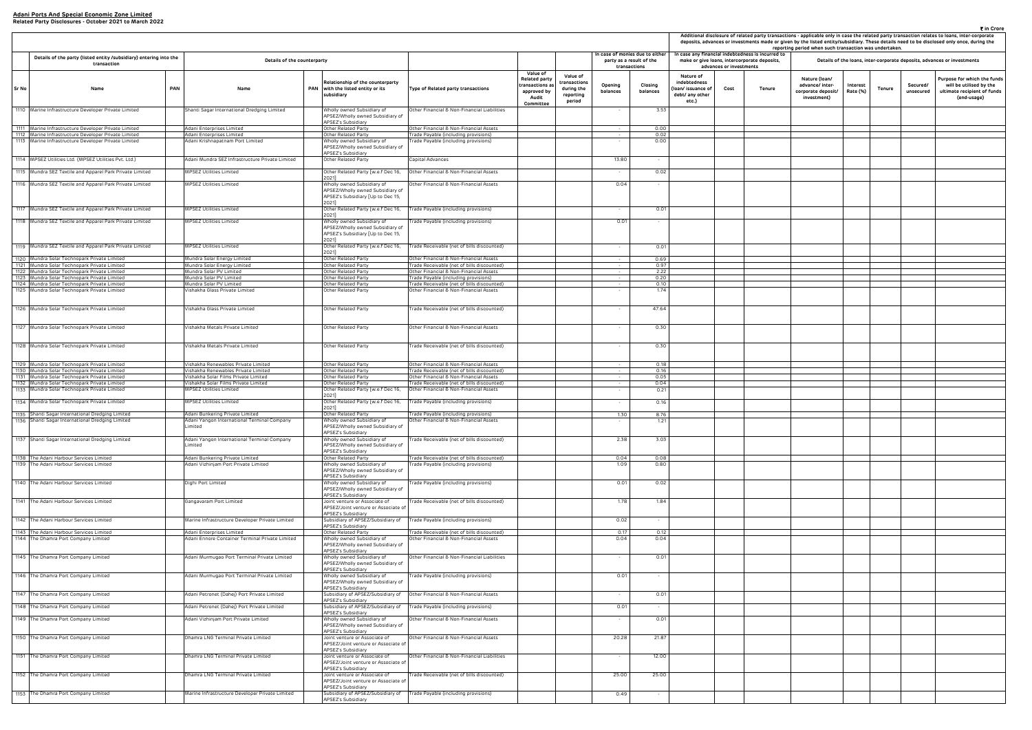|                                                                     |                         |                                                                                                | reporting period when such transaction was undertaken.                |                      |        |                       | ₹ in Crore<br>Additional disclosure of related party transactions - applicable only in case the related party transaction relates to loans, inter-corporate<br>deposits, advances or investments made or given by the listed entity/subsidiary. These details need to be disclosed only once, during the |
|---------------------------------------------------------------------|-------------------------|------------------------------------------------------------------------------------------------|-----------------------------------------------------------------------|----------------------|--------|-----------------------|----------------------------------------------------------------------------------------------------------------------------------------------------------------------------------------------------------------------------------------------------------------------------------------------------------|
|                                                                     | advances or investments | case any financial indebtedness is incurred to<br>make or give loans, intercorporate deposits, |                                                                       |                      |        |                       | Details of the loans, inter-corporate deposits, advances or investments                                                                                                                                                                                                                                  |
| Nature of<br>debtedness<br>n/ issuance of<br>bt/ any other<br>etc.) | Tenure<br>Cost          |                                                                                                | Nature (Ioan/<br>advance/ inter-<br>corporate deposit/<br>investment) | Interest<br>Rate (%) | Tenure | Secured/<br>unsecured | Purpose for which the funds<br>will be utilised by the<br>ultimate recipient of funds<br>(end-usage)                                                                                                                                                                                                     |
|                                                                     |                         |                                                                                                |                                                                       |                      |        |                       |                                                                                                                                                                                                                                                                                                          |
|                                                                     |                         |                                                                                                |                                                                       |                      |        |                       |                                                                                                                                                                                                                                                                                                          |
|                                                                     |                         |                                                                                                |                                                                       |                      |        |                       |                                                                                                                                                                                                                                                                                                          |
|                                                                     |                         |                                                                                                |                                                                       |                      |        |                       |                                                                                                                                                                                                                                                                                                          |
|                                                                     |                         |                                                                                                |                                                                       |                      |        |                       |                                                                                                                                                                                                                                                                                                          |
|                                                                     |                         |                                                                                                |                                                                       |                      |        |                       |                                                                                                                                                                                                                                                                                                          |
|                                                                     |                         |                                                                                                |                                                                       |                      |        |                       |                                                                                                                                                                                                                                                                                                          |
|                                                                     |                         |                                                                                                |                                                                       |                      |        |                       |                                                                                                                                                                                                                                                                                                          |
|                                                                     |                         |                                                                                                |                                                                       |                      |        |                       |                                                                                                                                                                                                                                                                                                          |
|                                                                     |                         |                                                                                                |                                                                       |                      |        |                       |                                                                                                                                                                                                                                                                                                          |
|                                                                     |                         |                                                                                                |                                                                       |                      |        |                       |                                                                                                                                                                                                                                                                                                          |
|                                                                     |                         |                                                                                                |                                                                       |                      |        |                       |                                                                                                                                                                                                                                                                                                          |
|                                                                     |                         |                                                                                                |                                                                       |                      |        |                       |                                                                                                                                                                                                                                                                                                          |
|                                                                     |                         |                                                                                                |                                                                       |                      |        |                       |                                                                                                                                                                                                                                                                                                          |
|                                                                     |                         |                                                                                                |                                                                       |                      |        |                       |                                                                                                                                                                                                                                                                                                          |
|                                                                     |                         |                                                                                                |                                                                       |                      |        |                       |                                                                                                                                                                                                                                                                                                          |
|                                                                     |                         |                                                                                                |                                                                       |                      |        |                       |                                                                                                                                                                                                                                                                                                          |
|                                                                     |                         |                                                                                                |                                                                       |                      |        |                       |                                                                                                                                                                                                                                                                                                          |
|                                                                     |                         |                                                                                                |                                                                       |                      |        |                       |                                                                                                                                                                                                                                                                                                          |
|                                                                     |                         |                                                                                                |                                                                       |                      |        |                       |                                                                                                                                                                                                                                                                                                          |
|                                                                     |                         |                                                                                                |                                                                       |                      |        |                       |                                                                                                                                                                                                                                                                                                          |
|                                                                     |                         |                                                                                                |                                                                       |                      |        |                       |                                                                                                                                                                                                                                                                                                          |
|                                                                     |                         |                                                                                                |                                                                       |                      |        |                       |                                                                                                                                                                                                                                                                                                          |
|                                                                     |                         |                                                                                                |                                                                       |                      |        |                       |                                                                                                                                                                                                                                                                                                          |
|                                                                     |                         |                                                                                                |                                                                       |                      |        |                       |                                                                                                                                                                                                                                                                                                          |
|                                                                     |                         |                                                                                                |                                                                       |                      |        |                       |                                                                                                                                                                                                                                                                                                          |
|                                                                     |                         |                                                                                                |                                                                       |                      |        |                       |                                                                                                                                                                                                                                                                                                          |
|                                                                     |                         |                                                                                                |                                                                       |                      |        |                       |                                                                                                                                                                                                                                                                                                          |
|                                                                     |                         |                                                                                                |                                                                       |                      |        |                       |                                                                                                                                                                                                                                                                                                          |
|                                                                     |                         |                                                                                                |                                                                       |                      |        |                       |                                                                                                                                                                                                                                                                                                          |
|                                                                     |                         |                                                                                                |                                                                       |                      |        |                       |                                                                                                                                                                                                                                                                                                          |
|                                                                     |                         |                                                                                                |                                                                       |                      |        |                       |                                                                                                                                                                                                                                                                                                          |
|                                                                     |                         |                                                                                                |                                                                       |                      |        |                       |                                                                                                                                                                                                                                                                                                          |

|       |                                                                                              |     |                                                                              |                                                                                                                       |                                                                                      |                                                                 |                                                   |                          |                                 |                                                                         |      | Additional disclosure of related party transacl<br>deposits, advances or investments made or giv |  |  |
|-------|----------------------------------------------------------------------------------------------|-----|------------------------------------------------------------------------------|-----------------------------------------------------------------------------------------------------------------------|--------------------------------------------------------------------------------------|-----------------------------------------------------------------|---------------------------------------------------|--------------------------|---------------------------------|-------------------------------------------------------------------------|------|--------------------------------------------------------------------------------------------------|--|--|
|       |                                                                                              |     |                                                                              |                                                                                                                       |                                                                                      |                                                                 |                                                   |                          | In case of monies due to either | In case any financial indebtedness is incurred to                       |      | report                                                                                           |  |  |
|       | Details of the party (listed entity /subsidiary) entering into the<br>transaction            |     | Details of the counterparty                                                  |                                                                                                                       |                                                                                      |                                                                 |                                                   |                          | party as a result of the        | make or give loans, intercorporate deposits,<br>advances or investments |      |                                                                                                  |  |  |
|       |                                                                                              |     |                                                                              |                                                                                                                       |                                                                                      | Value of                                                        | Value of                                          |                          | transactions                    | Nature of                                                               |      |                                                                                                  |  |  |
| Sr No | Name                                                                                         | PAN | <b>PAN</b><br>Name                                                           | Relationship of the counterparty<br>with the listed entity or its<br>subsidiary                                       | Type of Related party transactions                                                   | <b>Related party</b><br>ransactions as:<br>approved by<br>Audit | transactions<br>during the<br>reporting<br>period | Opening<br>balances      | Closing<br>balances             | indebtedness<br>(loan/issuance of<br>debt/ any other<br>etc.)           | Cost | <b>Tenure</b>                                                                                    |  |  |
|       | 1110 Marine Infrastructure Developer Private Limited                                         |     | Shanti Sagar International Dredging Limited                                  | Wholly owned Subsidiary of<br>APSEZ/Wholly owned Subsidiary of                                                        | Other Financial & Non-Financial Liabilities                                          | Committee                                                       |                                                   |                          | 3.53                            |                                                                         |      |                                                                                                  |  |  |
|       | 1111 Marine Infrastructure Developer Private Limited                                         |     | Adani Enterprises Limited                                                    | APSEZ's Subsidiary<br>Other Related Party                                                                             | Other Financial & Non-Financial Assets                                               |                                                                 |                                                   | $\sim$                   | 0.00                            |                                                                         |      |                                                                                                  |  |  |
|       | 1112 Marine Infrastructure Developer Private Limited                                         |     | Adani Enterprises Limited                                                    | Other Related Party                                                                                                   | Trade Payable (including provisions)                                                 |                                                                 |                                                   | $\overline{\phantom{a}}$ | 0.02                            |                                                                         |      |                                                                                                  |  |  |
|       | 1113 Marine Infrastructure Developer Private Limited                                         |     | Adani Krishnapatnam Port Limited                                             | Wholly owned Subsidiary of<br>APSEZ/Wholly owned Subsidiary of                                                        | Trade Payable (including provisions)                                                 |                                                                 |                                                   |                          | 0.00                            |                                                                         |      |                                                                                                  |  |  |
|       | 1114   MPSEZ Utilities Ltd. (MPSEZ Utilities Pvt. Ltd.)                                      |     | Adani Mundra SEZ Infrastructure Private Limited                              | APSEZ's Subsidiary<br>Other Related Party                                                                             | Capital Advances                                                                     |                                                                 |                                                   | 13.80                    | $\sim$                          |                                                                         |      |                                                                                                  |  |  |
|       | 1115 Mundra SEZ Textile and Apparel Park Private Limited                                     |     | <b>MPSEZ Utilities Limited</b>                                               | Other Related Party [w.e.f Dec 16,                                                                                    | Other Financial & Non-Financial Assets                                               |                                                                 |                                                   |                          | 0.02                            |                                                                         |      |                                                                                                  |  |  |
|       | 1116 Mundra SEZ Textile and Apparel Park Private Limited                                     |     | MPSEZ Utilities Limited                                                      | 2021]<br>Wholly owned Subsidiary of<br>APSEZ/Wholly owned Subsidiary of<br>APSEZ's Subsidiary [Up to Dec 15,<br>2021] | Other Financial & Non-Financial Assets                                               |                                                                 |                                                   | 0.04                     | $\sim$                          |                                                                         |      |                                                                                                  |  |  |
|       | 1117 Mundra SEZ Textile and Apparel Park Private Limited                                     |     | MPSEZ Utilities Limited                                                      | Other Related Party [w.e.f Dec 16,                                                                                    | Trade Payable (including provisions)                                                 |                                                                 |                                                   |                          | 0.01                            |                                                                         |      |                                                                                                  |  |  |
|       | 1118 Mundra SEZ Textile and Apparel Park Private Limited                                     |     | <b>MPSEZ Utilities Limited</b>                                               | 2021]<br>Wholly owned Subsidiary of<br>APSEZ/Wholly owned Subsidiary of<br>APSEZ's Subsidiary [Up to Dec 15,          | Trade Payable (including provisions)                                                 |                                                                 |                                                   | 0.01                     |                                 |                                                                         |      |                                                                                                  |  |  |
|       | 1119 Mundra SEZ Textile and Apparel Park Private Limited                                     |     | MPSEZ Utilities Limited                                                      | 2021]<br>Other Related Party [w.e.f Dec 16,<br>2021]                                                                  | Trade Receivable (net of bills discounted)                                           |                                                                 |                                                   | $\sim$                   | 0.01                            |                                                                         |      |                                                                                                  |  |  |
|       | 1120 Mundra Solar Technopark Private Limited                                                 |     | Mundra Solar Energy Limited                                                  | Other Related Party                                                                                                   | Other Financial & Non-Financial Assets                                               |                                                                 |                                                   |                          | 0.69                            |                                                                         |      |                                                                                                  |  |  |
|       | 1121 Mundra Solar Technopark Private Limited<br>1122 Mundra Solar Technopark Private Limited |     | Mundra Solar Energy Limited<br>Mundra Solar PV Limited                       | Other Related Party<br>Other Related Party                                                                            | Trade Receivable (net of bills discounted)<br>Other Financial & Non-Financial Assets |                                                                 |                                                   | $\sim$                   | 0.97<br>2.22                    |                                                                         |      |                                                                                                  |  |  |
|       | 1123 Mundra Solar Technopark Private Limited                                                 |     | Mundra Solar PV Limited                                                      | Other Related Party                                                                                                   | Trade Payable (including provisions)                                                 |                                                                 |                                                   |                          | 0.20                            |                                                                         |      |                                                                                                  |  |  |
|       | 1124 Mundra Solar Technopark Private Limited<br>1125 Mundra Solar Technopark Private Limited |     | Mundra Solar PV Limited<br>Vishakha Glass Private Limited                    | Other Related Party<br>Other Related Party                                                                            | Trade Receivable (net of bills discounted)<br>Other Financial & Non-Financial Assets |                                                                 |                                                   |                          | 0.10<br>1.74                    |                                                                         |      |                                                                                                  |  |  |
|       |                                                                                              |     |                                                                              |                                                                                                                       |                                                                                      |                                                                 |                                                   |                          |                                 |                                                                         |      |                                                                                                  |  |  |
|       | 1126 Mundra Solar Technopark Private Limited                                                 |     | Vishakha Glass Private Limited                                               | Other Related Party                                                                                                   | Trade Receivable (net of bills discounted)                                           |                                                                 |                                                   |                          | 47.64                           |                                                                         |      |                                                                                                  |  |  |
|       | 1127 Mundra Solar Technopark Private Limited                                                 |     | Vishakha Metals Private Limited                                              | Other Related Party                                                                                                   | Other Financial & Non-Financial Assets                                               |                                                                 |                                                   |                          | 0.30                            |                                                                         |      |                                                                                                  |  |  |
|       | 1128 Mundra Solar Technopark Private Limited                                                 |     | Vishakha Metals Private Limited                                              | Other Related Party                                                                                                   | Trade Receivable (net of bills discounted)                                           |                                                                 |                                                   |                          | 0.30                            |                                                                         |      |                                                                                                  |  |  |
|       | 1129 Mundra Solar Technopark Private Limited<br>1130 Mundra Solar Technopark Private Limited |     | Vishakha Renewables Private Limited<br>Vishakha Renewables Private Limited   | Other Related Party<br>Other Related Party                                                                            | Other Financial & Non-Financial Assets<br>Trade Receivable (net of bills discounted) |                                                                 |                                                   |                          | 0.18<br>0.16                    |                                                                         |      |                                                                                                  |  |  |
|       | 1131 Mundra Solar Technopark Private Limited                                                 |     | Vishakha Solar Films Private Limited                                         | Other Related Party                                                                                                   | Other Financial & Non-Financial Assets                                               |                                                                 |                                                   | $\sim$                   | 0.05                            |                                                                         |      |                                                                                                  |  |  |
| 1132  | Mundra Solar Technopark Private Limited                                                      |     | Vishakha Solar Films Private Limited                                         | Other Related Party                                                                                                   | Trade Receivable (net of bills discounted)                                           |                                                                 |                                                   | $\sim$                   | 0.04                            |                                                                         |      |                                                                                                  |  |  |
| 1133  | Mundra Solar Technopark Private Limited                                                      |     | <b>MPSEZ Utilities Limited</b>                                               | Other Related Party [w.e.f Dec 16,<br>2021]                                                                           | Other Financial & Non-Financial Assets                                               |                                                                 |                                                   |                          | 0.21                            |                                                                         |      |                                                                                                  |  |  |
|       | 1134 Mundra Solar Technopark Private Limited                                                 |     | MPSEZ Utilities Limited                                                      | Other Related Party [w.e.f Dec 16,<br>2021]                                                                           | Trade Payable (including provisions)                                                 |                                                                 |                                                   |                          | 0.16                            |                                                                         |      |                                                                                                  |  |  |
|       | 1135 Shanti Sagar International Dredging Limited                                             |     | Adani Bunkering Private Limited                                              | Other Related Party                                                                                                   | Trade Payable (including provisions)                                                 |                                                                 |                                                   | 1.30                     | 8.76                            |                                                                         |      |                                                                                                  |  |  |
|       | 1136 Shanti Sagar International Dredging Limited                                             |     | xoani Yangon international Terminal Company<br>_imited                       | /holly owned Subsidiary of<br>APSEZ/Wholly owned Subsidiary of<br>APSEZ's Subsidiary                                  | Ither Financial & Non-Financial Assets                                               |                                                                 |                                                   |                          | 1.Z I                           |                                                                         |      |                                                                                                  |  |  |
|       | 1137 Shanti Sagar International Dredging Limited                                             |     | Adani Yangon International Terminal Company<br>_imited                       | Wholly owned Subsidiary of<br>APSEZ/Wholly owned Subsidiary of<br>APSEZ's Subsidiary                                  | Trade Receivable (net of bills discounted)                                           |                                                                 |                                                   | 2.38                     | 3.03                            |                                                                         |      |                                                                                                  |  |  |
|       | 1138 The Adani Harbour Services Limited                                                      |     | Adani Bunkering Private Limited                                              | Other Related Party                                                                                                   | Trade Receivable (net of bills discounted)                                           |                                                                 |                                                   | 0.04                     | 0.08                            |                                                                         |      |                                                                                                  |  |  |
|       | 1139 The Adani Harbour Services Limited                                                      |     | Adani Vizhinjam Port Private Limited                                         | Vholly owned Subsidiary of<br>APSEZ/Wholly owned Subsidiary of<br>APSEZ's Subsidiary                                  | Trade Payable (including provisions)                                                 |                                                                 |                                                   | 1.09                     | 0.80                            |                                                                         |      |                                                                                                  |  |  |
|       | 1140 The Adani Harbour Services Limited                                                      |     | Dighi Port Limited                                                           | Wholly owned Subsidiary of<br>APSEZ/Wholly owned Subsidiary of<br>APSEZ's Subsidiary                                  | Trade Payable (including provisions)                                                 |                                                                 |                                                   | 0.01                     | 0.02                            |                                                                         |      |                                                                                                  |  |  |
|       | 1141 The Adani Harbour Services Limited                                                      |     | Gangavaram Port Limited                                                      | Joint venture or Associate of<br>APSEZ/Joint venture or Associate of<br>APSEZ's Subsidiary                            | rade Receivable (net of bills discounted)                                            |                                                                 |                                                   | 1.78                     | 1.84                            |                                                                         |      |                                                                                                  |  |  |
|       | 1142 The Adani Harbour Services Limited                                                      |     | Marine Infrastructure Developer Private Limited                              | Subsidiary of APSEZ/Subsidiary of<br>APSEZ's Subsidiary                                                               | Trade Payable (including provisions)                                                 |                                                                 |                                                   | 0.02                     | $\sim$                          |                                                                         |      |                                                                                                  |  |  |
|       | 1143 The Adani Harbour Services Limited<br>1144 The Dhamra Port Company Limited              |     | Adani Enterprises Limited<br>Adani Ennore Container Terminal Private Limited | Other Related Party<br>Wholly owned Subsidiary of<br>APSEZ/Wholly owned Subsidiary of<br>APSEZ's Subsidiary           | Trade Receivable (net of bills discounted)<br>Other Financial & Non-Financial Assets |                                                                 |                                                   | 0.17<br>0.04             | 0.12<br>0.04                    |                                                                         |      |                                                                                                  |  |  |
|       | 1145 The Dhamra Port Company Limited                                                         |     | Adani Murmugao Port Terminal Private Limited                                 | Wholly owned Subsidiary of<br>APSEZ/Wholly owned Subsidiary of<br>APSEZ's Subsidiary                                  | Other Financial & Non-Financial Liabilities                                          |                                                                 |                                                   |                          | 0.01                            |                                                                         |      |                                                                                                  |  |  |
|       | 1146 The Dhamra Port Company Limited                                                         |     | Adani Murmugao Port Terminal Private Limited                                 | Vholly owned Subsidiary of<br>APSEZ/Wholly owned Subsidiary of<br><b>APSEZ's Subsidiary</b>                           | Trade Payable (including provisions)                                                 |                                                                 |                                                   | 0.01                     |                                 |                                                                         |      |                                                                                                  |  |  |
|       | 1147 The Dhamra Port Company Limited                                                         |     | Adani Petronet (Dahej) Port Private Limited                                  | Subsidiary of APSEZ/Subsidiary of<br><b>APSEZ's Subsidiary</b>                                                        | Other Financial & Non-Financial Assets                                               |                                                                 |                                                   |                          | 0.01                            |                                                                         |      |                                                                                                  |  |  |
|       | 1148 The Dhamra Port Company Limited                                                         |     | Adani Petronet (Dahej) Port Private Limited                                  | Subsidiary of APSEZ/Subsidiary of<br><b>APSEZ's Subsidiary</b>                                                        | Trade Payable (including provisions)                                                 |                                                                 |                                                   | 0.01                     |                                 |                                                                         |      |                                                                                                  |  |  |
|       | 1149 The Dhamra Port Company Limited                                                         |     | Adani Vizhinjam Port Private Limited                                         | Wholly owned Subsidiary of<br>APSEZ/Wholly owned Subsidiary of<br>APSEZ's Subsidiary                                  | Other Financial & Non-Financial Assets                                               |                                                                 |                                                   |                          | 0.01                            |                                                                         |      |                                                                                                  |  |  |
|       | 1150 The Dhamra Port Company Limited                                                         |     | Dhamra LNG Terminal Private Limited                                          | Joint venture or Associate of<br>APSEZ/Joint venture or Associate of<br><b>APSEZ's Subsidiary</b>                     | Other Financial & Non-Financial Assets                                               |                                                                 |                                                   | 20.28                    | 21.87                           |                                                                         |      |                                                                                                  |  |  |
|       | 1151 The Dhamra Port Company Limited                                                         |     | Dhamra LNG Terminal Private Limited                                          | Joint venture or Associate of<br>APSEZ/Joint venture or Associate of                                                  | Other Financial & Non-Financial Liabilities                                          |                                                                 |                                                   |                          | 12.00                           |                                                                         |      |                                                                                                  |  |  |
|       | 1152 The Dhamra Port Company Limited                                                         |     | Dhamra LNG Terminal Private Limited                                          | APSEZ's Subsidiary<br>Joint venture or Associate of<br>APSEZ/Joint venture or Associate of<br>APSEZ's Subsidiary      | Trade Receivable (net of bills discounted)                                           |                                                                 |                                                   | 25.00                    | 25.00                           |                                                                         |      |                                                                                                  |  |  |
|       | 1153 The Dhamra Port Company Limited                                                         |     | Marine Infrastructure Developer Private Limited                              | Subsidiary of APSEZ/Subsidiary of<br>APSEZ's Subsidiary                                                               | Trade Payable (including provisions)                                                 |                                                                 |                                                   | 0.49                     | $\sim$                          |                                                                         |      |                                                                                                  |  |  |